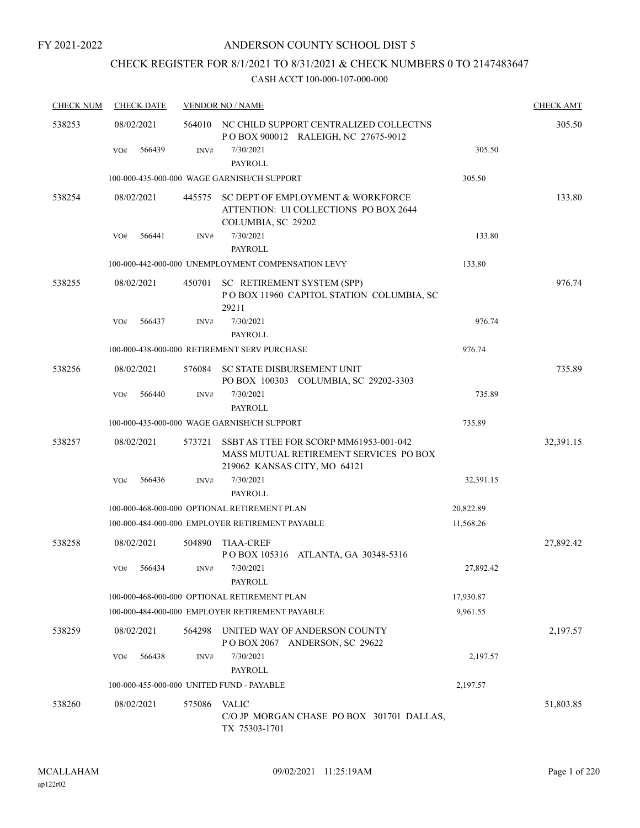## CHECK REGISTER FOR 8/1/2021 TO 8/31/2021 & CHECK NUMBERS 0 TO 2147483647

| <b>CHECK NUM</b> | <b>CHECK DATE</b>                         |        | <b>VENDOR NO / NAME</b>                                                                                          |           | <b>CHECK AMT</b> |
|------------------|-------------------------------------------|--------|------------------------------------------------------------------------------------------------------------------|-----------|------------------|
| 538253           | 08/02/2021                                | 564010 | NC CHILD SUPPORT CENTRALIZED COLLECTNS<br>POBOX 900012 RALEIGH, NC 27675-9012                                    |           | 305.50           |
|                  | 566439<br>VO#                             | INV#   | 7/30/2021<br><b>PAYROLL</b>                                                                                      | 305.50    |                  |
|                  |                                           |        | 100-000-435-000-000 WAGE GARNISH/CH SUPPORT                                                                      | 305.50    |                  |
| 538254           | 08/02/2021                                | 445575 | SC DEPT OF EMPLOYMENT & WORKFORCE<br>ATTENTION: UI COLLECTIONS PO BOX 2644<br>COLUMBIA, SC 29202                 |           | 133.80           |
|                  | 566441<br>VO#                             | INV#   | 7/30/2021<br><b>PAYROLL</b>                                                                                      | 133.80    |                  |
|                  |                                           |        | 100-000-442-000-000 UNEMPLOYMENT COMPENSATION LEVY                                                               | 133.80    |                  |
| 538255           | 08/02/2021                                | 450701 | SC RETIREMENT SYSTEM (SPP)<br>POBOX 11960 CAPITOL STATION COLUMBIA, SC<br>29211                                  |           | 976.74           |
|                  | VO#<br>566437                             | INV#   | 7/30/2021<br><b>PAYROLL</b>                                                                                      | 976.74    |                  |
|                  |                                           |        | 100-000-438-000-000 RETIREMENT SERV PURCHASE                                                                     | 976.74    |                  |
| 538256           | 08/02/2021                                | 576084 | <b>SC STATE DISBURSEMENT UNIT</b><br>PO BOX 100303 COLUMBIA, SC 29202-3303                                       |           | 735.89           |
|                  | 566440<br>VO#                             | INV#   | 7/30/2021<br><b>PAYROLL</b>                                                                                      | 735.89    |                  |
|                  |                                           |        | 100-000-435-000-000 WAGE GARNISH/CH SUPPORT                                                                      | 735.89    |                  |
| 538257           | 08/02/2021                                | 573721 | SSBT AS TTEE FOR SCORP MM61953-001-042<br>MASS MUTUAL RETIREMENT SERVICES PO BOX<br>219062 KANSAS CITY, MO 64121 |           | 32,391.15        |
|                  | 566436<br>VO#                             | INV#   | 7/30/2021<br><b>PAYROLL</b>                                                                                      | 32,391.15 |                  |
|                  |                                           |        | 100-000-468-000-000 OPTIONAL RETIREMENT PLAN                                                                     | 20,822.89 |                  |
|                  |                                           |        | 100-000-484-000-000 EMPLOYER RETIREMENT PAYABLE                                                                  | 11,568.26 |                  |
| 538258           | 08/02/2021                                | 504890 | <b>TIAA-CREF</b><br>POBOX 105316 ATLANTA, GA 30348-5316                                                          |           | 27,892.42        |
|                  | VO#<br>566434                             | INV#   | 7/30/2021<br>PAYROLL                                                                                             | 27,892.42 |                  |
|                  |                                           |        | 100-000-468-000-000 OPTIONAL RETIREMENT PLAN                                                                     | 17,930.87 |                  |
|                  |                                           |        | 100-000-484-000-000 EMPLOYER RETIREMENT PAYABLE                                                                  | 9,961.55  |                  |
| 538259           | 08/02/2021                                | 564298 | UNITED WAY OF ANDERSON COUNTY<br>POBOX 2067 ANDERSON, SC 29622                                                   |           | 2,197.57         |
|                  | 566438<br>VO#                             | INV#   | 7/30/2021<br>PAYROLL                                                                                             | 2,197.57  |                  |
|                  | 100-000-455-000-000 UNITED FUND - PAYABLE |        |                                                                                                                  | 2,197.57  |                  |
| 538260           | 08/02/2021                                | 575086 | <b>VALIC</b><br>C/O JP MORGAN CHASE PO BOX 301701 DALLAS,<br>TX 75303-1701                                       |           | 51,803.85        |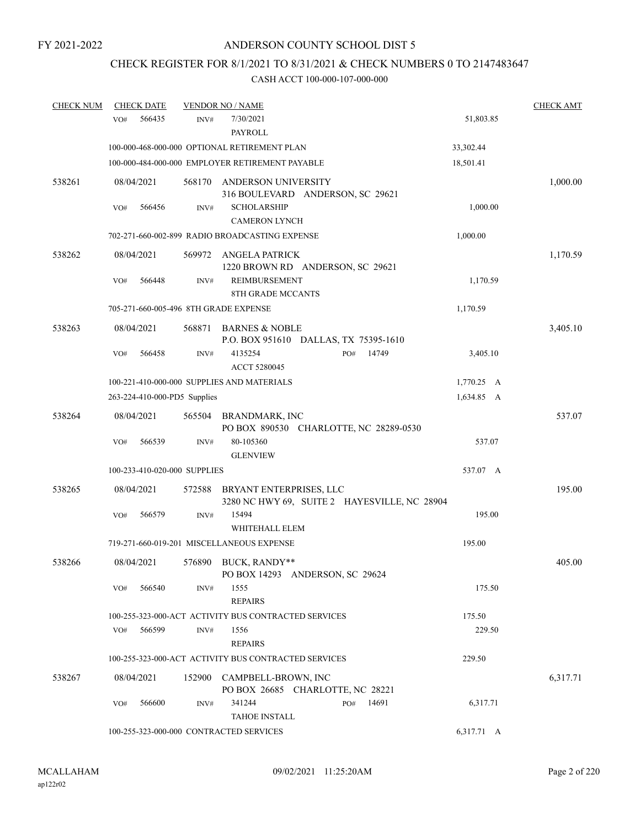## CHECK REGISTER FOR 8/1/2021 TO 8/31/2021 & CHECK NUMBERS 0 TO 2147483647

| <b>CHECK NUM</b> | <b>CHECK DATE</b>                     |        | <b>VENDOR NO / NAME</b>                              |                                              |            | <b>CHECK AMT</b> |
|------------------|---------------------------------------|--------|------------------------------------------------------|----------------------------------------------|------------|------------------|
|                  | 566435<br>VO#                         | INV#   | 7/30/2021<br>PAYROLL                                 |                                              | 51,803.85  |                  |
|                  |                                       |        | 100-000-468-000-000 OPTIONAL RETIREMENT PLAN         |                                              | 33,302.44  |                  |
|                  |                                       |        | 100-000-484-000-000 EMPLOYER RETIREMENT PAYABLE      |                                              | 18,501.41  |                  |
| 538261           | 08/04/2021                            | 568170 | ANDERSON UNIVERSITY                                  | 316 BOULEVARD ANDERSON, SC 29621             |            | 1,000.00         |
|                  | 566456<br>VO#                         | INV#   | <b>SCHOLARSHIP</b><br><b>CAMERON LYNCH</b>           |                                              | 1,000.00   |                  |
|                  |                                       |        | 702-271-660-002-899 RADIO BROADCASTING EXPENSE       |                                              | 1,000.00   |                  |
| 538262           | 08/04/2021                            | 569972 | ANGELA PATRICK                                       | 1220 BROWN RD ANDERSON, SC 29621             |            | 1,170.59         |
|                  | VO#<br>566448                         | INV#   | <b>REIMBURSEMENT</b><br>8TH GRADE MCCANTS            |                                              | 1,170.59   |                  |
|                  | 705-271-660-005-496 8TH GRADE EXPENSE |        |                                                      |                                              | 1,170.59   |                  |
| 538263           | 08/04/2021                            | 568871 | BARNES & NOBLE                                       | P.O. BOX 951610 DALLAS, TX 75395-1610        |            | 3,405.10         |
|                  | 566458<br>VO#                         | INV#   | 4135254<br><b>ACCT 5280045</b>                       | 14749<br>PO#                                 | 3,405.10   |                  |
|                  |                                       |        | 100-221-410-000-000 SUPPLIES AND MATERIALS           |                                              | 1,770.25 A |                  |
|                  | 263-224-410-000-PD5 Supplies          |        |                                                      |                                              | 1,634.85 A |                  |
| 538264           | 08/04/2021                            | 565504 | <b>BRANDMARK, INC</b>                                | PO BOX 890530 CHARLOTTE, NC 28289-0530       |            | 537.07           |
|                  | 566539<br>VO#                         | INV#   | 80-105360<br><b>GLENVIEW</b>                         |                                              | 537.07     |                  |
|                  | 100-233-410-020-000 SUPPLIES          |        |                                                      |                                              | 537.07 A   |                  |
| 538265           | 08/04/2021                            | 572588 | BRYANT ENTERPRISES, LLC                              | 3280 NC HWY 69, SUITE 2 HAYESVILLE, NC 28904 |            | 195.00           |
|                  | 566579<br>VO#                         | INV#   | 15494<br>WHITEHALL ELEM                              |                                              | 195.00     |                  |
|                  |                                       |        | 719-271-660-019-201 MISCELLANEOUS EXPENSE            |                                              | 195.00     |                  |
| 538266           | 08/04/2021                            | 576890 | BUCK, RANDY**                                        | PO BOX 14293 ANDERSON, SC 29624              |            | 405.00           |
|                  | 566540<br>VO#                         | INV#   | 1555<br><b>REPAIRS</b>                               |                                              | 175.50     |                  |
|                  |                                       |        | 100-255-323-000-ACT ACTIVITY BUS CONTRACTED SERVICES |                                              | 175.50     |                  |
|                  | 566599<br>VO#                         | INV#   | 1556<br><b>REPAIRS</b>                               |                                              | 229.50     |                  |
|                  |                                       |        | 100-255-323-000-ACT ACTIVITY BUS CONTRACTED SERVICES |                                              | 229.50     |                  |
| 538267           | 08/04/2021                            | 152900 | CAMPBELL-BROWN, INC                                  | PO BOX 26685 CHARLOTTE, NC 28221             |            | 6,317.71         |
|                  | VO#<br>566600                         | INV#   | 341244<br><b>TAHOE INSTALL</b>                       | 14691<br>PO#                                 | 6,317.71   |                  |
|                  |                                       |        | 100-255-323-000-000 CONTRACTED SERVICES              |                                              | 6,317.71 A |                  |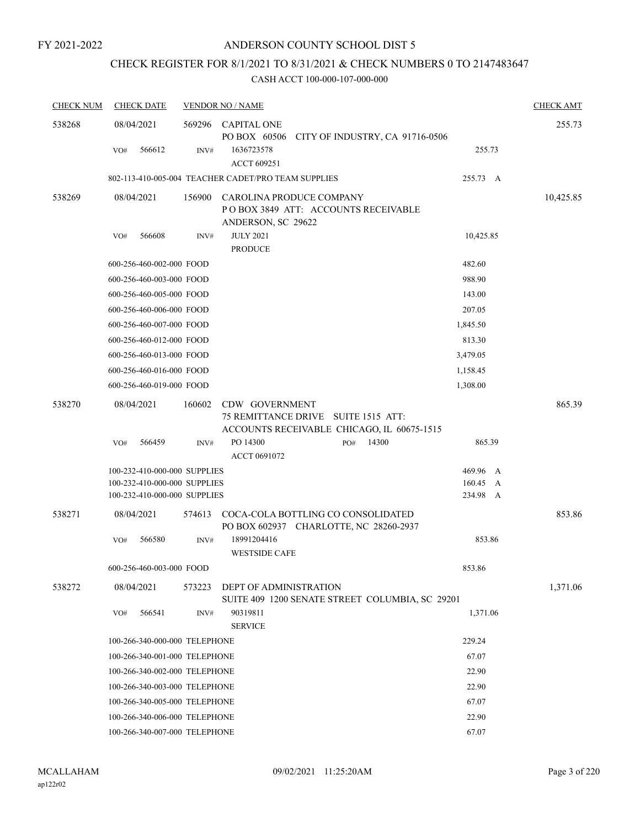## CHECK REGISTER FOR 8/1/2021 TO 8/31/2021 & CHECK NUMBERS 0 TO 2147483647

| <b>CHECK DATE</b> |               |                                                                                                                                                                                                                                                                                              |                                                                                                                                                                                                                                                                                                                                                                                                                                                                                                                                                                                            | <b>CHECK AMT</b>                                                      |
|-------------------|---------------|----------------------------------------------------------------------------------------------------------------------------------------------------------------------------------------------------------------------------------------------------------------------------------------------|--------------------------------------------------------------------------------------------------------------------------------------------------------------------------------------------------------------------------------------------------------------------------------------------------------------------------------------------------------------------------------------------------------------------------------------------------------------------------------------------------------------------------------------------------------------------------------------------|-----------------------------------------------------------------------|
| 08/04/2021        |               |                                                                                                                                                                                                                                                                                              |                                                                                                                                                                                                                                                                                                                                                                                                                                                                                                                                                                                            | 255.73                                                                |
| 566612<br>VO#     | INV#          | 1636723578<br><b>ACCT 609251</b>                                                                                                                                                                                                                                                             | 255.73                                                                                                                                                                                                                                                                                                                                                                                                                                                                                                                                                                                     |                                                                       |
|                   |               |                                                                                                                                                                                                                                                                                              | 255.73 A                                                                                                                                                                                                                                                                                                                                                                                                                                                                                                                                                                                   |                                                                       |
| 08/04/2021        | 156900        | CAROLINA PRODUCE COMPANY<br>POBOX 3849 ATT: ACCOUNTS RECEIVABLE                                                                                                                                                                                                                              |                                                                                                                                                                                                                                                                                                                                                                                                                                                                                                                                                                                            | 10,425.85                                                             |
| 566608<br>VO#     | INV#          | <b>JULY 2021</b><br><b>PRODUCE</b>                                                                                                                                                                                                                                                           | 10,425.85                                                                                                                                                                                                                                                                                                                                                                                                                                                                                                                                                                                  |                                                                       |
|                   |               |                                                                                                                                                                                                                                                                                              | 482.60                                                                                                                                                                                                                                                                                                                                                                                                                                                                                                                                                                                     |                                                                       |
|                   |               |                                                                                                                                                                                                                                                                                              | 988.90                                                                                                                                                                                                                                                                                                                                                                                                                                                                                                                                                                                     |                                                                       |
|                   |               |                                                                                                                                                                                                                                                                                              | 143.00                                                                                                                                                                                                                                                                                                                                                                                                                                                                                                                                                                                     |                                                                       |
|                   |               |                                                                                                                                                                                                                                                                                              | 207.05                                                                                                                                                                                                                                                                                                                                                                                                                                                                                                                                                                                     |                                                                       |
|                   |               |                                                                                                                                                                                                                                                                                              | 1,845.50                                                                                                                                                                                                                                                                                                                                                                                                                                                                                                                                                                                   |                                                                       |
|                   |               |                                                                                                                                                                                                                                                                                              | 813.30                                                                                                                                                                                                                                                                                                                                                                                                                                                                                                                                                                                     |                                                                       |
|                   |               |                                                                                                                                                                                                                                                                                              | 3,479.05                                                                                                                                                                                                                                                                                                                                                                                                                                                                                                                                                                                   |                                                                       |
|                   |               |                                                                                                                                                                                                                                                                                              | 1,158.45                                                                                                                                                                                                                                                                                                                                                                                                                                                                                                                                                                                   |                                                                       |
|                   |               |                                                                                                                                                                                                                                                                                              | 1,308.00                                                                                                                                                                                                                                                                                                                                                                                                                                                                                                                                                                                   |                                                                       |
| 08/04/2021        | 160602        | CDW GOVERNMENT<br>75 REMITTANCE DRIVE SUITE 1515 ATT:                                                                                                                                                                                                                                        |                                                                                                                                                                                                                                                                                                                                                                                                                                                                                                                                                                                            | 865.39                                                                |
|                   |               | ACCOUNTS RECEIVABLE CHICAGO, IL 60675-1515                                                                                                                                                                                                                                                   |                                                                                                                                                                                                                                                                                                                                                                                                                                                                                                                                                                                            |                                                                       |
|                   |               | ACCT 0691072                                                                                                                                                                                                                                                                                 |                                                                                                                                                                                                                                                                                                                                                                                                                                                                                                                                                                                            |                                                                       |
|                   |               |                                                                                                                                                                                                                                                                                              | 469.96 A                                                                                                                                                                                                                                                                                                                                                                                                                                                                                                                                                                                   |                                                                       |
|                   |               |                                                                                                                                                                                                                                                                                              | 160.45 A                                                                                                                                                                                                                                                                                                                                                                                                                                                                                                                                                                                   |                                                                       |
|                   |               |                                                                                                                                                                                                                                                                                              |                                                                                                                                                                                                                                                                                                                                                                                                                                                                                                                                                                                            |                                                                       |
| 08/04/2021        |               | PO BOX 602937 CHARLOTTE, NC 28260-2937                                                                                                                                                                                                                                                       |                                                                                                                                                                                                                                                                                                                                                                                                                                                                                                                                                                                            | 853.86                                                                |
| VO#<br>566580     | INV#          | 18991204416                                                                                                                                                                                                                                                                                  | 853.86                                                                                                                                                                                                                                                                                                                                                                                                                                                                                                                                                                                     |                                                                       |
|                   |               | <b>WESTSIDE CAFE</b>                                                                                                                                                                                                                                                                         |                                                                                                                                                                                                                                                                                                                                                                                                                                                                                                                                                                                            |                                                                       |
|                   |               |                                                                                                                                                                                                                                                                                              | 853.86                                                                                                                                                                                                                                                                                                                                                                                                                                                                                                                                                                                     |                                                                       |
| 08/04/2021        | 573223        | DEPT OF ADMINISTRATION                                                                                                                                                                                                                                                                       |                                                                                                                                                                                                                                                                                                                                                                                                                                                                                                                                                                                            | 1,371.06                                                              |
| 566541<br>VO#     | INV#          | 90319811<br><b>SERVICE</b>                                                                                                                                                                                                                                                                   | 1,371.06                                                                                                                                                                                                                                                                                                                                                                                                                                                                                                                                                                                   |                                                                       |
|                   |               |                                                                                                                                                                                                                                                                                              | 229.24                                                                                                                                                                                                                                                                                                                                                                                                                                                                                                                                                                                     |                                                                       |
|                   |               |                                                                                                                                                                                                                                                                                              | 67.07                                                                                                                                                                                                                                                                                                                                                                                                                                                                                                                                                                                      |                                                                       |
|                   |               |                                                                                                                                                                                                                                                                                              | 22.90                                                                                                                                                                                                                                                                                                                                                                                                                                                                                                                                                                                      |                                                                       |
|                   |               |                                                                                                                                                                                                                                                                                              | 22.90                                                                                                                                                                                                                                                                                                                                                                                                                                                                                                                                                                                      |                                                                       |
|                   |               |                                                                                                                                                                                                                                                                                              | 67.07                                                                                                                                                                                                                                                                                                                                                                                                                                                                                                                                                                                      |                                                                       |
|                   |               |                                                                                                                                                                                                                                                                                              | 22.90                                                                                                                                                                                                                                                                                                                                                                                                                                                                                                                                                                                      |                                                                       |
|                   |               |                                                                                                                                                                                                                                                                                              | 67.07                                                                                                                                                                                                                                                                                                                                                                                                                                                                                                                                                                                      |                                                                       |
|                   | 566459<br>VO# | 600-256-460-002-000 FOOD<br>600-256-460-003-000 FOOD<br>600-256-460-005-000 FOOD<br>600-256-460-006-000 FOOD<br>600-256-460-007-000 FOOD<br>600-256-460-012-000 FOOD<br>600-256-460-013-000 FOOD<br>600-256-460-016-000 FOOD<br>600-256-460-019-000 FOOD<br>INV#<br>600-256-460-003-000 FOOD | <b>VENDOR NO / NAME</b><br>569296 CAPITAL ONE<br>PO BOX 60506 CITY OF INDUSTRY, CA 91716-0506<br>802-113-410-005-004 TEACHER CADET/PRO TEAM SUPPLIES<br>ANDERSON, SC 29622<br>PO 14300<br>14300<br>PO#<br>100-232-410-000-000 SUPPLIES<br>100-232-410-000-000 SUPPLIES<br>100-232-410-000-000 SUPPLIES<br>574613 COCA-COLA BOTTLING CO CONSOLIDATED<br>100-266-340-000-000 TELEPHONE<br>100-266-340-001-000 TELEPHONE<br>100-266-340-002-000 TELEPHONE<br>100-266-340-003-000 TELEPHONE<br>100-266-340-005-000 TELEPHONE<br>100-266-340-006-000 TELEPHONE<br>100-266-340-007-000 TELEPHONE | 865.39<br>234.98 A<br>SUITE 409 1200 SENATE STREET COLUMBIA, SC 29201 |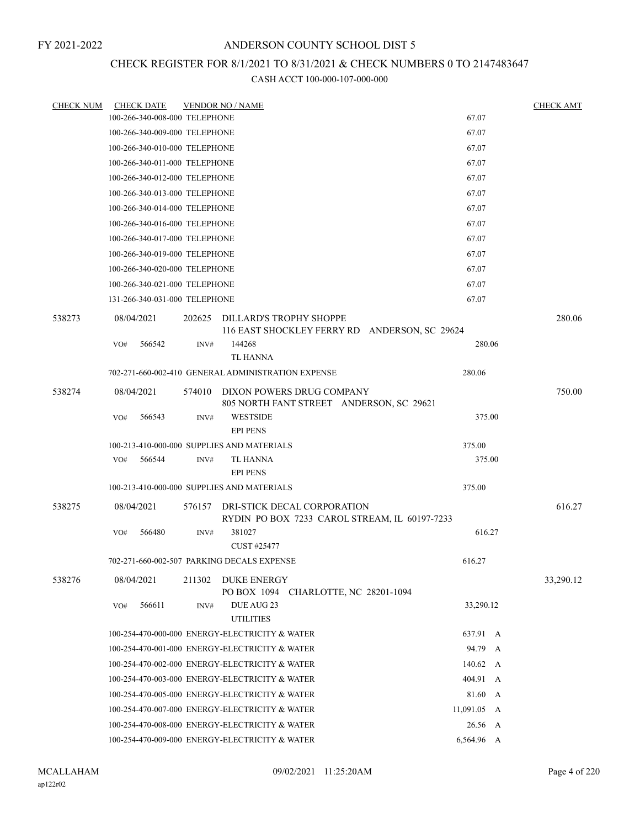## CHECK REGISTER FOR 8/1/2021 TO 8/31/2021 & CHECK NUMBERS 0 TO 2147483647

| <b>CHECK NUM</b> |     | <b>CHECK DATE</b>             |        | <b>VENDOR NO / NAME</b>                                                      |  |             | <b>CHECK AMT</b> |
|------------------|-----|-------------------------------|--------|------------------------------------------------------------------------------|--|-------------|------------------|
|                  |     | 100-266-340-008-000 TELEPHONE |        |                                                                              |  | 67.07       |                  |
|                  |     | 100-266-340-009-000 TELEPHONE |        |                                                                              |  | 67.07       |                  |
|                  |     | 100-266-340-010-000 TELEPHONE |        |                                                                              |  | 67.07       |                  |
|                  |     | 100-266-340-011-000 TELEPHONE |        |                                                                              |  | 67.07       |                  |
|                  |     | 100-266-340-012-000 TELEPHONE |        |                                                                              |  | 67.07       |                  |
|                  |     | 100-266-340-013-000 TELEPHONE |        |                                                                              |  | 67.07       |                  |
|                  |     | 100-266-340-014-000 TELEPHONE |        |                                                                              |  | 67.07       |                  |
|                  |     | 100-266-340-016-000 TELEPHONE |        |                                                                              |  | 67.07       |                  |
|                  |     | 100-266-340-017-000 TELEPHONE |        |                                                                              |  | 67.07       |                  |
|                  |     | 100-266-340-019-000 TELEPHONE |        |                                                                              |  | 67.07       |                  |
|                  |     | 100-266-340-020-000 TELEPHONE |        |                                                                              |  | 67.07       |                  |
|                  |     | 100-266-340-021-000 TELEPHONE |        |                                                                              |  | 67.07       |                  |
|                  |     | 131-266-340-031-000 TELEPHONE |        |                                                                              |  | 67.07       |                  |
| 538273           |     | 08/04/2021                    | 202625 | DILLARD'S TROPHY SHOPPE<br>116 EAST SHOCKLEY FERRY RD ANDERSON, SC 29624     |  |             | 280.06           |
|                  | VO# | 566542                        | INV#   | 144268<br><b>TL HANNA</b>                                                    |  | 280.06      |                  |
|                  |     |                               |        | 702-271-660-002-410 GENERAL ADMINISTRATION EXPENSE                           |  | 280.06      |                  |
|                  |     |                               |        |                                                                              |  |             |                  |
| 538274           |     | 08/04/2021                    |        | 574010 DIXON POWERS DRUG COMPANY<br>805 NORTH FANT STREET ANDERSON, SC 29621 |  |             | 750.00           |
|                  | VO# | 566543                        | INV#   | <b>WESTSIDE</b><br><b>EPI PENS</b>                                           |  | 375.00      |                  |
|                  |     |                               |        | 100-213-410-000-000 SUPPLIES AND MATERIALS                                   |  | 375.00      |                  |
|                  | VO# | 566544                        | INV#   | TL HANNA<br><b>EPI PENS</b>                                                  |  | 375.00      |                  |
|                  |     |                               |        | 100-213-410-000-000 SUPPLIES AND MATERIALS                                   |  | 375.00      |                  |
| 538275           |     | 08/04/2021                    | 576157 | DRI-STICK DECAL CORPORATION<br>RYDIN PO BOX 7233 CAROL STREAM, IL 60197-7233 |  |             | 616.27           |
|                  | VO# | 566480                        | INV#   | 381027<br>CUST #25477                                                        |  | 616.27      |                  |
|                  |     |                               |        | 702-271-660-002-507 PARKING DECALS EXPENSE                                   |  | 616.27      |                  |
|                  |     |                               |        |                                                                              |  |             |                  |
| 538276           |     | 08/04/2021                    | 211302 | DUKE ENERGY<br>PO BOX 1094 CHARLOTTE, NC 28201-1094                          |  |             | 33,290.12        |
|                  | VO# | 566611                        | INV#   | DUE AUG 23<br><b>UTILITIES</b>                                               |  | 33,290.12   |                  |
|                  |     |                               |        | 100-254-470-000-000 ENERGY-ELECTRICITY & WATER                               |  | 637.91 A    |                  |
|                  |     |                               |        | 100-254-470-001-000 ENERGY-ELECTRICITY & WATER                               |  | 94.79 A     |                  |
|                  |     |                               |        | 100-254-470-002-000 ENERGY-ELECTRICITY & WATER                               |  | 140.62 A    |                  |
|                  |     |                               |        | 100-254-470-003-000 ENERGY-ELECTRICITY & WATER                               |  | 404.91 A    |                  |
|                  |     |                               |        | 100-254-470-005-000 ENERGY-ELECTRICITY & WATER                               |  | 81.60 A     |                  |
|                  |     |                               |        | 100-254-470-007-000 ENERGY-ELECTRICITY & WATER                               |  | 11,091.05 A |                  |
|                  |     |                               |        | 100-254-470-008-000 ENERGY-ELECTRICITY & WATER                               |  | 26.56 A     |                  |
|                  |     |                               |        | 100-254-470-009-000 ENERGY-ELECTRICITY & WATER                               |  | 6,564.96 A  |                  |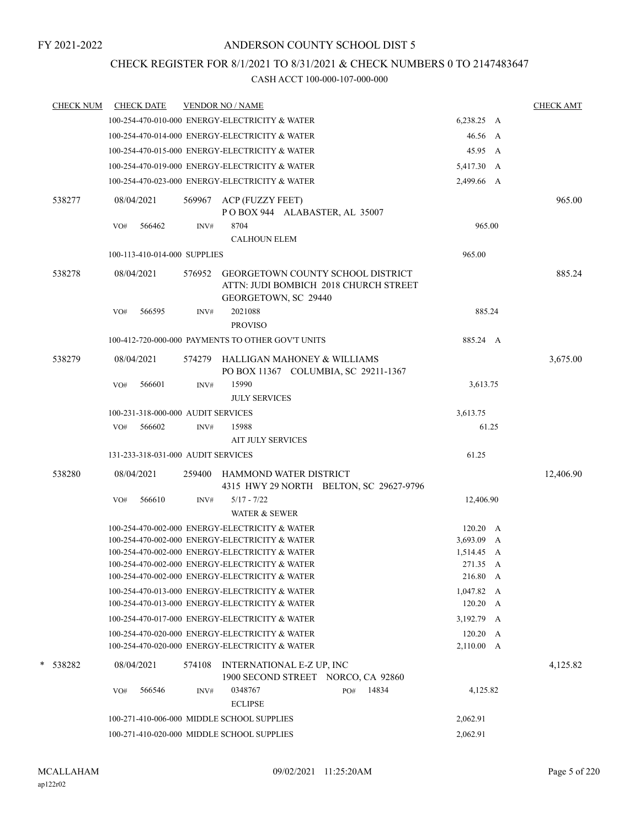## CHECK REGISTER FOR 8/1/2021 TO 8/31/2021 & CHECK NUMBERS 0 TO 2147483647

| <b>CHECK NUM</b> | <b>CHECK DATE</b>                  |        |        | <b>VENDOR NO / NAME</b>                                                                                   |     |       |                               | <b>CHECK AMT</b> |
|------------------|------------------------------------|--------|--------|-----------------------------------------------------------------------------------------------------------|-----|-------|-------------------------------|------------------|
|                  |                                    |        |        | 100-254-470-010-000 ENERGY-ELECTRICITY & WATER                                                            |     |       | 6,238.25 A                    |                  |
|                  |                                    |        |        | 100-254-470-014-000 ENERGY-ELECTRICITY & WATER                                                            |     |       | 46.56 A                       |                  |
|                  |                                    |        |        | 100-254-470-015-000 ENERGY-ELECTRICITY & WATER                                                            |     |       | 45.95 A                       |                  |
|                  |                                    |        |        | 100-254-470-019-000 ENERGY-ELECTRICITY & WATER                                                            |     |       | 5,417.30 A                    |                  |
|                  |                                    |        |        | 100-254-470-023-000 ENERGY-ELECTRICITY & WATER                                                            |     |       | 2,499.66 A                    |                  |
| 538277           | 08/04/2021                         |        | 569967 | ACP (FUZZY FEET)<br>POBOX 944 ALABASTER, AL 35007                                                         |     |       |                               | 965.00           |
|                  | VO#                                | 566462 | INV#   | 8704<br><b>CALHOUN ELEM</b>                                                                               |     |       | 965.00                        |                  |
|                  | 100-113-410-014-000 SUPPLIES       |        |        |                                                                                                           |     |       | 965.00                        |                  |
| 538278           | 08/04/2021                         |        | 576952 | <b>GEORGETOWN COUNTY SCHOOL DISTRICT</b><br>ATTN: JUDI BOMBICH 2018 CHURCH STREET<br>GEORGETOWN, SC 29440 |     |       |                               | 885.24           |
|                  | VO#                                | 566595 | INV#   | 2021088<br><b>PROVISO</b>                                                                                 |     |       | 885.24                        |                  |
|                  |                                    |        |        | 100-412-720-000-000 PAYMENTS TO OTHER GOV'T UNITS                                                         |     |       | 885.24 A                      |                  |
| 538279           | 08/04/2021                         |        | 574279 | HALLIGAN MAHONEY & WILLIAMS<br>PO BOX 11367 COLUMBIA, SC 29211-1367                                       |     |       |                               | 3,675.00         |
|                  | VO#                                | 566601 | INV#   | 15990<br><b>JULY SERVICES</b>                                                                             |     |       | 3,613.75                      |                  |
|                  | 100-231-318-000-000 AUDIT SERVICES |        |        |                                                                                                           |     |       | 3,613.75                      |                  |
|                  | VO#                                | 566602 | INV#   | 15988<br><b>AIT JULY SERVICES</b>                                                                         |     |       | 61.25                         |                  |
|                  | 131-233-318-031-000 AUDIT SERVICES |        |        |                                                                                                           |     |       | 61.25                         |                  |
| 538280           | 08/04/2021                         |        | 259400 | HAMMOND WATER DISTRICT<br>4315 HWY 29 NORTH BELTON, SC 29627-9796                                         |     |       |                               | 12,406.90        |
|                  | VO#                                | 566610 | INV#   | $5/17 - 7/22$<br><b>WATER &amp; SEWER</b>                                                                 |     |       | 12,406.90                     |                  |
|                  |                                    |        |        | 100-254-470-002-000 ENERGY-ELECTRICITY & WATER                                                            |     |       | $120.20\quad A$               |                  |
|                  |                                    |        |        | 100-254-470-002-000 ENERGY-ELECTRICITY & WATER                                                            |     |       | 3,693.09 A                    |                  |
|                  |                                    |        |        | 100-254-470-002-000 ENERGY-ELECTRICITY & WATER<br>100-254-470-002-000 ENERGY-ELECTRICITY & WATER          |     |       | 1,514.45 A<br>271.35 A        |                  |
|                  |                                    |        |        | 100-254-470-002-000 ENERGY-ELECTRICITY & WATER                                                            |     |       | 216.80 A                      |                  |
|                  |                                    |        |        | 100-254-470-013-000 ENERGY-ELECTRICITY & WATER                                                            |     |       | $1,047.82 \quad A$            |                  |
|                  |                                    |        |        | 100-254-470-013-000 ENERGY-ELECTRICITY & WATER                                                            |     |       | $120.20\quad A$               |                  |
|                  |                                    |        |        | 100-254-470-017-000 ENERGY-ELECTRICITY & WATER                                                            |     |       | 3,192.79 A                    |                  |
|                  |                                    |        |        | 100-254-470-020-000 ENERGY-ELECTRICITY & WATER<br>100-254-470-020-000 ENERGY-ELECTRICITY & WATER          |     |       | $120.20\quad A$<br>2,110.00 A |                  |
| *<br>538282      | 08/04/2021                         |        | 574108 | INTERNATIONAL E-Z UP, INC<br>1900 SECOND STREET NORCO, CA 92860                                           |     |       |                               | 4,125.82         |
|                  | VO#                                | 566546 | INV#   | 0348767<br><b>ECLIPSE</b>                                                                                 | PO# | 14834 | 4,125.82                      |                  |
|                  |                                    |        |        | 100-271-410-006-000 MIDDLE SCHOOL SUPPLIES                                                                |     |       | 2,062.91                      |                  |
|                  |                                    |        |        | 100-271-410-020-000 MIDDLE SCHOOL SUPPLIES                                                                |     |       | 2,062.91                      |                  |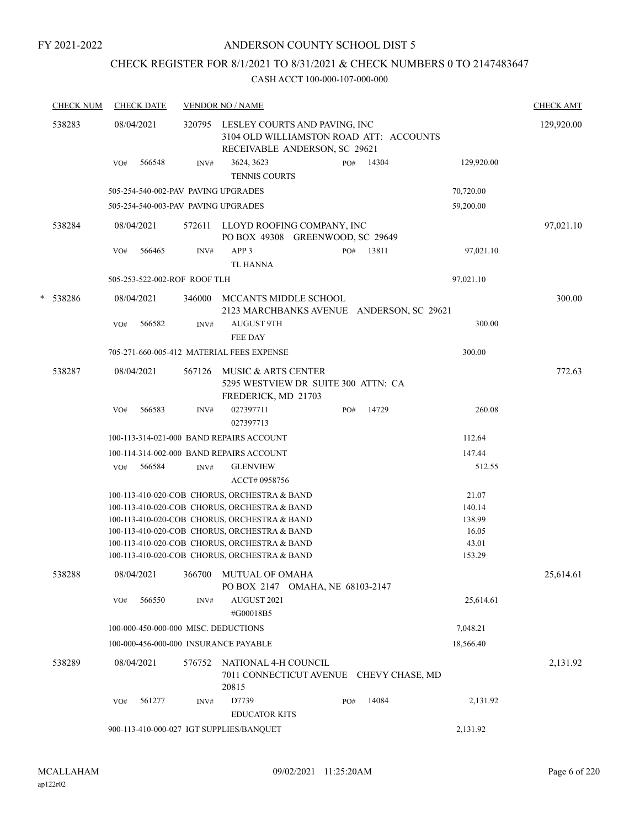## ANDERSON COUNTY SCHOOL DIST 5

## CHECK REGISTER FOR 8/1/2021 TO 8/31/2021 & CHECK NUMBERS 0 TO 2147483647

|   | <b>CHECK NUM</b> |                   | <b>CHECK DATE</b> |                              | <b>VENDOR NO / NAME</b>                                                                                                                                                                                                                                                                      |     |       |                                                       | <b>CHECK AMT</b> |
|---|------------------|-------------------|-------------------|------------------------------|----------------------------------------------------------------------------------------------------------------------------------------------------------------------------------------------------------------------------------------------------------------------------------------------|-----|-------|-------------------------------------------------------|------------------|
|   | 538283           | 08/04/2021        |                   | 320795                       | LESLEY COURTS AND PAVING, INC<br>3104 OLD WILLIAMSTON ROAD ATT: ACCOUNTS<br>RECEIVABLE ANDERSON, SC 29621                                                                                                                                                                                    |     |       |                                                       | 129,920.00       |
|   |                  | VO#               | 566548            | INV#                         | 3624, 3623<br><b>TENNIS COURTS</b>                                                                                                                                                                                                                                                           | PO# | 14304 | 129,920.00                                            |                  |
|   |                  |                   |                   |                              | 505-254-540-002-PAV PAVING UPGRADES                                                                                                                                                                                                                                                          |     |       | 70,720.00                                             |                  |
|   |                  |                   |                   |                              | 505-254-540-003-PAV PAVING UPGRADES                                                                                                                                                                                                                                                          |     |       | 59,200.00                                             |                  |
|   | 538284           | 08/04/2021        |                   | 572611                       | LLOYD ROOFING COMPANY, INC<br>PO BOX 49308 GREENWOOD, SC 29649                                                                                                                                                                                                                               |     |       |                                                       | 97,021.10        |
|   |                  | VO#               | 566465            | INV#                         | APP <sub>3</sub><br><b>TL HANNA</b>                                                                                                                                                                                                                                                          | PO# | 13811 | 97,021.10                                             |                  |
|   |                  |                   |                   | 505-253-522-002-ROF ROOF TLH |                                                                                                                                                                                                                                                                                              |     |       | 97,021.10                                             |                  |
| * | 538286           | 08/04/2021        |                   | 346000                       | MCCANTS MIDDLE SCHOOL<br>2123 MARCHBANKS AVENUE ANDERSON, SC 29621                                                                                                                                                                                                                           |     |       |                                                       | 300.00           |
|   |                  | VO#               | 566582            | INV#                         | <b>AUGUST 9TH</b><br>FEE DAY                                                                                                                                                                                                                                                                 |     |       | 300.00                                                |                  |
|   |                  |                   |                   |                              | 705-271-660-005-412 MATERIAL FEES EXPENSE                                                                                                                                                                                                                                                    |     |       | 300.00                                                |                  |
|   | 538287           | 08/04/2021        |                   | 567126                       | MUSIC & ARTS CENTER<br>5295 WESTVIEW DR SUITE 300 ATTN: CA<br>FREDERICK, MD 21703                                                                                                                                                                                                            |     |       |                                                       | 772.63           |
|   |                  | VO#               | 566583            | INV#                         | 027397711<br>027397713                                                                                                                                                                                                                                                                       | PO# | 14729 | 260.08                                                |                  |
|   |                  |                   |                   |                              | 100-113-314-021-000 BAND REPAIRS ACCOUNT                                                                                                                                                                                                                                                     |     |       | 112.64                                                |                  |
|   |                  |                   |                   |                              | 100-114-314-002-000 BAND REPAIRS ACCOUNT                                                                                                                                                                                                                                                     |     |       | 147.44                                                |                  |
|   |                  | VO#               | 566584            | INV#                         | <b>GLENVIEW</b><br>ACCT# 0958756                                                                                                                                                                                                                                                             |     |       | 512.55                                                |                  |
|   |                  |                   |                   |                              | 100-113-410-020-COB CHORUS, ORCHESTRA & BAND<br>100-113-410-020-COB CHORUS, ORCHESTRA & BAND<br>100-113-410-020-COB CHORUS, ORCHESTRA & BAND<br>100-113-410-020-COB CHORUS, ORCHESTRA & BAND<br>100-113-410-020-COB CHORUS, ORCHESTRA & BAND<br>100-113-410-020-COB CHORUS, ORCHESTRA & BAND |     |       | 21.07<br>140.14<br>138.99<br>16.05<br>43.01<br>153.29 |                  |
|   | 538288           | 08/04/2021<br>VO# | 566550            | 366700<br>INV#               | MUTUAL OF OMAHA<br>PO BOX 2147 OMAHA, NE 68103-2147<br>AUGUST 2021                                                                                                                                                                                                                           |     |       | 25,614.61                                             | 25,614.61        |
|   |                  |                   |                   |                              | #G00018B5                                                                                                                                                                                                                                                                                    |     |       |                                                       |                  |
|   |                  |                   |                   |                              | 100-000-450-000-000 MISC. DEDUCTIONS                                                                                                                                                                                                                                                         |     |       | 7,048.21                                              |                  |
|   |                  |                   |                   |                              | 100-000-456-000-000 INSURANCE PAYABLE                                                                                                                                                                                                                                                        |     |       | 18,566.40                                             |                  |
|   | 538289           | 08/04/2021        |                   | 576752                       | NATIONAL 4-H COUNCIL<br>7011 CONNECTICUT AVENUE CHEVY CHASE, MD<br>20815                                                                                                                                                                                                                     |     |       |                                                       | 2,131.92         |
|   |                  | VO#               | 561277            | INV#                         | D7739<br><b>EDUCATOR KITS</b>                                                                                                                                                                                                                                                                | PO# | 14084 | 2,131.92                                              |                  |
|   |                  |                   |                   |                              | 900-113-410-000-027 IGT SUPPLIES/BANQUET                                                                                                                                                                                                                                                     |     |       | 2,131.92                                              |                  |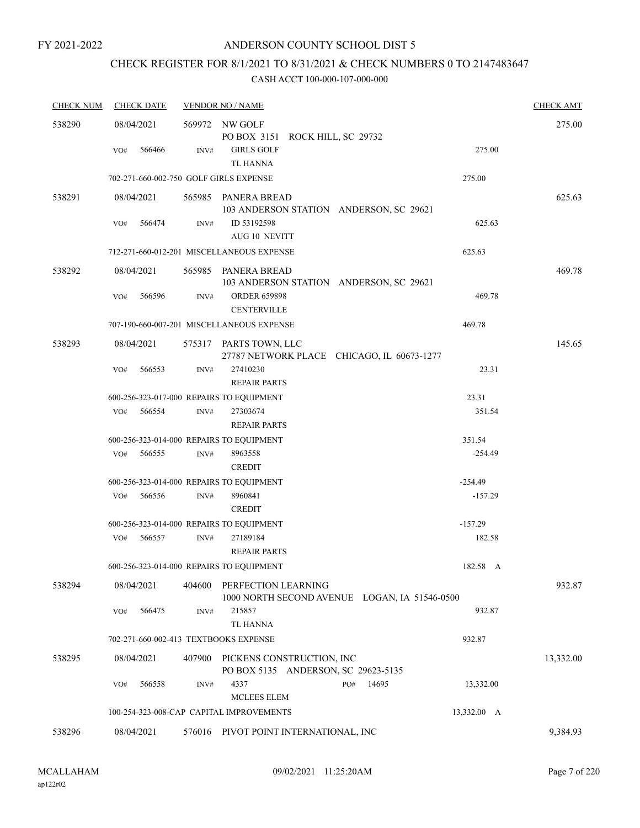## ANDERSON COUNTY SCHOOL DIST 5

# CHECK REGISTER FOR 8/1/2021 TO 8/31/2021 & CHECK NUMBERS 0 TO 2147483647

| <b>CHECK NUM</b> | <b>CHECK DATE</b>                        |        | <b>VENDOR NO / NAME</b>                                              |             | <b>CHECK AMT</b> |
|------------------|------------------------------------------|--------|----------------------------------------------------------------------|-------------|------------------|
| 538290           | 08/04/2021                               |        | 569972 NW GOLF<br>PO BOX 3151 ROCK HILL, SC 29732                    |             | 275.00           |
|                  | 566466<br>VO#                            | INV#   | <b>GIRLS GOLF</b><br>TL HANNA                                        | 275.00      |                  |
|                  | 702-271-660-002-750 GOLF GIRLS EXPENSE   |        |                                                                      | 275.00      |                  |
| 538291           | 08/04/2021                               |        | 565985 PANERA BREAD<br>103 ANDERSON STATION ANDERSON, SC 29621       |             | 625.63           |
|                  | 566474<br>VO#                            | INV#   | ID 53192598<br><b>AUG 10 NEVITT</b>                                  | 625.63      |                  |
|                  |                                          |        | 712-271-660-012-201 MISCELLANEOUS EXPENSE                            | 625.63      |                  |
| 538292           | 08/04/2021                               |        | 565985 PANERA BREAD<br>103 ANDERSON STATION ANDERSON, SC 29621       |             | 469.78           |
|                  | VO#<br>566596                            | INV#   | <b>ORDER 659898</b><br><b>CENTERVILLE</b>                            | 469.78      |                  |
|                  |                                          |        | 707-190-660-007-201 MISCELLANEOUS EXPENSE                            | 469.78      |                  |
| 538293           | 08/04/2021                               |        | 575317 PARTS TOWN, LLC<br>27787 NETWORK PLACE CHICAGO, IL 60673-1277 |             | 145.65           |
|                  | 566553<br>VO#                            | INV#   | 27410230<br><b>REPAIR PARTS</b>                                      | 23.31       |                  |
|                  | 600-256-323-017-000 REPAIRS TO EQUIPMENT |        |                                                                      | 23.31       |                  |
|                  | 566554<br>VO#                            | INV#   | 27303674<br><b>REPAIR PARTS</b>                                      | 351.54      |                  |
|                  | 600-256-323-014-000 REPAIRS TO EQUIPMENT |        |                                                                      | 351.54      |                  |
|                  | 566555<br>VO#                            | INV#   | 8963558<br><b>CREDIT</b>                                             | $-254.49$   |                  |
|                  | 600-256-323-014-000 REPAIRS TO EQUIPMENT |        |                                                                      | $-254.49$   |                  |
|                  | 566556<br>VO#                            | INV#   | 8960841<br><b>CREDIT</b>                                             | $-157.29$   |                  |
|                  | 600-256-323-014-000 REPAIRS TO EQUIPMENT |        |                                                                      | $-157.29$   |                  |
|                  | 566557<br>VO#                            | INV#   | 27189184<br><b>REPAIR PARTS</b>                                      | 182.58      |                  |
|                  | 600-256-323-014-000 REPAIRS TO EQUIPMENT |        |                                                                      | 182.58 A    |                  |
| 538294           | 08/04/2021                               | 404600 | PERFECTION LEARNING<br>1000 NORTH SECOND AVENUE LOGAN, IA 51546-0500 |             | 932.87           |
|                  | 566475<br>VO#                            | INV#   | 215857<br><b>TL HANNA</b>                                            | 932.87      |                  |
|                  | 702-271-660-002-413 TEXTBOOKS EXPENSE    |        |                                                                      | 932.87      |                  |
| 538295           | 08/04/2021                               | 407900 | PICKENS CONSTRUCTION, INC<br>PO BOX 5135 ANDERSON, SC 29623-5135     |             | 13,332.00        |
|                  | 566558<br>VO#                            | INV#   | 4337<br>14695<br>PO#<br><b>MCLEES ELEM</b>                           | 13,332.00   |                  |
|                  |                                          |        | 100-254-323-008-CAP CAPITAL IMPROVEMENTS                             | 13,332.00 A |                  |
| 538296           | 08/04/2021                               |        | 576016 PIVOT POINT INTERNATIONAL, INC                                |             | 9,384.93         |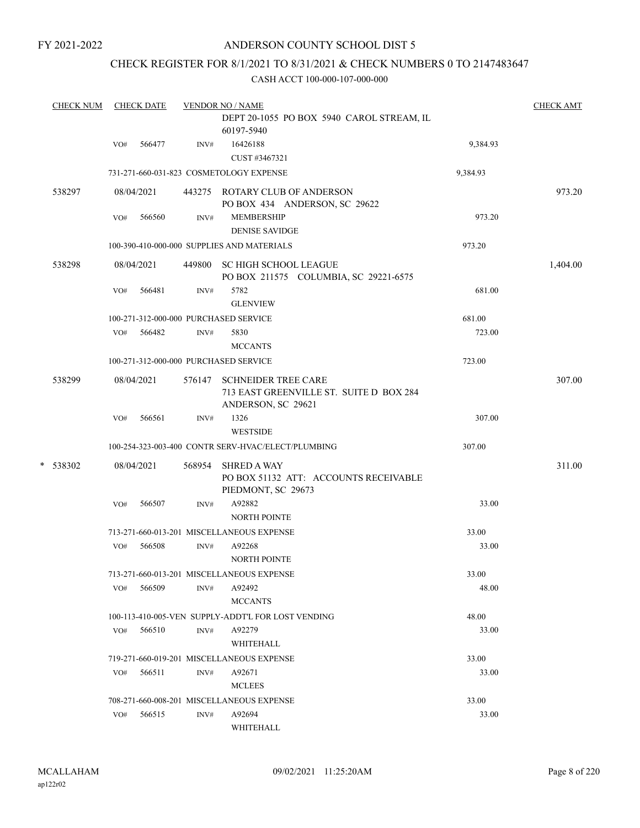## ANDERSON COUNTY SCHOOL DIST 5

## CHECK REGISTER FOR 8/1/2021 TO 8/31/2021 & CHECK NUMBERS 0 TO 2147483647

|   | <b>CHECK NUM</b> |     | <b>CHECK DATE</b> |        | <b>VENDOR NO / NAME</b>                                                                     |          | <b>CHECK AMT</b> |
|---|------------------|-----|-------------------|--------|---------------------------------------------------------------------------------------------|----------|------------------|
|   |                  |     |                   |        | DEPT 20-1055 PO BOX 5940 CAROL STREAM, IL<br>60197-5940                                     |          |                  |
|   |                  | VO# | 566477            | INV#   | 16426188<br>CUST #3467321                                                                   | 9,384.93 |                  |
|   |                  |     |                   |        | 731-271-660-031-823 COSMETOLOGY EXPENSE                                                     | 9,384.93 |                  |
|   | 538297           |     | 08/04/2021        |        | 443275 ROTARY CLUB OF ANDERSON<br>PO BOX 434 ANDERSON, SC 29622                             |          | 973.20           |
|   |                  | VO# | 566560            | INV#   | <b>MEMBERSHIP</b><br><b>DENISE SAVIDGE</b>                                                  | 973.20   |                  |
|   |                  |     |                   |        | 100-390-410-000-000 SUPPLIES AND MATERIALS                                                  | 973.20   |                  |
|   | 538298           |     | 08/04/2021        |        | 449800 SC HIGH SCHOOL LEAGUE<br>PO BOX 211575 COLUMBIA, SC 29221-6575                       |          | 1,404.00         |
|   |                  | VO# | 566481            | INV#   | 5782<br><b>GLENVIEW</b>                                                                     | 681.00   |                  |
|   |                  |     |                   |        | 100-271-312-000-000 PURCHASED SERVICE                                                       | 681.00   |                  |
|   |                  | VO# | 566482            | INV#   | 5830<br><b>MCCANTS</b>                                                                      | 723.00   |                  |
|   |                  |     |                   |        | 100-271-312-000-000 PURCHASED SERVICE                                                       | 723.00   |                  |
|   | 538299           |     | 08/04/2021        | 576147 | <b>SCHNEIDER TREE CARE</b><br>713 EAST GREENVILLE ST. SUITE D BOX 284<br>ANDERSON, SC 29621 |          | 307.00           |
|   |                  | VO# | 566561            | INV#   | 1326<br><b>WESTSIDE</b>                                                                     | 307.00   |                  |
|   |                  |     |                   |        | 100-254-323-003-400 CONTR SERV-HVAC/ELECT/PLUMBING                                          | 307.00   |                  |
| * | 538302           |     | 08/04/2021        | 568954 | <b>SHRED A WAY</b><br>PO BOX 51132 ATT: ACCOUNTS RECEIVABLE<br>PIEDMONT, SC 29673           |          | 311.00           |
|   |                  | VO# | 566507            | INV#   | A92882<br><b>NORTH POINTE</b>                                                               | 33.00    |                  |
|   |                  |     |                   |        | 713-271-660-013-201 MISCELLANEOUS EXPENSE                                                   | 33.00    |                  |
|   |                  | VO# | 566508            | INV#   | A92268<br>NORTH POINTE                                                                      | 33.00    |                  |
|   |                  |     |                   |        | 713-271-660-013-201 MISCELLANEOUS EXPENSE                                                   | 33.00    |                  |
|   |                  | VO# | 566509            | INV#   | A92492<br><b>MCCANTS</b>                                                                    | 48.00    |                  |
|   |                  |     |                   |        | 100-113-410-005-VEN SUPPLY-ADDT'L FOR LOST VENDING                                          | 48.00    |                  |
|   |                  | VO# | 566510            | INV#   | A92279<br>WHITEHALL                                                                         | 33.00    |                  |
|   |                  |     |                   |        | 719-271-660-019-201 MISCELLANEOUS EXPENSE                                                   | 33.00    |                  |
|   |                  | VO# | 566511            | INV#   | A92671<br><b>MCLEES</b>                                                                     | 33.00    |                  |
|   |                  |     |                   |        | 708-271-660-008-201 MISCELLANEOUS EXPENSE                                                   | 33.00    |                  |
|   |                  | VO# | 566515            | INV#   | A92694<br>WHITEHALL                                                                         | 33.00    |                  |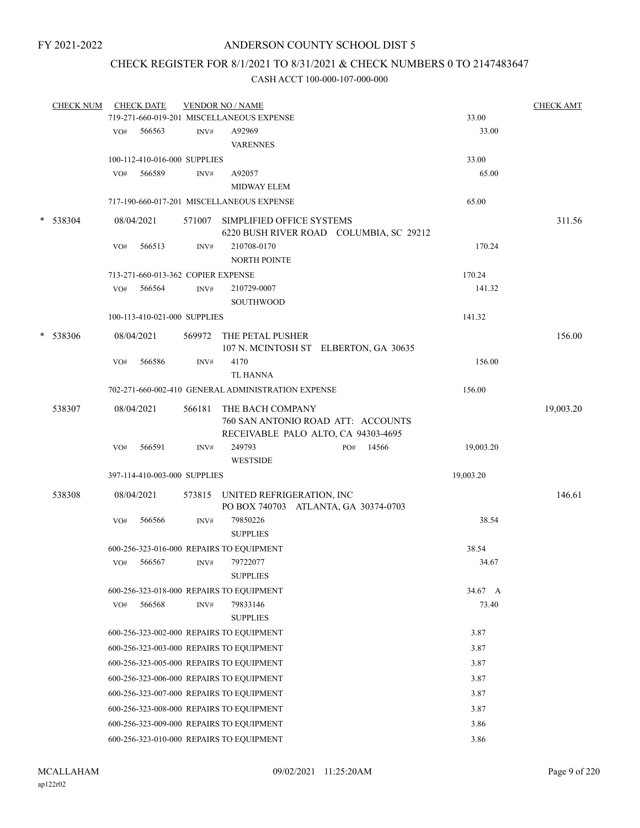## CHECK REGISTER FOR 8/1/2021 TO 8/31/2021 & CHECK NUMBERS 0 TO 2147483647

| <b>CHECK NUM</b> |     | <b>CHECK DATE</b>                  |        | <b>VENDOR NO / NAME</b>                                 |                                         |           | <b>CHECK AMT</b> |
|------------------|-----|------------------------------------|--------|---------------------------------------------------------|-----------------------------------------|-----------|------------------|
|                  |     |                                    |        | 719-271-660-019-201 MISCELLANEOUS EXPENSE               |                                         | 33.00     |                  |
|                  | VO# | 566563                             | INV#   | A92969<br><b>VARENNES</b>                               |                                         | 33.00     |                  |
|                  |     | 100-112-410-016-000 SUPPLIES       |        |                                                         |                                         | 33.00     |                  |
|                  | VO# | 566589                             | INV#   | A92057                                                  |                                         | 65.00     |                  |
|                  |     |                                    |        | <b>MIDWAY ELEM</b>                                      |                                         |           |                  |
|                  |     |                                    |        | 717-190-660-017-201 MISCELLANEOUS EXPENSE               |                                         | 65.00     |                  |
|                  |     |                                    |        |                                                         |                                         |           |                  |
| * 538304         |     | 08/04/2021                         |        | 571007 SIMPLIFIED OFFICE SYSTEMS                        | 6220 BUSH RIVER ROAD COLUMBIA, SC 29212 |           | 311.56           |
|                  | VO# | 566513                             | INV#   | 210708-0170                                             |                                         | 170.24    |                  |
|                  |     |                                    |        | <b>NORTH POINTE</b>                                     |                                         |           |                  |
|                  |     | 713-271-660-013-362 COPIER EXPENSE |        |                                                         |                                         | 170.24    |                  |
|                  | VO# | 566564                             | INV#   | 210729-0007                                             |                                         | 141.32    |                  |
|                  |     |                                    |        | SOUTHWOOD                                               |                                         |           |                  |
|                  |     | 100-113-410-021-000 SUPPLIES       |        |                                                         |                                         | 141.32    |                  |
|                  |     |                                    |        |                                                         |                                         |           |                  |
| * 538306         |     | 08/04/2021                         |        | 569972 THE PETAL PUSHER                                 | 107 N. MCINTOSH ST ELBERTON, GA 30635   |           | 156.00           |
|                  | VO# | 566586                             | INV#   | 4170<br><b>TL HANNA</b>                                 |                                         | 156.00    |                  |
|                  |     |                                    |        | 702-271-660-002-410 GENERAL ADMINISTRATION EXPENSE      |                                         | 156.00    |                  |
|                  |     |                                    |        |                                                         |                                         |           |                  |
| 538307           |     | 08/04/2021                         | 566181 | THE BACH COMPANY<br>RECEIVABLE PALO ALTO, CA 94303-4695 | 760 SAN ANTONIO ROAD ATT: ACCOUNTS      |           | 19,003.20        |
|                  | VO# | 566591                             | INV#   | 249793                                                  | PO# 14566                               | 19,003.20 |                  |
|                  |     |                                    |        | <b>WESTSIDE</b>                                         |                                         |           |                  |
|                  |     | 397-114-410-003-000 SUPPLIES       |        |                                                         |                                         | 19,003.20 |                  |
|                  |     |                                    |        |                                                         |                                         |           |                  |
| 538308           |     | 08/04/2021                         |        | 573815 UNITED REFRIGERATION, INC                        | PO BOX 740703 ATLANTA, GA 30374-0703    |           | 146.61           |
|                  | VO# | 566566                             | INV#   | 79850226                                                |                                         | 38.54     |                  |
|                  |     |                                    |        | <b>SUPPLIES</b>                                         |                                         |           |                  |
|                  |     |                                    |        | 600-256-323-016-000 REPAIRS TO EQUIPMENT                |                                         | 38.54     |                  |
|                  | VO# | 566567                             | INV#   | 79722077                                                |                                         | 34.67     |                  |
|                  |     |                                    |        | <b>SUPPLIES</b>                                         |                                         |           |                  |
|                  |     |                                    |        | 600-256-323-018-000 REPAIRS TO EQUIPMENT                |                                         | 34.67 A   |                  |
|                  | VO# | 566568                             | INV#   | 79833146                                                |                                         | 73.40     |                  |
|                  |     |                                    |        | <b>SUPPLIES</b>                                         |                                         |           |                  |
|                  |     |                                    |        | 600-256-323-002-000 REPAIRS TO EQUIPMENT                |                                         | 3.87      |                  |
|                  |     |                                    |        | 600-256-323-003-000 REPAIRS TO EQUIPMENT                |                                         | 3.87      |                  |
|                  |     |                                    |        |                                                         |                                         |           |                  |
|                  |     |                                    |        | 600-256-323-005-000 REPAIRS TO EQUIPMENT                |                                         | 3.87      |                  |
|                  |     |                                    |        | 600-256-323-006-000 REPAIRS TO EQUIPMENT                |                                         | 3.87      |                  |
|                  |     |                                    |        | 600-256-323-007-000 REPAIRS TO EQUIPMENT                |                                         | 3.87      |                  |
|                  |     |                                    |        | 600-256-323-008-000 REPAIRS TO EQUIPMENT                |                                         | 3.87      |                  |
|                  |     |                                    |        | 600-256-323-009-000 REPAIRS TO EQUIPMENT                |                                         | 3.86      |                  |
|                  |     |                                    |        | 600-256-323-010-000 REPAIRS TO EQUIPMENT                |                                         | 3.86      |                  |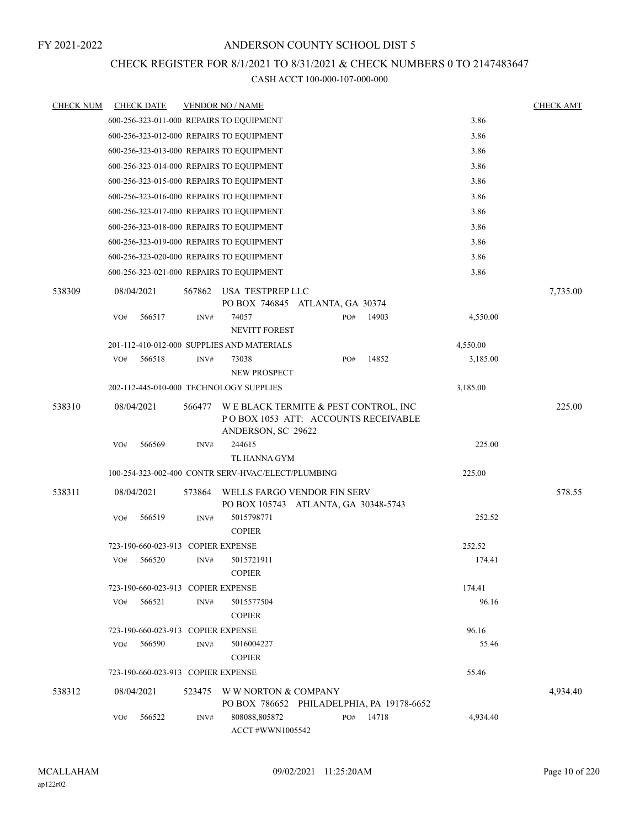## CHECK REGISTER FOR 8/1/2021 TO 8/31/2021 & CHECK NUMBERS 0 TO 2147483647

| <b>CHECK NUM</b> | <b>CHECK DATE</b>                        |        | <b>VENDOR NO / NAME</b>                                                                           |     |       |          | <b>CHECK AMT</b> |
|------------------|------------------------------------------|--------|---------------------------------------------------------------------------------------------------|-----|-------|----------|------------------|
|                  | 600-256-323-011-000 REPAIRS TO EQUIPMENT |        |                                                                                                   |     |       | 3.86     |                  |
|                  | 600-256-323-012-000 REPAIRS TO EQUIPMENT |        |                                                                                                   |     |       | 3.86     |                  |
|                  | 600-256-323-013-000 REPAIRS TO EQUIPMENT |        |                                                                                                   |     |       | 3.86     |                  |
|                  | 600-256-323-014-000 REPAIRS TO EQUIPMENT |        |                                                                                                   |     |       | 3.86     |                  |
|                  | 600-256-323-015-000 REPAIRS TO EQUIPMENT |        |                                                                                                   |     |       | 3.86     |                  |
|                  | 600-256-323-016-000 REPAIRS TO EQUIPMENT |        |                                                                                                   |     |       | 3.86     |                  |
|                  | 600-256-323-017-000 REPAIRS TO EQUIPMENT |        |                                                                                                   |     |       | 3.86     |                  |
|                  | 600-256-323-018-000 REPAIRS TO EQUIPMENT |        |                                                                                                   |     |       | 3.86     |                  |
|                  | 600-256-323-019-000 REPAIRS TO EQUIPMENT |        |                                                                                                   |     |       | 3.86     |                  |
|                  | 600-256-323-020-000 REPAIRS TO EQUIPMENT |        |                                                                                                   |     |       | 3.86     |                  |
|                  | 600-256-323-021-000 REPAIRS TO EQUIPMENT |        |                                                                                                   |     |       | 3.86     |                  |
| 538309           | 08/04/2021                               | 567862 | USA TESTPREP LLC<br>PO BOX 746845 ATLANTA, GA 30374                                               |     |       |          | 7,735.00         |
|                  | 566517<br>VO#                            | INV#   | 74057<br><b>NEVITT FOREST</b>                                                                     | PO# | 14903 | 4,550.00 |                  |
|                  |                                          |        | 201-112-410-012-000 SUPPLIES AND MATERIALS                                                        |     |       | 4,550.00 |                  |
|                  | VO#<br>566518                            | INV#   | 73038                                                                                             | PO# | 14852 | 3,185.00 |                  |
|                  |                                          |        | <b>NEW PROSPECT</b>                                                                               |     |       |          |                  |
|                  | 202-112-445-010-000 TECHNOLOGY SUPPLIES  |        |                                                                                                   |     |       | 3,185.00 |                  |
| 538310           | 08/04/2021                               | 566477 | WE BLACK TERMITE & PEST CONTROL, INC<br>POBOX 1053 ATT: ACCOUNTS RECEIVABLE<br>ANDERSON, SC 29622 |     |       |          | 225.00           |
|                  | 566569<br>VO#                            | INV#   | 244615                                                                                            |     |       | 225.00   |                  |
|                  |                                          |        | TL HANNA GYM                                                                                      |     |       |          |                  |
|                  |                                          |        | 100-254-323-002-400 CONTR SERV-HVAC/ELECT/PLUMBING                                                |     |       | 225.00   |                  |
| 538311           | 08/04/2021                               | 573864 | WELLS FARGO VENDOR FIN SERV<br>PO BOX 105743 ATLANTA, GA 30348-5743                               |     |       |          | 578.55           |
|                  | 566519<br>VO#                            | INV#   | 5015798771<br><b>COPIER</b>                                                                       |     |       | 252.52   |                  |
|                  | 723-190-660-023-913 COPIER EXPENSE       |        |                                                                                                   |     |       | 252.52   |                  |
|                  | 566520<br>VO#                            | INV#   | 5015721911<br><b>COPIER</b>                                                                       |     |       | 174.41   |                  |
|                  | 723-190-660-023-913 COPIER EXPENSE       |        |                                                                                                   |     |       | 174.41   |                  |
|                  | VO#<br>566521                            | INV#   | 5015577504<br><b>COPIER</b>                                                                       |     |       | 96.16    |                  |
|                  | 723-190-660-023-913 COPIER EXPENSE       |        |                                                                                                   |     |       | 96.16    |                  |
|                  | 566590<br>VO#                            | INV#   | 5016004227                                                                                        |     |       | 55.46    |                  |
|                  |                                          |        | <b>COPIER</b>                                                                                     |     |       |          |                  |
|                  | 723-190-660-023-913 COPIER EXPENSE       |        |                                                                                                   |     |       | 55.46    |                  |
| 538312           | 08/04/2021                               | 523475 | W W NORTON & COMPANY<br>PO BOX 786652 PHILADELPHIA, PA 19178-6652                                 |     |       |          | 4,934.40         |
|                  | 566522<br>VO#                            | INV#   | 808088,805872<br>ACCT #WWN1005542                                                                 | PO# | 14718 | 4,934.40 |                  |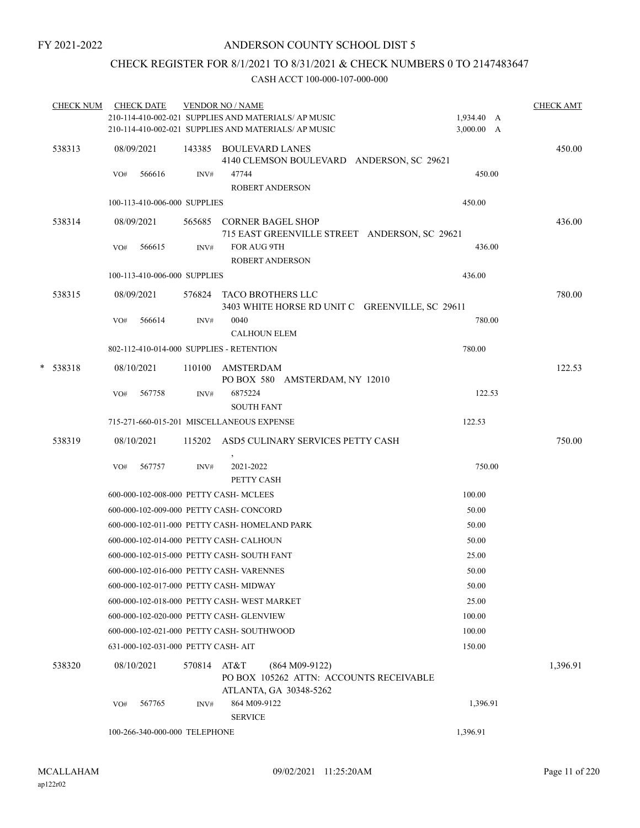## CHECK REGISTER FOR 8/1/2021 TO 8/31/2021 & CHECK NUMBERS 0 TO 2147483647

|            | CHECK NUM CHECK DATE                       |        | <b>VENDOR NO / NAME</b><br>210-114-410-002-021 SUPPLIES AND MATERIALS/ AP MUSIC               | 1,934.40 A | <b>CHECK AMT</b> |
|------------|--------------------------------------------|--------|-----------------------------------------------------------------------------------------------|------------|------------------|
|            |                                            |        | 210-114-410-002-021 SUPPLIES AND MATERIALS/ AP MUSIC                                          | 3,000.00 A |                  |
| 538313     | 08/09/2021                                 |        | 143385 BOULEVARD LANES<br>4140 CLEMSON BOULEVARD ANDERSON, SC 29621                           |            | 450.00           |
|            | 566616<br>VO#                              | INV#   | 47744<br><b>ROBERT ANDERSON</b>                                                               | 450.00     |                  |
|            | 100-113-410-006-000 SUPPLIES               |        |                                                                                               | 450.00     |                  |
| 538314     | 08/09/2021                                 |        | 565685 CORNER BAGEL SHOP<br>715 EAST GREENVILLE STREET ANDERSON, SC 29621                     |            | 436.00           |
|            | VO#<br>566615                              | INV#   | FOR AUG 9TH<br><b>ROBERT ANDERSON</b>                                                         | 436.00     |                  |
|            | 100-113-410-006-000 SUPPLIES               |        |                                                                                               | 436.00     |                  |
| 538315     | 08/09/2021                                 |        | 576824 TACO BROTHERS LLC<br>3403 WHITE HORSE RD UNIT C GREENVILLE, SC 29611                   |            | 780.00           |
|            | 566614<br>VO#                              | INV#   | 0040<br><b>CALHOUN ELEM</b>                                                                   | 780.00     |                  |
|            | 802-112-410-014-000 SUPPLIES - RETENTION   |        |                                                                                               | 780.00     |                  |
| $* 538318$ | 08/10/2021                                 |        | 110100 AMSTERDAM<br>PO BOX 580 AMSTERDAM, NY 12010                                            |            | 122.53           |
|            | 567758<br>VO#                              | INV#   | 6875224<br><b>SOUTH FANT</b>                                                                  | 122.53     |                  |
|            |                                            |        | 715-271-660-015-201 MISCELLANEOUS EXPENSE                                                     | 122.53     |                  |
| 538319     | 08/10/2021                                 |        | 115202 ASD5 CULINARY SERVICES PETTY CASH                                                      |            | 750.00           |
|            | 567757<br>VO#                              | INV#   | 2021-2022<br>PETTY CASH                                                                       | 750.00     |                  |
|            | 600-000-102-008-000 PETTY CASH- MCLEES     |        |                                                                                               | 100.00     |                  |
|            | 600-000-102-009-000 PETTY CASH- CONCORD    |        |                                                                                               | 50.00      |                  |
|            |                                            |        | 600-000-102-011-000 PETTY CASH- HOMELAND PARK                                                 | 50.00      |                  |
|            | 600-000-102-014-000 PETTY CASH- CALHOUN    |        |                                                                                               | 50.00      |                  |
|            | 600-000-102-015-000 PETTY CASH- SOUTH FANT |        |                                                                                               | 25.00      |                  |
|            | 600-000-102-016-000 PETTY CASH-VARENNES    |        |                                                                                               | 50.00      |                  |
|            | 600-000-102-017-000 PETTY CASH-MIDWAY      |        |                                                                                               | 50.00      |                  |
|            |                                            |        | 600-000-102-018-000 PETTY CASH-WEST MARKET                                                    | 25.00      |                  |
|            | 600-000-102-020-000 PETTY CASH- GLENVIEW   |        |                                                                                               | 100.00     |                  |
|            | 600-000-102-021-000 PETTY CASH- SOUTHWOOD  |        |                                                                                               | 100.00     |                  |
|            | 631-000-102-031-000 PETTY CASH-AIT         |        |                                                                                               | 150.00     |                  |
| 538320     | 08/10/2021                                 | 570814 | AT&T<br>$(864 M09-9122)$<br>PO BOX 105262 ATTN: ACCOUNTS RECEIVABLE<br>ATLANTA, GA 30348-5262 |            | 1,396.91         |
|            | 567765<br>VO#                              | INV#   | 864 M09-9122<br><b>SERVICE</b>                                                                | 1,396.91   |                  |
|            | 100-266-340-000-000 TELEPHONE              |        |                                                                                               | 1,396.91   |                  |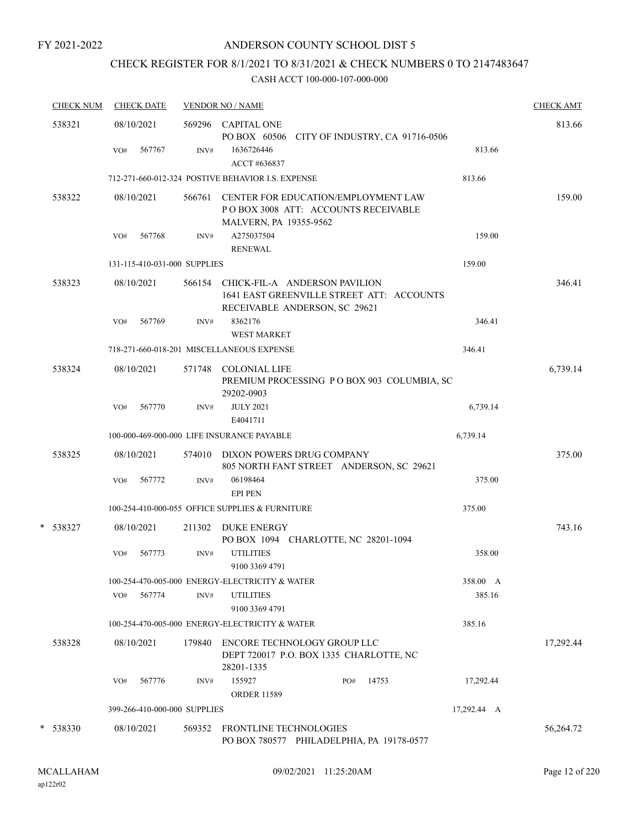## CHECK REGISTER FOR 8/1/2021 TO 8/31/2021 & CHECK NUMBERS 0 TO 2147483647

| <b>CHECK NUM</b> | <b>CHECK DATE</b>            |        | <b>VENDOR NO / NAME</b>                                                                                             |             | <b>CHECK AMT</b> |
|------------------|------------------------------|--------|---------------------------------------------------------------------------------------------------------------------|-------------|------------------|
| 538321           | 08/10/2021                   |        | 569296 CAPITAL ONE<br>PO BOX 60506 CITY OF INDUSTRY, CA 91716-0506                                                  |             | 813.66           |
|                  | 567767<br>VO#                | INV#   | 1636726446<br>ACCT #636837                                                                                          | 813.66      |                  |
|                  |                              |        | 712-271-660-012-324 POSTIVE BEHAVIOR I.S. EXPENSE                                                                   | 813.66      |                  |
| 538322           | 08/10/2021                   | 566761 | <b>CENTER FOR EDUCATION/EMPLOYMENT LAW</b><br>PO BOX 3008 ATT: ACCOUNTS RECEIVABLE<br><b>MALVERN, PA 19355-9562</b> |             | 159.00           |
|                  | 567768<br>VO#                | INV#   | A275037504<br><b>RENEWAL</b>                                                                                        | 159.00      |                  |
|                  | 131-115-410-031-000 SUPPLIES |        |                                                                                                                     | 159.00      |                  |
| 538323           | 08/10/2021                   | 566154 | CHICK-FIL-A ANDERSON PAVILION<br>1641 EAST GREENVILLE STREET ATT: ACCOUNTS<br>RECEIVABLE ANDERSON, SC 29621         |             | 346.41           |
|                  | VO#<br>567769                | INV#   | 8362176<br><b>WEST MARKET</b>                                                                                       | 346.41      |                  |
|                  |                              |        | 718-271-660-018-201 MISCELLANEOUS EXPENSE                                                                           | 346.41      |                  |
| 538324           | 08/10/2021                   | 571748 | <b>COLONIAL LIFE</b><br>PREMIUM PROCESSING PO BOX 903 COLUMBIA, SC<br>29202-0903                                    |             | 6,739.14         |
|                  | 567770<br>VO#                | INV#   | <b>JULY 2021</b><br>E4041711                                                                                        | 6,739.14    |                  |
|                  |                              |        | 100-000-469-000-000 LIFE INSURANCE PAYABLE                                                                          | 6,739.14    |                  |
| 538325           | 08/10/2021                   |        | 574010 DIXON POWERS DRUG COMPANY<br>805 NORTH FANT STREET ANDERSON, SC 29621                                        |             | 375.00           |
|                  | 567772<br>VO#                | INV#   | 06198464<br><b>EPI PEN</b>                                                                                          | 375.00      |                  |
|                  |                              |        | 100-254-410-000-055 OFFICE SUPPLIES & FURNITURE                                                                     | 375.00      |                  |
| *<br>538327      | 08/10/2021                   | 211302 | DUKE ENERGY<br>PO BOX 1094 CHARLOTTE, NC 28201-1094                                                                 |             | 743.16           |
|                  | 567773<br>VO#                | INV#   | <b>UTILITIES</b><br>9100 3369 4791                                                                                  | 358.00      |                  |
|                  |                              |        | 100-254-470-005-000 ENERGY-ELECTRICITY & WATER                                                                      | 358.00 A    |                  |
|                  | 567774<br>VO#                | INV#   | <b>UTILITIES</b><br>9100 3369 4791                                                                                  | 385.16      |                  |
|                  |                              |        | 100-254-470-005-000 ENERGY-ELECTRICITY & WATER                                                                      | 385.16      |                  |
| 538328           | 08/10/2021                   | 179840 | ENCORE TECHNOLOGY GROUP LLC<br>DEPT 720017 P.O. BOX 1335 CHARLOTTE, NC<br>28201-1335                                |             | 17,292.44        |
|                  | 567776<br>VO#                | INV#   | 155927<br>14753<br>PO#<br><b>ORDER 11589</b>                                                                        | 17,292.44   |                  |
|                  | 399-266-410-000-000 SUPPLIES |        |                                                                                                                     | 17,292.44 A |                  |
| $*$ 538330       | 08/10/2021                   |        | 569352 FRONTLINE TECHNOLOGIES<br>PO BOX 780577 PHILADELPHIA, PA 19178-0577                                          |             | 56,264.72        |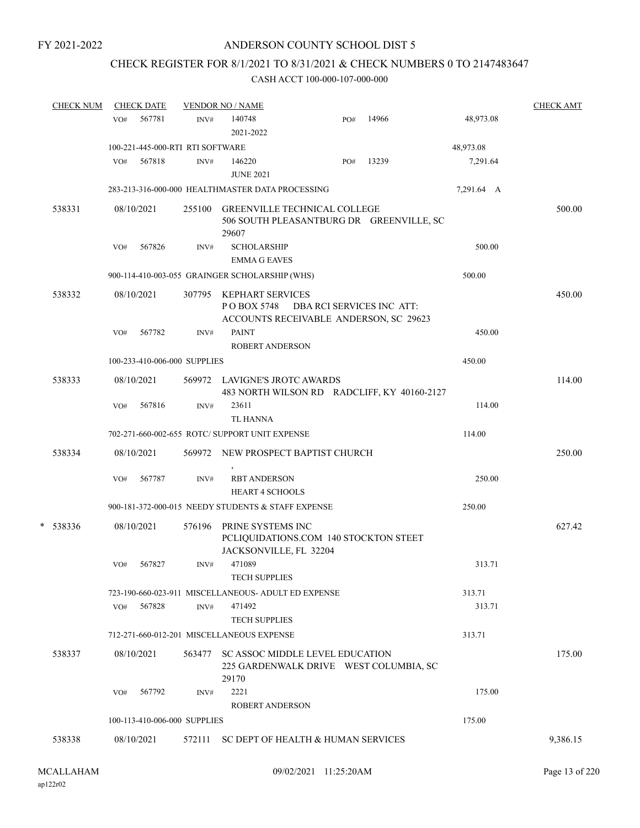## CHECK REGISTER FOR 8/1/2021 TO 8/31/2021 & CHECK NUMBERS 0 TO 2147483647

|   | <b>CHECK NUM</b> |     | <b>CHECK DATE</b> |                                  | <b>VENDOR NO / NAME</b>                                                                   |                           |       |            | <b>CHECK AMT</b> |
|---|------------------|-----|-------------------|----------------------------------|-------------------------------------------------------------------------------------------|---------------------------|-------|------------|------------------|
|   |                  | VO# | 567781            | INV#                             | 140748<br>2021-2022                                                                       | PO#                       | 14966 | 48,973.08  |                  |
|   |                  |     |                   | 100-221-445-000-RTI RTI SOFTWARE |                                                                                           |                           |       | 48,973.08  |                  |
|   |                  | VO# | 567818            | INV#                             | 146220<br><b>JUNE 2021</b>                                                                | PO#                       | 13239 | 7,291.64   |                  |
|   |                  |     |                   |                                  | 283-213-316-000-000 HEALTHMASTER DATA PROCESSING                                          |                           |       | 7,291.64 A |                  |
|   | 538331           |     | 08/10/2021        | 255100                           | <b>GREENVILLE TECHNICAL COLLEGE</b><br>506 SOUTH PLEASANTBURG DR GREENVILLE, SC<br>29607  |                           |       |            | 500.00           |
|   |                  | VO# | 567826            | INV#                             | <b>SCHOLARSHIP</b><br><b>EMMA G EAVES</b>                                                 |                           |       | 500.00     |                  |
|   |                  |     |                   |                                  | 900-114-410-003-055 GRAINGER SCHOLARSHIP (WHS)                                            |                           |       | 500.00     |                  |
|   | 538332           |     | 08/10/2021        | 307795                           | <b>KEPHART SERVICES</b><br>PO BOX 5748<br>ACCOUNTS RECEIVABLE ANDERSON, SC 29623          | DBA RCI SERVICES INC ATT: |       |            | 450.00           |
|   |                  | VO# | 567782            | INV#                             | <b>PAINT</b><br><b>ROBERT ANDERSON</b>                                                    |                           |       | 450.00     |                  |
|   |                  |     |                   | 100-233-410-006-000 SUPPLIES     |                                                                                           |                           |       | 450.00     |                  |
|   | 538333           |     | 08/10/2021        |                                  | 569972 LAVIGNE'S JROTC AWARDS<br>483 NORTH WILSON RD RADCLIFF, KY 40160-2127              |                           |       |            | 114.00           |
|   |                  | VO# | 567816            | INV#                             | 23611<br><b>TL HANNA</b>                                                                  |                           |       | 114.00     |                  |
|   |                  |     |                   |                                  | 702-271-660-002-655 ROTC/ SUPPORT UNIT EXPENSE                                            |                           |       | 114.00     |                  |
|   | 538334           |     | 08/10/2021        |                                  | 569972 NEW PROSPECT BAPTIST CHURCH                                                        |                           |       |            | 250.00           |
|   |                  | VO# | 567787            | INV#                             | <b>RBT ANDERSON</b><br><b>HEART 4 SCHOOLS</b>                                             |                           |       | 250.00     |                  |
|   |                  |     |                   |                                  | 900-181-372-000-015 NEEDY STUDENTS & STAFF EXPENSE                                        |                           |       | 250.00     |                  |
| * | 538336           |     | 08/10/2021        | 576196                           | PRINE SYSTEMS INC<br>PCLIQUIDATIONS.COM 140 STOCKTON STEET<br>JACKSONVILLE, FL 32204      |                           |       |            | 627.42           |
|   |                  | VO# | 567827            | INV#                             | 471089<br><b>TECH SUPPLIES</b>                                                            |                           |       | 313.71     |                  |
|   |                  |     |                   |                                  | 723-190-660-023-911 MISCELLANEOUS- ADULT ED EXPENSE                                       |                           |       | 313.71     |                  |
|   |                  | VO# | 567828            | INV#                             | 471492<br><b>TECH SUPPLIES</b>                                                            |                           |       | 313.71     |                  |
|   |                  |     |                   |                                  | 712-271-660-012-201 MISCELLANEOUS EXPENSE                                                 |                           |       | 313.71     |                  |
|   | 538337           |     | 08/10/2021        | 563477                           | <b>SC ASSOC MIDDLE LEVEL EDUCATION</b><br>225 GARDENWALK DRIVE WEST COLUMBIA, SC<br>29170 |                           |       |            | 175.00           |
|   |                  | VO# | 567792            | INV#                             | 2221<br><b>ROBERT ANDERSON</b>                                                            |                           |       | 175.00     |                  |
|   |                  |     |                   | 100-113-410-006-000 SUPPLIES     |                                                                                           |                           |       | 175.00     |                  |
|   | 538338           |     | 08/10/2021        | 572111                           | SC DEPT OF HEALTH & HUMAN SERVICES                                                        |                           |       |            | 9,386.15         |
|   |                  |     |                   |                                  |                                                                                           |                           |       |            |                  |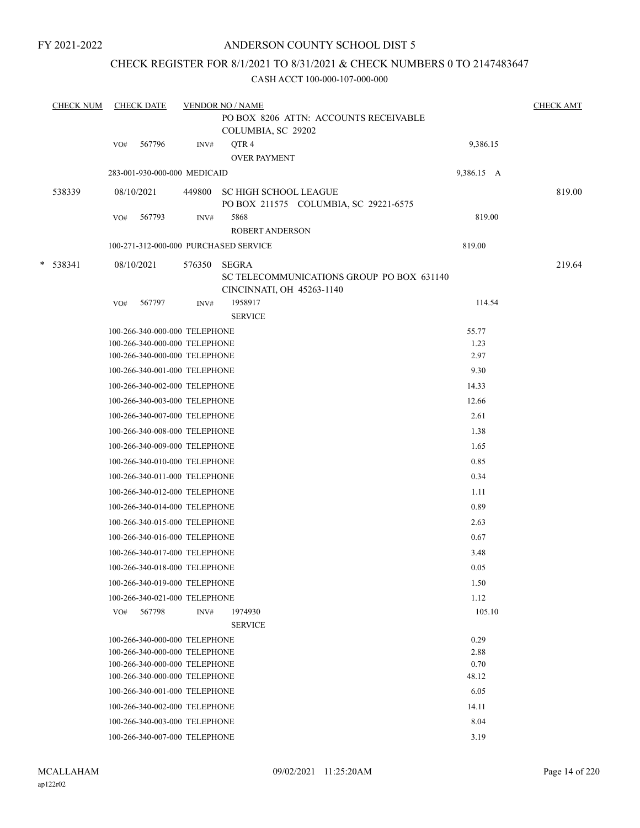## CHECK REGISTER FOR 8/1/2021 TO 8/31/2021 & CHECK NUMBERS 0 TO 2147483647

|   | <b>CHECK NUM</b> |     | <b>CHECK DATE</b>                                              |        | <b>VENDOR NO / NAME</b>                                                                |               | <b>CHECK AMT</b> |
|---|------------------|-----|----------------------------------------------------------------|--------|----------------------------------------------------------------------------------------|---------------|------------------|
|   |                  |     |                                                                |        | PO BOX 8206 ATTN: ACCOUNTS RECEIVABLE<br>COLUMBIA, SC 29202                            |               |                  |
|   |                  | VO# | 567796                                                         | INV#   | QTR4<br><b>OVER PAYMENT</b>                                                            | 9,386.15      |                  |
|   |                  |     | 283-001-930-000-000 MEDICAID                                   |        |                                                                                        | 9,386.15 A    |                  |
|   | 538339           |     | 08/10/2021                                                     | 449800 | <b>SC HIGH SCHOOL LEAGUE</b><br>PO BOX 211575 COLUMBIA, SC 29221-6575                  |               | 819.00           |
|   |                  | VO# | 567793                                                         | INV#   | 5868<br><b>ROBERT ANDERSON</b>                                                         | 819.00        |                  |
|   |                  |     |                                                                |        | 100-271-312-000-000 PURCHASED SERVICE                                                  | 819.00        |                  |
| * | 538341           |     | 08/10/2021                                                     | 576350 | <b>SEGRA</b><br>SC TELECOMMUNICATIONS GROUP PO BOX 631140<br>CINCINNATI, OH 45263-1140 |               | 219.64           |
|   |                  | VO# | 567797                                                         | INV#   | 1958917<br><b>SERVICE</b>                                                              | 114.54        |                  |
|   |                  |     | 100-266-340-000-000 TELEPHONE                                  |        |                                                                                        | 55.77         |                  |
|   |                  |     | 100-266-340-000-000 TELEPHONE                                  |        |                                                                                        | 1.23          |                  |
|   |                  |     | 100-266-340-000-000 TELEPHONE                                  |        |                                                                                        | 2.97          |                  |
|   |                  |     | 100-266-340-001-000 TELEPHONE                                  |        |                                                                                        | 9.30          |                  |
|   |                  |     | 100-266-340-002-000 TELEPHONE                                  |        |                                                                                        | 14.33         |                  |
|   |                  |     | 100-266-340-003-000 TELEPHONE                                  |        |                                                                                        | 12.66         |                  |
|   |                  |     | 100-266-340-007-000 TELEPHONE                                  |        |                                                                                        | 2.61          |                  |
|   |                  |     | 100-266-340-008-000 TELEPHONE                                  |        |                                                                                        | 1.38          |                  |
|   |                  |     | 100-266-340-009-000 TELEPHONE                                  |        |                                                                                        | 1.65          |                  |
|   |                  |     | 100-266-340-010-000 TELEPHONE                                  |        |                                                                                        | 0.85          |                  |
|   |                  |     | 100-266-340-011-000 TELEPHONE                                  |        |                                                                                        | 0.34          |                  |
|   |                  |     | 100-266-340-012-000 TELEPHONE                                  |        |                                                                                        | 1.11          |                  |
|   |                  |     | 100-266-340-014-000 TELEPHONE                                  |        |                                                                                        | 0.89          |                  |
|   |                  |     | 100-266-340-015-000 TELEPHONE                                  |        |                                                                                        | 2.63          |                  |
|   |                  |     | 100-266-340-016-000 TELEPHONE                                  |        |                                                                                        | 0.67          |                  |
|   |                  |     | 100-266-340-017-000 TELEPHONE                                  |        |                                                                                        | 3.48          |                  |
|   |                  |     | 100-266-340-018-000 TELEPHONE                                  |        |                                                                                        | 0.05          |                  |
|   |                  |     | 100-266-340-019-000 TELEPHONE                                  |        |                                                                                        | 1.50          |                  |
|   |                  |     | 100-266-340-021-000 TELEPHONE                                  |        |                                                                                        | 1.12          |                  |
|   |                  | VO# | 567798                                                         | INV#   | 1974930                                                                                | 105.10        |                  |
|   |                  |     |                                                                |        | <b>SERVICE</b>                                                                         |               |                  |
|   |                  |     | 100-266-340-000-000 TELEPHONE                                  |        |                                                                                        | 0.29          |                  |
|   |                  |     | 100-266-340-000-000 TELEPHONE                                  |        |                                                                                        | 2.88          |                  |
|   |                  |     | 100-266-340-000-000 TELEPHONE<br>100-266-340-000-000 TELEPHONE |        |                                                                                        | 0.70<br>48.12 |                  |
|   |                  |     | 100-266-340-001-000 TELEPHONE                                  |        |                                                                                        | 6.05          |                  |
|   |                  |     | 100-266-340-002-000 TELEPHONE                                  |        |                                                                                        | 14.11         |                  |
|   |                  |     | 100-266-340-003-000 TELEPHONE                                  |        |                                                                                        | 8.04          |                  |
|   |                  |     |                                                                |        |                                                                                        |               |                  |
|   |                  |     | 100-266-340-007-000 TELEPHONE                                  |        |                                                                                        | 3.19          |                  |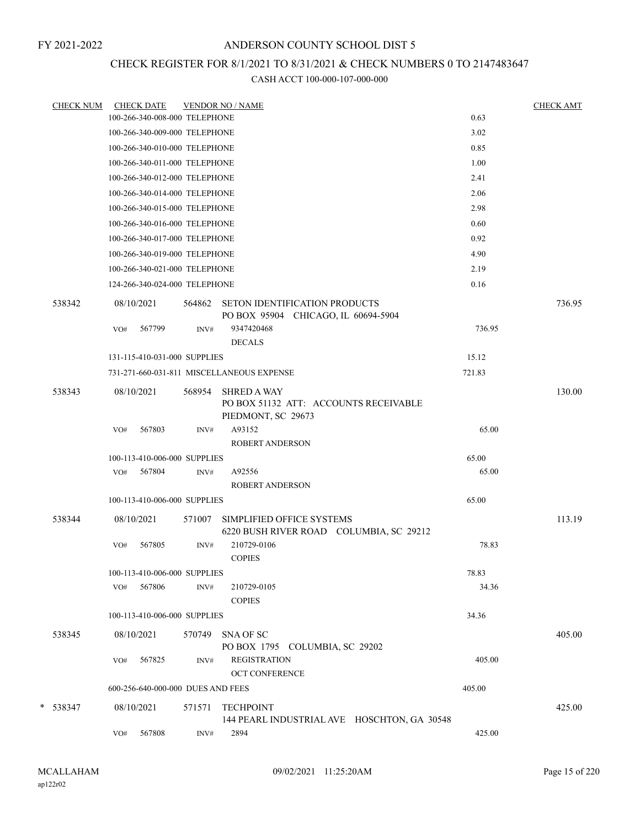## CHECK REGISTER FOR 8/1/2021 TO 8/31/2021 & CHECK NUMBERS 0 TO 2147483647

| <u>CHECK NUM</u> |            | <b>CHECK DATE</b>                 |        | <b>VENDOR NO / NAME</b>                                                           |        | <b>CHECK AMT</b> |
|------------------|------------|-----------------------------------|--------|-----------------------------------------------------------------------------------|--------|------------------|
|                  |            | 100-266-340-008-000 TELEPHONE     |        |                                                                                   | 0.63   |                  |
|                  |            | 100-266-340-009-000 TELEPHONE     |        |                                                                                   | 3.02   |                  |
|                  |            | 100-266-340-010-000 TELEPHONE     |        |                                                                                   | 0.85   |                  |
|                  |            | 100-266-340-011-000 TELEPHONE     |        |                                                                                   | 1.00   |                  |
|                  |            | 100-266-340-012-000 TELEPHONE     |        |                                                                                   | 2.41   |                  |
|                  |            | 100-266-340-014-000 TELEPHONE     |        |                                                                                   | 2.06   |                  |
|                  |            | 100-266-340-015-000 TELEPHONE     |        |                                                                                   | 2.98   |                  |
|                  |            | 100-266-340-016-000 TELEPHONE     |        |                                                                                   | 0.60   |                  |
|                  |            | 100-266-340-017-000 TELEPHONE     |        |                                                                                   | 0.92   |                  |
|                  |            | 100-266-340-019-000 TELEPHONE     |        |                                                                                   | 4.90   |                  |
|                  |            | 100-266-340-021-000 TELEPHONE     |        |                                                                                   | 2.19   |                  |
|                  |            | 124-266-340-024-000 TELEPHONE     |        |                                                                                   | 0.16   |                  |
| 538342           | 08/10/2021 |                                   |        | 564862 SETON IDENTIFICATION PRODUCTS<br>PO BOX 95904 CHICAGO, IL 60694-5904       |        | 736.95           |
|                  | VO#        | 567799                            | INV#   | 9347420468                                                                        | 736.95 |                  |
|                  |            |                                   |        | <b>DECALS</b>                                                                     |        |                  |
|                  |            | 131-115-410-031-000 SUPPLIES      |        |                                                                                   | 15.12  |                  |
|                  |            |                                   |        | 731-271-660-031-811 MISCELLANEOUS EXPENSE                                         | 721.83 |                  |
| 538343           | 08/10/2021 |                                   | 568954 | <b>SHRED A WAY</b><br>PO BOX 51132 ATT: ACCOUNTS RECEIVABLE<br>PIEDMONT, SC 29673 |        | 130.00           |
|                  | VO#        | 567803                            | INV#   | A93152<br><b>ROBERT ANDERSON</b>                                                  | 65.00  |                  |
|                  |            | 100-113-410-006-000 SUPPLIES      |        |                                                                                   | 65.00  |                  |
|                  | VO#        | 567804                            | INV#   | A92556                                                                            | 65.00  |                  |
|                  |            |                                   |        | <b>ROBERT ANDERSON</b>                                                            |        |                  |
|                  |            | 100-113-410-006-000 SUPPLIES      |        |                                                                                   | 65.00  |                  |
| 538344           | 08/10/2021 |                                   | 571007 | SIMPLIFIED OFFICE SYSTEMS<br>6220 BUSH RIVER ROAD COLUMBIA, SC 29212              |        | 113.19           |
|                  | VO#        | 567805                            | INV#   | 210729-0106<br><b>COPIES</b>                                                      | 78.83  |                  |
|                  |            | 100-113-410-006-000 SUPPLIES      |        |                                                                                   | 78.83  |                  |
|                  | VO#        | 567806                            | INV#   | 210729-0105<br><b>COPIES</b>                                                      | 34.36  |                  |
|                  |            | 100-113-410-006-000 SUPPLIES      |        |                                                                                   | 34.36  |                  |
| 538345           | 08/10/2021 |                                   | 570749 | SNA OF SC<br>PO BOX 1795 COLUMBIA, SC 29202                                       |        | 405.00           |
|                  | VO#        | 567825                            | INV#   | <b>REGISTRATION</b><br><b>OCT CONFERENCE</b>                                      | 405.00 |                  |
|                  |            | 600-256-640-000-000 DUES AND FEES |        |                                                                                   | 405.00 |                  |
| * 538347         | 08/10/2021 |                                   | 571571 | <b>TECHPOINT</b><br>144 PEARL INDUSTRIAL AVE HOSCHTON, GA 30548                   |        | 425.00           |
|                  | VO#        | 567808                            | INV#   | 2894                                                                              | 425.00 |                  |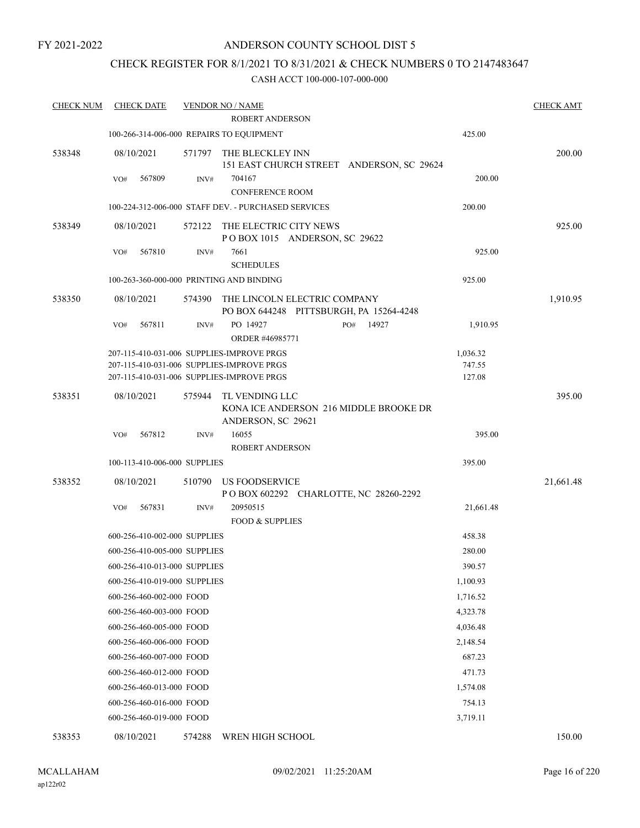## CHECK REGISTER FOR 8/1/2021 TO 8/31/2021 & CHECK NUMBERS 0 TO 2147483647

### CASH ACCT 100-000-107-000-000

| <b>CHECK NUM</b> | <b>CHECK DATE</b>            |        | <b>VENDOR NO / NAME</b>                                                        |              |           | <b>CHECK AMT</b> |
|------------------|------------------------------|--------|--------------------------------------------------------------------------------|--------------|-----------|------------------|
|                  |                              |        | ROBERT ANDERSON                                                                |              |           |                  |
|                  |                              |        | 100-266-314-006-000 REPAIRS TO EQUIPMENT                                       |              | 425.00    |                  |
| 538348           | 08/10/2021                   |        | 571797 THE BLECKLEY INN<br>151 EAST CHURCH STREET ANDERSON, SC 29624           |              |           | 200.00           |
|                  | 567809<br>VO#                | INV#   | 704167                                                                         |              | 200.00    |                  |
|                  |                              |        | <b>CONFERENCE ROOM</b>                                                         |              |           |                  |
|                  |                              |        | 100-224-312-006-000 STAFF DEV. - PURCHASED SERVICES                            |              | 200.00    |                  |
| 538349           | 08/10/2021                   | 572122 | THE ELECTRIC CITY NEWS<br>POBOX 1015 ANDERSON, SC 29622                        |              |           | 925.00           |
|                  | 567810<br>VO#                | INV#   | 7661<br><b>SCHEDULES</b>                                                       |              | 925.00    |                  |
|                  |                              |        | 100-263-360-000-000 PRINTING AND BINDING                                       |              | 925.00    |                  |
| 538350           | 08/10/2021                   | 574390 | THE LINCOLN ELECTRIC COMPANY<br>PO BOX 644248 PITTSBURGH, PA 15264-4248        |              |           | 1,910.95         |
|                  | 567811<br>VO#                | INV#   | PO 14927<br>ORDER #46985771                                                    | 14927<br>PO# | 1,910.95  |                  |
|                  |                              |        | 207-115-410-031-006 SUPPLIES-IMPROVE PRGS                                      |              | 1,036.32  |                  |
|                  |                              |        | 207-115-410-031-006 SUPPLIES-IMPROVE PRGS                                      |              | 747.55    |                  |
|                  |                              |        | 207-115-410-031-006 SUPPLIES-IMPROVE PRGS                                      |              | 127.08    |                  |
| 538351           | 08/10/2021                   | 575944 | TL VENDING LLC<br>KONA ICE ANDERSON 216 MIDDLE BROOKE DR<br>ANDERSON, SC 29621 |              |           | 395.00           |
|                  | 567812<br>VO#                | INV#   | 16055                                                                          |              | 395.00    |                  |
|                  |                              |        | <b>ROBERT ANDERSON</b>                                                         |              |           |                  |
|                  | 100-113-410-006-000 SUPPLIES |        |                                                                                |              | 395.00    |                  |
| 538352           | 08/10/2021                   | 510790 | US FOODSERVICE<br>POBOX 602292 CHARLOTTE, NC 28260-2292                        |              |           | 21,661.48        |
|                  | 567831<br>VO#                | INV#   | 20950515<br><b>FOOD &amp; SUPPLIES</b>                                         |              | 21,661.48 |                  |
|                  | 600-256-410-002-000 SUPPLIES |        |                                                                                |              | 458.38    |                  |
|                  | 600-256-410-005-000 SUPPLIES |        |                                                                                |              | 280.00    |                  |
|                  | 600-256-410-013-000 SUPPLIES |        |                                                                                |              | 390.57    |                  |
|                  | 600-256-410-019-000 SUPPLIES |        |                                                                                |              | 1,100.93  |                  |
|                  | 600-256-460-002-000 FOOD     |        |                                                                                |              | 1,716.52  |                  |
|                  | 600-256-460-003-000 FOOD     |        |                                                                                |              | 4,323.78  |                  |
|                  | 600-256-460-005-000 FOOD     |        |                                                                                |              | 4,036.48  |                  |
|                  | 600-256-460-006-000 FOOD     |        |                                                                                |              | 2,148.54  |                  |
|                  | 600-256-460-007-000 FOOD     |        |                                                                                |              | 687.23    |                  |
|                  | 600-256-460-012-000 FOOD     |        |                                                                                |              | 471.73    |                  |
|                  | 600-256-460-013-000 FOOD     |        |                                                                                |              | 1,574.08  |                  |
|                  | 600-256-460-016-000 FOOD     |        |                                                                                |              | 754.13    |                  |
|                  | 600-256-460-019-000 FOOD     |        |                                                                                |              | 3,719.11  |                  |
| 538353           | 08/10/2021                   | 574288 | WREN HIGH SCHOOL                                                               |              |           | 150.00           |

ap122r02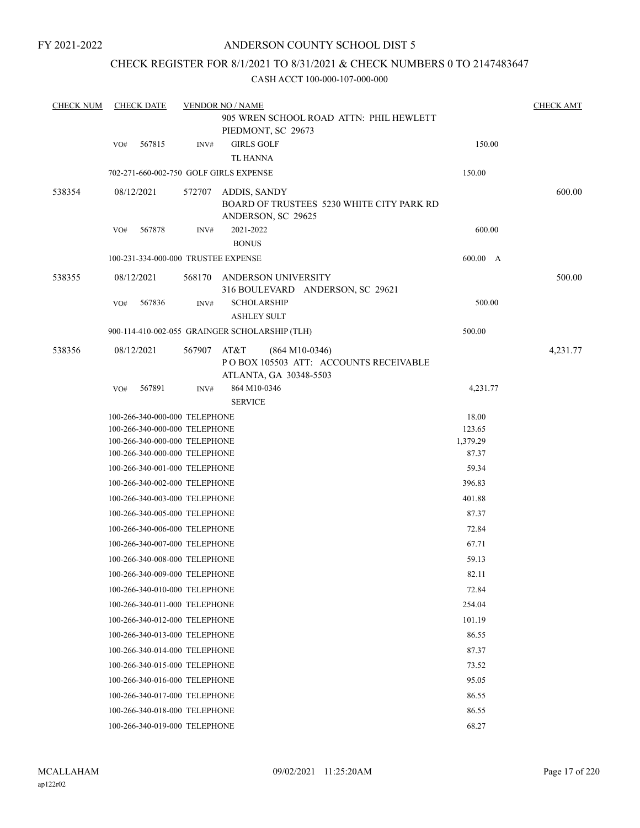## CHECK REGISTER FOR 8/1/2021 TO 8/31/2021 & CHECK NUMBERS 0 TO 2147483647

| <b>CHECK NUM</b> |     | <b>CHECK DATE</b>                                                                                                                |                | <b>VENDOR NO / NAME</b>                                                                      |                                      | <b>CHECK AMT</b> |
|------------------|-----|----------------------------------------------------------------------------------------------------------------------------------|----------------|----------------------------------------------------------------------------------------------|--------------------------------------|------------------|
|                  |     |                                                                                                                                  |                | 905 WREN SCHOOL ROAD ATTN: PHIL HEWLETT<br>PIEDMONT, SC 29673                                |                                      |                  |
|                  | VO# | 567815                                                                                                                           | $\text{INV}\#$ | <b>GIRLS GOLF</b>                                                                            | 150.00                               |                  |
|                  |     |                                                                                                                                  |                | <b>TL HANNA</b>                                                                              |                                      |                  |
|                  |     |                                                                                                                                  |                | 702-271-660-002-750 GOLF GIRLS EXPENSE                                                       | 150.00                               |                  |
| 538354           |     | 08/12/2021                                                                                                                       | 572707         | ADDIS, SANDY<br>BOARD OF TRUSTEES 5230 WHITE CITY PARK RD<br>ANDERSON, SC 29625              |                                      | 600.00           |
|                  | VO# | 567878                                                                                                                           | INV#           | 2021-2022<br><b>BONUS</b>                                                                    | 600.00                               |                  |
|                  |     | 100-231-334-000-000 TRUSTEE EXPENSE                                                                                              |                |                                                                                              | 600.00 A                             |                  |
| 538355           |     | 08/12/2021                                                                                                                       | 568170         | ANDERSON UNIVERSITY<br>316 BOULEVARD ANDERSON, SC 29621                                      |                                      | 500.00           |
|                  | VO# | 567836                                                                                                                           | INV#           | <b>SCHOLARSHIP</b>                                                                           | 500.00                               |                  |
|                  |     |                                                                                                                                  |                | <b>ASHLEY SULT</b><br>900-114-410-002-055 GRAINGER SCHOLARSHIP (TLH)                         | 500.00                               |                  |
| 538356           |     | 08/12/2021                                                                                                                       | 567907         | AT&T<br>$(864 M10-0346)$<br>PO BOX 105503 ATT: ACCOUNTS RECEIVABLE<br>ATLANTA, GA 30348-5503 |                                      | 4,231.77         |
|                  | VO# | 567891                                                                                                                           | INV#           | 864 M10-0346<br><b>SERVICE</b>                                                               | 4,231.77                             |                  |
|                  |     | 100-266-340-000-000 TELEPHONE<br>100-266-340-000-000 TELEPHONE<br>100-266-340-000-000 TELEPHONE<br>100-266-340-000-000 TELEPHONE |                |                                                                                              | 18.00<br>123.65<br>1,379.29<br>87.37 |                  |
|                  |     | 100-266-340-001-000 TELEPHONE                                                                                                    |                |                                                                                              | 59.34                                |                  |
|                  |     | 100-266-340-002-000 TELEPHONE                                                                                                    |                |                                                                                              | 396.83                               |                  |
|                  |     | 100-266-340-003-000 TELEPHONE                                                                                                    |                |                                                                                              | 401.88                               |                  |
|                  |     | 100-266-340-005-000 TELEPHONE                                                                                                    |                |                                                                                              | 87.37                                |                  |
|                  |     | 100-266-340-006-000 TELEPHONE                                                                                                    |                |                                                                                              | 72.84                                |                  |
|                  |     | 100-266-340-007-000 TELEPHONE                                                                                                    |                |                                                                                              | 67.71                                |                  |
|                  |     | 100-266-340-008-000 TELEPHONE                                                                                                    |                |                                                                                              | 59.13                                |                  |
|                  |     | 100-266-340-009-000 TELEPHONE                                                                                                    |                |                                                                                              | 82.11                                |                  |
|                  |     | 100-266-340-010-000 TELEPHONE                                                                                                    |                |                                                                                              | 72.84                                |                  |
|                  |     | 100-266-340-011-000 TELEPHONE                                                                                                    |                |                                                                                              | 254.04                               |                  |
|                  |     | 100-266-340-012-000 TELEPHONE                                                                                                    |                |                                                                                              | 101.19                               |                  |
|                  |     | 100-266-340-013-000 TELEPHONE                                                                                                    |                |                                                                                              | 86.55                                |                  |
|                  |     | 100-266-340-014-000 TELEPHONE                                                                                                    |                |                                                                                              | 87.37                                |                  |
|                  |     | 100-266-340-015-000 TELEPHONE                                                                                                    |                |                                                                                              | 73.52                                |                  |
|                  |     | 100-266-340-016-000 TELEPHONE                                                                                                    |                |                                                                                              | 95.05                                |                  |
|                  |     | 100-266-340-017-000 TELEPHONE                                                                                                    |                |                                                                                              | 86.55                                |                  |
|                  |     | 100-266-340-018-000 TELEPHONE                                                                                                    |                |                                                                                              | 86.55                                |                  |
|                  |     | 100-266-340-019-000 TELEPHONE                                                                                                    |                |                                                                                              | 68.27                                |                  |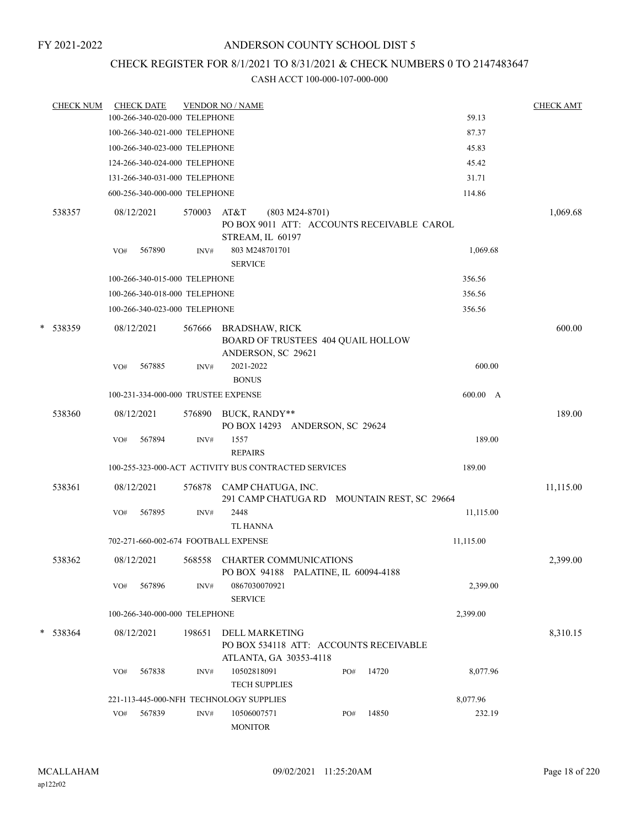## CHECK REGISTER FOR 8/1/2021 TO 8/31/2021 & CHECK NUMBERS 0 TO 2147483647

|   | <b>CHECK NUM</b> |     | <b>CHECK DATE</b>                   |                | <b>VENDOR NO / NAME</b>                                                                   |                  |     |       |           | <b>CHECK AMT</b> |
|---|------------------|-----|-------------------------------------|----------------|-------------------------------------------------------------------------------------------|------------------|-----|-------|-----------|------------------|
|   |                  |     | 100-266-340-020-000 TELEPHONE       |                |                                                                                           |                  |     |       | 59.13     |                  |
|   |                  |     | 100-266-340-021-000 TELEPHONE       |                |                                                                                           |                  |     |       | 87.37     |                  |
|   |                  |     | 100-266-340-023-000 TELEPHONE       |                |                                                                                           |                  |     |       | 45.83     |                  |
|   |                  |     | 124-266-340-024-000 TELEPHONE       |                |                                                                                           |                  |     |       | 45.42     |                  |
|   |                  |     | 131-266-340-031-000 TELEPHONE       |                |                                                                                           |                  |     |       | 31.71     |                  |
|   |                  |     | 600-256-340-000-000 TELEPHONE       |                |                                                                                           |                  |     |       | 114.86    |                  |
|   | 538357           | VO# | 08/12/2021<br>567890                | 570003<br>INV# | AT&T<br>PO BOX 9011 ATT: ACCOUNTS RECEIVABLE CAROL<br>STREAM, IL 60197<br>803 M248701701  | $(803 M24-8701)$ |     |       | 1,069.68  | 1,069.68         |
|   |                  |     |                                     |                | <b>SERVICE</b>                                                                            |                  |     |       |           |                  |
|   |                  |     | 100-266-340-015-000 TELEPHONE       |                |                                                                                           |                  |     |       | 356.56    |                  |
|   |                  |     | 100-266-340-018-000 TELEPHONE       |                |                                                                                           |                  |     |       | 356.56    |                  |
|   |                  |     | 100-266-340-023-000 TELEPHONE       |                |                                                                                           |                  |     |       | 356.56    |                  |
| * | 538359           |     | 08/12/2021                          | 567666         | <b>BRADSHAW, RICK</b><br>BOARD OF TRUSTEES 404 QUAIL HOLLOW<br>ANDERSON, SC 29621         |                  |     |       |           | 600.00           |
|   |                  | VO# | 567885                              | INV#           | 2021-2022<br><b>BONUS</b>                                                                 |                  |     |       | 600.00    |                  |
|   |                  |     | 100-231-334-000-000 TRUSTEE EXPENSE |                |                                                                                           |                  |     |       | 600.00 A  |                  |
|   | 538360           |     | 08/12/2021                          | 576890         | BUCK, RANDY**<br>PO BOX 14293 ANDERSON, SC 29624                                          |                  |     |       |           | 189.00           |
|   |                  | VO# | 567894                              | INV#           | 1557<br><b>REPAIRS</b>                                                                    |                  |     |       | 189.00    |                  |
|   |                  |     |                                     |                | 100-255-323-000-ACT ACTIVITY BUS CONTRACTED SERVICES                                      |                  |     |       | 189.00    |                  |
|   | 538361           |     | 08/12/2021                          | 576878         | CAMP CHATUGA, INC.<br>291 CAMP CHATUGA RD MOUNTAIN REST, SC 29664                         |                  |     |       |           | 11,115.00        |
|   |                  | VO# | 567895                              | INV#           | 2448<br><b>TL HANNA</b>                                                                   |                  |     |       | 11,115.00 |                  |
|   |                  |     |                                     |                | 702-271-660-002-674 FOOTBALL EXPENSE                                                      |                  |     |       | 11,115.00 |                  |
|   | 538362           |     | 08/12/2021                          | 568558         | <b>CHARTER COMMUNICATIONS</b><br>PO BOX 94188 PALATINE, IL 60094-4188                     |                  |     |       |           | 2,399.00         |
|   |                  | VO# | 567896                              | INV#           | 0867030070921<br><b>SERVICE</b>                                                           |                  |     |       | 2,399.00  |                  |
|   |                  |     | 100-266-340-000-000 TELEPHONE       |                |                                                                                           |                  |     |       | 2,399.00  |                  |
|   | * 538364         |     | 08/12/2021                          | 198651         | <b>DELL MARKETING</b><br>PO BOX 534118 ATT: ACCOUNTS RECEIVABLE<br>ATLANTA, GA 30353-4118 |                  |     |       |           | 8,310.15         |
|   |                  | VO# | 567838                              | INV#           | 10502818091<br><b>TECH SUPPLIES</b>                                                       |                  | PO# | 14720 | 8,077.96  |                  |
|   |                  |     |                                     |                | 221-113-445-000-NFH TECHNOLOGY SUPPLIES                                                   |                  |     |       | 8,077.96  |                  |
|   |                  | VO# | 567839                              | INV#           | 10506007571<br><b>MONITOR</b>                                                             |                  | PO# | 14850 | 232.19    |                  |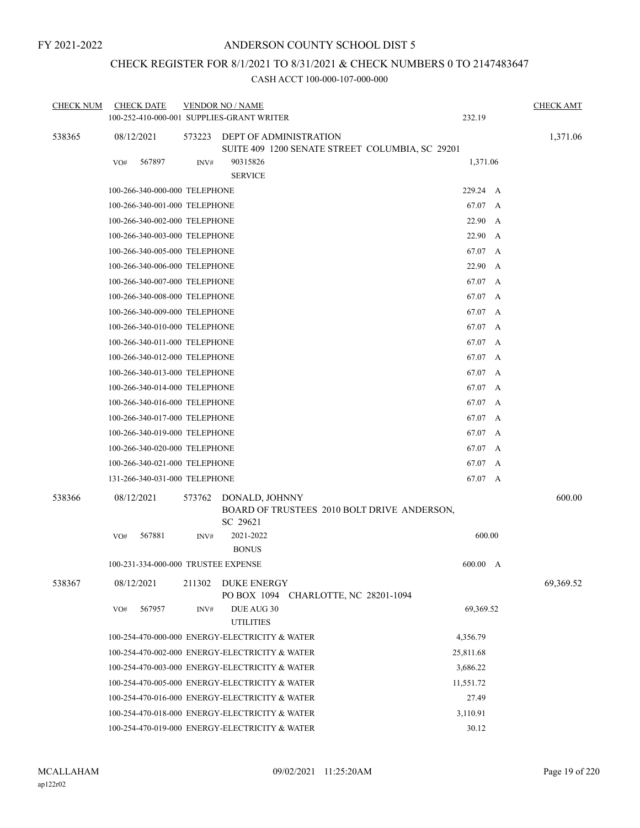## CHECK REGISTER FOR 8/1/2021 TO 8/31/2021 & CHECK NUMBERS 0 TO 2147483647

| <b>CHECK NUM</b> | <b>CHECK DATE</b><br>100-252-410-000-001 SUPPLIES-GRANT WRITER |        | <b>VENDOR NO / NAME</b>                                                   | 232.19     | <b>CHECK AMT</b> |
|------------------|----------------------------------------------------------------|--------|---------------------------------------------------------------------------|------------|------------------|
| 538365           | 08/12/2021                                                     | 573223 | DEPT OF ADMINISTRATION<br>SUITE 409 1200 SENATE STREET COLUMBIA, SC 29201 |            | 1,371.06         |
|                  | 567897<br>VO#                                                  | INV#   | 90315826<br><b>SERVICE</b>                                                | 1,371.06   |                  |
|                  | 100-266-340-000-000 TELEPHONE                                  |        |                                                                           | 229.24 A   |                  |
|                  | 100-266-340-001-000 TELEPHONE                                  |        |                                                                           | 67.07 A    |                  |
|                  | 100-266-340-002-000 TELEPHONE                                  |        |                                                                           | 22.90 A    |                  |
|                  | 100-266-340-003-000 TELEPHONE                                  |        |                                                                           | 22.90<br>A |                  |
|                  | 100-266-340-005-000 TELEPHONE                                  |        |                                                                           | 67.07 A    |                  |
|                  | 100-266-340-006-000 TELEPHONE                                  |        |                                                                           | 22.90<br>A |                  |
|                  | 100-266-340-007-000 TELEPHONE                                  |        |                                                                           | 67.07 A    |                  |
|                  | 100-266-340-008-000 TELEPHONE                                  |        |                                                                           | 67.07 A    |                  |
|                  | 100-266-340-009-000 TELEPHONE                                  |        |                                                                           | 67.07 A    |                  |
|                  | 100-266-340-010-000 TELEPHONE                                  |        |                                                                           | 67.07 A    |                  |
|                  | 100-266-340-011-000 TELEPHONE                                  |        |                                                                           | 67.07 A    |                  |
|                  | 100-266-340-012-000 TELEPHONE                                  |        |                                                                           | 67.07 A    |                  |
|                  | 100-266-340-013-000 TELEPHONE                                  |        |                                                                           | 67.07 A    |                  |
|                  | 100-266-340-014-000 TELEPHONE                                  |        |                                                                           | 67.07 A    |                  |
|                  | 100-266-340-016-000 TELEPHONE                                  |        |                                                                           | 67.07 A    |                  |
|                  | 100-266-340-017-000 TELEPHONE                                  |        |                                                                           | 67.07 A    |                  |
|                  | 100-266-340-019-000 TELEPHONE                                  |        |                                                                           | 67.07 A    |                  |
|                  | 100-266-340-020-000 TELEPHONE                                  |        |                                                                           | 67.07<br>A |                  |
|                  | 100-266-340-021-000 TELEPHONE                                  |        |                                                                           | 67.07 A    |                  |
|                  | 131-266-340-031-000 TELEPHONE                                  |        |                                                                           | 67.07 A    |                  |
| 538366           | 08/12/2021                                                     | 573762 | DONALD, JOHNNY<br>BOARD OF TRUSTEES 2010 BOLT DRIVE ANDERSON,<br>SC 29621 |            | 600.00           |
|                  | 567881<br>VO#                                                  | INV#   | 2021-2022<br><b>BONUS</b>                                                 | 600.00     |                  |
|                  | 100-231-334-000-000 TRUSTEE EXPENSE                            |        |                                                                           | 600.00 A   |                  |
| 538367           | 08/12/2021                                                     | 211302 | DUKE ENERGY<br>PO BOX 1094<br>CHARLOTTE, NC 28201-1094                    |            | 69,369.52        |
|                  | 567957<br>VO#                                                  | INV#   | DUE AUG 30<br><b>UTILITIES</b>                                            | 69,369.52  |                  |
|                  |                                                                |        | 100-254-470-000-000 ENERGY-ELECTRICITY & WATER                            | 4,356.79   |                  |
|                  |                                                                |        | 100-254-470-002-000 ENERGY-ELECTRICITY & WATER                            | 25,811.68  |                  |
|                  |                                                                |        | 100-254-470-003-000 ENERGY-ELECTRICITY & WATER                            | 3,686.22   |                  |
|                  |                                                                |        | 100-254-470-005-000 ENERGY-ELECTRICITY & WATER                            | 11,551.72  |                  |
|                  |                                                                |        | 100-254-470-016-000 ENERGY-ELECTRICITY & WATER                            | 27.49      |                  |
|                  |                                                                |        | 100-254-470-018-000 ENERGY-ELECTRICITY & WATER                            | 3,110.91   |                  |
|                  |                                                                |        | 100-254-470-019-000 ENERGY-ELECTRICITY & WATER                            | 30.12      |                  |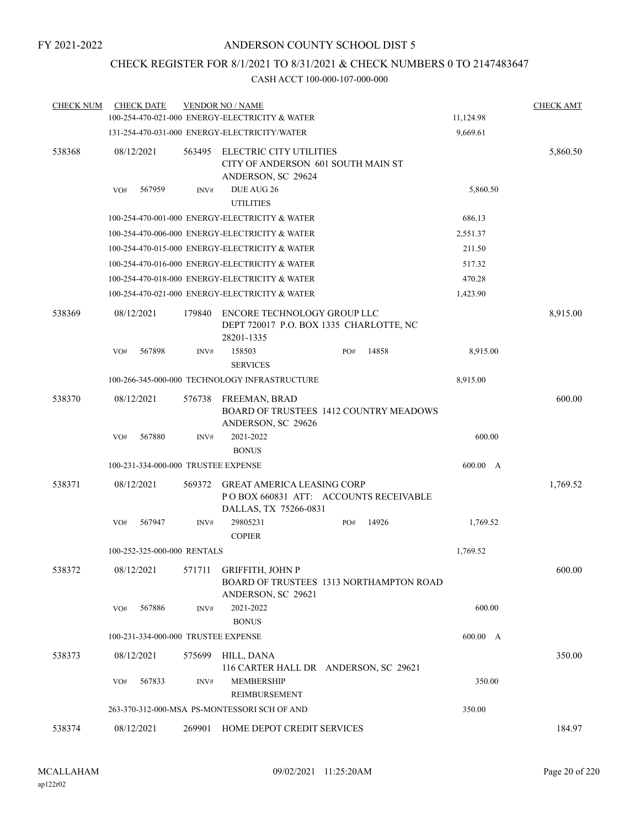## CHECK REGISTER FOR 8/1/2021 TO 8/31/2021 & CHECK NUMBERS 0 TO 2147483647

| <b>CHECK NUM</b> | <b>CHECK DATE</b> |                                     | <b>VENDOR NO / NAME</b>                                                                              |              |           | <b>CHECK AMT</b> |
|------------------|-------------------|-------------------------------------|------------------------------------------------------------------------------------------------------|--------------|-----------|------------------|
|                  |                   |                                     | 100-254-470-021-000 ENERGY-ELECTRICITY & WATER                                                       |              | 11,124.98 |                  |
|                  |                   |                                     | 131-254-470-031-000 ENERGY-ELECTRICITY/WATER                                                         |              | 9,669.61  |                  |
| 538368           | 08/12/2021        | 563495                              | ELECTRIC CITY UTILITIES<br>CITY OF ANDERSON 601 SOUTH MAIN ST<br>ANDERSON, SC 29624                  |              |           | 5,860.50         |
|                  | 567959<br>VO#     | INV#                                | DUE AUG 26<br><b>UTILITIES</b>                                                                       |              |           | 5,860.50         |
|                  |                   |                                     | 100-254-470-001-000 ENERGY-ELECTRICITY & WATER                                                       |              | 686.13    |                  |
|                  |                   |                                     | 100-254-470-006-000 ENERGY-ELECTRICITY & WATER                                                       |              | 2,551.37  |                  |
|                  |                   |                                     | 100-254-470-015-000 ENERGY-ELECTRICITY & WATER                                                       |              | 211.50    |                  |
|                  |                   |                                     | 100-254-470-016-000 ENERGY-ELECTRICITY & WATER                                                       |              | 517.32    |                  |
|                  |                   |                                     | 100-254-470-018-000 ENERGY-ELECTRICITY & WATER                                                       |              | 470.28    |                  |
|                  |                   |                                     | 100-254-470-021-000 ENERGY-ELECTRICITY & WATER                                                       |              | 1,423.90  |                  |
| 538369           | 08/12/2021        | 179840                              | ENCORE TECHNOLOGY GROUP LLC<br>DEPT 720017 P.O. BOX 1335 CHARLOTTE, NC<br>28201-1335                 |              |           | 8,915.00         |
|                  | 567898<br>VO#     | INV#                                | 158503                                                                                               | 14858<br>PO# |           | 8,915.00         |
|                  |                   |                                     | <b>SERVICES</b>                                                                                      |              |           |                  |
|                  |                   |                                     | 100-266-345-000-000 TECHNOLOGY INFRASTRUCTURE                                                        |              | 8,915.00  |                  |
| 538370           | 08/12/2021        | 576738                              | FREEMAN, BRAD<br><b>BOARD OF TRUSTEES 1412 COUNTRY MEADOWS</b><br>ANDERSON, SC 29626                 |              |           | 600.00           |
|                  | 567880<br>VO#     | INV#                                | 2021-2022<br><b>BONUS</b>                                                                            |              |           | 600.00           |
|                  |                   | 100-231-334-000-000 TRUSTEE EXPENSE |                                                                                                      |              |           | 600.00 A         |
| 538371           | 08/12/2021        | 569372                              | <b>GREAT AMERICA LEASING CORP</b><br>PO BOX 660831 ATT: ACCOUNTS RECEIVABLE<br>DALLAS, TX 75266-0831 |              |           | 1,769.52         |
|                  | VO#<br>567947     | INV#                                | 29805231<br><b>COPIER</b>                                                                            | 14926<br>PO# |           | 1,769.52         |
|                  |                   | 100-252-325-000-000 RENTALS         |                                                                                                      |              | 1,769.52  |                  |
| 538372           | 08/12/2021        |                                     | 571711 GRIFFITH, JOHN P<br>BOARD OF TRUSTEES 1313 NORTHAMPTON ROAD<br>ANDERSON, SC 29621             |              |           | 600.00           |
|                  | 567886<br>VO#     | INV#                                | 2021-2022<br><b>BONUS</b>                                                                            |              |           | 600.00           |
|                  |                   | 100-231-334-000-000 TRUSTEE EXPENSE |                                                                                                      |              |           | 600.00 A         |
| 538373           | 08/12/2021        | 575699                              | HILL, DANA<br>116 CARTER HALL DR ANDERSON, SC 29621                                                  |              |           | 350.00           |
|                  | VO#<br>567833     | INV#                                | <b>MEMBERSHIP</b><br>REIMBURSEMENT                                                                   |              |           | 350.00           |
|                  |                   |                                     | 263-370-312-000-MSA PS-MONTESSORI SCH OF AND                                                         |              | 350.00    |                  |
| 538374           | 08/12/2021        |                                     | 269901 HOME DEPOT CREDIT SERVICES                                                                    |              |           | 184.97           |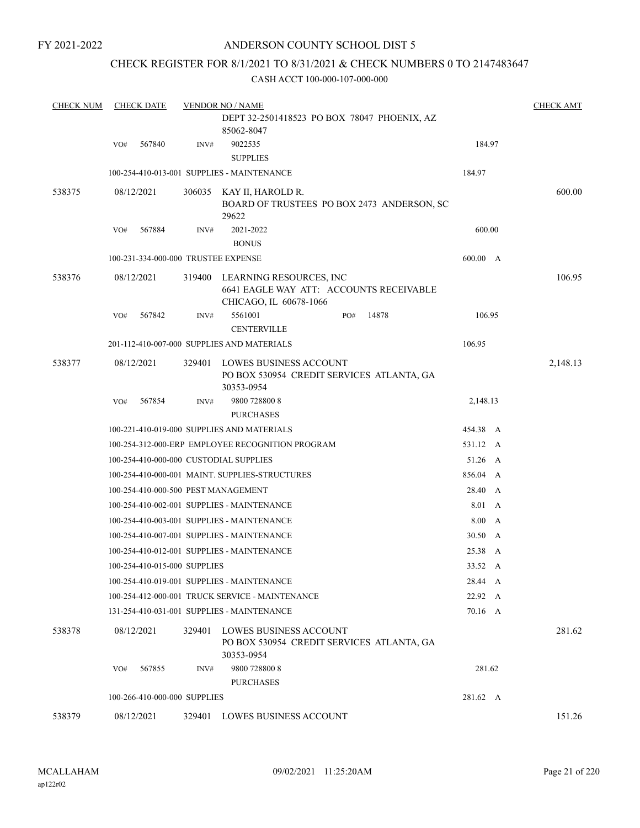### ANDERSON COUNTY SCHOOL DIST 5

## CHECK REGISTER FOR 8/1/2021 TO 8/31/2021 & CHECK NUMBERS 0 TO 2147483647

| <b>CHECK NUM</b> |            | <b>CHECK DATE</b> |                              | <b>VENDOR NO / NAME</b>                                                                      |     |       |          |   | <b>CHECK AMT</b> |
|------------------|------------|-------------------|------------------------------|----------------------------------------------------------------------------------------------|-----|-------|----------|---|------------------|
|                  |            |                   |                              | DEPT 32-2501418523 PO BOX 78047 PHOENIX, AZ                                                  |     |       |          |   |                  |
|                  |            |                   |                              | 85062-8047                                                                                   |     |       |          |   |                  |
|                  | VO#        | 567840            | INV#                         | 9022535                                                                                      |     |       | 184.97   |   |                  |
|                  |            |                   |                              | <b>SUPPLIES</b>                                                                              |     |       |          |   |                  |
|                  |            |                   |                              | 100-254-410-013-001 SUPPLIES - MAINTENANCE                                                   |     |       | 184.97   |   |                  |
| 538375           | 08/12/2021 |                   |                              | 306035 KAY II, HAROLD R.                                                                     |     |       |          |   | 600.00           |
|                  |            |                   |                              | BOARD OF TRUSTEES PO BOX 2473 ANDERSON, SC                                                   |     |       |          |   |                  |
|                  |            |                   |                              | 29622<br>2021-2022                                                                           |     |       | 600.00   |   |                  |
|                  | VO#        | 567884            | INV#                         | <b>BONUS</b>                                                                                 |     |       |          |   |                  |
|                  |            |                   |                              | 100-231-334-000-000 TRUSTEE EXPENSE                                                          |     |       | 600.00 A |   |                  |
|                  |            |                   |                              |                                                                                              |     |       |          |   |                  |
| 538376           | 08/12/2021 |                   | 319400                       | LEARNING RESOURCES, INC<br>6641 EAGLE WAY ATT: ACCOUNTS RECEIVABLE<br>CHICAGO, IL 60678-1066 |     |       |          |   | 106.95           |
|                  | VO#        | 567842            | INV#                         | 5561001                                                                                      | PO# | 14878 | 106.95   |   |                  |
|                  |            |                   |                              | <b>CENTERVILLE</b>                                                                           |     |       |          |   |                  |
|                  |            |                   |                              | 201-112-410-007-000 SUPPLIES AND MATERIALS                                                   |     |       | 106.95   |   |                  |
| 538377           | 08/12/2021 |                   | 329401                       | LOWES BUSINESS ACCOUNT                                                                       |     |       |          |   | 2,148.13         |
|                  |            |                   |                              | PO BOX 530954 CREDIT SERVICES ATLANTA, GA                                                    |     |       |          |   |                  |
|                  |            |                   |                              | 30353-0954                                                                                   |     |       |          |   |                  |
|                  | VO#        | 567854            | INV#                         | 9800 728800 8                                                                                |     |       | 2,148.13 |   |                  |
|                  |            |                   |                              | <b>PURCHASES</b>                                                                             |     |       |          |   |                  |
|                  |            |                   |                              | 100-221-410-019-000 SUPPLIES AND MATERIALS                                                   |     |       | 454.38 A |   |                  |
|                  |            |                   |                              | 100-254-312-000-ERP EMPLOYEE RECOGNITION PROGRAM                                             |     |       | 531.12 A |   |                  |
|                  |            |                   |                              | 100-254-410-000-000 CUSTODIAL SUPPLIES                                                       |     |       | 51.26 A  |   |                  |
|                  |            |                   |                              | 100-254-410-000-001 MAINT. SUPPLIES-STRUCTURES                                               |     |       | 856.04 A |   |                  |
|                  |            |                   |                              | 100-254-410-000-500 PEST MANAGEMENT                                                          |     |       | 28.40    | A |                  |
|                  |            |                   |                              | 100-254-410-002-001 SUPPLIES - MAINTENANCE                                                   |     |       | 8.01 A   |   |                  |
|                  |            |                   |                              | 100-254-410-003-001 SUPPLIES - MAINTENANCE                                                   |     |       | 8.00 A   |   |                  |
|                  |            |                   |                              | 100-254-410-007-001 SUPPLIES - MAINTENANCE                                                   |     |       | 30.50 A  |   |                  |
|                  |            |                   |                              | 100-254-410-012-001 SUPPLIES - MAINTENANCE                                                   |     |       | 25.38 A  |   |                  |
|                  |            |                   | 100-254-410-015-000 SUPPLIES |                                                                                              |     |       | 33.52 A  |   |                  |
|                  |            |                   |                              | 100-254-410-019-001 SUPPLIES - MAINTENANCE                                                   |     |       | 28.44 A  |   |                  |
|                  |            |                   |                              | 100-254-412-000-001 TRUCK SERVICE - MAINTENANCE                                              |     |       | 22.92 A  |   |                  |
|                  |            |                   |                              | 131-254-410-031-001 SUPPLIES - MAINTENANCE                                                   |     |       | 70.16 A  |   |                  |
| 538378           | 08/12/2021 |                   | 329401                       | LOWES BUSINESS ACCOUNT<br>PO BOX 530954 CREDIT SERVICES ATLANTA, GA<br>30353-0954            |     |       |          |   | 281.62           |
|                  | VO#        | 567855            | INV#                         | 9800 728800 8                                                                                |     |       | 281.62   |   |                  |
|                  |            |                   |                              | <b>PURCHASES</b>                                                                             |     |       |          |   |                  |
|                  |            |                   | 100-266-410-000-000 SUPPLIES |                                                                                              |     |       | 281.62 A |   |                  |
| 538379           | 08/12/2021 |                   |                              | 329401 LOWES BUSINESS ACCOUNT                                                                |     |       |          |   | 151.26           |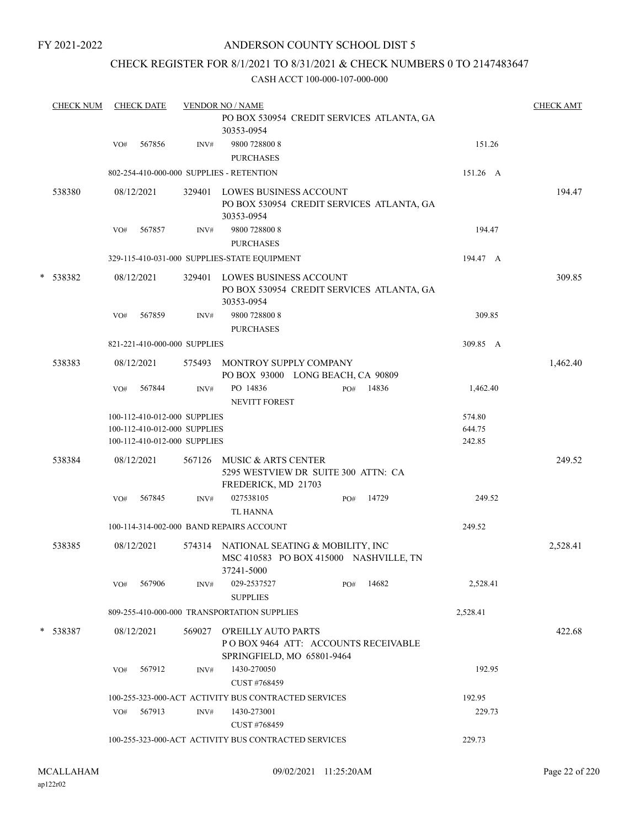## ANDERSON COUNTY SCHOOL DIST 5

## CHECK REGISTER FOR 8/1/2021 TO 8/31/2021 & CHECK NUMBERS 0 TO 2147483647

|   | <b>CHECK NUM</b> |     | <b>CHECK DATE</b> |                                                                                              | <b>VENDOR NO / NAME</b><br>PO BOX 530954 CREDIT SERVICES ATLANTA, GA                     |     |       |                            | <b>CHECK AMT</b> |
|---|------------------|-----|-------------------|----------------------------------------------------------------------------------------------|------------------------------------------------------------------------------------------|-----|-------|----------------------------|------------------|
|   |                  | VO# | 567856            | INV#                                                                                         | 30353-0954<br>9800 728800 8<br><b>PURCHASES</b>                                          |     |       | 151.26                     |                  |
|   |                  |     |                   |                                                                                              | 802-254-410-000-000 SUPPLIES - RETENTION                                                 |     |       | 151.26 A                   |                  |
|   | 538380           |     | 08/12/2021        | 329401                                                                                       | LOWES BUSINESS ACCOUNT<br>PO BOX 530954 CREDIT SERVICES ATLANTA, GA<br>30353-0954        |     |       |                            | 194.47           |
|   |                  | VO# | 567857            | INV#                                                                                         | 9800 728800 8<br><b>PURCHASES</b>                                                        |     |       | 194.47                     |                  |
|   |                  |     |                   |                                                                                              | 329-115-410-031-000 SUPPLIES-STATE EQUIPMENT                                             |     |       | 194.47 A                   |                  |
| * | 538382           |     | 08/12/2021        |                                                                                              | 329401 LOWES BUSINESS ACCOUNT<br>PO BOX 530954 CREDIT SERVICES ATLANTA, GA<br>30353-0954 |     |       |                            | 309.85           |
|   |                  | VO# | 567859            | INV#                                                                                         | 9800 728800 8<br><b>PURCHASES</b>                                                        |     |       | 309.85                     |                  |
|   |                  |     |                   | 821-221-410-000-000 SUPPLIES                                                                 |                                                                                          |     |       | 309.85 A                   |                  |
|   | 538383           |     | 08/12/2021        |                                                                                              | 575493 MONTROY SUPPLY COMPANY<br>PO BOX 93000 LONG BEACH, CA 90809                       |     |       |                            | 1,462.40         |
|   |                  | VO# | 567844            | $\text{INV}\#$                                                                               | PO 14836<br>NEVITT FOREST                                                                | PO# | 14836 | 1,462.40                   |                  |
|   |                  |     |                   | 100-112-410-012-000 SUPPLIES<br>100-112-410-012-000 SUPPLIES<br>100-112-410-012-000 SUPPLIES |                                                                                          |     |       | 574.80<br>644.75<br>242.85 |                  |
|   | 538384           |     | 08/12/2021        | 567126                                                                                       | MUSIC & ARTS CENTER<br>5295 WESTVIEW DR SUITE 300 ATTN: CA<br>FREDERICK, MD 21703        |     |       |                            | 249.52           |
|   |                  | VO# | 567845            | INV#                                                                                         | 027538105<br>TL HANNA                                                                    | PO# | 14729 | 249.52                     |                  |
|   |                  |     |                   |                                                                                              | 100-114-314-002-000 BAND REPAIRS ACCOUNT                                                 |     |       | 249.52                     |                  |
|   | 538385           |     | 08/12/2021        | 574314                                                                                       | NATIONAL SEATING & MOBILITY, INC<br>MSC 410583 PO BOX 415000 NASHVILLE, TN<br>37241-5000 |     |       |                            | 2,528.41         |
|   |                  | VO# | 567906            | INV#                                                                                         | 029-2537527<br><b>SUPPLIES</b>                                                           | PO# | 14682 | 2,528.41                   |                  |
|   |                  |     |                   |                                                                                              | 809-255-410-000-000 TRANSPORTATION SUPPLIES                                              |     |       | 2,528.41                   |                  |
|   | * 538387         |     | 08/12/2021        | 569027                                                                                       | O'REILLY AUTO PARTS<br>POBOX 9464 ATT: ACCOUNTS RECEIVABLE<br>SPRINGFIELD, MO 65801-9464 |     |       |                            | 422.68           |
|   |                  | VO# | 567912            | INV#                                                                                         | 1430-270050<br>CUST #768459                                                              |     |       | 192.95                     |                  |
|   |                  |     |                   |                                                                                              | 100-255-323-000-ACT ACTIVITY BUS CONTRACTED SERVICES                                     |     |       | 192.95                     |                  |
|   |                  | VO# | 567913            | INV#                                                                                         | 1430-273001<br>CUST #768459                                                              |     |       | 229.73                     |                  |
|   |                  |     |                   |                                                                                              | 100-255-323-000-ACT ACTIVITY BUS CONTRACTED SERVICES                                     |     |       | 229.73                     |                  |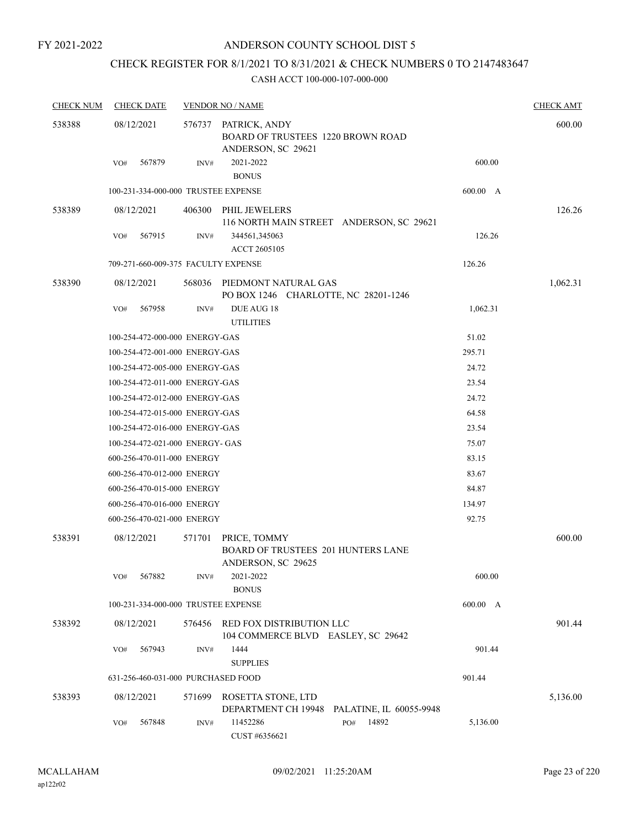## CHECK REGISTER FOR 8/1/2021 TO 8/31/2021 & CHECK NUMBERS 0 TO 2147483647

| <b>CHECK NUM</b> | <b>CHECK DATE</b>                   |        | <b>VENDOR NO / NAME</b>                                                                |          | <b>CHECK AMT</b> |
|------------------|-------------------------------------|--------|----------------------------------------------------------------------------------------|----------|------------------|
| 538388           | 08/12/2021                          |        | 576737 PATRICK, ANDY<br><b>BOARD OF TRUSTEES 1220 BROWN ROAD</b><br>ANDERSON, SC 29621 |          | 600.00           |
|                  | 567879<br>VO#                       | INV#   | 2021-2022<br><b>BONUS</b>                                                              | 600.00   |                  |
|                  | 100-231-334-000-000 TRUSTEE EXPENSE |        |                                                                                        | 600.00 A |                  |
| 538389           | 08/12/2021                          | 406300 | PHIL JEWELERS                                                                          |          | 126.26           |
|                  |                                     |        | 116 NORTH MAIN STREET ANDERSON, SC 29621                                               |          |                  |
|                  | 567915<br>VO#                       | INV#   | 344561,345063<br>ACCT 2605105                                                          | 126.26   |                  |
|                  | 709-271-660-009-375 FACULTY EXPENSE |        |                                                                                        | 126.26   |                  |
|                  |                                     |        |                                                                                        |          |                  |
| 538390           | 08/12/2021                          | 568036 | PIEDMONT NATURAL GAS<br>PO BOX 1246 CHARLOTTE, NC 28201-1246                           |          | 1,062.31         |
|                  | VO#<br>567958                       | INV#   | DUE AUG 18<br><b>UTILITIES</b>                                                         | 1,062.31 |                  |
|                  | 100-254-472-000-000 ENERGY-GAS      |        |                                                                                        | 51.02    |                  |
|                  | 100-254-472-001-000 ENERGY-GAS      |        |                                                                                        | 295.71   |                  |
|                  | 100-254-472-005-000 ENERGY-GAS      |        |                                                                                        | 24.72    |                  |
|                  | 100-254-472-011-000 ENERGY-GAS      |        |                                                                                        | 23.54    |                  |
|                  | 100-254-472-012-000 ENERGY-GAS      |        |                                                                                        | 24.72    |                  |
|                  | 100-254-472-015-000 ENERGY-GAS      |        |                                                                                        | 64.58    |                  |
|                  | 100-254-472-016-000 ENERGY-GAS      |        |                                                                                        | 23.54    |                  |
|                  | 100-254-472-021-000 ENERGY- GAS     |        |                                                                                        | 75.07    |                  |
|                  | 600-256-470-011-000 ENERGY          |        |                                                                                        | 83.15    |                  |
|                  | 600-256-470-012-000 ENERGY          |        |                                                                                        | 83.67    |                  |
|                  | 600-256-470-015-000 ENERGY          |        |                                                                                        | 84.87    |                  |
|                  | 600-256-470-016-000 ENERGY          |        |                                                                                        | 134.97   |                  |
|                  | 600-256-470-021-000 ENERGY          |        |                                                                                        | 92.75    |                  |
| 538391           | 08/12/2021                          | 571701 | PRICE, TOMMY<br><b>BOARD OF TRUSTEES 201 HUNTERS LANE</b><br>ANDERSON, SC 29625        |          | 600.00           |
|                  | 567882<br>VO#                       | INV#   | 2021-2022<br><b>BONUS</b>                                                              | 600.00   |                  |
|                  | 100-231-334-000-000 TRUSTEE EXPENSE |        |                                                                                        | 600.00 A |                  |
| 538392           | 08/12/2021                          | 576456 | RED FOX DISTRIBUTION LLC<br>104 COMMERCE BLVD EASLEY, SC 29642                         |          | 901.44           |
|                  | 567943<br>VO#                       | INV#   | 1444<br><b>SUPPLIES</b>                                                                | 901.44   |                  |
|                  | 631-256-460-031-000 PURCHASED FOOD  |        |                                                                                        | 901.44   |                  |
| 538393           | 08/12/2021                          | 571699 | ROSETTA STONE, LTD<br>DEPARTMENT CH 19948<br>PALATINE, IL 60055-9948                   |          | 5,136.00         |
|                  | 567848<br>VO#                       | INV#   | 11452286<br>14892<br>PO#<br>CUST #6356621                                              | 5,136.00 |                  |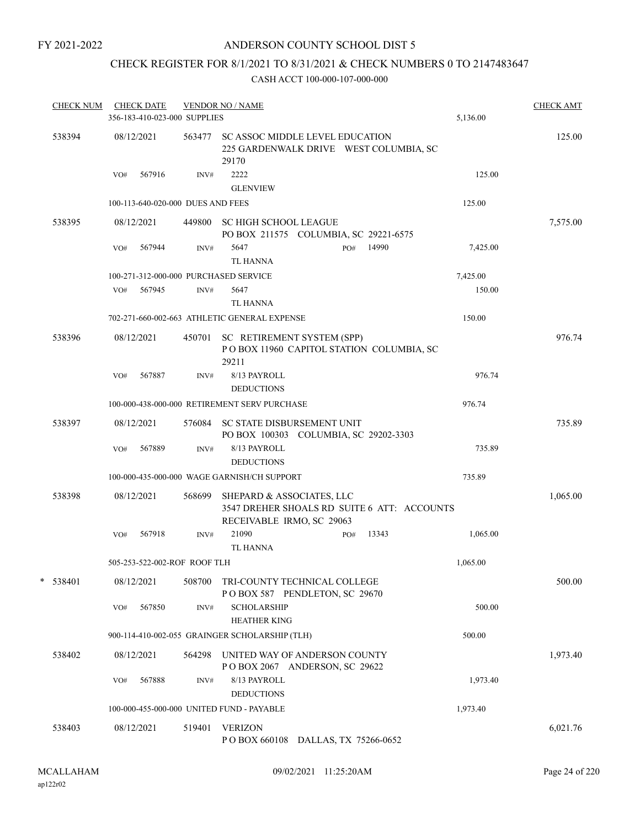## ANDERSON COUNTY SCHOOL DIST 5

## CHECK REGISTER FOR 8/1/2021 TO 8/31/2021 & CHECK NUMBERS 0 TO 2147483647

| <b>CHECK NUM</b> |     | <b>CHECK DATE</b>                 |        | <b>VENDOR NO / NAME</b>                                                                               |          | <b>CHECK AMT</b> |
|------------------|-----|-----------------------------------|--------|-------------------------------------------------------------------------------------------------------|----------|------------------|
|                  |     | 356-183-410-023-000 SUPPLIES      |        |                                                                                                       | 5,136.00 |                  |
| 538394           |     | 08/12/2021                        | 563477 | SC ASSOC MIDDLE LEVEL EDUCATION<br>225 GARDENWALK DRIVE WEST COLUMBIA, SC<br>29170                    |          | 125.00           |
|                  | VO# | 567916                            | INV#   | 2222<br><b>GLENVIEW</b>                                                                               | 125.00   |                  |
|                  |     | 100-113-640-020-000 DUES AND FEES |        |                                                                                                       | 125.00   |                  |
| 538395           |     | 08/12/2021                        | 449800 | <b>SC HIGH SCHOOL LEAGUE</b><br>PO BOX 211575 COLUMBIA, SC 29221-6575                                 |          | 7,575.00         |
|                  | VO# | 567944                            | INV#   | 5647<br>14990<br>PO#<br><b>TL HANNA</b>                                                               | 7,425.00 |                  |
|                  |     |                                   |        | 100-271-312-000-000 PURCHASED SERVICE                                                                 | 7,425.00 |                  |
|                  | VO# | 567945                            | INV#   | 5647                                                                                                  | 150.00   |                  |
|                  |     |                                   |        | TL HANNA                                                                                              |          |                  |
|                  |     |                                   |        | 702-271-660-002-663 ATHLETIC GENERAL EXPENSE                                                          | 150.00   |                  |
| 538396           |     | 08/12/2021                        |        | 450701 SC RETIREMENT SYSTEM (SPP)<br>POBOX 11960 CAPITOL STATION COLUMBIA, SC<br>29211                |          | 976.74           |
|                  | VO# | 567887                            | INV#   | 8/13 PAYROLL<br><b>DEDUCTIONS</b>                                                                     | 976.74   |                  |
|                  |     |                                   |        | 100-000-438-000-000 RETIREMENT SERV PURCHASE                                                          | 976.74   |                  |
| 538397           |     | 08/12/2021                        | 576084 | SC STATE DISBURSEMENT UNIT<br>PO BOX 100303 COLUMBIA, SC 29202-3303                                   |          | 735.89           |
|                  | VO# | 567889                            | INV#   | 8/13 PAYROLL<br><b>DEDUCTIONS</b>                                                                     | 735.89   |                  |
|                  |     |                                   |        | 100-000-435-000-000 WAGE GARNISH/CH SUPPORT                                                           | 735.89   |                  |
| 538398           |     | 08/12/2021                        | 568699 | SHEPARD & ASSOCIATES, LLC<br>3547 DREHER SHOALS RD SUITE 6 ATT: ACCOUNTS<br>RECEIVABLE IRMO, SC 29063 |          | 1,065.00         |
|                  | VO# | 567918                            | INV#   | 21090<br>13343<br>PO#                                                                                 | 1,065.00 |                  |
|                  |     |                                   |        | <b>TL HANNA</b>                                                                                       |          |                  |
|                  |     | 505-253-522-002-ROF ROOF TLH      |        |                                                                                                       | 1,065.00 |                  |
| $*$ 538401       |     | 08/12/2021                        | 508700 | TRI-COUNTY TECHNICAL COLLEGE<br>POBOX 587 PENDLETON, SC 29670                                         |          | 500.00           |
|                  | VO# | 567850                            | INV#   | <b>SCHOLARSHIP</b><br><b>HEATHER KING</b>                                                             | 500.00   |                  |
|                  |     |                                   |        | 900-114-410-002-055 GRAINGER SCHOLARSHIP (TLH)                                                        | 500.00   |                  |
| 538402           |     | 08/12/2021                        | 564298 | UNITED WAY OF ANDERSON COUNTY<br>POBOX 2067 ANDERSON, SC 29622                                        |          | 1,973.40         |
|                  | VO# | 567888                            | INV#   | 8/13 PAYROLL<br><b>DEDUCTIONS</b>                                                                     | 1,973.40 |                  |
|                  |     |                                   |        | 100-000-455-000-000 UNITED FUND - PAYABLE                                                             | 1,973.40 |                  |
| 538403           |     | 08/12/2021                        | 519401 | <b>VERIZON</b><br>POBOX 660108 DALLAS, TX 75266-0652                                                  |          | 6,021.76         |
|                  |     |                                   |        |                                                                                                       |          |                  |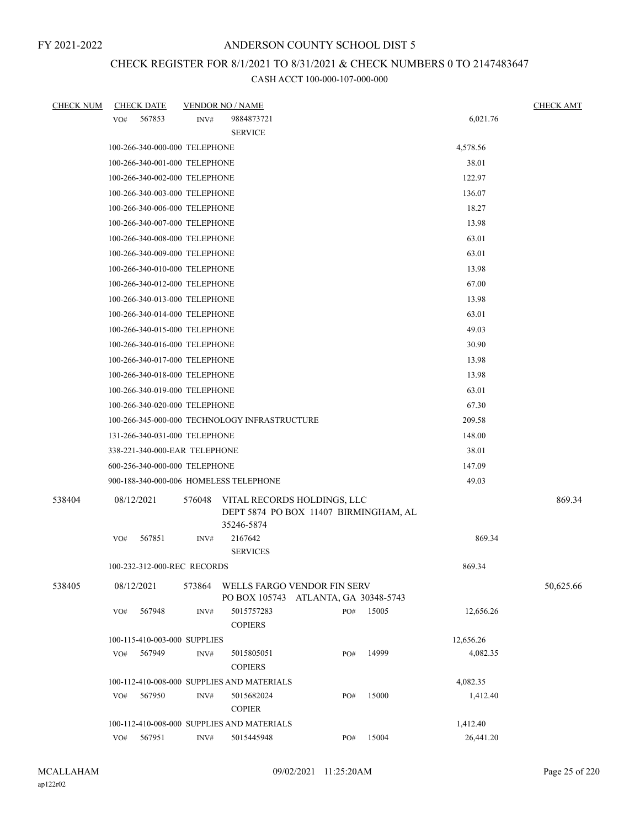## CHECK REGISTER FOR 8/1/2021 TO 8/31/2021 & CHECK NUMBERS 0 TO 2147483647

| <b>CHECK NUM</b> |     | <b>CHECK DATE</b>             |        | <b>VENDOR NO / NAME</b>                                                            |     |       |           | <b>CHECK AMT</b> |
|------------------|-----|-------------------------------|--------|------------------------------------------------------------------------------------|-----|-------|-----------|------------------|
|                  | VO# | 567853                        | INV#   | 9884873721                                                                         |     |       | 6,021.76  |                  |
|                  |     |                               |        | <b>SERVICE</b>                                                                     |     |       |           |                  |
|                  |     | 100-266-340-000-000 TELEPHONE |        |                                                                                    |     |       | 4,578.56  |                  |
|                  |     | 100-266-340-001-000 TELEPHONE |        | 38.01                                                                              |     |       |           |                  |
|                  |     | 100-266-340-002-000 TELEPHONE |        |                                                                                    |     |       | 122.97    |                  |
|                  |     | 100-266-340-003-000 TELEPHONE |        |                                                                                    |     |       | 136.07    |                  |
|                  |     | 100-266-340-006-000 TELEPHONE |        |                                                                                    |     |       | 18.27     |                  |
|                  |     | 100-266-340-007-000 TELEPHONE |        |                                                                                    |     |       | 13.98     |                  |
|                  |     | 100-266-340-008-000 TELEPHONE |        |                                                                                    |     |       | 63.01     |                  |
|                  |     | 100-266-340-009-000 TELEPHONE |        |                                                                                    |     |       | 63.01     |                  |
|                  |     | 100-266-340-010-000 TELEPHONE |        |                                                                                    |     |       | 13.98     |                  |
|                  |     | 100-266-340-012-000 TELEPHONE |        |                                                                                    |     |       | 67.00     |                  |
|                  |     | 100-266-340-013-000 TELEPHONE |        |                                                                                    |     |       | 13.98     |                  |
|                  |     | 100-266-340-014-000 TELEPHONE |        |                                                                                    |     |       | 63.01     |                  |
|                  |     | 100-266-340-015-000 TELEPHONE |        |                                                                                    |     |       | 49.03     |                  |
|                  |     | 100-266-340-016-000 TELEPHONE |        |                                                                                    |     |       | 30.90     |                  |
|                  |     | 100-266-340-017-000 TELEPHONE |        |                                                                                    |     |       | 13.98     |                  |
|                  |     | 100-266-340-018-000 TELEPHONE |        |                                                                                    |     |       | 13.98     |                  |
|                  |     | 100-266-340-019-000 TELEPHONE |        |                                                                                    |     |       | 63.01     |                  |
|                  |     | 100-266-340-020-000 TELEPHONE |        |                                                                                    |     |       | 67.30     |                  |
|                  |     |                               |        | 100-266-345-000-000 TECHNOLOGY INFRASTRUCTURE                                      |     |       | 209.58    |                  |
|                  |     | 131-266-340-031-000 TELEPHONE |        |                                                                                    |     |       | 148.00    |                  |
|                  |     | 338-221-340-000-EAR TELEPHONE |        |                                                                                    |     |       | 38.01     |                  |
|                  |     | 600-256-340-000-000 TELEPHONE |        |                                                                                    |     |       | 147.09    |                  |
|                  |     |                               |        | 900-188-340-000-006 HOMELESS TELEPHONE                                             |     |       | 49.03     |                  |
| 538404           |     | 08/12/2021                    | 576048 | VITAL RECORDS HOLDINGS, LLC<br>DEPT 5874 PO BOX 11407 BIRMINGHAM, AL<br>35246-5874 |     |       |           | 869.34           |
|                  | VO# | 567851                        | INV#   | 2167642<br><b>SERVICES</b>                                                         |     |       | 869.34    |                  |
|                  |     | 100-232-312-000-REC RECORDS   |        |                                                                                    |     |       | 869.34    |                  |
|                  |     |                               |        |                                                                                    |     |       |           |                  |
| 538405           |     | 08/12/2021                    | 573864 | WELLS FARGO VENDOR FIN SERV<br>PO BOX 105743 ATLANTA, GA 30348-5743                |     |       |           | 50,625.66        |
|                  | VO# | 567948                        | INV#   | 5015757283<br><b>COPIERS</b>                                                       | PO# | 15005 | 12,656.26 |                  |
|                  |     | 100-115-410-003-000 SUPPLIES  |        |                                                                                    |     |       | 12,656.26 |                  |
|                  | VO# | 567949                        | INV#   | 5015805051<br><b>COPIERS</b>                                                       | PO# | 14999 | 4,082.35  |                  |
|                  |     |                               |        | 100-112-410-008-000 SUPPLIES AND MATERIALS                                         |     |       | 4,082.35  |                  |
|                  | VO# | 567950                        | INV#   | 5015682024<br><b>COPIER</b>                                                        | PO# | 15000 | 1,412.40  |                  |
|                  |     |                               |        | 100-112-410-008-000 SUPPLIES AND MATERIALS                                         |     |       | 1,412.40  |                  |
|                  | VO# | 567951                        | INV#   | 5015445948                                                                         | PO# | 15004 | 26,441.20 |                  |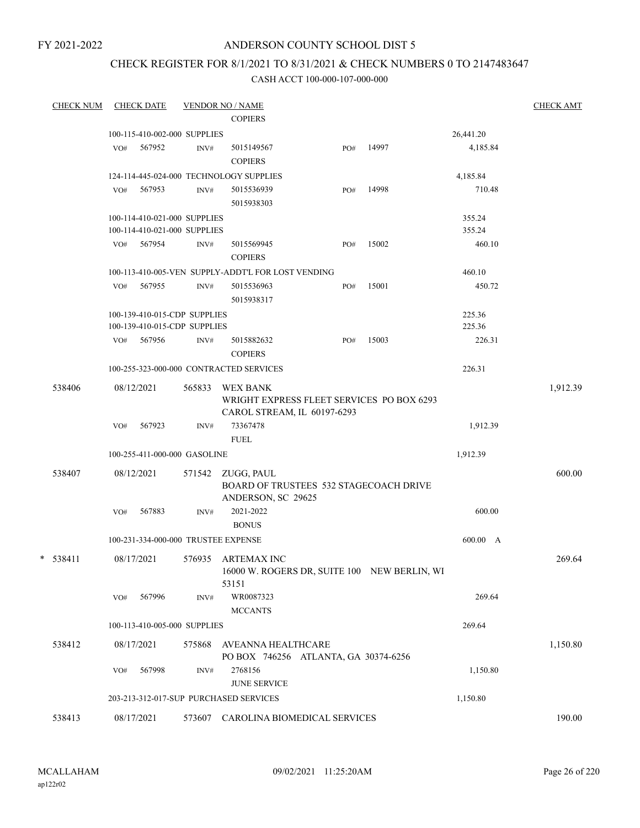## ANDERSON COUNTY SCHOOL DIST 5

## CHECK REGISTER FOR 8/1/2021 TO 8/31/2021 & CHECK NUMBERS 0 TO 2147483647

| <b>CHECK NUM</b> |     | <b>CHECK DATE</b>            |                | <b>VENDOR NO / NAME</b><br><b>COPIERS</b>                                         |     |       |           | <b>CHECK AMT</b> |
|------------------|-----|------------------------------|----------------|-----------------------------------------------------------------------------------|-----|-------|-----------|------------------|
|                  |     | 100-115-410-002-000 SUPPLIES |                |                                                                                   |     |       | 26,441.20 |                  |
|                  | VO# | 567952                       | INV#           | 5015149567<br><b>COPIERS</b>                                                      | PO# | 14997 | 4,185.84  |                  |
|                  |     |                              |                | 124-114-445-024-000 TECHNOLOGY SUPPLIES                                           |     |       | 4,185.84  |                  |
|                  | VO# | 567953                       | INV#           | 5015536939<br>5015938303                                                          | PO# | 14998 | 710.48    |                  |
|                  |     | 100-114-410-021-000 SUPPLIES |                |                                                                                   |     |       | 355.24    |                  |
|                  |     | 100-114-410-021-000 SUPPLIES |                |                                                                                   |     |       | 355.24    |                  |
|                  | VO# | 567954                       | $\text{INV}\#$ | 5015569945<br><b>COPIERS</b>                                                      | PO# | 15002 | 460.10    |                  |
|                  |     |                              |                | 100-113-410-005-VEN SUPPLY-ADDT'L FOR LOST VENDING                                |     |       | 460.10    |                  |
|                  | VO# | 567955                       | INV#           | 5015536963<br>5015938317                                                          | PO# | 15001 | 450.72    |                  |
|                  |     | 100-139-410-015-CDP SUPPLIES |                |                                                                                   |     |       | 225.36    |                  |
|                  |     | 100-139-410-015-CDP SUPPLIES |                |                                                                                   |     |       | 225.36    |                  |
|                  | VO# | 567956                       | INV#           | 5015882632<br><b>COPIERS</b>                                                      | PO# | 15003 | 226.31    |                  |
|                  |     |                              |                | 100-255-323-000-000 CONTRACTED SERVICES                                           |     |       | 226.31    |                  |
| 538406           |     | 08/12/2021                   | 565833         | WEX BANK<br>WRIGHT EXPRESS FLEET SERVICES PO BOX 6293                             |     |       |           | 1,912.39         |
|                  | VO# | 567923                       | INV#           | CAROL STREAM, IL 60197-6293<br>73367478<br><b>FUEL</b>                            |     |       | 1,912.39  |                  |
|                  |     | 100-255-411-000-000 GASOLINE |                |                                                                                   |     |       | 1,912.39  |                  |
|                  |     |                              |                |                                                                                   |     |       |           |                  |
| 538407           |     | 08/12/2021                   |                | 571542 ZUGG, PAUL<br>BOARD OF TRUSTEES 532 STAGECOACH DRIVE<br>ANDERSON, SC 29625 |     |       |           | 600.00           |
|                  | VO# | 567883                       | INV#           | 2021-2022<br><b>BONUS</b>                                                         |     |       | 600.00    |                  |
|                  |     |                              |                | 100-231-334-000-000 TRUSTEE EXPENSE                                               |     |       | 600.00 A  |                  |
| $*$ 538411       |     | 08/17/2021                   |                | 576935 ARTEMAX INC<br>16000 W. ROGERS DR, SUITE 100 NEW BERLIN, WI<br>53151       |     |       |           | 269.64           |
|                  | VO# | 567996                       | $\text{INV}\#$ | WR0087323<br><b>MCCANTS</b>                                                       |     |       | 269.64    |                  |
|                  |     | 100-113-410-005-000 SUPPLIES |                |                                                                                   |     |       | 269.64    |                  |
| 538412           |     | 08/17/2021                   | 575868         | AVEANNA HEALTHCARE<br>PO BOX 746256 ATLANTA, GA 30374-6256                        |     |       |           | 1,150.80         |
|                  | VO# | 567998                       | INV#           | 2768156<br><b>JUNE SERVICE</b>                                                    |     |       | 1,150.80  |                  |
|                  |     |                              |                | 203-213-312-017-SUP PURCHASED SERVICES                                            |     |       | 1,150.80  |                  |
| 538413           |     | 08/17/2021                   |                | 573607 CAROLINA BIOMEDICAL SERVICES                                               |     |       |           | 190.00           |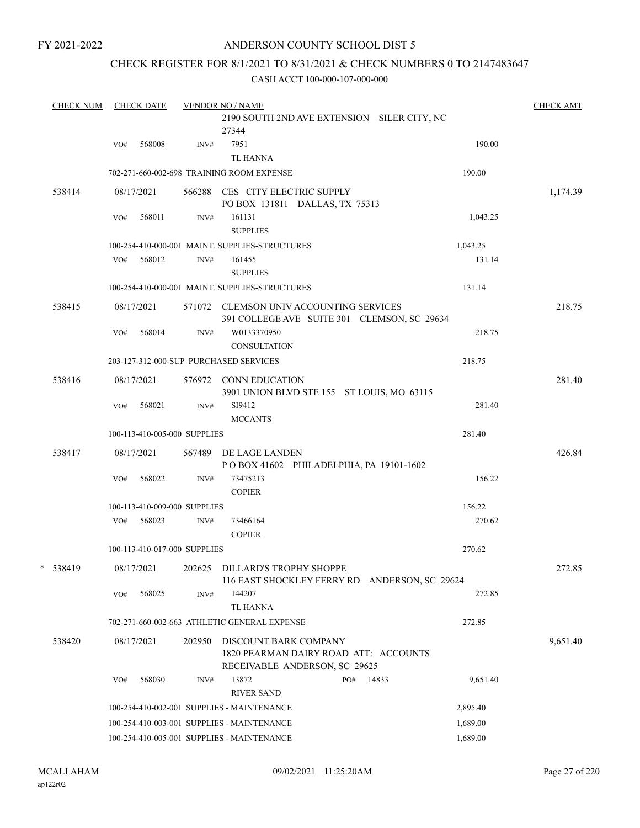### ANDERSON COUNTY SCHOOL DIST 5

## CHECK REGISTER FOR 8/1/2021 TO 8/31/2021 & CHECK NUMBERS 0 TO 2147483647

|   | <b>CHECK NUM</b> |     | <b>CHECK DATE</b>            |      | <b>VENDOR NO / NAME</b>                                                                                |     |       |          | <b>CHECK AMT</b> |
|---|------------------|-----|------------------------------|------|--------------------------------------------------------------------------------------------------------|-----|-------|----------|------------------|
|   |                  |     |                              |      | 2190 SOUTH 2ND AVE EXTENSION SILER CITY, NC<br>27344                                                   |     |       |          |                  |
|   |                  | VO# | 568008                       | INV# | 7951<br><b>TL HANNA</b>                                                                                |     |       | 190.00   |                  |
|   |                  |     |                              |      | 702-271-660-002-698 TRAINING ROOM EXPENSE                                                              |     |       | 190.00   |                  |
|   | 538414           |     | 08/17/2021                   |      | 566288 CES CITY ELECTRIC SUPPLY<br>PO BOX 131811 DALLAS, TX 75313                                      |     |       |          | 1,174.39         |
|   |                  | VO# | 568011                       | INV# | 161131<br><b>SUPPLIES</b>                                                                              |     |       | 1,043.25 |                  |
|   |                  |     |                              |      | 100-254-410-000-001 MAINT. SUPPLIES-STRUCTURES                                                         |     |       | 1,043.25 |                  |
|   |                  | VO# | 568012                       | INV# | 161455<br><b>SUPPLIES</b>                                                                              |     |       | 131.14   |                  |
|   |                  |     |                              |      | 100-254-410-000-001 MAINT. SUPPLIES-STRUCTURES                                                         |     |       | 131.14   |                  |
|   | 538415           |     | 08/17/2021                   |      | 571072 CLEMSON UNIV ACCOUNTING SERVICES<br>391 COLLEGE AVE SUITE 301 CLEMSON, SC 29634                 |     |       |          | 218.75           |
|   |                  | VO# | 568014                       | INV# | W0133370950<br><b>CONSULTATION</b>                                                                     |     |       | 218.75   |                  |
|   |                  |     |                              |      | 203-127-312-000-SUP PURCHASED SERVICES                                                                 |     |       | 218.75   |                  |
|   | 538416           |     | 08/17/2021                   |      | 576972 CONN EDUCATION<br>3901 UNION BLVD STE 155 ST LOUIS, MO 63115                                    |     |       |          | 281.40           |
|   |                  | VO# | 568021                       | INV# | SI9412<br><b>MCCANTS</b>                                                                               |     |       | 281.40   |                  |
|   |                  |     | 100-113-410-005-000 SUPPLIES |      |                                                                                                        |     |       | 281.40   |                  |
|   | 538417           |     | 08/17/2021                   |      | 567489 DE LAGE LANDEN<br>POBOX 41602 PHILADELPHIA, PA 19101-1602                                       |     |       |          | 426.84           |
|   |                  | VO# | 568022                       | INV# | 73475213<br><b>COPIER</b>                                                                              |     |       | 156.22   |                  |
|   |                  |     | 100-113-410-009-000 SUPPLIES |      |                                                                                                        |     |       | 156.22   |                  |
|   |                  | VO# | 568023                       | INV# | 73466164<br><b>COPIER</b>                                                                              |     |       | 270.62   |                  |
|   |                  |     | 100-113-410-017-000 SUPPLIES |      |                                                                                                        |     |       | 270.62   |                  |
| * | 538419           |     | 08/17/2021                   |      | 202625 DILLARD'S TROPHY SHOPPE<br>116 EAST SHOCKLEY FERRY RD ANDERSON, SC 29624                        |     |       |          | 272.85           |
|   |                  | VO# | 568025                       | INV# | 144207<br>TL HANNA                                                                                     |     |       | 272.85   |                  |
|   |                  |     |                              |      | 702-271-660-002-663 ATHLETIC GENERAL EXPENSE                                                           |     |       | 272.85   |                  |
|   | 538420           |     | 08/17/2021                   |      | 202950 DISCOUNT BARK COMPANY<br>1820 PEARMAN DAIRY ROAD ATT: ACCOUNTS<br>RECEIVABLE ANDERSON, SC 29625 |     |       |          | 9,651.40         |
|   |                  | VO# | 568030                       | INV# | 13872<br><b>RIVER SAND</b>                                                                             | PO# | 14833 | 9,651.40 |                  |
|   |                  |     |                              |      | 100-254-410-002-001 SUPPLIES - MAINTENANCE                                                             |     |       | 2,895.40 |                  |
|   |                  |     |                              |      | 100-254-410-003-001 SUPPLIES - MAINTENANCE                                                             |     |       | 1,689.00 |                  |
|   |                  |     |                              |      | 100-254-410-005-001 SUPPLIES - MAINTENANCE                                                             |     |       | 1,689.00 |                  |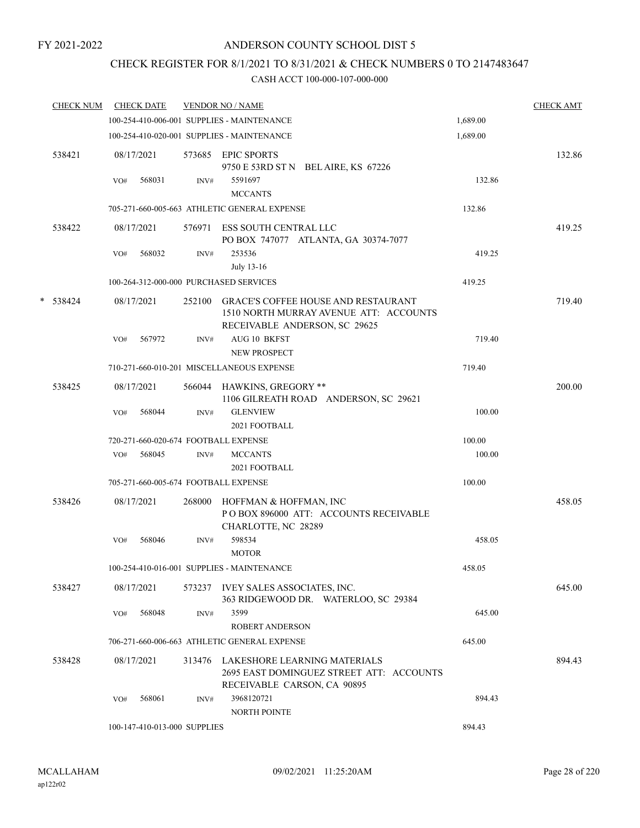## CHECK REGISTER FOR 8/1/2021 TO 8/31/2021 & CHECK NUMBERS 0 TO 2147483647

|   | <b>CHECK NUM</b> |     | <b>CHECK DATE</b>            |        | <b>VENDOR NO / NAME</b>                                                                                               |          | <b>CHECK AMT</b> |
|---|------------------|-----|------------------------------|--------|-----------------------------------------------------------------------------------------------------------------------|----------|------------------|
|   |                  |     |                              |        | 100-254-410-006-001 SUPPLIES - MAINTENANCE                                                                            | 1,689.00 |                  |
|   |                  |     |                              |        | 100-254-410-020-001 SUPPLIES - MAINTENANCE                                                                            | 1,689.00 |                  |
|   | 538421           |     | 08/17/2021                   |        | 573685 EPIC SPORTS<br>9750 E 53RD ST N BEL AIRE, KS 67226                                                             |          | 132.86           |
|   |                  | VO# | 568031                       | INV#   | 5591697<br><b>MCCANTS</b>                                                                                             | 132.86   |                  |
|   |                  |     |                              |        | 705-271-660-005-663 ATHLETIC GENERAL EXPENSE                                                                          | 132.86   |                  |
|   | 538422           |     | 08/17/2021                   |        | 576971 ESS SOUTH CENTRAL LLC<br>PO BOX 747077 ATLANTA, GA 30374-7077                                                  |          | 419.25           |
|   |                  | VO# | 568032                       | INV#   | 253536<br>July 13-16                                                                                                  | 419.25   |                  |
|   |                  |     |                              |        | 100-264-312-000-000 PURCHASED SERVICES                                                                                | 419.25   |                  |
| * | 538424           |     | 08/17/2021                   | 252100 | <b>GRACE'S COFFEE HOUSE AND RESTAURANT</b><br>1510 NORTH MURRAY AVENUE ATT: ACCOUNTS<br>RECEIVABLE ANDERSON, SC 29625 |          | 719.40           |
|   |                  | VO# | 567972                       | INV#   | <b>AUG 10 BKFST</b><br><b>NEW PROSPECT</b>                                                                            | 719.40   |                  |
|   |                  |     |                              |        | 710-271-660-010-201 MISCELLANEOUS EXPENSE                                                                             | 719.40   |                  |
|   | 538425           |     | 08/17/2021                   | 566044 | HAWKINS, GREGORY **<br>1106 GILREATH ROAD ANDERSON, SC 29621                                                          |          | 200.00           |
|   |                  | VO# | 568044                       | INV#   | <b>GLENVIEW</b><br>2021 FOOTBALL                                                                                      | 100.00   |                  |
|   |                  |     |                              |        | 720-271-660-020-674 FOOTBALL EXPENSE                                                                                  | 100.00   |                  |
|   |                  | VO# | 568045                       | INV#   | <b>MCCANTS</b><br>2021 FOOTBALL                                                                                       | 100.00   |                  |
|   |                  |     |                              |        | 705-271-660-005-674 FOOTBALL EXPENSE                                                                                  | 100.00   |                  |
|   | 538426           |     | 08/17/2021                   | 268000 | HOFFMAN & HOFFMAN, INC<br>PO BOX 896000 ATT: ACCOUNTS RECEIVABLE<br>CHARLOTTE, NC 28289                               |          | 458.05           |
|   |                  | VO# | 568046                       | INV#   | 598534<br><b>MOTOR</b>                                                                                                | 458.05   |                  |
|   |                  |     |                              |        | 100-254-410-016-001 SUPPLIES - MAINTENANCE                                                                            | 458.05   |                  |
|   | 538427           |     | 08/17/2021                   |        | 573237 IVEY SALES ASSOCIATES, INC.<br>363 RIDGEWOOD DR. WATERLOO, SC 29384                                            |          | 645.00           |
|   |                  | VO# | 568048                       | INV#   | 3599<br>ROBERT ANDERSON                                                                                               | 645.00   |                  |
|   |                  |     |                              |        | 706-271-660-006-663 ATHLETIC GENERAL EXPENSE                                                                          | 645.00   |                  |
|   | 538428           |     | 08/17/2021                   |        | 313476 LAKESHORE LEARNING MATERIALS<br>2695 EAST DOMINGUEZ STREET ATT: ACCOUNTS<br>RECEIVABLE CARSON, CA 90895        |          | 894.43           |
|   |                  | VO# | 568061                       | INV#   | 3968120721<br>NORTH POINTE                                                                                            | 894.43   |                  |
|   |                  |     | 100-147-410-013-000 SUPPLIES |        |                                                                                                                       | 894.43   |                  |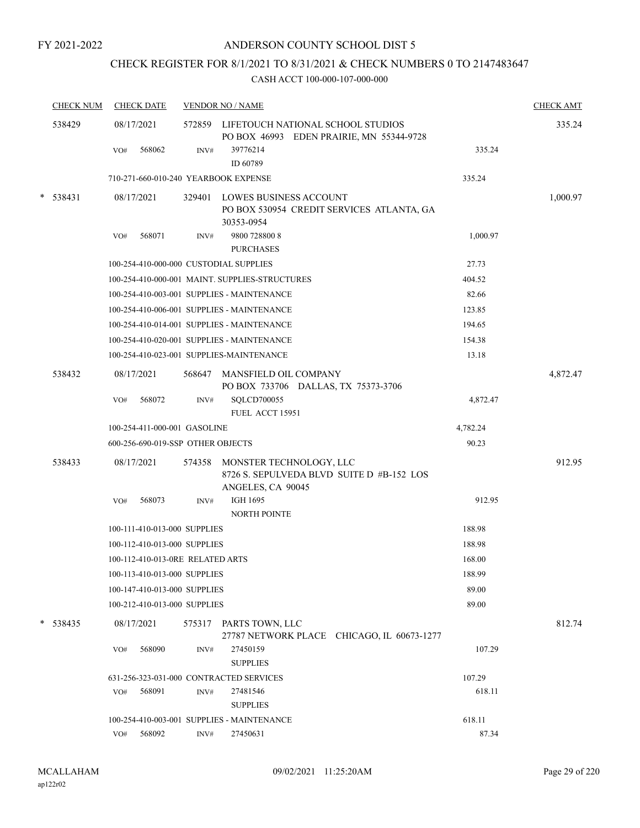## CHECK REGISTER FOR 8/1/2021 TO 8/31/2021 & CHECK NUMBERS 0 TO 2147483647

|        | <b>CHECK NUM</b> | <b>CHECK DATE</b>                       |        | <b>VENDOR NO / NAME</b>                                                                          |          | <b>CHECK AMT</b> |
|--------|------------------|-----------------------------------------|--------|--------------------------------------------------------------------------------------------------|----------|------------------|
|        | 538429           | 08/17/2021                              |        | 572859 LIFETOUCH NATIONAL SCHOOL STUDIOS<br>PO BOX 46993 EDEN PRAIRIE, MN 55344-9728             |          | 335.24           |
|        |                  | 568062<br>VO#                           | INV#   | 39776214<br>ID 60789                                                                             | 335.24   |                  |
|        |                  | 710-271-660-010-240 YEARBOOK EXPENSE    |        |                                                                                                  | 335.24   |                  |
| $\ast$ | 538431           | 08/17/2021                              | 329401 | LOWES BUSINESS ACCOUNT<br>PO BOX 530954 CREDIT SERVICES ATLANTA, GA<br>30353-0954                |          | 1,000.97         |
|        |                  | 568071<br>VO#                           | INV#   | 9800 728800 8<br><b>PURCHASES</b>                                                                | 1,000.97 |                  |
|        |                  | 100-254-410-000-000 CUSTODIAL SUPPLIES  |        |                                                                                                  | 27.73    |                  |
|        |                  |                                         |        | 100-254-410-000-001 MAINT. SUPPLIES-STRUCTURES                                                   | 404.52   |                  |
|        |                  |                                         |        | 100-254-410-003-001 SUPPLIES - MAINTENANCE                                                       | 82.66    |                  |
|        |                  |                                         |        | 100-254-410-006-001 SUPPLIES - MAINTENANCE                                                       | 123.85   |                  |
|        |                  |                                         |        | 100-254-410-014-001 SUPPLIES - MAINTENANCE                                                       | 194.65   |                  |
|        |                  |                                         |        | 100-254-410-020-001 SUPPLIES - MAINTENANCE                                                       | 154.38   |                  |
|        |                  |                                         |        | 100-254-410-023-001 SUPPLIES-MAINTENANCE                                                         | 13.18    |                  |
|        | 538432           | 08/17/2021                              | 568647 | MANSFIELD OIL COMPANY<br>PO BOX 733706 DALLAS, TX 75373-3706                                     |          | 4,872.47         |
|        |                  | 568072<br>VO#                           | INV#   | SQLCD700055<br>FUEL ACCT 15951                                                                   | 4,872.47 |                  |
|        |                  | 100-254-411-000-001 GASOLINE            |        |                                                                                                  | 4,782.24 |                  |
|        |                  | 600-256-690-019-SSP OTHER OBJECTS       |        |                                                                                                  | 90.23    |                  |
|        | 538433           | 08/17/2021                              |        | 574358 MONSTER TECHNOLOGY, LLC<br>8726 S. SEPULVEDA BLVD SUITE D #B-152 LOS<br>ANGELES, CA 90045 |          | 912.95           |
|        |                  | VO#<br>568073                           | INV#   | IGH 1695<br>NORTH POINTE                                                                         | 912.95   |                  |
|        |                  | 100-111-410-013-000 SUPPLIES            |        |                                                                                                  | 188.98   |                  |
|        |                  | 100-112-410-013-000 SUPPLIES            |        |                                                                                                  | 188.98   |                  |
|        |                  | 100-112-410-013-0RE RELATED ARTS        |        |                                                                                                  | 168.00   |                  |
|        |                  | 100-113-410-013-000 SUPPLIES            |        |                                                                                                  | 188.99   |                  |
|        |                  | 100-147-410-013-000 SUPPLIES            |        |                                                                                                  | 89.00    |                  |
|        |                  | 100-212-410-013-000 SUPPLIES            |        |                                                                                                  | 89.00    |                  |
|        | * 538435         | 08/17/2021                              | 575317 | PARTS TOWN, LLC<br>27787 NETWORK PLACE CHICAGO, IL 60673-1277                                    |          | 812.74           |
|        |                  | VO#<br>568090                           | INV#   | 27450159<br><b>SUPPLIES</b>                                                                      | 107.29   |                  |
|        |                  | 631-256-323-031-000 CONTRACTED SERVICES |        |                                                                                                  | 107.29   |                  |
|        |                  | 568091<br>VO#                           | INV#   | 27481546<br><b>SUPPLIES</b>                                                                      | 618.11   |                  |
|        |                  |                                         |        | 100-254-410-003-001 SUPPLIES - MAINTENANCE                                                       | 618.11   |                  |
|        |                  | VO# 568092                              | INV#   | 27450631                                                                                         | 87.34    |                  |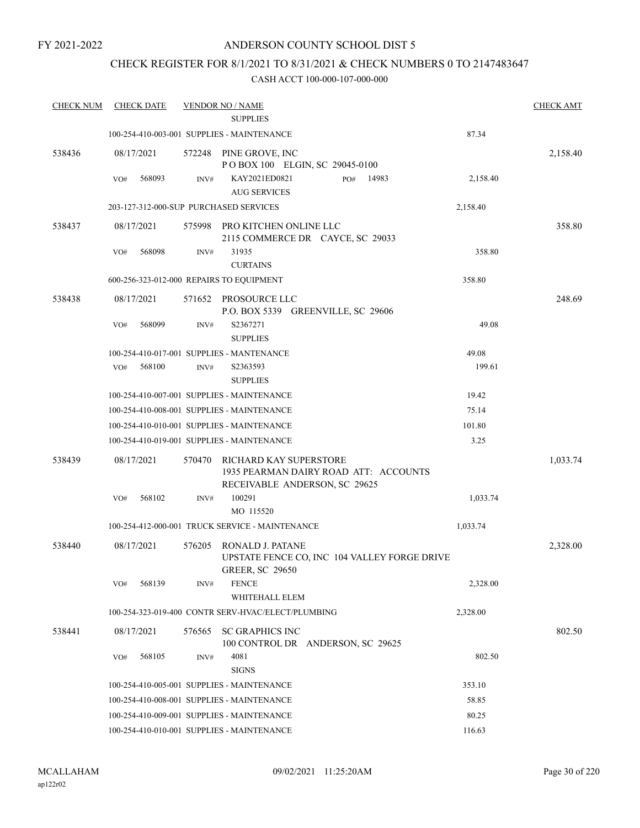## ANDERSON COUNTY SCHOOL DIST 5

## CHECK REGISTER FOR 8/1/2021 TO 8/31/2021 & CHECK NUMBERS 0 TO 2147483647

| <b>CHECK NUM</b> | <b>CHECK DATE</b>                        |        | <b>VENDOR NO / NAME</b><br><b>SUPPLIES</b>                             |          | <b>CHECK AMT</b> |
|------------------|------------------------------------------|--------|------------------------------------------------------------------------|----------|------------------|
|                  |                                          |        | 100-254-410-003-001 SUPPLIES - MAINTENANCE                             | 87.34    |                  |
|                  |                                          |        |                                                                        |          |                  |
| 538436           | 08/17/2021                               | 572248 | PINE GROVE, INC<br>POBOX 100 ELGIN, SC 29045-0100                      |          | 2,158.40         |
|                  | 568093<br>VO#                            | INV#   | KAY2021ED0821<br>PO#<br>14983                                          | 2,158.40 |                  |
|                  |                                          |        | <b>AUG SERVICES</b>                                                    |          |                  |
|                  | 203-127-312-000-SUP PURCHASED SERVICES   |        |                                                                        | 2,158.40 |                  |
| 538437           | 08/17/2021                               | 575998 | PRO KITCHEN ONLINE LLC                                                 |          | 358.80           |
|                  |                                          |        | 2115 COMMERCE DR CAYCE, SC 29033                                       |          |                  |
|                  | 568098<br>VO#                            | INV#   | 31935<br><b>CURTAINS</b>                                               | 358.80   |                  |
|                  | 600-256-323-012-000 REPAIRS TO EQUIPMENT |        |                                                                        | 358.80   |                  |
| 538438           | 08/17/2021                               |        | 571652 PROSOURCE LLC                                                   |          | 248.69           |
|                  |                                          |        | P.O. BOX 5339 GREENVILLE, SC 29606                                     |          |                  |
|                  | 568099<br>VO#                            | INV#   | S2367271                                                               | 49.08    |                  |
|                  |                                          |        | <b>SUPPLIES</b>                                                        |          |                  |
|                  |                                          |        | 100-254-410-017-001 SUPPLIES - MANTENANCE                              | 49.08    |                  |
|                  | 568100<br>VO#                            | INV#   | S2363593                                                               | 199.61   |                  |
|                  |                                          |        | <b>SUPPLIES</b>                                                        |          |                  |
|                  |                                          |        | 100-254-410-007-001 SUPPLIES - MAINTENANCE                             | 19.42    |                  |
|                  |                                          |        | 100-254-410-008-001 SUPPLIES - MAINTENANCE                             | 75.14    |                  |
|                  |                                          |        | 100-254-410-010-001 SUPPLIES - MAINTENANCE                             | 101.80   |                  |
|                  |                                          |        | 100-254-410-019-001 SUPPLIES - MAINTENANCE                             | 3.25     |                  |
| 538439           | 08/17/2021                               | 570470 | RICHARD KAY SUPERSTORE                                                 |          | 1,033.74         |
|                  |                                          |        | 1935 PEARMAN DAIRY ROAD ATT: ACCOUNTS<br>RECEIVABLE ANDERSON, SC 29625 |          |                  |
|                  | 568102<br>VO#                            | INV#   | 100291                                                                 | 1,033.74 |                  |
|                  |                                          |        | MO 115520                                                              |          |                  |
|                  |                                          |        | 100-254-412-000-001 TRUCK SERVICE - MAINTENANCE                        | 1,033.74 |                  |
| 538440           | 08/17/2021                               | 576205 | RONALD J. PATANE                                                       |          | 2,328.00         |
|                  |                                          |        | UPSTATE FENCE CO, INC 104 VALLEY FORGE DRIVE<br><b>GREER, SC 29650</b> |          |                  |
|                  | 568139<br>VO#                            | INV#   | <b>FENCE</b>                                                           | 2,328.00 |                  |
|                  |                                          |        | WHITEHALL ELEM                                                         |          |                  |
|                  |                                          |        | 100-254-323-019-400 CONTR SERV-HVAC/ELECT/PLUMBING                     | 2,328.00 |                  |
| 538441           | 08/17/2021                               | 576565 | <b>SC GRAPHICS INC</b><br>100 CONTROL DR ANDERSON, SC 29625            |          | 802.50           |
|                  | 568105<br>VO#                            | INV#   | 4081                                                                   | 802.50   |                  |
|                  |                                          |        | <b>SIGNS</b>                                                           |          |                  |
|                  |                                          |        | 100-254-410-005-001 SUPPLIES - MAINTENANCE                             | 353.10   |                  |
|                  |                                          |        | 100-254-410-008-001 SUPPLIES - MAINTENANCE                             | 58.85    |                  |
|                  |                                          |        | 100-254-410-009-001 SUPPLIES - MAINTENANCE                             | 80.25    |                  |
|                  |                                          |        | 100-254-410-010-001 SUPPLIES - MAINTENANCE                             | 116.63   |                  |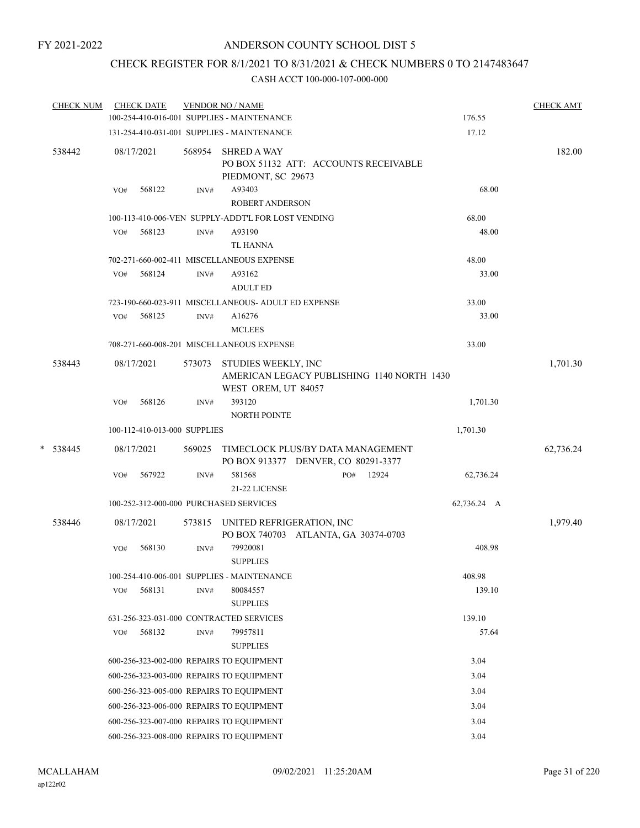## CHECK REGISTER FOR 8/1/2021 TO 8/31/2021 & CHECK NUMBERS 0 TO 2147483647

|   | <b>CHECK NUM</b> |     | <b>CHECK DATE</b>            |        | <b>VENDOR NO / NAME</b>                                      |                                                                          |                | <b>CHECK AMT</b> |
|---|------------------|-----|------------------------------|--------|--------------------------------------------------------------|--------------------------------------------------------------------------|----------------|------------------|
|   |                  |     |                              |        | 100-254-410-016-001 SUPPLIES - MAINTENANCE                   |                                                                          | 176.55         |                  |
|   |                  |     |                              |        | 131-254-410-031-001 SUPPLIES - MAINTENANCE                   |                                                                          | 17.12          |                  |
|   | 538442           |     | 08/17/2021                   | 568954 | <b>SHRED A WAY</b><br>PIEDMONT, SC 29673                     | PO BOX 51132 ATT: ACCOUNTS RECEIVABLE                                    |                | 182.00           |
|   |                  | VO# | 568122                       | INV#   | A93403<br><b>ROBERT ANDERSON</b>                             |                                                                          | 68.00          |                  |
|   |                  |     |                              |        |                                                              |                                                                          |                |                  |
|   |                  | VO# | 568123                       | INV#   | 100-113-410-006-VEN SUPPLY-ADDT'L FOR LOST VENDING<br>A93190 |                                                                          | 68.00<br>48.00 |                  |
|   |                  |     |                              |        | <b>TL HANNA</b>                                              |                                                                          |                |                  |
|   |                  |     |                              |        | 702-271-660-002-411 MISCELLANEOUS EXPENSE                    |                                                                          | 48.00          |                  |
|   |                  | VO# | 568124                       | INV#   | A93162<br><b>ADULT ED</b>                                    |                                                                          | 33.00          |                  |
|   |                  |     |                              |        | 723-190-660-023-911 MISCELLANEOUS- ADULT ED EXPENSE          |                                                                          | 33.00          |                  |
|   |                  | VO# | 568125                       | INV#   | A16276<br><b>MCLEES</b>                                      |                                                                          | 33.00          |                  |
|   |                  |     |                              |        | 708-271-660-008-201 MISCELLANEOUS EXPENSE                    |                                                                          | 33.00          |                  |
|   | 538443           |     | 08/17/2021                   | 573073 | STUDIES WEEKLY, INC<br>WEST OREM, UT 84057                   | AMERICAN LEGACY PUBLISHING 1140 NORTH 1430                               |                | 1,701.30         |
|   |                  | VO# | 568126                       | INV#   | 393120<br>NORTH POINTE                                       |                                                                          | 1,701.30       |                  |
|   |                  |     | 100-112-410-013-000 SUPPLIES |        |                                                              |                                                                          | 1,701.30       |                  |
| * | 538445           |     | 08/17/2021                   | 569025 |                                                              | TIMECLOCK PLUS/BY DATA MANAGEMENT<br>PO BOX 913377 DENVER, CO 80291-3377 |                | 62,736.24        |
|   |                  | VO# | 567922                       | INV#   | 581568<br>21-22 LICENSE                                      | 12924<br>PO#                                                             | 62,736.24      |                  |
|   |                  |     |                              |        | 100-252-312-000-000 PURCHASED SERVICES                       |                                                                          | 62,736.24 A    |                  |
|   | 538446           |     | 08/17/2021                   | 573815 | UNITED REFRIGERATION, INC                                    | PO BOX 740703 ATLANTA, GA 30374-0703                                     |                | 1,979.40         |
|   |                  | VO# | 568130                       | INV#   | 79920081<br><b>SUPPLIES</b>                                  |                                                                          | 408.98         |                  |
|   |                  |     |                              |        | 100-254-410-006-001 SUPPLIES - MAINTENANCE                   |                                                                          | 408.98         |                  |
|   |                  | VO# | 568131                       | INV#   | 80084557<br><b>SUPPLIES</b>                                  |                                                                          | 139.10         |                  |
|   |                  |     |                              |        | 631-256-323-031-000 CONTRACTED SERVICES                      |                                                                          | 139.10         |                  |
|   |                  | VO# | 568132                       | INV#   | 79957811                                                     |                                                                          | 57.64          |                  |
|   |                  |     |                              |        | <b>SUPPLIES</b>                                              |                                                                          |                |                  |
|   |                  |     |                              |        | 600-256-323-002-000 REPAIRS TO EQUIPMENT                     |                                                                          | 3.04           |                  |
|   |                  |     |                              |        | 600-256-323-003-000 REPAIRS TO EQUIPMENT                     |                                                                          | 3.04           |                  |
|   |                  |     |                              |        | 600-256-323-005-000 REPAIRS TO EQUIPMENT                     |                                                                          | 3.04           |                  |
|   |                  |     |                              |        | 600-256-323-006-000 REPAIRS TO EQUIPMENT                     |                                                                          | 3.04           |                  |
|   |                  |     |                              |        | 600-256-323-007-000 REPAIRS TO EQUIPMENT                     |                                                                          | 3.04           |                  |
|   |                  |     |                              |        | 600-256-323-008-000 REPAIRS TO EQUIPMENT                     |                                                                          | 3.04           |                  |
|   |                  |     |                              |        |                                                              |                                                                          |                |                  |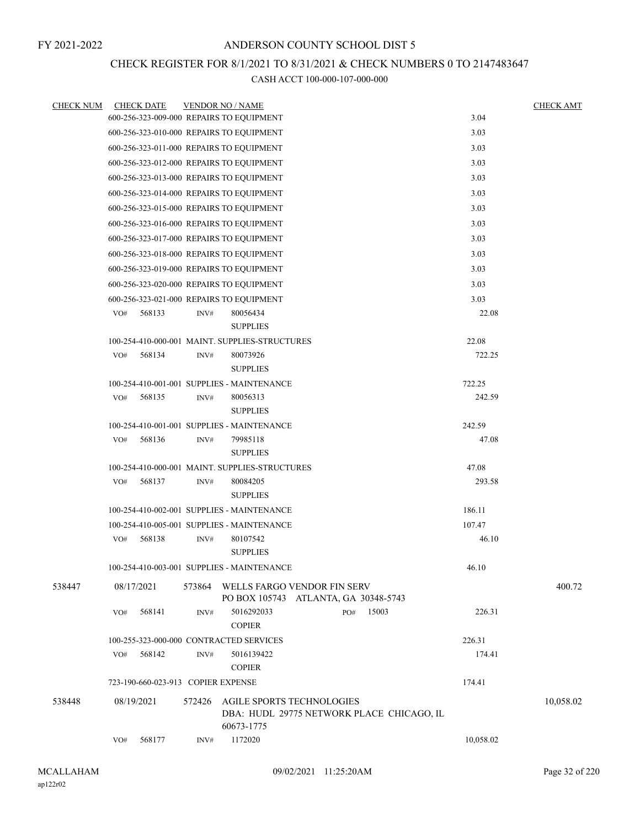## CHECK REGISTER FOR 8/1/2021 TO 8/31/2021 & CHECK NUMBERS 0 TO 2147483647

| <b>CHECK NUM</b> | <b>CHECK DATE</b> | <b>VENDOR NO / NAME</b>                                                          |           | <b>CHECK AMT</b> |
|------------------|-------------------|----------------------------------------------------------------------------------|-----------|------------------|
|                  |                   | 600-256-323-009-000 REPAIRS TO EQUIPMENT                                         | 3.04      |                  |
|                  |                   | 600-256-323-010-000 REPAIRS TO EQUIPMENT                                         | 3.03      |                  |
|                  |                   | 600-256-323-011-000 REPAIRS TO EQUIPMENT                                         | 3.03      |                  |
|                  |                   | 600-256-323-012-000 REPAIRS TO EQUIPMENT                                         | 3.03      |                  |
|                  |                   | 600-256-323-013-000 REPAIRS TO EQUIPMENT                                         | 3.03      |                  |
|                  |                   | 600-256-323-014-000 REPAIRS TO EQUIPMENT                                         | 3.03      |                  |
|                  |                   | 600-256-323-015-000 REPAIRS TO EQUIPMENT                                         | 3.03      |                  |
|                  |                   | 600-256-323-016-000 REPAIRS TO EQUIPMENT                                         | 3.03      |                  |
|                  |                   | 600-256-323-017-000 REPAIRS TO EQUIPMENT                                         | 3.03      |                  |
|                  |                   | 600-256-323-018-000 REPAIRS TO EQUIPMENT                                         | 3.03      |                  |
|                  |                   | 600-256-323-019-000 REPAIRS TO EQUIPMENT                                         | 3.03      |                  |
|                  |                   | 600-256-323-020-000 REPAIRS TO EQUIPMENT                                         | 3.03      |                  |
|                  |                   | 600-256-323-021-000 REPAIRS TO EQUIPMENT                                         | 3.03      |                  |
|                  | 568133<br>VO#     | 80056434<br>INV#                                                                 | 22.08     |                  |
|                  |                   | <b>SUPPLIES</b>                                                                  |           |                  |
|                  |                   | 100-254-410-000-001 MAINT, SUPPLIES-STRUCTURES                                   | 22.08     |                  |
|                  | 568134<br>VO#     | 80073926<br>INV#                                                                 | 722.25    |                  |
|                  |                   | <b>SUPPLIES</b>                                                                  |           |                  |
|                  |                   | 100-254-410-001-001 SUPPLIES - MAINTENANCE                                       | 722.25    |                  |
|                  | 568135<br>VO#     | INV#<br>80056313<br><b>SUPPLIES</b>                                              | 242.59    |                  |
|                  |                   | 100-254-410-001-001 SUPPLIES - MAINTENANCE                                       | 242.59    |                  |
|                  | 568136<br>VO#     | 79985118<br>INV#                                                                 | 47.08     |                  |
|                  |                   | <b>SUPPLIES</b>                                                                  |           |                  |
|                  |                   | 100-254-410-000-001 MAINT. SUPPLIES-STRUCTURES                                   | 47.08     |                  |
|                  | VO#<br>568137     | 80084205<br>INV#                                                                 | 293.58    |                  |
|                  |                   | <b>SUPPLIES</b>                                                                  |           |                  |
|                  |                   | 100-254-410-002-001 SUPPLIES - MAINTENANCE                                       | 186.11    |                  |
|                  |                   | 100-254-410-005-001 SUPPLIES - MAINTENANCE                                       | 107.47    |                  |
|                  | 568138<br>VO#     | 80107542<br>INV#                                                                 | 46.10     |                  |
|                  |                   | <b>SUPPLIES</b>                                                                  |           |                  |
|                  |                   | 100-254-410-003-001 SUPPLIES - MAINTENANCE                                       | 46.10     |                  |
| 538447           | 08/17/2021        | 573864<br>WELLS FARGO VENDOR FIN SERV<br>PO BOX 105743 ATLANTA, GA 30348-5743    |           | 400.72           |
|                  | 568141<br>VO#     | 15003<br>5016292033<br>PO#<br>INV#                                               | 226.31    |                  |
|                  |                   | <b>COPIER</b>                                                                    |           |                  |
|                  |                   | 100-255-323-000-000 CONTRACTED SERVICES                                          | 226.31    |                  |
|                  | VO#<br>568142     | 5016139422<br>INV#                                                               | 174.41    |                  |
|                  |                   | <b>COPIER</b>                                                                    |           |                  |
|                  |                   | 723-190-660-023-913 COPIER EXPENSE                                               | 174.41    |                  |
| 538448           | 08/19/2021        | 572426<br>AGILE SPORTS TECHNOLOGIES<br>DBA: HUDL 29775 NETWORK PLACE CHICAGO, IL |           | 10,058.02        |
|                  |                   | 60673-1775                                                                       |           |                  |
|                  | 568177<br>VO#     | 1172020<br>INV#                                                                  | 10,058.02 |                  |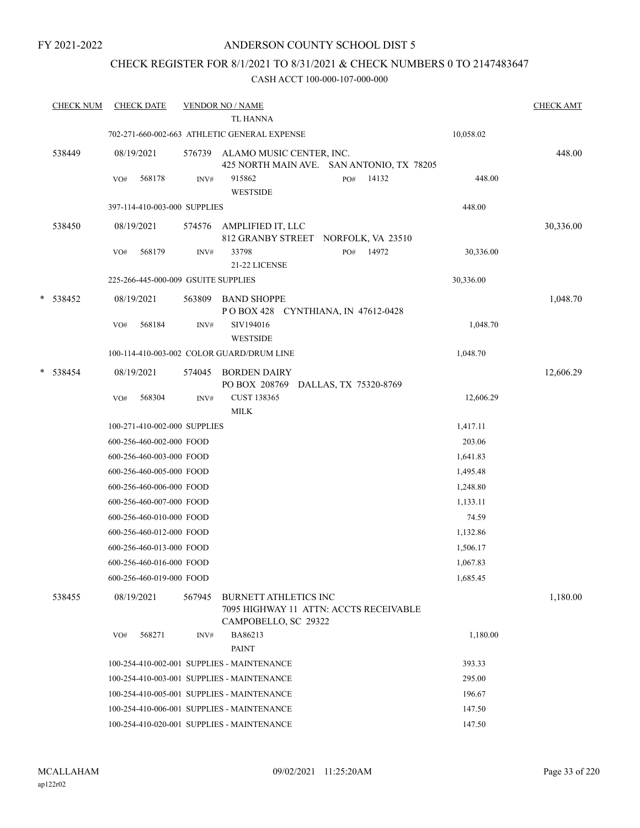## ANDERSON COUNTY SCHOOL DIST 5

## CHECK REGISTER FOR 8/1/2021 TO 8/31/2021 & CHECK NUMBERS 0 TO 2147483647

| <b>CHECK NUM</b> | <b>CHECK DATE</b>                   |        | <b>VENDOR NO / NAME</b><br><b>TL HANNA</b>                                                     |                    | <b>CHECK AMT</b> |
|------------------|-------------------------------------|--------|------------------------------------------------------------------------------------------------|--------------------|------------------|
|                  |                                     |        | 702-271-660-002-663 ATHLETIC GENERAL EXPENSE                                                   | 10,058.02          |                  |
| 538449           | 08/19/2021                          | 576739 | ALAMO MUSIC CENTER, INC.<br>425 NORTH MAIN AVE. SAN ANTONIO, TX 78205                          |                    | 448.00           |
|                  | 568178<br>VO#                       | INV#   | 915862<br>PO#<br><b>WESTSIDE</b>                                                               | 14132<br>448.00    |                  |
|                  | 397-114-410-003-000 SUPPLIES        |        |                                                                                                | 448.00             |                  |
| 538450           | 08/19/2021                          | 574576 | AMPLIFIED IT, LLC<br>812 GRANBY STREET NORFOLK, VA 23510                                       |                    | 30,336.00        |
|                  | 568179<br>VO#                       | INV#   | 33798<br>PO#<br>21-22 LICENSE                                                                  | 14972<br>30,336.00 |                  |
|                  | 225-266-445-000-009 GSUITE SUPPLIES |        |                                                                                                | 30,336.00          |                  |
| * 538452         | 08/19/2021                          | 563809 | <b>BAND SHOPPE</b><br>POBOX 428 CYNTHIANA, IN 47612-0428                                       |                    | 1,048.70         |
|                  | 568184<br>VO#                       | INV#   | SIV194016<br><b>WESTSIDE</b>                                                                   | 1,048.70           |                  |
|                  |                                     |        | 100-114-410-003-002 COLOR GUARD/DRUM LINE                                                      | 1,048.70           |                  |
| * 538454         | 08/19/2021                          | 574045 | <b>BORDEN DAIRY</b><br>PO BOX 208769 DALLAS, TX 75320-8769                                     |                    | 12,606.29        |
|                  | 568304<br>VO#                       | INV#   | <b>CUST 138365</b><br><b>MILK</b>                                                              | 12,606.29          |                  |
|                  | 100-271-410-002-000 SUPPLIES        |        |                                                                                                | 1,417.11           |                  |
|                  | 600-256-460-002-000 FOOD            |        |                                                                                                | 203.06             |                  |
|                  | 600-256-460-003-000 FOOD            |        |                                                                                                | 1,641.83           |                  |
|                  | 600-256-460-005-000 FOOD            |        |                                                                                                | 1,495.48           |                  |
|                  | 600-256-460-006-000 FOOD            |        |                                                                                                | 1,248.80           |                  |
|                  | 600-256-460-007-000 FOOD            |        |                                                                                                | 1,133.11           |                  |
|                  | 600-256-460-010-000 FOOD            |        |                                                                                                | 74.59              |                  |
|                  | 600-256-460-012-000 FOOD            |        |                                                                                                | 1,132.86           |                  |
|                  | 600-256-460-013-000 FOOD            |        |                                                                                                | 1,506.17           |                  |
|                  | 600-256-460-016-000 FOOD            |        |                                                                                                | 1,067.83           |                  |
|                  | 600-256-460-019-000 FOOD            |        |                                                                                                | 1,685.45           |                  |
| 538455           | 08/19/2021                          | 567945 | <b>BURNETT ATHLETICS INC</b><br>7095 HIGHWAY 11 ATTN: ACCTS RECEIVABLE<br>CAMPOBELLO, SC 29322 |                    | 1,180.00         |
|                  | 568271<br>VO#                       | INV#   | BA86213<br><b>PAINT</b>                                                                        | 1,180.00           |                  |
|                  |                                     |        | 100-254-410-002-001 SUPPLIES - MAINTENANCE                                                     | 393.33             |                  |
|                  |                                     |        | 100-254-410-003-001 SUPPLIES - MAINTENANCE                                                     | 295.00             |                  |
|                  |                                     |        | 100-254-410-005-001 SUPPLIES - MAINTENANCE                                                     | 196.67             |                  |
|                  |                                     |        | 100-254-410-006-001 SUPPLIES - MAINTENANCE                                                     | 147.50             |                  |
|                  |                                     |        | 100-254-410-020-001 SUPPLIES - MAINTENANCE                                                     | 147.50             |                  |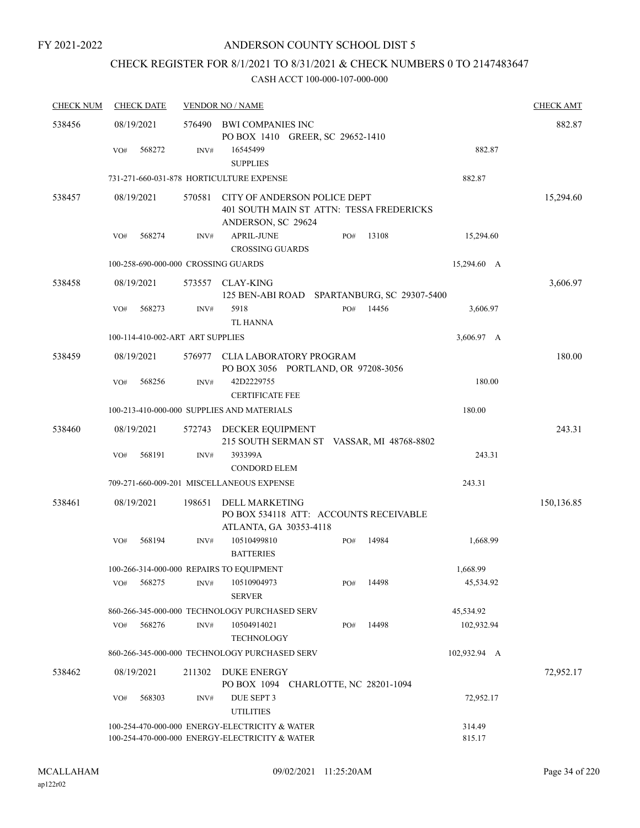## CHECK REGISTER FOR 8/1/2021 TO 8/31/2021 & CHECK NUMBERS 0 TO 2147483647

| <b>CHECK NUM</b> | <b>CHECK DATE</b>                        |                  | <b>VENDOR NO / NAME</b>                                                                          | <b>CHECK AMT</b> |
|------------------|------------------------------------------|------------------|--------------------------------------------------------------------------------------------------|------------------|
| 538456           | 08/19/2021                               | 576490           | <b>BWI COMPANIES INC</b><br>PO BOX 1410 GREER, SC 29652-1410                                     | 882.87           |
|                  | 568272<br>VO#                            | INV#             | 16545499<br><b>SUPPLIES</b>                                                                      | 882.87           |
|                  |                                          |                  | 731-271-660-031-878 HORTICULTURE EXPENSE                                                         | 882.87           |
| 538457           | 08/19/2021                               | 570581           | CITY OF ANDERSON POLICE DEPT<br>401 SOUTH MAIN ST ATTN: TESSA FREDERICKS                         | 15,294.60        |
|                  | 568274<br>VO#                            | INV#             | ANDERSON, SC 29624<br><b>APRIL-JUNE</b><br>13108<br>PO#<br><b>CROSSING GUARDS</b>                | 15,294.60        |
|                  | 100-258-690-000-000 CROSSING GUARDS      |                  |                                                                                                  | 15,294.60 A      |
| 538458           | 08/19/2021                               | 573557           | <b>CLAY-KING</b><br>125 BEN-ABI ROAD SPARTANBURG, SC 29307-5400                                  | 3,606.97         |
|                  | 568273<br>VO#                            | INV#             | 5918<br>PO#<br>14456<br><b>TL HANNA</b>                                                          | 3,606.97         |
|                  | 100-114-410-002-ART ART SUPPLIES         |                  |                                                                                                  | 3,606.97 A       |
| 538459           | 08/19/2021                               |                  | 576977 CLIA LABORATORY PROGRAM<br>PO BOX 3056 PORTLAND, OR 97208-3056                            | 180.00           |
|                  | 568256<br>VO#                            | INV#             | 42D2229755<br><b>CERTIFICATE FEE</b>                                                             | 180.00           |
|                  |                                          |                  | 100-213-410-000-000 SUPPLIES AND MATERIALS                                                       | 180.00           |
| 538460           | 08/19/2021                               | 572743           | DECKER EQUIPMENT<br>215 SOUTH SERMAN ST VASSAR, MI 48768-8802                                    | 243.31           |
|                  | 568191<br>VO#                            | INV#             | 393399A<br><b>CONDORD ELEM</b>                                                                   | 243.31           |
|                  |                                          |                  | 709-271-660-009-201 MISCELLANEOUS EXPENSE                                                        | 243.31           |
| 538461           | 08/19/2021                               | 198651           | <b>DELL MARKETING</b><br>PO BOX 534118 ATT: ACCOUNTS RECEIVABLE<br>ATLANTA, GA 30353-4118        | 150,136.85       |
|                  | 568194<br>VO#                            | INV#             | 10510499810<br>14984<br>PO#<br><b>BATTERIES</b>                                                  | 1,668.99         |
|                  | 100-266-314-000-000 REPAIRS TO EQUIPMENT |                  |                                                                                                  | 1,668.99         |
|                  | 568275<br>VO#                            | INV#             | 10510904973<br>14498<br>PO#<br><b>SERVER</b>                                                     | 45,534.92        |
|                  |                                          |                  | 860-266-345-000-000 TECHNOLOGY PURCHASED SERV                                                    | 45,534.92        |
|                  | 568276<br>VO#                            | $\mathrm{INV}\#$ | 14498<br>10504914021<br>PO#<br><b>TECHNOLOGY</b>                                                 | 102,932.94       |
|                  |                                          |                  | 860-266-345-000-000 TECHNOLOGY PURCHASED SERV                                                    | 102,932.94 A     |
| 538462           | 08/19/2021                               | 211302           | DUKE ENERGY<br>PO BOX 1094 CHARLOTTE, NC 28201-1094                                              | 72,952.17        |
|                  | 568303<br>VO#                            | INV#             | DUE SEPT 3<br><b>UTILITIES</b>                                                                   | 72,952.17        |
|                  |                                          |                  | 100-254-470-000-000 ENERGY-ELECTRICITY & WATER<br>100-254-470-000-000 ENERGY-ELECTRICITY & WATER | 314.49<br>815.17 |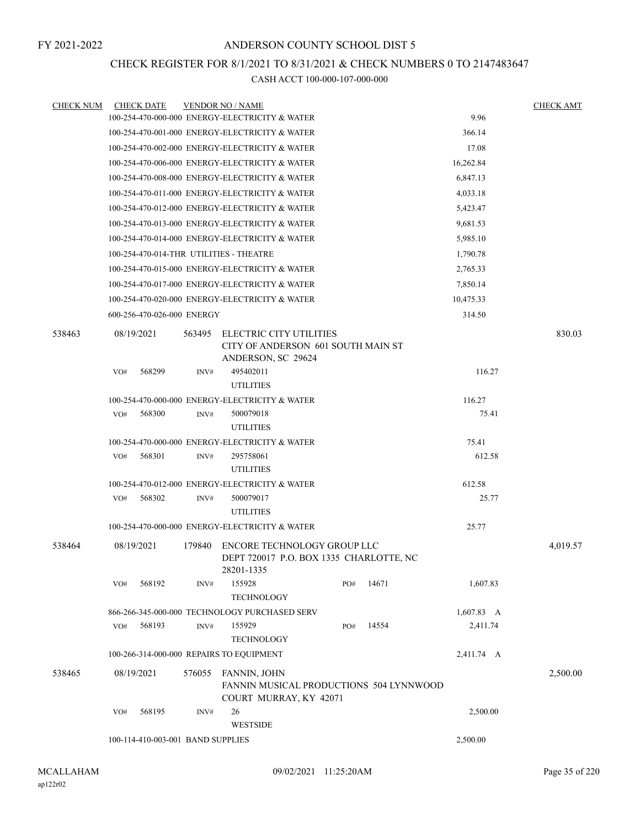## CHECK REGISTER FOR 8/1/2021 TO 8/31/2021 & CHECK NUMBERS 0 TO 2147483647

| <b>CHECK NUM</b> | <b>CHECK DATE</b>                        |        | <b>VENDOR NO / NAME</b>                                                                         |     |          |                    | <b>CHECK AMT</b> |
|------------------|------------------------------------------|--------|-------------------------------------------------------------------------------------------------|-----|----------|--------------------|------------------|
|                  |                                          |        | 100-254-470-000-000 ENERGY-ELECTRICITY & WATER                                                  |     |          | 9.96               |                  |
|                  |                                          |        | 100-254-470-001-000 ENERGY-ELECTRICITY & WATER                                                  |     |          | 366.14             |                  |
|                  |                                          |        | 100-254-470-002-000 ENERGY-ELECTRICITY & WATER                                                  |     |          | 17.08              |                  |
|                  |                                          |        | 100-254-470-006-000 ENERGY-ELECTRICITY & WATER                                                  |     |          | 16,262.84          |                  |
|                  |                                          |        | 100-254-470-008-000 ENERGY-ELECTRICITY & WATER                                                  |     |          | 6,847.13           |                  |
|                  |                                          |        | 100-254-470-011-000 ENERGY-ELECTRICITY & WATER                                                  |     | 4,033.18 |                    |                  |
|                  |                                          |        | 100-254-470-012-000 ENERGY-ELECTRICITY & WATER                                                  |     |          | 5,423.47           |                  |
|                  |                                          |        | 100-254-470-013-000 ENERGY-ELECTRICITY & WATER                                                  |     |          | 9,681.53           |                  |
|                  |                                          |        | 100-254-470-014-000 ENERGY-ELECTRICITY & WATER                                                  |     |          | 5,985.10           |                  |
|                  | 100-254-470-014-THR UTILITIES - THEATRE  |        |                                                                                                 |     |          | 1,790.78           |                  |
|                  |                                          |        | 100-254-470-015-000 ENERGY-ELECTRICITY & WATER                                                  |     |          | 2,765.33           |                  |
|                  |                                          |        | 100-254-470-017-000 ENERGY-ELECTRICITY & WATER                                                  |     |          | 7,850.14           |                  |
|                  |                                          |        | 100-254-470-020-000 ENERGY-ELECTRICITY & WATER                                                  |     |          | 10,475.33          |                  |
|                  | 600-256-470-026-000 ENERGY               |        |                                                                                                 |     |          | 314.50             |                  |
| 538463           | 08/19/2021                               | 563495 | ELECTRIC CITY UTILITIES                                                                         |     |          |                    | 830.03           |
|                  |                                          |        | CITY OF ANDERSON 601 SOUTH MAIN ST                                                              |     |          |                    |                  |
|                  |                                          |        | ANDERSON, SC 29624                                                                              |     |          |                    |                  |
|                  | 568299<br>VO#                            | INV#   | 495402011                                                                                       |     |          | 116.27             |                  |
|                  |                                          |        | <b>UTILITIES</b>                                                                                |     |          |                    |                  |
|                  |                                          |        | 100-254-470-000-000 ENERGY-ELECTRICITY & WATER                                                  |     |          | 116.27             |                  |
|                  | VO#<br>568300                            | INV#   | 500079018<br><b>UTILITIES</b>                                                                   |     |          | 75.41              |                  |
|                  |                                          |        | 100-254-470-000-000 ENERGY-ELECTRICITY & WATER                                                  |     |          | 75.41              |                  |
|                  | 568301<br>VO#                            | INV#   | 295758061<br><b>UTILITIES</b>                                                                   |     |          | 612.58             |                  |
|                  |                                          |        | 100-254-470-012-000 ENERGY-ELECTRICITY & WATER                                                  |     |          | 612.58             |                  |
|                  | VO#<br>568302                            | INV#   | 500079017                                                                                       |     |          | 25.77              |                  |
|                  |                                          |        | <b>UTILITIES</b>                                                                                |     |          |                    |                  |
|                  |                                          |        | 100-254-470-000-000 ENERGY-ELECTRICITY & WATER                                                  |     |          | 25.77              |                  |
|                  |                                          |        |                                                                                                 |     |          |                    |                  |
| 538464           | 08/19/2021                               | 179840 | ENCORE TECHNOLOGY GROUP LLC<br>DEPT 720017 P.O. BOX 1335 CHARLOTTE, NC<br>28201-1335            |     |          |                    | 4,019.57         |
|                  | 568192<br>VO#                            | INV#   | 155928<br><b>TECHNOLOGY</b>                                                                     | PO# | 14671    | 1,607.83           |                  |
|                  |                                          |        | 866-266-345-000-000 TECHNOLOGY PURCHASED SERV                                                   |     |          | $1,607.83 \quad A$ |                  |
|                  | 568193<br>VO#                            | INV#   | 155929<br><b>TECHNOLOGY</b>                                                                     | PO# | 14554    | 2,411.74           |                  |
|                  | 100-266-314-000-000 REPAIRS TO EQUIPMENT |        |                                                                                                 |     |          | 2,411.74 A         |                  |
| 538465           | 08/19/2021                               | 576055 | <b>FANNIN, JOHN</b><br><b>FANNIN MUSICAL PRODUCTIONS 504 LYNNWOOD</b><br>COURT MURRAY, KY 42071 |     |          |                    | 2,500.00         |
|                  | 568195<br>VO#                            | INV#   | 26<br><b>WESTSIDE</b>                                                                           |     |          | 2,500.00           |                  |
|                  | 100-114-410-003-001 BAND SUPPLIES        |        |                                                                                                 |     |          | 2,500.00           |                  |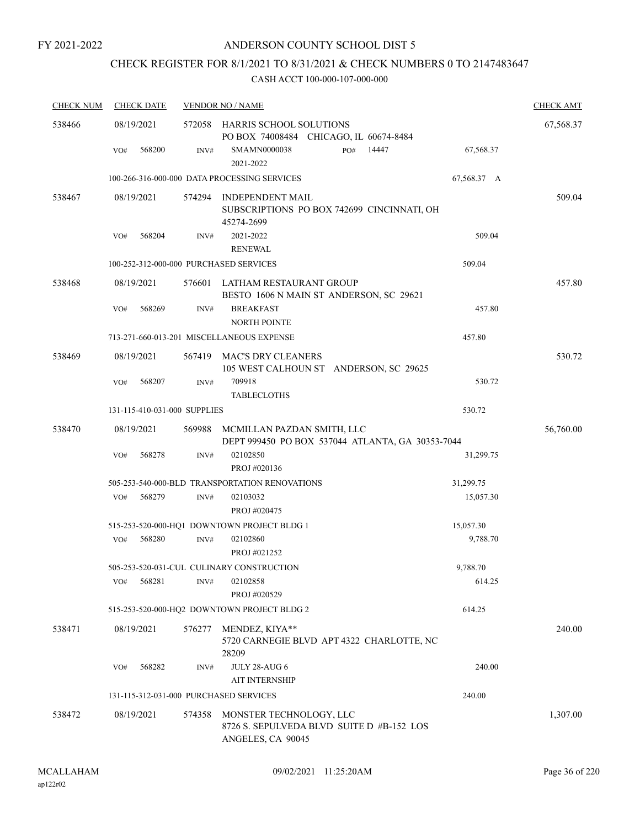## ANDERSON COUNTY SCHOOL DIST 5

## CHECK REGISTER FOR 8/1/2021 TO 8/31/2021 & CHECK NUMBERS 0 TO 2147483647

| <b>CHECK NUM</b> | <b>CHECK DATE</b>                      |        | <b>VENDOR NO / NAME</b>                                                                   |             | <b>CHECK AMT</b> |
|------------------|----------------------------------------|--------|-------------------------------------------------------------------------------------------|-------------|------------------|
| 538466           | 08/19/2021                             |        | 572058 HARRIS SCHOOL SOLUTIONS<br>PO BOX 74008484 CHICAGO, IL 60674-8484                  |             | 67,568.37        |
|                  | 568200<br>VO#                          | INV#   | 14447<br><b>SMAMN0000038</b><br>PO#<br>2021-2022                                          | 67,568.37   |                  |
|                  |                                        |        | 100-266-316-000-000 DATA PROCESSING SERVICES                                              | 67,568.37 A |                  |
| 538467           | 08/19/2021                             | 574294 | INDEPENDENT MAIL<br>SUBSCRIPTIONS PO BOX 742699 CINCINNATI, OH<br>45274-2699              |             | 509.04           |
|                  | 568204<br>VO#                          | INV#   | 2021-2022<br><b>RENEWAL</b>                                                               | 509.04      |                  |
|                  | 100-252-312-000-000 PURCHASED SERVICES |        |                                                                                           | 509.04      |                  |
| 538468           | 08/19/2021                             |        | 576601 LATHAM RESTAURANT GROUP<br>BESTO 1606 N MAIN ST ANDERSON, SC 29621                 |             | 457.80           |
|                  | 568269<br>VO#                          | INV#   | <b>BREAKFAST</b><br>NORTH POINTE                                                          | 457.80      |                  |
|                  |                                        |        | 713-271-660-013-201 MISCELLANEOUS EXPENSE                                                 | 457.80      |                  |
| 538469           | 08/19/2021                             | 567419 | MAC'S DRY CLEANERS<br>105 WEST CALHOUN ST ANDERSON, SC 29625                              |             | 530.72           |
|                  | 568207<br>VO#                          | INV#   | 709918<br><b>TABLECLOTHS</b>                                                              | 530.72      |                  |
|                  | 131-115-410-031-000 SUPPLIES           |        |                                                                                           | 530.72      |                  |
| 538470           | 08/19/2021                             | 569988 | MCMILLAN PAZDAN SMITH, LLC<br>DEPT 999450 PO BOX 537044 ATLANTA, GA 30353-7044            |             | 56,760.00        |
|                  | 568278<br>VO#                          | INV#   | 02102850<br>PROJ #020136                                                                  | 31,299.75   |                  |
|                  |                                        |        | 505-253-540-000-BLD TRANSPORTATION RENOVATIONS                                            | 31,299.75   |                  |
|                  | 568279<br>VO#                          | INV#   | 02103032<br>PROJ #020475                                                                  | 15,057.30   |                  |
|                  |                                        |        | 515-253-520-000-HQ1 DOWNTOWN PROJECT BLDG 1                                               | 15,057.30   |                  |
|                  | 568280<br>VO#                          | INV#   | 02102860<br>PROJ #021252                                                                  | 9,788.70    |                  |
|                  |                                        |        | 505-253-520-031-CUL CULINARY CONSTRUCTION                                                 | 9,788.70    |                  |
|                  | 568281<br>VO#                          | INV#   | 02102858<br>PROJ #020529                                                                  | 614.25      |                  |
|                  |                                        |        | 515-253-520-000-HQ2 DOWNTOWN PROJECT BLDG 2                                               | 614.25      |                  |
| 538471           | 08/19/2021                             | 576277 | MENDEZ, KIYA**<br>5720 CARNEGIE BLVD APT 4322 CHARLOTTE, NC<br>28209                      |             | 240.00           |
|                  | 568282<br>VO#                          | INV#   | <b>JULY 28-AUG 6</b><br><b>AIT INTERNSHIP</b>                                             | 240.00      |                  |
|                  | 131-115-312-031-000 PURCHASED SERVICES |        |                                                                                           | 240.00      |                  |
| 538472           | 08/19/2021                             | 574358 | MONSTER TECHNOLOGY, LLC<br>8726 S. SEPULVEDA BLVD SUITE D #B-152 LOS<br>ANGELES, CA 90045 |             | 1,307.00         |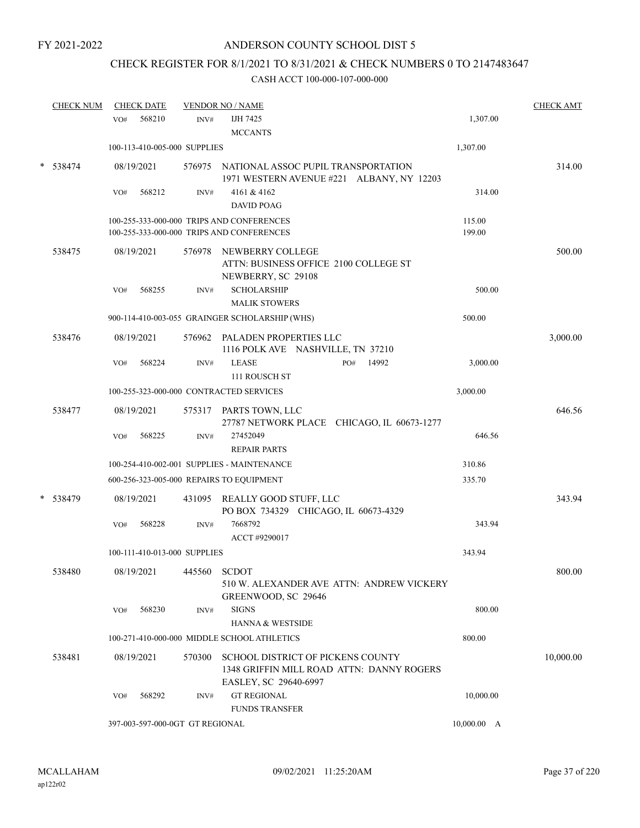# CHECK REGISTER FOR 8/1/2021 TO 8/31/2021 & CHECK NUMBERS 0 TO 2147483647

| <b>CHECK NUM</b> | <b>CHECK DATE</b>                        |        | <b>VENDOR NO / NAME</b>                                                                                 |                  | <b>CHECK AMT</b> |
|------------------|------------------------------------------|--------|---------------------------------------------------------------------------------------------------------|------------------|------------------|
|                  | 568210<br>VO#                            | INV#   | IJH 7425<br><b>MCCANTS</b>                                                                              | 1,307.00         |                  |
|                  | 100-113-410-005-000 SUPPLIES             |        |                                                                                                         | 1,307.00         |                  |
| * 538474         | 08/19/2021                               |        | 576975 NATIONAL ASSOC PUPIL TRANSPORTATION<br>1971 WESTERN AVENUE #221 ALBANY, NY 12203                 |                  | 314.00           |
|                  | 568212<br>VO#                            | INV#   | 4161 & 4162<br><b>DAVID POAG</b>                                                                        | 314.00           |                  |
|                  |                                          |        | 100-255-333-000-000 TRIPS AND CONFERENCES<br>100-255-333-000-000 TRIPS AND CONFERENCES                  | 115.00<br>199.00 |                  |
| 538475           | 08/19/2021                               | 576978 | NEWBERRY COLLEGE<br>ATTN: BUSINESS OFFICE 2100 COLLEGE ST<br>NEWBERRY, SC 29108                         |                  | 500.00           |
|                  | 568255<br>VO#                            | INV#   | <b>SCHOLARSHIP</b><br><b>MALIK STOWERS</b>                                                              | 500.00           |                  |
|                  |                                          |        | 900-114-410-003-055 GRAINGER SCHOLARSHIP (WHS)                                                          | 500.00           |                  |
| 538476           | 08/19/2021                               |        | 576962 PALADEN PROPERTIES LLC<br>1116 POLK AVE NASHVILLE, TN 37210                                      |                  | 3,000.00         |
|                  | 568224<br>VO#                            | INV#   | <b>LEASE</b><br>14992<br>PO#<br>111 ROUSCH ST                                                           | 3,000.00         |                  |
|                  | 100-255-323-000-000 CONTRACTED SERVICES  |        |                                                                                                         | 3,000.00         |                  |
| 538477           | 08/19/2021                               |        | 575317 PARTS TOWN, LLC<br>27787 NETWORK PLACE CHICAGO, IL 60673-1277                                    |                  | 646.56           |
|                  | 568225<br>VO#                            | INV#   | 27452049<br><b>REPAIR PARTS</b>                                                                         | 646.56           |                  |
|                  |                                          |        | 100-254-410-002-001 SUPPLIES - MAINTENANCE                                                              | 310.86           |                  |
|                  | 600-256-323-005-000 REPAIRS TO EQUIPMENT |        |                                                                                                         | 335.70           |                  |
| * 538479         | 08/19/2021                               |        | 431095 REALLY GOOD STUFF, LLC<br>PO BOX 734329 CHICAGO, IL 60673-4329                                   |                  | 343.94           |
|                  | 568228<br>VO#                            | INV#   | 7668792<br>ACCT #9290017                                                                                | 343.94           |                  |
|                  | 100-111-410-013-000 SUPPLIES             |        |                                                                                                         | 343.94           |                  |
| 538480           | 08/19/2021                               | 445560 | <b>SCDOT</b><br>510 W. ALEXANDER AVE ATTN: ANDREW VICKERY<br>GREENWOOD, SC 29646                        |                  | 800.00           |
|                  | 568230<br>VO#                            | INV#   | <b>SIGNS</b><br><b>HANNA &amp; WESTSIDE</b>                                                             | 800.00           |                  |
|                  |                                          |        | 100-271-410-000-000 MIDDLE SCHOOL ATHLETICS                                                             | 800.00           |                  |
| 538481           | 08/19/2021                               | 570300 | SCHOOL DISTRICT OF PICKENS COUNTY<br>1348 GRIFFIN MILL ROAD ATTN: DANNY ROGERS<br>EASLEY, SC 29640-6997 |                  | 10,000.00        |
|                  | 568292<br>VO#                            | INV#   | <b>GT REGIONAL</b><br><b>FUNDS TRANSFER</b>                                                             | 10,000.00        |                  |
|                  | 397-003-597-000-0GT GT REGIONAL          |        |                                                                                                         | $10,000.00$ A    |                  |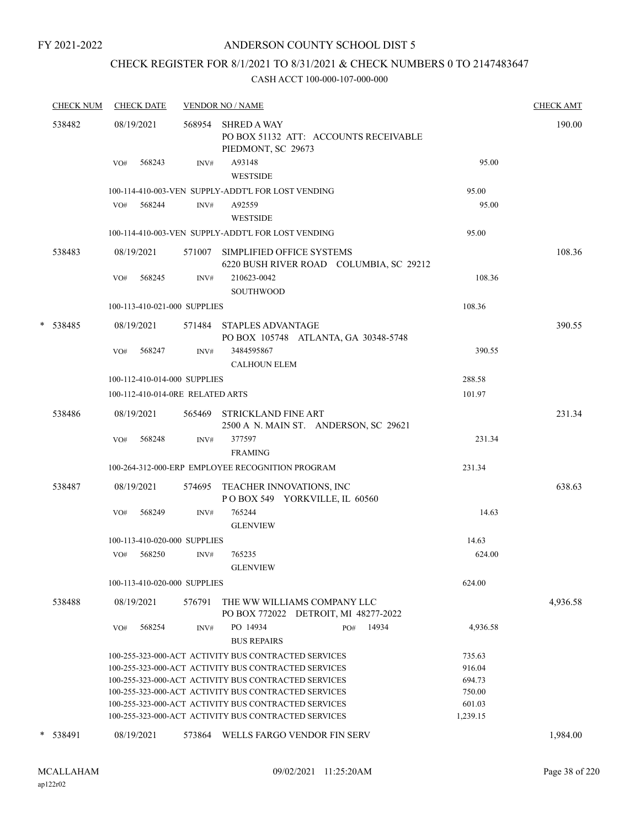### ANDERSON COUNTY SCHOOL DIST 5

## CHECK REGISTER FOR 8/1/2021 TO 8/31/2021 & CHECK NUMBERS 0 TO 2147483647

|   | <b>CHECK NUM</b> |     | <b>CHECK DATE</b> |                                  | <b>VENDOR NO / NAME</b>                                                                                      |                  | <b>CHECK AMT</b> |
|---|------------------|-----|-------------------|----------------------------------|--------------------------------------------------------------------------------------------------------------|------------------|------------------|
|   | 538482           |     | 08/19/2021        | 568954                           | <b>SHRED A WAY</b><br>PO BOX 51132 ATT: ACCOUNTS RECEIVABLE<br>PIEDMONT, SC 29673                            |                  | 190.00           |
|   |                  | VO# | 568243            | INV#                             | A93148<br><b>WESTSIDE</b>                                                                                    | 95.00            |                  |
|   |                  |     |                   |                                  | 100-114-410-003-VEN SUPPLY-ADDT'L FOR LOST VENDING                                                           | 95.00            |                  |
|   |                  |     | VO# 568244        | INV#                             | A92559                                                                                                       | 95.00            |                  |
|   |                  |     |                   |                                  | <b>WESTSIDE</b>                                                                                              |                  |                  |
|   |                  |     |                   |                                  | 100-114-410-003-VEN SUPPLY-ADDT'L FOR LOST VENDING                                                           | 95.00            |                  |
|   | 538483           |     | 08/19/2021        | 571007                           | SIMPLIFIED OFFICE SYSTEMS<br>6220 BUSH RIVER ROAD COLUMBIA, SC 29212                                         |                  | 108.36           |
|   |                  | VO# | 568245            | INV#                             | 210623-0042<br><b>SOUTHWOOD</b>                                                                              | 108.36           |                  |
|   |                  |     |                   | 100-113-410-021-000 SUPPLIES     |                                                                                                              | 108.36           |                  |
|   | * 538485         |     | 08/19/2021        |                                  | 571484 STAPLES ADVANTAGE<br>PO BOX 105748 ATLANTA, GA 30348-5748                                             |                  | 390.55           |
|   |                  | VO# | 568247            | INV#                             | 3484595867<br><b>CALHOUN ELEM</b>                                                                            | 390.55           |                  |
|   |                  |     |                   | 100-112-410-014-000 SUPPLIES     |                                                                                                              | 288.58           |                  |
|   |                  |     |                   | 100-112-410-014-0RE RELATED ARTS |                                                                                                              | 101.97           |                  |
|   | 538486           |     | 08/19/2021        |                                  | 565469 STRICKLAND FINE ART<br>2500 A N. MAIN ST. ANDERSON, SC 29621                                          |                  | 231.34           |
|   |                  | VO# | 568248            | INV#                             | 377597<br><b>FRAMING</b>                                                                                     | 231.34           |                  |
|   |                  |     |                   |                                  | 100-264-312-000-ERP EMPLOYEE RECOGNITION PROGRAM                                                             | 231.34           |                  |
|   | 538487           |     | 08/19/2021        |                                  | 574695 TEACHER INNOVATIONS, INC<br>POBOX 549 YORKVILLE, IL 60560                                             |                  | 638.63           |
|   |                  | VO# | 568249            | INV#                             | 765244<br><b>GLENVIEW</b>                                                                                    | 14.63            |                  |
|   |                  |     |                   | 100-113-410-020-000 SUPPLIES     |                                                                                                              | 14.63            |                  |
|   |                  | VO# | 568250            | INV#                             | 765235<br><b>GLENVIEW</b>                                                                                    | 624.00           |                  |
|   |                  |     |                   | 100-113-410-020-000 SUPPLIES     |                                                                                                              | 624.00           |                  |
|   | 538488           |     | 08/19/2021        | 576791                           | THE WW WILLIAMS COMPANY LLC<br>PO BOX 772022 DETROIT, MI 48277-2022                                          |                  | 4,936.58         |
|   |                  | VO# | 568254            | INV#                             | PO 14934<br>14934<br>PO#<br><b>BUS REPAIRS</b>                                                               | 4,936.58         |                  |
|   |                  |     |                   |                                  | 100-255-323-000-ACT ACTIVITY BUS CONTRACTED SERVICES                                                         | 735.63           |                  |
|   |                  |     |                   |                                  | 100-255-323-000-ACT ACTIVITY BUS CONTRACTED SERVICES                                                         | 916.04           |                  |
|   |                  |     |                   |                                  | 100-255-323-000-ACT ACTIVITY BUS CONTRACTED SERVICES                                                         | 694.73           |                  |
|   |                  |     |                   |                                  | 100-255-323-000-ACT ACTIVITY BUS CONTRACTED SERVICES<br>100-255-323-000-ACT ACTIVITY BUS CONTRACTED SERVICES | 750.00<br>601.03 |                  |
|   |                  |     |                   |                                  | 100-255-323-000-ACT ACTIVITY BUS CONTRACTED SERVICES                                                         | 1,239.15         |                  |
|   |                  |     |                   |                                  |                                                                                                              |                  |                  |
| * | 538491           |     | 08/19/2021        | 573864                           | WELLS FARGO VENDOR FIN SERV                                                                                  |                  | 1,984.00         |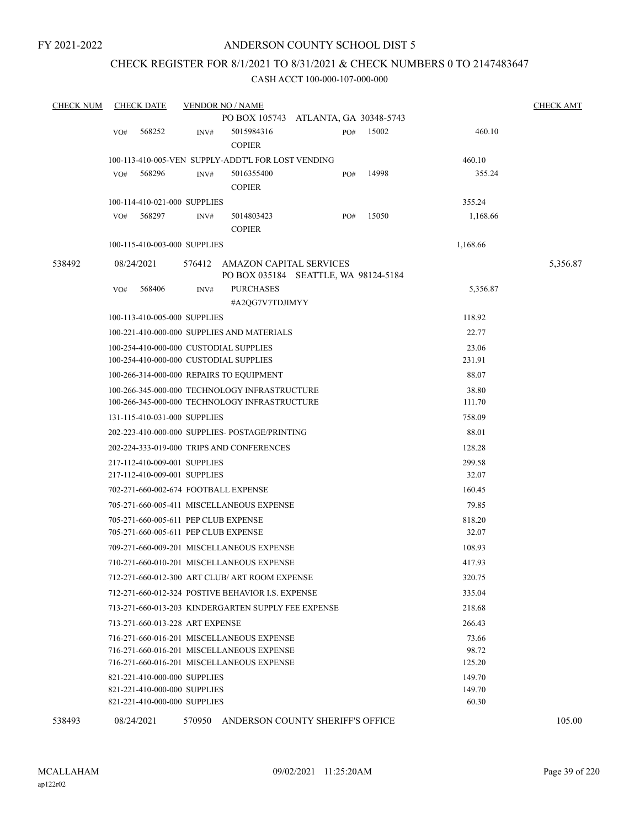#### CHECK REGISTER FOR 8/1/2021 TO 8/31/2021 & CHECK NUMBERS 0 TO 2147483647

| <b>CHECK NUM</b> |     | <b>CHECK DATE</b>               |        | <b>VENDOR NO / NAME</b>                                                                |                                      |       |                 | <b>CHECK AMT</b> |
|------------------|-----|---------------------------------|--------|----------------------------------------------------------------------------------------|--------------------------------------|-------|-----------------|------------------|
|                  |     |                                 |        |                                                                                        | PO BOX 105743 ATLANTA, GA 30348-5743 |       |                 |                  |
|                  | VO# | 568252                          | INV#   | 5015984316<br><b>COPIER</b>                                                            | PO#                                  | 15002 | 460.10          |                  |
|                  |     |                                 |        | 100-113-410-005-VEN SUPPLY-ADDT'L FOR LOST VENDING                                     |                                      |       | 460.10          |                  |
|                  | VO# | 568296                          | INV#   | 5016355400                                                                             | PO#                                  | 14998 | 355.24          |                  |
|                  |     |                                 |        | <b>COPIER</b>                                                                          |                                      |       |                 |                  |
|                  |     | 100-114-410-021-000 SUPPLIES    |        |                                                                                        |                                      |       | 355.24          |                  |
|                  | VO# | 568297                          | INV#   | 5014803423                                                                             | PO#                                  | 15050 | 1,168.66        |                  |
|                  |     |                                 |        | <b>COPIER</b>                                                                          |                                      |       |                 |                  |
|                  |     | 100-115-410-003-000 SUPPLIES    |        |                                                                                        |                                      |       | 1,168.66        |                  |
| 538492           |     | 08/24/2021                      | 576412 | AMAZON CAPITAL SERVICES                                                                |                                      |       |                 | 5,356.87         |
|                  |     |                                 |        |                                                                                        | PO BOX 035184 SEATTLE, WA 98124-5184 |       |                 |                  |
|                  | VO# | 568406                          | INV#   | <b>PURCHASES</b>                                                                       |                                      |       | 5,356.87        |                  |
|                  |     |                                 |        | #A2QG7V7TDJIMYY                                                                        |                                      |       |                 |                  |
|                  |     | 100-113-410-005-000 SUPPLIES    |        |                                                                                        |                                      |       | 118.92          |                  |
|                  |     |                                 |        | 100-221-410-000-000 SUPPLIES AND MATERIALS                                             |                                      |       | 22.77           |                  |
|                  |     |                                 |        | 100-254-410-000-000 CUSTODIAL SUPPLIES                                                 |                                      |       | 23.06           |                  |
|                  |     |                                 |        | 100-254-410-000-000 CUSTODIAL SUPPLIES                                                 |                                      |       | 231.91          |                  |
|                  |     |                                 |        | 100-266-314-000-000 REPAIRS TO EQUIPMENT                                               |                                      |       | 88.07           |                  |
|                  |     |                                 |        | 100-266-345-000-000 TECHNOLOGY INFRASTRUCTURE                                          |                                      |       | 38.80           |                  |
|                  |     |                                 |        | 100-266-345-000-000 TECHNOLOGY INFRASTRUCTURE                                          |                                      |       | 111.70          |                  |
|                  |     | 131-115-410-031-000 SUPPLIES    |        |                                                                                        |                                      |       | 758.09          |                  |
|                  |     |                                 |        | 202-223-410-000-000 SUPPLIES- POSTAGE/PRINTING                                         |                                      |       | 88.01           |                  |
|                  |     |                                 |        | 202-224-333-019-000 TRIPS AND CONFERENCES                                              |                                      |       | 128.28          |                  |
|                  |     | 217-112-410-009-001 SUPPLIES    |        |                                                                                        |                                      |       | 299.58          |                  |
|                  |     | 217-112-410-009-001 SUPPLIES    |        |                                                                                        |                                      |       | 32.07           |                  |
|                  |     |                                 |        | 702-271-660-002-674 FOOTBALL EXPENSE                                                   |                                      |       | 160.45          |                  |
|                  |     |                                 |        | 705-271-660-005-411 MISCELLANEOUS EXPENSE                                              |                                      |       | 79.85           |                  |
|                  |     |                                 |        | 705-271-660-005-611 PEP CLUB EXPENSE                                                   |                                      |       | 818.20          |                  |
|                  |     |                                 |        | 705-271-660-005-611 PEP CLUB EXPENSE                                                   |                                      |       | 32.07           |                  |
|                  |     |                                 |        | 709-271-660-009-201 MISCELLANEOUS EXPENSE                                              |                                      |       | 108.93          |                  |
|                  |     |                                 |        | 710-271-660-010-201 MISCELLANEOUS EXPENSE                                              |                                      |       | 417.93          |                  |
|                  |     |                                 |        | 712-271-660-012-300 ART CLUB/ ART ROOM EXPENSE                                         |                                      |       | 320.75          |                  |
|                  |     |                                 |        | 712-271-660-012-324 POSTIVE BEHAVIOR I.S. EXPENSE                                      |                                      |       | 335.04          |                  |
|                  |     |                                 |        | 713-271-660-013-203 KINDERGARTEN SUPPLY FEE EXPENSE                                    |                                      |       | 218.68          |                  |
|                  |     | 713-271-660-013-228 ART EXPENSE |        |                                                                                        |                                      |       | 266.43          |                  |
|                  |     |                                 |        | 716-271-660-016-201 MISCELLANEOUS EXPENSE                                              |                                      |       | 73.66           |                  |
|                  |     |                                 |        | 716-271-660-016-201 MISCELLANEOUS EXPENSE<br>716-271-660-016-201 MISCELLANEOUS EXPENSE |                                      |       | 98.72<br>125.20 |                  |
|                  |     | 821-221-410-000-000 SUPPLIES    |        |                                                                                        |                                      |       | 149.70          |                  |
|                  |     | 821-221-410-000-000 SUPPLIES    |        |                                                                                        |                                      |       | 149.70          |                  |
|                  |     | 821-221-410-000-000 SUPPLIES    |        |                                                                                        |                                      |       | 60.30           |                  |
| 538493           |     | 08/24/2021                      |        | 570950 ANDERSON COUNTY SHERIFF'S OFFICE                                                |                                      |       |                 | 105.00           |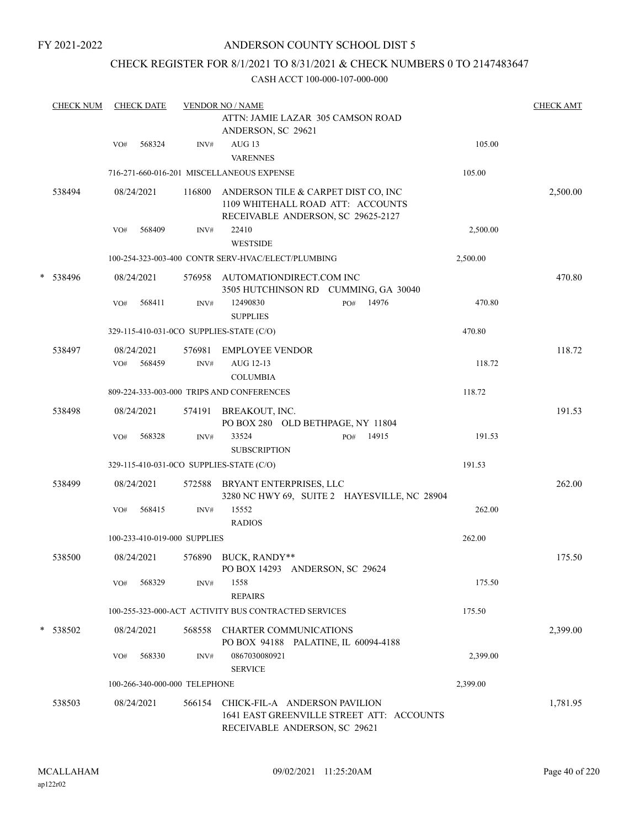### ANDERSON COUNTY SCHOOL DIST 5

### CHECK REGISTER FOR 8/1/2021 TO 8/31/2021 & CHECK NUMBERS 0 TO 2147483647

|   | <b>CHECK NUM</b> |     | <b>CHECK DATE</b>    |                               | <b>VENDOR NO / NAME</b>                                                                                        |     |                                              |          | <b>CHECK AMT</b> |
|---|------------------|-----|----------------------|-------------------------------|----------------------------------------------------------------------------------------------------------------|-----|----------------------------------------------|----------|------------------|
|   |                  |     |                      |                               | ATTN: JAMIE LAZAR 305 CAMSON ROAD<br>ANDERSON, SC 29621                                                        |     |                                              |          |                  |
|   |                  | VO# | 568324               | INV#                          | AUG <sub>13</sub><br><b>VARENNES</b>                                                                           |     |                                              | 105.00   |                  |
|   |                  |     |                      |                               | 716-271-660-016-201 MISCELLANEOUS EXPENSE                                                                      |     |                                              | 105.00   |                  |
|   | 538494           |     | 08/24/2021           | 116800                        | ANDERSON TILE & CARPET DIST CO, INC<br>1109 WHITEHALL ROAD ATT: ACCOUNTS<br>RECEIVABLE ANDERSON, SC 29625-2127 |     |                                              |          | 2,500.00         |
|   |                  | VO# | 568409               | INV#                          | 22410<br><b>WESTSIDE</b>                                                                                       |     |                                              | 2,500.00 |                  |
|   |                  |     |                      |                               | 100-254-323-003-400 CONTR SERV-HVAC/ELECT/PLUMBING                                                             |     |                                              | 2,500.00 |                  |
| * | 538496           |     | 08/24/2021           |                               | 576958 AUTOMATIONDIRECT.COM INC<br>3505 HUTCHINSON RD CUMMING, GA 30040                                        |     |                                              |          | 470.80           |
|   |                  | VO# | 568411               | INV#                          | 12490830<br><b>SUPPLIES</b>                                                                                    | PO# | 14976                                        | 470.80   |                  |
|   |                  |     |                      |                               | 329-115-410-031-0CO SUPPLIES-STATE (C/O)                                                                       |     |                                              | 470.80   |                  |
|   | 538497           | VO# | 08/24/2021<br>568459 | INV#                          | 576981 EMPLOYEE VENDOR<br>AUG 12-13                                                                            |     |                                              | 118.72   | 118.72           |
|   |                  |     |                      |                               | <b>COLUMBIA</b><br>809-224-333-003-000 TRIPS AND CONFERENCES                                                   |     |                                              | 118.72   |                  |
|   |                  |     |                      |                               |                                                                                                                |     |                                              |          |                  |
|   | 538498           |     | 08/24/2021           |                               | 574191 BREAKOUT, INC.<br>PO BOX 280 OLD BETHPAGE, NY 11804                                                     |     |                                              |          | 191.53           |
|   |                  | VO# | 568328               | INV#                          | 33524<br><b>SUBSCRIPTION</b>                                                                                   | PO# | 14915                                        | 191.53   |                  |
|   |                  |     |                      |                               | 329-115-410-031-0CO SUPPLIES-STATE (C/O)                                                                       |     |                                              | 191.53   |                  |
|   | 538499           |     | 08/24/2021           | 572588                        | BRYANT ENTERPRISES, LLC                                                                                        |     | 3280 NC HWY 69, SUITE 2 HAYESVILLE, NC 28904 |          | 262.00           |
|   |                  | VO# | 568415               | INV#                          | 15552<br><b>RADIOS</b>                                                                                         |     |                                              | 262.00   |                  |
|   |                  |     |                      | 100-233-410-019-000 SUPPLIES  |                                                                                                                |     |                                              | 262.00   |                  |
|   | 538500           |     | 08/24/2021           | 576890                        | BUCK, RANDY**<br>PO BOX 14293 ANDERSON, SC 29624                                                               |     |                                              |          | 175.50           |
|   |                  | VO# | 568329               | INV#                          | 1558<br><b>REPAIRS</b>                                                                                         |     |                                              | 175.50   |                  |
|   |                  |     |                      |                               | 100-255-323-000-ACT ACTIVITY BUS CONTRACTED SERVICES                                                           |     |                                              | 175.50   |                  |
|   | * 538502         |     | 08/24/2021           | 568558                        | <b>CHARTER COMMUNICATIONS</b><br>PO BOX 94188 PALATINE, IL 60094-4188                                          |     |                                              |          | 2,399.00         |
|   |                  | VO# | 568330               | INV#                          | 0867030080921                                                                                                  |     |                                              | 2,399.00 |                  |
|   |                  |     |                      |                               | <b>SERVICE</b>                                                                                                 |     |                                              |          |                  |
|   |                  |     |                      | 100-266-340-000-000 TELEPHONE |                                                                                                                |     |                                              | 2,399.00 |                  |
|   | 538503           |     | 08/24/2021           | 566154                        | CHICK-FIL-A ANDERSON PAVILION<br>RECEIVABLE ANDERSON, SC 29621                                                 |     | 1641 EAST GREENVILLE STREET ATT: ACCOUNTS    |          | 1,781.95         |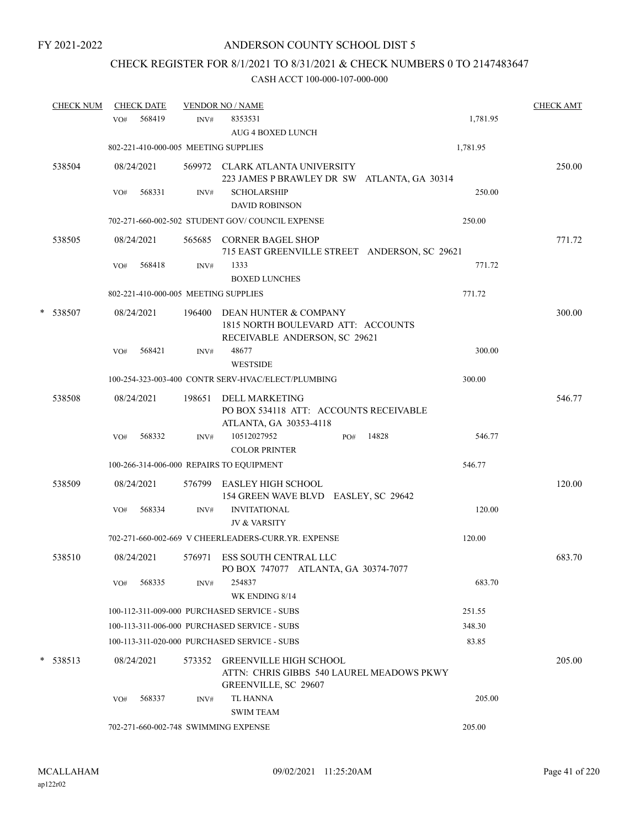## CHECK REGISTER FOR 8/1/2021 TO 8/31/2021 & CHECK NUMBERS 0 TO 2147483647

| <b>CHECK NUM</b> | <b>CHECK DATE</b> |        |        | <b>VENDOR NO / NAME</b>                                                                                   | <b>CHECK AMT</b> |
|------------------|-------------------|--------|--------|-----------------------------------------------------------------------------------------------------------|------------------|
|                  | VO#               | 568419 | INV#   | 8353531<br>1,781.95<br><b>AUG 4 BOXED LUNCH</b>                                                           |                  |
|                  |                   |        |        | 802-221-410-000-005 MEETING SUPPLIES<br>1,781.95                                                          |                  |
| 538504           | 08/24/2021        |        |        | 569972 CLARK ATLANTA UNIVERSITY<br>223 JAMES P BRAWLEY DR SW ATLANTA, GA 30314                            | 250.00           |
|                  | VO#               | 568331 | INV#   | <b>SCHOLARSHIP</b><br>250.00<br><b>DAVID ROBINSON</b>                                                     |                  |
|                  |                   |        |        | 250.00<br>702-271-660-002-502 STUDENT GOV/COUNCIL EXPENSE                                                 |                  |
| 538505           | 08/24/2021        |        |        | 565685 CORNER BAGEL SHOP<br>715 EAST GREENVILLE STREET ANDERSON, SC 29621                                 | 771.72           |
|                  | VO#               | 568418 | INV#   | 1333<br>771.72<br><b>BOXED LUNCHES</b>                                                                    |                  |
|                  |                   |        |        | 771.72<br>802-221-410-000-005 MEETING SUPPLIES                                                            |                  |
| * 538507         | 08/24/2021        |        |        | 196400 DEAN HUNTER & COMPANY<br>1815 NORTH BOULEVARD ATT: ACCOUNTS<br>RECEIVABLE ANDERSON, SC 29621       | 300.00           |
|                  | VO#               | 568421 | INV#   | 300.00<br>48677<br><b>WESTSIDE</b>                                                                        |                  |
|                  |                   |        |        | 100-254-323-003-400 CONTR SERV-HVAC/ELECT/PLUMBING<br>300.00                                              |                  |
| 538508           | 08/24/2021        |        | 198651 | DELL MARKETING<br>PO BOX 534118 ATT: ACCOUNTS RECEIVABLE<br>ATLANTA, GA 30353-4118                        | 546.77           |
|                  | VO#               | 568332 | INV#   | 10512027952<br>14828<br>546.77<br>PO#<br><b>COLOR PRINTER</b>                                             |                  |
|                  |                   |        |        | 100-266-314-006-000 REPAIRS TO EQUIPMENT<br>546.77                                                        |                  |
| 538509           | 08/24/2021        |        |        | 576799 EASLEY HIGH SCHOOL<br>154 GREEN WAVE BLVD EASLEY, SC 29642                                         | 120.00           |
|                  | VO#               | 568334 | INV#   | <b>INVITATIONAL</b><br>120.00<br><b>JV &amp; VARSITY</b>                                                  |                  |
|                  |                   |        |        | 702-271-660-002-669 V CHEERLEADERS-CURR.YR. EXPENSE<br>120.00                                             |                  |
| 538510           | 08/24/2021        |        |        | 576971 ESS SOUTH CENTRAL LLC<br>PO BOX 747077 ATLANTA, GA 30374-7077                                      | 683.70           |
|                  | VO#               | 568335 | INV#   | 683.70<br>254837<br>WK ENDING 8/14                                                                        |                  |
|                  |                   |        |        | 100-112-311-009-000 PURCHASED SERVICE - SUBS<br>251.55                                                    |                  |
|                  |                   |        |        | 100-113-311-006-000 PURCHASED SERVICE - SUBS<br>348.30                                                    |                  |
|                  |                   |        |        | 83.85<br>100-113-311-020-000 PURCHASED SERVICE - SUBS                                                     |                  |
| $*$ 538513       | 08/24/2021        |        | 573352 | <b>GREENVILLE HIGH SCHOOL</b><br>ATTN: CHRIS GIBBS 540 LAUREL MEADOWS PKWY<br><b>GREENVILLE, SC 29607</b> | 205.00           |
|                  | VO#               | 568337 | INV#   | TL HANNA<br>205.00<br><b>SWIM TEAM</b>                                                                    |                  |
|                  |                   |        |        | 702-271-660-002-748 SWIMMING EXPENSE<br>205.00                                                            |                  |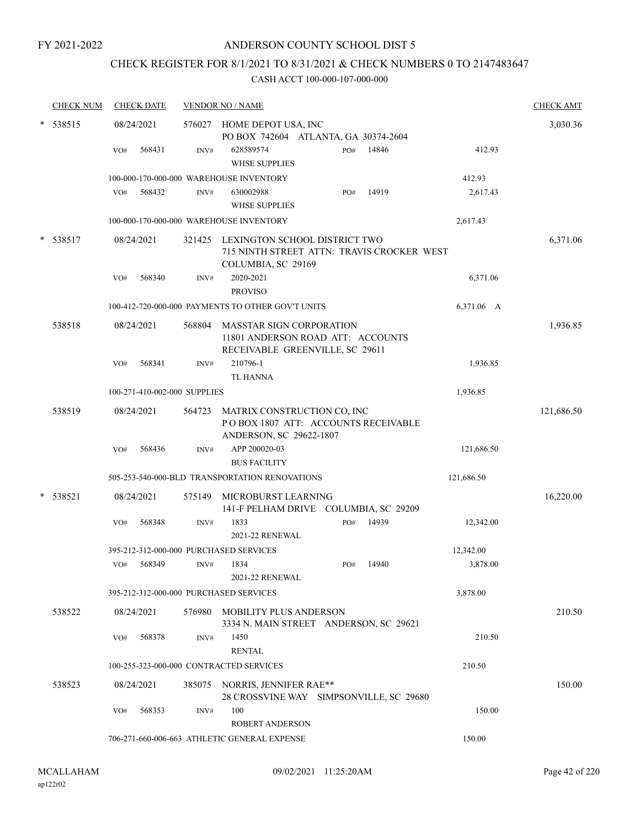#### ANDERSON COUNTY SCHOOL DIST 5

### CHECK REGISTER FOR 8/1/2021 TO 8/31/2021 & CHECK NUMBERS 0 TO 2147483647

|        | <b>CHECK NUM</b> |     | <b>CHECK DATE</b>            |        | <b>VENDOR NO / NAME</b>                                                                                 |     |       |            | <b>CHECK AMT</b> |
|--------|------------------|-----|------------------------------|--------|---------------------------------------------------------------------------------------------------------|-----|-------|------------|------------------|
|        | 538515           |     | 08/24/2021                   |        | 576027 HOME DEPOT USA, INC<br>PO BOX 742604 ATLANTA, GA 30374-2604                                      |     |       |            | 3,030.36         |
|        |                  | VO# | 568431                       | INV#   | 628589574<br><b>WHSE SUPPLIES</b>                                                                       | PO# | 14846 | 412.93     |                  |
|        |                  |     |                              |        | 100-000-170-000-000 WAREHOUSE INVENTORY                                                                 |     |       | 412.93     |                  |
|        |                  | VO# | 568432                       | INV#   | 630002988<br><b>WHSE SUPPLIES</b>                                                                       | PO# | 14919 | 2,617.43   |                  |
|        |                  |     |                              |        | 100-000-170-000-000 WAREHOUSE INVENTORY                                                                 |     |       | 2,617.43   |                  |
| $\ast$ | 538517           |     | 08/24/2021                   | 321425 | LEXINGTON SCHOOL DISTRICT TWO<br>715 NINTH STREET ATTN: TRAVIS CROCKER WEST<br>COLUMBIA, SC 29169       |     |       |            | 6,371.06         |
|        |                  | VO# | 568340                       | INV#   | 2020-2021<br><b>PROVISO</b>                                                                             |     |       | 6,371.06   |                  |
|        |                  |     |                              |        | 100-412-720-000-000 PAYMENTS TO OTHER GOV'T UNITS                                                       |     |       | 6,371.06 A |                  |
|        | 538518           |     | 08/24/2021                   | 568804 | <b>MASSTAR SIGN CORPORATION</b><br>11801 ANDERSON ROAD ATT: ACCOUNTS<br>RECEIVABLE GREENVILLE, SC 29611 |     |       |            | 1,936.85         |
|        |                  | VO# | 568341                       | INV#   | 210796-1<br><b>TL HANNA</b>                                                                             |     |       | 1,936.85   |                  |
|        |                  |     | 100-271-410-002-000 SUPPLIES |        |                                                                                                         |     |       | 1,936.85   |                  |
|        | 538519           |     | 08/24/2021                   | 564723 | MATRIX CONSTRUCTION CO, INC<br>POBOX 1807 ATT: ACCOUNTS RECEIVABLE<br>ANDERSON, SC 29622-1807           |     |       |            | 121,686.50       |
|        |                  | VO# | 568436                       | INV#   | APP 200020-03<br><b>BUS FACILITY</b>                                                                    |     |       | 121,686.50 |                  |
|        |                  |     |                              |        | 505-253-540-000-BLD TRANSPORTATION RENOVATIONS                                                          |     |       | 121,686.50 |                  |
| *      | 538521           |     | 08/24/2021                   | 575149 | MICROBURST LEARNING<br>141-F PELHAM DRIVE COLUMBIA, SC 29209                                            |     |       |            | 16,220.00        |
|        |                  | VO# | 568348                       | INV#   | 1833<br><b>2021-22 RENEWAL</b>                                                                          | PO# | 14939 | 12,342.00  |                  |
|        |                  |     |                              |        | 395-212-312-000-000 PURCHASED SERVICES                                                                  |     |       | 12,342.00  |                  |
|        |                  | VO# | 568349                       | INV#   | 1834<br>2021-22 RENEWAL                                                                                 | PO# | 14940 | 3,878.00   |                  |
|        |                  |     |                              |        | 395-212-312-000-000 PURCHASED SERVICES                                                                  |     |       | 3,878.00   |                  |
|        | 538522           |     | 08/24/2021                   |        | 576980 MOBILITY PLUS ANDERSON<br>3334 N. MAIN STREET ANDERSON, SC 29621                                 |     |       |            | 210.50           |
|        |                  | VO# | 568378                       | INV#   | 1450<br><b>RENTAL</b>                                                                                   |     |       | 210.50     |                  |
|        |                  |     |                              |        | 100-255-323-000-000 CONTRACTED SERVICES                                                                 |     |       | 210.50     |                  |
|        | 538523           |     | 08/24/2021                   |        | 385075 NORRIS, JENNIFER RAE**<br>28 CROSSVINE WAY SIMPSONVILLE, SC 29680                                |     |       |            | 150.00           |
|        |                  | VO# | 568353                       | INV#   | 100<br><b>ROBERT ANDERSON</b>                                                                           |     |       | 150.00     |                  |
|        |                  |     |                              |        | 706-271-660-006-663 ATHLETIC GENERAL EXPENSE                                                            |     |       | 150.00     |                  |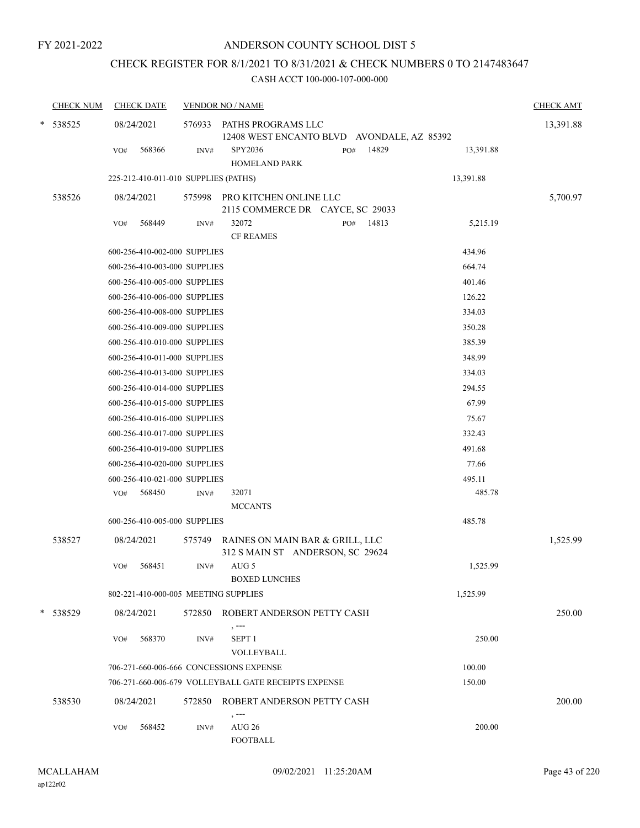## CHECK REGISTER FOR 8/1/2021 TO 8/31/2021 & CHECK NUMBERS 0 TO 2147483647

| <b>CHECK NUM</b> | <b>CHECK DATE</b>                       |        | <b>VENDOR NO / NAME</b>                                                    | <b>CHECK AMT</b> |
|------------------|-----------------------------------------|--------|----------------------------------------------------------------------------|------------------|
| * 538525         | 08/24/2021                              | 576933 | PATHS PROGRAMS LLC<br>12408 WEST ENCANTO BLVD AVONDALE, AZ 85392           | 13,391.88        |
|                  | 568366<br>VO#                           | INV#   | SPY2036<br>14829<br>13,391.88<br>PO#<br><b>HOMELAND PARK</b>               |                  |
|                  | 225-212-410-011-010 SUPPLIES (PATHS)    |        | 13,391.88                                                                  |                  |
| 538526           | 08/24/2021                              |        | 575998 PRO KITCHEN ONLINE LLC<br>2115 COMMERCE DR CAYCE, SC 29033          | 5,700.97         |
|                  | 568449<br>VO#                           | INV#   | 32072<br>14813<br>5,215.19<br>PO#<br><b>CF REAMES</b>                      |                  |
|                  | 600-256-410-002-000 SUPPLIES            |        | 434.96                                                                     |                  |
|                  | 600-256-410-003-000 SUPPLIES            |        | 664.74                                                                     |                  |
|                  | 600-256-410-005-000 SUPPLIES            |        | 401.46                                                                     |                  |
|                  | 600-256-410-006-000 SUPPLIES            |        | 126.22                                                                     |                  |
|                  | 600-256-410-008-000 SUPPLIES            |        | 334.03                                                                     |                  |
|                  | 600-256-410-009-000 SUPPLIES            |        | 350.28                                                                     |                  |
|                  | 600-256-410-010-000 SUPPLIES            |        | 385.39                                                                     |                  |
|                  | 600-256-410-011-000 SUPPLIES            |        | 348.99                                                                     |                  |
|                  | 600-256-410-013-000 SUPPLIES            |        | 334.03                                                                     |                  |
|                  | 600-256-410-014-000 SUPPLIES            |        | 294.55                                                                     |                  |
|                  | 600-256-410-015-000 SUPPLIES            |        | 67.99                                                                      |                  |
|                  | 600-256-410-016-000 SUPPLIES            |        | 75.67                                                                      |                  |
|                  | 600-256-410-017-000 SUPPLIES            |        | 332.43                                                                     |                  |
|                  | 600-256-410-019-000 SUPPLIES            |        | 491.68                                                                     |                  |
|                  | 600-256-410-020-000 SUPPLIES            |        | 77.66                                                                      |                  |
|                  | 600-256-410-021-000 SUPPLIES            |        | 495.11                                                                     |                  |
|                  | 568450<br>VO#                           | INV#   | 32071<br>485.78                                                            |                  |
|                  |                                         |        | <b>MCCANTS</b>                                                             |                  |
|                  | 600-256-410-005-000 SUPPLIES            |        | 485.78                                                                     |                  |
| 538527           | 08/24/2021                              |        | 575749 RAINES ON MAIN BAR & GRILL, LLC<br>312 S MAIN ST ANDERSON, SC 29624 | 1,525.99         |
|                  | 568451<br>VO#                           | INV#   | 1,525.99<br>AUG <sub>5</sub><br><b>BOXED LUNCHES</b>                       |                  |
|                  | 802-221-410-000-005 MEETING SUPPLIES    |        | 1,525.99                                                                   |                  |
| * 538529         | 08/24/2021                              |        | 572850 ROBERT ANDERSON PETTY CASH                                          | 250.00           |
|                  | 568370<br>VO#                           | INV#   | , ---<br>250.00<br>SEPT <sub>1</sub><br><b>VOLLEYBALL</b>                  |                  |
|                  | 706-271-660-006-666 CONCESSIONS EXPENSE |        | 100.00                                                                     |                  |
|                  |                                         |        | 706-271-660-006-679 VOLLEYBALL GATE RECEIPTS EXPENSE<br>150.00             |                  |
|                  |                                         |        |                                                                            |                  |
| 538530           | 08/24/2021                              | 572850 | ROBERT ANDERSON PETTY CASH<br>, ---                                        | 200.00           |
|                  | 568452<br>VO#                           | INV#   | 200.00<br>AUG 26<br><b>FOOTBALL</b>                                        |                  |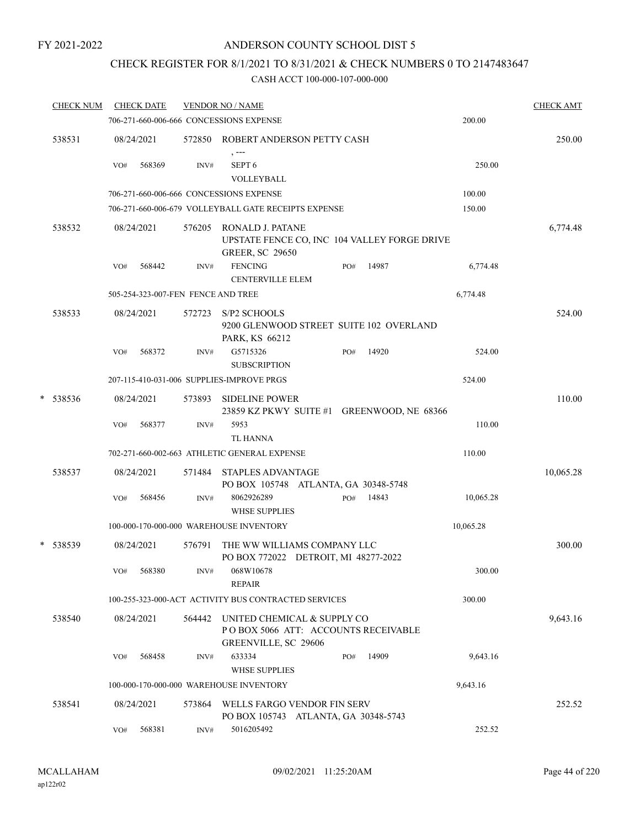### ANDERSON COUNTY SCHOOL DIST 5

### CHECK REGISTER FOR 8/1/2021 TO 8/31/2021 & CHECK NUMBERS 0 TO 2147483647

|   | <b>CHECK NUM</b> |     | <b>CHECK DATE</b>                  |        | <b>VENDOR NO / NAME</b>                                                                           | <b>CHECK AMT</b> |
|---|------------------|-----|------------------------------------|--------|---------------------------------------------------------------------------------------------------|------------------|
|   |                  |     |                                    |        | 706-271-660-006-666 CONCESSIONS EXPENSE<br>200.00                                                 |                  |
|   | 538531           |     | 08/24/2021                         | 572850 | ROBERT ANDERSON PETTY CASH<br>, ---                                                               | 250.00           |
|   |                  | VO# | 568369                             | INV#   | SEPT <sub>6</sub><br>VOLLEYBALL                                                                   | 250.00           |
|   |                  |     |                                    |        | 706-271-660-006-666 CONCESSIONS EXPENSE<br>100.00                                                 |                  |
|   |                  |     |                                    |        | 706-271-660-006-679 VOLLEYBALL GATE RECEIPTS EXPENSE<br>150.00                                    |                  |
|   | 538532           |     | 08/24/2021                         | 576205 | RONALD J. PATANE<br>UPSTATE FENCE CO, INC 104 VALLEY FORGE DRIVE<br><b>GREER, SC 29650</b>        | 6,774.48         |
|   |                  | VO# | 568442                             | INV#   | <b>FENCING</b><br>14987<br>PO#<br><b>CENTERVILLE ELEM</b>                                         | 6,774.48         |
|   |                  |     | 505-254-323-007-FEN FENCE AND TREE |        | 6,774.48                                                                                          |                  |
|   | 538533           |     | 08/24/2021                         | 572723 | S/P <sub>2</sub> SCHOOLS<br>9200 GLENWOOD STREET SUITE 102 OVERLAND<br>PARK, KS 66212             | 524.00           |
|   |                  | VO# | 568372                             | INV#   | G5715326<br>14920<br>PO#<br><b>SUBSCRIPTION</b>                                                   | 524.00           |
|   |                  |     |                                    |        | 207-115-410-031-006 SUPPLIES-IMPROVE PRGS<br>524.00                                               |                  |
| * | 538536           |     | 08/24/2021                         | 573893 | <b>SIDELINE POWER</b><br>23859 KZ PKWY SUITE #1 GREENWOOD, NE 68366                               | 110.00           |
|   |                  | VO# | 568377                             | INV#   | 5953<br><b>TL HANNA</b>                                                                           | 110.00           |
|   |                  |     |                                    |        | 702-271-660-002-663 ATHLETIC GENERAL EXPENSE<br>110.00                                            |                  |
|   | 538537           |     | 08/24/2021                         | 571484 | <b>STAPLES ADVANTAGE</b><br>PO BOX 105748 ATLANTA, GA 30348-5748                                  | 10,065.28        |
|   |                  | VO# | 568456                             | INV#   | 8062926289<br>14843<br>PO#<br><b>WHSE SUPPLIES</b>                                                | 10,065.28        |
|   |                  |     |                                    |        | 100-000-170-000-000 WAREHOUSE INVENTORY<br>10,065.28                                              |                  |
|   | * 538539         |     | 08/24/2021                         | 576791 | THE WW WILLIAMS COMPANY LLC<br>PO BOX 772022 DETROIT, MI 48277-2022                               | 300.00           |
|   |                  | VO# | 568380                             | INV#   | 068W10678<br><b>REPAIR</b>                                                                        | 300.00           |
|   |                  |     |                                    |        | 100-255-323-000-ACT ACTIVITY BUS CONTRACTED SERVICES<br>300.00                                    |                  |
|   | 538540           |     | 08/24/2021                         | 564442 | UNITED CHEMICAL & SUPPLY CO<br>POBOX 5066 ATT: ACCOUNTS RECEIVABLE<br><b>GREENVILLE, SC 29606</b> | 9,643.16         |
|   |                  | VO# | 568458                             | INV#   | 14909<br>633334<br>PO#<br><b>WHSE SUPPLIES</b>                                                    | 9,643.16         |
|   |                  |     |                                    |        | 9,643.16<br>100-000-170-000-000 WAREHOUSE INVENTORY                                               |                  |
|   | 538541           |     | 08/24/2021                         | 573864 | WELLS FARGO VENDOR FIN SERV<br>PO BOX 105743 ATLANTA, GA 30348-5743                               | 252.52           |
|   |                  | VO# | 568381                             | INV#   | 5016205492                                                                                        | 252.52           |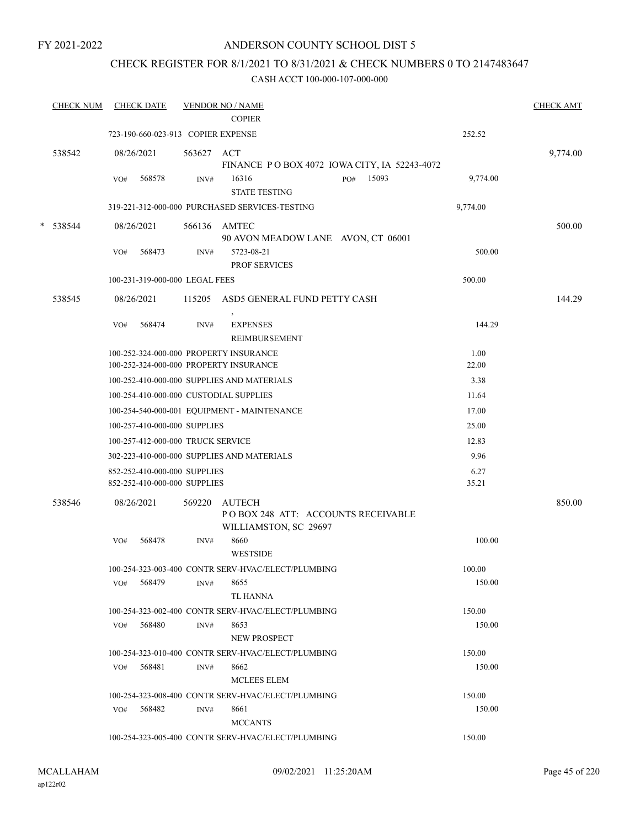### ANDERSON COUNTY SCHOOL DIST 5

### CHECK REGISTER FOR 8/1/2021 TO 8/31/2021 & CHECK NUMBERS 0 TO 2147483647

|   | <b>CHECK NUM</b> | <b>CHECK DATE</b> |                                                              |            | <b>VENDOR NO / NAME</b><br><b>COPIER</b>            |               | <b>CHECK AMT</b> |
|---|------------------|-------------------|--------------------------------------------------------------|------------|-----------------------------------------------------|---------------|------------------|
|   |                  |                   | 723-190-660-023-913 COPIER EXPENSE                           |            |                                                     | 252.52        |                  |
|   |                  |                   |                                                              |            |                                                     |               |                  |
|   | 538542           | 08/26/2021        |                                                              | 563627 ACT | FINANCE PO BOX 4072 IOWA CITY, IA 52243-4072        |               | 9,774.00         |
|   |                  | VO#               | 568578                                                       | INV#       | 16316<br>15093<br>PO#<br><b>STATE TESTING</b>       | 9,774.00      |                  |
|   |                  |                   |                                                              |            | 319-221-312-000-000 PURCHASED SERVICES-TESTING      | 9,774.00      |                  |
| * | 538544           | 08/26/2021        |                                                              |            | 566136 AMTEC                                        |               | 500.00           |
|   |                  |                   |                                                              |            | 90 AVON MEADOW LANE AVON, CT 06001                  |               |                  |
|   |                  | VO#               | 568473                                                       | INV#       | 5723-08-21<br><b>PROF SERVICES</b>                  | 500.00        |                  |
|   |                  |                   | 100-231-319-000-000 LEGAL FEES                               |            |                                                     | 500.00        |                  |
|   | 538545           | 08/26/2021        |                                                              |            | 115205 ASD5 GENERAL FUND PETTY CASH                 |               | 144.29           |
|   |                  | VO#               | 568474                                                       | INV#       | <b>EXPENSES</b><br>REIMBURSEMENT                    | 144.29        |                  |
|   |                  |                   |                                                              |            | 100-252-324-000-000 PROPERTY INSURANCE              | 1.00          |                  |
|   |                  |                   |                                                              |            | 100-252-324-000-000 PROPERTY INSURANCE              | 22.00         |                  |
|   |                  |                   |                                                              |            | 100-252-410-000-000 SUPPLIES AND MATERIALS          | 3.38          |                  |
|   |                  |                   |                                                              |            | 100-254-410-000-000 CUSTODIAL SUPPLIES              | 11.64         |                  |
|   |                  |                   |                                                              |            | 100-254-540-000-001 EQUIPMENT - MAINTENANCE         | 17.00         |                  |
|   |                  |                   | 100-257-410-000-000 SUPPLIES                                 |            |                                                     | 25.00         |                  |
|   |                  |                   | 100-257-412-000-000 TRUCK SERVICE                            |            |                                                     | 12.83         |                  |
|   |                  |                   |                                                              |            | 302-223-410-000-000 SUPPLIES AND MATERIALS          | 9.96          |                  |
|   |                  |                   | 852-252-410-000-000 SUPPLIES<br>852-252-410-000-000 SUPPLIES |            |                                                     | 6.27<br>35.21 |                  |
|   | 538546           | 08/26/2021        |                                                              | 569220     | <b>AUTECH</b><br>POBOX 248 ATT: ACCOUNTS RECEIVABLE |               | 850.00           |
|   |                  |                   |                                                              |            | WILLIAMSTON, SC 29697                               |               |                  |
|   |                  | VO#               | 568478                                                       | INV#       | 8660<br><b>WESTSIDE</b>                             | 100.00        |                  |
|   |                  |                   |                                                              |            | 100-254-323-003-400 CONTR SERV-HVAC/ELECT/PLUMBING  | 100.00        |                  |
|   |                  | VO#               | 568479                                                       | INV#       | 8655<br>TL HANNA                                    | 150.00        |                  |
|   |                  |                   |                                                              |            | 100-254-323-002-400 CONTR SERV-HVAC/ELECT/PLUMBING  | 150.00        |                  |
|   |                  | VO# 568480        |                                                              | INV#       | 8653<br><b>NEW PROSPECT</b>                         | 150.00        |                  |
|   |                  |                   |                                                              |            | 100-254-323-010-400 CONTR SERV-HVAC/ELECT/PLUMBING  | 150.00        |                  |
|   |                  | VO#               | 568481                                                       | INV#       | 8662<br>MCLEES ELEM                                 | 150.00        |                  |
|   |                  |                   |                                                              |            | 100-254-323-008-400 CONTR SERV-HVAC/ELECT/PLUMBING  | 150.00        |                  |
|   |                  | VO#               | 568482                                                       | INV#       | 8661<br><b>MCCANTS</b>                              | 150.00        |                  |
|   |                  |                   |                                                              |            | 100-254-323-005-400 CONTR SERV-HVAC/ELECT/PLUMBING  | 150.00        |                  |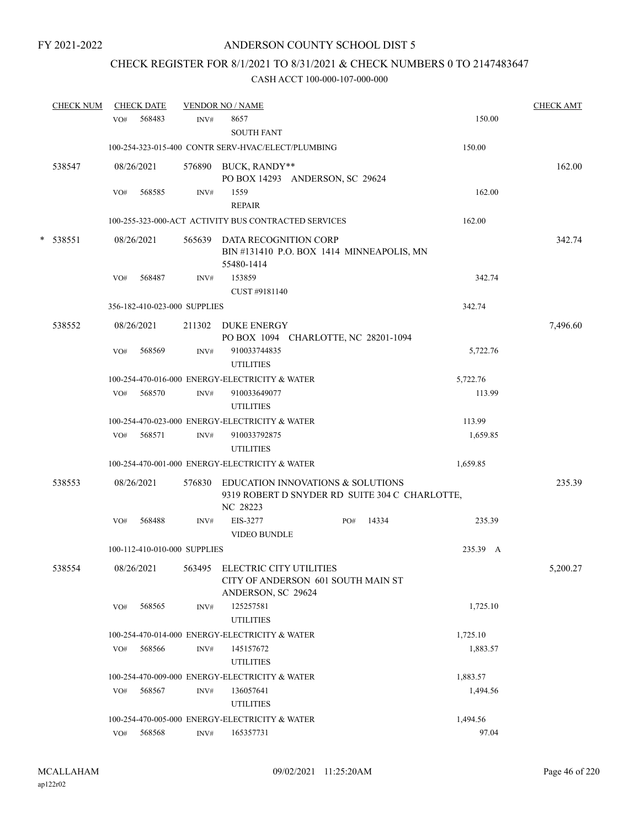## CHECK REGISTER FOR 8/1/2021 TO 8/31/2021 & CHECK NUMBERS 0 TO 2147483647

|   | <b>CHECK NUM</b> |                                                | <b>CHECK DATE</b>            |      | <b>VENDOR NO / NAME</b>                        |                                                                                            |           |          | <b>CHECK AMT</b> |
|---|------------------|------------------------------------------------|------------------------------|------|------------------------------------------------|--------------------------------------------------------------------------------------------|-----------|----------|------------------|
|   |                  | VO#                                            | 568483                       | INV# | 8657<br><b>SOUTH FANT</b>                      |                                                                                            |           | 150.00   |                  |
|   |                  |                                                |                              |      |                                                | 100-254-323-015-400 CONTR SERV-HVAC/ELECT/PLUMBING                                         |           | 150.00   |                  |
|   | 538547           |                                                | 08/26/2021                   |      | 576890 BUCK, RANDY**                           | PO BOX 14293 ANDERSON, SC 29624                                                            |           |          | 162.00           |
|   |                  | VO#                                            | 568585                       | INV# | 1559<br><b>REPAIR</b>                          |                                                                                            |           | 162.00   |                  |
|   |                  |                                                |                              |      |                                                | 100-255-323-000-ACT ACTIVITY BUS CONTRACTED SERVICES                                       |           | 162.00   |                  |
| * | 538551           |                                                | 08/26/2021                   |      | 55480-1414                                     | 565639 DATA RECOGNITION CORP<br>BIN #131410 P.O. BOX 1414 MINNEAPOLIS, MN                  |           |          | 342.74           |
|   |                  | VO#                                            | 568487                       | INV# | 153859<br>CUST #9181140                        |                                                                                            |           | 342.74   |                  |
|   |                  |                                                | 356-182-410-023-000 SUPPLIES |      |                                                |                                                                                            |           | 342.74   |                  |
|   | 538552           |                                                | 08/26/2021                   |      | 211302 DUKE ENERGY                             |                                                                                            |           |          | 7,496.60         |
|   |                  | VO#                                            | 568569                       | INV# | 910033744835<br><b>UTILITIES</b>               | PO BOX 1094 CHARLOTTE, NC 28201-1094                                                       |           | 5,722.76 |                  |
|   |                  |                                                |                              |      | 100-254-470-016-000 ENERGY-ELECTRICITY & WATER |                                                                                            |           | 5,722.76 |                  |
|   |                  | VO#                                            | 568570                       | INV# | 910033649077<br><b>UTILITIES</b>               |                                                                                            |           | 113.99   |                  |
|   |                  | 100-254-470-023-000 ENERGY-ELECTRICITY & WATER |                              |      |                                                |                                                                                            |           | 113.99   |                  |
|   |                  |                                                | VO# 568571                   | INV# | 910033792875<br><b>UTILITIES</b>               |                                                                                            |           | 1,659.85 |                  |
|   |                  |                                                |                              |      | 100-254-470-001-000 ENERGY-ELECTRICITY & WATER |                                                                                            |           | 1,659.85 |                  |
|   | 538553           |                                                | 08/26/2021                   |      | NC 28223                                       | 576830 EDUCATION INNOVATIONS & SOLUTIONS<br>9319 ROBERT D SNYDER RD SUITE 304 C CHARLOTTE, |           |          | 235.39           |
|   |                  | VO#                                            | 568488                       | INV# | EIS-3277<br><b>VIDEO BUNDLE</b>                |                                                                                            | PO# 14334 | 235.39   |                  |
|   |                  |                                                | 100-112-410-010-000 SUPPLIES |      |                                                |                                                                                            |           | 235.39 A |                  |
|   | 538554           |                                                | 08/26/2021                   |      | ANDERSON, SC 29624                             | 563495 ELECTRIC CITY UTILITIES<br>CITY OF ANDERSON 601 SOUTH MAIN ST                       |           |          | 5,200.27         |
|   |                  | VO#                                            | 568565                       | INV# | 125257581<br><b>UTILITIES</b>                  |                                                                                            |           | 1,725.10 |                  |
|   |                  |                                                |                              |      | 100-254-470-014-000 ENERGY-ELECTRICITY & WATER |                                                                                            |           | 1,725.10 |                  |
|   |                  | VO#                                            | 568566                       | INV# | 145157672<br><b>UTILITIES</b>                  |                                                                                            |           | 1,883.57 |                  |
|   |                  |                                                |                              |      | 100-254-470-009-000 ENERGY-ELECTRICITY & WATER |                                                                                            |           | 1,883.57 |                  |
|   |                  | VO#                                            | 568567                       | INV# | 136057641<br><b>UTILITIES</b>                  |                                                                                            |           | 1,494.56 |                  |
|   |                  |                                                |                              |      | 100-254-470-005-000 ENERGY-ELECTRICITY & WATER |                                                                                            |           | 1,494.56 |                  |
|   |                  | VO#                                            | 568568                       | INV# | 165357731                                      |                                                                                            |           | 97.04    |                  |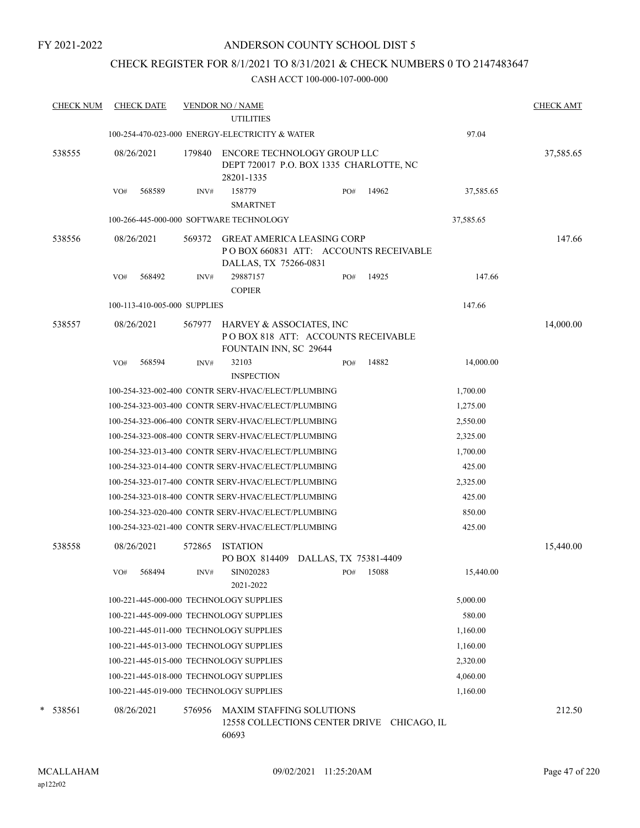### ANDERSON COUNTY SCHOOL DIST 5

### CHECK REGISTER FOR 8/1/2021 TO 8/31/2021 & CHECK NUMBERS 0 TO 2147483647

| <b>CHECK NUM</b> |     | <b>CHECK DATE</b>            |        | <b>VENDOR NO / NAME</b><br><b>UTILITIES</b>                                               |     |             |           | <b>CHECK AMT</b> |
|------------------|-----|------------------------------|--------|-------------------------------------------------------------------------------------------|-----|-------------|-----------|------------------|
|                  |     |                              |        | 100-254-470-023-000 ENERGY-ELECTRICITY & WATER                                            |     |             | 97.04     |                  |
| 538555           |     | 08/26/2021                   | 179840 | ENCORE TECHNOLOGY GROUP LLC<br>DEPT 720017 P.O. BOX 1335 CHARLOTTE, NC<br>28201-1335      |     |             |           | 37,585.65        |
|                  | VO# | 568589                       | INV#   | 158779<br><b>SMARTNET</b>                                                                 | PO# | 14962       | 37,585.65 |                  |
|                  |     |                              |        | 100-266-445-000-000 SOFTWARE TECHNOLOGY                                                   |     |             | 37,585.65 |                  |
| 538556           |     | 08/26/2021                   | 569372 | <b>GREAT AMERICA LEASING CORP</b><br>PO BOX 660831 ATT: ACCOUNTS RECEIVABLE               |     |             |           | 147.66           |
|                  | VO# | 568492                       | INV#   | DALLAS, TX 75266-0831<br>29887157<br><b>COPIER</b>                                        | PO# | 14925       | 147.66    |                  |
|                  |     | 100-113-410-005-000 SUPPLIES |        |                                                                                           |     |             | 147.66    |                  |
| 538557           |     | 08/26/2021                   | 567977 | HARVEY & ASSOCIATES, INC<br>PO BOX 818 ATT: ACCOUNTS RECEIVABLE<br>FOUNTAIN INN, SC 29644 |     |             |           | 14,000.00        |
|                  | VO# | 568594                       | INV#   | 32103<br><b>INSPECTION</b>                                                                | PO# | 14882       | 14,000.00 |                  |
|                  |     |                              |        | 100-254-323-002-400 CONTR SERV-HVAC/ELECT/PLUMBING                                        |     |             | 1,700.00  |                  |
|                  |     |                              |        | 100-254-323-003-400 CONTR SERV-HVAC/ELECT/PLUMBING                                        |     |             | 1,275.00  |                  |
|                  |     |                              |        | 100-254-323-006-400 CONTR SERV-HVAC/ELECT/PLUMBING                                        |     |             | 2,550.00  |                  |
|                  |     |                              |        | 100-254-323-008-400 CONTR SERV-HVAC/ELECT/PLUMBING                                        |     |             | 2,325.00  |                  |
|                  |     |                              |        | 100-254-323-013-400 CONTR SERV-HVAC/ELECT/PLUMBING                                        |     |             | 1,700.00  |                  |
|                  |     |                              |        | 100-254-323-014-400 CONTR SERV-HVAC/ELECT/PLUMBING                                        |     |             | 425.00    |                  |
|                  |     |                              |        | 100-254-323-017-400 CONTR SERV-HVAC/ELECT/PLUMBING                                        |     |             | 2,325.00  |                  |
|                  |     |                              |        | 100-254-323-018-400 CONTR SERV-HVAC/ELECT/PLUMBING                                        |     |             | 425.00    |                  |
|                  |     |                              |        | 100-254-323-020-400 CONTR SERV-HVAC/ELECT/PLUMBING                                        |     |             | 850.00    |                  |
|                  |     |                              |        | 100-254-323-021-400 CONTR SERV-HVAC/ELECT/PLUMBING                                        |     |             | 425.00    |                  |
| 538558           |     | 08/26/2021                   | 572865 | <b>ISTATION</b><br>PO BOX 814409 DALLAS, TX 75381-4409                                    |     |             |           | 15,440.00        |
|                  | VO# | 568494                       | INV#   | SIN020283<br>2021-2022                                                                    | PO# | 15088       | 15,440.00 |                  |
|                  |     |                              |        | 100-221-445-000-000 TECHNOLOGY SUPPLIES                                                   |     |             | 5,000.00  |                  |
|                  |     |                              |        | 100-221-445-009-000 TECHNOLOGY SUPPLIES                                                   |     |             | 580.00    |                  |
|                  |     |                              |        | 100-221-445-011-000 TECHNOLOGY SUPPLIES                                                   |     |             | 1,160.00  |                  |
|                  |     |                              |        | 100-221-445-013-000 TECHNOLOGY SUPPLIES                                                   |     |             | 1,160.00  |                  |
|                  |     |                              |        | 100-221-445-015-000 TECHNOLOGY SUPPLIES                                                   |     |             | 2,320.00  |                  |
|                  |     |                              |        | 100-221-445-018-000 TECHNOLOGY SUPPLIES                                                   |     |             | 4,060.00  |                  |
|                  |     |                              |        | 100-221-445-019-000 TECHNOLOGY SUPPLIES                                                   |     |             | 1,160.00  |                  |
| *<br>538561      |     | 08/26/2021                   | 576956 | <b>MAXIM STAFFING SOLUTIONS</b><br>12558 COLLECTIONS CENTER DRIVE<br>60693                |     | CHICAGO, IL |           | 212.50           |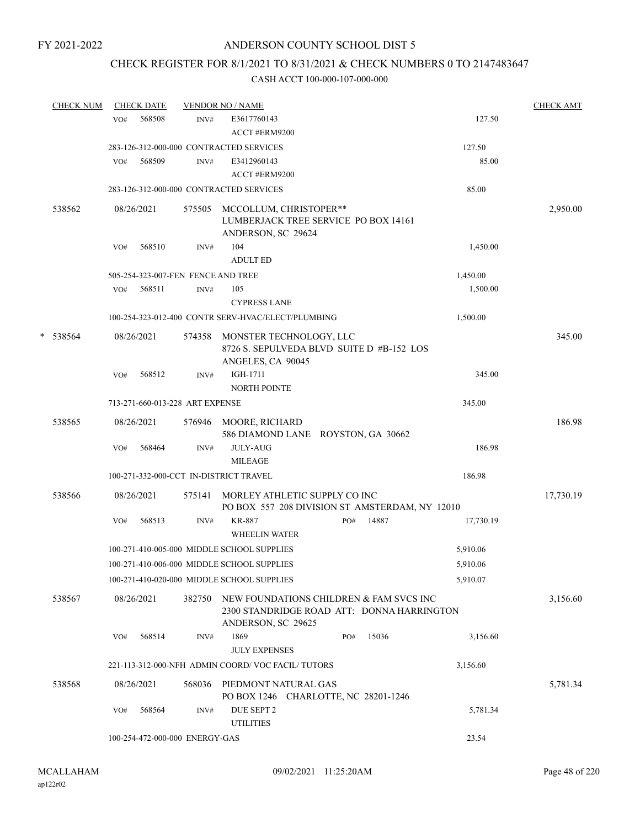### CHECK REGISTER FOR 8/1/2021 TO 8/31/2021 & CHECK NUMBERS 0 TO 2147483647

|   | <b>CHECK NUM</b> |     | <b>CHECK DATE</b> |                                    | <b>VENDOR NO / NAME</b>                                                                                     |     |       |           | <b>CHECK AMT</b> |
|---|------------------|-----|-------------------|------------------------------------|-------------------------------------------------------------------------------------------------------------|-----|-------|-----------|------------------|
|   |                  | VO# | 568508            | INV#                               | E3617760143                                                                                                 |     |       | 127.50    |                  |
|   |                  |     |                   |                                    | ACCT #ERM9200                                                                                               |     |       |           |                  |
|   |                  |     |                   |                                    | 283-126-312-000-000 CONTRACTED SERVICES                                                                     |     |       | 127.50    |                  |
|   |                  | VO# | 568509            | INV#                               | E3412960143                                                                                                 |     |       | 85.00     |                  |
|   |                  |     |                   |                                    | ACCT #ERM9200                                                                                               |     |       |           |                  |
|   |                  |     |                   |                                    | 283-126-312-000-000 CONTRACTED SERVICES                                                                     |     |       | 85.00     |                  |
|   | 538562           |     | 08/26/2021        |                                    | 575505 MCCOLLUM, CHRISTOPER**<br>LUMBERJACK TREE SERVICE PO BOX 14161<br>ANDERSON, SC 29624                 |     |       |           | 2,950.00         |
|   |                  | VO# | 568510            | INV#                               | 104                                                                                                         |     |       | 1,450.00  |                  |
|   |                  |     |                   |                                    | <b>ADULT ED</b>                                                                                             |     |       |           |                  |
|   |                  |     |                   | 505-254-323-007-FEN FENCE AND TREE |                                                                                                             |     |       | 1,450.00  |                  |
|   |                  | VO# | 568511            | INV#                               | 105                                                                                                         |     |       | 1,500.00  |                  |
|   |                  |     |                   |                                    | <b>CYPRESS LANE</b>                                                                                         |     |       |           |                  |
|   |                  |     |                   |                                    | 100-254-323-012-400 CONTR SERV-HVAC/ELECT/PLUMBING                                                          |     |       | 1,500.00  |                  |
| * | 538564           |     | 08/26/2021        |                                    | 574358 MONSTER TECHNOLOGY, LLC<br>8726 S. SEPULVEDA BLVD SUITE D #B-152 LOS<br>ANGELES, CA 90045            |     |       |           | 345.00           |
|   |                  | VO# | 568512            | INV#                               | IGH-1711<br><b>NORTH POINTE</b>                                                                             |     |       | 345.00    |                  |
|   |                  |     |                   | 713-271-660-013-228 ART EXPENSE    |                                                                                                             |     |       | 345.00    |                  |
|   | 538565           |     | 08/26/2021        |                                    | 576946 MOORE, RICHARD                                                                                       |     |       |           | 186.98           |
|   |                  |     |                   |                                    | 586 DIAMOND LANE ROYSTON, GA 30662                                                                          |     |       |           |                  |
|   |                  | VO# | 568464            | INV#                               | <b>JULY-AUG</b>                                                                                             |     |       | 186.98    |                  |
|   |                  |     |                   |                                    | <b>MILEAGE</b>                                                                                              |     |       |           |                  |
|   |                  |     |                   |                                    | 100-271-332-000-CCT IN-DISTRICT TRAVEL                                                                      |     |       | 186.98    |                  |
|   | 538566           |     | 08/26/2021        | 575141                             | MORLEY ATHLETIC SUPPLY CO INC<br>PO BOX 557 208 DIVISION ST AMSTERDAM, NY 12010                             |     |       |           | 17,730.19        |
|   |                  | VO# | 568513            | INV#                               | <b>KR-887</b><br><b>WHEELIN WATER</b>                                                                       | PO# | 14887 | 17,730.19 |                  |
|   |                  |     |                   |                                    | 100-271-410-005-000 MIDDLE SCHOOL SUPPLIES                                                                  |     |       | 5,910.06  |                  |
|   |                  |     |                   |                                    | 100-271-410-006-000 MIDDLE SCHOOL SUPPLIES                                                                  |     |       | 5,910.06  |                  |
|   |                  |     |                   |                                    | 100-271-410-020-000 MIDDLE SCHOOL SUPPLIES                                                                  |     |       | 5,910.07  |                  |
|   | 538567           |     | 08/26/2021        | 382750                             | NEW FOUNDATIONS CHILDREN & FAM SVCS INC<br>2300 STANDRIDGE ROAD ATT: DONNA HARRINGTON<br>ANDERSON, SC 29625 |     |       |           | 3,156.60         |
|   |                  | VO# | 568514            | INV#                               | 1869<br><b>JULY EXPENSES</b>                                                                                | PO# | 15036 | 3,156.60  |                  |
|   |                  |     |                   |                                    | 221-113-312-000-NFH ADMIN COORD/VOC FACIL/TUTORS                                                            |     |       | 3,156.60  |                  |
|   | 538568           |     | 08/26/2021        | 568036                             | PIEDMONT NATURAL GAS<br>PO BOX 1246 CHARLOTTE, NC 28201-1246                                                |     |       |           | 5,781.34         |
|   |                  | VO# | 568564            | INV#                               | DUE SEPT 2<br><b>UTILITIES</b>                                                                              |     |       | 5,781.34  |                  |
|   |                  |     |                   | 100-254-472-000-000 ENERGY-GAS     |                                                                                                             |     |       | 23.54     |                  |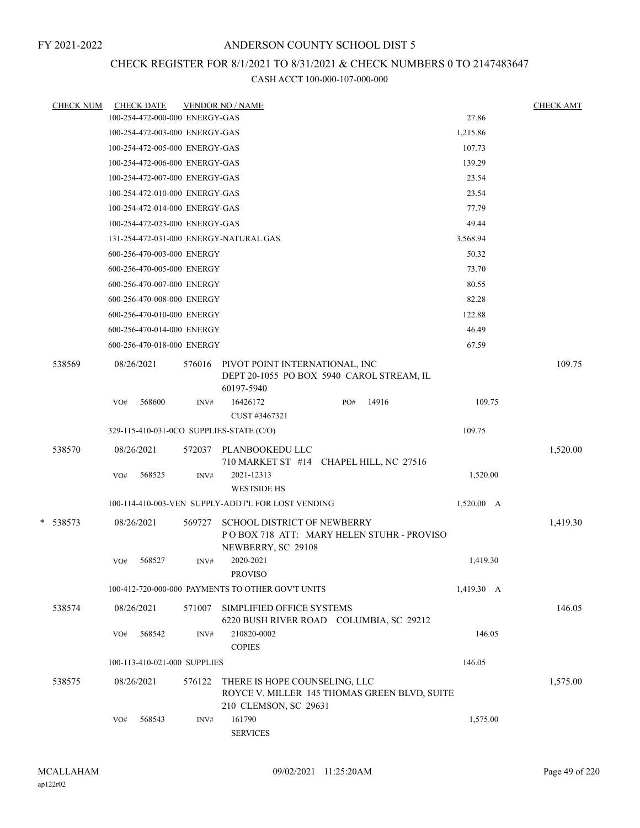## CHECK REGISTER FOR 8/1/2021 TO 8/31/2021 & CHECK NUMBERS 0 TO 2147483647

| <b>CHECK NUM</b> |     | <b>CHECK DATE</b>              |        | <b>VENDOR NO / NAME</b>                                                                                |     |       |              | <b>CHECK AMT</b> |
|------------------|-----|--------------------------------|--------|--------------------------------------------------------------------------------------------------------|-----|-------|--------------|------------------|
|                  |     | 100-254-472-000-000 ENERGY-GAS |        |                                                                                                        |     |       | 27.86        |                  |
|                  |     | 100-254-472-003-000 ENERGY-GAS |        |                                                                                                        |     |       | 1,215.86     |                  |
|                  |     | 100-254-472-005-000 ENERGY-GAS |        |                                                                                                        |     |       | 107.73       |                  |
|                  |     | 100-254-472-006-000 ENERGY-GAS |        |                                                                                                        |     |       | 139.29       |                  |
|                  |     | 100-254-472-007-000 ENERGY-GAS |        |                                                                                                        |     |       | 23.54        |                  |
|                  |     | 100-254-472-010-000 ENERGY-GAS |        |                                                                                                        |     |       | 23.54        |                  |
|                  |     | 100-254-472-014-000 ENERGY-GAS |        |                                                                                                        |     |       | 77.79        |                  |
|                  |     | 100-254-472-023-000 ENERGY-GAS |        |                                                                                                        |     |       | 49.44        |                  |
|                  |     |                                |        | 131-254-472-031-000 ENERGY-NATURAL GAS                                                                 |     |       | 3,568.94     |                  |
|                  |     | 600-256-470-003-000 ENERGY     |        |                                                                                                        |     |       | 50.32        |                  |
|                  |     | 600-256-470-005-000 ENERGY     |        |                                                                                                        |     |       | 73.70        |                  |
|                  |     | 600-256-470-007-000 ENERGY     |        |                                                                                                        |     |       | 80.55        |                  |
|                  |     | 600-256-470-008-000 ENERGY     |        |                                                                                                        |     |       | 82.28        |                  |
|                  |     | 600-256-470-010-000 ENERGY     |        |                                                                                                        |     |       | 122.88       |                  |
|                  |     | 600-256-470-014-000 ENERGY     |        |                                                                                                        |     |       | 46.49        |                  |
|                  |     | 600-256-470-018-000 ENERGY     |        |                                                                                                        |     |       | 67.59        |                  |
| 538569           |     | 08/26/2021                     | 576016 | PIVOT POINT INTERNATIONAL, INC<br>DEPT 20-1055 PO BOX 5940 CAROL STREAM, IL<br>60197-5940              |     |       |              | 109.75           |
|                  | VO# | 568600                         | INV#   | 16426172<br>CUST #3467321                                                                              | PO# | 14916 | 109.75       |                  |
|                  |     |                                |        | 329-115-410-031-0CO SUPPLIES-STATE (C/O)                                                               |     |       | 109.75       |                  |
| 538570           |     | 08/26/2021                     | 572037 | PLANBOOKEDU LLC<br>710 MARKET ST #14 CHAPEL HILL, NC 27516                                             |     |       |              | 1,520.00         |
|                  | VO# | 568525                         | INV#   | 2021-12313<br><b>WESTSIDE HS</b>                                                                       |     |       | 1,520.00     |                  |
|                  |     |                                |        | 100-114-410-003-VEN SUPPLY-ADDT'L FOR LOST VENDING                                                     |     |       | $1,520.00$ A |                  |
| * 538573         |     | 08/26/2021                     | 569727 | <b>SCHOOL DISTRICT OF NEWBERRY</b><br>POBOX 718 ATT: MARY HELEN STUHR - PROVISO<br>NEWBERRY, SC 29108  |     |       |              | 1,419.30         |
|                  | VO# | 568527                         | INV#   | 2020-2021<br><b>PROVISO</b>                                                                            |     |       | 1,419.30     |                  |
|                  |     |                                |        | 100-412-720-000-000 PAYMENTS TO OTHER GOV'T UNITS                                                      |     |       | 1,419.30 A   |                  |
| 538574           |     | 08/26/2021                     | 571007 | SIMPLIFIED OFFICE SYSTEMS<br>6220 BUSH RIVER ROAD COLUMBIA, SC 29212                                   |     |       |              | 146.05           |
|                  | VO# | 568542                         | INV#   | 210820-0002<br><b>COPIES</b>                                                                           |     |       | 146.05       |                  |
|                  |     | 100-113-410-021-000 SUPPLIES   |        |                                                                                                        |     |       | 146.05       |                  |
| 538575           |     | 08/26/2021                     | 576122 | THERE IS HOPE COUNSELING, LLC<br>ROYCE V. MILLER 145 THOMAS GREEN BLVD, SUITE<br>210 CLEMSON, SC 29631 |     |       |              | 1,575.00         |
|                  | VO# | 568543                         | INV#   | 161790<br><b>SERVICES</b>                                                                              |     |       | 1,575.00     |                  |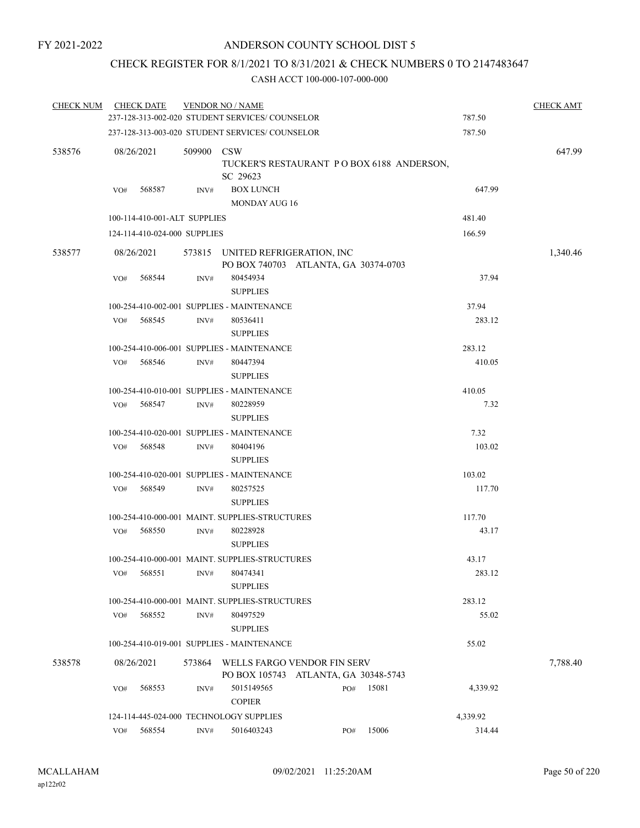### CHECK REGISTER FOR 8/1/2021 TO 8/31/2021 & CHECK NUMBERS 0 TO 2147483647

| <b>CHECK NUM</b> |            | <b>CHECK DATE</b>            |        | <b>VENDOR NO / NAME</b><br>237-128-313-002-020 STUDENT SERVICES/ COUNSELOR |     |       | 787.50   | <b>CHECK AMT</b> |
|------------------|------------|------------------------------|--------|----------------------------------------------------------------------------|-----|-------|----------|------------------|
|                  |            |                              |        | 237-128-313-003-020 STUDENT SERVICES/ COUNSELOR                            |     |       | 787.50   |                  |
|                  |            |                              |        |                                                                            |     |       |          |                  |
| 538576           | 08/26/2021 |                              | 509900 | <b>CSW</b><br>TUCKER'S RESTAURANT PO BOX 6188 ANDERSON,<br>SC 29623        |     |       |          | 647.99           |
|                  | VO#        | 568587                       | INV#   | <b>BOX LUNCH</b>                                                           |     |       | 647.99   |                  |
|                  |            |                              |        | <b>MONDAY AUG 16</b>                                                       |     |       |          |                  |
|                  |            | 100-114-410-001-ALT SUPPLIES |        |                                                                            |     |       | 481.40   |                  |
|                  |            | 124-114-410-024-000 SUPPLIES |        |                                                                            |     |       | 166.59   |                  |
| 538577           | 08/26/2021 |                              |        | 573815 UNITED REFRIGERATION, INC<br>PO BOX 740703 ATLANTA, GA 30374-0703   |     |       |          | 1,340.46         |
|                  | VO#        | 568544                       | INV#   | 80454934<br><b>SUPPLIES</b>                                                |     |       | 37.94    |                  |
|                  |            |                              |        | 100-254-410-002-001 SUPPLIES - MAINTENANCE                                 |     |       | 37.94    |                  |
|                  | VO#        | 568545                       | INV#   | 80536411<br><b>SUPPLIES</b>                                                |     |       | 283.12   |                  |
|                  |            |                              |        | 100-254-410-006-001 SUPPLIES - MAINTENANCE                                 |     |       | 283.12   |                  |
|                  | VO#        | 568546                       | INV#   | 80447394<br><b>SUPPLIES</b>                                                |     |       | 410.05   |                  |
|                  |            |                              |        | 100-254-410-010-001 SUPPLIES - MAINTENANCE                                 |     |       | 410.05   |                  |
|                  | VO#        | 568547                       | INV#   | 80228959<br><b>SUPPLIES</b>                                                |     |       | 7.32     |                  |
|                  |            |                              |        | 100-254-410-020-001 SUPPLIES - MAINTENANCE                                 |     |       | 7.32     |                  |
|                  | VO#        | 568548                       | INV#   | 80404196<br><b>SUPPLIES</b>                                                |     |       | 103.02   |                  |
|                  |            |                              |        | 100-254-410-020-001 SUPPLIES - MAINTENANCE                                 |     |       | 103.02   |                  |
|                  | VO#        | 568549                       | INV#   | 80257525<br><b>SUPPLIES</b>                                                |     |       | 117.70   |                  |
|                  |            |                              |        | 100-254-410-000-001 MAINT, SUPPLIES-STRUCTURES                             |     |       | 117.70   |                  |
|                  | VO#        | 568550                       | INV#   | 80228928<br><b>SUPPLIES</b>                                                |     |       | 43.17    |                  |
|                  |            |                              |        | 100-254-410-000-001 MAINT, SUPPLIES-STRUCTURES                             |     |       | 43.17    |                  |
|                  | VO#        | 568551                       | INV#   | 80474341<br><b>SUPPLIES</b>                                                |     |       | 283.12   |                  |
|                  |            |                              |        | 100-254-410-000-001 MAINT. SUPPLIES-STRUCTURES                             |     |       | 283.12   |                  |
|                  | VO#        | 568552                       | INV#   | 80497529<br><b>SUPPLIES</b>                                                |     |       | 55.02    |                  |
|                  |            |                              |        | 100-254-410-019-001 SUPPLIES - MAINTENANCE                                 |     |       | 55.02    |                  |
| 538578           | 08/26/2021 |                              | 573864 | WELLS FARGO VENDOR FIN SERV<br>PO BOX 105743 ATLANTA, GA 30348-5743        |     |       |          | 7,788.40         |
|                  | VO#        | 568553                       | INV#   | 5015149565<br><b>COPIER</b>                                                | PO# | 15081 | 4,339.92 |                  |
|                  |            |                              |        | 124-114-445-024-000 TECHNOLOGY SUPPLIES                                    |     |       | 4,339.92 |                  |
|                  | VO#        | 568554                       | INV#   | 5016403243                                                                 | PO# | 15006 | 314.44   |                  |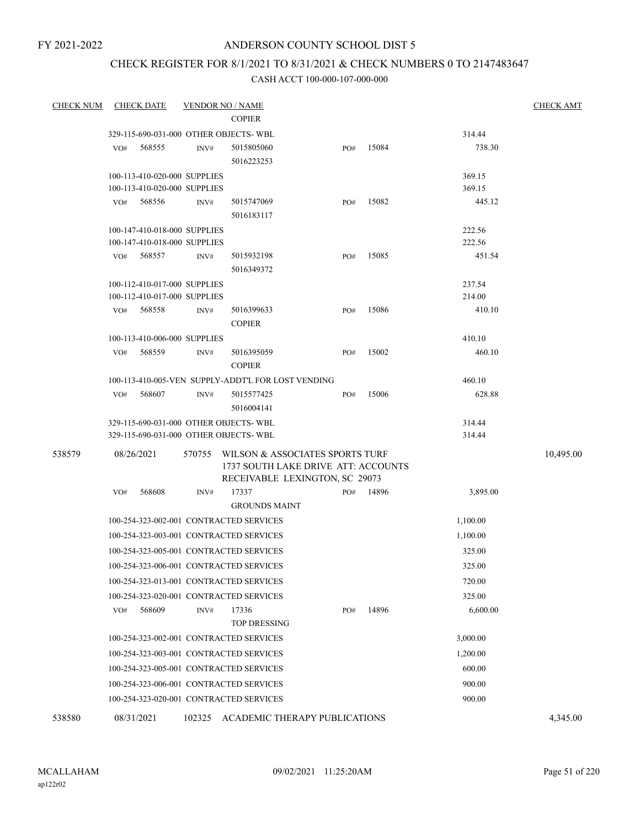## CHECK REGISTER FOR 8/1/2021 TO 8/31/2021 & CHECK NUMBERS 0 TO 2147483647

| <b>CHECK NUM</b> | <b>CHECK DATE</b>                       | <b>VENDOR NO / NAME</b> |                                                    |     |       |          | <b>CHECK AMT</b> |
|------------------|-----------------------------------------|-------------------------|----------------------------------------------------|-----|-------|----------|------------------|
|                  |                                         |                         | <b>COPIER</b>                                      |     |       |          |                  |
|                  | 329-115-690-031-000 OTHER OBJECTS-WBL   |                         |                                                    |     |       | 314.44   |                  |
|                  | 568555<br>VO#                           | INV#                    | 5015805060<br>5016223253                           | PO# | 15084 | 738.30   |                  |
|                  | 100-113-410-020-000 SUPPLIES            |                         |                                                    |     |       | 369.15   |                  |
|                  | 100-113-410-020-000 SUPPLIES            |                         |                                                    |     |       | 369.15   |                  |
|                  | 568556<br>VO#                           | INV#                    | 5015747069<br>5016183117                           | PO# | 15082 | 445.12   |                  |
|                  | 100-147-410-018-000 SUPPLIES            |                         |                                                    |     |       | 222.56   |                  |
|                  | 100-147-410-018-000 SUPPLIES            |                         |                                                    |     |       | 222.56   |                  |
|                  | 568557<br>VO#                           | INV#                    | 5015932198                                         | PO# | 15085 | 451.54   |                  |
|                  |                                         |                         | 5016349372                                         |     |       |          |                  |
|                  | 100-112-410-017-000 SUPPLIES            |                         |                                                    |     |       | 237.54   |                  |
|                  | 100-112-410-017-000 SUPPLIES            |                         |                                                    |     |       | 214.00   |                  |
|                  | 568558<br>VO#                           | INV#                    | 5016399633<br><b>COPIER</b>                        | PO# | 15086 | 410.10   |                  |
|                  | 100-113-410-006-000 SUPPLIES            |                         |                                                    |     |       | 410.10   |                  |
|                  | 568559<br>VO#                           | INV#                    | 5016395059<br><b>COPIER</b>                        | PO# | 15002 | 460.10   |                  |
|                  |                                         |                         | 100-113-410-005-VEN SUPPLY-ADDT'L FOR LOST VENDING |     |       | 460.10   |                  |
|                  | 568607<br>VO#                           | INV#                    | 5015577425                                         | PO# | 15006 | 628.88   |                  |
|                  |                                         |                         | 5016004141                                         |     |       |          |                  |
|                  | 329-115-690-031-000 OTHER OBJECTS-WBL   |                         |                                                    |     |       | 314.44   |                  |
|                  | 329-115-690-031-000 OTHER OBJECTS-WBL   |                         |                                                    |     |       | 314.44   |                  |
| 538579           | 08/26/2021                              | 570755                  | WILSON & ASSOCIATES SPORTS TURF                    |     |       |          | 10,495.00        |
|                  |                                         |                         | 1737 SOUTH LAKE DRIVE ATT: ACCOUNTS                |     |       |          |                  |
|                  | 568608<br>VO#                           | INV#                    | RECEIVABLE LEXINGTON, SC 29073<br>17337            | PO# | 14896 | 3,895.00 |                  |
|                  |                                         |                         | <b>GROUNDS MAINT</b>                               |     |       |          |                  |
|                  | 100-254-323-002-001 CONTRACTED SERVICES |                         |                                                    |     |       | 1,100.00 |                  |
|                  | 100-254-323-003-001 CONTRACTED SERVICES |                         |                                                    |     |       | 1,100.00 |                  |
|                  | 100-254-323-005-001 CONTRACTED SERVICES |                         |                                                    |     |       | 325.00   |                  |
|                  | 100-254-323-006-001 CONTRACTED SERVICES |                         |                                                    |     |       | 325.00   |                  |
|                  | 100-254-323-013-001 CONTRACTED SERVICES |                         |                                                    |     |       | 720.00   |                  |
|                  | 100-254-323-020-001 CONTRACTED SERVICES |                         |                                                    |     |       | 325.00   |                  |
|                  | 568609<br>VO#                           | INV#                    | 17336                                              | PO# | 14896 | 6,600.00 |                  |
|                  |                                         |                         | <b>TOP DRESSING</b>                                |     |       |          |                  |
|                  | 100-254-323-002-001 CONTRACTED SERVICES |                         |                                                    |     |       | 3,000.00 |                  |
|                  | 100-254-323-003-001 CONTRACTED SERVICES |                         |                                                    |     |       | 1,200.00 |                  |
|                  | 100-254-323-005-001 CONTRACTED SERVICES |                         |                                                    |     |       | 600.00   |                  |
|                  | 100-254-323-006-001 CONTRACTED SERVICES |                         |                                                    |     |       | 900.00   |                  |
|                  | 100-254-323-020-001 CONTRACTED SERVICES |                         |                                                    |     |       | 900.00   |                  |
| 538580           | 08/31/2021                              | 102325                  | ACADEMIC THERAPY PUBLICATIONS                      |     |       |          | 4,345.00         |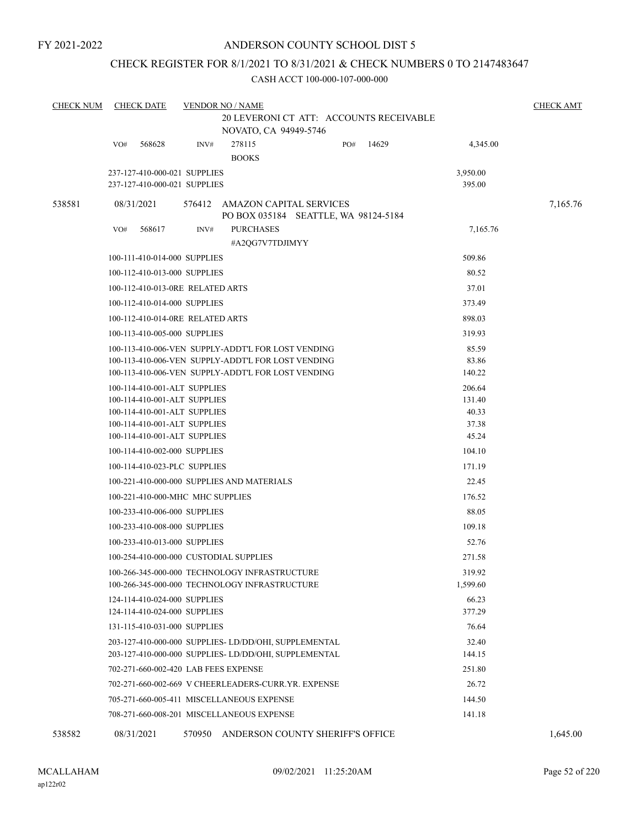### CHECK REGISTER FOR 8/1/2021 TO 8/31/2021 & CHECK NUMBERS 0 TO 2147483647

| <b>CHECK NUM</b> | <b>CHECK DATE</b>                                            |      | <b>VENDOR NO / NAME</b>             | 20 LEVERONI CT ATT: ACCOUNTS RECEIVABLE |       |                 | <b>CHECK AMT</b> |
|------------------|--------------------------------------------------------------|------|-------------------------------------|-----------------------------------------|-------|-----------------|------------------|
|                  |                                                              |      | NOVATO, CA 94949-5746               |                                         |       |                 |                  |
|                  | 568628<br>VO#                                                | INV# | 278115<br><b>BOOKS</b>              | PO#                                     | 14629 | 4,345.00        |                  |
|                  | 237-127-410-000-021 SUPPLIES                                 |      |                                     |                                         |       | 3,950.00        |                  |
|                  | 237-127-410-000-021 SUPPLIES                                 |      |                                     |                                         |       | 395.00          |                  |
| 538581           | 08/31/2021                                                   |      | 576412 AMAZON CAPITAL SERVICES      | PO BOX 035184 SEATTLE, WA 98124-5184    |       |                 | 7,165.76         |
|                  | 568617<br>VO#                                                | INV# | <b>PURCHASES</b><br>#A2QG7V7TDJIMYY |                                         |       | 7,165.76        |                  |
|                  | 100-111-410-014-000 SUPPLIES                                 |      |                                     |                                         |       | 509.86          |                  |
|                  | 100-112-410-013-000 SUPPLIES                                 |      |                                     |                                         |       | 80.52           |                  |
|                  | 100-112-410-013-0RE RELATED ARTS                             |      |                                     |                                         |       | 37.01           |                  |
|                  | 100-112-410-014-000 SUPPLIES                                 |      |                                     |                                         |       | 373.49          |                  |
|                  | 100-112-410-014-0RE RELATED ARTS                             |      |                                     |                                         |       | 898.03          |                  |
|                  | 100-113-410-005-000 SUPPLIES                                 |      |                                     |                                         |       | 319.93          |                  |
|                  | 100-113-410-006-VEN SUPPLY-ADDT'L FOR LOST VENDING           |      |                                     |                                         |       | 85.59           |                  |
|                  | 100-113-410-006-VEN SUPPLY-ADDT'L FOR LOST VENDING           |      |                                     |                                         |       | 83.86           |                  |
|                  | 100-113-410-006-VEN SUPPLY-ADDT'L FOR LOST VENDING           |      |                                     |                                         |       | 140.22          |                  |
|                  | 100-114-410-001-ALT SUPPLIES                                 |      |                                     |                                         |       | 206.64          |                  |
|                  | 100-114-410-001-ALT SUPPLIES<br>100-114-410-001-ALT SUPPLIES |      |                                     |                                         |       | 131.40<br>40.33 |                  |
|                  | 100-114-410-001-ALT SUPPLIES                                 |      |                                     |                                         |       | 37.38           |                  |
|                  | 100-114-410-001-ALT SUPPLIES                                 |      |                                     |                                         |       | 45.24           |                  |
|                  | 100-114-410-002-000 SUPPLIES                                 |      |                                     |                                         |       | 104.10          |                  |
|                  | 100-114-410-023-PLC SUPPLIES                                 |      |                                     |                                         |       | 171.19          |                  |
|                  | 100-221-410-000-000 SUPPLIES AND MATERIALS                   |      |                                     |                                         |       | 22.45           |                  |
|                  | 100-221-410-000-MHC MHC SUPPLIES                             |      |                                     |                                         |       | 176.52          |                  |
|                  | 100-233-410-006-000 SUPPLIES                                 |      |                                     |                                         |       | 88.05           |                  |
|                  | 100-233-410-008-000 SUPPLIES                                 |      |                                     |                                         |       | 109.18          |                  |
|                  | 100-233-410-013-000 SUPPLIES                                 |      |                                     |                                         |       | 52.76           |                  |
|                  | 100-254-410-000-000 CUSTODIAL SUPPLIES                       |      |                                     |                                         |       | 271.58          |                  |
|                  | 100-266-345-000-000 TECHNOLOGY INFRASTRUCTURE                |      |                                     |                                         |       | 319.92          |                  |
|                  | 100-266-345-000-000 TECHNOLOGY INFRASTRUCTURE                |      |                                     |                                         |       | 1,599.60        |                  |
|                  | 124-114-410-024-000 SUPPLIES                                 |      |                                     |                                         |       | 66.23           |                  |
|                  | 124-114-410-024-000 SUPPLIES                                 |      |                                     |                                         |       | 377.29          |                  |
|                  | 131-115-410-031-000 SUPPLIES                                 |      |                                     |                                         |       | 76.64           |                  |
|                  | 203-127-410-000-000 SUPPLIES-LD/DD/OHI, SUPPLEMENTAL         |      |                                     |                                         |       | 32.40           |                  |
|                  | 203-127-410-000-000 SUPPLIES- LD/DD/OHI, SUPPLEMENTAL        |      |                                     |                                         |       | 144.15          |                  |
|                  | 702-271-660-002-420 LAB FEES EXPENSE                         |      |                                     |                                         |       | 251.80          |                  |
|                  | 702-271-660-002-669 V CHEERLEADERS-CURR.YR. EXPENSE          |      |                                     |                                         |       | 26.72           |                  |
|                  | 705-271-660-005-411 MISCELLANEOUS EXPENSE                    |      |                                     |                                         |       | 144.50          |                  |
|                  | 708-271-660-008-201 MISCELLANEOUS EXPENSE                    |      |                                     |                                         |       | 141.18          |                  |
| 538582           | 08/31/2021                                                   |      |                                     | 570950 ANDERSON COUNTY SHERIFF'S OFFICE |       |                 | 1,645.00         |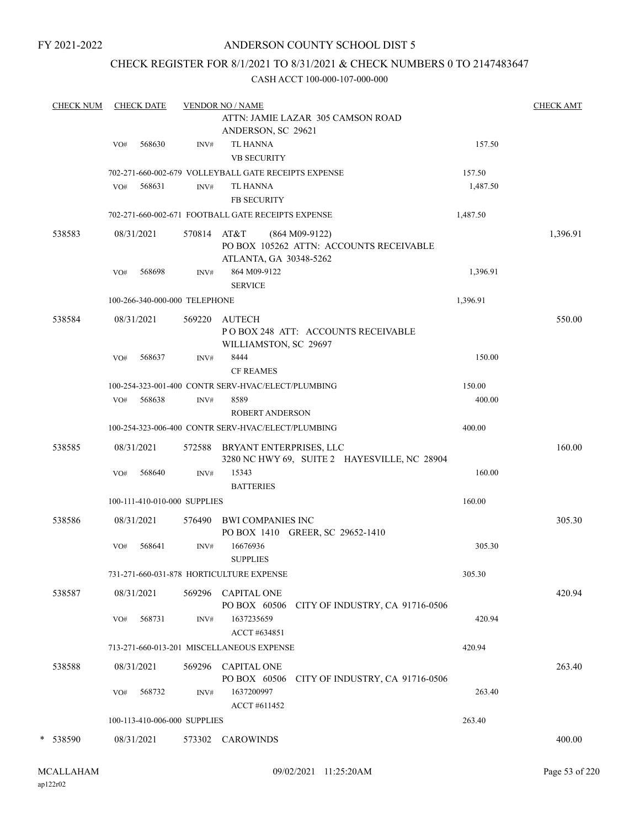### ANDERSON COUNTY SCHOOL DIST 5

### CHECK REGISTER FOR 8/1/2021 TO 8/31/2021 & CHECK NUMBERS 0 TO 2147483647

| <b>CHECK NUM</b> |     | <b>CHECK DATE</b> |                               | <b>VENDOR NO / NAME</b>                                                               |                    | <b>CHECK AMT</b> |
|------------------|-----|-------------------|-------------------------------|---------------------------------------------------------------------------------------|--------------------|------------------|
|                  |     |                   |                               | ATTN: JAMIE LAZAR 305 CAMSON ROAD<br>ANDERSON, SC 29621                               |                    |                  |
|                  | VO# | 568630            | INV#                          | <b>TL HANNA</b>                                                                       | 157.50             |                  |
|                  |     |                   |                               | <b>VB SECURITY</b>                                                                    |                    |                  |
|                  |     |                   |                               | 702-271-660-002-679 VOLLEYBALL GATE RECEIPTS EXPENSE                                  | 157.50<br>1,487.50 |                  |
|                  | VO# | 568631            | INV#                          | TL HANNA<br><b>FB SECURITY</b>                                                        |                    |                  |
|                  |     |                   |                               | 702-271-660-002-671 FOOTBALL GATE RECEIPTS EXPENSE                                    | 1,487.50           |                  |
|                  |     |                   |                               |                                                                                       |                    |                  |
| 538583           |     | 08/31/2021        | 570814 AT&T                   | $(864 M09-9122)$<br>PO BOX 105262 ATTN: ACCOUNTS RECEIVABLE<br>ATLANTA, GA 30348-5262 |                    | 1,396.91         |
|                  | VO# | 568698            | INV#                          | 864 M09-9122<br><b>SERVICE</b>                                                        | 1,396.91           |                  |
|                  |     |                   | 100-266-340-000-000 TELEPHONE |                                                                                       | 1,396.91           |                  |
| 538584           |     | 08/31/2021        |                               | 569220 AUTECH<br>POBOX 248 ATT: ACCOUNTS RECEIVABLE<br>WILLIAMSTON, SC 29697          |                    | 550.00           |
|                  | VO# | 568637            | INV#                          | 8444<br><b>CF REAMES</b>                                                              | 150.00             |                  |
|                  |     |                   |                               | 100-254-323-001-400 CONTR SERV-HVAC/ELECT/PLUMBING                                    | 150.00             |                  |
|                  |     | VO# 568638        | INV#                          | 8589<br><b>ROBERT ANDERSON</b>                                                        | 400.00             |                  |
|                  |     |                   |                               | 100-254-323-006-400 CONTR SERV-HVAC/ELECT/PLUMBING                                    | 400.00             |                  |
| 538585           |     | 08/31/2021        |                               | 572588 BRYANT ENTERPRISES, LLC<br>3280 NC HWY 69, SUITE 2 HAYESVILLE, NC 28904        |                    | 160.00           |
|                  | VO# | 568640            | INV#                          | 15343<br><b>BATTERIES</b>                                                             | 160.00             |                  |
|                  |     |                   | 100-111-410-010-000 SUPPLIES  |                                                                                       | 160.00             |                  |
| 538586           |     | 08/31/2021        |                               | 576490 BWI COMPANIES INC<br>PO BOX 1410 GREER, SC 29652-1410                          |                    | 305.30           |
|                  | VO# | 568641            | INV#                          | 16676936<br><b>SUPPLIES</b>                                                           | 305.30             |                  |
|                  |     |                   |                               | 731-271-660-031-878 HORTICULTURE EXPENSE                                              | 305.30             |                  |
| 538587           |     | 08/31/2021        |                               | 569296 CAPITAL ONE<br>PO BOX 60506<br>CITY OF INDUSTRY, CA 91716-0506                 |                    | 420.94           |
|                  | VO# | 568731            | INV#                          | 1637235659<br>ACCT #634851                                                            | 420.94             |                  |
|                  |     |                   |                               | 713-271-660-013-201 MISCELLANEOUS EXPENSE                                             | 420.94             |                  |
| 538588           |     | 08/31/2021        |                               | 569296 CAPITAL ONE<br>PO BOX 60506<br>CITY OF INDUSTRY, CA 91716-0506                 |                    | 263.40           |
|                  | VO# | 568732            | INV#                          | 1637200997<br>ACCT #611452                                                            | 263.40             |                  |
|                  |     |                   | 100-113-410-006-000 SUPPLIES  |                                                                                       | 263.40             |                  |
| * 538590         |     | 08/31/2021        |                               | 573302 CAROWINDS                                                                      |                    | 400.00           |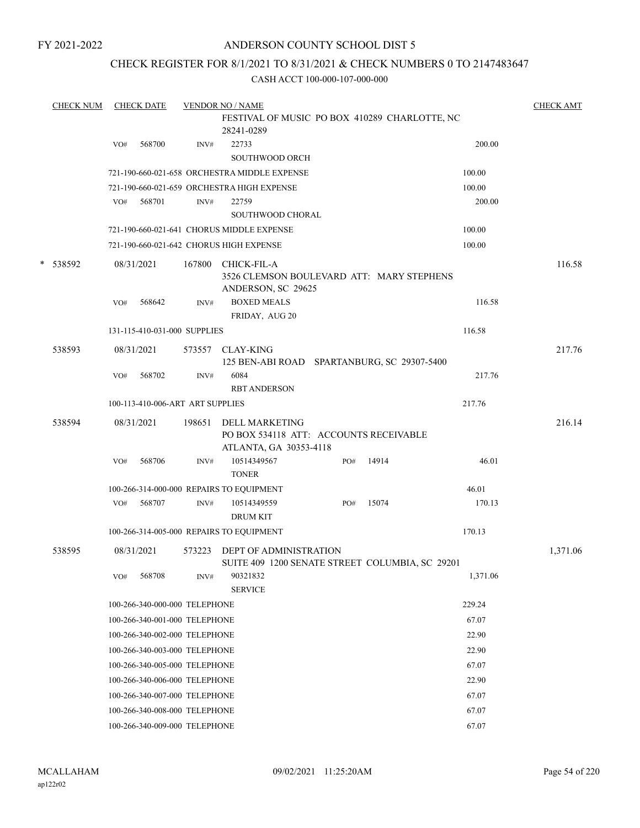### ANDERSON COUNTY SCHOOL DIST 5

### CHECK REGISTER FOR 8/1/2021 TO 8/31/2021 & CHECK NUMBERS 0 TO 2147483647

| <b>CHECK NUM</b><br><b>CHECK DATE</b> |     |                                  | <b>VENDOR NO / NAME</b> | <b>CHECK AMT</b>                                                                   |     |       |          |          |
|---------------------------------------|-----|----------------------------------|-------------------------|------------------------------------------------------------------------------------|-----|-------|----------|----------|
|                                       |     |                                  |                         | FESTIVAL OF MUSIC PO BOX 410289 CHARLOTTE, NC<br>28241-0289                        |     |       |          |          |
|                                       | VO# | 568700                           | INV#                    | 22733                                                                              |     |       | 200.00   |          |
|                                       |     |                                  |                         | <b>SOUTHWOOD ORCH</b>                                                              |     |       |          |          |
|                                       |     |                                  |                         | 721-190-660-021-658 ORCHESTRA MIDDLE EXPENSE                                       |     |       | 100.00   |          |
|                                       |     |                                  |                         | 721-190-660-021-659 ORCHESTRA HIGH EXPENSE                                         |     |       | 100.00   |          |
|                                       | VO# | 568701                           | INV#                    | 22759                                                                              |     |       | 200.00   |          |
|                                       |     |                                  |                         | SOUTHWOOD CHORAL                                                                   |     |       |          |          |
|                                       |     |                                  |                         | 721-190-660-021-641 CHORUS MIDDLE EXPENSE                                          |     |       | 100.00   |          |
|                                       |     |                                  |                         | 721-190-660-021-642 CHORUS HIGH EXPENSE                                            |     |       | 100.00   |          |
| * 538592                              |     | 08/31/2021                       | 167800                  | CHICK-FIL-A<br>3526 CLEMSON BOULEVARD ATT: MARY STEPHENS<br>ANDERSON, SC 29625     |     |       |          | 116.58   |
|                                       | VO# | 568642                           | INV#                    | <b>BOXED MEALS</b><br>FRIDAY, AUG 20                                               |     |       | 116.58   |          |
|                                       |     | 131-115-410-031-000 SUPPLIES     |                         |                                                                                    |     |       | 116.58   |          |
|                                       |     |                                  |                         |                                                                                    |     |       |          |          |
| 538593                                |     | 08/31/2021                       | 573557                  | <b>CLAY-KING</b><br>125 BEN-ABI ROAD SPARTANBURG, SC 29307-5400                    |     |       |          | 217.76   |
|                                       | VO# | 568702                           | INV#                    | 6084<br><b>RBT ANDERSON</b>                                                        |     |       | 217.76   |          |
|                                       |     | 100-113-410-006-ART ART SUPPLIES |                         |                                                                                    |     |       | 217.76   |          |
| 538594                                |     | 08/31/2021                       | 198651                  | DELL MARKETING<br>PO BOX 534118 ATT: ACCOUNTS RECEIVABLE<br>ATLANTA, GA 30353-4118 |     |       |          | 216.14   |
|                                       | VO# | 568706                           | INV#                    | 10514349567<br><b>TONER</b>                                                        | PO# | 14914 | 46.01    |          |
|                                       |     |                                  |                         | 100-266-314-000-000 REPAIRS TO EQUIPMENT                                           |     |       | 46.01    |          |
|                                       | VO# | 568707                           | $\text{INV}\#$          | 10514349559<br><b>DRUM KIT</b>                                                     | PO# | 15074 | 170.13   |          |
|                                       |     |                                  |                         | 100-266-314-005-000 REPAIRS TO EQUIPMENT                                           |     |       | 170.13   |          |
| 538595                                |     | 08/31/2021                       | 573223                  | DEPT OF ADMINISTRATION<br>SUITE 409 1200 SENATE STREET COLUMBIA, SC 29201          |     |       |          | 1,371.06 |
|                                       | VO# | 568708                           | INV#                    | 90321832<br><b>SERVICE</b>                                                         |     |       | 1,371.06 |          |
|                                       |     | 100-266-340-000-000 TELEPHONE    |                         |                                                                                    |     |       | 229.24   |          |
|                                       |     | 100-266-340-001-000 TELEPHONE    |                         |                                                                                    |     |       | 67.07    |          |
|                                       |     | 100-266-340-002-000 TELEPHONE    |                         |                                                                                    |     |       | 22.90    |          |
|                                       |     | 100-266-340-003-000 TELEPHONE    |                         |                                                                                    |     |       | 22.90    |          |
|                                       |     | 100-266-340-005-000 TELEPHONE    |                         |                                                                                    |     |       | 67.07    |          |
|                                       |     | 100-266-340-006-000 TELEPHONE    |                         |                                                                                    |     |       | 22.90    |          |
|                                       |     | 100-266-340-007-000 TELEPHONE    |                         |                                                                                    |     |       | 67.07    |          |
|                                       |     | 100-266-340-008-000 TELEPHONE    |                         |                                                                                    |     |       | 67.07    |          |
|                                       |     | 100-266-340-009-000 TELEPHONE    |                         |                                                                                    |     |       | 67.07    |          |
|                                       |     |                                  |                         |                                                                                    |     |       |          |          |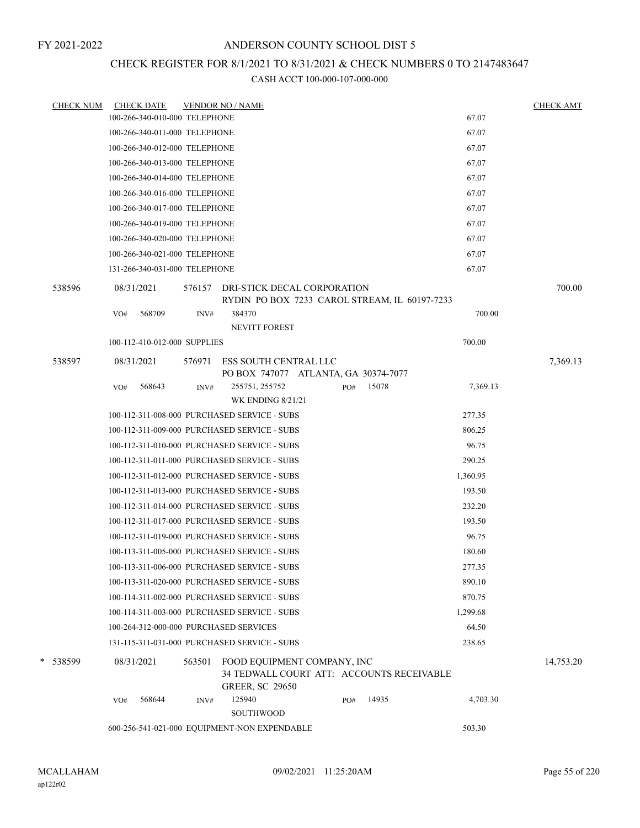### CHECK REGISTER FOR 8/1/2021 TO 8/31/2021 & CHECK NUMBERS 0 TO 2147483647

| <b>CHECK NUM</b> |     | <b>CHECK DATE</b>             |        | <b>VENDOR NO / NAME</b>                                                      |     |       |          | <b>CHECK AMT</b> |
|------------------|-----|-------------------------------|--------|------------------------------------------------------------------------------|-----|-------|----------|------------------|
|                  |     | 100-266-340-010-000 TELEPHONE |        |                                                                              |     |       | 67.07    |                  |
|                  |     | 100-266-340-011-000 TELEPHONE |        |                                                                              |     |       | 67.07    |                  |
|                  |     | 100-266-340-012-000 TELEPHONE |        |                                                                              |     |       | 67.07    |                  |
|                  |     | 100-266-340-013-000 TELEPHONE |        |                                                                              |     |       | 67.07    |                  |
|                  |     | 100-266-340-014-000 TELEPHONE |        |                                                                              |     |       | 67.07    |                  |
|                  |     | 100-266-340-016-000 TELEPHONE |        |                                                                              |     |       | 67.07    |                  |
|                  |     | 100-266-340-017-000 TELEPHONE |        |                                                                              |     |       | 67.07    |                  |
|                  |     | 100-266-340-019-000 TELEPHONE |        |                                                                              |     |       | 67.07    |                  |
|                  |     | 100-266-340-020-000 TELEPHONE |        |                                                                              |     |       | 67.07    |                  |
|                  |     | 100-266-340-021-000 TELEPHONE |        |                                                                              |     |       | 67.07    |                  |
|                  |     | 131-266-340-031-000 TELEPHONE |        |                                                                              |     |       | 67.07    |                  |
| 538596           |     | 08/31/2021                    | 576157 | DRI-STICK DECAL CORPORATION<br>RYDIN PO BOX 7233 CAROL STREAM, IL 60197-7233 |     |       |          | 700.00           |
|                  | VO# | 568709                        | INV#   | 384370                                                                       |     |       | 700.00   |                  |
|                  |     |                               |        | <b>NEVITT FOREST</b>                                                         |     |       |          |                  |
|                  |     | 100-112-410-012-000 SUPPLIES  |        |                                                                              |     |       | 700.00   |                  |
| 538597           |     | 08/31/2021                    | 576971 | ESS SOUTH CENTRAL LLC<br>PO BOX 747077 ATLANTA, GA 30374-7077                |     |       |          | 7,369.13         |
|                  | VO# | 568643                        | INV#   | 255751, 255752                                                               | PO# | 15078 | 7,369.13 |                  |
|                  |     |                               |        | <b>WK ENDING 8/21/21</b>                                                     |     |       |          |                  |
|                  |     |                               |        | 100-112-311-008-000 PURCHASED SERVICE - SUBS                                 |     |       | 277.35   |                  |
|                  |     |                               |        | 100-112-311-009-000 PURCHASED SERVICE - SUBS                                 |     |       | 806.25   |                  |
|                  |     |                               |        | 100-112-311-010-000 PURCHASED SERVICE - SUBS                                 |     |       | 96.75    |                  |
|                  |     |                               |        | 100-112-311-011-000 PURCHASED SERVICE - SUBS                                 |     |       | 290.25   |                  |
|                  |     |                               |        | 100-112-311-012-000 PURCHASED SERVICE - SUBS                                 |     |       | 1,360.95 |                  |
|                  |     |                               |        | 100-112-311-013-000 PURCHASED SERVICE - SUBS                                 |     |       | 193.50   |                  |
|                  |     |                               |        | 100-112-311-014-000 PURCHASED SERVICE - SUBS                                 |     |       | 232.20   |                  |
|                  |     |                               |        | 100-112-311-017-000 PURCHASED SERVICE - SUBS                                 |     |       | 193.50   |                  |
|                  |     |                               |        | 100-112-311-019-000 PURCHASED SERVICE - SUBS                                 |     |       | 96.75    |                  |
|                  |     |                               |        | 100-113-311-005-000 PURCHASED SERVICE - SUBS                                 |     |       | 180.60   |                  |
|                  |     |                               |        | 100-113-311-006-000 PURCHASED SERVICE - SUBS                                 |     |       | 277.35   |                  |
|                  |     |                               |        | 100-113-311-020-000 PURCHASED SERVICE - SUBS                                 |     |       | 890.10   |                  |
|                  |     |                               |        | 100-114-311-002-000 PURCHASED SERVICE - SUBS                                 |     |       | 870.75   |                  |
|                  |     |                               |        | 100-114-311-003-000 PURCHASED SERVICE - SUBS                                 |     |       | 1,299.68 |                  |
|                  |     |                               |        | 100-264-312-000-000 PURCHASED SERVICES                                       |     |       | 64.50    |                  |
|                  |     |                               |        | 131-115-311-031-000 PURCHASED SERVICE - SUBS                                 |     |       | 238.65   |                  |
| * 538599         |     | 08/31/2021                    | 563501 | FOOD EQUIPMENT COMPANY, INC                                                  |     |       |          | 14,753.20        |
|                  |     |                               |        | 34 TEDWALL COURT ATT: ACCOUNTS RECEIVABLE<br><b>GREER, SC 29650</b>          |     |       |          |                  |
|                  | VO# | 568644                        | INV#   | 125940                                                                       | PO# | 14935 | 4,703.30 |                  |
|                  |     |                               |        | <b>SOUTHWOOD</b>                                                             |     |       |          |                  |
|                  |     |                               |        | 600-256-541-021-000 EQUIPMENT-NON EXPENDABLE                                 |     |       | 503.30   |                  |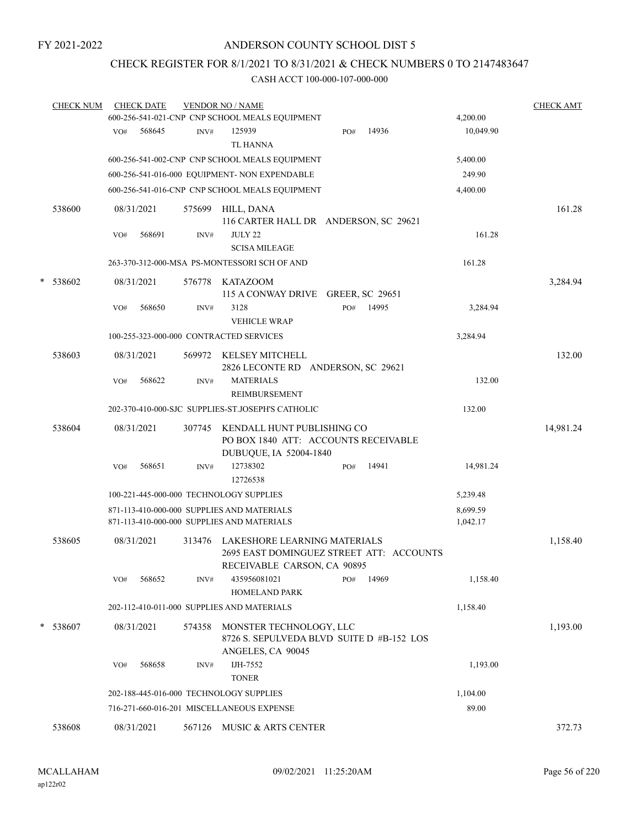### ANDERSON COUNTY SCHOOL DIST 5

### CHECK REGISTER FOR 8/1/2021 TO 8/31/2021 & CHECK NUMBERS 0 TO 2147483647

|   | <b>CHECK NUM</b> |     | <b>CHECK DATE</b> |        | <b>VENDOR NO / NAME</b>                                                                                 |     |       |                      | <b>CHECK AMT</b> |
|---|------------------|-----|-------------------|--------|---------------------------------------------------------------------------------------------------------|-----|-------|----------------------|------------------|
|   |                  |     |                   |        | 600-256-541-021-CNP CNP SCHOOL MEALS EQUIPMENT                                                          |     |       | 4,200.00             |                  |
|   |                  | VO# | 568645            | INV#   | 125939<br><b>TL HANNA</b>                                                                               | PO# | 14936 | 10,049.90            |                  |
|   |                  |     |                   |        | 600-256-541-002-CNP CNP SCHOOL MEALS EQUIPMENT                                                          |     |       | 5,400.00             |                  |
|   |                  |     |                   |        | 600-256-541-016-000 EQUIPMENT- NON EXPENDABLE                                                           |     |       | 249.90               |                  |
|   |                  |     |                   |        | 600-256-541-016-CNP CNP SCHOOL MEALS EQUIPMENT                                                          |     |       | 4,400.00             |                  |
|   | 538600           |     | 08/31/2021        | 575699 | HILL, DANA<br>116 CARTER HALL DR ANDERSON, SC 29621                                                     |     |       |                      | 161.28           |
|   |                  | VO# | 568691            | INV#   | <b>JULY 22</b><br><b>SCISA MILEAGE</b>                                                                  |     |       | 161.28               |                  |
|   |                  |     |                   |        | 263-370-312-000-MSA PS-MONTESSORI SCH OF AND                                                            |     |       | 161.28               |                  |
| * | 538602           |     | 08/31/2021        | 576778 | KATAZOOM<br>115 A CONWAY DRIVE GREER, SC 29651                                                          |     |       |                      | 3,284.94         |
|   |                  | VO# | 568650            | INV#   | 3128<br><b>VEHICLE WRAP</b>                                                                             | PO# | 14995 | 3,284.94             |                  |
|   |                  |     |                   |        | 100-255-323-000-000 CONTRACTED SERVICES                                                                 |     |       | 3,284.94             |                  |
|   | 538603           |     | 08/31/2021        | 569972 | KELSEY MITCHELL<br>2826 LECONTE RD ANDERSON, SC 29621                                                   |     |       |                      | 132.00           |
|   |                  | VO# | 568622            | INV#   | <b>MATERIALS</b><br>REIMBURSEMENT                                                                       |     |       | 132.00               |                  |
|   |                  |     |                   |        | 202-370-410-000-SJC SUPPLIES-ST.JOSEPH'S CATHOLIC                                                       |     |       | 132.00               |                  |
|   | 538604           |     | 08/31/2021        | 307745 | KENDALL HUNT PUBLISHING CO<br>PO BOX 1840 ATT: ACCOUNTS RECEIVABLE<br>DUBUQUE, IA 52004-1840            |     |       |                      | 14,981.24        |
|   |                  | VO# | 568651            | INV#   | 12738302<br>12726538                                                                                    | PO# | 14941 | 14,981.24            |                  |
|   |                  |     |                   |        | 100-221-445-000-000 TECHNOLOGY SUPPLIES                                                                 |     |       | 5,239.48             |                  |
|   |                  |     |                   |        | 871-113-410-000-000 SUPPLIES AND MATERIALS<br>871-113-410-000-000 SUPPLIES AND MATERIALS                |     |       | 8,699.59<br>1,042.17 |                  |
|   | 538605           |     | 08/31/2021        | 313476 | LAKESHORE LEARNING MATERIALS<br>2695 EAST DOMINGUEZ STREET ATT: ACCOUNTS<br>RECEIVABLE CARSON, CA 90895 |     |       |                      | 1,158.40         |
|   |                  | VO# | 568652            | INV#   | 435956081021<br><b>HOMELAND PARK</b>                                                                    | PO# | 14969 | 1,158.40             |                  |
|   |                  |     |                   |        | 202-112-410-011-000 SUPPLIES AND MATERIALS                                                              |     |       | 1,158.40             |                  |
| * | 538607           |     | 08/31/2021        | 574358 | MONSTER TECHNOLOGY, LLC<br>8726 S. SEPULVEDA BLVD SUITE D #B-152 LOS<br>ANGELES, CA 90045               |     |       |                      | 1,193.00         |
|   |                  | VO# | 568658            | INV#   | IJH-7552<br><b>TONER</b>                                                                                |     |       | 1,193.00             |                  |
|   |                  |     |                   |        | 202-188-445-016-000 TECHNOLOGY SUPPLIES                                                                 |     |       | 1,104.00             |                  |
|   |                  |     |                   |        | 716-271-660-016-201 MISCELLANEOUS EXPENSE                                                               |     |       | 89.00                |                  |
|   | 538608           |     | 08/31/2021        |        | 567126 MUSIC & ARTS CENTER                                                                              |     |       |                      | 372.73           |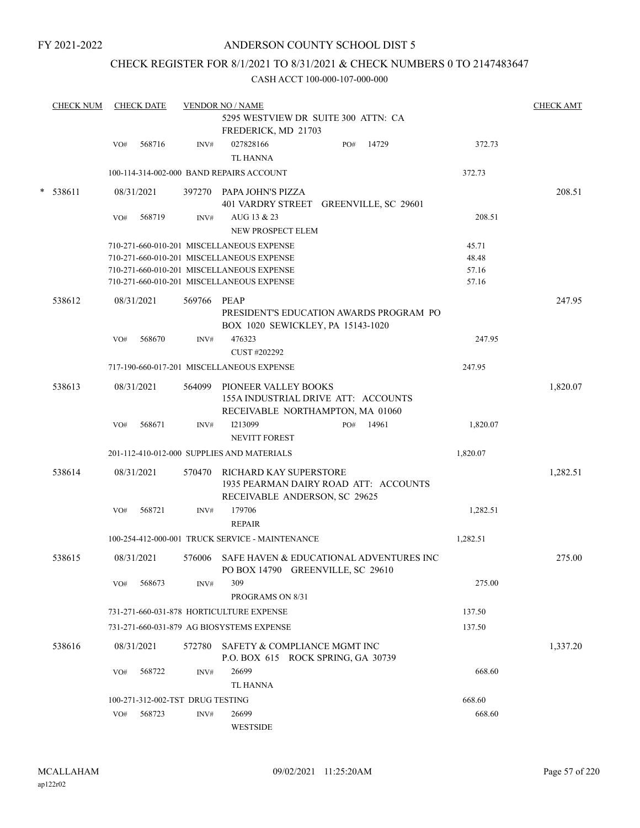### ANDERSON COUNTY SCHOOL DIST 5

### CHECK REGISTER FOR 8/1/2021 TO 8/31/2021 & CHECK NUMBERS 0 TO 2147483647

|   | <b>CHECK NUM</b> |     | <b>CHECK DATE</b>                |        | <b>VENDOR NO / NAME</b>                         |     |       |          | <b>CHECK AMT</b> |
|---|------------------|-----|----------------------------------|--------|-------------------------------------------------|-----|-------|----------|------------------|
|   |                  |     |                                  |        | 5295 WESTVIEW DR SUITE 300 ATTN: CA             |     |       |          |                  |
|   |                  |     |                                  |        | FREDERICK, MD 21703                             |     |       |          |                  |
|   |                  | VO# | 568716                           | INV#   | 027828166                                       | PO# | 14729 | 372.73   |                  |
|   |                  |     |                                  |        | <b>TL HANNA</b>                                 |     |       |          |                  |
|   |                  |     |                                  |        | 100-114-314-002-000 BAND REPAIRS ACCOUNT        |     |       | 372.73   |                  |
|   |                  |     |                                  |        |                                                 |     |       |          |                  |
| * | 538611           |     | 08/31/2021                       |        | 397270 PAPA JOHN'S PIZZA                        |     |       |          | 208.51           |
|   |                  |     |                                  |        | 401 VARDRY STREET GREENVILLE, SC 29601          |     |       |          |                  |
|   |                  | VO# | 568719                           | INV#   | AUG 13 & 23                                     |     |       | 208.51   |                  |
|   |                  |     |                                  |        | NEW PROSPECT ELEM                               |     |       |          |                  |
|   |                  |     |                                  |        | 710-271-660-010-201 MISCELLANEOUS EXPENSE       |     |       | 45.71    |                  |
|   |                  |     |                                  |        | 710-271-660-010-201 MISCELLANEOUS EXPENSE       |     |       | 48.48    |                  |
|   |                  |     |                                  |        | 710-271-660-010-201 MISCELLANEOUS EXPENSE       |     |       | 57.16    |                  |
|   |                  |     |                                  |        | 710-271-660-010-201 MISCELLANEOUS EXPENSE       |     |       | 57.16    |                  |
|   |                  |     |                                  |        |                                                 |     |       |          |                  |
|   | 538612           |     | 08/31/2021                       | 569766 | PEAP                                            |     |       |          | 247.95           |
|   |                  |     |                                  |        | PRESIDENT'S EDUCATION AWARDS PROGRAM PO         |     |       |          |                  |
|   |                  |     |                                  |        | BOX 1020 SEWICKLEY, PA 15143-1020               |     |       |          |                  |
|   |                  | VO# | 568670                           | INV#   | 476323                                          |     |       | 247.95   |                  |
|   |                  |     |                                  |        | CUST #202292                                    |     |       |          |                  |
|   |                  |     |                                  |        | 717-190-660-017-201 MISCELLANEOUS EXPENSE       |     |       | 247.95   |                  |
|   | 538613           |     | 08/31/2021                       | 564099 | PIONEER VALLEY BOOKS                            |     |       |          | 1,820.07         |
|   |                  |     |                                  |        | 155A INDUSTRIAL DRIVE ATT: ACCOUNTS             |     |       |          |                  |
|   |                  |     |                                  |        | RECEIVABLE NORTHAMPTON, MA 01060                |     |       |          |                  |
|   |                  | VO# | 568671                           | INV#   | I213099                                         | PO# | 14961 | 1,820.07 |                  |
|   |                  |     |                                  |        | <b>NEVITT FOREST</b>                            |     |       |          |                  |
|   |                  |     |                                  |        | 201-112-410-012-000 SUPPLIES AND MATERIALS      |     |       | 1,820.07 |                  |
|   |                  |     |                                  |        |                                                 |     |       |          |                  |
|   | 538614           |     | 08/31/2021                       | 570470 | RICHARD KAY SUPERSTORE                          |     |       |          | 1,282.51         |
|   |                  |     |                                  |        | 1935 PEARMAN DAIRY ROAD ATT: ACCOUNTS           |     |       |          |                  |
|   |                  |     |                                  |        | RECEIVABLE ANDERSON, SC 29625                   |     |       |          |                  |
|   |                  | VO# | 568721                           | INV#   | 179706                                          |     |       | 1,282.51 |                  |
|   |                  |     |                                  |        | <b>REPAIR</b>                                   |     |       |          |                  |
|   |                  |     |                                  |        | 100-254-412-000-001 TRUCK SERVICE - MAINTENANCE |     |       | 1,282.51 |                  |
|   |                  |     |                                  |        |                                                 |     |       |          |                  |
|   | 538615           |     | 08/31/2021                       | 576006 | SAFE HAVEN & EDUCATIONAL ADVENTURES INC         |     |       |          | 275.00           |
|   |                  |     |                                  |        | PO BOX 14790 GREENVILLE, SC 29610               |     |       |          |                  |
|   |                  | VO# | 568673                           | INV#   | 309                                             |     |       | 275.00   |                  |
|   |                  |     |                                  |        | PROGRAMS ON 8/31                                |     |       |          |                  |
|   |                  |     |                                  |        | 731-271-660-031-878 HORTICULTURE EXPENSE        |     |       | 137.50   |                  |
|   |                  |     |                                  |        | 731-271-660-031-879 AG BIOSYSTEMS EXPENSE       |     |       | 137.50   |                  |
|   |                  |     |                                  |        |                                                 |     |       |          |                  |
|   | 538616           |     | 08/31/2021                       | 572780 | SAFETY & COMPLIANCE MGMT INC                    |     |       |          | 1,337.20         |
|   |                  |     |                                  |        | P.O. BOX 615 ROCK SPRING, GA 30739              |     |       |          |                  |
|   |                  | VO# | 568722                           | INV#   | 26699                                           |     |       | 668.60   |                  |
|   |                  |     |                                  |        | <b>TL HANNA</b>                                 |     |       |          |                  |
|   |                  |     | 100-271-312-002-TST DRUG TESTING |        |                                                 |     |       | 668.60   |                  |
|   |                  | VO# | 568723                           | INV#   | 26699                                           |     |       | 668.60   |                  |
|   |                  |     |                                  |        | WESTSIDE                                        |     |       |          |                  |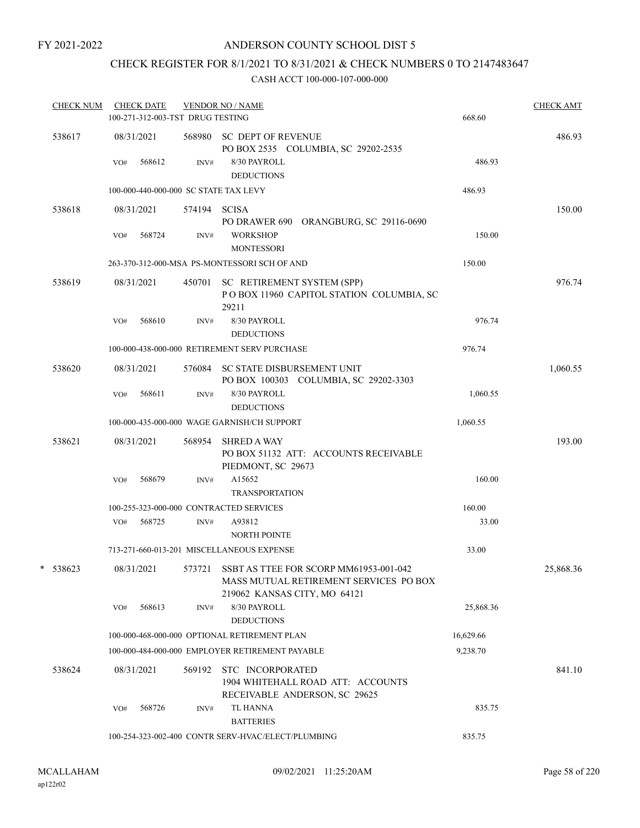### ANDERSON COUNTY SCHOOL DIST 5

## CHECK REGISTER FOR 8/1/2021 TO 8/31/2021 & CHECK NUMBERS 0 TO 2147483647

| <b>CHECK NUM</b> |     | <b>CHECK DATE</b><br>100-271-312-003-TST DRUG TESTING |              | <b>VENDOR NO / NAME</b>                                                                                                 | 668.60    | <b>CHECK AMT</b> |
|------------------|-----|-------------------------------------------------------|--------------|-------------------------------------------------------------------------------------------------------------------------|-----------|------------------|
| 538617           | VO# | 08/31/2021<br>568612                                  | INV#         | 568980 SC DEPT OF REVENUE<br>PO BOX 2535 COLUMBIA, SC 29202-2535<br>8/30 PAYROLL                                        | 486.93    | 486.93           |
|                  |     |                                                       |              | <b>DEDUCTIONS</b>                                                                                                       |           |                  |
|                  |     |                                                       |              | 100-000-440-000-000 SC STATE TAX LEVY                                                                                   | 486.93    |                  |
| 538618           |     | 08/31/2021                                            | 574194 SCISA | PO DRAWER 690 ORANGBURG, SC 29116-0690                                                                                  |           | 150.00           |
|                  | VO# | 568724                                                | INV#         | <b>WORKSHOP</b><br><b>MONTESSORI</b>                                                                                    | 150.00    |                  |
|                  |     |                                                       |              | 263-370-312-000-MSA PS-MONTESSORI SCH OF AND                                                                            | 150.00    |                  |
| 538619           |     | 08/31/2021                                            |              | 450701 SC RETIREMENT SYSTEM (SPP)<br>POBOX 11960 CAPITOL STATION COLUMBIA, SC<br>29211                                  |           | 976.74           |
|                  | VO# | 568610                                                | INV#         | 8/30 PAYROLL<br><b>DEDUCTIONS</b>                                                                                       | 976.74    |                  |
|                  |     |                                                       |              | 100-000-438-000-000 RETIREMENT SERV PURCHASE                                                                            | 976.74    |                  |
| 538620           |     | 08/31/2021                                            |              | 576084 SC STATE DISBURSEMENT UNIT<br>PO BOX 100303 COLUMBIA, SC 29202-3303                                              |           | 1,060.55         |
|                  | VO# | 568611                                                | INV#         | 8/30 PAYROLL<br><b>DEDUCTIONS</b>                                                                                       | 1,060.55  |                  |
|                  |     |                                                       |              | 100-000-435-000-000 WAGE GARNISH/CH SUPPORT                                                                             | 1,060.55  |                  |
| 538621           |     | 08/31/2021                                            | 568954       | <b>SHRED A WAY</b><br>PO BOX 51132 ATT: ACCOUNTS RECEIVABLE<br>PIEDMONT, SC 29673                                       |           | 193.00           |
|                  | VO# | 568679                                                | INV#         | A15652<br><b>TRANSPORTATION</b>                                                                                         | 160.00    |                  |
|                  |     |                                                       |              | 100-255-323-000-000 CONTRACTED SERVICES                                                                                 | 160.00    |                  |
|                  | VO# | 568725                                                | INV#         | A93812<br><b>NORTH POINTE</b>                                                                                           | 33.00     |                  |
|                  |     |                                                       |              | 713-271-660-013-201 MISCELLANEOUS EXPENSE                                                                               | 33.00     |                  |
| 538623           |     | 08/31/2021                                            |              | 573721 SSBT AS TTEE FOR SCORP MM61953-001-042<br>MASS MUTUAL RETIREMENT SERVICES PO BOX<br>219062 KANSAS CITY, MO 64121 |           | 25,868.36        |
|                  | VO# | 568613                                                | INV#         | 8/30 PAYROLL<br><b>DEDUCTIONS</b>                                                                                       | 25,868.36 |                  |
|                  |     |                                                       |              | 100-000-468-000-000 OPTIONAL RETIREMENT PLAN                                                                            | 16,629.66 |                  |
|                  |     |                                                       |              | 100-000-484-000-000 EMPLOYER RETIREMENT PAYABLE                                                                         | 9.238.70  |                  |
| 538624           |     | 08/31/2021                                            | 569192       | STC INCORPORATED<br>1904 WHITEHALL ROAD ATT: ACCOUNTS<br>RECEIVABLE ANDERSON, SC 29625                                  |           | 841.10           |
|                  | VO# | 568726                                                | INV#         | <b>TL HANNA</b><br><b>BATTERIES</b>                                                                                     | 835.75    |                  |
|                  |     |                                                       |              | 100-254-323-002-400 CONTR SERV-HVAC/ELECT/PLUMBING                                                                      | 835.75    |                  |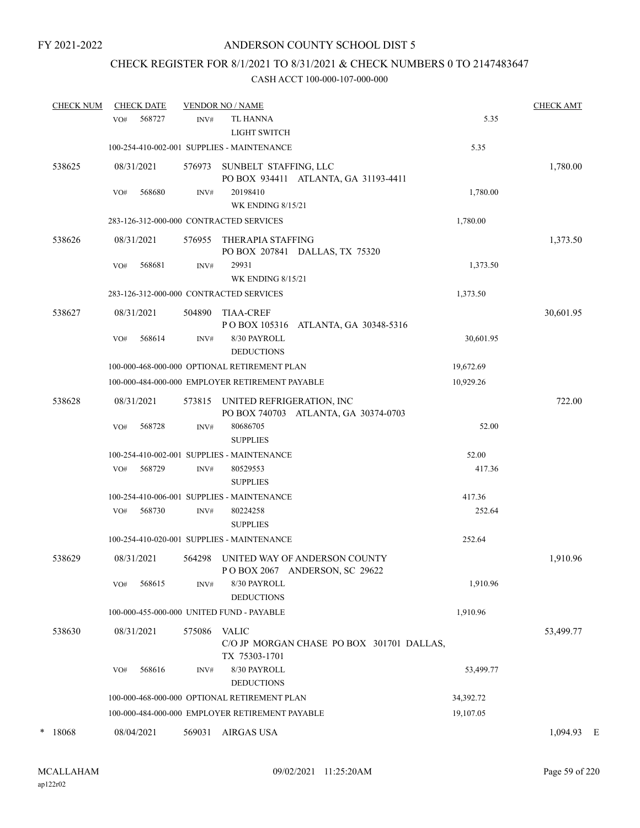## CHECK REGISTER FOR 8/1/2021 TO 8/31/2021 & CHECK NUMBERS 0 TO 2147483647

| <b>CHECK NUM</b> | <b>CHECK DATE</b> |        | <b>VENDOR NO / NAME</b>                         |                                                                       |           | <b>CHECK AMT</b> |   |
|------------------|-------------------|--------|-------------------------------------------------|-----------------------------------------------------------------------|-----------|------------------|---|
|                  | 568727<br>VO#     | INV#   | <b>TL HANNA</b><br><b>LIGHT SWITCH</b>          |                                                                       | 5.35      |                  |   |
|                  |                   |        | 100-254-410-002-001 SUPPLIES - MAINTENANCE      |                                                                       | 5.35      |                  |   |
| 538625           | 08/31/2021        | 576973 | SUNBELT STAFFING, LLC                           | PO BOX 934411 ATLANTA, GA 31193-4411                                  |           | 1,780.00         |   |
|                  | 568680<br>VO#     | INV#   | 20198410<br><b>WK ENDING 8/15/21</b>            |                                                                       | 1,780.00  |                  |   |
|                  |                   |        | 283-126-312-000-000 CONTRACTED SERVICES         |                                                                       | 1,780.00  |                  |   |
| 538626           | 08/31/2021        | 576955 | THERAPIA STAFFING                               | PO BOX 207841 DALLAS, TX 75320                                        |           | 1,373.50         |   |
|                  | 568681<br>VO#     | INV#   | 29931<br><b>WK ENDING 8/15/21</b>               |                                                                       | 1,373.50  |                  |   |
|                  |                   |        | 283-126-312-000-000 CONTRACTED SERVICES         |                                                                       | 1,373.50  |                  |   |
| 538627           | 08/31/2021        | 504890 | <b>TIAA-CREF</b>                                | POBOX 105316 ATLANTA, GA 30348-5316                                   |           | 30,601.95        |   |
|                  | 568614<br>VO#     | INV#   | 8/30 PAYROLL<br><b>DEDUCTIONS</b>               |                                                                       | 30,601.95 |                  |   |
|                  |                   |        | 100-000-468-000-000 OPTIONAL RETIREMENT PLAN    |                                                                       | 19,672.69 |                  |   |
|                  |                   |        | 100-000-484-000-000 EMPLOYER RETIREMENT PAYABLE |                                                                       | 10,929.26 |                  |   |
| 538628           | 08/31/2021        | 573815 | UNITED REFRIGERATION, INC                       | PO BOX 740703 ATLANTA, GA 30374-0703                                  |           | 722.00           |   |
|                  | 568728<br>VO#     | INV#   | 80686705<br><b>SUPPLIES</b>                     |                                                                       | 52.00     |                  |   |
|                  |                   |        | 100-254-410-002-001 SUPPLIES - MAINTENANCE      |                                                                       | 52.00     |                  |   |
|                  | 568729<br>VO#     | INV#   | 80529553<br><b>SUPPLIES</b>                     |                                                                       | 417.36    |                  |   |
|                  |                   |        | 100-254-410-006-001 SUPPLIES - MAINTENANCE      |                                                                       | 417.36    |                  |   |
|                  | 568730<br>VO#     | INV#   | 80224258<br><b>SUPPLIES</b>                     |                                                                       | 252.64    |                  |   |
|                  |                   |        | 100-254-410-020-001 SUPPLIES - MAINTENANCE      |                                                                       | 252.64    |                  |   |
| 538629           | 08/31/2021        |        |                                                 | 564298 UNITED WAY OF ANDERSON COUNTY<br>POBOX 2067 ANDERSON, SC 29622 |           | 1,910.96         |   |
|                  | VO#<br>568615     | INV#   | 8/30 PAYROLL<br><b>DEDUCTIONS</b>               |                                                                       | 1,910.96  |                  |   |
|                  |                   |        | 100-000-455-000-000 UNITED FUND - PAYABLE       |                                                                       | 1,910.96  |                  |   |
| 538630           | 08/31/2021        | 575086 | <b>VALIC</b><br>TX 75303-1701                   | C/O JP MORGAN CHASE PO BOX 301701 DALLAS,                             |           | 53,499.77        |   |
|                  | 568616<br>VO#     | INV#   | $8/30$ PAYROLL<br><b>DEDUCTIONS</b>             |                                                                       | 53,499.77 |                  |   |
|                  |                   |        | 100-000-468-000-000 OPTIONAL RETIREMENT PLAN    |                                                                       | 34,392.72 |                  |   |
|                  |                   |        | 100-000-484-000-000 EMPLOYER RETIREMENT PAYABLE |                                                                       | 19,107.05 |                  |   |
| *<br>18068       | 08/04/2021        | 569031 | <b>AIRGAS USA</b>                               |                                                                       |           | 1,094.93         | E |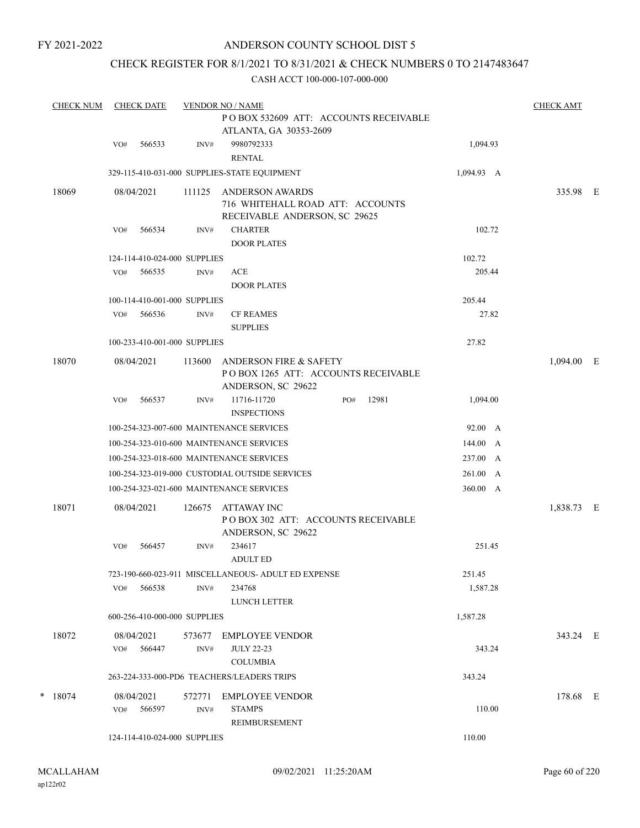### ANDERSON COUNTY SCHOOL DIST 5

### CHECK REGISTER FOR 8/1/2021 TO 8/31/2021 & CHECK NUMBERS 0 TO 2147483647

| <b>CHECK NUM</b> | <b>CHECK DATE</b>            | <b>VENDOR NO / NAME</b> |                                                                                                |            |              |  |  |  |  |  |
|------------------|------------------------------|-------------------------|------------------------------------------------------------------------------------------------|------------|--------------|--|--|--|--|--|
|                  |                              |                         | POBOX 532609 ATT: ACCOUNTS RECEIVABLE<br>ATLANTA, GA 30353-2609                                |            |              |  |  |  |  |  |
|                  | 566533<br>VO#                | INV#                    | 9980792333<br><b>RENTAL</b>                                                                    | 1,094.93   |              |  |  |  |  |  |
|                  |                              |                         | 329-115-410-031-000 SUPPLIES-STATE EQUIPMENT                                                   | 1,094.93 A |              |  |  |  |  |  |
| 18069            | 08/04/2021                   | 111125                  | <b>ANDERSON AWARDS</b><br>716 WHITEHALL ROAD ATT: ACCOUNTS<br>RECEIVABLE ANDERSON, SC 29625    |            | 335.98 E     |  |  |  |  |  |
|                  | 566534<br>VO#                | INV#                    | <b>CHARTER</b>                                                                                 | 102.72     |              |  |  |  |  |  |
|                  |                              |                         | <b>DOOR PLATES</b>                                                                             |            |              |  |  |  |  |  |
|                  | 124-114-410-024-000 SUPPLIES |                         |                                                                                                | 102.72     |              |  |  |  |  |  |
|                  | VO#<br>566535                | INV#                    | ACE                                                                                            | 205.44     |              |  |  |  |  |  |
|                  |                              |                         | <b>DOOR PLATES</b>                                                                             |            |              |  |  |  |  |  |
|                  | 100-114-410-001-000 SUPPLIES |                         |                                                                                                | 205.44     |              |  |  |  |  |  |
|                  | 566536<br>VO#                | INV#                    | <b>CF REAMES</b><br><b>SUPPLIES</b>                                                            | 27.82      |              |  |  |  |  |  |
|                  | 100-233-410-001-000 SUPPLIES |                         |                                                                                                | 27.82      |              |  |  |  |  |  |
|                  |                              |                         |                                                                                                |            |              |  |  |  |  |  |
| 18070            | 08/04/2021                   | 113600                  | <b>ANDERSON FIRE &amp; SAFETY</b><br>POBOX 1265 ATT: ACCOUNTS RECEIVABLE<br>ANDERSON, SC 29622 |            | $1,094.00$ E |  |  |  |  |  |
|                  | VO#<br>566537                | INV#                    | 11716-11720<br>12981<br>PO#<br><b>INSPECTIONS</b>                                              | 1,094.00   |              |  |  |  |  |  |
|                  |                              |                         | 100-254-323-007-600 MAINTENANCE SERVICES                                                       | 92.00 A    |              |  |  |  |  |  |
|                  |                              |                         | 100-254-323-010-600 MAINTENANCE SERVICES                                                       | 144.00 A   |              |  |  |  |  |  |
|                  |                              |                         | 100-254-323-018-600 MAINTENANCE SERVICES                                                       | 237.00 A   |              |  |  |  |  |  |
|                  |                              |                         | 100-254-323-019-000 CUSTODIAL OUTSIDE SERVICES                                                 | 261.00 A   |              |  |  |  |  |  |
|                  |                              |                         | 100-254-323-021-600 MAINTENANCE SERVICES                                                       | 360.00 A   |              |  |  |  |  |  |
| 18071            | 08/04/2021                   | 126675                  | ATTAWAY INC<br>PO BOX 302 ATT: ACCOUNTS RECEIVABLE<br>ANDERSON, SC 29622                       |            | 1,838.73 E   |  |  |  |  |  |
|                  | 566457<br>VO#                | INV#                    | 234617<br><b>ADULT ED</b>                                                                      | 251.45     |              |  |  |  |  |  |
|                  |                              |                         | 723-190-660-023-911 MISCELLANEOUS- ADULT ED EXPENSE                                            | 251.45     |              |  |  |  |  |  |
|                  | 566538<br>VO#                | INV#                    | 234768<br><b>LUNCH LETTER</b>                                                                  | 1,587.28   |              |  |  |  |  |  |
|                  | 600-256-410-000-000 SUPPLIES |                         |                                                                                                | 1,587.28   |              |  |  |  |  |  |
| 18072            | 08/04/2021<br>566447<br>VO#  | 573677<br>INV#          | <b>EMPLOYEE VENDOR</b><br><b>JULY 22-23</b><br><b>COLUMBIA</b>                                 | 343.24     | 343.24 E     |  |  |  |  |  |
|                  |                              |                         | 263-224-333-000-PD6 TEACHERS/LEADERS TRIPS                                                     | 343.24     |              |  |  |  |  |  |
|                  |                              |                         |                                                                                                |            |              |  |  |  |  |  |
| $*$ 18074        | 08/04/2021<br>566597<br>VO#  | 572771<br>INV#          | <b>EMPLOYEE VENDOR</b><br><b>STAMPS</b><br>REIMBURSEMENT                                       | 110.00     | 178.68 E     |  |  |  |  |  |
|                  | 124-114-410-024-000 SUPPLIES |                         |                                                                                                | 110.00     |              |  |  |  |  |  |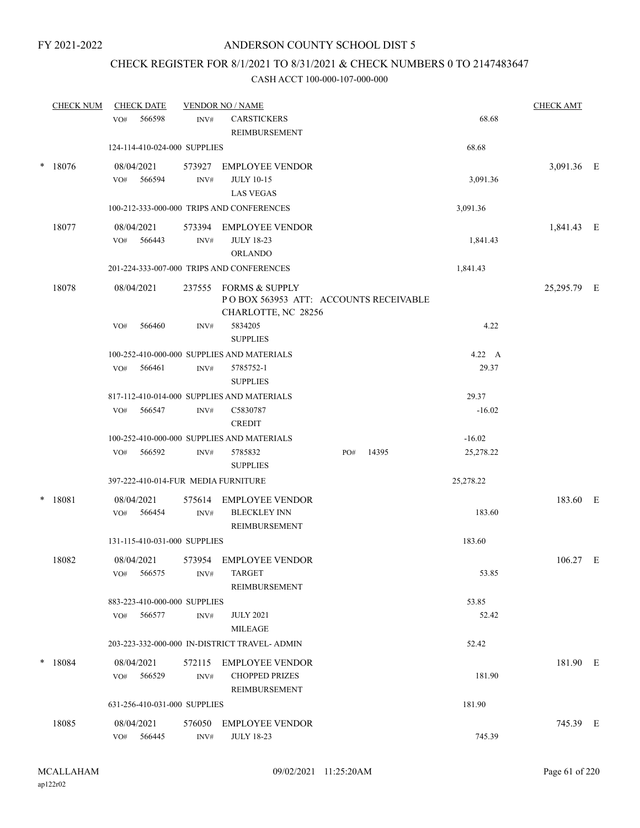### CHECK REGISTER FOR 8/1/2021 TO 8/31/2021 & CHECK NUMBERS 0 TO 2147483647

|        | <b>CHECK NUM</b> | <b>CHECK DATE</b>                   |                  | <b>VENDOR NO / NAME</b>                                                               |              |           | <b>CHECK AMT</b> |  |
|--------|------------------|-------------------------------------|------------------|---------------------------------------------------------------------------------------|--------------|-----------|------------------|--|
|        |                  | 566598<br>VO#                       | INV#             | <b>CARSTICKERS</b><br>REIMBURSEMENT                                                   |              | 68.68     |                  |  |
|        |                  | 124-114-410-024-000 SUPPLIES        |                  |                                                                                       |              | 68.68     |                  |  |
| $\ast$ | 18076            | 08/04/2021<br>566594<br>VO#         | 573927<br>INV#   | <b>EMPLOYEE VENDOR</b><br><b>JULY 10-15</b><br><b>LAS VEGAS</b>                       |              | 3,091.36  | 3,091.36 E       |  |
|        |                  |                                     |                  | 100-212-333-000-000 TRIPS AND CONFERENCES                                             |              | 3,091.36  |                  |  |
|        | 18077            | 08/04/2021<br>566443<br>VO#         | INV#             | 573394 EMPLOYEE VENDOR<br><b>JULY 18-23</b><br><b>ORLANDO</b>                         |              | 1,841.43  | 1,841.43 E       |  |
|        |                  |                                     |                  | 201-224-333-007-000 TRIPS AND CONFERENCES                                             |              | 1,841.43  |                  |  |
|        | 18078            | 08/04/2021                          |                  | 237555 FORMS & SUPPLY<br>POBOX 563953 ATT: ACCOUNTS RECEIVABLE<br>CHARLOTTE, NC 28256 |              |           | 25,295.79 E      |  |
|        |                  | 566460<br>VO#                       | INV#             | 5834205<br><b>SUPPLIES</b>                                                            |              | 4.22      |                  |  |
|        |                  |                                     |                  | 100-252-410-000-000 SUPPLIES AND MATERIALS                                            |              | 4.22 A    |                  |  |
|        |                  | VO#<br>566461                       | INV#             | 5785752-1<br><b>SUPPLIES</b>                                                          |              | 29.37     |                  |  |
|        |                  |                                     |                  | 817-112-410-014-000 SUPPLIES AND MATERIALS                                            |              | 29.37     |                  |  |
|        |                  | 566547<br>VO#                       | $\mathrm{INV}\#$ | C5830787<br><b>CREDIT</b>                                                             |              | $-16.02$  |                  |  |
|        |                  |                                     |                  | 100-252-410-000-000 SUPPLIES AND MATERIALS                                            |              | $-16.02$  |                  |  |
|        |                  | 566592<br>VO#                       | INV#             | 5785832<br><b>SUPPLIES</b>                                                            | 14395<br>PO# | 25,278.22 |                  |  |
|        |                  | 397-222-410-014-FUR MEDIA FURNITURE |                  |                                                                                       |              | 25,278.22 |                  |  |
| $\ast$ | 18081            | 08/04/2021<br>566454<br>VO#         | 575614<br>INV#   | <b>EMPLOYEE VENDOR</b><br><b>BLECKLEY INN</b><br>REIMBURSEMENT                        |              | 183.60    | 183.60 E         |  |
|        |                  | 131-115-410-031-000 SUPPLIES        |                  |                                                                                       |              | 183.60    |                  |  |
|        | 18082            | 08/04/2021<br>566575<br>VO#         | INV#             | 573954 EMPLOYEE VENDOR<br><b>TARGET</b>                                               |              | 53.85     | $106.27$ E       |  |
|        |                  |                                     |                  | REIMBURSEMENT                                                                         |              |           |                  |  |
|        |                  | 883-223-410-000-000 SUPPLIES        |                  |                                                                                       |              | 53.85     |                  |  |
|        |                  | VO#<br>566577                       | INV#             | <b>JULY 2021</b><br><b>MILEAGE</b>                                                    |              | 52.42     |                  |  |
|        |                  |                                     |                  | 203-223-332-000-000 IN-DISTRICT TRAVEL- ADMIN                                         |              | 52.42     |                  |  |
| $\ast$ | 18084            | 08/04/2021<br>VO# 566529            | INV#             | 572115 EMPLOYEE VENDOR<br><b>CHOPPED PRIZES</b><br>REIMBURSEMENT                      |              | 181.90    | 181.90 E         |  |
|        |                  | 631-256-410-031-000 SUPPLIES        |                  |                                                                                       |              | 181.90    |                  |  |
|        | 18085            | 08/04/2021<br>566445<br>VO#         | 576050<br>INV#   | <b>EMPLOYEE VENDOR</b><br><b>JULY 18-23</b>                                           |              | 745.39    | 745.39 E         |  |
|        |                  |                                     |                  |                                                                                       |              |           |                  |  |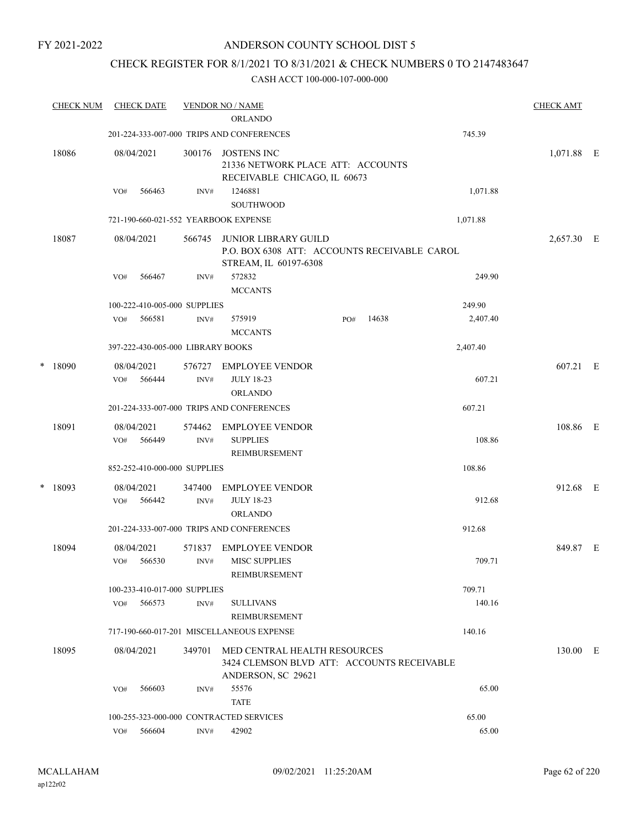### ANDERSON COUNTY SCHOOL DIST 5

### CHECK REGISTER FOR 8/1/2021 TO 8/31/2021 & CHECK NUMBERS 0 TO 2147483647

|   | <b>CHECK NUM</b> |                                        | <b>CHECK DATE</b>    |                                   | <b>VENDOR NO / NAME</b><br><b>ORLANDO</b>                                                            |     |       |          | <b>CHECK AMT</b> |  |
|---|------------------|----------------------------------------|----------------------|-----------------------------------|------------------------------------------------------------------------------------------------------|-----|-------|----------|------------------|--|
|   |                  |                                        |                      |                                   | 201-224-333-007-000 TRIPS AND CONFERENCES                                                            |     |       | 745.39   |                  |  |
|   | 18086            |                                        | 08/04/2021           | 300176                            | <b>JOSTENS INC</b><br>21336 NETWORK PLACE ATT: ACCOUNTS<br>RECEIVABLE CHICAGO, IL 60673              |     |       |          | 1,071.88 E       |  |
|   |                  | VO#                                    | 566463               | INV#                              | 1246881<br><b>SOUTHWOOD</b>                                                                          |     |       | 1,071.88 |                  |  |
|   |                  |                                        |                      |                                   | 721-190-660-021-552 YEARBOOK EXPENSE                                                                 |     |       | 1,071.88 |                  |  |
|   | 18087            |                                        | 08/04/2021           | 566745                            | <b>JUNIOR LIBRARY GUILD</b><br>P.O. BOX 6308 ATT: ACCOUNTS RECEIVABLE CAROL<br>STREAM, IL 60197-6308 |     |       |          | 2,657.30 E       |  |
|   |                  | VO#                                    | 566467               | INV#                              | 572832<br><b>MCCANTS</b>                                                                             |     |       | 249.90   |                  |  |
|   |                  |                                        |                      | 100-222-410-005-000 SUPPLIES      |                                                                                                      |     |       | 249.90   |                  |  |
|   |                  | VO#                                    | 566581               | INV#                              | 575919<br><b>MCCANTS</b>                                                                             | PO# | 14638 | 2,407.40 |                  |  |
|   |                  |                                        |                      | 397-222-430-005-000 LIBRARY BOOKS |                                                                                                      |     |       | 2,407.40 |                  |  |
| * | 18090            | VO#                                    | 08/04/2021<br>566444 | 576727<br>INV#                    | <b>EMPLOYEE VENDOR</b><br><b>JULY 18-23</b><br><b>ORLANDO</b>                                        |     |       | 607.21   | 607.21 E         |  |
|   |                  |                                        |                      |                                   | 201-224-333-007-000 TRIPS AND CONFERENCES                                                            |     |       | 607.21   |                  |  |
|   | 18091            | VO#                                    | 08/04/2021<br>566449 | 574462<br>INV#                    | <b>EMPLOYEE VENDOR</b><br><b>SUPPLIES</b><br>REIMBURSEMENT                                           |     |       | 108.86   | 108.86 E         |  |
|   |                  | 108.86<br>852-252-410-000-000 SUPPLIES |                      |                                   |                                                                                                      |     |       |          |                  |  |
| * | 18093            |                                        | 08/04/2021           | 347400                            | <b>EMPLOYEE VENDOR</b>                                                                               |     |       |          | 912.68 E         |  |
|   |                  | VO#                                    | 566442               | INV#                              | <b>JULY 18-23</b><br><b>ORLANDO</b>                                                                  |     |       | 912.68   |                  |  |
|   |                  |                                        |                      |                                   | 201-224-333-007-000 TRIPS AND CONFERENCES                                                            |     |       | 912.68   |                  |  |
|   | 18094            | VO#                                    | 08/04/2021<br>566530 | 571837<br>INV#                    | <b>EMPLOYEE VENDOR</b><br><b>MISC SUPPLIES</b><br>REIMBURSEMENT                                      |     |       | 709.71   | 849.87 E         |  |
|   |                  |                                        |                      | 100-233-410-017-000 SUPPLIES      |                                                                                                      |     |       | 709.71   |                  |  |
|   |                  | VO#                                    | 566573               | INV#                              | <b>SULLIVANS</b><br><b>REIMBURSEMENT</b>                                                             |     |       | 140.16   |                  |  |
|   |                  |                                        |                      |                                   | 717-190-660-017-201 MISCELLANEOUS EXPENSE                                                            |     |       | 140.16   |                  |  |
|   | 18095            |                                        | 08/04/2021           | 349701                            | MED CENTRAL HEALTH RESOURCES<br>3424 CLEMSON BLVD ATT: ACCOUNTS RECEIVABLE<br>ANDERSON, SC 29621     |     |       |          | 130.00 E         |  |
|   |                  | VO#                                    | 566603               | INV#                              | 55576<br><b>TATE</b>                                                                                 |     |       | 65.00    |                  |  |
|   |                  |                                        |                      |                                   | 100-255-323-000-000 CONTRACTED SERVICES                                                              |     |       | 65.00    |                  |  |
|   |                  | VO#                                    | 566604               | INV#                              | 42902                                                                                                |     |       | 65.00    |                  |  |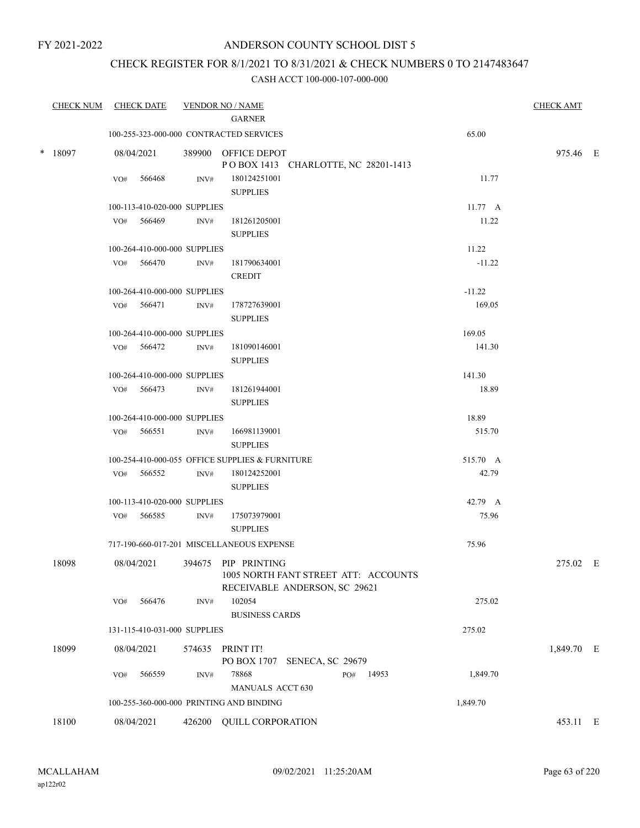### ANDERSON COUNTY SCHOOL DIST 5

### CHECK REGISTER FOR 8/1/2021 TO 8/31/2021 & CHECK NUMBERS 0 TO 2147483647

| <b>CHECK NUM</b> |     | <b>CHECK DATE</b>            |        | <b>VENDOR NO / NAME</b><br><b>GARNER</b>                                                     |                   | <b>CHECK AMT</b> |  |
|------------------|-----|------------------------------|--------|----------------------------------------------------------------------------------------------|-------------------|------------------|--|
|                  |     |                              |        | 100-255-323-000-000 CONTRACTED SERVICES                                                      | 65.00             |                  |  |
| $*$ 18097        |     | 08/04/2021                   |        | 389900 OFFICE DEPOT<br>POBOX 1413 CHARLOTTE, NC 28201-1413                                   |                   | 975.46 E         |  |
|                  | VO# | 566468                       | INV#   | 180124251001<br><b>SUPPLIES</b>                                                              | 11.77             |                  |  |
|                  |     | 100-113-410-020-000 SUPPLIES |        |                                                                                              | $11.77 \text{ A}$ |                  |  |
|                  |     | VO# 566469                   | INV#   | 181261205001<br><b>SUPPLIES</b>                                                              | 11.22             |                  |  |
|                  |     | 100-264-410-000-000 SUPPLIES |        |                                                                                              | 11.22             |                  |  |
|                  |     | VO# 566470                   | INV#   | 181790634001<br><b>CREDIT</b>                                                                | $-11.22$          |                  |  |
|                  |     | 100-264-410-000-000 SUPPLIES |        |                                                                                              | $-11.22$          |                  |  |
|                  |     | VO# 566471                   | INV#   | 178727639001<br><b>SUPPLIES</b>                                                              | 169.05            |                  |  |
|                  |     | 100-264-410-000-000 SUPPLIES |        |                                                                                              | 169.05            |                  |  |
|                  |     | VO# 566472                   | INV#   | 181090146001<br><b>SUPPLIES</b>                                                              | 141.30            |                  |  |
|                  |     | 100-264-410-000-000 SUPPLIES |        |                                                                                              | 141.30            |                  |  |
|                  |     | VO# 566473                   | INV#   | 181261944001<br><b>SUPPLIES</b>                                                              | 18.89             |                  |  |
|                  |     | 100-264-410-000-000 SUPPLIES |        |                                                                                              | 18.89             |                  |  |
|                  |     | VO# 566551                   | INV#   | 166981139001<br><b>SUPPLIES</b>                                                              | 515.70            |                  |  |
|                  |     |                              |        | 100-254-410-000-055 OFFICE SUPPLIES & FURNITURE                                              | 515.70 A          |                  |  |
|                  |     | VO# 566552                   | INV#   | 180124252001<br><b>SUPPLIES</b>                                                              | 42.79             |                  |  |
|                  |     | 100-113-410-020-000 SUPPLIES |        |                                                                                              | 42.79 A           |                  |  |
|                  | VO# | 566585                       | INV#   | 175073979001<br><b>SUPPLIES</b>                                                              | 75.96             |                  |  |
|                  |     |                              |        | 717-190-660-017-201 MISCELLANEOUS EXPENSE                                                    | 75.96             |                  |  |
| 18098            |     | 08/04/2021                   |        | 394675 PIP PRINTING<br>1005 NORTH FANT STREET ATT: ACCOUNTS<br>RECEIVABLE ANDERSON, SC 29621 |                   | 275.02 E         |  |
|                  | VO# | 566476                       | INV#   | 102054<br><b>BUSINESS CARDS</b>                                                              | 275.02            |                  |  |
|                  |     | 131-115-410-031-000 SUPPLIES |        |                                                                                              | 275.02            |                  |  |
| 18099            |     | 08/04/2021                   |        | 574635 PRINT IT!<br>PO BOX 1707 SENECA, SC 29679                                             |                   | 1,849.70 E       |  |
|                  | VO# | 566559                       | INV#   | 78868<br>PO#<br>14953<br><b>MANUALS ACCT 630</b>                                             | 1,849.70          |                  |  |
|                  |     |                              |        | 100-255-360-000-000 PRINTING AND BINDING                                                     | 1,849.70          |                  |  |
| 18100            |     | 08/04/2021                   | 426200 | <b>QUILL CORPORATION</b>                                                                     |                   | 453.11 E         |  |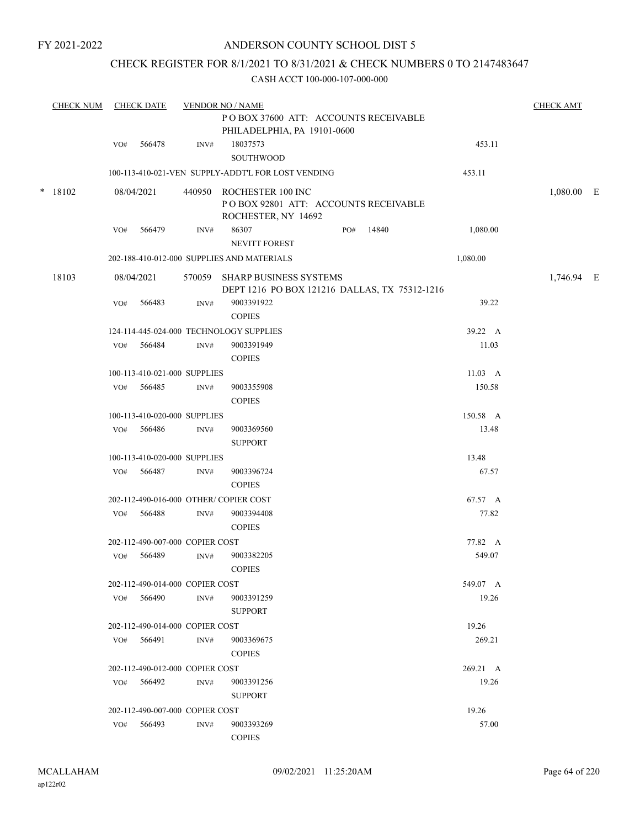#### ANDERSON COUNTY SCHOOL DIST 5

### CHECK REGISTER FOR 8/1/2021 TO 8/31/2021 & CHECK NUMBERS 0 TO 2147483647

|  | <b>CHECK NUM</b> |        | <b>CHECK DATE</b>               |                             | <b>VENDOR NO / NAME</b><br>POBOX 37600 ATT: ACCOUNTS RECEIVABLE                          |                 | <b>CHECK AMT</b> |  |
|--|------------------|--------|---------------------------------|-----------------------------|------------------------------------------------------------------------------------------|-----------------|------------------|--|
|  |                  | VO#    | 566478                          | INV#                        | PHILADELPHIA, PA 19101-0600<br>18037573                                                  | 453.11          |                  |  |
|  |                  |        |                                 |                             | SOUTHWOOD                                                                                |                 |                  |  |
|  |                  |        |                                 |                             | 100-113-410-021-VEN SUPPLY-ADDT'L FOR LOST VENDING                                       | 453.11          |                  |  |
|  | $*$ 18102        |        | 08/04/2021                      |                             | 440950 ROCHESTER 100 INC<br>PO BOX 92801 ATT: ACCOUNTS RECEIVABLE<br>ROCHESTER, NY 14692 |                 | 1,080.00 E       |  |
|  |                  | VO#    | 566479                          | INV#                        | 86307<br>14840<br>PO#<br>NEVITT FOREST                                                   | 1,080.00        |                  |  |
|  |                  |        |                                 |                             | 202-188-410-012-000 SUPPLIES AND MATERIALS                                               | 1,080.00        |                  |  |
|  | 18103            |        | 08/04/2021                      | 570059                      | SHARP BUSINESS SYSTEMS<br>DEPT 1216 PO BOX 121216 DALLAS, TX 75312-1216                  |                 | 1,746.94 E       |  |
|  |                  | VO#    | 566483                          | INV#                        | 9003391922<br><b>COPIES</b>                                                              | 39.22           |                  |  |
|  |                  |        |                                 |                             | 124-114-445-024-000 TECHNOLOGY SUPPLIES                                                  | 39.22 A         |                  |  |
|  |                  | VO#    | 566484                          | INV#                        | 9003391949<br><b>COPIES</b>                                                              | 11.03           |                  |  |
|  |                  |        | 100-113-410-021-000 SUPPLIES    |                             |                                                                                          | $11.03 \quad A$ |                  |  |
|  | VO#              | 566485 | $\mathrm{INV}\#$                | 9003355908<br><b>COPIES</b> | 150.58                                                                                   |                 |                  |  |
|  |                  |        | 100-113-410-020-000 SUPPLIES    |                             |                                                                                          | 150.58 A        |                  |  |
|  |                  | VO#    | 566486                          | INV#                        | 9003369560<br><b>SUPPORT</b>                                                             | 13.48           |                  |  |
|  |                  |        | 100-113-410-020-000 SUPPLIES    |                             |                                                                                          | 13.48           |                  |  |
|  |                  | VO#    | 566487                          | INV#                        | 9003396724<br><b>COPIES</b>                                                              | 67.57           |                  |  |
|  |                  |        |                                 |                             | 202-112-490-016-000 OTHER/ COPIER COST                                                   | 67.57 A         |                  |  |
|  |                  | VO#    | 566488                          | INV#                        | 9003394408<br><b>COPIES</b>                                                              | 77.82           |                  |  |
|  |                  |        | 202-112-490-007-000 COPIER COST |                             |                                                                                          | 77.82 A         |                  |  |
|  |                  | VO#    | 566489                          | INV#                        | 9003382205<br><b>COPIES</b>                                                              | 549.07          |                  |  |
|  |                  |        | 202-112-490-014-000 COPIER COST |                             |                                                                                          | 549.07 A        |                  |  |
|  |                  |        | VO# 566490                      | INV#                        | 9003391259<br><b>SUPPORT</b>                                                             | 19.26           |                  |  |
|  |                  |        | 202-112-490-014-000 COPIER COST |                             |                                                                                          | 19.26           |                  |  |
|  |                  |        | $VO#$ 566491                    | INV#                        | 9003369675<br><b>COPIES</b>                                                              | 269.21          |                  |  |
|  |                  |        | 202-112-490-012-000 COPIER COST |                             |                                                                                          | 269.21 A        |                  |  |
|  |                  |        | VO# 566492                      | INV#                        | 9003391256<br><b>SUPPORT</b>                                                             | 19.26           |                  |  |
|  |                  |        | 202-112-490-007-000 COPIER COST |                             |                                                                                          | 19.26           |                  |  |
|  |                  |        | VO# 566493                      | INV#                        | 9003393269<br><b>COPIES</b>                                                              | 57.00           |                  |  |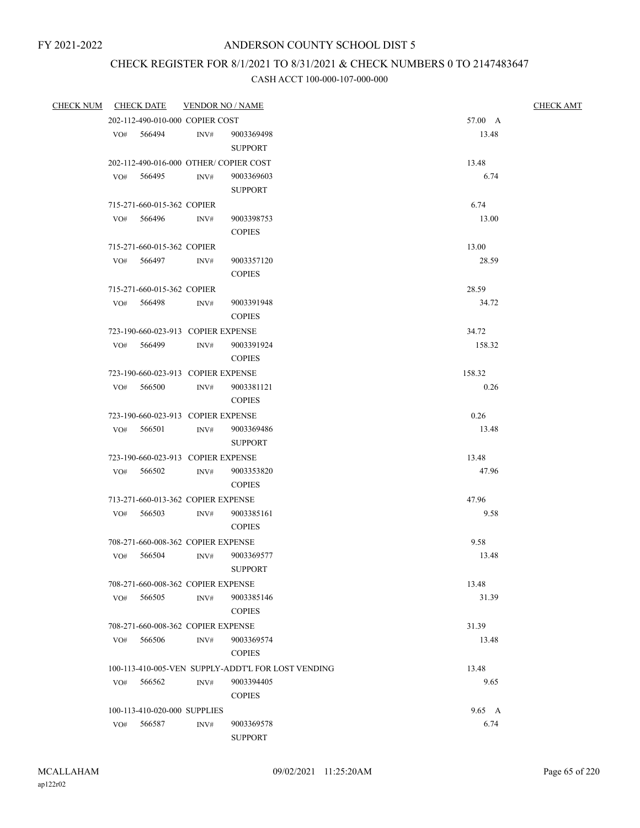## CHECK REGISTER FOR 8/1/2021 TO 8/31/2021 & CHECK NUMBERS 0 TO 2147483647

| <b>CHECK NUM</b> |     | <b>CHECK DATE</b>                            | <b>VENDOR NO / NAME</b> |                                                    | <b>CHECK AMT</b> |  |
|------------------|-----|----------------------------------------------|-------------------------|----------------------------------------------------|------------------|--|
|                  |     | 202-112-490-010-000 COPIER COST              |                         |                                                    | 57.00 A          |  |
|                  | VO# | 566494                                       | INV#                    | 9003369498<br><b>SUPPORT</b>                       | 13.48            |  |
|                  |     |                                              |                         | 202-112-490-016-000 OTHER/COPIER COST              | 13.48            |  |
|                  | VO# | 566495                                       | INV#                    | 9003369603                                         | 6.74             |  |
|                  |     |                                              |                         | <b>SUPPORT</b>                                     |                  |  |
|                  |     | 715-271-660-015-362 COPIER                   |                         |                                                    | 6.74             |  |
|                  |     | VO# 566496                                   | INV#                    | 9003398753                                         | 13.00            |  |
|                  |     |                                              |                         | <b>COPIES</b>                                      |                  |  |
|                  |     | 715-271-660-015-362 COPIER                   |                         |                                                    | 13.00            |  |
|                  |     | VO# 566497                                   | INV#                    | 9003357120                                         | 28.59            |  |
|                  |     |                                              |                         | <b>COPIES</b>                                      |                  |  |
|                  |     | 715-271-660-015-362 COPIER                   |                         |                                                    | 28.59            |  |
|                  | VO# | 566498                                       | INV#                    | 9003391948                                         | 34.72            |  |
|                  |     |                                              |                         | <b>COPIES</b>                                      |                  |  |
|                  |     | 723-190-660-023-913 COPIER EXPENSE           |                         |                                                    | 34.72            |  |
|                  |     | VO# 566499                                   | INV#                    | 9003391924                                         | 158.32           |  |
|                  |     |                                              |                         | <b>COPIES</b>                                      |                  |  |
|                  |     | 723-190-660-023-913 COPIER EXPENSE           |                         |                                                    | 158.32           |  |
|                  | VO# | 566500                                       | INV#                    | 9003381121                                         | 0.26             |  |
|                  |     |                                              |                         | <b>COPIES</b>                                      |                  |  |
|                  |     | 723-190-660-023-913 COPIER EXPENSE           |                         |                                                    | 0.26             |  |
|                  | VO# | 566501                                       | INV#                    | 9003369486                                         | 13.48            |  |
|                  |     |                                              |                         | <b>SUPPORT</b>                                     |                  |  |
|                  | VO# | 723-190-660-023-913 COPIER EXPENSE<br>566502 | INV#                    | 9003353820                                         | 13.48<br>47.96   |  |
|                  |     |                                              |                         | <b>COPIES</b>                                      |                  |  |
|                  |     | 713-271-660-013-362 COPIER EXPENSE           |                         |                                                    | 47.96            |  |
|                  | VO# | 566503                                       | INV#                    | 9003385161                                         | 9.58             |  |
|                  |     |                                              |                         | <b>COPIES</b>                                      |                  |  |
|                  |     | 708-271-660-008-362 COPIER EXPENSE           |                         |                                                    | 9.58             |  |
|                  | VO# | 566504                                       | INV#                    | 9003369577                                         | 13.48            |  |
|                  |     |                                              |                         | <b>SUPPORT</b>                                     |                  |  |
|                  |     | 708-271-660-008-362 COPIER EXPENSE           |                         |                                                    | 13.48            |  |
|                  | VO# | 566505                                       | INV#                    | 9003385146                                         | 31.39            |  |
|                  |     |                                              |                         | <b>COPIES</b>                                      |                  |  |
|                  |     | 708-271-660-008-362 COPIER EXPENSE           |                         |                                                    | 31.39            |  |
|                  | VO# | 566506                                       | INV#                    | 9003369574                                         | 13.48            |  |
|                  |     |                                              |                         | <b>COPIES</b>                                      |                  |  |
|                  |     |                                              |                         | 100-113-410-005-VEN SUPPLY-ADDT'L FOR LOST VENDING | 13.48            |  |
|                  | VO# | 566562                                       | INV#                    | 9003394405                                         | 9.65             |  |
|                  |     |                                              |                         | <b>COPIES</b>                                      |                  |  |
|                  |     | 100-113-410-020-000 SUPPLIES                 |                         |                                                    | 9.65 A           |  |
|                  | VO# | 566587                                       | INV#                    | 9003369578                                         | 6.74             |  |
|                  |     |                                              |                         | <b>SUPPORT</b>                                     |                  |  |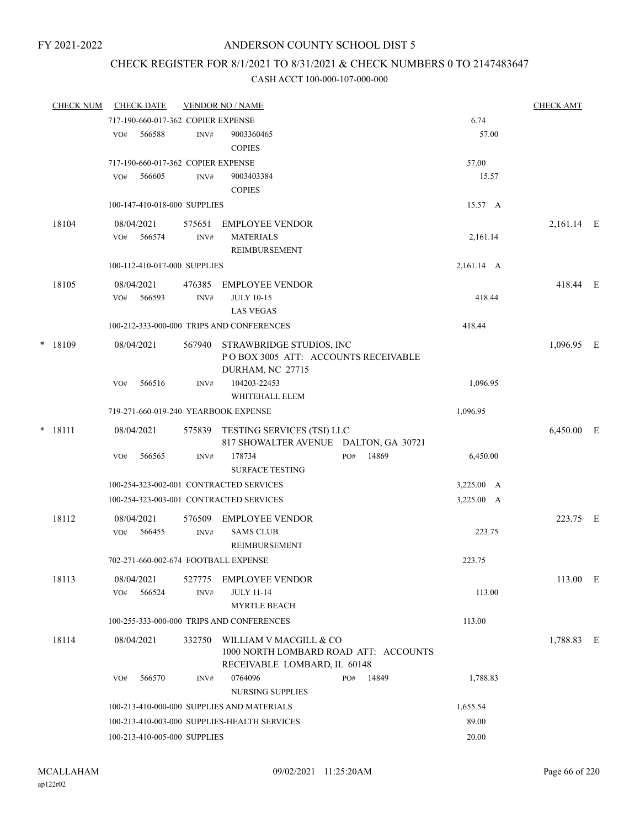### CHECK REGISTER FOR 8/1/2021 TO 8/31/2021 & CHECK NUMBERS 0 TO 2147483647

|  | <b>CHECK NUM</b> |     | <b>CHECK DATE</b>    |                                              | <b>VENDOR NO / NAME</b>                                                    |     |          |                    | <b>CHECK AMT</b> |  |
|--|------------------|-----|----------------------|----------------------------------------------|----------------------------------------------------------------------------|-----|----------|--------------------|------------------|--|
|  |                  |     |                      | 717-190-660-017-362 COPIER EXPENSE           |                                                                            |     |          | 6.74               |                  |  |
|  |                  | VO# | 566588               | INV#                                         | 9003360465<br><b>COPIES</b>                                                |     |          | 57.00              |                  |  |
|  |                  |     |                      | 717-190-660-017-362 COPIER EXPENSE           |                                                                            |     |          | 57.00              |                  |  |
|  |                  | VO# | 566605               | INV#                                         | 9003403384<br><b>COPIES</b>                                                |     |          | 15.57              |                  |  |
|  |                  |     |                      | 100-147-410-018-000 SUPPLIES                 |                                                                            |     |          | 15.57 A            |                  |  |
|  | 18104            |     | 08/04/2021           | 575651                                       | <b>EMPLOYEE VENDOR</b>                                                     |     |          |                    | 2,161.14 E       |  |
|  |                  | VO# | 566574               | INV#                                         | <b>MATERIALS</b><br>REIMBURSEMENT                                          |     |          | 2,161.14           |                  |  |
|  |                  |     |                      | 100-112-410-017-000 SUPPLIES                 |                                                                            |     |          | 2,161.14 A         |                  |  |
|  | 18105            |     | 08/04/2021           | 476385                                       | <b>EMPLOYEE VENDOR</b>                                                     |     |          |                    | 418.44 E         |  |
|  |                  | VO# | 566593               | INV#                                         | <b>JULY 10-15</b><br><b>LAS VEGAS</b>                                      |     |          | 418.44             |                  |  |
|  |                  |     |                      | 100-212-333-000-000 TRIPS AND CONFERENCES    |                                                                            |     | 418.44   |                    |                  |  |
|  | $*$ 18109        |     | 08/04/2021           | 567940                                       | STRAWBRIDGE STUDIOS, INC<br>POBOX 3005 ATT: ACCOUNTS RECEIVABLE            |     |          |                    | 1,096.95 E       |  |
|  |                  | VO# | 566516               | INV#                                         | DURHAM, NC 27715<br>104203-22453<br>WHITEHALL ELEM                         |     |          | 1,096.95           |                  |  |
|  |                  |     |                      | 719-271-660-019-240 YEARBOOK EXPENSE         |                                                                            |     | 1,096.95 |                    |                  |  |
|  | $*$ 18111        |     | 08/04/2021           | 575839                                       | <b>TESTING SERVICES (TSI) LLC</b><br>817 SHOWALTER AVENUE DALTON, GA 30721 |     |          |                    | 6,450.00 E       |  |
|  |                  | VO# | 566565               | INV#                                         | 178734<br><b>SURFACE TESTING</b>                                           | PO# | 14869    | 6,450.00           |                  |  |
|  |                  |     |                      |                                              | 100-254-323-002-001 CONTRACTED SERVICES                                    |     |          | $3,225.00 \quad A$ |                  |  |
|  |                  |     |                      |                                              | 100-254-323-003-001 CONTRACTED SERVICES                                    |     |          | 3,225.00 A         |                  |  |
|  | 18112            | VO# | 08/04/2021<br>566455 | 576509<br>INV#                               | <b>EMPLOYEE VENDOR</b><br><b>SAMS CLUB</b>                                 |     |          | 223.75             | 223.75 E         |  |
|  |                  |     |                      |                                              | REIMBURSEMENT                                                              |     |          |                    |                  |  |
|  |                  |     |                      |                                              | 702-271-660-002-674 FOOTBALL EXPENSE                                       |     |          | 223.75             |                  |  |
|  | 18113            | VO# | 08/04/2021<br>566524 | 527775<br>INV#                               | EMPLOYEE VENDOR<br><b>JULY 11-14</b><br><b>MYRTLE BEACH</b>                |     |          | 113.00             | 113.00 E         |  |
|  |                  |     |                      |                                              | 100-255-333-000-000 TRIPS AND CONFERENCES                                  |     |          | 113.00             |                  |  |
|  | 18114            |     | 08/04/2021           | 332750                                       | WILLIAM V MACGILL & CO                                                     |     |          |                    | 1,788.83 E       |  |
|  |                  |     |                      |                                              | 1000 NORTH LOMBARD ROAD ATT: ACCOUNTS<br>RECEIVABLE LOMBARD, IL 60148      |     |          |                    |                  |  |
|  |                  | VO# | 566570               | INV#                                         | 0764096<br>NURSING SUPPLIES                                                | PO# | 14849    | 1,788.83           |                  |  |
|  |                  |     |                      |                                              | 100-213-410-000-000 SUPPLIES AND MATERIALS                                 |     |          | 1,655.54           |                  |  |
|  |                  |     |                      | 100-213-410-003-000 SUPPLIES-HEALTH SERVICES |                                                                            |     | 89.00    |                    |                  |  |
|  |                  |     |                      | 100-213-410-005-000 SUPPLIES                 |                                                                            |     |          | 20.00              |                  |  |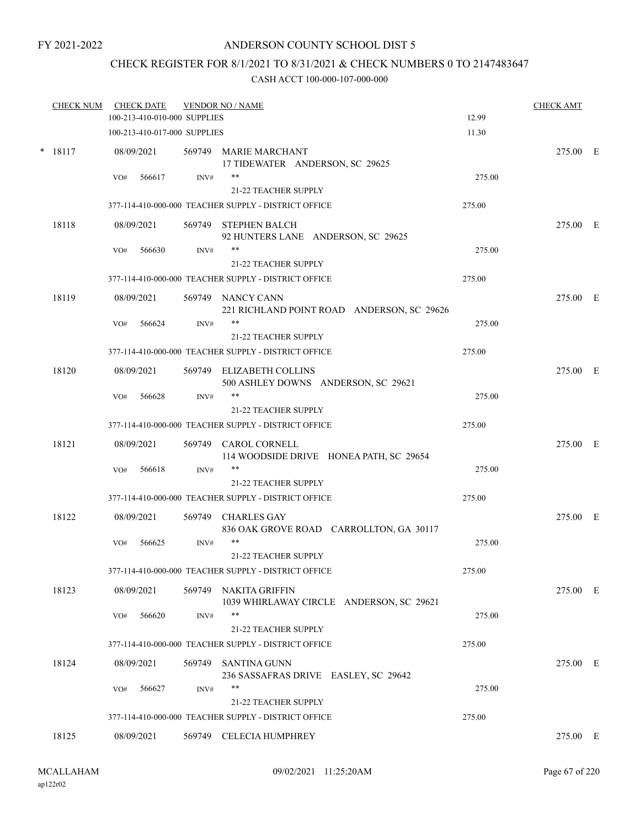### CHECK REGISTER FOR 8/1/2021 TO 8/31/2021 & CHECK NUMBERS 0 TO 2147483647

|        | <b>CHECK NUM</b> |     | <b>CHECK DATE</b><br>100-213-410-010-000 SUPPLIES |      | <b>VENDOR NO / NAME</b>                                           | 12.99  | <b>CHECK AMT</b> |  |
|--------|------------------|-----|---------------------------------------------------|------|-------------------------------------------------------------------|--------|------------------|--|
|        |                  |     | 100-213-410-017-000 SUPPLIES                      |      |                                                                   | 11.30  |                  |  |
| $\ast$ | 18117            |     | 08/09/2021                                        |      | 569749 MARIE MARCHANT<br>17 TIDEWATER ANDERSON, SC 29625          |        | 275.00 E         |  |
|        |                  | VO# | 566617                                            | INV# | $***$<br>21-22 TEACHER SUPPLY                                     | 275.00 |                  |  |
|        |                  |     |                                                   |      | 377-114-410-000-000 TEACHER SUPPLY - DISTRICT OFFICE              | 275.00 |                  |  |
|        |                  |     |                                                   |      |                                                                   |        |                  |  |
|        | 18118            |     | 08/09/2021                                        |      | 569749 STEPHEN BALCH<br>92 HUNTERS LANE ANDERSON, SC 29625        |        | 275.00 E         |  |
|        |                  | VO# | 566630                                            | INV# | 21-22 TEACHER SUPPLY                                              | 275.00 |                  |  |
|        |                  |     |                                                   |      | 377-114-410-000-000 TEACHER SUPPLY - DISTRICT OFFICE              | 275.00 |                  |  |
|        |                  |     |                                                   |      |                                                                   |        |                  |  |
|        | 18119            |     | 08/09/2021                                        |      | 569749 NANCY CANN<br>221 RICHLAND POINT ROAD ANDERSON, SC 29626   |        | 275.00 E         |  |
|        |                  | VO# | 566624                                            | INV# | **                                                                | 275.00 |                  |  |
|        |                  |     |                                                   |      | 21-22 TEACHER SUPPLY                                              |        |                  |  |
|        |                  |     |                                                   |      | 377-114-410-000-000 TEACHER SUPPLY - DISTRICT OFFICE              | 275.00 |                  |  |
|        | 18120            |     | 08/09/2021                                        |      | 569749 ELIZABETH COLLINS<br>500 ASHLEY DOWNS ANDERSON, SC 29621   |        | 275.00 E         |  |
|        |                  | VO# | 566628                                            | INV# | **                                                                | 275.00 |                  |  |
|        |                  |     |                                                   |      | 21-22 TEACHER SUPPLY                                              |        |                  |  |
|        |                  |     |                                                   |      | 377-114-410-000-000 TEACHER SUPPLY - DISTRICT OFFICE              | 275.00 |                  |  |
|        | 18121            |     | 08/09/2021                                        |      | 569749 CAROL CORNELL<br>114 WOODSIDE DRIVE HONEA PATH, SC 29654   |        | 275.00 E         |  |
|        |                  | VO# | 566618                                            | INV# | $***$                                                             | 275.00 |                  |  |
|        |                  |     |                                                   |      | 21-22 TEACHER SUPPLY                                              |        |                  |  |
|        |                  |     |                                                   |      | 377-114-410-000-000 TEACHER SUPPLY - DISTRICT OFFICE              | 275.00 |                  |  |
|        | 18122            |     | 08/09/2021                                        |      | 569749 CHARLES GAY<br>836 OAK GROVE ROAD CARROLLTON, GA 30117     |        | 275.00 E         |  |
|        |                  | VO# | 566625                                            | INV# | $***$<br>21-22 TEACHER SUPPLY                                     | 275.00 |                  |  |
|        |                  |     |                                                   |      | 377-114-410-000-000 TEACHER SUPPLY - DISTRICT OFFICE              | 275.00 |                  |  |
|        | 18123            |     | 08/09/2021                                        |      | 569749 NAKITA GRIFFIN<br>1039 WHIRLAWAY CIRCLE ANDERSON, SC 29621 |        | 275.00 E         |  |
|        |                  | VO# | 566620                                            | INV# | **                                                                | 275.00 |                  |  |
|        |                  |     |                                                   |      | 21-22 TEACHER SUPPLY                                              |        |                  |  |
|        |                  |     |                                                   |      | 377-114-410-000-000 TEACHER SUPPLY - DISTRICT OFFICE              | 275.00 |                  |  |
|        | 18124            |     | 08/09/2021                                        |      | 569749 SANTINA GUNN<br>236 SASSAFRAS DRIVE EASLEY, SC 29642       |        | 275.00 E         |  |
|        |                  | VO# | 566627                                            | INV# | $***$                                                             | 275.00 |                  |  |
|        |                  |     |                                                   |      | 21-22 TEACHER SUPPLY                                              |        |                  |  |
|        |                  |     |                                                   |      | 377-114-410-000-000 TEACHER SUPPLY - DISTRICT OFFICE              | 275.00 |                  |  |
|        | 18125            |     | 08/09/2021                                        |      | 569749 CELECIA HUMPHREY                                           |        | 275.00 E         |  |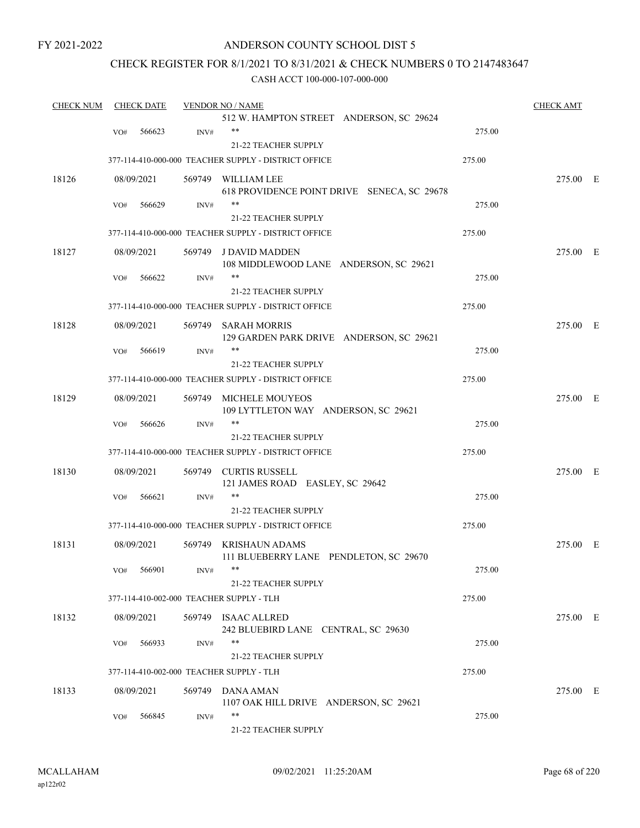### ANDERSON COUNTY SCHOOL DIST 5

### CHECK REGISTER FOR 8/1/2021 TO 8/31/2021 & CHECK NUMBERS 0 TO 2147483647

| <b>CHECK NUM</b> |     | <b>CHECK DATE</b> |        | <b>VENDOR NO / NAME</b>                              |        | <b>CHECK AMT</b> |  |
|------------------|-----|-------------------|--------|------------------------------------------------------|--------|------------------|--|
|                  |     |                   |        | 512 W. HAMPTON STREET ANDERSON, SC 29624             |        |                  |  |
|                  | VO# | 566623            | INV#   | $***$                                                | 275.00 |                  |  |
|                  |     |                   |        | 21-22 TEACHER SUPPLY                                 |        |                  |  |
|                  |     |                   |        | 377-114-410-000-000 TEACHER SUPPLY - DISTRICT OFFICE | 275.00 |                  |  |
| 18126            |     | 08/09/2021        |        | 569749 WILLIAM LEE                                   |        | 275.00 E         |  |
|                  |     |                   |        | 618 PROVIDENCE POINT DRIVE SENECA, SC 29678          |        |                  |  |
|                  | VO# | 566629            | INV#   | $***$                                                | 275.00 |                  |  |
|                  |     |                   |        | 21-22 TEACHER SUPPLY                                 |        |                  |  |
|                  |     |                   |        | 377-114-410-000-000 TEACHER SUPPLY - DISTRICT OFFICE | 275.00 |                  |  |
| 18127            |     | 08/09/2021        |        | 569749 J DAVID MADDEN                                |        | 275.00 E         |  |
|                  |     |                   |        | 108 MIDDLEWOOD LANE ANDERSON, SC 29621               |        |                  |  |
|                  | VO# | 566622            | INV#   | $***$                                                | 275.00 |                  |  |
|                  |     |                   |        | 21-22 TEACHER SUPPLY                                 |        |                  |  |
|                  |     |                   |        | 377-114-410-000-000 TEACHER SUPPLY - DISTRICT OFFICE | 275.00 |                  |  |
|                  |     |                   |        |                                                      |        |                  |  |
| 18128            |     | 08/09/2021        | 569749 | SARAH MORRIS                                         |        | 275.00 E         |  |
|                  |     | 566619            |        | 129 GARDEN PARK DRIVE ANDERSON, SC 29621<br>$***$    | 275.00 |                  |  |
|                  | VO# |                   | INV#   | 21-22 TEACHER SUPPLY                                 |        |                  |  |
|                  |     |                   |        |                                                      |        |                  |  |
|                  |     |                   |        | 377-114-410-000-000 TEACHER SUPPLY - DISTRICT OFFICE | 275.00 |                  |  |
| 18129            |     | 08/09/2021        |        | 569749 MICHELE MOUYEOS                               |        | 275.00 E         |  |
|                  |     |                   |        | 109 LYTTLETON WAY ANDERSON, SC 29621                 |        |                  |  |
|                  | VO# | 566626            | INV#   | $***$                                                | 275.00 |                  |  |
|                  |     |                   |        | 21-22 TEACHER SUPPLY                                 |        |                  |  |
|                  |     |                   |        | 377-114-410-000-000 TEACHER SUPPLY - DISTRICT OFFICE | 275.00 |                  |  |
| 18130            |     | 08/09/2021        |        | 569749 CURTIS RUSSELL                                |        | 275.00 E         |  |
|                  |     |                   |        | 121 JAMES ROAD EASLEY, SC 29642                      |        |                  |  |
|                  | VO# | 566621            | INV#   |                                                      | 275.00 |                  |  |
|                  |     |                   |        | 21-22 TEACHER SUPPLY                                 |        |                  |  |
|                  |     |                   |        | 377-114-410-000-000 TEACHER SUPPLY - DISTRICT OFFICE | 275.00 |                  |  |
| 18131            |     |                   |        | 569749 KRISHAUN ADAMS                                |        |                  |  |
|                  |     | 08/09/2021        |        | 111 BLUEBERRY LANE PENDLETON, SC 29670               |        | 275.00 E         |  |
|                  |     | VO# 566901        | INV#   |                                                      | 275.00 |                  |  |
|                  |     |                   |        | 21-22 TEACHER SUPPLY                                 |        |                  |  |
|                  |     |                   |        |                                                      |        |                  |  |
|                  |     |                   |        | 377-114-410-002-000 TEACHER SUPPLY - TLH             | 275.00 |                  |  |
| 18132            |     | 08/09/2021        |        | 569749 ISAAC ALLRED                                  |        | 275.00 E         |  |
|                  |     |                   |        | 242 BLUEBIRD LANE CENTRAL, SC 29630                  |        |                  |  |
|                  | VO# | 566933            | INV#   | $***$                                                | 275.00 |                  |  |
|                  |     |                   |        | 21-22 TEACHER SUPPLY                                 |        |                  |  |
|                  |     |                   |        | 377-114-410-002-000 TEACHER SUPPLY - TLH             | 275.00 |                  |  |
| 18133            |     | 08/09/2021        |        | 569749 DANA AMAN                                     |        | 275.00 E         |  |
|                  |     |                   |        | 1107 OAK HILL DRIVE ANDERSON, SC 29621               |        |                  |  |
|                  | VO# | 566845            | INV#   | $***$                                                | 275.00 |                  |  |
|                  |     |                   |        | 21-22 TEACHER SUPPLY                                 |        |                  |  |
|                  |     |                   |        |                                                      |        |                  |  |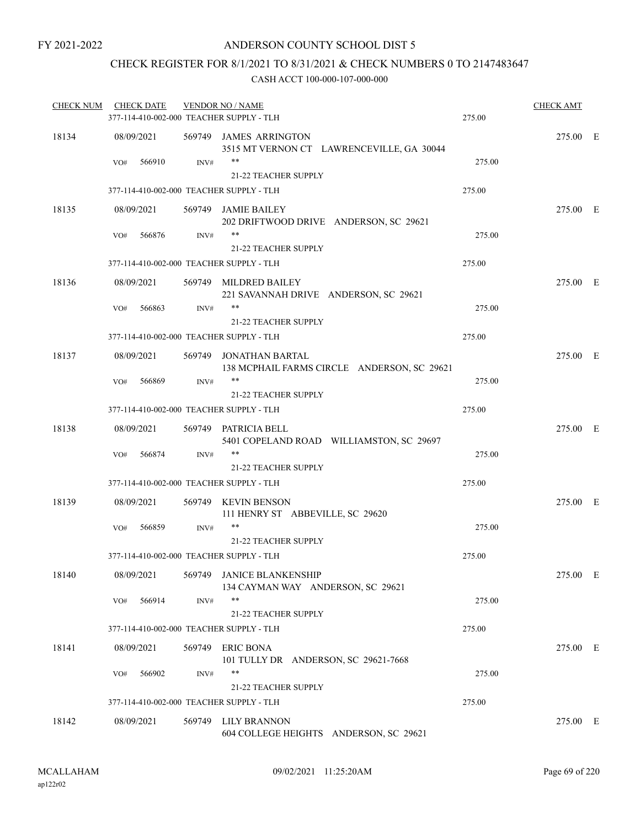### CHECK REGISTER FOR 8/1/2021 TO 8/31/2021 & CHECK NUMBERS 0 TO 2147483647

| <b>CHECK NUM</b> | <b>CHECK DATE</b>                        |        | <b>VENDOR NO / NAME</b>                                               |        | <b>CHECK AMT</b> |  |
|------------------|------------------------------------------|--------|-----------------------------------------------------------------------|--------|------------------|--|
|                  | 377-114-410-002-000 TEACHER SUPPLY - TLH |        |                                                                       | 275.00 |                  |  |
| 18134            | 08/09/2021                               |        | 569749 JAMES ARRINGTON<br>3515 MT VERNON CT LAWRENCEVILLE, GA 30044   |        | 275.00 E         |  |
|                  | 566910<br>VO#                            | INV#   | <b>21-22 TEACHER SUPPLY</b>                                           | 275.00 |                  |  |
|                  | 377-114-410-002-000 TEACHER SUPPLY - TLH |        |                                                                       | 275.00 |                  |  |
| 18135            | 08/09/2021                               |        | 569749 JAMIE BAILEY<br>202 DRIFTWOOD DRIVE ANDERSON, SC 29621         |        | 275.00 E         |  |
|                  | 566876<br>VO#                            | INV#   | **<br>21-22 TEACHER SUPPLY                                            | 275.00 |                  |  |
|                  |                                          |        |                                                                       |        |                  |  |
|                  | 377-114-410-002-000 TEACHER SUPPLY - TLH |        |                                                                       | 275.00 |                  |  |
| 18136            | 08/09/2021                               |        | 569749 MILDRED BAILEY<br>221 SAVANNAH DRIVE ANDERSON, SC 29621        |        | 275.00 E         |  |
|                  | 566863<br>VO#                            | INV#   | **<br>21-22 TEACHER SUPPLY                                            | 275.00 |                  |  |
|                  | 377-114-410-002-000 TEACHER SUPPLY - TLH |        |                                                                       | 275.00 |                  |  |
| 18137            | 08/09/2021                               |        | 569749 JONATHAN BARTAL<br>138 MCPHAIL FARMS CIRCLE ANDERSON, SC 29621 |        | 275.00 E         |  |
|                  | 566869<br>VO#                            | INV#   | $***$<br>21-22 TEACHER SUPPLY                                         | 275.00 |                  |  |
|                  | 377-114-410-002-000 TEACHER SUPPLY - TLH |        |                                                                       | 275.00 |                  |  |
| 18138            | 08/09/2021                               |        | 569749 PATRICIA BELL<br>5401 COPELAND ROAD WILLIAMSTON, SC 29697      |        | 275.00 E         |  |
|                  | 566874<br>VO#                            | INV#   | **<br>21-22 TEACHER SUPPLY                                            | 275.00 |                  |  |
|                  | 377-114-410-002-000 TEACHER SUPPLY - TLH |        |                                                                       | 275.00 |                  |  |
| 18139            | 08/09/2021                               |        | 569749 KEVIN BENSON<br>111 HENRY ST ABBEVILLE, SC 29620               |        | 275.00 E         |  |
|                  | 566859<br>VO#                            | INV#   | **<br>21-22 TEACHER SUPPLY                                            | 275.00 |                  |  |
|                  | 377-114-410-002-000 TEACHER SUPPLY - TLH |        |                                                                       | 275.00 |                  |  |
|                  |                                          |        |                                                                       |        |                  |  |
| 18140            | 08/09/2021                               |        | 569749 JANICE BLANKENSHIP<br>134 CAYMAN WAY ANDERSON, SC 29621<br>**  |        | 275.00 E         |  |
|                  | 566914<br>VO#                            | INV#   | 21-22 TEACHER SUPPLY                                                  | 275.00 |                  |  |
|                  | 377-114-410-002-000 TEACHER SUPPLY - TLH |        |                                                                       | 275.00 |                  |  |
| 18141            | 08/09/2021                               |        | 569749 ERIC BONA<br>101 TULLY DR ANDERSON, SC 29621-7668              |        | 275.00 E         |  |
|                  | 566902<br>VO#                            | INV#   | **<br>21-22 TEACHER SUPPLY                                            | 275.00 |                  |  |
|                  | 377-114-410-002-000 TEACHER SUPPLY - TLH |        |                                                                       | 275.00 |                  |  |
| 18142            | 08/09/2021                               | 569749 | LILY BRANNON<br>604 COLLEGE HEIGHTS ANDERSON, SC 29621                |        | 275.00 E         |  |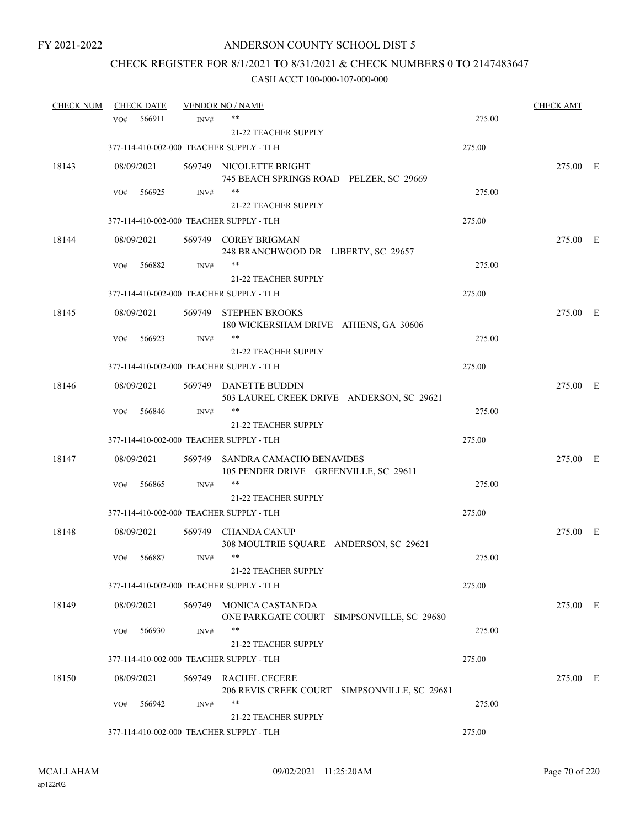## CHECK REGISTER FOR 8/1/2021 TO 8/31/2021 & CHECK NUMBERS 0 TO 2147483647

| <b>CHECK NUM</b> | <b>CHECK DATE</b> |        |        | <b>VENDOR NO / NAME</b>                                                  |        | <b>CHECK AMT</b> |  |
|------------------|-------------------|--------|--------|--------------------------------------------------------------------------|--------|------------------|--|
|                  | VO#               | 566911 | INV#   | **                                                                       | 275.00 |                  |  |
|                  |                   |        |        | <b>21-22 TEACHER SUPPLY</b>                                              |        |                  |  |
|                  |                   |        |        | 377-114-410-002-000 TEACHER SUPPLY - TLH                                 | 275.00 |                  |  |
| 18143            | 08/09/2021        |        |        | 569749 NICOLETTE BRIGHT<br>745 BEACH SPRINGS ROAD PELZER, SC 29669       |        | 275.00 E         |  |
|                  | VO#               | 566925 | INV#   | **                                                                       | 275.00 |                  |  |
|                  |                   |        |        | 21-22 TEACHER SUPPLY                                                     |        |                  |  |
|                  |                   |        |        | 377-114-410-002-000 TEACHER SUPPLY - TLH                                 | 275.00 |                  |  |
| 18144            | 08/09/2021        |        |        | 569749 COREY BRIGMAN<br>248 BRANCHWOOD DR LIBERTY, SC 29657              |        | 275.00 E         |  |
|                  | VO#               | 566882 | INV#   | **                                                                       | 275.00 |                  |  |
|                  |                   |        |        | 21-22 TEACHER SUPPLY                                                     |        |                  |  |
|                  |                   |        |        | 377-114-410-002-000 TEACHER SUPPLY - TLH                                 | 275.00 |                  |  |
| 18145            | 08/09/2021        |        |        | 569749 STEPHEN BROOKS<br>180 WICKERSHAM DRIVE ATHENS, GA 30606           |        | 275.00 E         |  |
|                  | VO#               | 566923 | INV#   | **                                                                       | 275.00 |                  |  |
|                  |                   |        |        | 21-22 TEACHER SUPPLY                                                     |        |                  |  |
|                  |                   |        |        | 377-114-410-002-000 TEACHER SUPPLY - TLH                                 | 275.00 |                  |  |
| 18146            | 08/09/2021        |        |        | 569749 DANETTE BUDDIN<br>503 LAUREL CREEK DRIVE ANDERSON, SC 29621       |        | 275.00 E         |  |
|                  | VO#               | 566846 | INV#   | **                                                                       | 275.00 |                  |  |
|                  |                   |        |        | <b>21-22 TEACHER SUPPLY</b>                                              |        |                  |  |
|                  |                   |        |        | 377-114-410-002-000 TEACHER SUPPLY - TLH                                 | 275.00 |                  |  |
| 18147            | 08/09/2021        |        |        | 569749 SANDRA CAMACHO BENAVIDES<br>105 PENDER DRIVE GREENVILLE, SC 29611 |        | 275.00 E         |  |
|                  | VO#               | 566865 | INV#   |                                                                          | 275.00 |                  |  |
|                  |                   |        |        | 21-22 TEACHER SUPPLY                                                     |        |                  |  |
|                  |                   |        |        | 377-114-410-002-000 TEACHER SUPPLY - TLH                                 | 275.00 |                  |  |
| 18148            | 08/09/2021        |        |        | 569749 CHANDA CANUP<br>308 MOULTRIE SQUARE ANDERSON, SC 29621            |        | 275.00 E         |  |
|                  | VO#               | 566887 | INV#   | $***$                                                                    | 275.00 |                  |  |
|                  |                   |        |        | 21-22 TEACHER SUPPLY                                                     |        |                  |  |
|                  |                   |        |        | 377-114-410-002-000 TEACHER SUPPLY - TLH                                 | 275.00 |                  |  |
| 18149            | 08/09/2021        |        | 569749 | MONICA CASTANEDA<br>ONE PARKGATE COURT<br>SIMPSONVILLE, SC 29680         |        | 275.00 E         |  |
|                  | VO#               | 566930 | INV#   | $***$                                                                    | 275.00 |                  |  |
|                  |                   |        |        | 21-22 TEACHER SUPPLY                                                     |        |                  |  |
|                  |                   |        |        | 377-114-410-002-000 TEACHER SUPPLY - TLH                                 | 275.00 |                  |  |
| 18150            | 08/09/2021        |        |        | 569749 RACHEL CECERE<br>206 REVIS CREEK COURT SIMPSONVILLE, SC 29681     |        | 275.00 E         |  |
|                  | VO#               | 566942 | INV#   | **<br><b>21-22 TEACHER SUPPLY</b>                                        | 275.00 |                  |  |
|                  |                   |        |        | 377-114-410-002-000 TEACHER SUPPLY - TLH                                 | 275.00 |                  |  |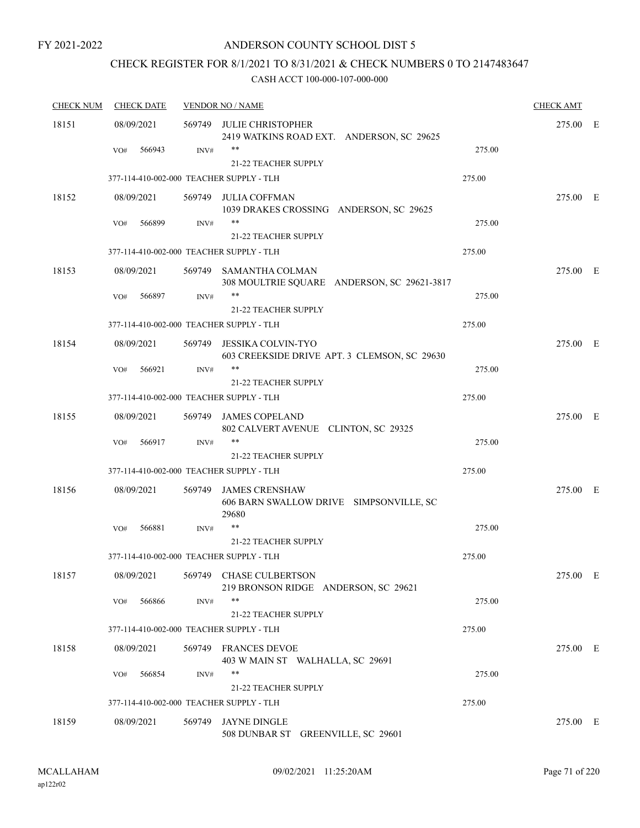### ANDERSON COUNTY SCHOOL DIST 5

### CHECK REGISTER FOR 8/1/2021 TO 8/31/2021 & CHECK NUMBERS 0 TO 2147483647

| <b>CHECK NUM</b> | <b>CHECK DATE</b>                        |      | <b>VENDOR NO / NAME</b>                                                   |        | <b>CHECK AMT</b> |  |
|------------------|------------------------------------------|------|---------------------------------------------------------------------------|--------|------------------|--|
| 18151            | 08/09/2021                               |      | 569749 JULIE CHRISTOPHER<br>2419 WATKINS ROAD EXT. ANDERSON, SC 29625     |        | 275.00 E         |  |
|                  | 566943<br>VO#                            | INV# | **<br>21-22 TEACHER SUPPLY                                                | 275.00 |                  |  |
|                  | 377-114-410-002-000 TEACHER SUPPLY - TLH |      |                                                                           | 275.00 |                  |  |
| 18152            | 08/09/2021                               |      | 569749 JULIA COFFMAN<br>1039 DRAKES CROSSING ANDERSON, SC 29625           |        | 275.00 E         |  |
|                  | 566899<br>VO#                            | INV# | **<br><b>21-22 TEACHER SUPPLY</b>                                         | 275.00 |                  |  |
|                  | 377-114-410-002-000 TEACHER SUPPLY - TLH |      |                                                                           | 275.00 |                  |  |
| 18153            | 08/09/2021                               |      | 569749 SAMANTHA COLMAN<br>308 MOULTRIE SQUARE ANDERSON, SC 29621-3817     |        | 275.00 E         |  |
|                  | 566897<br>VO#                            | INV# | **<br>21-22 TEACHER SUPPLY                                                | 275.00 |                  |  |
|                  | 377-114-410-002-000 TEACHER SUPPLY - TLH |      |                                                                           | 275.00 |                  |  |
| 18154            | 08/09/2021                               |      | 569749 JESSIKA COLVIN-TYO<br>603 CREEKSIDE DRIVE APT. 3 CLEMSON, SC 29630 |        | 275.00 E         |  |
|                  | 566921<br>VO#                            | INV# | $***$<br><b>21-22 TEACHER SUPPLY</b>                                      | 275.00 |                  |  |
|                  | 377-114-410-002-000 TEACHER SUPPLY - TLH |      |                                                                           | 275.00 |                  |  |
| 18155            | 08/09/2021                               |      | 569749 JAMES COPELAND<br>802 CALVERT AVENUE CLINTON, SC 29325             |        | 275.00 E         |  |
|                  | 566917<br>VO#                            | INV# | $***$                                                                     | 275.00 |                  |  |
|                  |                                          |      | 21-22 TEACHER SUPPLY                                                      |        |                  |  |
|                  | 377-114-410-002-000 TEACHER SUPPLY - TLH |      |                                                                           | 275.00 |                  |  |
| 18156            | 08/09/2021                               |      | 569749 JAMES CRENSHAW<br>606 BARN SWALLOW DRIVE SIMPSONVILLE, SC<br>29680 |        | 275.00 E         |  |
|                  | 566881<br>VO#                            | INV# |                                                                           | 275.00 |                  |  |
|                  |                                          |      | 21-22 TEACHER SUPPLY                                                      |        |                  |  |
|                  | 377-114-410-002-000 TEACHER SUPPLY - TLH |      |                                                                           | 275.00 |                  |  |
| 18157            | 08/09/2021                               |      | 569749 CHASE CULBERTSON<br>219 BRONSON RIDGE ANDERSON, SC 29621           |        | 275.00 E         |  |
|                  | 566866<br>VO#                            | INV# | **<br>21-22 TEACHER SUPPLY                                                | 275.00 |                  |  |
|                  | 377-114-410-002-000 TEACHER SUPPLY - TLH |      |                                                                           | 275.00 |                  |  |
| 18158            | 08/09/2021                               |      | 569749 FRANCES DEVOE<br>403 W MAIN ST WALHALLA, SC 29691                  |        | 275.00 E         |  |
|                  | 566854<br>VO#                            | INV# | **                                                                        | 275.00 |                  |  |
|                  |                                          |      | 21-22 TEACHER SUPPLY                                                      |        |                  |  |
|                  | 377-114-410-002-000 TEACHER SUPPLY - TLH |      |                                                                           | 275.00 |                  |  |
| 18159            | 08/09/2021                               |      | 569749 JAYNE DINGLE<br>508 DUNBAR ST GREENVILLE, SC 29601                 |        | 275.00 E         |  |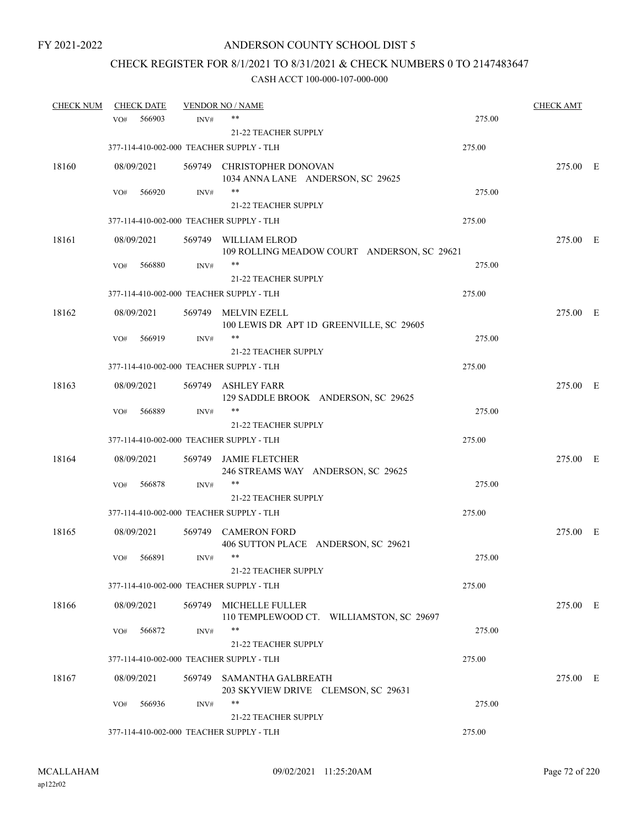## CHECK REGISTER FOR 8/1/2021 TO 8/31/2021 & CHECK NUMBERS 0 TO 2147483647

| <b>CHECK NUM</b> |     | <b>CHECK DATE</b> |      | <b>VENDOR NO / NAME</b>                                             |        | <b>CHECK AMT</b> |  |
|------------------|-----|-------------------|------|---------------------------------------------------------------------|--------|------------------|--|
|                  | VO# | 566903            | INV# | **                                                                  | 275.00 |                  |  |
|                  |     |                   |      | <b>21-22 TEACHER SUPPLY</b>                                         |        |                  |  |
|                  |     |                   |      | 377-114-410-002-000 TEACHER SUPPLY - TLH                            | 275.00 |                  |  |
| 18160            |     | 08/09/2021        |      | 569749 CHRISTOPHER DONOVAN<br>1034 ANNA LANE ANDERSON, SC 29625     |        | 275.00 E         |  |
|                  | VO# | 566920            | INV# | **                                                                  | 275.00 |                  |  |
|                  |     |                   |      | 21-22 TEACHER SUPPLY                                                |        |                  |  |
|                  |     |                   |      | 377-114-410-002-000 TEACHER SUPPLY - TLH                            | 275.00 |                  |  |
| 18161            |     | 08/09/2021        |      | 569749 WILLIAM ELROD<br>109 ROLLING MEADOW COURT ANDERSON, SC 29621 |        | 275.00 E         |  |
|                  | VO# | 566880            | INV# | **                                                                  | 275.00 |                  |  |
|                  |     |                   |      | 21-22 TEACHER SUPPLY                                                |        |                  |  |
|                  |     |                   |      | 377-114-410-002-000 TEACHER SUPPLY - TLH                            | 275.00 |                  |  |
| 18162            |     | 08/09/2021        |      | 569749 MELVIN EZELL<br>100 LEWIS DR APT 1D GREENVILLE, SC 29605     |        | 275.00 E         |  |
|                  | VO# | 566919            | INV# | **                                                                  | 275.00 |                  |  |
|                  |     |                   |      | 21-22 TEACHER SUPPLY                                                |        |                  |  |
|                  |     |                   |      | 377-114-410-002-000 TEACHER SUPPLY - TLH                            | 275.00 |                  |  |
| 18163            |     | 08/09/2021        |      | 569749 ASHLEY FARR<br>129 SADDLE BROOK ANDERSON, SC 29625           |        | 275.00 E         |  |
|                  | VO# | 566889            | INV# | **                                                                  | 275.00 |                  |  |
|                  |     |                   |      | 21-22 TEACHER SUPPLY                                                |        |                  |  |
|                  |     |                   |      | 377-114-410-002-000 TEACHER SUPPLY - TLH                            | 275.00 |                  |  |
| 18164            |     | 08/09/2021        |      | 569749 JAMIE FLETCHER<br>246 STREAMS WAY ANDERSON, SC 29625         |        | 275.00 E         |  |
|                  | VO# | 566878            | INV# | **                                                                  | 275.00 |                  |  |
|                  |     |                   |      | 21-22 TEACHER SUPPLY                                                |        |                  |  |
|                  |     |                   |      | 377-114-410-002-000 TEACHER SUPPLY - TLH                            | 275.00 |                  |  |
| 18165            |     | 08/09/2021        |      | 569749 CAMERON FORD<br>406 SUTTON PLACE ANDERSON, SC 29621          |        | 275.00 E         |  |
|                  | VO# | 566891            | INV# | $***$                                                               | 275.00 |                  |  |
|                  |     |                   |      | 21-22 TEACHER SUPPLY                                                |        |                  |  |
|                  |     |                   |      | 377-114-410-002-000 TEACHER SUPPLY - TLH                            | 275.00 |                  |  |
| 18166            |     | 08/09/2021        |      | 569749 MICHELLE FULLER<br>110 TEMPLEWOOD CT. WILLIAMSTON, SC 29697  |        | 275.00 E         |  |
|                  | VO# | 566872            | INV# | $***$                                                               | 275.00 |                  |  |
|                  |     |                   |      | 21-22 TEACHER SUPPLY                                                |        |                  |  |
|                  |     |                   |      | 377-114-410-002-000 TEACHER SUPPLY - TLH                            | 275.00 |                  |  |
| 18167            |     | 08/09/2021        |      | 569749 SAMANTHA GALBREATH<br>203 SKYVIEW DRIVE CLEMSON, SC 29631    |        | 275.00 E         |  |
|                  | VO# | 566936            | INV# | **                                                                  | 275.00 |                  |  |
|                  |     |                   |      | 21-22 TEACHER SUPPLY                                                |        |                  |  |
|                  |     |                   |      | 377-114-410-002-000 TEACHER SUPPLY - TLH                            | 275.00 |                  |  |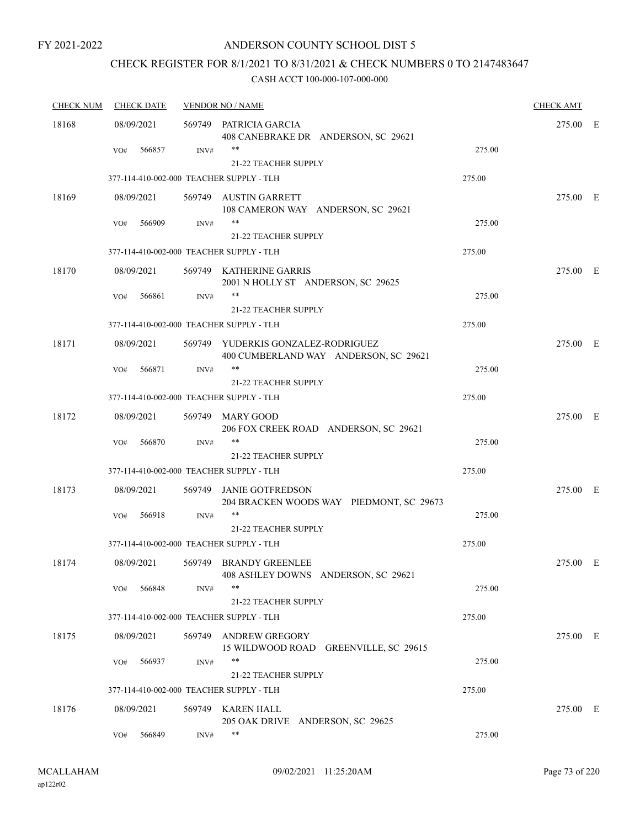### ANDERSON COUNTY SCHOOL DIST 5

## CHECK REGISTER FOR 8/1/2021 TO 8/31/2021 & CHECK NUMBERS 0 TO 2147483647

| <b>CHECK NUM</b> | <b>CHECK DATE</b>                        |        | <b>VENDOR NO / NAME</b>                                                     |        | <b>CHECK AMT</b> |  |
|------------------|------------------------------------------|--------|-----------------------------------------------------------------------------|--------|------------------|--|
| 18168            | 08/09/2021                               |        | 569749 PATRICIA GARCIA<br>408 CANEBRAKE DR ANDERSON, SC 29621               |        | 275.00 E         |  |
|                  | 566857<br>VO#                            | INV#   | **                                                                          | 275.00 |                  |  |
|                  |                                          |        | 21-22 TEACHER SUPPLY                                                        |        |                  |  |
|                  | 377-114-410-002-000 TEACHER SUPPLY - TLH |        |                                                                             | 275.00 |                  |  |
| 18169            | 08/09/2021                               |        | 569749 AUSTIN GARRETT<br>108 CAMERON WAY ANDERSON, SC 29621                 |        | 275.00 E         |  |
|                  | 566909<br>VO#                            | INV#   | **<br>21-22 TEACHER SUPPLY                                                  | 275.00 |                  |  |
|                  | 377-114-410-002-000 TEACHER SUPPLY - TLH |        |                                                                             | 275.00 |                  |  |
| 18170            | 08/09/2021                               |        | 569749 KATHERINE GARRIS<br>2001 N HOLLY ST ANDERSON, SC 29625               |        | 275.00 E         |  |
|                  | VO#<br>566861                            | INV#   | **<br>21-22 TEACHER SUPPLY                                                  | 275.00 |                  |  |
|                  | 377-114-410-002-000 TEACHER SUPPLY - TLH |        |                                                                             | 275.00 |                  |  |
| 18171            | 08/09/2021                               |        | 569749 YUDERKIS GONZALEZ-RODRIGUEZ<br>400 CUMBERLAND WAY ANDERSON, SC 29621 |        | 275.00 E         |  |
|                  | 566871<br>VO#                            | INV#   | **                                                                          | 275.00 |                  |  |
|                  |                                          |        | 21-22 TEACHER SUPPLY                                                        |        |                  |  |
|                  | 377-114-410-002-000 TEACHER SUPPLY - TLH |        |                                                                             | 275.00 |                  |  |
| 18172            | 08/09/2021                               |        | 569749 MARY GOOD<br>206 FOX CREEK ROAD ANDERSON, SC 29621                   |        | 275.00 E         |  |
|                  | 566870<br>VO#                            | INV#   | **<br><b>21-22 TEACHER SUPPLY</b>                                           | 275.00 |                  |  |
|                  | 377-114-410-002-000 TEACHER SUPPLY - TLH |        |                                                                             | 275.00 |                  |  |
|                  |                                          |        |                                                                             |        |                  |  |
| 18173            | 08/09/2021                               |        | 569749 JANIE GOTFREDSON<br>204 BRACKEN WOODS WAY PIEDMONT, SC 29673         |        | 275.00 E         |  |
|                  | 566918<br>VO#                            | INV#   | **                                                                          | 275.00 |                  |  |
|                  |                                          |        | 21-22 TEACHER SUPPLY                                                        |        |                  |  |
|                  | 377-114-410-002-000 TEACHER SUPPLY - TLH |        |                                                                             | 275.00 |                  |  |
| 18174            | 08/09/2021                               |        | 569749 BRANDY GREENLEE<br>408 ASHLEY DOWNS ANDERSON, SC 29621               |        | 275.00 E         |  |
|                  | 566848<br>VO#                            | INV#   | **                                                                          | 275.00 |                  |  |
|                  |                                          |        | 21-22 TEACHER SUPPLY                                                        |        |                  |  |
|                  | 377-114-410-002-000 TEACHER SUPPLY - TLH |        |                                                                             | 275.00 |                  |  |
| 18175            | 08/09/2021                               |        | 569749 ANDREW GREGORY<br>15 WILDWOOD ROAD GREENVILLE, SC 29615              |        | 275.00 E         |  |
|                  | 566937<br>VO#                            | INV#   | **<br>21-22 TEACHER SUPPLY                                                  | 275.00 |                  |  |
|                  | 377-114-410-002-000 TEACHER SUPPLY - TLH |        |                                                                             | 275.00 |                  |  |
| 18176            | 08/09/2021                               | 569749 | KAREN HALL                                                                  |        | 275.00 E         |  |
|                  |                                          |        | 205 OAK DRIVE ANDERSON, SC 29625                                            |        |                  |  |
|                  | 566849<br>VO#                            | INV#   | **                                                                          | 275.00 |                  |  |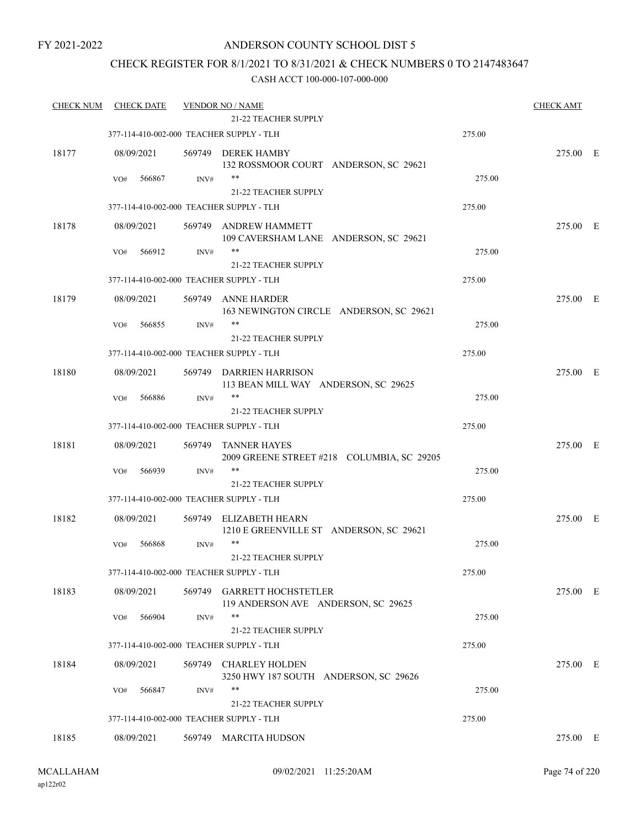### CHECK REGISTER FOR 8/1/2021 TO 8/31/2021 & CHECK NUMBERS 0 TO 2147483647

| <b>CHECK NUM</b> | <b>CHECK DATE</b>                        |        | <b>VENDOR NO / NAME</b><br>21-22 TEACHER SUPPLY             |        | <b>CHECK AMT</b> |  |
|------------------|------------------------------------------|--------|-------------------------------------------------------------|--------|------------------|--|
|                  | 377-114-410-002-000 TEACHER SUPPLY - TLH |        |                                                             | 275.00 |                  |  |
|                  |                                          |        |                                                             |        | 275.00 E         |  |
| 18177            | 08/09/2021                               |        | 569749 DEREK HAMBY<br>132 ROSSMOOR COURT ANDERSON, SC 29621 |        |                  |  |
|                  | 566867<br>VO#                            | INV#   | $***$                                                       | 275.00 |                  |  |
|                  |                                          |        | <b>21-22 TEACHER SUPPLY</b>                                 |        |                  |  |
|                  | 377-114-410-002-000 TEACHER SUPPLY - TLH |        |                                                             | 275.00 |                  |  |
| 18178            | 08/09/2021                               |        | 569749 ANDREW HAMMETT                                       |        | 275.00 E         |  |
|                  |                                          |        | 109 CAVERSHAM LANE ANDERSON, SC 29621                       |        |                  |  |
|                  | 566912<br>VO#                            | INV#   | **                                                          | 275.00 |                  |  |
|                  |                                          |        | 21-22 TEACHER SUPPLY                                        |        |                  |  |
|                  | 377-114-410-002-000 TEACHER SUPPLY - TLH |        |                                                             | 275.00 |                  |  |
| 18179            | 08/09/2021                               |        | 569749 ANNE HARDER                                          |        | 275.00 E         |  |
|                  | 566855                                   | INV#   | 163 NEWINGTON CIRCLE ANDERSON, SC 29621<br>**               | 275.00 |                  |  |
|                  | VO#                                      |        | 21-22 TEACHER SUPPLY                                        |        |                  |  |
|                  | 377-114-410-002-000 TEACHER SUPPLY - TLH |        |                                                             | 275.00 |                  |  |
| 18180            | 08/09/2021                               |        | 569749 DARRIEN HARRISON                                     |        | 275.00 E         |  |
|                  |                                          |        | 113 BEAN MILL WAY ANDERSON, SC 29625                        |        |                  |  |
|                  | 566886<br>VO#                            | INV#   | $***$                                                       | 275.00 |                  |  |
|                  |                                          |        | <b>21-22 TEACHER SUPPLY</b>                                 |        |                  |  |
|                  | 377-114-410-002-000 TEACHER SUPPLY - TLH |        |                                                             | 275.00 |                  |  |
| 18181            | 08/09/2021                               | 569749 | <b>TANNER HAYES</b>                                         |        | 275.00 E         |  |
|                  |                                          |        | 2009 GREENE STREET #218 COLUMBIA, SC 29205                  |        |                  |  |
|                  | 566939<br>VO#                            | INV#   | **                                                          | 275.00 |                  |  |
|                  |                                          |        | 21-22 TEACHER SUPPLY                                        |        |                  |  |
|                  | 377-114-410-002-000 TEACHER SUPPLY - TLH |        |                                                             | 275.00 |                  |  |
| 18182            | 08/09/2021                               | 569749 | ELIZABETH HEARN<br>1210 E GREENVILLE ST ANDERSON, SC 29621  |        | 275.00 E         |  |
|                  | 566868<br>VO#                            | INV#   | $***$                                                       | 275.00 |                  |  |
|                  |                                          |        | 21-22 TEACHER SUPPLY                                        |        |                  |  |
|                  | 377-114-410-002-000 TEACHER SUPPLY - TLH |        |                                                             | 275.00 |                  |  |
| 18183            | 08/09/2021                               | 569749 | <b>GARRETT HOCHSTETLER</b>                                  |        | 275.00 E         |  |
|                  |                                          |        | 119 ANDERSON AVE ANDERSON, SC 29625                         |        |                  |  |
|                  | 566904<br>VO#                            | INV#   | $***$                                                       | 275.00 |                  |  |
|                  |                                          |        | 21-22 TEACHER SUPPLY                                        |        |                  |  |
|                  | 377-114-410-002-000 TEACHER SUPPLY - TLH |        |                                                             | 275.00 |                  |  |
| 18184            | 08/09/2021                               |        | 569749 CHARLEY HOLDEN                                       |        | 275.00 E         |  |
|                  |                                          |        | 3250 HWY 187 SOUTH ANDERSON, SC 29626                       |        |                  |  |
|                  | 566847<br>VO#                            | INV#   | **<br>21-22 TEACHER SUPPLY                                  | 275.00 |                  |  |
|                  | 377-114-410-002-000 TEACHER SUPPLY - TLH |        |                                                             | 275.00 |                  |  |
|                  |                                          |        |                                                             |        |                  |  |
| 18185            | 08/09/2021                               |        | 569749 MARCITA HUDSON                                       |        | 275.00 E         |  |
|                  |                                          |        |                                                             |        |                  |  |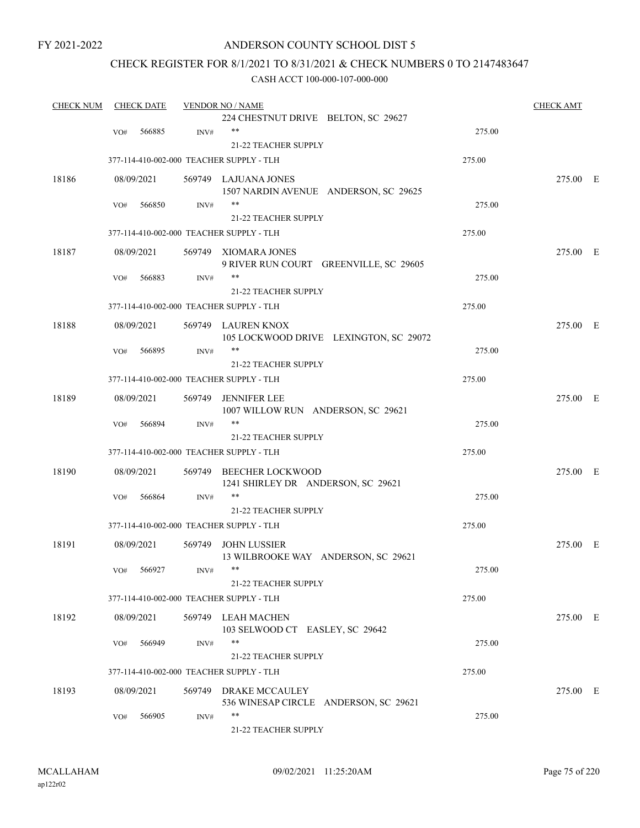### ANDERSON COUNTY SCHOOL DIST 5

### CHECK REGISTER FOR 8/1/2021 TO 8/31/2021 & CHECK NUMBERS 0 TO 2147483647

| <b>CHECK NUM</b> |     | <b>CHECK DATE</b> |        | <b>VENDOR NO / NAME</b>                                        |        | <b>CHECK AMT</b> |  |
|------------------|-----|-------------------|--------|----------------------------------------------------------------|--------|------------------|--|
|                  |     |                   |        | 224 CHESTNUT DRIVE BELTON, SC 29627                            |        |                  |  |
|                  | VO# | 566885            | INV#   | $***$                                                          | 275.00 |                  |  |
|                  |     |                   |        | 21-22 TEACHER SUPPLY                                           |        |                  |  |
|                  |     |                   |        | 377-114-410-002-000 TEACHER SUPPLY - TLH                       | 275.00 |                  |  |
| 18186            |     | 08/09/2021        |        | 569749 LAJUANA JONES                                           |        | 275.00 E         |  |
|                  |     |                   |        | 1507 NARDIN AVENUE ANDERSON, SC 29625                          |        |                  |  |
|                  | VO# | 566850            | INV#   | **                                                             | 275.00 |                  |  |
|                  |     |                   |        | <b>21-22 TEACHER SUPPLY</b>                                    |        |                  |  |
|                  |     |                   |        | 377-114-410-002-000 TEACHER SUPPLY - TLH                       | 275.00 |                  |  |
| 18187            |     | 08/09/2021        |        | 569749 XIOMARA JONES                                           |        | 275.00 E         |  |
|                  |     |                   |        | 9 RIVER RUN COURT GREENVILLE, SC 29605                         |        |                  |  |
|                  | VO# | 566883            | INV#   | **                                                             | 275.00 |                  |  |
|                  |     |                   |        | 21-22 TEACHER SUPPLY                                           |        |                  |  |
|                  |     |                   |        | 377-114-410-002-000 TEACHER SUPPLY - TLH                       | 275.00 |                  |  |
|                  |     |                   |        |                                                                |        |                  |  |
| 18188            |     | 08/09/2021        |        | 569749 LAUREN KNOX<br>105 LOCKWOOD DRIVE LEXINGTON, SC 29072   |        | 275.00 E         |  |
|                  |     | 566895            |        | **                                                             | 275.00 |                  |  |
|                  | VO# |                   | INV#   | <b>21-22 TEACHER SUPPLY</b>                                    |        |                  |  |
|                  |     |                   |        |                                                                |        |                  |  |
|                  |     |                   |        | 377-114-410-002-000 TEACHER SUPPLY - TLH                       | 275.00 |                  |  |
| 18189            |     | 08/09/2021        | 569749 | <b>JENNIFER LEE</b>                                            |        | 275.00 E         |  |
|                  |     |                   |        | 1007 WILLOW RUN ANDERSON, SC 29621                             |        |                  |  |
|                  | VO# | 566894            | INV#   | $***$                                                          | 275.00 |                  |  |
|                  |     |                   |        | <b>21-22 TEACHER SUPPLY</b>                                    |        |                  |  |
|                  |     |                   |        | 377-114-410-002-000 TEACHER SUPPLY - TLH                       | 275.00 |                  |  |
| 18190            |     | 08/09/2021        |        | 569749 BEECHER LOCKWOOD                                        |        | 275.00 E         |  |
|                  |     |                   |        | 1241 SHIRLEY DR ANDERSON, SC 29621                             |        |                  |  |
|                  | VO# | 566864            | INV#   | **                                                             | 275.00 |                  |  |
|                  |     |                   |        | 21-22 TEACHER SUPPLY                                           |        |                  |  |
|                  |     |                   |        | 377-114-410-002-000 TEACHER SUPPLY - TLH                       | 275.00 |                  |  |
| 18191            |     | 08/09/2021        |        | 569749 JOHN LUSSIER                                            |        | 275.00 E         |  |
|                  |     |                   |        | 13 WILBROOKE WAY ANDERSON, SC 29621                            |        |                  |  |
|                  |     | VO# 566927        | INV#   | **                                                             | 275.00 |                  |  |
|                  |     |                   |        | 21-22 TEACHER SUPPLY                                           |        |                  |  |
|                  |     |                   |        | 377-114-410-002-000 TEACHER SUPPLY - TLH                       | 275.00 |                  |  |
| 18192            |     | 08/09/2021        |        | 569749 LEAH MACHEN                                             |        | 275.00 E         |  |
|                  |     |                   |        | 103 SELWOOD CT EASLEY, SC 29642                                |        |                  |  |
|                  | VO# | 566949            | INV#   | $***$                                                          | 275.00 |                  |  |
|                  |     |                   |        | 21-22 TEACHER SUPPLY                                           |        |                  |  |
|                  |     |                   |        | 377-114-410-002-000 TEACHER SUPPLY - TLH                       | 275.00 |                  |  |
|                  |     |                   |        |                                                                |        |                  |  |
| 18193            |     | 08/09/2021        |        | 569749 DRAKE MCCAULEY<br>536 WINESAP CIRCLE ANDERSON, SC 29621 |        | 275.00 E         |  |
|                  |     |                   |        | $***$                                                          |        |                  |  |
|                  | VO# | 566905            | INV#   |                                                                | 275.00 |                  |  |
|                  |     |                   |        | 21-22 TEACHER SUPPLY                                           |        |                  |  |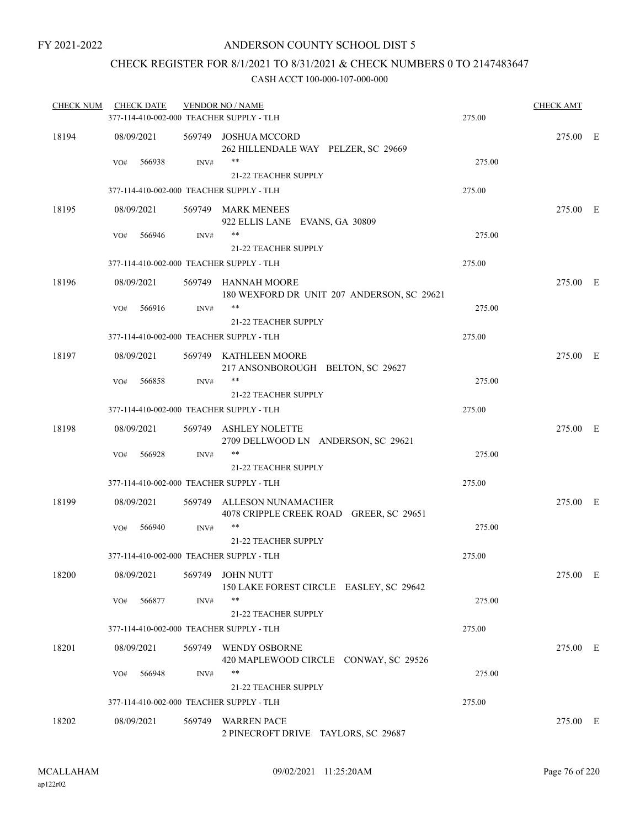### CHECK REGISTER FOR 8/1/2021 TO 8/31/2021 & CHECK NUMBERS 0 TO 2147483647

| <b>CHECK NUM</b> | <b>CHECK DATE</b> |        | <b>VENDOR NO / NAME</b><br>377-114-410-002-000 TEACHER SUPPLY - TLH  | 275.00 | <b>CHECK AMT</b> |  |
|------------------|-------------------|--------|----------------------------------------------------------------------|--------|------------------|--|
| 18194            | 08/09/2021        |        | 569749 JOSHUA MCCORD<br>262 HILLENDALE WAY PELZER, SC 29669          |        | 275.00 E         |  |
|                  | 566938<br>VO#     | INV#   | **<br><b>21-22 TEACHER SUPPLY</b>                                    | 275.00 |                  |  |
|                  |                   |        | 377-114-410-002-000 TEACHER SUPPLY - TLH                             | 275.00 |                  |  |
| 18195            | 08/09/2021        |        | 569749 MARK MENEES<br>922 ELLIS LANE EVANS, GA 30809                 |        | 275.00 E         |  |
|                  | 566946<br>VO#     | INV#   | **<br><b>21-22 TEACHER SUPPLY</b>                                    | 275.00 |                  |  |
|                  |                   |        | 377-114-410-002-000 TEACHER SUPPLY - TLH                             | 275.00 |                  |  |
| 18196            | 08/09/2021        |        | 569749 HANNAH MOORE<br>180 WEXFORD DR UNIT 207 ANDERSON, SC 29621    |        | 275.00 E         |  |
|                  | 566916<br>VO#     | INV#   | $***$                                                                | 275.00 |                  |  |
|                  |                   |        | <b>21-22 TEACHER SUPPLY</b>                                          |        |                  |  |
|                  |                   |        | 377-114-410-002-000 TEACHER SUPPLY - TLH                             | 275.00 |                  |  |
| 18197            | 08/09/2021        |        | 569749 KATHLEEN MOORE<br>217 ANSONBOROUGH BELTON, SC 29627           |        | 275.00 E         |  |
|                  | VO#<br>566858     | INV#   | **<br><b>21-22 TEACHER SUPPLY</b>                                    | 275.00 |                  |  |
|                  |                   |        | 377-114-410-002-000 TEACHER SUPPLY - TLH                             | 275.00 |                  |  |
| 18198            | 08/09/2021        |        | 569749 ASHLEY NOLETTE<br>2709 DELLWOOD LN ANDERSON, SC 29621         |        | 275.00 E         |  |
|                  | 566928<br>VO#     | INV#   | $***$<br>21-22 TEACHER SUPPLY                                        | 275.00 |                  |  |
|                  |                   |        | 377-114-410-002-000 TEACHER SUPPLY - TLH                             | 275.00 |                  |  |
| 18199            | 08/09/2021        |        | 569749 ALLESON NUNAMACHER<br>4078 CRIPPLE CREEK ROAD GREER, SC 29651 |        | 275.00 E         |  |
|                  | 566940<br>VO#     | INV#   | $***$<br><b>21-22 TEACHER SUPPLY</b>                                 | 275.00 |                  |  |
|                  |                   |        | 377-114-410-002-000 TEACHER SUPPLY - TLH                             | 275.00 |                  |  |
| 18200            | 08/09/2021        | 569749 | <b>JOHN NUTT</b><br>150 LAKE FOREST CIRCLE EASLEY, SC 29642          |        | 275.00 E         |  |
|                  | 566877<br>VO#     | INV#   | **<br>21-22 TEACHER SUPPLY                                           | 275.00 |                  |  |
|                  |                   |        | 377-114-410-002-000 TEACHER SUPPLY - TLH                             | 275.00 |                  |  |
| 18201            | 08/09/2021        |        | 569749 WENDY OSBORNE<br>420 MAPLEWOOD CIRCLE CONWAY, SC 29526        |        | 275.00 E         |  |
|                  | 566948<br>VO#     | INV#   | **<br>21-22 TEACHER SUPPLY                                           | 275.00 |                  |  |
|                  |                   |        | 377-114-410-002-000 TEACHER SUPPLY - TLH                             | 275.00 |                  |  |
| 18202            | 08/09/2021        |        | 569749 WARREN PACE<br>2 PINECROFT DRIVE TAYLORS, SC 29687            |        | 275.00 E         |  |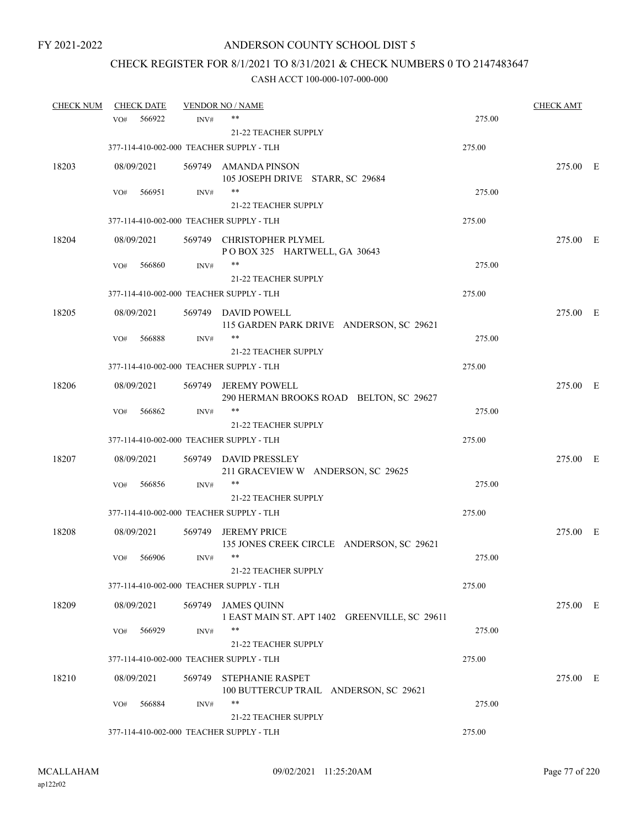# CHECK REGISTER FOR 8/1/2021 TO 8/31/2021 & CHECK NUMBERS 0 TO 2147483647

| <b>CHECK NUM</b> |            | <b>CHECK DATE</b> |        | <b>VENDOR NO / NAME</b>                                             |        | <b>CHECK AMT</b> |  |
|------------------|------------|-------------------|--------|---------------------------------------------------------------------|--------|------------------|--|
|                  | VO#        | 566922            | INV#   | **                                                                  | 275.00 |                  |  |
|                  |            |                   |        | 21-22 TEACHER SUPPLY                                                |        |                  |  |
|                  |            |                   |        | 377-114-410-002-000 TEACHER SUPPLY - TLH                            | 275.00 |                  |  |
| 18203            | 08/09/2021 |                   |        | 569749 AMANDA PINSON                                                |        | 275.00 E         |  |
|                  |            |                   |        | 105 JOSEPH DRIVE STARR, SC 29684<br>$***$                           | 275.00 |                  |  |
|                  | VO#        | 566951            | INV#   | <b>21-22 TEACHER SUPPLY</b>                                         |        |                  |  |
|                  |            |                   |        | 377-114-410-002-000 TEACHER SUPPLY - TLH                            | 275.00 |                  |  |
|                  |            |                   |        |                                                                     |        |                  |  |
| 18204            | 08/09/2021 |                   |        | 569749 CHRISTOPHER PLYMEL<br>POBOX 325 HARTWELL, GA 30643           |        | 275.00 E         |  |
|                  | VO#        | 566860            | INV#   | **                                                                  | 275.00 |                  |  |
|                  |            |                   |        | <b>21-22 TEACHER SUPPLY</b>                                         |        |                  |  |
|                  |            |                   |        | 377-114-410-002-000 TEACHER SUPPLY - TLH                            | 275.00 |                  |  |
| 18205            | 08/09/2021 |                   |        | 569749 DAVID POWELL<br>115 GARDEN PARK DRIVE ANDERSON, SC 29621     |        | 275.00 E         |  |
|                  | VO#        | 566888            | INV#   | **                                                                  | 275.00 |                  |  |
|                  |            |                   |        | 21-22 TEACHER SUPPLY                                                |        |                  |  |
|                  |            |                   |        | 377-114-410-002-000 TEACHER SUPPLY - TLH                            | 275.00 |                  |  |
| 18206            | 08/09/2021 |                   |        | 569749 JEREMY POWELL<br>290 HERMAN BROOKS ROAD BELTON, SC 29627     |        | 275.00 E         |  |
|                  | VO#        | 566862            | INV#   | $***$                                                               | 275.00 |                  |  |
|                  |            |                   |        | <b>21-22 TEACHER SUPPLY</b>                                         |        |                  |  |
|                  |            |                   |        | 377-114-410-002-000 TEACHER SUPPLY - TLH                            | 275.00 |                  |  |
| 18207            | 08/09/2021 |                   |        | 569749 DAVID PRESSLEY<br>211 GRACEVIEW W ANDERSON, SC 29625         |        | 275.00 E         |  |
|                  | VO#        | 566856            | INV#   | $***$                                                               | 275.00 |                  |  |
|                  |            |                   |        | <b>21-22 TEACHER SUPPLY</b>                                         |        |                  |  |
|                  |            |                   |        | 377-114-410-002-000 TEACHER SUPPLY - TLH                            | 275.00 |                  |  |
| 18208            | 08/09/2021 |                   |        | 569749 JEREMY PRICE<br>135 JONES CREEK CIRCLE ANDERSON, SC 29621    |        | 275.00 E         |  |
|                  | VO#        | 566906            | INV#   | $***$                                                               | 275.00 |                  |  |
|                  |            |                   |        | 21-22 TEACHER SUPPLY                                                |        |                  |  |
|                  |            |                   |        | 377-114-410-002-000 TEACHER SUPPLY - TLH                            | 275.00 |                  |  |
| 18209            | 08/09/2021 |                   |        | 569749 JAMES QUINN<br>1 EAST MAIN ST. APT 1402 GREENVILLE, SC 29611 |        | 275.00 E         |  |
|                  | VO#        | 566929            | INV#   | **                                                                  | 275.00 |                  |  |
|                  |            |                   |        | <b>21-22 TEACHER SUPPLY</b>                                         |        |                  |  |
|                  |            |                   |        | 377-114-410-002-000 TEACHER SUPPLY - TLH                            | 275.00 |                  |  |
| 18210            | 08/09/2021 |                   | 569749 | <b>STEPHANIE RASPET</b><br>100 BUTTERCUP TRAIL ANDERSON, SC 29621   |        | 275.00 E         |  |
|                  | VO#        | 566884            | INV#   | **                                                                  | 275.00 |                  |  |
|                  |            |                   |        | <b>21-22 TEACHER SUPPLY</b>                                         |        |                  |  |
|                  |            |                   |        | 377-114-410-002-000 TEACHER SUPPLY - TLH                            | 275.00 |                  |  |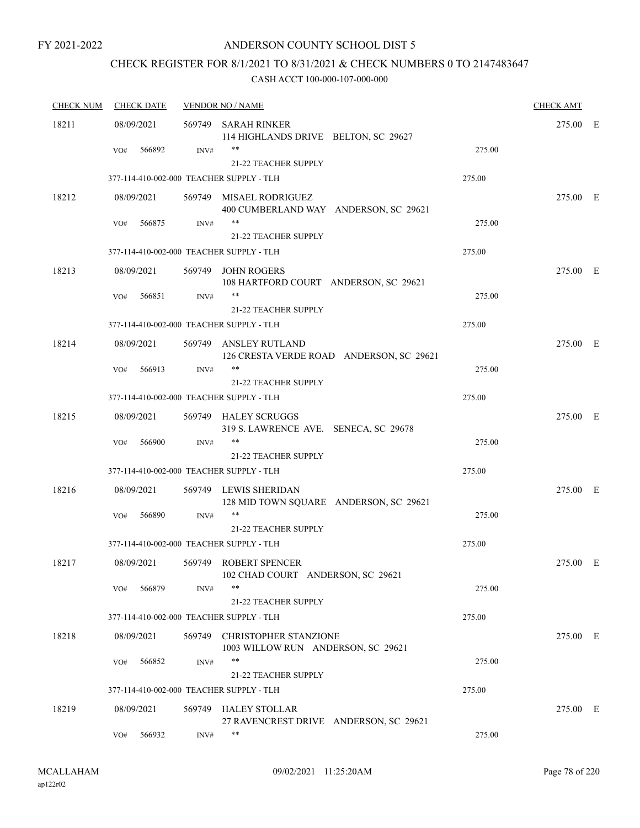### ANDERSON COUNTY SCHOOL DIST 5

## CHECK REGISTER FOR 8/1/2021 TO 8/31/2021 & CHECK NUMBERS 0 TO 2147483647

| <b>CHECK NUM</b> | <b>CHECK DATE</b>                        |      | <b>VENDOR NO / NAME</b>                                            |        | <b>CHECK AMT</b> |  |
|------------------|------------------------------------------|------|--------------------------------------------------------------------|--------|------------------|--|
| 18211            | 08/09/2021                               |      | 569749 SARAH RINKER<br>114 HIGHLANDS DRIVE BELTON, SC 29627        |        | 275.00 E         |  |
|                  | 566892<br>VO#                            | INV# | 21-22 TEACHER SUPPLY                                               | 275.00 |                  |  |
|                  | 377-114-410-002-000 TEACHER SUPPLY - TLH |      |                                                                    | 275.00 |                  |  |
| 18212            | 08/09/2021                               |      | 569749 MISAEL RODRIGUEZ<br>400 CUMBERLAND WAY ANDERSON, SC 29621   |        | 275.00 E         |  |
|                  | 566875<br>VO#                            | INV# | **<br>21-22 TEACHER SUPPLY                                         | 275.00 |                  |  |
|                  | 377-114-410-002-000 TEACHER SUPPLY - TLH |      |                                                                    | 275.00 |                  |  |
| 18213            | 08/09/2021                               |      | 569749 JOHN ROGERS<br>108 HARTFORD COURT ANDERSON, SC 29621        |        | 275.00 E         |  |
|                  | 566851<br>VO#                            | INV# | **<br>21-22 TEACHER SUPPLY                                         | 275.00 |                  |  |
|                  | 377-114-410-002-000 TEACHER SUPPLY - TLH |      |                                                                    | 275.00 |                  |  |
| 18214            | 08/09/2021                               |      | 569749 ANSLEY RUTLAND<br>126 CRESTA VERDE ROAD ANDERSON, SC 29621  |        | 275.00 E         |  |
|                  | 566913<br>VO#                            | INV# | **                                                                 | 275.00 |                  |  |
|                  |                                          |      | <b>21-22 TEACHER SUPPLY</b>                                        |        |                  |  |
|                  | 377-114-410-002-000 TEACHER SUPPLY - TLH |      |                                                                    | 275.00 |                  |  |
| 18215            | 08/09/2021                               |      | 569749 HALEY SCRUGGS<br>319 S. LAWRENCE AVE. SENECA, SC 29678      |        | 275.00 E         |  |
|                  | VO#<br>566900                            | INV# | **<br><b>21-22 TEACHER SUPPLY</b>                                  | 275.00 |                  |  |
|                  | 377-114-410-002-000 TEACHER SUPPLY - TLH |      |                                                                    | 275.00 |                  |  |
| 18216            | 08/09/2021                               |      | 569749 LEWIS SHERIDAN<br>128 MID TOWN SQUARE ANDERSON, SC 29621    |        | 275.00 E         |  |
|                  | 566890<br>VO#                            | INV# | 21-22 TEACHER SUPPLY                                               | 275.00 |                  |  |
|                  | 377-114-410-002-000 TEACHER SUPPLY - TLH |      |                                                                    | 275.00 |                  |  |
| 18217            | 08/09/2021                               |      | 569749 ROBERT SPENCER<br>102 CHAD COURT ANDERSON, SC 29621         |        | 275.00 E         |  |
|                  | 566879<br>VO#                            | INV# | **<br>21-22 TEACHER SUPPLY                                         | 275.00 |                  |  |
|                  | 377-114-410-002-000 TEACHER SUPPLY - TLH |      |                                                                    | 275.00 |                  |  |
| 18218            | 08/09/2021                               |      | 569749 CHRISTOPHER STANZIONE<br>1003 WILLOW RUN ANDERSON, SC 29621 |        | 275.00 E         |  |
|                  | 566852<br>VO#                            | INV# | **<br>21-22 TEACHER SUPPLY                                         | 275.00 |                  |  |
|                  | 377-114-410-002-000 TEACHER SUPPLY - TLH |      |                                                                    | 275.00 |                  |  |
| 18219            | 08/09/2021                               |      | 569749 HALEY STOLLAR<br>27 RAVENCREST DRIVE ANDERSON, SC 29621     |        | 275.00 E         |  |
|                  | 566932<br>VO#                            | INV# | **                                                                 | 275.00 |                  |  |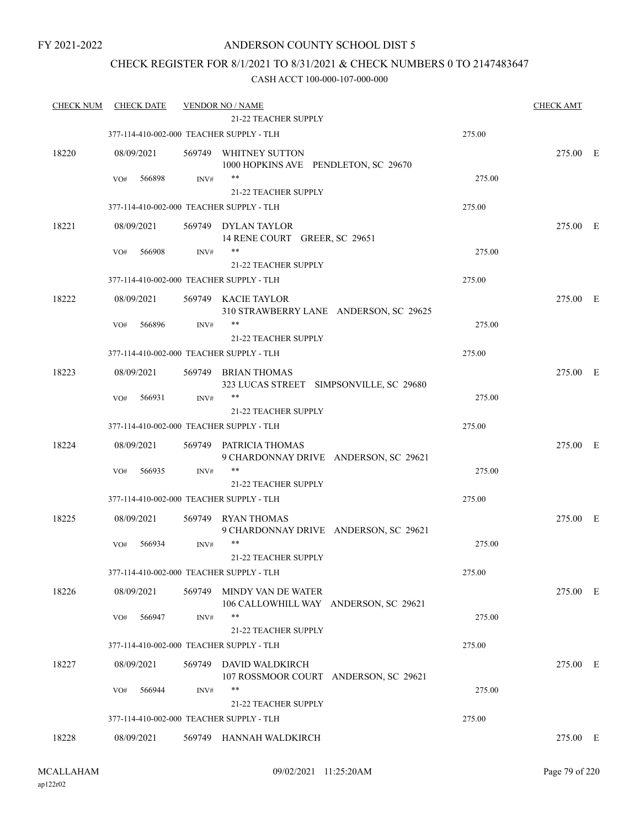### ANDERSON COUNTY SCHOOL DIST 5

### CHECK REGISTER FOR 8/1/2021 TO 8/31/2021 & CHECK NUMBERS 0 TO 2147483647

| <b>CHECK NUM</b> | <b>CHECK DATE</b>                        |        | <b>VENDOR NO / NAME</b><br><b>21-22 TEACHER SUPPLY</b>        |        | <b>CHECK AMT</b> |  |
|------------------|------------------------------------------|--------|---------------------------------------------------------------|--------|------------------|--|
|                  | 377-114-410-002-000 TEACHER SUPPLY - TLH |        |                                                               | 275.00 |                  |  |
|                  |                                          |        |                                                               |        |                  |  |
| 18220            | 08/09/2021                               |        | 569749 WHITNEY SUTTON<br>1000 HOPKINS AVE PENDLETON, SC 29670 |        | 275.00 E         |  |
|                  | 566898<br>VO#                            | INV#   | $***$                                                         | 275.00 |                  |  |
|                  |                                          |        | 21-22 TEACHER SUPPLY                                          |        |                  |  |
|                  | 377-114-410-002-000 TEACHER SUPPLY - TLH |        |                                                               | 275.00 |                  |  |
| 18221            | 08/09/2021                               |        | 569749 DYLAN TAYLOR                                           |        | 275.00 E         |  |
|                  |                                          |        | 14 RENE COURT GREER, SC 29651                                 |        |                  |  |
|                  | 566908<br>VO#                            | INV#   | **                                                            | 275.00 |                  |  |
|                  |                                          |        | <b>21-22 TEACHER SUPPLY</b>                                   |        |                  |  |
|                  | 377-114-410-002-000 TEACHER SUPPLY - TLH |        |                                                               | 275.00 |                  |  |
| 18222            | 08/09/2021                               |        | 569749 KACIE TAYLOR                                           |        | 275.00 E         |  |
|                  | 566896<br>VO#                            | INV#   | 310 STRAWBERRY LANE ANDERSON, SC 29625<br>$***$               | 275.00 |                  |  |
|                  |                                          |        | 21-22 TEACHER SUPPLY                                          |        |                  |  |
|                  | 377-114-410-002-000 TEACHER SUPPLY - TLH |        |                                                               | 275.00 |                  |  |
| 18223            | 08/09/2021                               |        | 569749 BRIAN THOMAS                                           |        | 275.00 E         |  |
|                  |                                          |        | 323 LUCAS STREET SIMPSONVILLE, SC 29680                       |        |                  |  |
|                  | 566931<br>VO#                            | INV#   | $***$                                                         | 275.00 |                  |  |
|                  |                                          |        | 21-22 TEACHER SUPPLY                                          |        |                  |  |
|                  | 377-114-410-002-000 TEACHER SUPPLY - TLH |        |                                                               | 275.00 |                  |  |
| 18224            | 08/09/2021                               |        | 569749 PATRICIA THOMAS                                        |        | 275.00 E         |  |
|                  | 566935                                   |        | 9 CHARDONNAY DRIVE ANDERSON, SC 29621<br>**                   | 275.00 |                  |  |
|                  | VO#                                      | INV#   | 21-22 TEACHER SUPPLY                                          |        |                  |  |
|                  | 377-114-410-002-000 TEACHER SUPPLY - TLH |        |                                                               | 275.00 |                  |  |
| 18225            |                                          |        | 569749 RYAN THOMAS                                            |        | 275.00 E         |  |
|                  | 08/09/2021                               |        | 9 CHARDONNAY DRIVE ANDERSON, SC 29621                         |        |                  |  |
|                  | 566934<br>VO#                            | INV#   | $***$                                                         | 275.00 |                  |  |
|                  |                                          |        | 21-22 TEACHER SUPPLY                                          |        |                  |  |
|                  | 377-114-410-002-000 TEACHER SUPPLY - TLH |        |                                                               | 275.00 |                  |  |
| 18226            | 08/09/2021                               | 569749 | MINDY VAN DE WATER                                            |        | 275.00 E         |  |
|                  |                                          |        | 106 CALLOWHILL WAY ANDERSON, SC 29621                         |        |                  |  |
|                  | 566947<br>VO#                            | INV#   | $***$<br>21-22 TEACHER SUPPLY                                 | 275.00 |                  |  |
|                  | 377-114-410-002-000 TEACHER SUPPLY - TLH |        |                                                               | 275.00 |                  |  |
|                  |                                          |        |                                                               |        |                  |  |
| 18227            | 08/09/2021                               | 569749 | DAVID WALDKIRCH<br>107 ROSSMOOR COURT ANDERSON, SC 29621      |        | 275.00 E         |  |
|                  | 566944<br>VO#                            | INV#   | $***$                                                         | 275.00 |                  |  |
|                  |                                          |        | <b>21-22 TEACHER SUPPLY</b>                                   |        |                  |  |
|                  | 377-114-410-002-000 TEACHER SUPPLY - TLH |        |                                                               | 275.00 |                  |  |
| 18228            | 08/09/2021                               |        | 569749 HANNAH WALDKIRCH                                       |        | 275.00 E         |  |
|                  |                                          |        |                                                               |        |                  |  |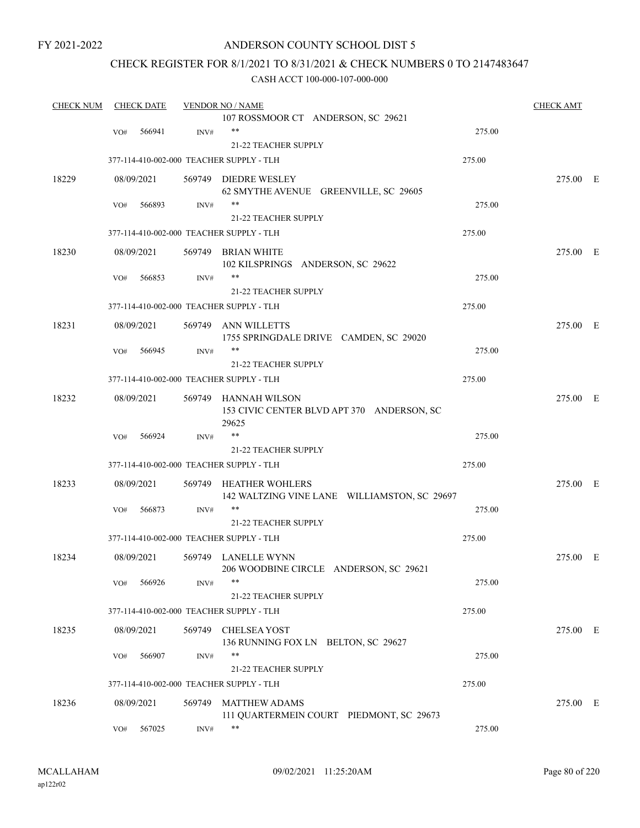### ANDERSON COUNTY SCHOOL DIST 5

### CHECK REGISTER FOR 8/1/2021 TO 8/31/2021 & CHECK NUMBERS 0 TO 2147483647

| <b>CHECK NUM</b> | <b>CHECK DATE</b> |        | <b>VENDOR NO / NAME</b>                             |        | <b>CHECK AMT</b> |  |
|------------------|-------------------|--------|-----------------------------------------------------|--------|------------------|--|
|                  |                   |        | 107 ROSSMOOR CT ANDERSON, SC 29621                  |        |                  |  |
|                  | 566941<br>VO#     | INV#   | **                                                  | 275.00 |                  |  |
|                  |                   |        | 21-22 TEACHER SUPPLY                                |        |                  |  |
|                  |                   |        | 377-114-410-002-000 TEACHER SUPPLY - TLH            | 275.00 |                  |  |
| 18229            | 08/09/2021        |        | 569749 DIEDRE WESLEY                                |        | 275.00 E         |  |
|                  |                   |        | 62 SMYTHE AVENUE GREENVILLE, SC 29605               |        |                  |  |
|                  | 566893<br>VO#     | INV#   | $***$                                               | 275.00 |                  |  |
|                  |                   |        | 21-22 TEACHER SUPPLY                                |        |                  |  |
|                  |                   |        | 377-114-410-002-000 TEACHER SUPPLY - TLH            | 275.00 |                  |  |
| 18230            | 08/09/2021        |        | 569749 BRIAN WHITE                                  |        | 275.00 E         |  |
|                  |                   |        | 102 KILSPRINGS ANDERSON, SC 29622                   |        |                  |  |
|                  | 566853<br>VO#     | INV#   | **                                                  | 275.00 |                  |  |
|                  |                   |        | 21-22 TEACHER SUPPLY                                |        |                  |  |
|                  |                   |        | 377-114-410-002-000 TEACHER SUPPLY - TLH            | 275.00 |                  |  |
| 18231            | 08/09/2021        |        | 569749 ANN WILLETTS                                 |        | 275.00 E         |  |
|                  |                   |        | 1755 SPRINGDALE DRIVE CAMDEN, SC 29020              |        |                  |  |
|                  | 566945<br>VO#     | INV#   | **                                                  | 275.00 |                  |  |
|                  |                   |        | 21-22 TEACHER SUPPLY                                |        |                  |  |
|                  |                   |        | 377-114-410-002-000 TEACHER SUPPLY - TLH            | 275.00 |                  |  |
| 18232            | 08/09/2021        |        | 569749 HANNAH WILSON                                |        | 275.00 E         |  |
|                  |                   |        | 153 CIVIC CENTER BLVD APT 370 ANDERSON, SC<br>29625 |        |                  |  |
|                  | 566924<br>VO#     | INV#   | $***$                                               | 275.00 |                  |  |
|                  |                   |        | <b>21-22 TEACHER SUPPLY</b>                         |        |                  |  |
|                  |                   |        | 377-114-410-002-000 TEACHER SUPPLY - TLH            | 275.00 |                  |  |
| 18233            | 08/09/2021        |        | 569749 HEATHER WOHLERS                              |        | 275.00 E         |  |
|                  |                   |        | 142 WALTZING VINE LANE WILLIAMSTON, SC 29697        |        |                  |  |
|                  | 566873<br>VO#     | INV#   | **                                                  | 275.00 |                  |  |
|                  |                   |        | <b>21-22 TEACHER SUPPLY</b>                         |        |                  |  |
|                  |                   |        | 377-114-410-002-000 TEACHER SUPPLY - TLH            | 275.00 |                  |  |
| 18234            | 08/09/2021        |        | 569749 LANELLE WYNN                                 |        | 275.00 E         |  |
|                  |                   |        | 206 WOODBINE CIRCLE ANDERSON, SC 29621              |        |                  |  |
|                  | 566926<br>VO#     | INV#   | $***$                                               | 275.00 |                  |  |
|                  |                   |        | 21-22 TEACHER SUPPLY                                |        |                  |  |
|                  |                   |        | 377-114-410-002-000 TEACHER SUPPLY - TLH            | 275.00 |                  |  |
| 18235            | 08/09/2021        | 569749 | <b>CHELSEA YOST</b>                                 |        | 275.00 E         |  |
|                  |                   |        | 136 RUNNING FOX LN BELTON, SC 29627                 |        |                  |  |
|                  | 566907<br>VO#     | INV#   | **                                                  | 275.00 |                  |  |
|                  |                   |        | 21-22 TEACHER SUPPLY                                |        |                  |  |
|                  |                   |        | 377-114-410-002-000 TEACHER SUPPLY - TLH            | 275.00 |                  |  |
| 18236            | 08/09/2021        | 569749 | <b>MATTHEW ADAMS</b>                                |        | 275.00 E         |  |
|                  |                   |        | 111 QUARTERMEIN COURT PIEDMONT, SC 29673            |        |                  |  |
|                  | 567025<br>VO#     | INV#   | **                                                  | 275.00 |                  |  |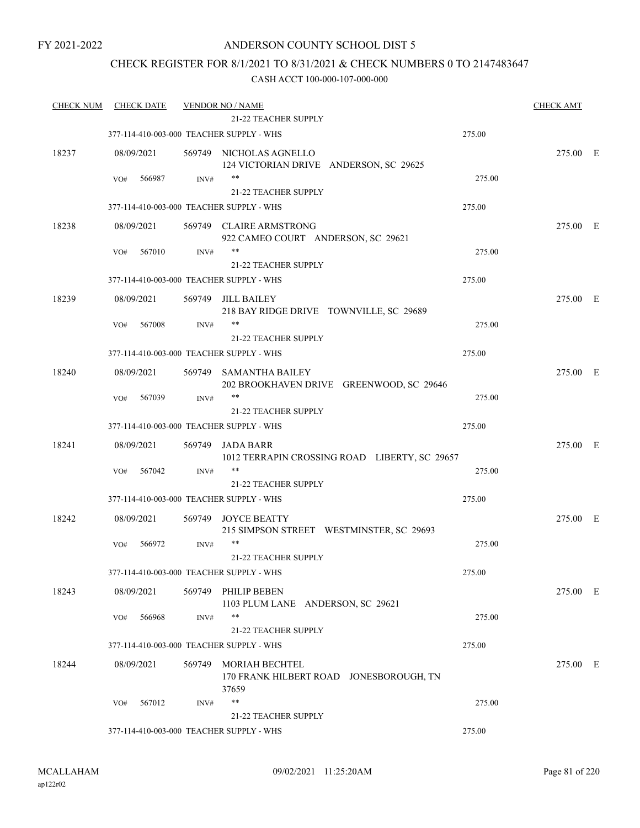### CHECK REGISTER FOR 8/1/2021 TO 8/31/2021 & CHECK NUMBERS 0 TO 2147483647

| <b>CHECK NUM</b> | <b>CHECK DATE</b>                        |        | <b>VENDOR NO / NAME</b>                                            |        | <b>CHECK AMT</b> |  |
|------------------|------------------------------------------|--------|--------------------------------------------------------------------|--------|------------------|--|
|                  |                                          |        | 21-22 TEACHER SUPPLY                                               |        |                  |  |
|                  | 377-114-410-003-000 TEACHER SUPPLY - WHS |        |                                                                    | 275.00 |                  |  |
| 18237            | 08/09/2021                               |        | 569749 NICHOLAS AGNELLO<br>124 VICTORIAN DRIVE ANDERSON, SC 29625  |        | 275.00 E         |  |
|                  | 566987<br>VO#                            | INV#   | $***$                                                              | 275.00 |                  |  |
|                  |                                          |        | 21-22 TEACHER SUPPLY                                               |        |                  |  |
|                  | 377-114-410-003-000 TEACHER SUPPLY - WHS |        |                                                                    | 275.00 |                  |  |
| 18238            | 08/09/2021                               |        | 569749 CLAIRE ARMSTRONG<br>922 CAMEO COURT ANDERSON, SC 29621      |        | 275.00 E         |  |
|                  | 567010<br>VO#                            | INV#   | **                                                                 | 275.00 |                  |  |
|                  |                                          |        | 21-22 TEACHER SUPPLY                                               |        |                  |  |
|                  | 377-114-410-003-000 TEACHER SUPPLY - WHS |        |                                                                    | 275.00 |                  |  |
| 18239            | 08/09/2021                               | 569749 | JILL BAILEY<br>218 BAY RIDGE DRIVE TOWNVILLE, SC 29689             |        | 275.00 E         |  |
|                  | 567008<br>VO#                            | INV#   | **                                                                 | 275.00 |                  |  |
|                  |                                          |        | 21-22 TEACHER SUPPLY                                               |        |                  |  |
|                  | 377-114-410-003-000 TEACHER SUPPLY - WHS |        |                                                                    | 275.00 |                  |  |
| 18240            | 08/09/2021                               |        | 569749 SAMANTHA BAILEY<br>202 BROOKHAVEN DRIVE GREENWOOD, SC 29646 |        | 275.00 E         |  |
|                  | 567039<br>VO#                            | INV#   | **                                                                 | 275.00 |                  |  |
|                  |                                          |        | 21-22 TEACHER SUPPLY                                               |        |                  |  |
|                  | 377-114-410-003-000 TEACHER SUPPLY - WHS |        |                                                                    | 275.00 |                  |  |
| 18241            | 08/09/2021                               | 569749 | JADA BARR<br>1012 TERRAPIN CROSSING ROAD LIBERTY, SC 29657         |        | 275.00 E         |  |
|                  | 567042<br>VO#                            | INV#   | **                                                                 | 275.00 |                  |  |
|                  |                                          |        | 21-22 TEACHER SUPPLY                                               |        |                  |  |
|                  | 377-114-410-003-000 TEACHER SUPPLY - WHS |        |                                                                    | 275.00 |                  |  |
| 18242            | 08/09/2021                               | 569749 | <b>JOYCE BEATTY</b><br>215 SIMPSON STREET WESTMINSTER, SC 29693    |        | 275.00 E         |  |
|                  | 566972<br>VO#                            | INV#   | $***$                                                              | 275.00 |                  |  |
|                  |                                          |        | 21-22 TEACHER SUPPLY                                               |        |                  |  |
|                  | 377-114-410-003-000 TEACHER SUPPLY - WHS |        |                                                                    | 275.00 |                  |  |
| 18243            | 08/09/2021                               |        | 569749 PHILIP BEBEN<br>1103 PLUM LANE ANDERSON, SC 29621           |        | 275.00 E         |  |
|                  | 566968<br>VO#                            | INV#   | **                                                                 | 275.00 |                  |  |
|                  |                                          |        | <b>21-22 TEACHER SUPPLY</b>                                        |        |                  |  |
|                  | 377-114-410-003-000 TEACHER SUPPLY - WHS |        |                                                                    | 275.00 |                  |  |
| 18244            | 08/09/2021                               | 569749 | MORIAH BECHTEL<br>170 FRANK HILBERT ROAD JONESBOROUGH, TN<br>37659 |        | 275.00 E         |  |
|                  | 567012<br>VO#                            | INV#   | $***$                                                              | 275.00 |                  |  |
|                  |                                          |        | <b>21-22 TEACHER SUPPLY</b>                                        |        |                  |  |
|                  | 377-114-410-003-000 TEACHER SUPPLY - WHS |        |                                                                    | 275.00 |                  |  |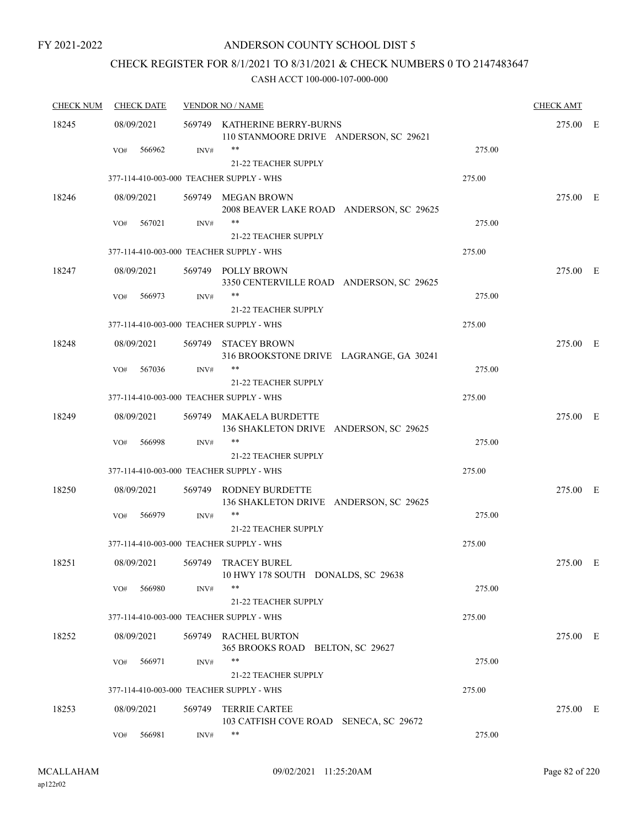### ANDERSON COUNTY SCHOOL DIST 5

## CHECK REGISTER FOR 8/1/2021 TO 8/31/2021 & CHECK NUMBERS 0 TO 2147483647

| <b>CHECK NUM</b> | <b>CHECK DATE</b>                        |        | <b>VENDOR NO / NAME</b>                                                |        | <b>CHECK AMT</b> |  |
|------------------|------------------------------------------|--------|------------------------------------------------------------------------|--------|------------------|--|
| 18245            | 08/09/2021                               |        | 569749 KATHERINE BERRY-BURNS<br>110 STANMOORE DRIVE ANDERSON, SC 29621 |        | 275.00 E         |  |
|                  | 566962<br>VO#                            | INV#   | 21-22 TEACHER SUPPLY                                                   | 275.00 |                  |  |
|                  | 377-114-410-003-000 TEACHER SUPPLY - WHS |        |                                                                        | 275.00 |                  |  |
| 18246            | 08/09/2021                               |        | 569749 MEGAN BROWN<br>2008 BEAVER LAKE ROAD ANDERSON, SC 29625         |        | 275.00 E         |  |
|                  | 567021<br>VO#                            | INV#   | **<br>21-22 TEACHER SUPPLY                                             | 275.00 |                  |  |
|                  | 377-114-410-003-000 TEACHER SUPPLY - WHS |        |                                                                        | 275.00 |                  |  |
| 18247            | 08/09/2021                               |        | 569749 POLLY BROWN<br>3350 CENTERVILLE ROAD ANDERSON, SC 29625         |        | 275.00 E         |  |
|                  | 566973<br>VO#                            | INV#   | **<br>21-22 TEACHER SUPPLY                                             | 275.00 |                  |  |
|                  | 377-114-410-003-000 TEACHER SUPPLY - WHS |        |                                                                        | 275.00 |                  |  |
| 18248            | 08/09/2021                               |        | 569749 STACEY BROWN<br>316 BROOKSTONE DRIVE LAGRANGE, GA 30241         |        | 275.00 E         |  |
|                  | 567036<br>VO#                            | INV#   | **                                                                     | 275.00 |                  |  |
|                  | 377-114-410-003-000 TEACHER SUPPLY - WHS |        | <b>21-22 TEACHER SUPPLY</b>                                            | 275.00 |                  |  |
| 18249            | 08/09/2021                               |        | 569749 MAKAELA BURDETTE<br>136 SHAKLETON DRIVE ANDERSON, SC 29625      |        | 275.00 E         |  |
|                  | VO#<br>566998                            | INV#   | **<br><b>21-22 TEACHER SUPPLY</b>                                      | 275.00 |                  |  |
|                  | 377-114-410-003-000 TEACHER SUPPLY - WHS |        |                                                                        | 275.00 |                  |  |
| 18250            | 08/09/2021                               |        | 569749 RODNEY BURDETTE<br>136 SHAKLETON DRIVE ANDERSON, SC 29625       |        | 275.00 E         |  |
|                  | 566979<br>VO#                            | INV#   | 21-22 TEACHER SUPPLY                                                   | 275.00 |                  |  |
|                  | 377-114-410-003-000 TEACHER SUPPLY - WHS |        |                                                                        | 275.00 |                  |  |
| 18251            | 08/09/2021                               |        | 569749 TRACEY BUREL<br>10 HWY 178 SOUTH DONALDS, SC 29638              |        | 275.00 E         |  |
|                  | 566980<br>VO#                            | INV#   | **<br>21-22 TEACHER SUPPLY                                             | 275.00 |                  |  |
|                  | 377-114-410-003-000 TEACHER SUPPLY - WHS |        |                                                                        | 275.00 |                  |  |
| 18252            | 08/09/2021                               |        | 569749 RACHEL BURTON<br>365 BROOKS ROAD BELTON, SC 29627               |        | 275.00 E         |  |
|                  | 566971<br>VO#                            | INV#   | **<br>21-22 TEACHER SUPPLY                                             | 275.00 |                  |  |
|                  | 377-114-410-003-000 TEACHER SUPPLY - WHS |        |                                                                        | 275.00 |                  |  |
| 18253            | 08/09/2021                               | 569749 | <b>TERRIE CARTEE</b><br>103 CATFISH COVE ROAD SENECA, SC 29672         |        | 275.00 E         |  |
|                  | 566981<br>VO#                            | INV#   | **                                                                     | 275.00 |                  |  |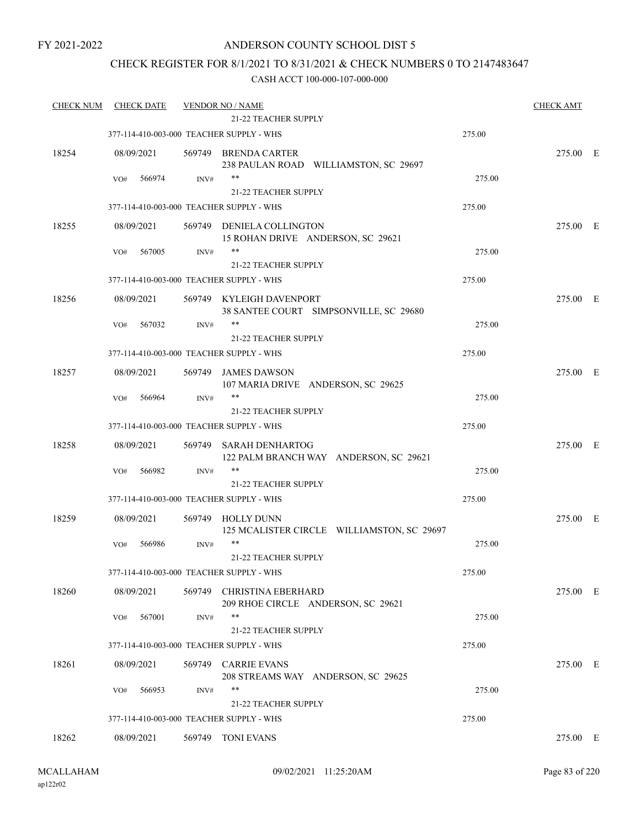### CHECK REGISTER FOR 8/1/2021 TO 8/31/2021 & CHECK NUMBERS 0 TO 2147483647

| <b>CHECK NUM</b> | <b>CHECK DATE</b>                        |        | <b>VENDOR NO / NAME</b><br><b>21-22 TEACHER SUPPLY</b>          |        | <b>CHECK AMT</b> |  |
|------------------|------------------------------------------|--------|-----------------------------------------------------------------|--------|------------------|--|
|                  | 377-114-410-003-000 TEACHER SUPPLY - WHS |        |                                                                 | 275.00 |                  |  |
|                  |                                          |        |                                                                 |        |                  |  |
| 18254            | 08/09/2021                               |        | 569749 BRENDA CARTER<br>238 PAULAN ROAD WILLIAMSTON, SC 29697   |        | 275.00 E         |  |
|                  | 566974<br>VO#                            | INV#   | $***$                                                           | 275.00 |                  |  |
|                  |                                          |        | 21-22 TEACHER SUPPLY                                            |        |                  |  |
|                  | 377-114-410-003-000 TEACHER SUPPLY - WHS |        |                                                                 | 275.00 |                  |  |
| 18255            | 08/09/2021                               |        | 569749 DENIELA COLLINGTON                                       |        | 275.00 E         |  |
|                  |                                          |        | 15 ROHAN DRIVE ANDERSON, SC 29621                               |        |                  |  |
|                  | 567005<br>VO#                            | INV#   | $***$                                                           | 275.00 |                  |  |
|                  |                                          |        | 21-22 TEACHER SUPPLY                                            |        |                  |  |
|                  | 377-114-410-003-000 TEACHER SUPPLY - WHS |        |                                                                 | 275.00 |                  |  |
| 18256            | 08/09/2021                               |        | 569749 KYLEIGH DAVENPORT                                        |        | 275.00 E         |  |
|                  |                                          |        | 38 SANTEE COURT SIMPSONVILLE, SC 29680                          |        |                  |  |
|                  | 567032<br>VO#                            | INV#   | **                                                              | 275.00 |                  |  |
|                  |                                          |        | <b>21-22 TEACHER SUPPLY</b>                                     |        |                  |  |
|                  | 377-114-410-003-000 TEACHER SUPPLY - WHS |        |                                                                 | 275.00 |                  |  |
| 18257            | 08/09/2021                               | 569749 | <b>JAMES DAWSON</b>                                             |        | 275.00 E         |  |
|                  |                                          |        | 107 MARIA DRIVE ANDERSON, SC 29625                              |        |                  |  |
|                  | 566964<br>VO#                            | INV#   | $***$                                                           | 275.00 |                  |  |
|                  |                                          |        | <b>21-22 TEACHER SUPPLY</b>                                     |        |                  |  |
|                  | 377-114-410-003-000 TEACHER SUPPLY - WHS |        |                                                                 | 275.00 |                  |  |
| 18258            | 08/09/2021                               | 569749 | <b>SARAH DENHARTOG</b>                                          |        | 275.00 E         |  |
|                  |                                          |        | 122 PALM BRANCH WAY ANDERSON, SC 29621<br>$***$                 |        |                  |  |
|                  | 566982<br>VO#                            | INV#   | 21-22 TEACHER SUPPLY                                            | 275.00 |                  |  |
|                  | 377-114-410-003-000 TEACHER SUPPLY - WHS |        |                                                                 | 275.00 |                  |  |
|                  |                                          |        |                                                                 |        |                  |  |
| 18259            | 08/09/2021                               |        | 569749 HOLLY DUNN<br>125 MCALISTER CIRCLE WILLIAMSTON, SC 29697 |        | 275.00 E         |  |
|                  | 566986<br>VO#                            | INV#   | $***$                                                           | 275.00 |                  |  |
|                  |                                          |        | 21-22 TEACHER SUPPLY                                            |        |                  |  |
|                  | 377-114-410-003-000 TEACHER SUPPLY - WHS |        |                                                                 | 275.00 |                  |  |
| 18260            | 08/09/2021                               | 569749 | CHRISTINA EBERHARD                                              |        | 275.00 E         |  |
|                  |                                          |        | 209 RHOE CIRCLE ANDERSON, SC 29621                              |        |                  |  |
|                  | 567001<br>VO#                            | INV#   | $***$                                                           | 275.00 |                  |  |
|                  |                                          |        | 21-22 TEACHER SUPPLY                                            |        |                  |  |
|                  | 377-114-410-003-000 TEACHER SUPPLY - WHS |        |                                                                 | 275.00 |                  |  |
| 18261            | 08/09/2021                               |        | 569749 CARRIE EVANS                                             |        | 275.00 E         |  |
|                  |                                          |        | 208 STREAMS WAY ANDERSON, SC 29625                              |        |                  |  |
|                  | 566953<br>VO#                            | INV#   | **                                                              | 275.00 |                  |  |
|                  |                                          |        | <b>21-22 TEACHER SUPPLY</b>                                     |        |                  |  |
|                  | 377-114-410-003-000 TEACHER SUPPLY - WHS |        |                                                                 | 275.00 |                  |  |
| 18262            | 08/09/2021                               |        | 569749 TONI EVANS                                               |        | 275.00 E         |  |
|                  |                                          |        |                                                                 |        |                  |  |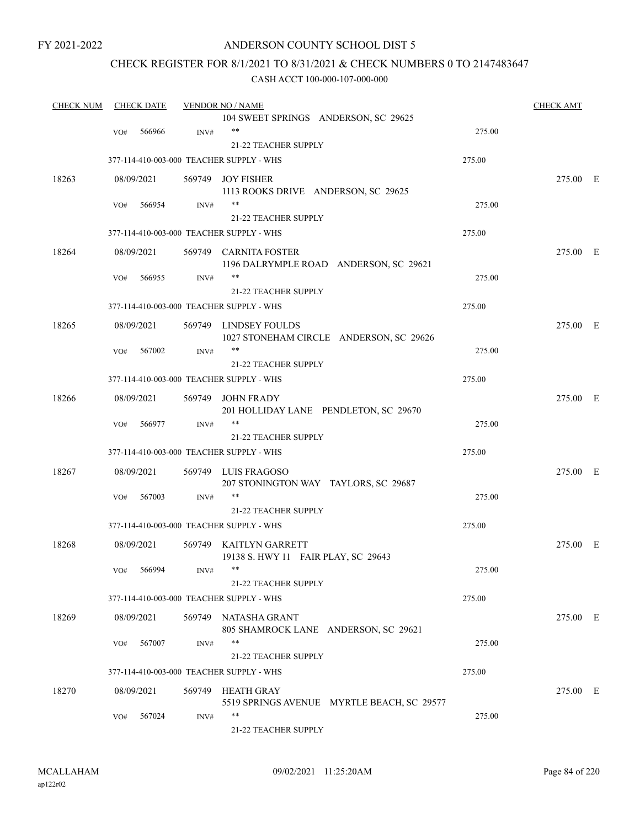### ANDERSON COUNTY SCHOOL DIST 5

### CHECK REGISTER FOR 8/1/2021 TO 8/31/2021 & CHECK NUMBERS 0 TO 2147483647

| <b>CHECK NUM</b> | <b>CHECK DATE</b> |        | <b>VENDOR NO / NAME</b>                                       |                                            |        | <b>CHECK AMT</b> |  |
|------------------|-------------------|--------|---------------------------------------------------------------|--------------------------------------------|--------|------------------|--|
|                  |                   |        | 104 SWEET SPRINGS ANDERSON, SC 29625                          |                                            |        |                  |  |
|                  | 566966<br>VO#     | INV#   | $***$                                                         |                                            | 275.00 |                  |  |
|                  |                   |        | 21-22 TEACHER SUPPLY                                          |                                            |        |                  |  |
|                  |                   |        | 377-114-410-003-000 TEACHER SUPPLY - WHS                      |                                            | 275.00 |                  |  |
| 18263            | 08/09/2021        |        | 569749 JOY FISHER                                             |                                            |        | 275.00 E         |  |
|                  |                   |        | 1113 ROOKS DRIVE ANDERSON, SC 29625                           |                                            |        |                  |  |
|                  | 566954<br>VO#     | INV#   | $***$                                                         |                                            | 275.00 |                  |  |
|                  |                   |        | <b>21-22 TEACHER SUPPLY</b>                                   |                                            |        |                  |  |
|                  |                   |        | 377-114-410-003-000 TEACHER SUPPLY - WHS                      |                                            | 275.00 |                  |  |
| 18264            | 08/09/2021        |        | 569749 CARNITA FOSTER                                         |                                            |        | 275.00 E         |  |
|                  |                   |        | 1196 DALRYMPLE ROAD ANDERSON, SC 29621                        |                                            |        |                  |  |
|                  | VO#<br>566955     | INV#   | $***$                                                         |                                            | 275.00 |                  |  |
|                  |                   |        | 21-22 TEACHER SUPPLY                                          |                                            |        |                  |  |
|                  |                   |        | 377-114-410-003-000 TEACHER SUPPLY - WHS                      |                                            | 275.00 |                  |  |
| 18265            | 08/09/2021        |        | 569749 LINDSEY FOULDS                                         |                                            |        | 275.00 E         |  |
|                  |                   |        |                                                               | 1027 STONEHAM CIRCLE ANDERSON, SC 29626    |        |                  |  |
|                  | 567002<br>VO#     | INV#   | $***$                                                         |                                            | 275.00 |                  |  |
|                  |                   |        | 21-22 TEACHER SUPPLY                                          |                                            |        |                  |  |
|                  |                   |        | 377-114-410-003-000 TEACHER SUPPLY - WHS                      |                                            | 275.00 |                  |  |
| 18266            | 08/09/2021        | 569749 | JOHN FRADY                                                    |                                            |        | 275.00 E         |  |
|                  |                   |        | 201 HOLLIDAY LANE PENDLETON, SC 29670                         |                                            |        |                  |  |
|                  | VO#<br>566977     | INV#   | $***$                                                         |                                            | 275.00 |                  |  |
|                  |                   |        | <b>21-22 TEACHER SUPPLY</b>                                   |                                            |        |                  |  |
|                  |                   |        | 377-114-410-003-000 TEACHER SUPPLY - WHS                      |                                            | 275.00 |                  |  |
| 18267            | 08/09/2021        |        | 569749 LUIS FRAGOSO                                           |                                            |        | 275.00 E         |  |
|                  |                   |        | 207 STONINGTON WAY TAYLORS, SC 29687<br>$***$                 |                                            |        |                  |  |
|                  | 567003<br>VO#     | INV#   |                                                               |                                            | 275.00 |                  |  |
|                  |                   |        | <b>21-22 TEACHER SUPPLY</b>                                   |                                            |        |                  |  |
|                  |                   |        | 377-114-410-003-000 TEACHER SUPPLY - WHS                      |                                            | 275.00 |                  |  |
| 18268            | 08/09/2021        |        | 569749 KAITLYN GARRETT<br>19138 S. HWY 11 FAIR PLAY, SC 29643 |                                            |        | 275.00 E         |  |
|                  | VO# 566994        | INV#   |                                                               |                                            | 275.00 |                  |  |
|                  |                   |        | <b>21-22 TEACHER SUPPLY</b>                                   |                                            |        |                  |  |
|                  |                   |        | 377-114-410-003-000 TEACHER SUPPLY - WHS                      |                                            | 275.00 |                  |  |
|                  |                   |        |                                                               |                                            |        |                  |  |
| 18269            | 08/09/2021        |        | 569749 NATASHA GRANT<br>805 SHAMROCK LANE ANDERSON, SC 29621  |                                            |        | 275.00 E         |  |
|                  | 567007<br>VO#     | INV#   | $***$                                                         |                                            | 275.00 |                  |  |
|                  |                   |        | <b>21-22 TEACHER SUPPLY</b>                                   |                                            |        |                  |  |
|                  |                   |        | 377-114-410-003-000 TEACHER SUPPLY - WHS                      |                                            | 275.00 |                  |  |
| 18270            | 08/09/2021        |        | 569749 HEATH GRAY                                             |                                            |        | 275.00 E         |  |
|                  |                   |        |                                                               | 5519 SPRINGS AVENUE MYRTLE BEACH, SC 29577 |        |                  |  |
|                  | 567024<br>VO#     | INV#   | **                                                            |                                            | 275.00 |                  |  |
|                  |                   |        | 21-22 TEACHER SUPPLY                                          |                                            |        |                  |  |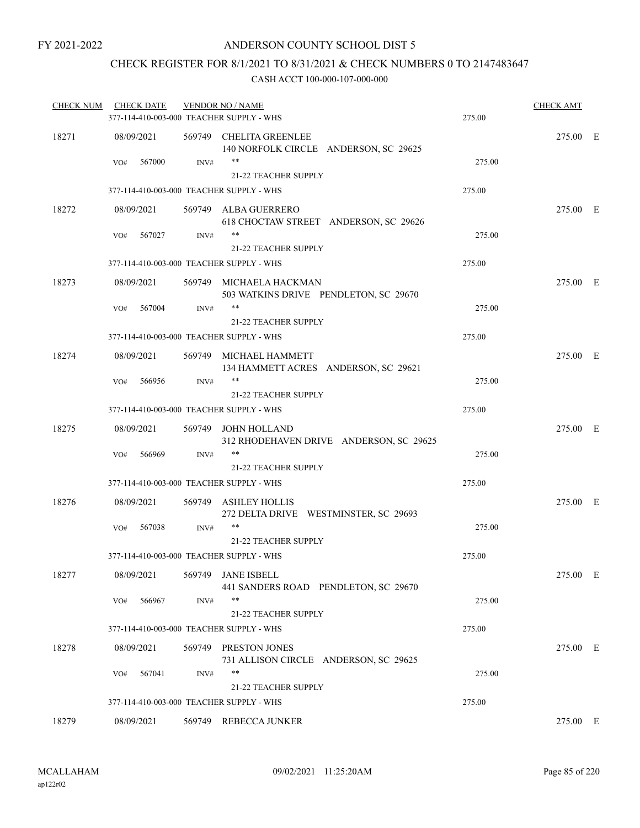### CHECK REGISTER FOR 8/1/2021 TO 8/31/2021 & CHECK NUMBERS 0 TO 2147483647

| <b>CHECK NUM</b> | <b>CHECK DATE</b>                        |      | <b>VENDOR NO / NAME</b>                                                 |        | <b>CHECK AMT</b> |  |
|------------------|------------------------------------------|------|-------------------------------------------------------------------------|--------|------------------|--|
|                  | 377-114-410-003-000 TEACHER SUPPLY - WHS |      |                                                                         | 275.00 |                  |  |
| 18271            | 08/09/2021                               |      | 569749 CHELITA GREENLEE<br>140 NORFOLK CIRCLE ANDERSON, SC 29625        |        | 275.00 E         |  |
|                  | 567000<br>VO#                            | INV# | $***$<br>21-22 TEACHER SUPPLY                                           | 275.00 |                  |  |
|                  | 377-114-410-003-000 TEACHER SUPPLY - WHS |      |                                                                         | 275.00 |                  |  |
| 18272            | 08/09/2021                               |      | 569749 ALBA GUERRERO<br>618 CHOCTAW STREET ANDERSON, SC 29626           |        | 275.00 E         |  |
|                  | 567027<br>VO#                            | INV# | $***$<br><b>21-22 TEACHER SUPPLY</b>                                    | 275.00 |                  |  |
|                  | 377-114-410-003-000 TEACHER SUPPLY - WHS |      |                                                                         | 275.00 |                  |  |
| 18273            | 08/09/2021                               |      | 569749 MICHAELA HACKMAN<br>503 WATKINS DRIVE PENDLETON, SC 29670        |        | 275.00 E         |  |
|                  | 567004<br>VO#                            | INV# | $***$                                                                   | 275.00 |                  |  |
|                  |                                          |      | 21-22 TEACHER SUPPLY                                                    |        |                  |  |
|                  | 377-114-410-003-000 TEACHER SUPPLY - WHS |      |                                                                         | 275.00 |                  |  |
| 18274            | 08/09/2021                               |      | 569749 MICHAEL HAMMETT<br>134 HAMMETT ACRES ANDERSON, SC 29621<br>$***$ |        | 275.00 E         |  |
|                  | 566956<br>VO#                            | INV# | 21-22 TEACHER SUPPLY                                                    | 275.00 |                  |  |
|                  | 377-114-410-003-000 TEACHER SUPPLY - WHS |      |                                                                         | 275.00 |                  |  |
| 18275            | 08/09/2021                               |      | 569749 JOHN HOLLAND<br>312 RHODEHAVEN DRIVE ANDERSON, SC 29625          |        | 275.00 E         |  |
|                  | 566969<br>VO#                            | INV# | $***$<br>21-22 TEACHER SUPPLY                                           | 275.00 |                  |  |
|                  | 377-114-410-003-000 TEACHER SUPPLY - WHS |      |                                                                         | 275.00 |                  |  |
| 18276            | 08/09/2021                               |      | 569749 ASHLEY HOLLIS<br>272 DELTA DRIVE WESTMINSTER, SC 29693           |        | 275.00 E         |  |
|                  | 567038<br>VO#                            | INV# | **<br>21-22 TEACHER SUPPLY                                              | 275.00 |                  |  |
|                  | 377-114-410-003-000 TEACHER SUPPLY - WHS |      |                                                                         | 275.00 |                  |  |
| 18277            | 08/09/2021                               |      | 569749 JANE ISBELL<br>441 SANDERS ROAD PENDLETON, SC 29670              |        | 275.00 E         |  |
|                  | 566967<br>VO#                            | INV# | **<br>21-22 TEACHER SUPPLY                                              | 275.00 |                  |  |
|                  | 377-114-410-003-000 TEACHER SUPPLY - WHS |      |                                                                         | 275.00 |                  |  |
| 18278            | 08/09/2021                               |      | 569749 PRESTON JONES<br>731 ALLISON CIRCLE ANDERSON, SC 29625           |        | 275.00 E         |  |
|                  | 567041<br>VO#                            | INV# | **                                                                      | 275.00 |                  |  |
|                  |                                          |      | 21-22 TEACHER SUPPLY                                                    |        |                  |  |
|                  | 377-114-410-003-000 TEACHER SUPPLY - WHS |      |                                                                         | 275.00 |                  |  |
| 18279            | 08/09/2021                               |      | 569749 REBECCA JUNKER                                                   |        | 275.00 E         |  |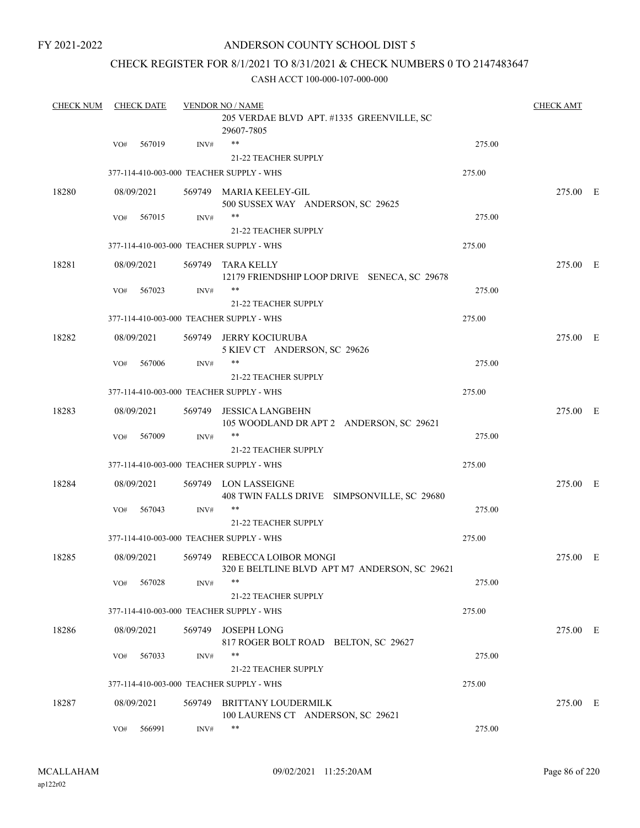### ANDERSON COUNTY SCHOOL DIST 5

### CHECK REGISTER FOR 8/1/2021 TO 8/31/2021 & CHECK NUMBERS 0 TO 2147483647

| <b>CHECK NUM</b> |     | <b>CHECK DATE</b> |        | <b>VENDOR NO / NAME</b>                                                      |        | <b>CHECK AMT</b> |  |
|------------------|-----|-------------------|--------|------------------------------------------------------------------------------|--------|------------------|--|
|                  |     |                   |        | 205 VERDAE BLVD APT. #1335 GREENVILLE, SC<br>29607-7805                      |        |                  |  |
|                  | VO# | 567019            | INV#   | $***$                                                                        | 275.00 |                  |  |
|                  |     |                   |        | <b>21-22 TEACHER SUPPLY</b>                                                  |        |                  |  |
|                  |     |                   |        | 377-114-410-003-000 TEACHER SUPPLY - WHS                                     | 275.00 |                  |  |
| 18280            |     | 08/09/2021        |        | 569749 MARIA KEELEY-GIL<br>500 SUSSEX WAY ANDERSON, SC 29625                 |        | 275.00 E         |  |
|                  | VO# | 567015            | INV#   | **                                                                           | 275.00 |                  |  |
|                  |     |                   |        | <b>21-22 TEACHER SUPPLY</b>                                                  |        |                  |  |
|                  |     |                   |        | 377-114-410-003-000 TEACHER SUPPLY - WHS                                     | 275.00 |                  |  |
| 18281            |     | 08/09/2021        |        | 569749 TARA KELLY<br>12179 FRIENDSHIP LOOP DRIVE SENECA, SC 29678            |        | 275.00 E         |  |
|                  | VO# | 567023            | INV#   | **                                                                           | 275.00 |                  |  |
|                  |     |                   |        | 21-22 TEACHER SUPPLY                                                         |        |                  |  |
|                  |     |                   |        | 377-114-410-003-000 TEACHER SUPPLY - WHS                                     | 275.00 |                  |  |
| 18282            |     | 08/09/2021        |        | 569749 JERRY KOCIURUBA<br>5 KIEV CT ANDERSON, SC 29626                       |        | 275.00 E         |  |
|                  | VO# | 567006            | INV#   | **                                                                           | 275.00 |                  |  |
|                  |     |                   |        | 21-22 TEACHER SUPPLY                                                         |        |                  |  |
|                  |     |                   |        | 377-114-410-003-000 TEACHER SUPPLY - WHS                                     | 275.00 |                  |  |
| 18283            |     | 08/09/2021        | 569749 | <b>JESSICA LANGBEHN</b><br>105 WOODLAND DR APT 2 ANDERSON, SC 29621          |        | 275.00 E         |  |
|                  | VO# | 567009            | INV#   | **<br><b>21-22 TEACHER SUPPLY</b>                                            | 275.00 |                  |  |
|                  |     |                   |        | 377-114-410-003-000 TEACHER SUPPLY - WHS                                     | 275.00 |                  |  |
|                  |     |                   |        |                                                                              |        |                  |  |
| 18284            |     | 08/09/2021        |        | 569749 LON LASSEIGNE<br>408 TWIN FALLS DRIVE SIMPSONVILLE, SC 29680          |        | 275.00 E         |  |
|                  | VO# | 567043            | INV#   | **                                                                           | 275.00 |                  |  |
|                  |     |                   |        | 21-22 TEACHER SUPPLY                                                         |        |                  |  |
|                  |     |                   |        | 377-114-410-003-000 TEACHER SUPPLY - WHS                                     | 275.00 |                  |  |
| 18285            |     | 08/09/2021        |        | 569749 REBECCA LOIBOR MONGI<br>320 E BELTLINE BLVD APT M7 ANDERSON, SC 29621 |        | 275.00 E         |  |
|                  | VO# | 567028            | INV#   | **                                                                           | 275.00 |                  |  |
|                  |     |                   |        | 21-22 TEACHER SUPPLY                                                         |        |                  |  |
|                  |     |                   |        | 377-114-410-003-000 TEACHER SUPPLY - WHS                                     | 275.00 |                  |  |
| 18286            |     | 08/09/2021        | 569749 | <b>JOSEPH LONG</b><br>817 ROGER BOLT ROAD BELTON, SC 29627                   |        | 275.00 E         |  |
|                  | VO# | 567033            | INV#   | **                                                                           | 275.00 |                  |  |
|                  |     |                   |        | 21-22 TEACHER SUPPLY                                                         |        |                  |  |
|                  |     |                   |        | 377-114-410-003-000 TEACHER SUPPLY - WHS                                     | 275.00 |                  |  |
| 18287            |     | 08/09/2021        | 569749 | <b>BRITTANY LOUDERMILK</b><br>100 LAURENS CT ANDERSON, SC 29621              |        | 275.00 E         |  |
|                  | VO# | 566991            | INV#   | **                                                                           | 275.00 |                  |  |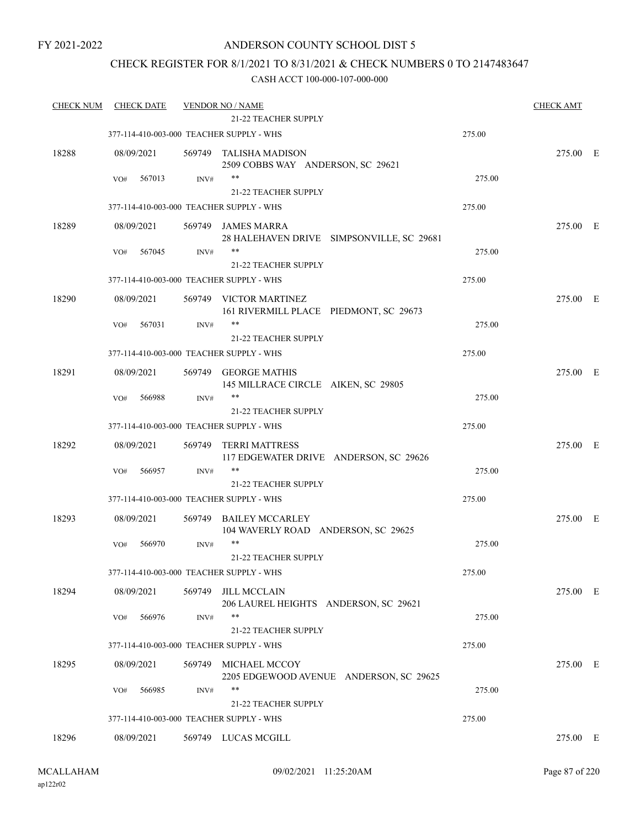### ANDERSON COUNTY SCHOOL DIST 5

### CHECK REGISTER FOR 8/1/2021 TO 8/31/2021 & CHECK NUMBERS 0 TO 2147483647

| <b>CHECK NUM</b> | <b>CHECK DATE</b>                        |        | <b>VENDOR NO / NAME</b>                                         |        | <b>CHECK AMT</b> |  |
|------------------|------------------------------------------|--------|-----------------------------------------------------------------|--------|------------------|--|
|                  |                                          |        | <b>21-22 TEACHER SUPPLY</b>                                     |        |                  |  |
|                  | 377-114-410-003-000 TEACHER SUPPLY - WHS |        |                                                                 | 275.00 |                  |  |
| 18288            | 08/09/2021                               |        | 569749 TALISHA MADISON<br>2509 COBBS WAY ANDERSON, SC 29621     |        | 275.00 E         |  |
|                  | 567013<br>VO#                            | INV#   | $***$                                                           | 275.00 |                  |  |
|                  |                                          |        | <b>21-22 TEACHER SUPPLY</b>                                     |        |                  |  |
|                  | 377-114-410-003-000 TEACHER SUPPLY - WHS |        |                                                                 | 275.00 |                  |  |
| 18289            | 08/09/2021                               |        | 569749 JAMES MARRA<br>28 HALEHAVEN DRIVE SIMPSONVILLE, SC 29681 |        | 275.00 E         |  |
|                  | 567045<br>VO#                            | INV#   | **                                                              | 275.00 |                  |  |
|                  |                                          |        | <b>21-22 TEACHER SUPPLY</b>                                     |        |                  |  |
|                  | 377-114-410-003-000 TEACHER SUPPLY - WHS |        |                                                                 | 275.00 |                  |  |
| 18290            | 08/09/2021                               |        | 569749 VICTOR MARTINEZ                                          |        | 275.00 E         |  |
|                  |                                          |        | 161 RIVERMILL PLACE PIEDMONT, SC 29673                          |        |                  |  |
|                  | 567031<br>VO#                            | INV#   | $***$                                                           | 275.00 |                  |  |
|                  |                                          |        | <b>21-22 TEACHER SUPPLY</b>                                     |        |                  |  |
|                  | 377-114-410-003-000 TEACHER SUPPLY - WHS |        |                                                                 | 275.00 |                  |  |
| 18291            | 08/09/2021                               |        | 569749 GEORGE MATHIS                                            |        | 275.00 E         |  |
|                  |                                          |        | 145 MILLRACE CIRCLE AIKEN, SC 29805                             |        |                  |  |
|                  | 566988<br>VO#                            | INV#   | $***$                                                           | 275.00 |                  |  |
|                  |                                          |        | <b>21-22 TEACHER SUPPLY</b>                                     |        |                  |  |
|                  | 377-114-410-003-000 TEACHER SUPPLY - WHS |        |                                                                 | 275.00 |                  |  |
| 18292            | 08/09/2021                               | 569749 | <b>TERRI MATTRESS</b>                                           |        | 275.00 E         |  |
|                  |                                          |        | 117 EDGEWATER DRIVE ANDERSON, SC 29626                          |        |                  |  |
|                  | 566957<br>VO#                            | INV#   | $***$                                                           | 275.00 |                  |  |
|                  |                                          |        | <b>21-22 TEACHER SUPPLY</b>                                     |        |                  |  |
|                  | 377-114-410-003-000 TEACHER SUPPLY - WHS |        |                                                                 | 275.00 |                  |  |
| 18293            | 08/09/2021                               | 569749 | <b>BAILEY MCCARLEY</b>                                          |        | 275.00 E         |  |
|                  |                                          |        | 104 WAVERLY ROAD ANDERSON, SC 29625                             |        |                  |  |
|                  | 566970<br>VO#                            | INV#   | $***$                                                           | 275.00 |                  |  |
|                  |                                          |        | <b>21-22 TEACHER SUPPLY</b>                                     |        |                  |  |
|                  | 377-114-410-003-000 TEACHER SUPPLY - WHS |        |                                                                 | 275.00 |                  |  |
| 18294            | 08/09/2021                               | 569749 | <b>JILL MCCLAIN</b>                                             |        | 275.00 E         |  |
|                  |                                          |        | 206 LAUREL HEIGHTS ANDERSON, SC 29621                           |        |                  |  |
|                  | 566976<br>VO#                            | INV#   | $***$                                                           | 275.00 |                  |  |
|                  |                                          |        | 21-22 TEACHER SUPPLY                                            |        |                  |  |
|                  | 377-114-410-003-000 TEACHER SUPPLY - WHS |        |                                                                 | 275.00 |                  |  |
| 18295            | 08/09/2021                               | 569749 | MICHAEL MCCOY<br>2205 EDGEWOOD AVENUE ANDERSON, SC 29625        |        | 275.00 E         |  |
|                  | 566985<br>VO#                            | INV#   | $***$                                                           | 275.00 |                  |  |
|                  |                                          |        | 21-22 TEACHER SUPPLY                                            |        |                  |  |
|                  |                                          |        |                                                                 |        |                  |  |
|                  | 377-114-410-003-000 TEACHER SUPPLY - WHS |        |                                                                 | 275.00 |                  |  |
| 18296            | 08/09/2021                               |        | 569749 LUCAS MCGILL                                             |        | 275.00 E         |  |
|                  |                                          |        |                                                                 |        |                  |  |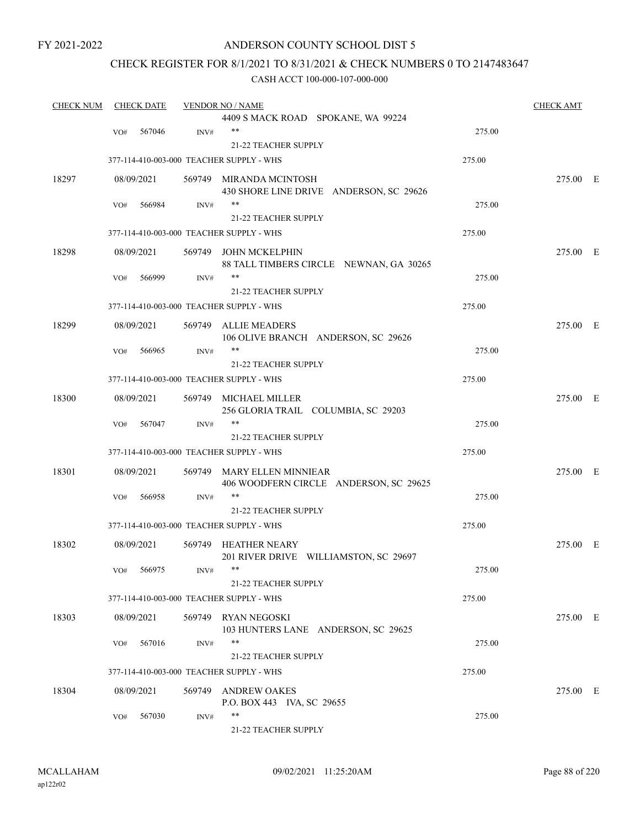### ANDERSON COUNTY SCHOOL DIST 5

### CHECK REGISTER FOR 8/1/2021 TO 8/31/2021 & CHECK NUMBERS 0 TO 2147483647

| <b>CHECK NUM</b> |     | <b>CHECK DATE</b> |      | <b>VENDOR NO / NAME</b>                  |        | <b>CHECK AMT</b> |  |
|------------------|-----|-------------------|------|------------------------------------------|--------|------------------|--|
|                  |     |                   |      | 4409 S MACK ROAD SPOKANE, WA 99224       |        |                  |  |
|                  | VO# | 567046            | INV# | $***$                                    | 275.00 |                  |  |
|                  |     |                   |      | 21-22 TEACHER SUPPLY                     |        |                  |  |
|                  |     |                   |      | 377-114-410-003-000 TEACHER SUPPLY - WHS | 275.00 |                  |  |
| 18297            |     | 08/09/2021        |      | 569749 MIRANDA MCINTOSH                  |        | 275.00 E         |  |
|                  |     |                   |      | 430 SHORE LINE DRIVE ANDERSON, SC 29626  |        |                  |  |
|                  | VO# | 566984            | INV# | $***$                                    | 275.00 |                  |  |
|                  |     |                   |      | 21-22 TEACHER SUPPLY                     |        |                  |  |
|                  |     |                   |      | 377-114-410-003-000 TEACHER SUPPLY - WHS | 275.00 |                  |  |
| 18298            |     | 08/09/2021        |      | 569749 JOHN MCKELPHIN                    |        | 275.00 E         |  |
|                  |     |                   |      | 88 TALL TIMBERS CIRCLE NEWNAN, GA 30265  |        |                  |  |
|                  | VO# | 566999            | INV# | **                                       | 275.00 |                  |  |
|                  |     |                   |      | 21-22 TEACHER SUPPLY                     |        |                  |  |
|                  |     |                   |      | 377-114-410-003-000 TEACHER SUPPLY - WHS | 275.00 |                  |  |
|                  |     |                   |      |                                          |        |                  |  |
| 18299            |     | 08/09/2021        |      | 569749 ALLIE MEADERS                     |        | 275.00 E         |  |
|                  |     |                   |      | 106 OLIVE BRANCH ANDERSON, SC 29626      |        |                  |  |
|                  | VO# | 566965            | INV# | **                                       | 275.00 |                  |  |
|                  |     |                   |      | 21-22 TEACHER SUPPLY                     |        |                  |  |
|                  |     |                   |      | 377-114-410-003-000 TEACHER SUPPLY - WHS | 275.00 |                  |  |
| 18300            |     | 08/09/2021        |      | 569749 MICHAEL MILLER                    |        | 275.00 E         |  |
|                  |     |                   |      | 256 GLORIA TRAIL COLUMBIA, SC 29203      |        |                  |  |
|                  | VO# | 567047            | INV# | $***$                                    | 275.00 |                  |  |
|                  |     |                   |      | 21-22 TEACHER SUPPLY                     |        |                  |  |
|                  |     |                   |      | 377-114-410-003-000 TEACHER SUPPLY - WHS | 275.00 |                  |  |
| 18301            |     | 08/09/2021        |      | 569749 MARY ELLEN MINNIEAR               |        | 275.00 E         |  |
|                  |     |                   |      | 406 WOODFERN CIRCLE ANDERSON, SC 29625   |        |                  |  |
|                  | VO# | 566958            | INV# | $***$                                    | 275.00 |                  |  |
|                  |     |                   |      | <b>21-22 TEACHER SUPPLY</b>              |        |                  |  |
|                  |     |                   |      | 377-114-410-003-000 TEACHER SUPPLY - WHS | 275.00 |                  |  |
|                  |     |                   |      |                                          |        |                  |  |
| 18302            |     | 08/09/2021        |      | 569749 HEATHER NEARY                     |        | 275.00 E         |  |
|                  |     |                   |      | 201 RIVER DRIVE WILLIAMSTON, SC 29697    |        |                  |  |
|                  |     | VO# 566975        | INV# | **                                       | 275.00 |                  |  |
|                  |     |                   |      | 21-22 TEACHER SUPPLY                     |        |                  |  |
|                  |     |                   |      | 377-114-410-003-000 TEACHER SUPPLY - WHS | 275.00 |                  |  |
| 18303            |     | 08/09/2021        |      | 569749 RYAN NEGOSKI                      |        | 275.00 E         |  |
|                  |     |                   |      | 103 HUNTERS LANE ANDERSON, SC 29625      |        |                  |  |
|                  | VO# | 567016            | INV# | **                                       | 275.00 |                  |  |
|                  |     |                   |      | 21-22 TEACHER SUPPLY                     |        |                  |  |
|                  |     |                   |      | 377-114-410-003-000 TEACHER SUPPLY - WHS | 275.00 |                  |  |
| 18304            |     | 08/09/2021        |      | 569749 ANDREW OAKES                      |        | 275.00 E         |  |
|                  |     |                   |      | P.O. BOX 443 IVA, SC 29655               |        |                  |  |
|                  | VO# | 567030            | INV# | **                                       | 275.00 |                  |  |
|                  |     |                   |      | 21-22 TEACHER SUPPLY                     |        |                  |  |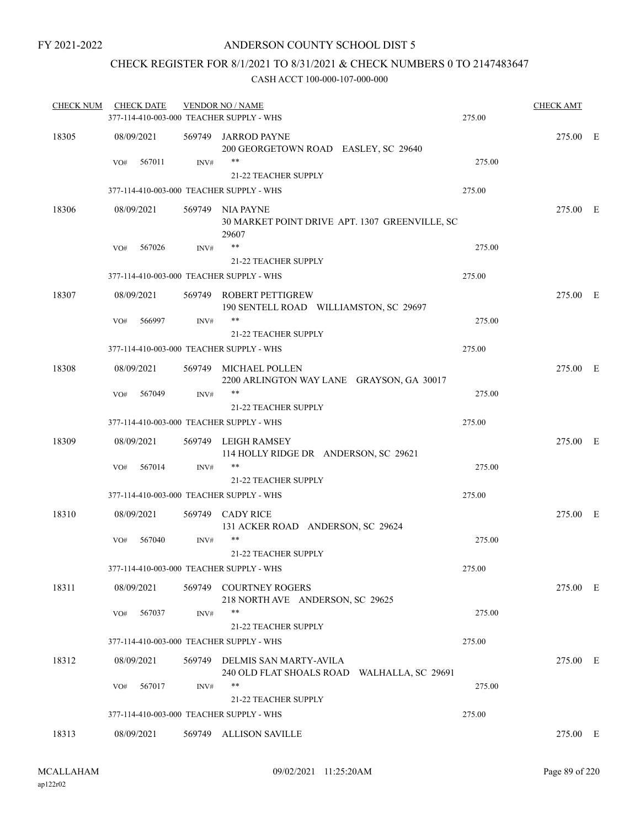### CHECK REGISTER FOR 8/1/2021 TO 8/31/2021 & CHECK NUMBERS 0 TO 2147483647

| <b>CHECK NUM</b> | <b>CHECK DATE</b> |      | <b>VENDOR NO / NAME</b><br>377-114-410-003-000 TEACHER SUPPLY - WHS          | 275.00 | <b>CHECK AMT</b> |  |
|------------------|-------------------|------|------------------------------------------------------------------------------|--------|------------------|--|
|                  |                   |      |                                                                              |        |                  |  |
| 18305            | 08/09/2021        |      | 569749 JARROD PAYNE<br>200 GEORGETOWN ROAD EASLEY, SC 29640                  |        | 275.00 E         |  |
|                  | 567011<br>VO#     | INV# | **<br><b>21-22 TEACHER SUPPLY</b>                                            | 275.00 |                  |  |
|                  |                   |      | 377-114-410-003-000 TEACHER SUPPLY - WHS                                     | 275.00 |                  |  |
| 18306            | 08/09/2021        |      | 569749 NIA PAYNE<br>30 MARKET POINT DRIVE APT. 1307 GREENVILLE, SC<br>29607  |        | 275.00 E         |  |
|                  | 567026<br>VO#     | INV# | $***$                                                                        | 275.00 |                  |  |
|                  |                   |      | <b>21-22 TEACHER SUPPLY</b>                                                  |        |                  |  |
|                  |                   |      | 377-114-410-003-000 TEACHER SUPPLY - WHS                                     | 275.00 |                  |  |
| 18307            | 08/09/2021        |      | 569749 ROBERT PETTIGREW<br>190 SENTELL ROAD WILLIAMSTON, SC 29697            |        | 275.00 E         |  |
|                  | 566997<br>VO#     | INV# | $***$                                                                        | 275.00 |                  |  |
|                  |                   |      | <b>21-22 TEACHER SUPPLY</b>                                                  |        |                  |  |
|                  |                   |      | 377-114-410-003-000 TEACHER SUPPLY - WHS                                     | 275.00 |                  |  |
| 18308            | 08/09/2021        |      | 569749 MICHAEL POLLEN<br>2200 ARLINGTON WAY LANE GRAYSON, GA 30017           |        | 275.00 E         |  |
|                  | 567049<br>VO#     | INV# | $***$                                                                        | 275.00 |                  |  |
|                  |                   |      | <b>21-22 TEACHER SUPPLY</b>                                                  |        |                  |  |
|                  |                   |      | 377-114-410-003-000 TEACHER SUPPLY - WHS                                     | 275.00 |                  |  |
| 18309            | 08/09/2021        |      | 569749 LEIGH RAMSEY<br>114 HOLLY RIDGE DR ANDERSON, SC 29621                 |        | 275.00 E         |  |
|                  | 567014<br>VO#     | INV# | $***$                                                                        | 275.00 |                  |  |
|                  |                   |      | <b>21-22 TEACHER SUPPLY</b>                                                  |        |                  |  |
|                  |                   |      | 377-114-410-003-000 TEACHER SUPPLY - WHS                                     | 275.00 |                  |  |
| 18310            | 08/09/2021        |      | 569749 CADY RICE<br>131 ACKER ROAD ANDERSON, SC 29624                        |        | 275.00 E         |  |
|                  | VO#<br>567040     | INV# | **                                                                           | 275.00 |                  |  |
|                  |                   |      | 21-22 TEACHER SUPPLY                                                         |        |                  |  |
|                  |                   |      | 377-114-410-003-000 TEACHER SUPPLY - WHS                                     | 275.00 |                  |  |
| 18311            | 08/09/2021        |      | 569749 COURTNEY ROGERS<br>218 NORTH AVE ANDERSON, SC 29625                   |        | 275.00 E         |  |
|                  | 567037<br>VO#     | INV# | **                                                                           | 275.00 |                  |  |
|                  |                   |      | 21-22 TEACHER SUPPLY                                                         |        |                  |  |
|                  |                   |      | 377-114-410-003-000 TEACHER SUPPLY - WHS                                     | 275.00 |                  |  |
| 18312            | 08/09/2021        |      | 569749 DELMIS SAN MARTY-AVILA<br>240 OLD FLAT SHOALS ROAD WALHALLA, SC 29691 |        | 275.00 E         |  |
|                  | 567017<br>VO#     | INV# | **                                                                           | 275.00 |                  |  |
|                  |                   |      | 21-22 TEACHER SUPPLY                                                         |        |                  |  |
|                  |                   |      | 377-114-410-003-000 TEACHER SUPPLY - WHS                                     | 275.00 |                  |  |
| 18313            | 08/09/2021        |      | 569749 ALLISON SAVILLE                                                       |        | 275.00 E         |  |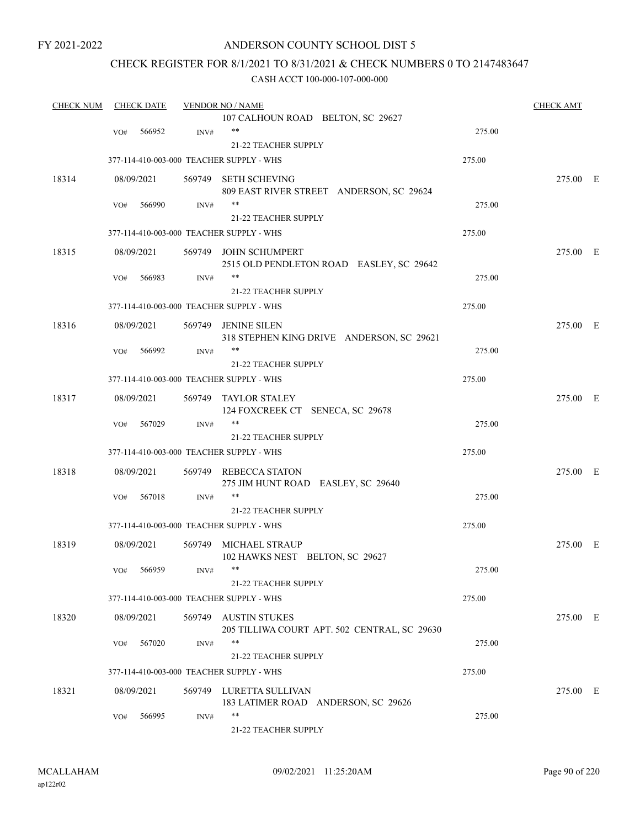### ANDERSON COUNTY SCHOOL DIST 5

### CHECK REGISTER FOR 8/1/2021 TO 8/31/2021 & CHECK NUMBERS 0 TO 2147483647

| <b>CHECK NUM</b> |     | <b>CHECK DATE</b> |        | <b>VENDOR NO / NAME</b>                                              |        | <b>CHECK AMT</b> |  |
|------------------|-----|-------------------|--------|----------------------------------------------------------------------|--------|------------------|--|
|                  |     |                   |        | 107 CALHOUN ROAD BELTON, SC 29627                                    |        |                  |  |
|                  | VO# | 566952            | INV#   | $***$                                                                | 275.00 |                  |  |
|                  |     |                   |        | 21-22 TEACHER SUPPLY                                                 |        |                  |  |
|                  |     |                   |        | 377-114-410-003-000 TEACHER SUPPLY - WHS                             | 275.00 |                  |  |
| 18314            |     | 08/09/2021        |        | 569749 SETH SCHEVING                                                 |        | 275.00 E         |  |
|                  |     | 566990            |        | 809 EAST RIVER STREET ANDERSON, SC 29624<br>$***$                    |        |                  |  |
|                  | VO# |                   | INV#   |                                                                      | 275.00 |                  |  |
|                  |     |                   |        | 21-22 TEACHER SUPPLY                                                 |        |                  |  |
|                  |     |                   |        | 377-114-410-003-000 TEACHER SUPPLY - WHS                             | 275.00 |                  |  |
| 18315            |     | 08/09/2021        |        | 569749 JOHN SCHUMPERT<br>2515 OLD PENDLETON ROAD EASLEY, SC 29642    |        | 275.00 E         |  |
|                  | VO# | 566983            | INV#   | $***$                                                                | 275.00 |                  |  |
|                  |     |                   |        | 21-22 TEACHER SUPPLY                                                 |        |                  |  |
|                  |     |                   |        | 377-114-410-003-000 TEACHER SUPPLY - WHS                             | 275.00 |                  |  |
|                  |     |                   |        |                                                                      |        |                  |  |
| 18316            |     | 08/09/2021        |        | 569749 JENINE SILEN<br>318 STEPHEN KING DRIVE ANDERSON, SC 29621     |        | 275.00 E         |  |
|                  | VO# | 566992            | INV#   | $***$                                                                | 275.00 |                  |  |
|                  |     |                   |        | <b>21-22 TEACHER SUPPLY</b>                                          |        |                  |  |
|                  |     |                   |        | 377-114-410-003-000 TEACHER SUPPLY - WHS                             | 275.00 |                  |  |
| 18317            |     | 08/09/2021        | 569749 | TAYLOR STALEY<br>124 FOXCREEK CT SENECA, SC 29678                    |        | 275.00 E         |  |
|                  | VO# | 567029            | INV#   | $***$                                                                | 275.00 |                  |  |
|                  |     |                   |        | <b>21-22 TEACHER SUPPLY</b>                                          |        |                  |  |
|                  |     |                   |        | 377-114-410-003-000 TEACHER SUPPLY - WHS                             | 275.00 |                  |  |
| 18318            |     | 08/09/2021        |        | 569749 REBECCA STATON<br>275 JIM HUNT ROAD EASLEY, SC 29640          |        | 275.00 E         |  |
|                  | VO# | 567018            | INV#   |                                                                      | 275.00 |                  |  |
|                  |     |                   |        | 21-22 TEACHER SUPPLY                                                 |        |                  |  |
|                  |     |                   |        | 377-114-410-003-000 TEACHER SUPPLY - WHS                             | 275.00 |                  |  |
|                  |     |                   |        |                                                                      |        |                  |  |
| 18319            |     | 08/09/2021        |        | 569749 MICHAEL STRAUP<br>102 HAWKS NEST BELTON, SC 29627             |        | 275.00 E         |  |
|                  |     | VO# 566959        | INV#   |                                                                      | 275.00 |                  |  |
|                  |     |                   |        | 21-22 TEACHER SUPPLY                                                 |        |                  |  |
|                  |     |                   |        | 377-114-410-003-000 TEACHER SUPPLY - WHS                             | 275.00 |                  |  |
| 18320            |     | 08/09/2021        |        | 569749 AUSTIN STUKES<br>205 TILLIWA COURT APT. 502 CENTRAL, SC 29630 |        | 275.00 E         |  |
|                  | VO# | 567020            | INV#   | $***$                                                                | 275.00 |                  |  |
|                  |     |                   |        | 21-22 TEACHER SUPPLY                                                 |        |                  |  |
|                  |     |                   |        | 377-114-410-003-000 TEACHER SUPPLY - WHS                             | 275.00 |                  |  |
| 18321            |     | 08/09/2021        |        | 569749 LURETTA SULLIVAN<br>183 LATIMER ROAD ANDERSON, SC 29626       |        | 275.00 E         |  |
|                  | VO# | 566995            | INV#   | $***$                                                                | 275.00 |                  |  |
|                  |     |                   |        | 21-22 TEACHER SUPPLY                                                 |        |                  |  |
|                  |     |                   |        |                                                                      |        |                  |  |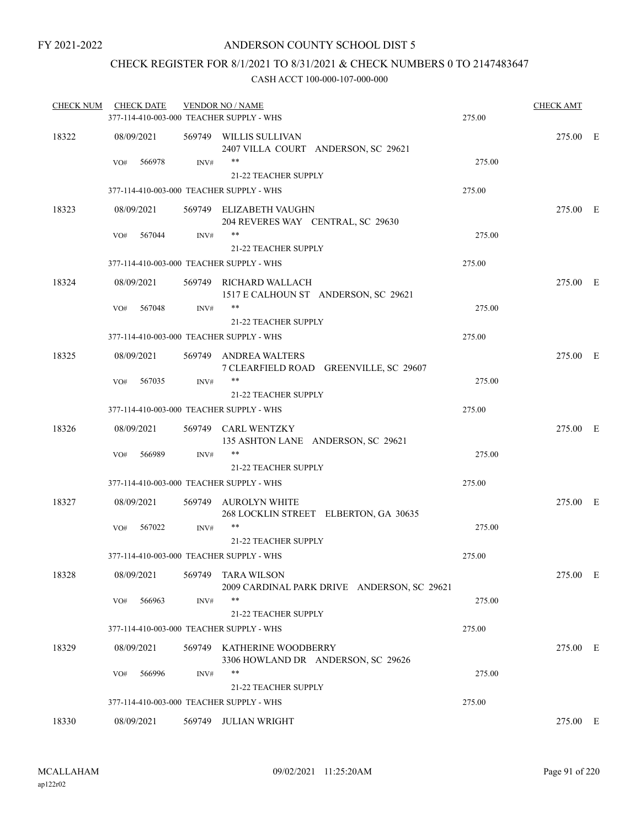### CHECK REGISTER FOR 8/1/2021 TO 8/31/2021 & CHECK NUMBERS 0 TO 2147483647

| <b>CHECK NUM</b> | <b>CHECK DATE</b> |        |        | <b>VENDOR NO / NAME</b>                                           |        | <b>CHECK AMT</b> |  |
|------------------|-------------------|--------|--------|-------------------------------------------------------------------|--------|------------------|--|
|                  |                   |        |        | 377-114-410-003-000 TEACHER SUPPLY - WHS                          | 275.00 |                  |  |
| 18322            | 08/09/2021        |        |        | 569749 WILLIS SULLIVAN<br>2407 VILLA COURT ANDERSON, SC 29621     |        | 275.00 E         |  |
|                  | VO#               | 566978 | INV#   | $***$<br>21-22 TEACHER SUPPLY                                     | 275.00 |                  |  |
|                  |                   |        |        | 377-114-410-003-000 TEACHER SUPPLY - WHS                          | 275.00 |                  |  |
| 18323            | 08/09/2021        |        |        | 569749 ELIZABETH VAUGHN                                           |        | 275.00 E         |  |
|                  |                   |        |        | 204 REVERES WAY CENTRAL, SC 29630                                 |        |                  |  |
|                  | VO#               | 567044 | INV#   | $***$                                                             | 275.00 |                  |  |
|                  |                   |        |        | 21-22 TEACHER SUPPLY<br>377-114-410-003-000 TEACHER SUPPLY - WHS  | 275.00 |                  |  |
| 18324            | 08/09/2021        |        |        | 569749 RICHARD WALLACH                                            |        | 275.00 E         |  |
|                  |                   |        |        | 1517 E CALHOUN ST ANDERSON, SC 29621                              |        |                  |  |
|                  | VO#               | 567048 | INV#   | $***$                                                             | 275.00 |                  |  |
|                  |                   |        |        | 21-22 TEACHER SUPPLY<br>377-114-410-003-000 TEACHER SUPPLY - WHS  |        |                  |  |
|                  |                   |        |        |                                                                   | 275.00 |                  |  |
| 18325            | 08/09/2021        |        |        | 569749 ANDREA WALTERS<br>7 CLEARFIELD ROAD GREENVILLE, SC 29607   |        | 275.00 E         |  |
|                  | VO#               | 567035 | INV#   | $***$                                                             | 275.00 |                  |  |
|                  |                   |        |        | 21-22 TEACHER SUPPLY                                              |        |                  |  |
|                  |                   |        |        | 377-114-410-003-000 TEACHER SUPPLY - WHS                          | 275.00 |                  |  |
| 18326            | 08/09/2021        |        |        | 569749 CARL WENTZKY<br>135 ASHTON LANE ANDERSON, SC 29621         |        | 275.00 E         |  |
|                  | VO#               | 566989 | INV#   | $***$                                                             | 275.00 |                  |  |
|                  |                   |        |        | 21-22 TEACHER SUPPLY<br>377-114-410-003-000 TEACHER SUPPLY - WHS  | 275.00 |                  |  |
| 18327            | 08/09/2021        |        |        | 569749 AUROLYN WHITE                                              |        | 275.00 E         |  |
|                  |                   |        |        | 268 LOCKLIN STREET ELBERTON, GA 30635                             |        |                  |  |
|                  | VO#               | 567022 | INV#   | $***$                                                             | 275.00 |                  |  |
|                  |                   |        |        | 21-22 TEACHER SUPPLY<br>377-114-410-003-000 TEACHER SUPPLY - WHS  | 275.00 |                  |  |
|                  |                   |        |        |                                                                   |        |                  |  |
| 18328            | 08/09/2021        |        |        | 569749 TARA WILSON<br>2009 CARDINAL PARK DRIVE ANDERSON, SC 29621 |        | 275.00 E         |  |
|                  | VO#               | 566963 | INV#   | $***$                                                             | 275.00 |                  |  |
|                  |                   |        |        | 21-22 TEACHER SUPPLY                                              |        |                  |  |
|                  |                   |        |        | 377-114-410-003-000 TEACHER SUPPLY - WHS                          | 275.00 |                  |  |
| 18329            | 08/09/2021        |        |        | 569749 KATHERINE WOODBERRY<br>3306 HOWLAND DR ANDERSON, SC 29626  |        | 275.00 E         |  |
|                  | VO#               | 566996 | INV#   | **                                                                | 275.00 |                  |  |
|                  |                   |        |        | 21-22 TEACHER SUPPLY                                              |        |                  |  |
|                  |                   |        |        | 377-114-410-003-000 TEACHER SUPPLY - WHS                          | 275.00 |                  |  |
| 18330            | 08/09/2021        |        | 569749 | JULIAN WRIGHT                                                     |        | 275.00 E         |  |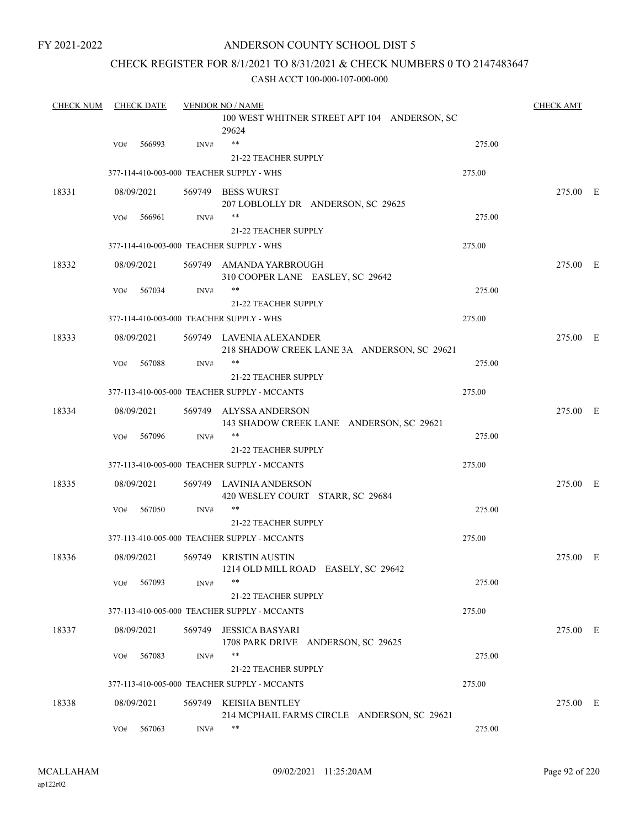#### ANDERSON COUNTY SCHOOL DIST 5

### CHECK REGISTER FOR 8/1/2021 TO 8/31/2021 & CHECK NUMBERS 0 TO 2147483647

| <b>CHECK NUM</b> |     | <b>CHECK DATE</b> |        | <b>VENDOR NO / NAME</b>                                                 |        | <b>CHECK AMT</b> |  |
|------------------|-----|-------------------|--------|-------------------------------------------------------------------------|--------|------------------|--|
|                  |     |                   |        | 100 WEST WHITNER STREET APT 104 ANDERSON, SC<br>29624                   |        |                  |  |
|                  | VO# | 566993            | INV#   | $***$                                                                   | 275.00 |                  |  |
|                  |     |                   |        | <b>21-22 TEACHER SUPPLY</b>                                             |        |                  |  |
|                  |     |                   |        | 377-114-410-003-000 TEACHER SUPPLY - WHS                                | 275.00 |                  |  |
| 18331            |     | 08/09/2021        |        | 569749 BESS WURST<br>207 LOBLOLLY DR ANDERSON, SC 29625                 |        | 275.00 E         |  |
|                  | VO# | 566961            | INV#   | **                                                                      | 275.00 |                  |  |
|                  |     |                   |        | <b>21-22 TEACHER SUPPLY</b>                                             |        |                  |  |
|                  |     |                   |        | 377-114-410-003-000 TEACHER SUPPLY - WHS                                | 275.00 |                  |  |
| 18332            |     | 08/09/2021        |        | 569749 AMANDA YARBROUGH<br>310 COOPER LANE EASLEY, SC 29642             |        | 275.00 E         |  |
|                  | VO# | 567034            | INV#   | **                                                                      | 275.00 |                  |  |
|                  |     |                   |        | <b>21-22 TEACHER SUPPLY</b>                                             |        |                  |  |
|                  |     |                   |        | 377-114-410-003-000 TEACHER SUPPLY - WHS                                | 275.00 |                  |  |
| 18333            |     | 08/09/2021        |        | 569749 LAVENIA ALEXANDER<br>218 SHADOW CREEK LANE 3A ANDERSON, SC 29621 |        | 275.00 E         |  |
|                  | VO# | 567088            | INV#   | **                                                                      | 275.00 |                  |  |
|                  |     |                   |        | <b>21-22 TEACHER SUPPLY</b>                                             |        |                  |  |
|                  |     |                   |        | 377-113-410-005-000 TEACHER SUPPLY - MCCANTS                            | 275.00 |                  |  |
| 18334            |     | 08/09/2021        |        | 569749 ALYSSA ANDERSON<br>143 SHADOW CREEK LANE ANDERSON, SC 29621      |        | 275.00 E         |  |
|                  | VO# | 567096            | INV#   | **                                                                      | 275.00 |                  |  |
|                  |     |                   |        | <b>21-22 TEACHER SUPPLY</b>                                             |        |                  |  |
|                  |     |                   |        | 377-113-410-005-000 TEACHER SUPPLY - MCCANTS                            | 275.00 |                  |  |
| 18335            |     | 08/09/2021        |        | 569749 LAVINIA ANDERSON<br>420 WESLEY COURT STARR, SC 29684             |        | 275.00 E         |  |
|                  | VO# | 567050            | INV#   | **                                                                      | 275.00 |                  |  |
|                  |     |                   |        | 21-22 TEACHER SUPPLY                                                    |        |                  |  |
|                  |     |                   |        | 377-113-410-005-000 TEACHER SUPPLY - MCCANTS                            | 275.00 |                  |  |
| 18336            |     | 08/09/2021        |        | 569749 KRISTIN AUSTIN<br>1214 OLD MILL ROAD EASELY, SC 29642            |        | 275.00 E         |  |
|                  | VO# | 567093            | INV#   | **                                                                      | 275.00 |                  |  |
|                  |     |                   |        | 21-22 TEACHER SUPPLY                                                    |        |                  |  |
|                  |     |                   |        | 377-113-410-005-000 TEACHER SUPPLY - MCCANTS                            | 275.00 |                  |  |
| 18337            |     | 08/09/2021        | 569749 | <b>JESSICA BASYARI</b><br>1708 PARK DRIVE ANDERSON, SC 29625            |        | 275.00 E         |  |
|                  | VO# | 567083            | INV#   | **                                                                      | 275.00 |                  |  |
|                  |     |                   |        | 21-22 TEACHER SUPPLY                                                    |        |                  |  |
|                  |     |                   |        | 377-113-410-005-000 TEACHER SUPPLY - MCCANTS                            | 275.00 |                  |  |
| 18338            |     | 08/09/2021        |        | 569749 KEISHA BENTLEY<br>214 MCPHAIL FARMS CIRCLE ANDERSON, SC 29621    |        | 275.00 E         |  |
|                  | VO# | 567063            | INV#   | **                                                                      | 275.00 |                  |  |
|                  |     |                   |        |                                                                         |        |                  |  |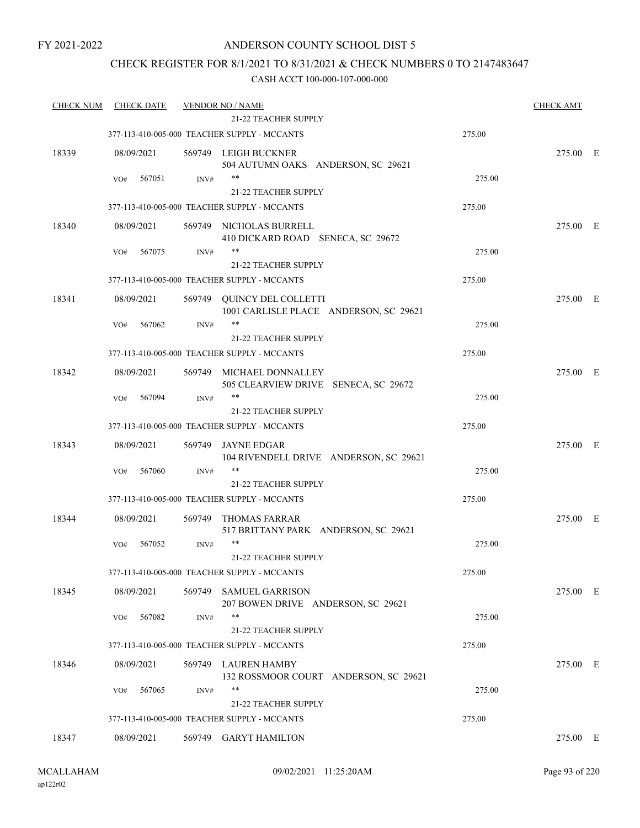### ANDERSON COUNTY SCHOOL DIST 5

### CHECK REGISTER FOR 8/1/2021 TO 8/31/2021 & CHECK NUMBERS 0 TO 2147483647

| <b>CHECK NUM</b> | <b>CHECK DATE</b> |        | <b>VENDOR NO / NAME</b><br><b>21-22 TEACHER SUPPLY</b>               |        | <b>CHECK AMT</b> |  |
|------------------|-------------------|--------|----------------------------------------------------------------------|--------|------------------|--|
|                  |                   |        | 377-113-410-005-000 TEACHER SUPPLY - MCCANTS                         |        |                  |  |
|                  |                   |        |                                                                      | 275.00 |                  |  |
| 18339            | 08/09/2021        |        | 569749 LEIGH BUCKNER<br>504 AUTUMN OAKS ANDERSON, SC 29621           |        | 275.00 E         |  |
|                  | 567051<br>VO#     | INV#   | $***$                                                                | 275.00 |                  |  |
|                  |                   |        | 21-22 TEACHER SUPPLY                                                 |        |                  |  |
|                  |                   |        | 377-113-410-005-000 TEACHER SUPPLY - MCCANTS                         | 275.00 |                  |  |
| 18340            | 08/09/2021        |        | 569749 NICHOLAS BURRELL<br>410 DICKARD ROAD SENECA, SC 29672         |        | 275.00 E         |  |
|                  | 567075<br>VO#     | INV#   | **                                                                   | 275.00 |                  |  |
|                  |                   |        | 21-22 TEACHER SUPPLY                                                 |        |                  |  |
|                  |                   |        | 377-113-410-005-000 TEACHER SUPPLY - MCCANTS                         | 275.00 |                  |  |
| 18341            | 08/09/2021        |        | 569749 QUINCY DEL COLLETTI<br>1001 CARLISLE PLACE ANDERSON, SC 29621 |        | 275.00 E         |  |
|                  | 567062<br>VO#     | INV#   | $***$                                                                | 275.00 |                  |  |
|                  |                   |        | <b>21-22 TEACHER SUPPLY</b>                                          |        |                  |  |
|                  |                   |        | 377-113-410-005-000 TEACHER SUPPLY - MCCANTS                         | 275.00 |                  |  |
| 18342            | 08/09/2021        |        | 569749 MICHAEL DONNALLEY<br>505 CLEARVIEW DRIVE SENECA, SC 29672     |        | 275.00 E         |  |
|                  | 567094<br>VO#     | INV#   | $***$                                                                | 275.00 |                  |  |
|                  |                   |        | <b>21-22 TEACHER SUPPLY</b>                                          |        |                  |  |
|                  |                   |        | 377-113-410-005-000 TEACHER SUPPLY - MCCANTS                         | 275.00 |                  |  |
| 18343            | 08/09/2021        | 569749 | JAYNE EDGAR<br>104 RIVENDELL DRIVE ANDERSON, SC 29621                |        | 275.00 E         |  |
|                  | 567060<br>VO#     | INV#   | $***$                                                                | 275.00 |                  |  |
|                  |                   |        | <b>21-22 TEACHER SUPPLY</b>                                          |        |                  |  |
|                  |                   |        | 377-113-410-005-000 TEACHER SUPPLY - MCCANTS                         | 275.00 |                  |  |
| 18344            | 08/09/2021        | 569749 | THOMAS FARRAR<br>517 BRITTANY PARK ANDERSON, SC 29621                |        | 275.00 E         |  |
|                  | 567052<br>VO#     | INV#   | $***$                                                                | 275.00 |                  |  |
|                  |                   |        | 21-22 TEACHER SUPPLY                                                 |        |                  |  |
|                  |                   |        | 377-113-410-005-000 TEACHER SUPPLY - MCCANTS                         | 275.00 |                  |  |
| 18345            | 08/09/2021        | 569749 | <b>SAMUEL GARRISON</b><br>207 BOWEN DRIVE ANDERSON, SC 29621         |        | 275.00 E         |  |
|                  | 567082<br>VO#     | INV#   | $***$                                                                | 275.00 |                  |  |
|                  |                   |        | 21-22 TEACHER SUPPLY                                                 |        |                  |  |
|                  |                   |        | 377-113-410-005-000 TEACHER SUPPLY - MCCANTS                         | 275.00 |                  |  |
| 18346            | 08/09/2021        |        | 569749 LAUREN HAMBY<br>132 ROSSMOOR COURT ANDERSON, SC 29621         |        | 275.00 E         |  |
|                  | 567065<br>VO#     | INV#   | **                                                                   | 275.00 |                  |  |
|                  |                   |        | <b>21-22 TEACHER SUPPLY</b>                                          |        |                  |  |
|                  |                   |        | 377-113-410-005-000 TEACHER SUPPLY - MCCANTS                         | 275.00 |                  |  |
| 18347            | 08/09/2021        |        | 569749 GARYT HAMILTON                                                |        | 275.00 E         |  |
|                  |                   |        |                                                                      |        |                  |  |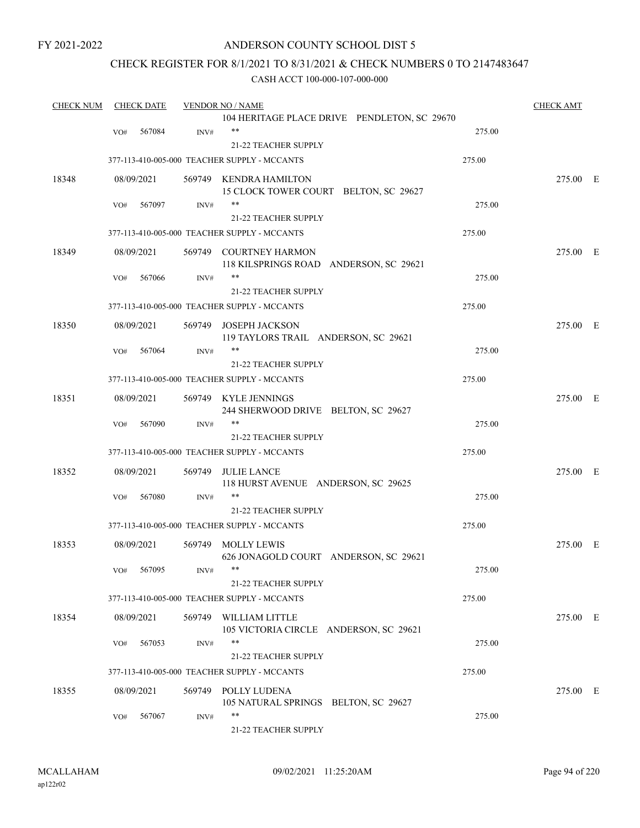### ANDERSON COUNTY SCHOOL DIST 5

### CHECK REGISTER FOR 8/1/2021 TO 8/31/2021 & CHECK NUMBERS 0 TO 2147483647

| <b>CHECK NUM</b> |     | <b>CHECK DATE</b> |        | <b>VENDOR NO / NAME</b>                                          |        | <b>CHECK AMT</b> |  |
|------------------|-----|-------------------|--------|------------------------------------------------------------------|--------|------------------|--|
|                  |     |                   |        | 104 HERITAGE PLACE DRIVE PENDLETON, SC 29670                     |        |                  |  |
|                  | VO# | 567084            | INV#   | $***$                                                            | 275.00 |                  |  |
|                  |     |                   |        | 21-22 TEACHER SUPPLY                                             |        |                  |  |
|                  |     |                   |        | 377-113-410-005-000 TEACHER SUPPLY - MCCANTS                     | 275.00 |                  |  |
| 18348            |     | 08/09/2021        |        | 569749 KENDRA HAMILTON                                           |        | 275.00 E         |  |
|                  |     |                   |        | 15 CLOCK TOWER COURT BELTON, SC 29627                            |        |                  |  |
|                  | VO# | 567097            | INV#   | $***$                                                            | 275.00 |                  |  |
|                  |     |                   |        | <b>21-22 TEACHER SUPPLY</b>                                      |        |                  |  |
|                  |     |                   |        | 377-113-410-005-000 TEACHER SUPPLY - MCCANTS                     | 275.00 |                  |  |
| 18349            |     | 08/09/2021        |        | 569749 COURTNEY HARMON<br>118 KILSPRINGS ROAD ANDERSON, SC 29621 |        | 275.00 E         |  |
|                  | VO# | 567066            | INV#   | **                                                               | 275.00 |                  |  |
|                  |     |                   |        | <b>21-22 TEACHER SUPPLY</b>                                      |        |                  |  |
|                  |     |                   |        | 377-113-410-005-000 TEACHER SUPPLY - MCCANTS                     | 275.00 |                  |  |
|                  |     |                   |        |                                                                  |        |                  |  |
| 18350            |     | 08/09/2021        | 569749 | <b>JOSEPH JACKSON</b><br>119 TAYLORS TRAIL ANDERSON, SC 29621    |        | 275.00 E         |  |
|                  | VO# | 567064            | INV#   | $***$                                                            | 275.00 |                  |  |
|                  |     |                   |        | 21-22 TEACHER SUPPLY                                             |        |                  |  |
|                  |     |                   |        | 377-113-410-005-000 TEACHER SUPPLY - MCCANTS                     | 275.00 |                  |  |
| 18351            |     | 08/09/2021        |        | 569749 KYLE JENNINGS<br>244 SHERWOOD DRIVE BELTON, SC 29627      |        | 275.00 E         |  |
|                  | VO# | 567090            | INV#   | **                                                               | 275.00 |                  |  |
|                  |     |                   |        | <b>21-22 TEACHER SUPPLY</b>                                      |        |                  |  |
|                  |     |                   |        | 377-113-410-005-000 TEACHER SUPPLY - MCCANTS                     | 275.00 |                  |  |
| 18352            |     | 08/09/2021        | 569749 | <b>JULIE LANCE</b><br>118 HURST AVENUE ANDERSON, SC 29625        |        | 275.00 E         |  |
|                  | VO# | 567080            | INV#   | $***$                                                            | 275.00 |                  |  |
|                  |     |                   |        | 21-22 TEACHER SUPPLY                                             |        |                  |  |
|                  |     |                   |        | 377-113-410-005-000 TEACHER SUPPLY - MCCANTS                     | 275.00 |                  |  |
|                  |     |                   |        |                                                                  |        |                  |  |
| 18353            |     | 08/09/2021        | 569749 | MOLLY LEWIS<br>626 JONAGOLD COURT ANDERSON, SC 29621             |        | 275.00 E         |  |
|                  | VO# | 567095            | INV#   |                                                                  | 275.00 |                  |  |
|                  |     |                   |        | 21-22 TEACHER SUPPLY                                             |        |                  |  |
|                  |     |                   |        | 377-113-410-005-000 TEACHER SUPPLY - MCCANTS                     | 275.00 |                  |  |
| 18354            |     | 08/09/2021        |        | 569749 WILLIAM LITTLE<br>105 VICTORIA CIRCLE ANDERSON, SC 29621  |        | 275.00 E         |  |
|                  | VO# | 567053            | INV#   | $***$                                                            | 275.00 |                  |  |
|                  |     |                   |        | 21-22 TEACHER SUPPLY                                             |        |                  |  |
|                  |     |                   |        | 377-113-410-005-000 TEACHER SUPPLY - MCCANTS                     | 275.00 |                  |  |
| 18355            |     | 08/09/2021        |        | 569749 POLLY LUDENA                                              |        | 275.00 E         |  |
|                  |     |                   |        | 105 NATURAL SPRINGS BELTON, SC 29627                             |        |                  |  |
|                  | VO# | 567067            | INV#   | $***$                                                            | 275.00 |                  |  |
|                  |     |                   |        | 21-22 TEACHER SUPPLY                                             |        |                  |  |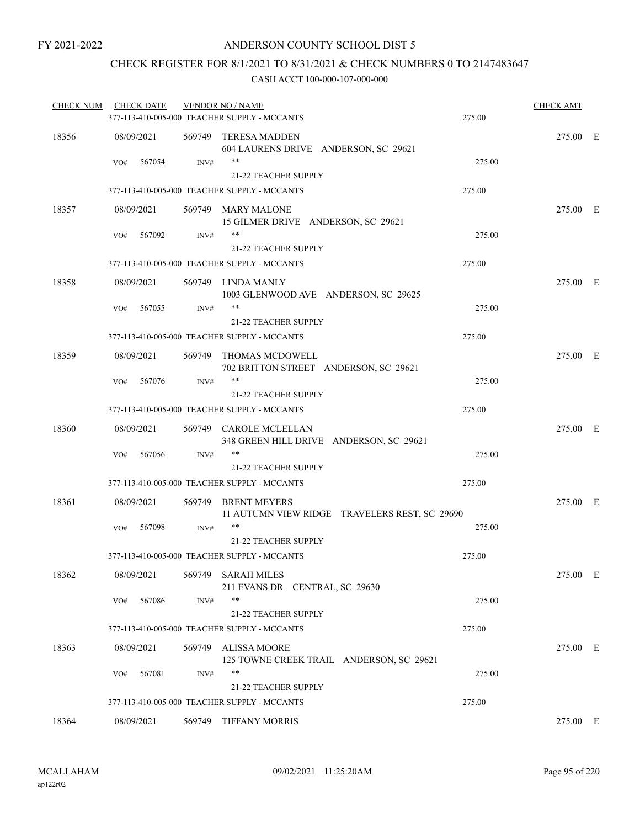### CHECK REGISTER FOR 8/1/2021 TO 8/31/2021 & CHECK NUMBERS 0 TO 2147483647

| <b>CHECK NUM</b> | <b>CHECK DATE</b> |        | <b>VENDOR NO / NAME</b><br>377-113-410-005-000 TEACHER SUPPLY - MCCANTS     | 275.00 | <b>CHECK AMT</b> |  |
|------------------|-------------------|--------|-----------------------------------------------------------------------------|--------|------------------|--|
| 18356            | 08/09/2021        |        | 569749 TERESA MADDEN<br>604 LAURENS DRIVE ANDERSON, SC 29621                |        | 275.00 E         |  |
|                  | 567054<br>VO#     | INV#   | **<br><b>21-22 TEACHER SUPPLY</b>                                           | 275.00 |                  |  |
|                  |                   |        | 377-113-410-005-000 TEACHER SUPPLY - MCCANTS                                | 275.00 |                  |  |
| 18357            | 08/09/2021        |        | 569749 MARY MALONE<br>15 GILMER DRIVE ANDERSON, SC 29621                    |        | 275.00 E         |  |
|                  | 567092<br>VO#     | INV#   | **<br><b>21-22 TEACHER SUPPLY</b>                                           | 275.00 |                  |  |
|                  |                   |        | 377-113-410-005-000 TEACHER SUPPLY - MCCANTS                                | 275.00 |                  |  |
| 18358            | 08/09/2021        |        | 569749 LINDA MANLY<br>1003 GLENWOOD AVE ANDERSON, SC 29625                  |        | 275.00 E         |  |
|                  | 567055<br>VO#     | INV#   | **                                                                          | 275.00 |                  |  |
|                  |                   |        | <b>21-22 TEACHER SUPPLY</b>                                                 |        |                  |  |
|                  |                   |        | 377-113-410-005-000 TEACHER SUPPLY - MCCANTS                                | 275.00 |                  |  |
| 18359            | 08/09/2021        |        | 569749 THOMAS MCDOWELL<br>702 BRITTON STREET ANDERSON, SC 29621             |        | 275.00 E         |  |
|                  | VO#<br>567076     | INV#   | $***$                                                                       | 275.00 |                  |  |
|                  |                   |        | <b>21-22 TEACHER SUPPLY</b><br>377-113-410-005-000 TEACHER SUPPLY - MCCANTS | 275.00 |                  |  |
|                  |                   |        |                                                                             |        |                  |  |
| 18360            | 08/09/2021        |        | 569749 CAROLE MCLELLAN<br>348 GREEN HILL DRIVE ANDERSON, SC 29621           |        | 275.00 E         |  |
|                  | 567056<br>VO#     | INV#   | **<br><b>21-22 TEACHER SUPPLY</b>                                           | 275.00 |                  |  |
|                  |                   |        | 377-113-410-005-000 TEACHER SUPPLY - MCCANTS                                | 275.00 |                  |  |
|                  |                   |        |                                                                             |        |                  |  |
| 18361            | 08/09/2021        | 569749 | <b>BRENT MEYERS</b><br>11 AUTUMN VIEW RIDGE TRAVELERS REST, SC 29690        |        | 275.00 E         |  |
|                  | 567098<br>VO#     | INV#   | **<br><b>21-22 TEACHER SUPPLY</b>                                           | 275.00 |                  |  |
|                  |                   |        | 377-113-410-005-000 TEACHER SUPPLY - MCCANTS                                | 275.00 |                  |  |
| 18362            | 08/09/2021        |        | 569749 SARAH MILES<br>211 EVANS DR CENTRAL, SC 29630                        |        | 275.00 E         |  |
|                  | 567086<br>VO#     | INV#   | **<br>21-22 TEACHER SUPPLY                                                  | 275.00 |                  |  |
|                  |                   |        | 377-113-410-005-000 TEACHER SUPPLY - MCCANTS                                | 275.00 |                  |  |
| 18363            | 08/09/2021        | 569749 | <b>ALISSA MOORE</b><br>125 TOWNE CREEK TRAIL ANDERSON, SC 29621             |        | 275.00 E         |  |
|                  | 567081<br>VO#     | INV#   | **<br><b>21-22 TEACHER SUPPLY</b>                                           | 275.00 |                  |  |
|                  |                   |        | 377-113-410-005-000 TEACHER SUPPLY - MCCANTS                                | 275.00 |                  |  |
| 18364            | 08/09/2021        | 569749 | <b>TIFFANY MORRIS</b>                                                       |        | 275.00 E         |  |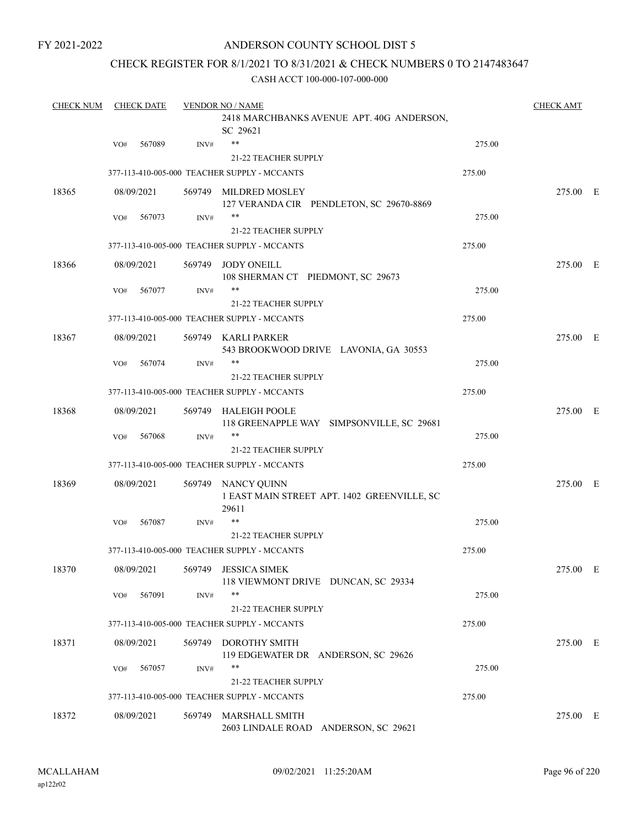### ANDERSON COUNTY SCHOOL DIST 5

### CHECK REGISTER FOR 8/1/2021 TO 8/31/2021 & CHECK NUMBERS 0 TO 2147483647

| <b>CHECK NUM</b> | <b>CHECK DATE</b> |            |        | <b>VENDOR NO / NAME</b>                                                    |        |          |  |  |
|------------------|-------------------|------------|--------|----------------------------------------------------------------------------|--------|----------|--|--|
|                  |                   |            |        | 2418 MARCHBANKS AVENUE APT. 40G ANDERSON,<br>SC 29621                      |        |          |  |  |
|                  | VO#               | 567089     | INV#   | $***$                                                                      | 275.00 |          |  |  |
|                  |                   |            |        | <b>21-22 TEACHER SUPPLY</b>                                                |        |          |  |  |
|                  |                   |            |        | 377-113-410-005-000 TEACHER SUPPLY - MCCANTS                               | 275.00 |          |  |  |
| 18365            |                   | 08/09/2021 |        | 569749 MILDRED MOSLEY<br>127 VERANDA CIR PENDLETON, SC 29670-8869          |        | 275.00 E |  |  |
|                  | VO#               | 567073     | INV#   | $***$                                                                      | 275.00 |          |  |  |
|                  |                   |            |        | 21-22 TEACHER SUPPLY                                                       |        |          |  |  |
|                  |                   |            |        | 377-113-410-005-000 TEACHER SUPPLY - MCCANTS                               | 275.00 |          |  |  |
| 18366            |                   | 08/09/2021 |        | 569749 JODY ONEILL<br>108 SHERMAN CT PIEDMONT, SC 29673                    |        | 275.00 E |  |  |
|                  | VO#               | 567077     | INV#   | **                                                                         | 275.00 |          |  |  |
|                  |                   |            |        | 21-22 TEACHER SUPPLY                                                       |        |          |  |  |
|                  |                   |            |        | 377-113-410-005-000 TEACHER SUPPLY - MCCANTS                               | 275.00 |          |  |  |
| 18367            |                   | 08/09/2021 |        | 569749 KARLI PARKER<br>543 BROOKWOOD DRIVE LAVONIA, GA 30553               |        | 275.00 E |  |  |
|                  | VO#               | 567074     | INV#   | **                                                                         | 275.00 |          |  |  |
|                  |                   |            |        | 21-22 TEACHER SUPPLY                                                       |        |          |  |  |
|                  |                   |            |        | 377-113-410-005-000 TEACHER SUPPLY - MCCANTS                               | 275.00 |          |  |  |
| 18368            |                   | 08/09/2021 |        | 569749 HALEIGH POOLE<br>118 GREENAPPLE WAY SIMPSONVILLE, SC 29681          |        | 275.00 E |  |  |
|                  | VO#               | 567068     | INV#   | $***$                                                                      | 275.00 |          |  |  |
|                  |                   |            |        | <b>21-22 TEACHER SUPPLY</b>                                                |        |          |  |  |
|                  |                   |            |        | 377-113-410-005-000 TEACHER SUPPLY - MCCANTS                               | 275.00 |          |  |  |
| 18369            |                   | 08/09/2021 |        | 569749 NANCY QUINN<br>1 EAST MAIN STREET APT. 1402 GREENVILLE, SC<br>29611 |        | 275.00 E |  |  |
|                  | VO#               | 567087     | INV#   | $***$                                                                      | 275.00 |          |  |  |
|                  |                   |            |        | <b>21-22 TEACHER SUPPLY</b>                                                |        |          |  |  |
|                  |                   |            |        | 377-113-410-005-000 TEACHER SUPPLY - MCCANTS                               | 275.00 |          |  |  |
| 18370            |                   |            |        | 08/09/2021 569749 JESSICA SIMEK<br>118 VIEWMONT DRIVE DUNCAN, SC 29334     |        | 275.00 E |  |  |
|                  | VO#               | 567091     | INV#   | **                                                                         | 275.00 |          |  |  |
|                  |                   |            |        | 21-22 TEACHER SUPPLY                                                       |        |          |  |  |
|                  |                   |            |        | 377-113-410-005-000 TEACHER SUPPLY - MCCANTS                               | 275.00 |          |  |  |
| 18371            |                   | 08/09/2021 | 569749 | <b>DOROTHY SMITH</b><br>119 EDGEWATER DR ANDERSON, SC 29626                |        | 275.00 E |  |  |
|                  | VO#               | 567057     | INV#   | $***$                                                                      | 275.00 |          |  |  |
|                  |                   |            |        | 21-22 TEACHER SUPPLY                                                       |        |          |  |  |
|                  |                   |            |        | 377-113-410-005-000 TEACHER SUPPLY - MCCANTS                               | 275.00 |          |  |  |
| 18372            |                   | 08/09/2021 |        | 569749 MARSHALL SMITH<br>2603 LINDALE ROAD ANDERSON, SC 29621              |        | 275.00 E |  |  |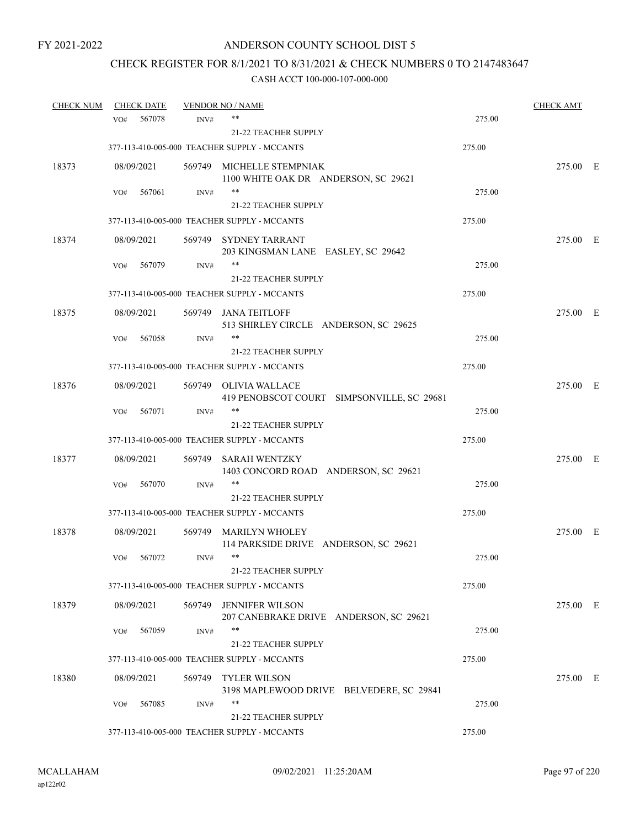## CHECK REGISTER FOR 8/1/2021 TO 8/31/2021 & CHECK NUMBERS 0 TO 2147483647

| <b>CHECK NUM</b> |     | <b>CHECK DATE</b> |        | <b>VENDOR NO / NAME</b>                                             |        | <b>CHECK AMT</b> |  |
|------------------|-----|-------------------|--------|---------------------------------------------------------------------|--------|------------------|--|
|                  | VO# | 567078            | INV#   | **                                                                  | 275.00 |                  |  |
|                  |     |                   |        | 21-22 TEACHER SUPPLY                                                |        |                  |  |
|                  |     |                   |        | 377-113-410-005-000 TEACHER SUPPLY - MCCANTS                        | 275.00 |                  |  |
| 18373            |     | 08/09/2021        |        | 569749 MICHELLE STEMPNIAK<br>1100 WHITE OAK DR ANDERSON, SC 29621   |        | 275.00 E         |  |
|                  | VO# | 567061            | INV#   | $***$                                                               | 275.00 |                  |  |
|                  |     |                   |        | <b>21-22 TEACHER SUPPLY</b>                                         |        |                  |  |
|                  |     |                   |        | 377-113-410-005-000 TEACHER SUPPLY - MCCANTS                        | 275.00 |                  |  |
| 18374            |     | 08/09/2021        |        | 569749 SYDNEY TARRANT<br>203 KINGSMAN LANE EASLEY, SC 29642         |        | 275.00 E         |  |
|                  | VO# | 567079            | INV#   | **                                                                  | 275.00 |                  |  |
|                  |     |                   |        | <b>21-22 TEACHER SUPPLY</b>                                         |        |                  |  |
|                  |     |                   |        | 377-113-410-005-000 TEACHER SUPPLY - MCCANTS                        | 275.00 |                  |  |
| 18375            |     | 08/09/2021        |        | 569749 JANA TEITLOFF<br>513 SHIRLEY CIRCLE ANDERSON, SC 29625       |        | 275.00 E         |  |
|                  | VO# | 567058            | INV#   | **                                                                  | 275.00 |                  |  |
|                  |     |                   |        | 21-22 TEACHER SUPPLY                                                |        |                  |  |
|                  |     |                   |        | 377-113-410-005-000 TEACHER SUPPLY - MCCANTS                        | 275.00 |                  |  |
| 18376            |     | 08/09/2021        |        | 569749 OLIVIA WALLACE<br>419 PENOBSCOT COURT SIMPSONVILLE, SC 29681 |        | 275.00 E         |  |
|                  | VO# | 567071            | INV#   | **                                                                  | 275.00 |                  |  |
|                  |     |                   |        | <b>21-22 TEACHER SUPPLY</b>                                         |        |                  |  |
|                  |     |                   |        | 377-113-410-005-000 TEACHER SUPPLY - MCCANTS                        | 275.00 |                  |  |
| 18377            |     | 08/09/2021        | 569749 | <b>SARAH WENTZKY</b><br>1403 CONCORD ROAD ANDERSON, SC 29621        |        | 275.00 E         |  |
|                  | VO# | 567070            | INV#   | **                                                                  | 275.00 |                  |  |
|                  |     |                   |        | 21-22 TEACHER SUPPLY                                                |        |                  |  |
|                  |     |                   |        | 377-113-410-005-000 TEACHER SUPPLY - MCCANTS                        | 275.00 |                  |  |
| 18378            |     | 08/09/2021        | 569749 | <b>MARILYN WHOLEY</b><br>114 PARKSIDE DRIVE ANDERSON, SC 29621      |        | 275.00 E         |  |
|                  | VO# | 567072            | INV#   | $***$                                                               | 275.00 |                  |  |
|                  |     |                   |        | 21-22 TEACHER SUPPLY                                                |        |                  |  |
|                  |     |                   |        | 377-113-410-005-000 TEACHER SUPPLY - MCCANTS                        | 275.00 |                  |  |
| 18379            |     | 08/09/2021        | 569749 | <b>JENNIFER WILSON</b><br>207 CANEBRAKE DRIVE ANDERSON, SC 29621    |        | 275.00 E         |  |
|                  | VO# | 567059            | INV#   | $***$                                                               | 275.00 |                  |  |
|                  |     |                   |        | <b>21-22 TEACHER SUPPLY</b>                                         |        |                  |  |
|                  |     |                   |        | 377-113-410-005-000 TEACHER SUPPLY - MCCANTS                        | 275.00 |                  |  |
| 18380            |     | 08/09/2021        | 569749 | <b>TYLER WILSON</b><br>3198 MAPLEWOOD DRIVE BELVEDERE, SC 29841     |        | 275.00 E         |  |
|                  | VO# | 567085            | INV#   | **                                                                  | 275.00 |                  |  |
|                  |     |                   |        | 21-22 TEACHER SUPPLY                                                |        |                  |  |
|                  |     |                   |        | 377-113-410-005-000 TEACHER SUPPLY - MCCANTS                        | 275.00 |                  |  |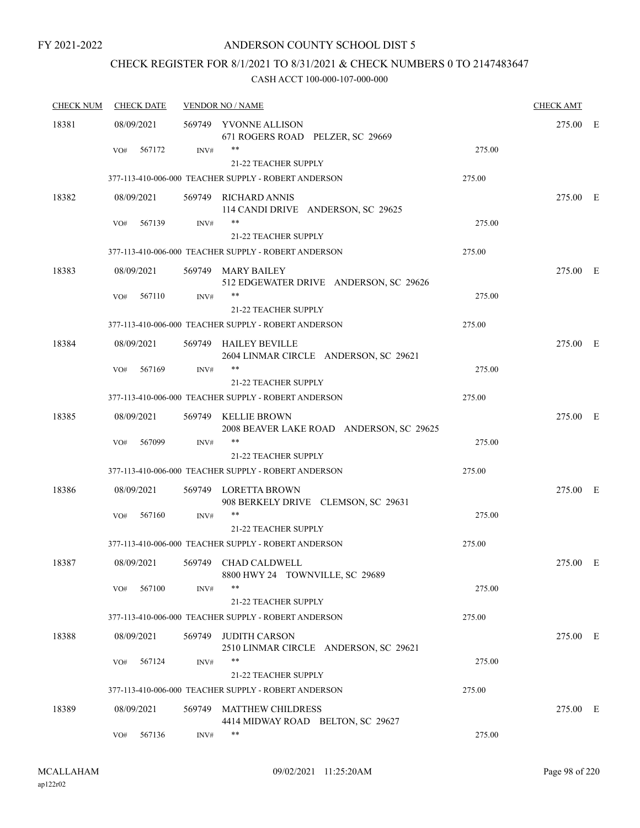### ANDERSON COUNTY SCHOOL DIST 5

## CHECK REGISTER FOR 8/1/2021 TO 8/31/2021 & CHECK NUMBERS 0 TO 2147483647

| <b>CHECK NUM</b> | <b>CHECK DATE</b> | <b>VENDOR NO / NAME</b> |                                                                 | <b>CHECK AMT</b> |          |  |
|------------------|-------------------|-------------------------|-----------------------------------------------------------------|------------------|----------|--|
| 18381            | 08/09/2021        |                         | 569749 YVONNE ALLISON<br>671 ROGERS ROAD PELZER, SC 29669       |                  | 275.00 E |  |
|                  | 567172<br>VO#     | INV#                    | 21-22 TEACHER SUPPLY                                            | 275.00           |          |  |
|                  |                   |                         | 377-113-410-006-000 TEACHER SUPPLY - ROBERT ANDERSON            | 275.00           |          |  |
| 18382            | 08/09/2021        |                         | 569749 RICHARD ANNIS<br>114 CANDI DRIVE ANDERSON, SC 29625      |                  | 275.00 E |  |
|                  | 567139<br>VO#     | INV#                    | **<br>21-22 TEACHER SUPPLY                                      | 275.00           |          |  |
|                  |                   |                         | 377-113-410-006-000 TEACHER SUPPLY - ROBERT ANDERSON            | 275.00           |          |  |
| 18383            | 08/09/2021        |                         | 569749 MARY BAILEY<br>512 EDGEWATER DRIVE ANDERSON, SC 29626    |                  | 275.00 E |  |
|                  | 567110<br>VO#     | INV#                    | **<br>21-22 TEACHER SUPPLY                                      | 275.00           |          |  |
|                  |                   |                         | 377-113-410-006-000 TEACHER SUPPLY - ROBERT ANDERSON            | 275.00           |          |  |
| 18384            | 08/09/2021        |                         | 569749 HAILEY BEVILLE<br>2604 LINMAR CIRCLE ANDERSON, SC 29621  |                  | 275.00 E |  |
|                  | 567169<br>VO#     | INV#                    | **                                                              | 275.00           |          |  |
|                  |                   |                         | <b>21-22 TEACHER SUPPLY</b>                                     |                  |          |  |
|                  |                   |                         | 377-113-410-006-000 TEACHER SUPPLY - ROBERT ANDERSON            | 275.00           |          |  |
| 18385            | 08/09/2021        |                         | 569749 KELLIE BROWN<br>2008 BEAVER LAKE ROAD ANDERSON, SC 29625 |                  | 275.00 E |  |
|                  | VO#<br>567099     | INV#                    | **<br><b>21-22 TEACHER SUPPLY</b>                               | 275.00           |          |  |
|                  |                   |                         | 377-113-410-006-000 TEACHER SUPPLY - ROBERT ANDERSON            | 275.00           |          |  |
| 18386            | 08/09/2021        |                         | 569749 LORETTA BROWN<br>908 BERKELY DRIVE CLEMSON, SC 29631     |                  | 275.00 E |  |
|                  | 567160<br>VO#     | INV#                    |                                                                 | 275.00           |          |  |
|                  |                   |                         | 21-22 TEACHER SUPPLY                                            |                  |          |  |
|                  |                   |                         | 377-113-410-006-000 TEACHER SUPPLY - ROBERT ANDERSON            | 275.00           |          |  |
| 18387            | 08/09/2021        |                         | 569749 CHAD CALDWELL<br>8800 HWY 24 TOWNVILLE, SC 29689         |                  | 275.00 E |  |
|                  | 567100<br>VO#     | INV#                    | **<br>21-22 TEACHER SUPPLY                                      | 275.00           |          |  |
|                  |                   |                         | 377-113-410-006-000 TEACHER SUPPLY - ROBERT ANDERSON            | 275.00           |          |  |
| 18388            | 08/09/2021        | 569749                  | <b>JUDITH CARSON</b>                                            |                  | 275.00 E |  |
|                  |                   |                         | 2510 LINMAR CIRCLE ANDERSON, SC 29621<br>**                     |                  |          |  |
|                  | 567124<br>VO#     | INV#                    | 21-22 TEACHER SUPPLY                                            | 275.00           |          |  |
|                  |                   |                         | 377-113-410-006-000 TEACHER SUPPLY - ROBERT ANDERSON            | 275.00           |          |  |
| 18389            | 08/09/2021        | 569749                  | <b>MATTHEW CHILDRESS</b>                                        |                  | 275.00 E |  |
|                  |                   |                         | 4414 MIDWAY ROAD BELTON, SC 29627                               |                  |          |  |
|                  | 567136<br>VO#     | INV#                    | **                                                              | 275.00           |          |  |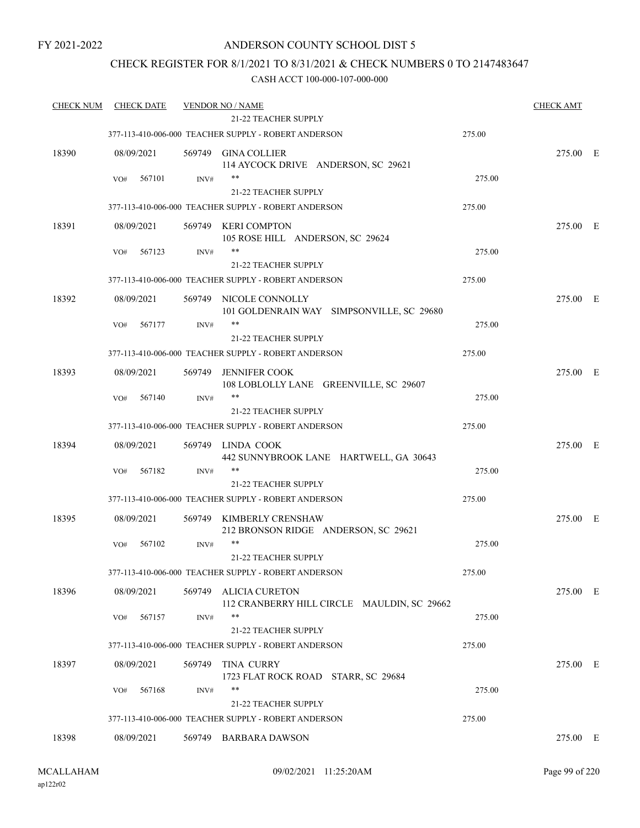### ANDERSON COUNTY SCHOOL DIST 5

### CHECK REGISTER FOR 8/1/2021 TO 8/31/2021 & CHECK NUMBERS 0 TO 2147483647

| <b>CHECK NUM</b> | <b>CHECK DATE</b> |        | <b>VENDOR NO / NAME</b><br><b>21-22 TEACHER SUPPLY</b>         |        | <b>CHECK AMT</b> |  |
|------------------|-------------------|--------|----------------------------------------------------------------|--------|------------------|--|
|                  |                   |        |                                                                |        |                  |  |
|                  |                   |        | 377-113-410-006-000 TEACHER SUPPLY - ROBERT ANDERSON           | 275.00 |                  |  |
| 18390            | 08/09/2021        |        | 569749 GINA COLLIER<br>114 AYCOCK DRIVE ANDERSON, SC 29621     |        | 275.00 E         |  |
|                  | 567101<br>VO#     | INV#   | $***$                                                          | 275.00 |                  |  |
|                  |                   |        | <b>21-22 TEACHER SUPPLY</b>                                    |        |                  |  |
|                  |                   |        | 377-113-410-006-000 TEACHER SUPPLY - ROBERT ANDERSON           | 275.00 |                  |  |
| 18391            | 08/09/2021        | 569749 | KERI COMPTON<br>105 ROSE HILL ANDERSON, SC 29624               |        | 275.00 E         |  |
|                  | 567123<br>VO#     | INV#   | **                                                             | 275.00 |                  |  |
|                  |                   |        | 21-22 TEACHER SUPPLY                                           |        |                  |  |
|                  |                   |        | 377-113-410-006-000 TEACHER SUPPLY - ROBERT ANDERSON           | 275.00 |                  |  |
| 18392            | 08/09/2021        |        | 569749 NICOLE CONNOLLY                                         |        | 275.00 E         |  |
|                  |                   |        | 101 GOLDENRAIN WAY SIMPSONVILLE, SC 29680                      |        |                  |  |
|                  | 567177<br>VO#     | INV#   |                                                                | 275.00 |                  |  |
|                  |                   |        | <b>21-22 TEACHER SUPPLY</b>                                    |        |                  |  |
|                  |                   |        | 377-113-410-006-000 TEACHER SUPPLY - ROBERT ANDERSON           | 275.00 |                  |  |
|                  |                   |        |                                                                |        |                  |  |
| 18393            | 08/09/2021        | 569749 | <b>JENNIFER COOK</b><br>108 LOBLOLLY LANE GREENVILLE, SC 29607 |        | 275.00 E         |  |
|                  | 567140<br>VO#     | INV#   | $***$                                                          | 275.00 |                  |  |
|                  |                   |        | 21-22 TEACHER SUPPLY                                           |        |                  |  |
|                  |                   |        | 377-113-410-006-000 TEACHER SUPPLY - ROBERT ANDERSON           | 275.00 |                  |  |
| 18394            | 08/09/2021        | 569749 | LINDA COOK                                                     |        | 275.00 E         |  |
|                  |                   |        | 442 SUNNYBROOK LANE HARTWELL, GA 30643                         |        |                  |  |
|                  | 567182<br>VO#     | INV#   | **                                                             | 275.00 |                  |  |
|                  |                   |        | 21-22 TEACHER SUPPLY                                           |        |                  |  |
|                  |                   |        | 377-113-410-006-000 TEACHER SUPPLY - ROBERT ANDERSON           | 275.00 |                  |  |
| 18395            | 08/09/2021        |        | 569749 KIMBERLY CRENSHAW                                       |        | 275.00 E         |  |
|                  |                   |        | 212 BRONSON RIDGE ANDERSON, SC 29621                           |        |                  |  |
|                  | 567102<br>VO#     | INV#   | $***$                                                          | 275.00 |                  |  |
|                  |                   |        | 21-22 TEACHER SUPPLY                                           |        |                  |  |
|                  |                   |        | 377-113-410-006-000 TEACHER SUPPLY - ROBERT ANDERSON           | 275.00 |                  |  |
| 18396            | 08/09/2021        | 569749 | <b>ALICIA CURETON</b>                                          |        | 275.00 E         |  |
|                  |                   |        | 112 CRANBERRY HILL CIRCLE MAULDIN, SC 29662                    |        |                  |  |
|                  | 567157<br>VO#     | INV#   | $***$                                                          | 275.00 |                  |  |
|                  |                   |        | 21-22 TEACHER SUPPLY                                           |        |                  |  |
|                  |                   |        | 377-113-410-006-000 TEACHER SUPPLY - ROBERT ANDERSON           | 275.00 |                  |  |
| 18397            | 08/09/2021        | 569749 | <b>TINA CURRY</b>                                              |        | 275.00 E         |  |
|                  |                   |        | 1723 FLAT ROCK ROAD STARR, SC 29684                            |        |                  |  |
|                  | 567168<br>VO#     | INV#   |                                                                | 275.00 |                  |  |
|                  |                   |        | <b>21-22 TEACHER SUPPLY</b>                                    |        |                  |  |
|                  |                   |        | 377-113-410-006-000 TEACHER SUPPLY - ROBERT ANDERSON           | 275.00 |                  |  |
|                  |                   |        |                                                                |        |                  |  |
| 18398            | 08/09/2021        |        | 569749 BARBARA DAWSON                                          |        | 275.00 E         |  |
|                  |                   |        |                                                                |        |                  |  |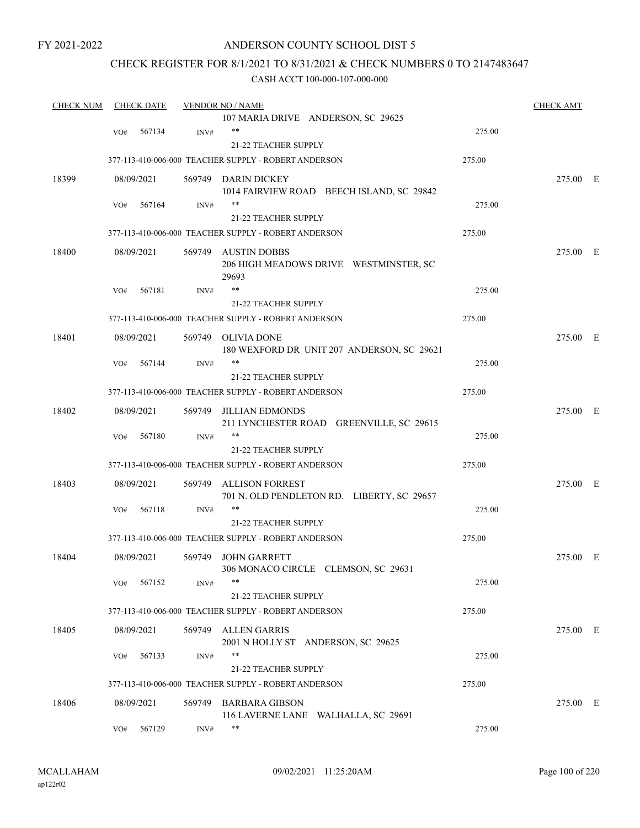### ANDERSON COUNTY SCHOOL DIST 5

### CHECK REGISTER FOR 8/1/2021 TO 8/31/2021 & CHECK NUMBERS 0 TO 2147483647

| <b>CHECK NUM</b> | <b>CHECK DATE</b> |        | <b>VENDOR NO / NAME</b>                                            |        | <b>CHECK AMT</b> |  |
|------------------|-------------------|--------|--------------------------------------------------------------------|--------|------------------|--|
|                  |                   |        | 107 MARIA DRIVE ANDERSON, SC 29625                                 |        |                  |  |
|                  | 567134<br>VO#     | INV#   | $***$                                                              | 275.00 |                  |  |
|                  |                   |        | 21-22 TEACHER SUPPLY                                               |        |                  |  |
|                  |                   |        | 377-113-410-006-000 TEACHER SUPPLY - ROBERT ANDERSON               | 275.00 |                  |  |
| 18399            | 08/09/2021        |        | 569749 DARIN DICKEY                                                |        | 275.00 E         |  |
|                  |                   |        | 1014 FAIRVIEW ROAD BEECH ISLAND, SC 29842                          |        |                  |  |
|                  | 567164<br>VO#     | INV#   | $***$                                                              | 275.00 |                  |  |
|                  |                   |        | 21-22 TEACHER SUPPLY                                               |        |                  |  |
|                  |                   |        | 377-113-410-006-000 TEACHER SUPPLY - ROBERT ANDERSON               | 275.00 |                  |  |
| 18400            | 08/09/2021        | 569749 | <b>AUSTIN DOBBS</b>                                                |        | 275.00 E         |  |
|                  |                   |        | 206 HIGH MEADOWS DRIVE WESTMINSTER, SC<br>29693                    |        |                  |  |
|                  | 567181<br>VO#     | INV#   | **                                                                 | 275.00 |                  |  |
|                  |                   |        | <b>21-22 TEACHER SUPPLY</b>                                        |        |                  |  |
|                  |                   |        | 377-113-410-006-000 TEACHER SUPPLY - ROBERT ANDERSON               | 275.00 |                  |  |
| 18401            | 08/09/2021        | 569749 | <b>OLIVIA DONE</b>                                                 |        | 275.00 E         |  |
|                  |                   |        | 180 WEXFORD DR UNIT 207 ANDERSON, SC 29621                         |        |                  |  |
|                  | 567144<br>VO#     | INV#   | $***$                                                              | 275.00 |                  |  |
|                  |                   |        | 21-22 TEACHER SUPPLY                                               |        |                  |  |
|                  |                   |        | 377-113-410-006-000 TEACHER SUPPLY - ROBERT ANDERSON               | 275.00 |                  |  |
| 18402            | 08/09/2021        | 569749 | <b>JILLIAN EDMONDS</b><br>211 LYNCHESTER ROAD GREENVILLE, SC 29615 |        | 275.00 E         |  |
|                  | 567180<br>VO#     | INV#   | **                                                                 | 275.00 |                  |  |
|                  |                   |        | <b>21-22 TEACHER SUPPLY</b>                                        |        |                  |  |
|                  |                   |        | 377-113-410-006-000 TEACHER SUPPLY - ROBERT ANDERSON               | 275.00 |                  |  |
| 18403            | 08/09/2021        | 569749 | <b>ALLISON FORREST</b>                                             |        | 275.00 E         |  |
|                  |                   |        | 701 N. OLD PENDLETON RD. LIBERTY, SC 29657                         |        |                  |  |
|                  | 567118<br>VO#     | INV#   | $***$                                                              | 275.00 |                  |  |
|                  |                   |        | 21-22 TEACHER SUPPLY                                               |        |                  |  |
|                  |                   |        | 377-113-410-006-000 TEACHER SUPPLY - ROBERT ANDERSON               | 275.00 |                  |  |
| 18404            | 08/09/2021        | 569749 | <b>JOHN GARRETT</b>                                                |        | 275.00 E         |  |
|                  |                   |        | 306 MONACO CIRCLE CLEMSON, SC 29631                                |        |                  |  |
|                  | 567152<br>VO#     | INV#   | **                                                                 | 275.00 |                  |  |
|                  |                   |        | 21-22 TEACHER SUPPLY                                               |        |                  |  |
|                  |                   |        | 377-113-410-006-000 TEACHER SUPPLY - ROBERT ANDERSON               | 275.00 |                  |  |
| 18405            | 08/09/2021        | 569749 | <b>ALLEN GARRIS</b>                                                |        | 275.00 E         |  |
|                  |                   |        | 2001 N HOLLY ST ANDERSON, SC 29625                                 |        |                  |  |
|                  | 567133<br>VO#     | INV#   | $***$                                                              | 275.00 |                  |  |
|                  |                   |        | 21-22 TEACHER SUPPLY                                               |        |                  |  |
|                  |                   |        | 377-113-410-006-000 TEACHER SUPPLY - ROBERT ANDERSON               | 275.00 |                  |  |
| 18406            | 08/09/2021        | 569749 | <b>BARBARA GIBSON</b>                                              |        | 275.00 E         |  |
|                  |                   |        | 116 LAVERNE LANE WALHALLA, SC 29691                                |        |                  |  |
|                  | 567129<br>VO#     | INV#   | **                                                                 | 275.00 |                  |  |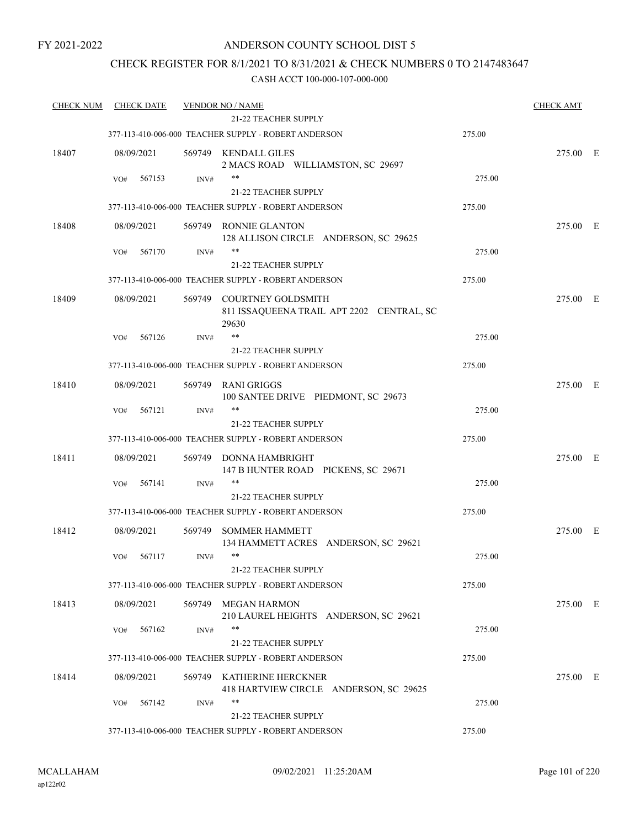### ANDERSON COUNTY SCHOOL DIST 5

### CHECK REGISTER FOR 8/1/2021 TO 8/31/2021 & CHECK NUMBERS 0 TO 2147483647

| <b>CHECK NUM</b> | <b>CHECK DATE</b> |        | <b>VENDOR NO / NAME</b>                                                         |        | <b>CHECK AMT</b> |  |
|------------------|-------------------|--------|---------------------------------------------------------------------------------|--------|------------------|--|
|                  |                   |        | <b>21-22 TEACHER SUPPLY</b>                                                     |        |                  |  |
|                  |                   |        | 377-113-410-006-000 TEACHER SUPPLY - ROBERT ANDERSON                            | 275.00 |                  |  |
| 18407            | 08/09/2021        |        | 569749 KENDALL GILES<br>2 MACS ROAD WILLIAMSTON, SC 29697                       |        | 275.00 E         |  |
|                  | VO#<br>567153     | INV#   | **                                                                              | 275.00 |                  |  |
|                  |                   |        | 21-22 TEACHER SUPPLY                                                            |        |                  |  |
|                  |                   |        | 377-113-410-006-000 TEACHER SUPPLY - ROBERT ANDERSON                            | 275.00 |                  |  |
| 18408            | 08/09/2021        | 569749 | <b>RONNIE GLANTON</b><br>128 ALLISON CIRCLE ANDERSON, SC 29625                  |        | 275.00 E         |  |
|                  | 567170<br>VO#     | INV#   | 21-22 TEACHER SUPPLY                                                            | 275.00 |                  |  |
|                  |                   |        | 377-113-410-006-000 TEACHER SUPPLY - ROBERT ANDERSON                            | 275.00 |                  |  |
| 18409            | 08/09/2021        |        | 569749 COURTNEY GOLDSMITH<br>811 ISSAQUEENA TRAIL APT 2202 CENTRAL, SC<br>29630 |        | 275.00 E         |  |
|                  | 567126<br>VO#     | INV#   | $***$                                                                           | 275.00 |                  |  |
|                  |                   |        | <b>21-22 TEACHER SUPPLY</b>                                                     |        |                  |  |
|                  |                   |        | 377-113-410-006-000 TEACHER SUPPLY - ROBERT ANDERSON                            | 275.00 |                  |  |
| 18410            | 08/09/2021        | 569749 | RANI GRIGGS<br>100 SANTEE DRIVE PIEDMONT, SC 29673                              |        | 275.00 E         |  |
|                  | 567121<br>VO#     | INV#   | $***$                                                                           | 275.00 |                  |  |
|                  |                   |        | 21-22 TEACHER SUPPLY                                                            |        |                  |  |
|                  |                   |        | 377-113-410-006-000 TEACHER SUPPLY - ROBERT ANDERSON                            | 275.00 |                  |  |
| 18411            | 08/09/2021        | 569749 | DONNA HAMBRIGHT<br>147 B HUNTER ROAD PICKENS, SC 29671                          |        | 275.00 E         |  |
|                  | 567141<br>VO#     | INV#   | **                                                                              | 275.00 |                  |  |
|                  |                   |        | 21-22 TEACHER SUPPLY                                                            |        |                  |  |
|                  |                   |        | 377-113-410-006-000 TEACHER SUPPLY - ROBERT ANDERSON                            | 275.00 |                  |  |
| 18412            | 08/09/2021        | 569749 | <b>SOMMER HAMMETT</b><br>134 HAMMETT ACRES ANDERSON, SC 29621                   |        | 275.00 E         |  |
|                  | 567117<br>VO#     | INV#   | **<br>21-22 TEACHER SUPPLY                                                      | 275.00 |                  |  |
|                  |                   |        | 377-113-410-006-000 TEACHER SUPPLY - ROBERT ANDERSON                            | 275.00 |                  |  |
| 18413            | 08/09/2021        | 569749 | <b>MEGAN HARMON</b><br>210 LAUREL HEIGHTS ANDERSON, SC 29621                    |        | 275.00 E         |  |
|                  | 567162<br>VO#     | INV#   | $***$                                                                           | 275.00 |                  |  |
|                  |                   |        | 21-22 TEACHER SUPPLY                                                            |        |                  |  |
|                  |                   |        | 377-113-410-006-000 TEACHER SUPPLY - ROBERT ANDERSON                            | 275.00 |                  |  |
| 18414            | 08/09/2021        | 569749 | KATHERINE HERCKNER<br>418 HARTVIEW CIRCLE ANDERSON, SC 29625                    |        | 275.00 E         |  |
|                  | VO#<br>567142     | INV#   | **<br>21-22 TEACHER SUPPLY                                                      | 275.00 |                  |  |
|                  |                   |        | 377-113-410-006-000 TEACHER SUPPLY - ROBERT ANDERSON                            | 275.00 |                  |  |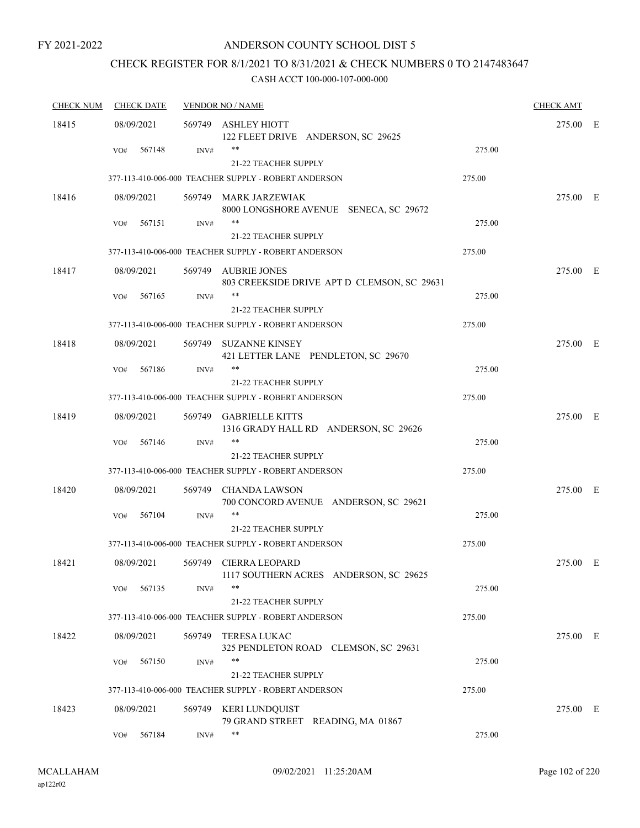### ANDERSON COUNTY SCHOOL DIST 5

## CHECK REGISTER FOR 8/1/2021 TO 8/31/2021 & CHECK NUMBERS 0 TO 2147483647

| <b>CHECK NUM</b> | <b>CHECK DATE</b> |        | <b>VENDOR NO / NAME</b>                                            |        | <b>CHECK AMT</b> |  |
|------------------|-------------------|--------|--------------------------------------------------------------------|--------|------------------|--|
| 18415            | 08/09/2021        |        | 569749 ASHLEY HIOTT<br>122 FLEET DRIVE ANDERSON, SC 29625          |        | 275.00 E         |  |
|                  | 567148<br>VO#     | INV#   | 21-22 TEACHER SUPPLY                                               | 275.00 |                  |  |
|                  |                   |        | 377-113-410-006-000 TEACHER SUPPLY - ROBERT ANDERSON               | 275.00 |                  |  |
| 18416            | 08/09/2021        |        | 569749 MARK JARZEWIAK<br>8000 LONGSHORE AVENUE SENECA, SC 29672    |        | 275.00 E         |  |
|                  | 567151<br>VO#     | INV#   | 21-22 TEACHER SUPPLY                                               | 275.00 |                  |  |
|                  |                   |        | 377-113-410-006-000 TEACHER SUPPLY - ROBERT ANDERSON               | 275.00 |                  |  |
| 18417            | 08/09/2021        |        | 569749 AUBRIE JONES<br>803 CREEKSIDE DRIVE APT D CLEMSON, SC 29631 |        | 275.00 E         |  |
|                  | 567165<br>VO#     | INV#   | **<br>21-22 TEACHER SUPPLY                                         | 275.00 |                  |  |
|                  |                   |        | 377-113-410-006-000 TEACHER SUPPLY - ROBERT ANDERSON               | 275.00 |                  |  |
| 18418            | 08/09/2021        |        | 569749 SUZANNE KINSEY<br>421 LETTER LANE PENDLETON, SC 29670       |        | 275.00 E         |  |
|                  | 567186<br>VO#     | INV#   | **                                                                 | 275.00 |                  |  |
|                  |                   |        | <b>21-22 TEACHER SUPPLY</b>                                        |        |                  |  |
|                  |                   |        | 377-113-410-006-000 TEACHER SUPPLY - ROBERT ANDERSON               | 275.00 |                  |  |
| 18419            | 08/09/2021        |        | 569749 GABRIELLE KITTS<br>1316 GRADY HALL RD ANDERSON, SC 29626    |        | 275.00 E         |  |
|                  | VO#<br>567146     | INV#   | **<br><b>21-22 TEACHER SUPPLY</b>                                  | 275.00 |                  |  |
|                  |                   |        | 377-113-410-006-000 TEACHER SUPPLY - ROBERT ANDERSON               | 275.00 |                  |  |
| 18420            | 08/09/2021        | 569749 | CHANDA LAWSON<br>700 CONCORD AVENUE ANDERSON, SC 29621             |        | 275.00 E         |  |
|                  | 567104<br>VO#     | INV#   | 21-22 TEACHER SUPPLY                                               | 275.00 |                  |  |
|                  |                   |        | 377-113-410-006-000 TEACHER SUPPLY - ROBERT ANDERSON               | 275.00 |                  |  |
| 18421            | 08/09/2021        |        | 569749 CIERRA LEOPARD<br>1117 SOUTHERN ACRES ANDERSON, SC 29625    |        | 275.00 E         |  |
|                  | 567135<br>VO#     | INV#   | **<br>21-22 TEACHER SUPPLY                                         | 275.00 |                  |  |
|                  |                   |        | 377-113-410-006-000 TEACHER SUPPLY - ROBERT ANDERSON               | 275.00 |                  |  |
| 18422            | 08/09/2021        |        | 569749 TERESA LUKAC<br>325 PENDLETON ROAD CLEMSON, SC 29631        |        | 275.00 E         |  |
|                  | 567150<br>VO#     | INV#   | **<br>21-22 TEACHER SUPPLY                                         | 275.00 |                  |  |
|                  |                   |        | 377-113-410-006-000 TEACHER SUPPLY - ROBERT ANDERSON               | 275.00 |                  |  |
| 18423            | 08/09/2021        |        | 569749 KERI LUNDQUIST<br>79 GRAND STREET READING, MA 01867         |        | 275.00 E         |  |
|                  | 567184<br>VO#     | INV#   | **                                                                 | 275.00 |                  |  |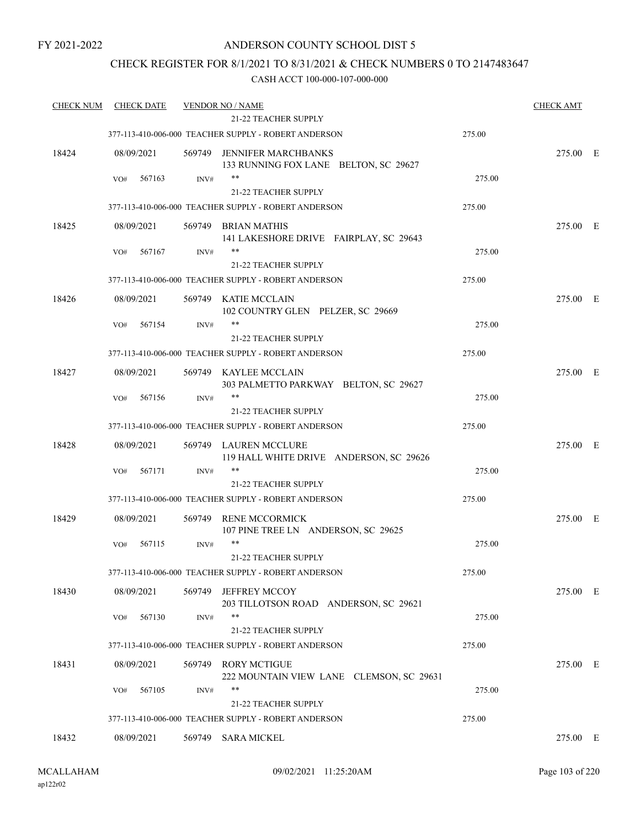### ANDERSON COUNTY SCHOOL DIST 5

### CHECK REGISTER FOR 8/1/2021 TO 8/31/2021 & CHECK NUMBERS 0 TO 2147483647

| <b>CHECK NUM</b> | <b>CHECK DATE</b> |        | <b>VENDOR NO / NAME</b>                                             |        | <b>CHECK AMT</b> |  |
|------------------|-------------------|--------|---------------------------------------------------------------------|--------|------------------|--|
|                  |                   |        | <b>21-22 TEACHER SUPPLY</b>                                         |        |                  |  |
|                  |                   |        | 377-113-410-006-000 TEACHER SUPPLY - ROBERT ANDERSON                | 275.00 |                  |  |
| 18424            | 08/09/2021        | 569749 | <b>JENNIFER MARCHBANKS</b><br>133 RUNNING FOX LANE BELTON, SC 29627 |        | 275.00 E         |  |
|                  | 567163<br>VO#     | INV#   | $***$                                                               | 275.00 |                  |  |
|                  |                   |        | 21-22 TEACHER SUPPLY                                                |        |                  |  |
|                  |                   |        | 377-113-410-006-000 TEACHER SUPPLY - ROBERT ANDERSON                | 275.00 |                  |  |
| 18425            | 08/09/2021        |        | 569749 BRIAN MATHIS<br>141 LAKESHORE DRIVE FAIRPLAY, SC 29643       |        | 275.00 E         |  |
|                  | 567167<br>VO#     | INV#   | **                                                                  | 275.00 |                  |  |
|                  |                   |        | 21-22 TEACHER SUPPLY                                                |        |                  |  |
|                  |                   |        | 377-113-410-006-000 TEACHER SUPPLY - ROBERT ANDERSON                | 275.00 |                  |  |
| 18426            | 08/09/2021        |        | 569749 KATIE MCCLAIN<br>102 COUNTRY GLEN PELZER, SC 29669           |        | 275.00 E         |  |
|                  | 567154<br>VO#     | INV#   |                                                                     | 275.00 |                  |  |
|                  |                   |        | 21-22 TEACHER SUPPLY                                                |        |                  |  |
|                  |                   |        | 377-113-410-006-000 TEACHER SUPPLY - ROBERT ANDERSON                | 275.00 |                  |  |
| 18427            | 08/09/2021        |        | 569749 KAYLEE MCCLAIN<br>303 PALMETTO PARKWAY BELTON, SC 29627      |        | 275.00 E         |  |
|                  | 567156<br>VO#     | INV#   | $***$                                                               | 275.00 |                  |  |
|                  |                   |        | 21-22 TEACHER SUPPLY                                                |        |                  |  |
|                  |                   |        | 377-113-410-006-000 TEACHER SUPPLY - ROBERT ANDERSON                | 275.00 |                  |  |
| 18428            | 08/09/2021        | 569749 | LAUREN MCCLURE<br>119 HALL WHITE DRIVE ANDERSON, SC 29626           |        | 275.00 E         |  |
|                  | 567171<br>VO#     | INV#   |                                                                     | 275.00 |                  |  |
|                  |                   |        | 21-22 TEACHER SUPPLY                                                |        |                  |  |
|                  |                   |        | 377-113-410-006-000 TEACHER SUPPLY - ROBERT ANDERSON                | 275.00 |                  |  |
| 18429            | 08/09/2021        | 569749 | RENE MCCORMICK<br>107 PINE TREE LN ANDERSON, SC 29625               |        | 275.00 E         |  |
|                  | 567115<br>VO#     | INV#   | $***$<br>21-22 TEACHER SUPPLY                                       | 275.00 |                  |  |
|                  |                   |        | 377-113-410-006-000 TEACHER SUPPLY - ROBERT ANDERSON                | 275.00 |                  |  |
| 18430            | 08/09/2021        | 569749 | <b>JEFFREY MCCOY</b>                                                |        | 275.00 E         |  |
|                  |                   |        | 203 TILLOTSON ROAD ANDERSON, SC 29621                               |        |                  |  |
|                  | 567130<br>VO#     | INV#   | $***$                                                               | 275.00 |                  |  |
|                  |                   |        | 21-22 TEACHER SUPPLY                                                |        |                  |  |
|                  |                   |        | 377-113-410-006-000 TEACHER SUPPLY - ROBERT ANDERSON                | 275.00 |                  |  |
| 18431            | 08/09/2021        | 569749 | <b>RORY MCTIGUE</b><br>222 MOUNTAIN VIEW LANE CLEMSON, SC 29631     |        | 275.00 E         |  |
|                  | 567105<br>VO#     | INV#   |                                                                     | 275.00 |                  |  |
|                  |                   |        | <b>21-22 TEACHER SUPPLY</b>                                         |        |                  |  |
|                  |                   |        | 377-113-410-006-000 TEACHER SUPPLY - ROBERT ANDERSON                | 275.00 |                  |  |
| 18432            | 08/09/2021        |        | 569749 SARA MICKEL                                                  |        | 275.00 E         |  |
|                  |                   |        |                                                                     |        |                  |  |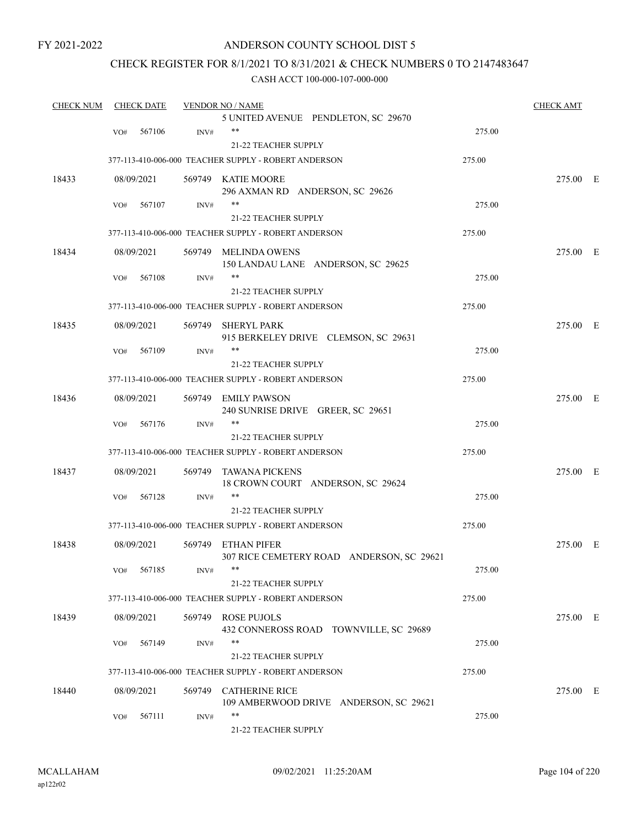### ANDERSON COUNTY SCHOOL DIST 5

### CHECK REGISTER FOR 8/1/2021 TO 8/31/2021 & CHECK NUMBERS 0 TO 2147483647

| <b>CHECK NUM</b> |     | <b>CHECK DATE</b> |        | <b>VENDOR NO / NAME</b>                                         |        | <b>CHECK AMT</b> |  |
|------------------|-----|-------------------|--------|-----------------------------------------------------------------|--------|------------------|--|
|                  |     |                   |        | 5 UNITED AVENUE PENDLETON, SC 29670                             |        |                  |  |
|                  | VO# | 567106            | INV#   | $***$                                                           | 275.00 |                  |  |
|                  |     |                   |        | <b>21-22 TEACHER SUPPLY</b>                                     |        |                  |  |
|                  |     |                   |        | 377-113-410-006-000 TEACHER SUPPLY - ROBERT ANDERSON            | 275.00 |                  |  |
| 18433            |     | 08/09/2021        |        | 569749 KATIE MOORE                                              |        | 275.00 E         |  |
|                  |     |                   |        | 296 AXMAN RD ANDERSON, SC 29626                                 |        |                  |  |
|                  | VO# | 567107            | INV#   | **                                                              | 275.00 |                  |  |
|                  |     |                   |        | 21-22 TEACHER SUPPLY                                            |        |                  |  |
|                  |     |                   |        | 377-113-410-006-000 TEACHER SUPPLY - ROBERT ANDERSON            | 275.00 |                  |  |
| 18434            |     | 08/09/2021        |        | 569749 MELINDA OWENS<br>150 LANDAU LANE ANDERSON, SC 29625      |        | 275.00 E         |  |
|                  | VO# | 567108            | INV#   |                                                                 | 275.00 |                  |  |
|                  |     |                   |        | 21-22 TEACHER SUPPLY                                            |        |                  |  |
|                  |     |                   |        | 377-113-410-006-000 TEACHER SUPPLY - ROBERT ANDERSON            | 275.00 |                  |  |
|                  |     |                   |        |                                                                 |        |                  |  |
| 18435            |     | 08/09/2021        |        | 569749 SHERYL PARK                                              |        | 275.00 E         |  |
|                  | VO# | 567109            | INV#   | 915 BERKELEY DRIVE CLEMSON, SC 29631<br>**                      | 275.00 |                  |  |
|                  |     |                   |        | 21-22 TEACHER SUPPLY                                            |        |                  |  |
|                  |     |                   |        |                                                                 |        |                  |  |
|                  |     |                   |        | 377-113-410-006-000 TEACHER SUPPLY - ROBERT ANDERSON            | 275.00 |                  |  |
| 18436            |     | 08/09/2021        |        | 569749 EMILY PAWSON<br>240 SUNRISE DRIVE GREER, SC 29651        |        | 275.00 E         |  |
|                  | VO# | 567176            | INV#   | $***$                                                           | 275.00 |                  |  |
|                  |     |                   |        | 21-22 TEACHER SUPPLY                                            |        |                  |  |
|                  |     |                   |        | 377-113-410-006-000 TEACHER SUPPLY - ROBERT ANDERSON            | 275.00 |                  |  |
| 18437            |     | 08/09/2021        | 569749 | TAWANA PICKENS<br>18 CROWN COURT ANDERSON, SC 29624             |        | 275.00 E         |  |
|                  | VO# | 567128            | INV#   | **                                                              | 275.00 |                  |  |
|                  |     |                   |        | 21-22 TEACHER SUPPLY                                            |        |                  |  |
|                  |     |                   |        | 377-113-410-006-000 TEACHER SUPPLY - ROBERT ANDERSON            | 275.00 |                  |  |
|                  |     |                   |        |                                                                 |        |                  |  |
| 18438            |     | 08/09/2021        |        | 569749 ETHAN PIFER<br>307 RICE CEMETERY ROAD ANDERSON, SC 29621 |        | 275.00 E         |  |
|                  |     | VO# 567185        | INV#   | **                                                              | 275.00 |                  |  |
|                  |     |                   |        | 21-22 TEACHER SUPPLY                                            |        |                  |  |
|                  |     |                   |        | 377-113-410-006-000 TEACHER SUPPLY - ROBERT ANDERSON            | 275.00 |                  |  |
| 18439            |     | 08/09/2021        |        | 569749 ROSE PUJOLS                                              |        | 275.00 E         |  |
|                  |     |                   |        | 432 CONNEROSS ROAD TOWNVILLE, SC 29689<br>**                    |        |                  |  |
|                  | VO# | 567149            | INV#   |                                                                 | 275.00 |                  |  |
|                  |     |                   |        | 21-22 TEACHER SUPPLY                                            |        |                  |  |
|                  |     |                   |        | 377-113-410-006-000 TEACHER SUPPLY - ROBERT ANDERSON            | 275.00 |                  |  |
| 18440            |     | 08/09/2021        |        | 569749 CATHERINE RICE                                           |        | 275.00 E         |  |
|                  |     |                   |        | 109 AMBERWOOD DRIVE ANDERSON, SC 29621<br>**                    |        |                  |  |
|                  | VO# | 567111            | INV#   |                                                                 | 275.00 |                  |  |
|                  |     |                   |        | 21-22 TEACHER SUPPLY                                            |        |                  |  |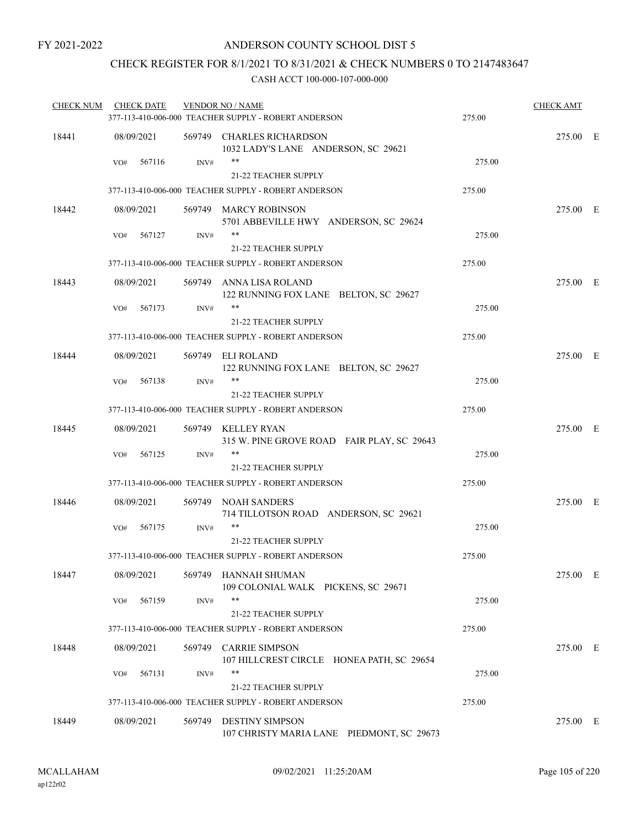### CHECK REGISTER FOR 8/1/2021 TO 8/31/2021 & CHECK NUMBERS 0 TO 2147483647

| <b>CHECK NUM</b> | <b>CHECK DATE</b> |        | <b>VENDOR NO / NAME</b><br>377-113-410-006-000 TEACHER SUPPLY - ROBERT ANDERSON | 275.00 | <b>CHECK AMT</b> |  |
|------------------|-------------------|--------|---------------------------------------------------------------------------------|--------|------------------|--|
| 18441            | 08/09/2021        |        | 569749 CHARLES RICHARDSON<br>1032 LADY'S LANE ANDERSON, SC 29621                |        | 275.00 E         |  |
|                  | 567116<br>VO#     | INV#   | $***$<br>21-22 TEACHER SUPPLY                                                   | 275.00 |                  |  |
|                  |                   |        | 377-113-410-006-000 TEACHER SUPPLY - ROBERT ANDERSON                            | 275.00 |                  |  |
| 18442            | 08/09/2021        |        | 569749 MARCY ROBINSON<br>5701 ABBEVILLE HWY ANDERSON, SC 29624                  |        | 275.00 E         |  |
|                  | 567127<br>VO#     | INV#   | $***$<br>21-22 TEACHER SUPPLY                                                   | 275.00 |                  |  |
|                  |                   |        | 377-113-410-006-000 TEACHER SUPPLY - ROBERT ANDERSON                            | 275.00 |                  |  |
| 18443            | 08/09/2021        |        | 569749 ANNA LISA ROLAND<br>122 RUNNING FOX LANE BELTON, SC 29627                |        | 275.00 E         |  |
|                  | 567173<br>VO#     | INV#   | $***$<br>21-22 TEACHER SUPPLY                                                   | 275.00 |                  |  |
|                  |                   |        | 377-113-410-006-000 TEACHER SUPPLY - ROBERT ANDERSON                            | 275.00 |                  |  |
| 18444            | 08/09/2021        |        | 569749 ELI ROLAND<br>122 RUNNING FOX LANE BELTON, SC 29627                      |        | 275.00 E         |  |
|                  | 567138<br>VO#     | INV#   | **<br><b>21-22 TEACHER SUPPLY</b>                                               | 275.00 |                  |  |
|                  |                   |        | 377-113-410-006-000 TEACHER SUPPLY - ROBERT ANDERSON                            | 275.00 |                  |  |
| 18445            | 08/09/2021        |        | 569749 KELLEY RYAN<br>315 W. PINE GROVE ROAD FAIR PLAY, SC 29643                |        | 275.00 E         |  |
|                  | 567125<br>VO#     | INV#   | **<br><b>21-22 TEACHER SUPPLY</b>                                               | 275.00 |                  |  |
|                  |                   |        | 377-113-410-006-000 TEACHER SUPPLY - ROBERT ANDERSON                            | 275.00 |                  |  |
| 18446            | 08/09/2021        |        | 569749 NOAH SANDERS<br>714 TILLOTSON ROAD ANDERSON, SC 29621                    |        | 275.00 E         |  |
|                  | 567175<br>VO#     | INV#   | **<br>21-22 TEACHER SUPPLY                                                      | 275.00 |                  |  |
|                  |                   |        | 377-113-410-006-000 TEACHER SUPPLY - ROBERT ANDERSON                            | 275.00 |                  |  |
| 18447            | 08/09/2021        |        | 569749 HANNAH SHUMAN<br>109 COLONIAL WALK PICKENS, SC 29671                     |        | 275.00 E         |  |
|                  | 567159<br>VO#     | INV#   | **<br>21-22 TEACHER SUPPLY                                                      | 275.00 |                  |  |
|                  |                   |        | 377-113-410-006-000 TEACHER SUPPLY - ROBERT ANDERSON                            | 275.00 |                  |  |
| 18448            | 08/09/2021        |        | 569749 CARRIE SIMPSON<br>107 HILLCREST CIRCLE HONEA PATH, SC 29654              |        | 275.00 E         |  |
|                  | 567131<br>VO#     | INV#   | **                                                                              | 275.00 |                  |  |
|                  |                   |        | 21-22 TEACHER SUPPLY                                                            |        |                  |  |
|                  |                   |        | 377-113-410-006-000 TEACHER SUPPLY - ROBERT ANDERSON                            | 275.00 |                  |  |
| 18449            | 08/09/2021        | 569749 | <b>DESTINY SIMPSON</b><br>107 CHRISTY MARIA LANE PIEDMONT, SC 29673             |        | 275.00 E         |  |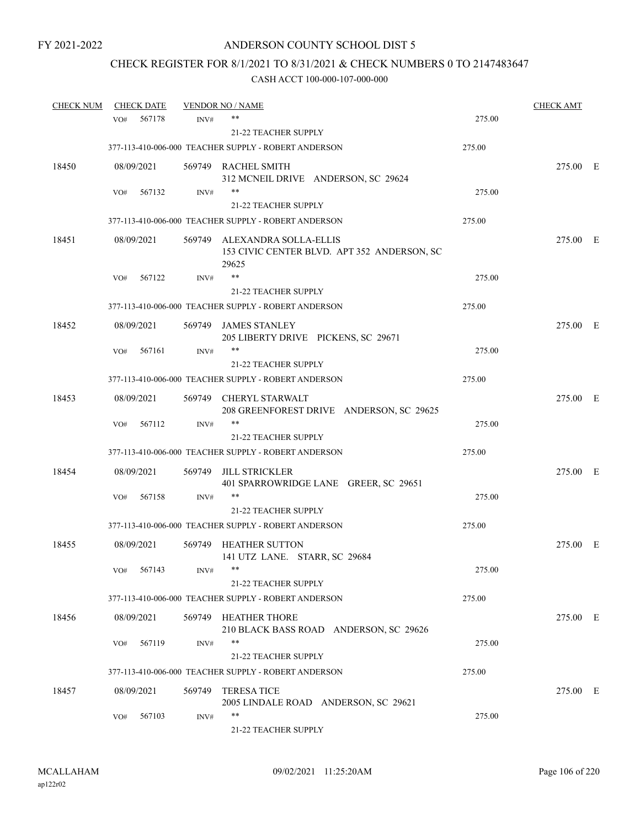# CHECK REGISTER FOR 8/1/2021 TO 8/31/2021 & CHECK NUMBERS 0 TO 2147483647

| <b>CHECK NUM</b> |     | <b>CHECK DATE</b> |        | <b>VENDOR NO / NAME</b>                                                              |        | <b>CHECK AMT</b> |  |
|------------------|-----|-------------------|--------|--------------------------------------------------------------------------------------|--------|------------------|--|
|                  | VO# | 567178            | INV#   | **                                                                                   | 275.00 |                  |  |
|                  |     |                   |        | <b>21-22 TEACHER SUPPLY</b>                                                          |        |                  |  |
|                  |     |                   |        | 377-113-410-006-000 TEACHER SUPPLY - ROBERT ANDERSON                                 | 275.00 |                  |  |
| 18450            |     | 08/09/2021        |        | 569749 RACHEL SMITH<br>312 MCNEIL DRIVE ANDERSON, SC 29624                           |        | 275.00 E         |  |
|                  | VO# | 567132            | INV#   | **                                                                                   | 275.00 |                  |  |
|                  |     |                   |        | 21-22 TEACHER SUPPLY                                                                 |        |                  |  |
|                  |     |                   |        | 377-113-410-006-000 TEACHER SUPPLY - ROBERT ANDERSON                                 | 275.00 |                  |  |
| 18451            |     | 08/09/2021        |        | 569749 ALEXANDRA SOLLA-ELLIS<br>153 CIVIC CENTER BLVD. APT 352 ANDERSON, SC<br>29625 |        | 275.00 E         |  |
|                  | VO# | 567122            | INV#   | **                                                                                   | 275.00 |                  |  |
|                  |     |                   |        | <b>21-22 TEACHER SUPPLY</b>                                                          |        |                  |  |
|                  |     |                   |        | 377-113-410-006-000 TEACHER SUPPLY - ROBERT ANDERSON                                 | 275.00 |                  |  |
| 18452            |     | 08/09/2021        |        | 569749 JAMES STANLEY<br>205 LIBERTY DRIVE PICKENS, SC 29671                          |        | 275.00 E         |  |
|                  | VO# | 567161            | INV#   |                                                                                      | 275.00 |                  |  |
|                  |     |                   |        | <b>21-22 TEACHER SUPPLY</b>                                                          |        |                  |  |
|                  |     |                   |        | 377-113-410-006-000 TEACHER SUPPLY - ROBERT ANDERSON                                 | 275.00 |                  |  |
| 18453            |     | 08/09/2021        |        | 569749 CHERYL STARWALT<br>208 GREENFOREST DRIVE ANDERSON, SC 29625                   |        | 275.00 E         |  |
|                  | VO# | 567112            | INV#   | **                                                                                   | 275.00 |                  |  |
|                  |     |                   |        | 21-22 TEACHER SUPPLY                                                                 |        |                  |  |
|                  |     |                   |        | 377-113-410-006-000 TEACHER SUPPLY - ROBERT ANDERSON                                 | 275.00 |                  |  |
| 18454            |     | 08/09/2021        | 569749 | JILL STRICKLER<br>401 SPARROWRIDGE LANE GREER, SC 29651                              |        | 275.00 E         |  |
|                  | VO# | 567158            | INV#   | **                                                                                   | 275.00 |                  |  |
|                  |     |                   |        | <b>21-22 TEACHER SUPPLY</b>                                                          |        |                  |  |
|                  |     |                   |        | 377-113-410-006-000 TEACHER SUPPLY - ROBERT ANDERSON                                 | 275.00 |                  |  |
| 18455            |     | 08/09/2021        |        | 569749 HEATHER SUTTON<br>141 UTZ LANE. STARR, SC 29684                               |        | 275.00 E         |  |
|                  | VO# | 567143            | INV#   | 21-22 TEACHER SUPPLY                                                                 | 275.00 |                  |  |
|                  |     |                   |        | 377-113-410-006-000 TEACHER SUPPLY - ROBERT ANDERSON                                 | 275.00 |                  |  |
| 18456            |     | 08/09/2021        |        | 569749 HEATHER THORE<br>210 BLACK BASS ROAD ANDERSON, SC 29626                       |        | 275.00 E         |  |
|                  | VO# | 567119            | INV#   | **<br><b>21-22 TEACHER SUPPLY</b>                                                    | 275.00 |                  |  |
|                  |     |                   |        | 377-113-410-006-000 TEACHER SUPPLY - ROBERT ANDERSON                                 | 275.00 |                  |  |
|                  |     |                   |        |                                                                                      |        |                  |  |
| 18457            |     | 08/09/2021        | 569749 | <b>TERESATICE</b><br>2005 LINDALE ROAD ANDERSON, SC 29621                            |        | 275.00 E         |  |
|                  | VO# | 567103            | INV#   | **                                                                                   | 275.00 |                  |  |
|                  |     |                   |        | 21-22 TEACHER SUPPLY                                                                 |        |                  |  |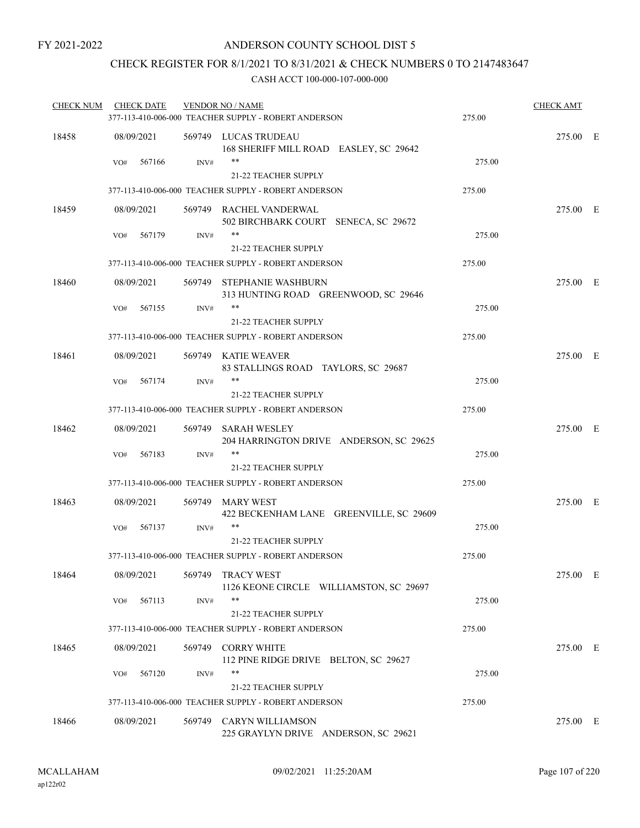### CHECK REGISTER FOR 8/1/2021 TO 8/31/2021 & CHECK NUMBERS 0 TO 2147483647

| <b>CHECK NUM</b> | <b>CHECK DATE</b> |      | <b>VENDOR NO / NAME</b><br>377-113-410-006-000 TEACHER SUPPLY - ROBERT ANDERSON | 275.00 | <b>CHECK AMT</b> |  |
|------------------|-------------------|------|---------------------------------------------------------------------------------|--------|------------------|--|
| 18458            | 08/09/2021        |      | 569749 LUCAS TRUDEAU<br>168 SHERIFF MILL ROAD EASLEY, SC 29642                  |        | 275.00 E         |  |
|                  | 567166<br>VO#     | INV# | **<br>21-22 TEACHER SUPPLY                                                      | 275.00 |                  |  |
|                  |                   |      | 377-113-410-006-000 TEACHER SUPPLY - ROBERT ANDERSON                            | 275.00 |                  |  |
| 18459            | 08/09/2021        |      | 569749 RACHEL VANDERWAL<br>502 BIRCHBARK COURT SENECA, SC 29672                 |        | 275.00 E         |  |
|                  | 567179<br>VO#     | INV# | $***$                                                                           | 275.00 |                  |  |
|                  |                   |      | 21-22 TEACHER SUPPLY                                                            |        |                  |  |
|                  |                   |      | 377-113-410-006-000 TEACHER SUPPLY - ROBERT ANDERSON                            | 275.00 |                  |  |
| 18460            | 08/09/2021        |      | 569749 STEPHANIE WASHBURN<br>313 HUNTING ROAD GREENWOOD, SC 29646               |        | 275.00 E         |  |
|                  | 567155<br>VO#     | INV# | **                                                                              | 275.00 |                  |  |
|                  |                   |      | 21-22 TEACHER SUPPLY                                                            |        |                  |  |
|                  |                   |      | 377-113-410-006-000 TEACHER SUPPLY - ROBERT ANDERSON                            | 275.00 |                  |  |
| 18461            | 08/09/2021        |      | 569749 KATIE WEAVER<br>83 STALLINGS ROAD TAYLORS, SC 29687                      |        | 275.00 E         |  |
|                  | 567174<br>VO#     | INV# | **                                                                              | 275.00 |                  |  |
|                  |                   |      | <b>21-22 TEACHER SUPPLY</b>                                                     |        |                  |  |
|                  |                   |      | 377-113-410-006-000 TEACHER SUPPLY - ROBERT ANDERSON                            | 275.00 |                  |  |
| 18462            | 08/09/2021        |      | 569749 SARAH WESLEY<br>204 HARRINGTON DRIVE ANDERSON, SC 29625                  |        | 275.00 E         |  |
|                  | 567183<br>VO#     | INV# | **                                                                              | 275.00 |                  |  |
|                  |                   |      | <b>21-22 TEACHER SUPPLY</b>                                                     |        |                  |  |
|                  |                   |      | 377-113-410-006-000 TEACHER SUPPLY - ROBERT ANDERSON                            | 275.00 |                  |  |
| 18463            | 08/09/2021        |      | 569749 MARY WEST<br>422 BECKENHAM LANE GREENVILLE, SC 29609                     |        | 275.00 E         |  |
|                  | 567137<br>VO#     | INV# | **                                                                              | 275.00 |                  |  |
|                  |                   |      | 21-22 TEACHER SUPPLY                                                            |        |                  |  |
|                  |                   |      | 377-113-410-006-000 TEACHER SUPPLY - ROBERT ANDERSON                            | 275.00 |                  |  |
| 18464            | 08/09/2021        |      | 569749 TRACY WEST<br>1126 KEONE CIRCLE WILLIAMSTON, SC 29697                    |        | 275.00 E         |  |
|                  | 567113<br>VO#     | INV# | **<br>21-22 TEACHER SUPPLY                                                      | 275.00 |                  |  |
|                  |                   |      | 377-113-410-006-000 TEACHER SUPPLY - ROBERT ANDERSON                            | 275.00 |                  |  |
|                  |                   |      |                                                                                 |        |                  |  |
| 18465            | 08/09/2021        |      | 569749 CORRY WHITE<br>112 PINE RIDGE DRIVE BELTON, SC 29627<br>**               |        | 275.00 E         |  |
|                  | 567120<br>VO#     | INV# | 21-22 TEACHER SUPPLY                                                            | 275.00 |                  |  |
|                  |                   |      | 377-113-410-006-000 TEACHER SUPPLY - ROBERT ANDERSON                            | 275.00 |                  |  |
|                  |                   |      |                                                                                 |        |                  |  |
| 18466            | 08/09/2021        |      | 569749 CARYN WILLIAMSON<br>225 GRAYLYN DRIVE ANDERSON, SC 29621                 |        | 275.00 E         |  |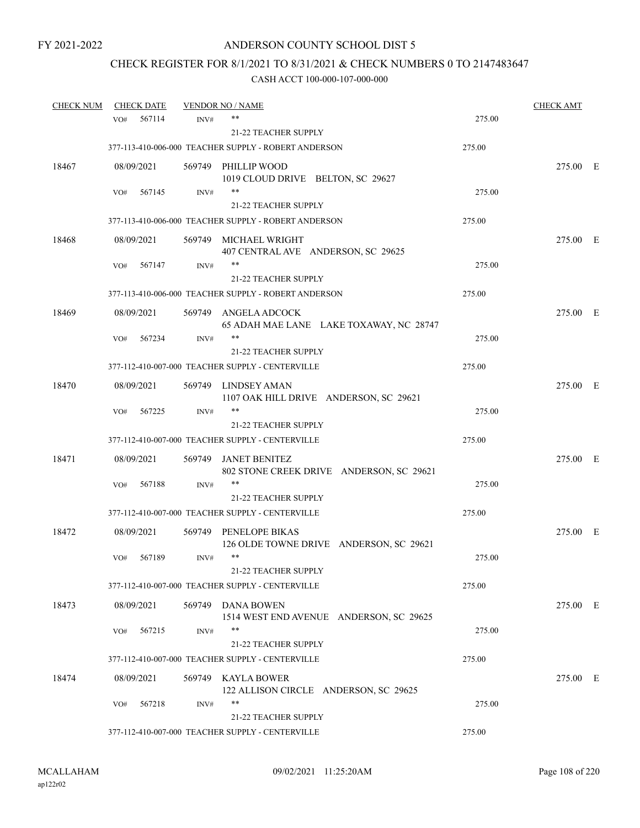# CHECK REGISTER FOR 8/1/2021 TO 8/31/2021 & CHECK NUMBERS 0 TO 2147483647

| <b>CHECK NUM</b> |            | <b>CHECK DATE</b> |      | <b>VENDOR NO / NAME</b>                                          |        | <b>CHECK AMT</b> |  |
|------------------|------------|-------------------|------|------------------------------------------------------------------|--------|------------------|--|
|                  | VO#        | 567114            | INV# | **                                                               | 275.00 |                  |  |
|                  |            |                   |      | 21-22 TEACHER SUPPLY                                             |        |                  |  |
|                  |            |                   |      | 377-113-410-006-000 TEACHER SUPPLY - ROBERT ANDERSON             | 275.00 |                  |  |
| 18467            | 08/09/2021 |                   |      | 569749 PHILLIP WOOD                                              |        | 275.00 E         |  |
|                  |            |                   |      | 1019 CLOUD DRIVE BELTON, SC 29627                                |        |                  |  |
|                  | VO#        | 567145            | INV# | **                                                               | 275.00 |                  |  |
|                  |            |                   |      | <b>21-22 TEACHER SUPPLY</b>                                      |        |                  |  |
|                  |            |                   |      | 377-113-410-006-000 TEACHER SUPPLY - ROBERT ANDERSON             | 275.00 |                  |  |
| 18468            | 08/09/2021 |                   |      | 569749 MICHAEL WRIGHT<br>407 CENTRAL AVE ANDERSON, SC 29625      |        | 275.00 E         |  |
|                  | VO#        | 567147            | INV# | **                                                               | 275.00 |                  |  |
|                  |            |                   |      | 21-22 TEACHER SUPPLY                                             |        |                  |  |
|                  |            |                   |      | 377-113-410-006-000 TEACHER SUPPLY - ROBERT ANDERSON             | 275.00 |                  |  |
| 18469            | 08/09/2021 |                   |      | 569749 ANGELA ADCOCK<br>65 ADAH MAE LANE LAKE TOXAWAY, NC 28747  |        | 275.00 E         |  |
|                  | VO#        | 567234            | INV# | **                                                               | 275.00 |                  |  |
|                  |            |                   |      | 21-22 TEACHER SUPPLY                                             |        |                  |  |
|                  |            |                   |      | 377-112-410-007-000 TEACHER SUPPLY - CENTERVILLE                 | 275.00 |                  |  |
| 18470            | 08/09/2021 |                   |      | 569749 LINDSEY AMAN<br>1107 OAK HILL DRIVE ANDERSON, SC 29621    |        | 275.00 E         |  |
|                  | VO#        | 567225            | INV# | $***$                                                            | 275.00 |                  |  |
|                  |            |                   |      | 21-22 TEACHER SUPPLY                                             |        |                  |  |
|                  |            |                   |      | 377-112-410-007-000 TEACHER SUPPLY - CENTERVILLE                 | 275.00 |                  |  |
| 18471            | 08/09/2021 |                   |      | 569749 JANET BENITEZ<br>802 STONE CREEK DRIVE ANDERSON, SC 29621 |        | 275.00 E         |  |
|                  | VO#        | 567188            | INV# | **                                                               | 275.00 |                  |  |
|                  |            |                   |      | 21-22 TEACHER SUPPLY                                             |        |                  |  |
|                  |            |                   |      | 377-112-410-007-000 TEACHER SUPPLY - CENTERVILLE                 | 275.00 |                  |  |
| 18472            | 08/09/2021 |                   |      | 569749 PENELOPE BIKAS<br>126 OLDE TOWNE DRIVE ANDERSON, SC 29621 |        | 275.00 E         |  |
|                  | VO#        | 567189            | INV# | $***$                                                            | 275.00 |                  |  |
|                  |            |                   |      | <b>21-22 TEACHER SUPPLY</b>                                      |        |                  |  |
|                  |            |                   |      | 377-112-410-007-000 TEACHER SUPPLY - CENTERVILLE                 | 275.00 |                  |  |
| 18473            | 08/09/2021 |                   |      | 569749 DANA BOWEN<br>1514 WEST END AVENUE ANDERSON, SC 29625     |        | 275.00 E         |  |
|                  | VO#        | 567215            | INV# | **                                                               | 275.00 |                  |  |
|                  |            |                   |      | 21-22 TEACHER SUPPLY                                             |        |                  |  |
|                  |            |                   |      | 377-112-410-007-000 TEACHER SUPPLY - CENTERVILLE                 | 275.00 |                  |  |
| 18474            | 08/09/2021 |                   |      | 569749 KAYLA BOWER<br>122 ALLISON CIRCLE ANDERSON, SC 29625      |        | 275.00 E         |  |
|                  | VO#        | 567218            | INV# | **                                                               | 275.00 |                  |  |
|                  |            |                   |      | 21-22 TEACHER SUPPLY                                             |        |                  |  |
|                  |            |                   |      | 377-112-410-007-000 TEACHER SUPPLY - CENTERVILLE                 | 275.00 |                  |  |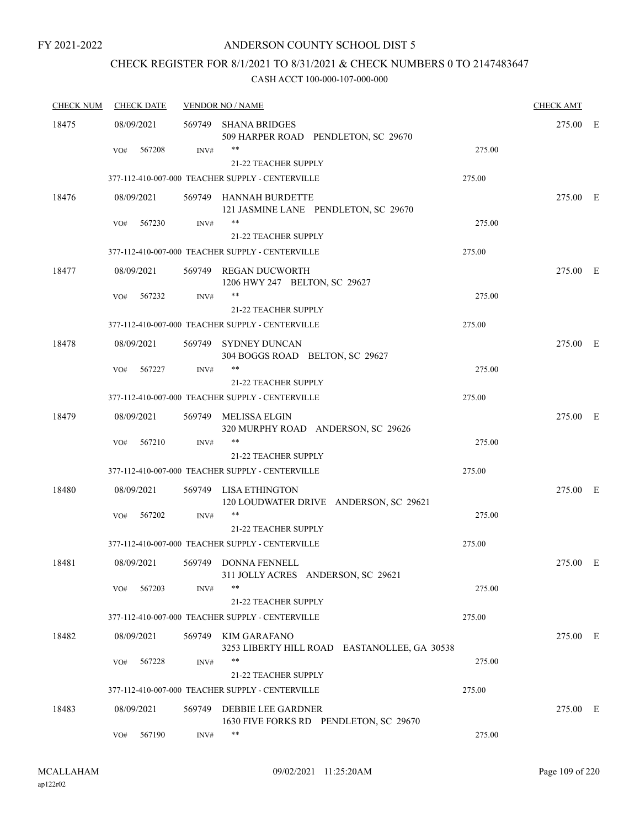### ANDERSON COUNTY SCHOOL DIST 5

# CHECK REGISTER FOR 8/1/2021 TO 8/31/2021 & CHECK NUMBERS 0 TO 2147483647

| <b>CHECK NUM</b> | <b>CHECK DATE</b> |        | <b>VENDOR NO / NAME</b>                                                         |        | <b>CHECK AMT</b> |  |
|------------------|-------------------|--------|---------------------------------------------------------------------------------|--------|------------------|--|
| 18475            | 08/09/2021        | 569749 | SHANA BRIDGES<br>509 HARPER ROAD PENDLETON, SC 29670                            |        | 275.00 E         |  |
|                  | 567208<br>VO#     | INV#   | **<br>21-22 TEACHER SUPPLY                                                      | 275.00 |                  |  |
|                  |                   |        | 377-112-410-007-000 TEACHER SUPPLY - CENTERVILLE                                | 275.00 |                  |  |
| 18476            | 08/09/2021        |        | 569749 HANNAH BURDETTE<br>121 JASMINE LANE PENDLETON, SC 29670                  |        | 275.00 E         |  |
|                  | 567230<br>VO#     | INV#   | $***$<br>21-22 TEACHER SUPPLY                                                   | 275.00 |                  |  |
|                  |                   |        | 377-112-410-007-000 TEACHER SUPPLY - CENTERVILLE                                | 275.00 |                  |  |
| 18477            | 08/09/2021        |        | 569749 REGAN DUCWORTH<br>1206 HWY 247 BELTON, SC 29627                          |        | 275.00 E         |  |
|                  | 567232<br>VO#     | INV#   | $***$<br><b>21-22 TEACHER SUPPLY</b>                                            | 275.00 |                  |  |
|                  |                   |        | 377-112-410-007-000 TEACHER SUPPLY - CENTERVILLE                                | 275.00 |                  |  |
| 18478            | 08/09/2021        |        | 569749 SYDNEY DUNCAN<br>304 BOGGS ROAD BELTON, SC 29627                         |        | 275.00 E         |  |
|                  | 567227<br>VO#     | INV#   | $***$                                                                           | 275.00 |                  |  |
|                  |                   |        | <b>21-22 TEACHER SUPPLY</b><br>377-112-410-007-000 TEACHER SUPPLY - CENTERVILLE | 275.00 |                  |  |
| 18479            | 08/09/2021        | 569749 | MELISSA ELGIN<br>320 MURPHY ROAD ANDERSON, SC 29626                             |        | 275.00 E         |  |
|                  | VO#<br>567210     | INV#   | $***$<br><b>21-22 TEACHER SUPPLY</b>                                            | 275.00 |                  |  |
|                  |                   |        | 377-112-410-007-000 TEACHER SUPPLY - CENTERVILLE                                | 275.00 |                  |  |
| 18480            | 08/09/2021        |        | 569749 LISA ETHINGTON<br>120 LOUDWATER DRIVE ANDERSON, SC 29621                 |        | 275.00 E         |  |
|                  | 567202<br>VO#     | INV#   | **<br><b>21-22 TEACHER SUPPLY</b>                                               | 275.00 |                  |  |
|                  |                   |        | 377-112-410-007-000 TEACHER SUPPLY - CENTERVILLE                                | 275.00 |                  |  |
| 18481            | 08/09/2021        | 569749 | DONNA FENNELL<br>311 JOLLY ACRES ANDERSON, SC 29621                             |        | 275.00 E         |  |
|                  | 567203<br>VO#     | INV#   | **<br>21-22 TEACHER SUPPLY                                                      | 275.00 |                  |  |
|                  |                   |        | 377-112-410-007-000 TEACHER SUPPLY - CENTERVILLE                                | 275.00 |                  |  |
| 18482            | 08/09/2021        | 569749 | <b>KIM GARAFANO</b><br>3253 LIBERTY HILL ROAD EASTANOLLEE, GA 30538             |        | 275.00 E         |  |
|                  | 567228<br>VO#     | INV#   | **<br><b>21-22 TEACHER SUPPLY</b>                                               | 275.00 |                  |  |
|                  |                   |        | 377-112-410-007-000 TEACHER SUPPLY - CENTERVILLE                                | 275.00 |                  |  |
| 18483            | 08/09/2021        | 569749 | DEBBIE LEE GARDNER<br>1630 FIVE FORKS RD PENDLETON, SC 29670                    |        | 275.00 E         |  |
|                  | 567190<br>VO#     | INV#   | **                                                                              | 275.00 |                  |  |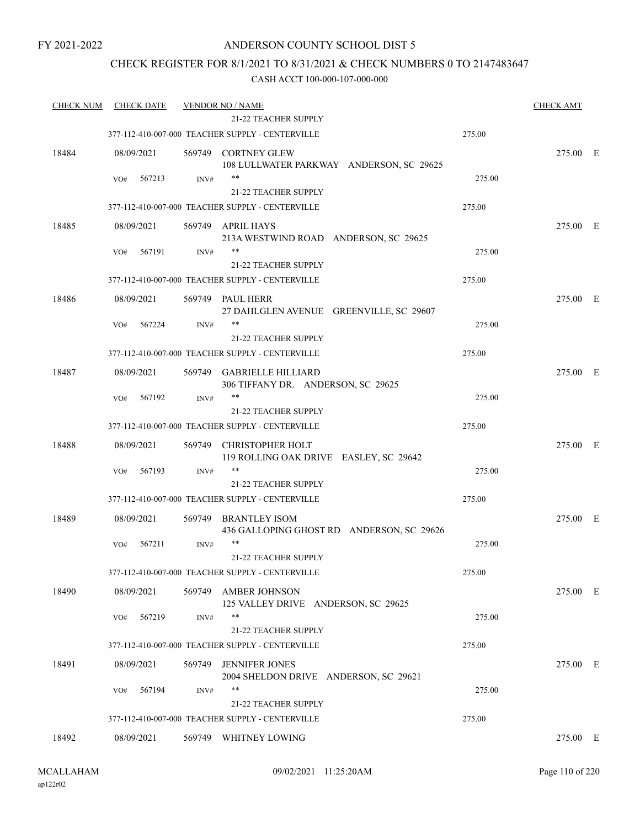### ANDERSON COUNTY SCHOOL DIST 5

### CHECK REGISTER FOR 8/1/2021 TO 8/31/2021 & CHECK NUMBERS 0 TO 2147483647

| <b>CHECK NUM</b> | <b>CHECK DATE</b> |        | <b>VENDOR NO / NAME</b><br><b>21-22 TEACHER SUPPLY</b>                   |        | <b>CHECK AMT</b> |  |
|------------------|-------------------|--------|--------------------------------------------------------------------------|--------|------------------|--|
|                  |                   |        | 377-112-410-007-000 TEACHER SUPPLY - CENTERVILLE                         | 275.00 |                  |  |
|                  |                   |        |                                                                          |        |                  |  |
| 18484            | 08/09/2021        |        | 569749 CORTNEY GLEW<br>108 LULLWATER PARKWAY ANDERSON, SC 29625          |        | 275.00 E         |  |
|                  | VO#<br>567213     | INV#   | $***$                                                                    | 275.00 |                  |  |
|                  |                   |        | 21-22 TEACHER SUPPLY                                                     |        |                  |  |
|                  |                   |        | 377-112-410-007-000 TEACHER SUPPLY - CENTERVILLE                         | 275.00 |                  |  |
| 18485            | 08/09/2021        |        | 569749 APRIL HAYS                                                        |        | 275.00 E         |  |
|                  |                   |        | 213A WESTWIND ROAD ANDERSON, SC 29625                                    |        |                  |  |
|                  | 567191<br>VO#     | INV#   | **                                                                       | 275.00 |                  |  |
|                  |                   |        | 21-22 TEACHER SUPPLY<br>377-112-410-007-000 TEACHER SUPPLY - CENTERVILLE |        |                  |  |
|                  |                   |        |                                                                          | 275.00 |                  |  |
| 18486            | 08/09/2021        |        | 569749 PAUL HERR<br>27 DAHLGLEN AVENUE GREENVILLE, SC 29607              |        | 275.00 E         |  |
|                  | 567224<br>VO#     | INV#   | **                                                                       | 275.00 |                  |  |
|                  |                   |        | 21-22 TEACHER SUPPLY                                                     |        |                  |  |
|                  |                   |        | 377-112-410-007-000 TEACHER SUPPLY - CENTERVILLE                         | 275.00 |                  |  |
| 18487            | 08/09/2021        | 569749 | <b>GABRIELLE HILLIARD</b>                                                |        | 275.00 E         |  |
|                  |                   |        | 306 TIFFANY DR. ANDERSON, SC 29625                                       |        |                  |  |
|                  | 567192<br>VO#     | INV#   | $***$                                                                    | 275.00 |                  |  |
|                  |                   |        | 21-22 TEACHER SUPPLY                                                     |        |                  |  |
|                  |                   |        | 377-112-410-007-000 TEACHER SUPPLY - CENTERVILLE                         | 275.00 |                  |  |
| 18488            | 08/09/2021        | 569749 | CHRISTOPHER HOLT                                                         |        | 275.00 E         |  |
|                  | 567193<br>VO#     | INV#   | 119 ROLLING OAK DRIVE EASLEY, SC 29642<br>**                             | 275.00 |                  |  |
|                  |                   |        | 21-22 TEACHER SUPPLY                                                     |        |                  |  |
|                  |                   |        | 377-112-410-007-000 TEACHER SUPPLY - CENTERVILLE                         | 275.00 |                  |  |
| 18489            | 08/09/2021        | 569749 | BRANTLEY ISOM                                                            |        | 275.00 E         |  |
|                  |                   |        | 436 GALLOPING GHOST RD ANDERSON, SC 29626                                |        |                  |  |
|                  | 567211<br>VO#     | INV#   | $***$                                                                    | 275.00 |                  |  |
|                  |                   |        | 21-22 TEACHER SUPPLY                                                     |        |                  |  |
|                  |                   |        | 377-112-410-007-000 TEACHER SUPPLY - CENTERVILLE                         | 275.00 |                  |  |
| 18490            | 08/09/2021        | 569749 | <b>AMBER JOHNSON</b>                                                     |        | 275.00 E         |  |
|                  | 567219<br>VO#     | INV#   | 125 VALLEY DRIVE ANDERSON, SC 29625<br>$***$                             | 275.00 |                  |  |
|                  |                   |        | 21-22 TEACHER SUPPLY                                                     |        |                  |  |
|                  |                   |        | 377-112-410-007-000 TEACHER SUPPLY - CENTERVILLE                         | 275.00 |                  |  |
| 18491            | 08/09/2021        | 569749 | <b>JENNIFER JONES</b>                                                    |        | 275.00 E         |  |
|                  |                   |        | 2004 SHELDON DRIVE ANDERSON, SC 29621                                    |        |                  |  |
|                  | 567194<br>VO#     | INV#   | **                                                                       | 275.00 |                  |  |
|                  |                   |        | <b>21-22 TEACHER SUPPLY</b>                                              |        |                  |  |
|                  |                   |        | 377-112-410-007-000 TEACHER SUPPLY - CENTERVILLE                         | 275.00 |                  |  |
| 18492            | 08/09/2021        |        | 569749 WHITNEY LOWING                                                    |        | 275.00 E         |  |
|                  |                   |        |                                                                          |        |                  |  |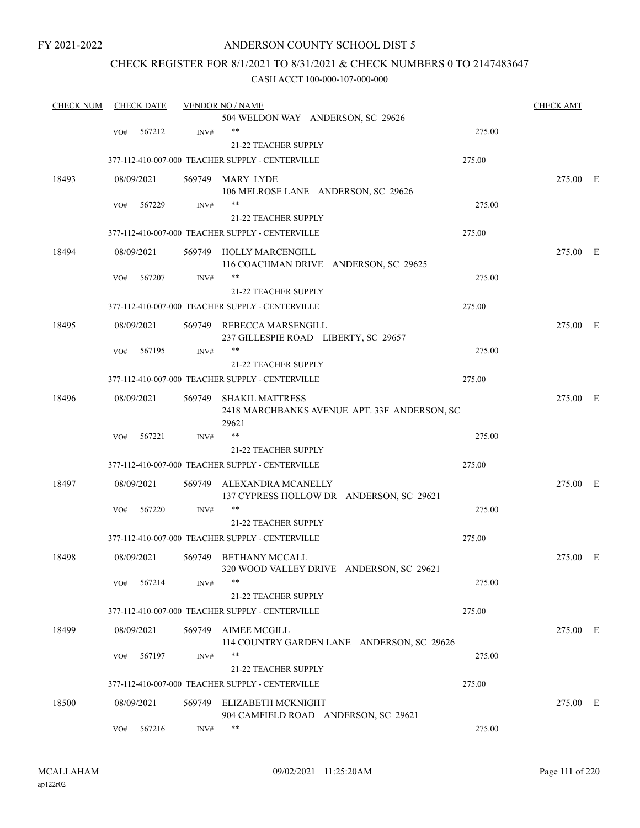### ANDERSON COUNTY SCHOOL DIST 5

### CHECK REGISTER FOR 8/1/2021 TO 8/31/2021 & CHECK NUMBERS 0 TO 2147483647

| <b>CHECK NUM</b> |            | <b>CHECK DATE</b> |        | <b>VENDOR NO / NAME</b>                                                         |        | <b>CHECK AMT</b> |  |
|------------------|------------|-------------------|--------|---------------------------------------------------------------------------------|--------|------------------|--|
|                  |            |                   |        | 504 WELDON WAY ANDERSON, SC 29626                                               |        |                  |  |
|                  | VO#        | 567212            | INV#   | $***$                                                                           | 275.00 |                  |  |
|                  |            |                   |        | 21-22 TEACHER SUPPLY                                                            |        |                  |  |
|                  |            |                   |        | 377-112-410-007-000 TEACHER SUPPLY - CENTERVILLE                                | 275.00 |                  |  |
| 18493            | 08/09/2021 |                   |        | 569749 MARY LYDE                                                                |        | 275.00 E         |  |
|                  |            |                   |        | 106 MELROSE LANE ANDERSON, SC 29626                                             |        |                  |  |
|                  | VO#        | 567229            | INV#   | $***$                                                                           | 275.00 |                  |  |
|                  |            |                   |        | <b>21-22 TEACHER SUPPLY</b>                                                     |        |                  |  |
|                  |            |                   |        | 377-112-410-007-000 TEACHER SUPPLY - CENTERVILLE                                | 275.00 |                  |  |
| 18494            | 08/09/2021 |                   |        | 569749 HOLLY MARCENGILL<br>116 COACHMAN DRIVE ANDERSON, SC 29625                |        | 275.00 E         |  |
|                  | VO#        | 567207            | INV#   | $***$                                                                           | 275.00 |                  |  |
|                  |            |                   |        | 21-22 TEACHER SUPPLY                                                            |        |                  |  |
|                  |            |                   |        | 377-112-410-007-000 TEACHER SUPPLY - CENTERVILLE                                | 275.00 |                  |  |
| 18495            | 08/09/2021 |                   | 569749 | REBECCA MARSENGILL                                                              |        | 275.00 E         |  |
|                  |            |                   |        | 237 GILLESPIE ROAD LIBERTY, SC 29657                                            |        |                  |  |
|                  | VO#        | 567195            | INV#   | $***$                                                                           | 275.00 |                  |  |
|                  |            |                   |        | 21-22 TEACHER SUPPLY                                                            |        |                  |  |
|                  |            |                   |        | 377-112-410-007-000 TEACHER SUPPLY - CENTERVILLE                                | 275.00 |                  |  |
|                  |            |                   |        |                                                                                 |        |                  |  |
| 18496            | 08/09/2021 |                   | 569749 | <b>SHAKIL MATTRESS</b><br>2418 MARCHBANKS AVENUE APT. 33F ANDERSON, SC<br>29621 |        | 275.00 E         |  |
|                  | VO#        | 567221            | INV#   | $***$                                                                           | 275.00 |                  |  |
|                  |            |                   |        | <b>21-22 TEACHER SUPPLY</b>                                                     |        |                  |  |
|                  |            |                   |        | 377-112-410-007-000 TEACHER SUPPLY - CENTERVILLE                                | 275.00 |                  |  |
| 18497            | 08/09/2021 |                   | 569749 | ALEXANDRA MCANELLY<br>137 CYPRESS HOLLOW DR ANDERSON, SC 29621                  |        | 275.00 E         |  |
|                  | VO#        | 567220            | INV#   | $***$                                                                           | 275.00 |                  |  |
|                  |            |                   |        | 21-22 TEACHER SUPPLY                                                            |        |                  |  |
|                  |            |                   |        | 377-112-410-007-000 TEACHER SUPPLY - CENTERVILLE                                | 275.00 |                  |  |
| 18498            | 08/09/2021 |                   | 569749 | BETHANY MCCALL<br>320 WOOD VALLEY DRIVE ANDERSON, SC 29621                      |        | 275.00 E         |  |
|                  | VO#        | 567214            | INV#   | **                                                                              | 275.00 |                  |  |
|                  |            |                   |        | <b>21-22 TEACHER SUPPLY</b>                                                     |        |                  |  |
|                  |            |                   |        | 377-112-410-007-000 TEACHER SUPPLY - CENTERVILLE                                | 275.00 |                  |  |
| 18499            | 08/09/2021 |                   | 569749 | <b>AIMEE MCGILL</b><br>114 COUNTRY GARDEN LANE ANDERSON, SC 29626               |        | 275.00 E         |  |
|                  | VO#        | 567197            | INV#   | $***$                                                                           | 275.00 |                  |  |
|                  |            |                   |        | 21-22 TEACHER SUPPLY                                                            |        |                  |  |
|                  |            |                   |        | 377-112-410-007-000 TEACHER SUPPLY - CENTERVILLE                                | 275.00 |                  |  |
| 18500            | 08/09/2021 |                   | 569749 | ELIZABETH MCKNIGHT                                                              |        | 275.00 E         |  |
|                  |            |                   |        | 904 CAMFIELD ROAD ANDERSON, SC 29621                                            |        |                  |  |
|                  | VO#        | 567216            | INV#   | **                                                                              | 275.00 |                  |  |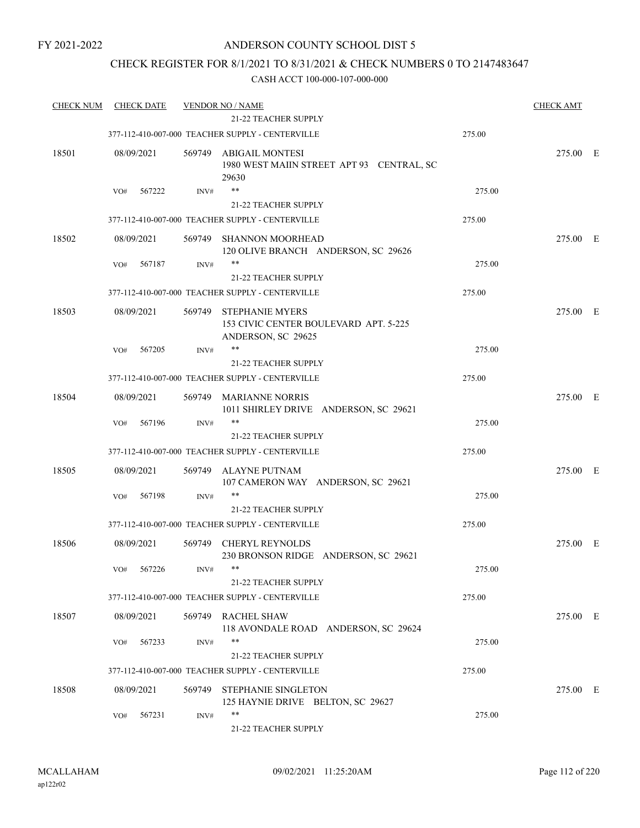### CHECK REGISTER FOR 8/1/2021 TO 8/31/2021 & CHECK NUMBERS 0 TO 2147483647

| <b>CHECK NUM</b> | <b>CHECK DATE</b> |        | <b>VENDOR NO / NAME</b><br>21-22 TEACHER SUPPLY                                       |        | <b>CHECK AMT</b> |  |
|------------------|-------------------|--------|---------------------------------------------------------------------------------------|--------|------------------|--|
|                  |                   |        | 377-112-410-007-000 TEACHER SUPPLY - CENTERVILLE                                      | 275.00 |                  |  |
| 18501            | 08/09/2021        |        | 569749 ABIGAIL MONTESI<br>1980 WEST MAIIN STREET APT 93 CENTRAL, SC<br>29630          |        | 275.00 E         |  |
|                  | 567222<br>VO#     | INV#   | **                                                                                    | 275.00 |                  |  |
|                  |                   |        | <b>21-22 TEACHER SUPPLY</b>                                                           |        |                  |  |
|                  |                   |        | 377-112-410-007-000 TEACHER SUPPLY - CENTERVILLE                                      | 275.00 |                  |  |
| 18502            | 08/09/2021        | 569749 | <b>SHANNON MOORHEAD</b><br>120 OLIVE BRANCH ANDERSON, SC 29626                        |        | 275.00 E         |  |
|                  | 567187<br>VO#     | INV#   | **                                                                                    | 275.00 |                  |  |
|                  |                   |        | 21-22 TEACHER SUPPLY                                                                  |        |                  |  |
|                  |                   |        | 377-112-410-007-000 TEACHER SUPPLY - CENTERVILLE                                      | 275.00 |                  |  |
| 18503            | 08/09/2021        | 569749 | <b>STEPHANIE MYERS</b><br>153 CIVIC CENTER BOULEVARD APT. 5-225<br>ANDERSON, SC 29625 |        | 275.00 E         |  |
|                  | 567205<br>VO#     | INV#   | **                                                                                    | 275.00 |                  |  |
|                  |                   |        | <b>21-22 TEACHER SUPPLY</b>                                                           |        |                  |  |
|                  |                   |        | 377-112-410-007-000 TEACHER SUPPLY - CENTERVILLE                                      | 275.00 |                  |  |
| 18504            | 08/09/2021        |        | 569749 MARIANNE NORRIS<br>1011 SHIRLEY DRIVE ANDERSON, SC 29621                       |        | 275.00 E         |  |
|                  | 567196<br>VO#     | INV#   | **                                                                                    | 275.00 |                  |  |
|                  |                   |        | 21-22 TEACHER SUPPLY                                                                  |        |                  |  |
|                  |                   |        | 377-112-410-007-000 TEACHER SUPPLY - CENTERVILLE                                      | 275.00 |                  |  |
| 18505            | 08/09/2021        | 569749 | ALAYNE PUTNAM<br>107 CAMERON WAY ANDERSON, SC 29621                                   |        | 275.00 E         |  |
|                  | 567198<br>VO#     | INV#   | **                                                                                    | 275.00 |                  |  |
|                  |                   |        | 21-22 TEACHER SUPPLY                                                                  |        |                  |  |
|                  |                   |        | 377-112-410-007-000 TEACHER SUPPLY - CENTERVILLE                                      | 275.00 |                  |  |
| 18506            | 08/09/2021        |        | 569749 CHERYL REYNOLDS<br>230 BRONSON RIDGE ANDERSON, SC 29621                        |        | 275.00 E         |  |
|                  | VO# 567226        | INV#   | **<br>21-22 TEACHER SUPPLY                                                            | 275.00 |                  |  |
|                  |                   |        | 377-112-410-007-000 TEACHER SUPPLY - CENTERVILLE                                      | 275.00 |                  |  |
| 18507            | 08/09/2021        |        | 569749 RACHEL SHAW<br>118 AVONDALE ROAD ANDERSON, SC 29624                            |        | 275.00 E         |  |
|                  | 567233<br>VO#     | INV#   | **<br>21-22 TEACHER SUPPLY                                                            | 275.00 |                  |  |
|                  |                   |        | 377-112-410-007-000 TEACHER SUPPLY - CENTERVILLE                                      | 275.00 |                  |  |
| 18508            | 08/09/2021        |        | 569749 STEPHANIE SINGLETON<br>125 HAYNIE DRIVE BELTON, SC 29627                       |        | 275.00 E         |  |
|                  | 567231<br>VO#     | INV#   | **<br>21-22 TEACHER SUPPLY                                                            | 275.00 |                  |  |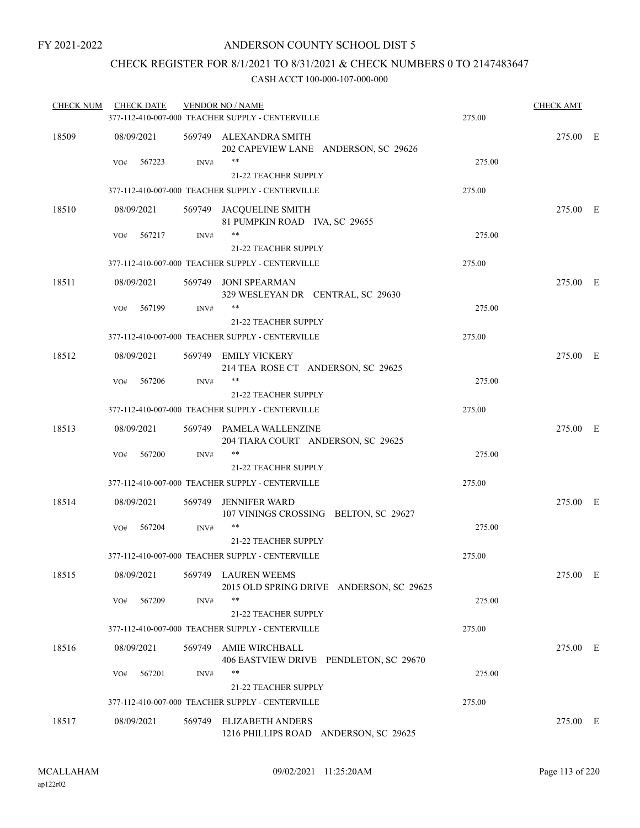### CHECK REGISTER FOR 8/1/2021 TO 8/31/2021 & CHECK NUMBERS 0 TO 2147483647

| 18509<br>569749 ALEXANDRA SMITH<br>275.00 E<br>08/09/2021<br>202 CAPEVIEW LANE ANDERSON, SC 29626<br>**<br>567223<br>INV#<br>275.00<br>VO#<br>21-22 TEACHER SUPPLY<br>377-112-410-007-000 TEACHER SUPPLY - CENTERVILLE<br>275.00<br>18510<br>275.00 E<br>08/09/2021<br>569749 JACQUELINE SMITH<br>81 PUMPKIN ROAD IVA, SC 29655<br>$***$<br>275.00<br>567217<br>INV#<br>VO#<br>21-22 TEACHER SUPPLY<br>377-112-410-007-000 TEACHER SUPPLY - CENTERVILLE<br>275.00<br>18511<br>569749 JONI SPEARMAN<br>08/09/2021<br>275.00 E<br>329 WESLEYAN DR CENTRAL, SC 29630<br>**<br>567199<br>INV#<br>275.00<br>VO#<br><b>21-22 TEACHER SUPPLY</b><br>377-112-410-007-000 TEACHER SUPPLY - CENTERVILLE<br>275.00<br>18512<br>08/09/2021<br>569749 EMILY VICKERY<br>275.00 E<br>214 TEA ROSE CT ANDERSON, SC 29625<br>$***$<br>567206<br>INV#<br>275.00<br>VO#<br><b>21-22 TEACHER SUPPLY</b><br>377-112-410-007-000 TEACHER SUPPLY - CENTERVILLE<br>275.00<br>18513<br>08/09/2021<br>275.00 E<br>569749 PAMELA WALLENZINE<br>204 TIARA COURT ANDERSON, SC 29625<br>**<br>275.00<br>567200<br>INV#<br>VO#<br><b>21-22 TEACHER SUPPLY</b><br>377-112-410-007-000 TEACHER SUPPLY - CENTERVILLE<br>275.00<br>18514<br>08/09/2021<br>275.00 E<br>569749<br>JENNIFER WARD<br>107 VININGS CROSSING BELTON, SC 29627<br>**<br>275.00<br>VO#<br>567204<br>INV#<br>21-22 TEACHER SUPPLY<br>377-112-410-007-000 TEACHER SUPPLY - CENTERVILLE<br>275.00<br>18515<br>08/09/2021<br>569749 LAUREN WEEMS<br>275.00 E<br>2015 OLD SPRING DRIVE ANDERSON, SC 29625<br>**<br>275.00<br>567209<br>INV#<br>VO#<br>21-22 TEACHER SUPPLY<br>275.00<br>377-112-410-007-000 TEACHER SUPPLY - CENTERVILLE<br>18516<br>08/09/2021<br>569749<br>AMIE WIRCHBALL<br>275.00 E<br>406 EASTVIEW DRIVE PENDLETON, SC 29670<br>**<br>567201<br>275.00<br>VO#<br>INV#<br>21-22 TEACHER SUPPLY<br>275.00<br>377-112-410-007-000 TEACHER SUPPLY - CENTERVILLE<br>08/09/2021<br><b>ELIZABETH ANDERS</b><br>18517<br>569749<br>275.00 E<br>1216 PHILLIPS ROAD ANDERSON, SC 29625 | <b>CHECK NUM</b> | <b>CHECK DATE</b> | <b>VENDOR NO / NAME</b><br>377-112-410-007-000 TEACHER SUPPLY - CENTERVILLE | 275.00 | <b>CHECK AMT</b> |  |
|----------------------------------------------------------------------------------------------------------------------------------------------------------------------------------------------------------------------------------------------------------------------------------------------------------------------------------------------------------------------------------------------------------------------------------------------------------------------------------------------------------------------------------------------------------------------------------------------------------------------------------------------------------------------------------------------------------------------------------------------------------------------------------------------------------------------------------------------------------------------------------------------------------------------------------------------------------------------------------------------------------------------------------------------------------------------------------------------------------------------------------------------------------------------------------------------------------------------------------------------------------------------------------------------------------------------------------------------------------------------------------------------------------------------------------------------------------------------------------------------------------------------------------------------------------------------------------------------------------------------------------------------------------------------------------------------------------------------------------------------------------------------------------------------------------------------------------------------------------------------------------------------------------------------------------------------------------------------------------------------------------------------------------|------------------|-------------------|-----------------------------------------------------------------------------|--------|------------------|--|
|                                                                                                                                                                                                                                                                                                                                                                                                                                                                                                                                                                                                                                                                                                                                                                                                                                                                                                                                                                                                                                                                                                                                                                                                                                                                                                                                                                                                                                                                                                                                                                                                                                                                                                                                                                                                                                                                                                                                                                                                                                  |                  |                   |                                                                             |        |                  |  |
|                                                                                                                                                                                                                                                                                                                                                                                                                                                                                                                                                                                                                                                                                                                                                                                                                                                                                                                                                                                                                                                                                                                                                                                                                                                                                                                                                                                                                                                                                                                                                                                                                                                                                                                                                                                                                                                                                                                                                                                                                                  |                  |                   |                                                                             |        |                  |  |
|                                                                                                                                                                                                                                                                                                                                                                                                                                                                                                                                                                                                                                                                                                                                                                                                                                                                                                                                                                                                                                                                                                                                                                                                                                                                                                                                                                                                                                                                                                                                                                                                                                                                                                                                                                                                                                                                                                                                                                                                                                  |                  |                   |                                                                             |        |                  |  |
|                                                                                                                                                                                                                                                                                                                                                                                                                                                                                                                                                                                                                                                                                                                                                                                                                                                                                                                                                                                                                                                                                                                                                                                                                                                                                                                                                                                                                                                                                                                                                                                                                                                                                                                                                                                                                                                                                                                                                                                                                                  |                  |                   |                                                                             |        |                  |  |
|                                                                                                                                                                                                                                                                                                                                                                                                                                                                                                                                                                                                                                                                                                                                                                                                                                                                                                                                                                                                                                                                                                                                                                                                                                                                                                                                                                                                                                                                                                                                                                                                                                                                                                                                                                                                                                                                                                                                                                                                                                  |                  |                   |                                                                             |        |                  |  |
|                                                                                                                                                                                                                                                                                                                                                                                                                                                                                                                                                                                                                                                                                                                                                                                                                                                                                                                                                                                                                                                                                                                                                                                                                                                                                                                                                                                                                                                                                                                                                                                                                                                                                                                                                                                                                                                                                                                                                                                                                                  |                  |                   |                                                                             |        |                  |  |
|                                                                                                                                                                                                                                                                                                                                                                                                                                                                                                                                                                                                                                                                                                                                                                                                                                                                                                                                                                                                                                                                                                                                                                                                                                                                                                                                                                                                                                                                                                                                                                                                                                                                                                                                                                                                                                                                                                                                                                                                                                  |                  |                   |                                                                             |        |                  |  |
|                                                                                                                                                                                                                                                                                                                                                                                                                                                                                                                                                                                                                                                                                                                                                                                                                                                                                                                                                                                                                                                                                                                                                                                                                                                                                                                                                                                                                                                                                                                                                                                                                                                                                                                                                                                                                                                                                                                                                                                                                                  |                  |                   |                                                                             |        |                  |  |
|                                                                                                                                                                                                                                                                                                                                                                                                                                                                                                                                                                                                                                                                                                                                                                                                                                                                                                                                                                                                                                                                                                                                                                                                                                                                                                                                                                                                                                                                                                                                                                                                                                                                                                                                                                                                                                                                                                                                                                                                                                  |                  |                   |                                                                             |        |                  |  |
|                                                                                                                                                                                                                                                                                                                                                                                                                                                                                                                                                                                                                                                                                                                                                                                                                                                                                                                                                                                                                                                                                                                                                                                                                                                                                                                                                                                                                                                                                                                                                                                                                                                                                                                                                                                                                                                                                                                                                                                                                                  |                  |                   |                                                                             |        |                  |  |
|                                                                                                                                                                                                                                                                                                                                                                                                                                                                                                                                                                                                                                                                                                                                                                                                                                                                                                                                                                                                                                                                                                                                                                                                                                                                                                                                                                                                                                                                                                                                                                                                                                                                                                                                                                                                                                                                                                                                                                                                                                  |                  |                   |                                                                             |        |                  |  |
|                                                                                                                                                                                                                                                                                                                                                                                                                                                                                                                                                                                                                                                                                                                                                                                                                                                                                                                                                                                                                                                                                                                                                                                                                                                                                                                                                                                                                                                                                                                                                                                                                                                                                                                                                                                                                                                                                                                                                                                                                                  |                  |                   |                                                                             |        |                  |  |
|                                                                                                                                                                                                                                                                                                                                                                                                                                                                                                                                                                                                                                                                                                                                                                                                                                                                                                                                                                                                                                                                                                                                                                                                                                                                                                                                                                                                                                                                                                                                                                                                                                                                                                                                                                                                                                                                                                                                                                                                                                  |                  |                   |                                                                             |        |                  |  |
|                                                                                                                                                                                                                                                                                                                                                                                                                                                                                                                                                                                                                                                                                                                                                                                                                                                                                                                                                                                                                                                                                                                                                                                                                                                                                                                                                                                                                                                                                                                                                                                                                                                                                                                                                                                                                                                                                                                                                                                                                                  |                  |                   |                                                                             |        |                  |  |
|                                                                                                                                                                                                                                                                                                                                                                                                                                                                                                                                                                                                                                                                                                                                                                                                                                                                                                                                                                                                                                                                                                                                                                                                                                                                                                                                                                                                                                                                                                                                                                                                                                                                                                                                                                                                                                                                                                                                                                                                                                  |                  |                   |                                                                             |        |                  |  |
|                                                                                                                                                                                                                                                                                                                                                                                                                                                                                                                                                                                                                                                                                                                                                                                                                                                                                                                                                                                                                                                                                                                                                                                                                                                                                                                                                                                                                                                                                                                                                                                                                                                                                                                                                                                                                                                                                                                                                                                                                                  |                  |                   |                                                                             |        |                  |  |
|                                                                                                                                                                                                                                                                                                                                                                                                                                                                                                                                                                                                                                                                                                                                                                                                                                                                                                                                                                                                                                                                                                                                                                                                                                                                                                                                                                                                                                                                                                                                                                                                                                                                                                                                                                                                                                                                                                                                                                                                                                  |                  |                   |                                                                             |        |                  |  |
|                                                                                                                                                                                                                                                                                                                                                                                                                                                                                                                                                                                                                                                                                                                                                                                                                                                                                                                                                                                                                                                                                                                                                                                                                                                                                                                                                                                                                                                                                                                                                                                                                                                                                                                                                                                                                                                                                                                                                                                                                                  |                  |                   |                                                                             |        |                  |  |
|                                                                                                                                                                                                                                                                                                                                                                                                                                                                                                                                                                                                                                                                                                                                                                                                                                                                                                                                                                                                                                                                                                                                                                                                                                                                                                                                                                                                                                                                                                                                                                                                                                                                                                                                                                                                                                                                                                                                                                                                                                  |                  |                   |                                                                             |        |                  |  |
|                                                                                                                                                                                                                                                                                                                                                                                                                                                                                                                                                                                                                                                                                                                                                                                                                                                                                                                                                                                                                                                                                                                                                                                                                                                                                                                                                                                                                                                                                                                                                                                                                                                                                                                                                                                                                                                                                                                                                                                                                                  |                  |                   |                                                                             |        |                  |  |
|                                                                                                                                                                                                                                                                                                                                                                                                                                                                                                                                                                                                                                                                                                                                                                                                                                                                                                                                                                                                                                                                                                                                                                                                                                                                                                                                                                                                                                                                                                                                                                                                                                                                                                                                                                                                                                                                                                                                                                                                                                  |                  |                   |                                                                             |        |                  |  |
|                                                                                                                                                                                                                                                                                                                                                                                                                                                                                                                                                                                                                                                                                                                                                                                                                                                                                                                                                                                                                                                                                                                                                                                                                                                                                                                                                                                                                                                                                                                                                                                                                                                                                                                                                                                                                                                                                                                                                                                                                                  |                  |                   |                                                                             |        |                  |  |
|                                                                                                                                                                                                                                                                                                                                                                                                                                                                                                                                                                                                                                                                                                                                                                                                                                                                                                                                                                                                                                                                                                                                                                                                                                                                                                                                                                                                                                                                                                                                                                                                                                                                                                                                                                                                                                                                                                                                                                                                                                  |                  |                   |                                                                             |        |                  |  |
|                                                                                                                                                                                                                                                                                                                                                                                                                                                                                                                                                                                                                                                                                                                                                                                                                                                                                                                                                                                                                                                                                                                                                                                                                                                                                                                                                                                                                                                                                                                                                                                                                                                                                                                                                                                                                                                                                                                                                                                                                                  |                  |                   |                                                                             |        |                  |  |
|                                                                                                                                                                                                                                                                                                                                                                                                                                                                                                                                                                                                                                                                                                                                                                                                                                                                                                                                                                                                                                                                                                                                                                                                                                                                                                                                                                                                                                                                                                                                                                                                                                                                                                                                                                                                                                                                                                                                                                                                                                  |                  |                   |                                                                             |        |                  |  |
|                                                                                                                                                                                                                                                                                                                                                                                                                                                                                                                                                                                                                                                                                                                                                                                                                                                                                                                                                                                                                                                                                                                                                                                                                                                                                                                                                                                                                                                                                                                                                                                                                                                                                                                                                                                                                                                                                                                                                                                                                                  |                  |                   |                                                                             |        |                  |  |
|                                                                                                                                                                                                                                                                                                                                                                                                                                                                                                                                                                                                                                                                                                                                                                                                                                                                                                                                                                                                                                                                                                                                                                                                                                                                                                                                                                                                                                                                                                                                                                                                                                                                                                                                                                                                                                                                                                                                                                                                                                  |                  |                   |                                                                             |        |                  |  |
|                                                                                                                                                                                                                                                                                                                                                                                                                                                                                                                                                                                                                                                                                                                                                                                                                                                                                                                                                                                                                                                                                                                                                                                                                                                                                                                                                                                                                                                                                                                                                                                                                                                                                                                                                                                                                                                                                                                                                                                                                                  |                  |                   |                                                                             |        |                  |  |
|                                                                                                                                                                                                                                                                                                                                                                                                                                                                                                                                                                                                                                                                                                                                                                                                                                                                                                                                                                                                                                                                                                                                                                                                                                                                                                                                                                                                                                                                                                                                                                                                                                                                                                                                                                                                                                                                                                                                                                                                                                  |                  |                   |                                                                             |        |                  |  |
|                                                                                                                                                                                                                                                                                                                                                                                                                                                                                                                                                                                                                                                                                                                                                                                                                                                                                                                                                                                                                                                                                                                                                                                                                                                                                                                                                                                                                                                                                                                                                                                                                                                                                                                                                                                                                                                                                                                                                                                                                                  |                  |                   |                                                                             |        |                  |  |
|                                                                                                                                                                                                                                                                                                                                                                                                                                                                                                                                                                                                                                                                                                                                                                                                                                                                                                                                                                                                                                                                                                                                                                                                                                                                                                                                                                                                                                                                                                                                                                                                                                                                                                                                                                                                                                                                                                                                                                                                                                  |                  |                   |                                                                             |        |                  |  |
|                                                                                                                                                                                                                                                                                                                                                                                                                                                                                                                                                                                                                                                                                                                                                                                                                                                                                                                                                                                                                                                                                                                                                                                                                                                                                                                                                                                                                                                                                                                                                                                                                                                                                                                                                                                                                                                                                                                                                                                                                                  |                  |                   |                                                                             |        |                  |  |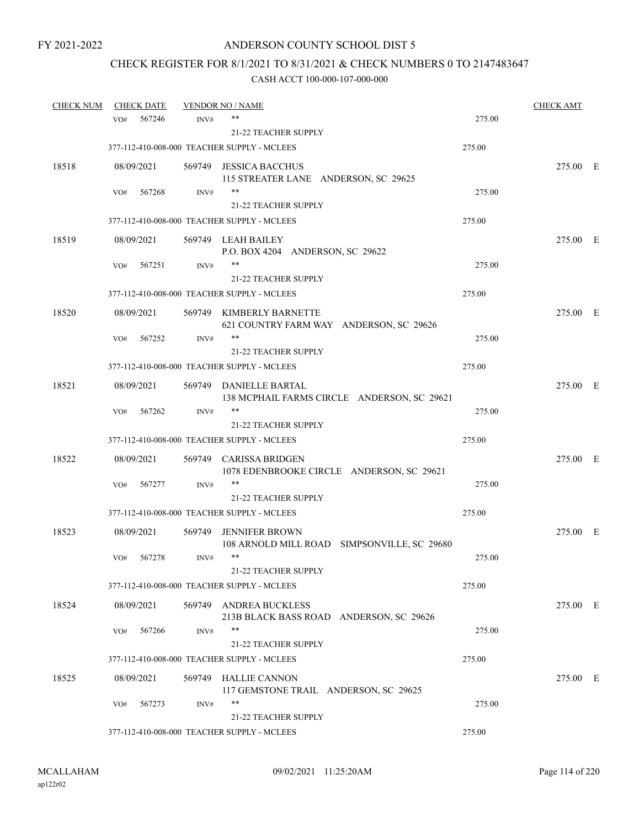# CHECK REGISTER FOR 8/1/2021 TO 8/31/2021 & CHECK NUMBERS 0 TO 2147483647

| <b>CHECK NUM</b> | <b>CHECK DATE</b> |                | <b>VENDOR NO / NAME</b>                                               |        | <b>CHECK AMT</b> |  |
|------------------|-------------------|----------------|-----------------------------------------------------------------------|--------|------------------|--|
|                  | VO#               | 567246<br>INV# | $***$                                                                 | 275.00 |                  |  |
|                  |                   |                | <b>21-22 TEACHER SUPPLY</b>                                           |        |                  |  |
|                  |                   |                | 377-112-410-008-000 TEACHER SUPPLY - MCLEES                           | 275.00 |                  |  |
| 18518            | 08/09/2021        |                | 569749 JESSICA BACCHUS<br>115 STREATER LANE ANDERSON, SC 29625        |        | 275.00 E         |  |
|                  | VO#               | 567268<br>INV# | **                                                                    | 275.00 |                  |  |
|                  |                   |                | 21-22 TEACHER SUPPLY                                                  |        |                  |  |
|                  |                   |                | 377-112-410-008-000 TEACHER SUPPLY - MCLEES                           | 275.00 |                  |  |
| 18519            | 08/09/2021        |                | 569749 LEAH BAILEY<br>P.O. BOX 4204 ANDERSON, SC 29622                |        | 275.00 E         |  |
|                  | VO#               | 567251<br>INV# | **                                                                    | 275.00 |                  |  |
|                  |                   |                | 21-22 TEACHER SUPPLY                                                  |        |                  |  |
|                  |                   |                | 377-112-410-008-000 TEACHER SUPPLY - MCLEES                           | 275.00 |                  |  |
| 18520            | 08/09/2021        |                | 569749 KIMBERLY BARNETTE<br>621 COUNTRY FARM WAY ANDERSON, SC 29626   |        | 275.00 E         |  |
|                  | VO#               | 567252<br>INV# | **                                                                    | 275.00 |                  |  |
|                  |                   |                | 21-22 TEACHER SUPPLY                                                  |        |                  |  |
|                  |                   |                | 377-112-410-008-000 TEACHER SUPPLY - MCLEES                           | 275.00 |                  |  |
| 18521            | 08/09/2021        |                | 569749 DANIELLE BARTAL<br>138 MCPHAIL FARMS CIRCLE ANDERSON, SC 29621 |        | 275.00 E         |  |
|                  | VO#               | 567262<br>INV# | **                                                                    | 275.00 |                  |  |
|                  |                   |                | <b>21-22 TEACHER SUPPLY</b>                                           |        |                  |  |
|                  |                   |                | 377-112-410-008-000 TEACHER SUPPLY - MCLEES                           | 275.00 |                  |  |
| 18522            | 08/09/2021        |                | 569749 CARISSA BRIDGEN<br>1078 EDENBROOKE CIRCLE ANDERSON, SC 29621   |        | 275.00 E         |  |
|                  | VO#               | 567277<br>INV# | $***$                                                                 | 275.00 |                  |  |
|                  |                   |                | 21-22 TEACHER SUPPLY                                                  |        |                  |  |
|                  |                   |                | 377-112-410-008-000 TEACHER SUPPLY - MCLEES                           | 275.00 |                  |  |
| 18523            | 08/09/2021        |                | 569749 JENNIFER BROWN<br>108 ARNOLD MILL ROAD SIMPSONVILLE, SC 29680  |        | 275.00 E         |  |
|                  | VO#               | 567278<br>INV# | $***$                                                                 | 275.00 |                  |  |
|                  |                   |                | 21-22 TEACHER SUPPLY                                                  |        |                  |  |
|                  |                   |                | 377-112-410-008-000 TEACHER SUPPLY - MCLEES                           | 275.00 |                  |  |
| 18524            | 08/09/2021        |                | 569749 ANDREA BUCKLESS<br>213B BLACK BASS ROAD ANDERSON, SC 29626     |        | 275.00 E         |  |
|                  | VO#               | INV#<br>567266 | **                                                                    | 275.00 |                  |  |
|                  |                   |                | 21-22 TEACHER SUPPLY                                                  |        |                  |  |
|                  |                   |                | 377-112-410-008-000 TEACHER SUPPLY - MCLEES                           | 275.00 |                  |  |
| 18525            | 08/09/2021        |                | 569749 HALLIE CANNON<br>117 GEMSTONE TRAIL ANDERSON, SC 29625         |        | 275.00 E         |  |
|                  | VO#               | 567273<br>INV# |                                                                       | 275.00 |                  |  |
|                  |                   |                | 21-22 TEACHER SUPPLY                                                  |        |                  |  |
|                  |                   |                | 377-112-410-008-000 TEACHER SUPPLY - MCLEES                           | 275.00 |                  |  |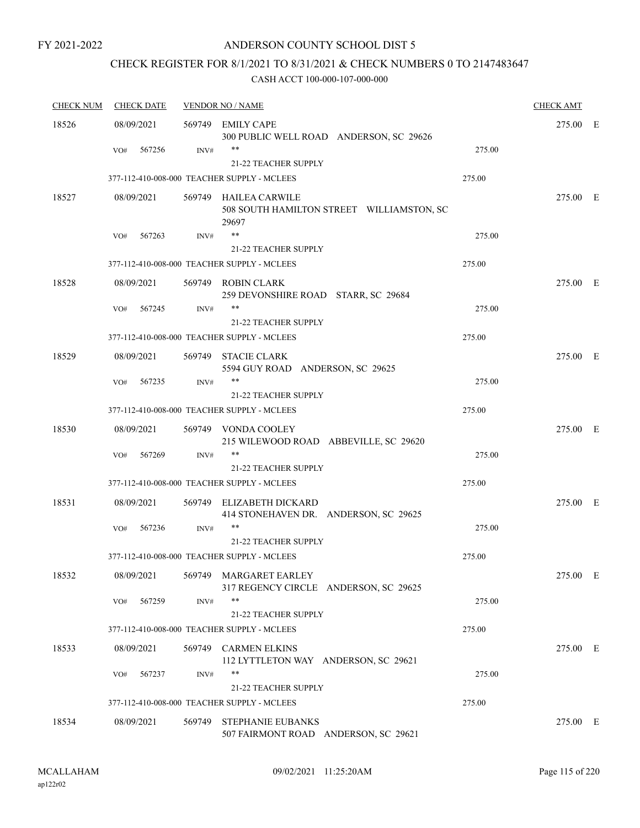### ANDERSON COUNTY SCHOOL DIST 5

# CHECK REGISTER FOR 8/1/2021 TO 8/31/2021 & CHECK NUMBERS 0 TO 2147483647

| <b>CHECK NUM</b> | <b>CHECK DATE</b> | <b>VENDOR NO / NAME</b> | <b>CHECK AMT</b>                                                            |        |          |  |
|------------------|-------------------|-------------------------|-----------------------------------------------------------------------------|--------|----------|--|
| 18526            | 08/09/2021        |                         | 569749 EMILY CAPE<br>300 PUBLIC WELL ROAD ANDERSON, SC 29626                |        | 275.00 E |  |
|                  | 567256<br>VO#     | INV#                    | **                                                                          | 275.00 |          |  |
|                  |                   |                         | 21-22 TEACHER SUPPLY                                                        |        |          |  |
|                  |                   |                         | 377-112-410-008-000 TEACHER SUPPLY - MCLEES                                 | 275.00 |          |  |
| 18527            | 08/09/2021        |                         | 569749 HAILEA CARWILE<br>508 SOUTH HAMILTON STREET WILLIAMSTON, SC<br>29697 |        | 275.00 E |  |
|                  | 567263<br>VO#     | INV#                    | $***$                                                                       | 275.00 |          |  |
|                  |                   |                         | 21-22 TEACHER SUPPLY                                                        |        |          |  |
|                  |                   |                         | 377-112-410-008-000 TEACHER SUPPLY - MCLEES                                 | 275.00 |          |  |
| 18528            | 08/09/2021        |                         | 569749 ROBIN CLARK<br>259 DEVONSHIRE ROAD STARR, SC 29684                   |        | 275.00 E |  |
|                  | VO#<br>567245     | INV#                    | $***$                                                                       | 275.00 |          |  |
|                  |                   |                         | 21-22 TEACHER SUPPLY                                                        |        |          |  |
|                  |                   |                         | 377-112-410-008-000 TEACHER SUPPLY - MCLEES                                 | 275.00 |          |  |
| 18529            | 08/09/2021        |                         | 569749 STACIE CLARK<br>5594 GUY ROAD ANDERSON, SC 29625                     |        | 275.00 E |  |
|                  | 567235<br>VO#     | INV#                    | $***$                                                                       | 275.00 |          |  |
|                  |                   |                         | <b>21-22 TEACHER SUPPLY</b>                                                 |        |          |  |
|                  |                   |                         | 377-112-410-008-000 TEACHER SUPPLY - MCLEES                                 | 275.00 |          |  |
| 18530            | 08/09/2021        |                         | 569749 VONDA COOLEY<br>215 WILEWOOD ROAD ABBEVILLE, SC 29620                |        | 275.00 E |  |
|                  | VO#<br>567269     | INV#                    | $***$                                                                       | 275.00 |          |  |
|                  |                   |                         | 21-22 TEACHER SUPPLY                                                        |        |          |  |
|                  |                   |                         | 377-112-410-008-000 TEACHER SUPPLY - MCLEES                                 | 275.00 |          |  |
| 18531            | 08/09/2021        |                         | 569749 ELIZABETH DICKARD<br>414 STONEHAVEN DR. ANDERSON, SC 29625           |        | 275.00 E |  |
|                  | 567236<br>VO#     | INV#                    | **                                                                          | 275.00 |          |  |
|                  |                   |                         | 21-22 TEACHER SUPPLY                                                        |        |          |  |
|                  |                   |                         | 377-112-410-008-000 TEACHER SUPPLY - MCLEES                                 | 275.00 |          |  |
| 18532            | 08/09/2021        |                         | 569749 MARGARET EARLEY<br>317 REGENCY CIRCLE ANDERSON, SC 29625             |        | 275.00 E |  |
|                  | 567259<br>VO#     | INV#                    | $***$<br>21-22 TEACHER SUPPLY                                               | 275.00 |          |  |
|                  |                   |                         | 377-112-410-008-000 TEACHER SUPPLY - MCLEES                                 | 275.00 |          |  |
| 18533            | 08/09/2021        |                         | 569749 CARMEN ELKINS<br>112 LYTTLETON WAY ANDERSON, SC 29621                |        | 275.00 E |  |
|                  | 567237<br>VO#     | INV#                    | $***$                                                                       | 275.00 |          |  |
|                  |                   |                         | 21-22 TEACHER SUPPLY                                                        |        |          |  |
|                  |                   |                         | 377-112-410-008-000 TEACHER SUPPLY - MCLEES                                 | 275.00 |          |  |
| 18534            | 08/09/2021        | 569749                  | <b>STEPHANIE EUBANKS</b><br>507 FAIRMONT ROAD ANDERSON, SC 29621            |        | 275.00 E |  |
|                  |                   |                         |                                                                             |        |          |  |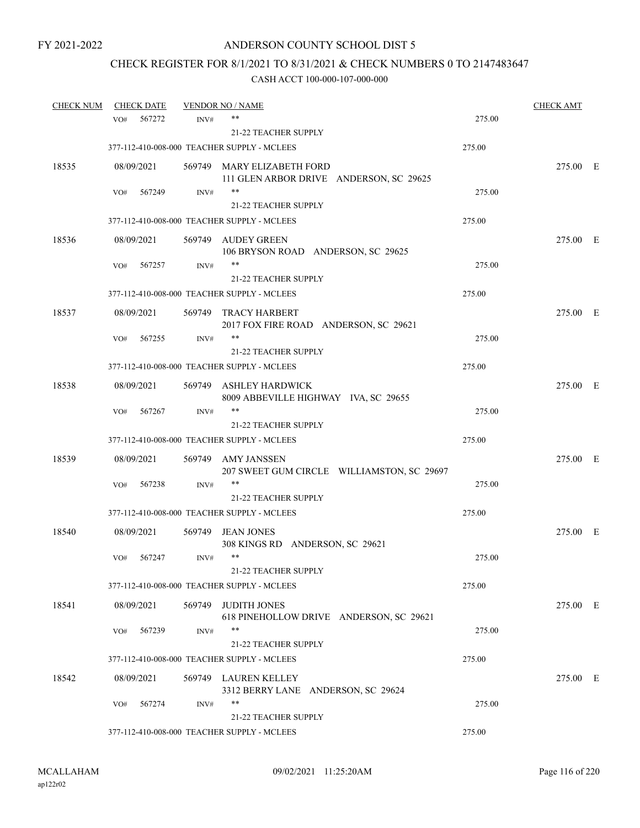# CHECK REGISTER FOR 8/1/2021 TO 8/31/2021 & CHECK NUMBERS 0 TO 2147483647

| <b>CHECK NUM</b> |     | <b>CHECK DATE</b> |        | <b>VENDOR NO / NAME</b>                                               |        | <b>CHECK AMT</b> |  |
|------------------|-----|-------------------|--------|-----------------------------------------------------------------------|--------|------------------|--|
|                  | VO# | 567272            | INV#   | **                                                                    | 275.00 |                  |  |
|                  |     |                   |        | <b>21-22 TEACHER SUPPLY</b>                                           |        |                  |  |
|                  |     |                   |        | 377-112-410-008-000 TEACHER SUPPLY - MCLEES                           | 275.00 |                  |  |
| 18535            |     | 08/09/2021        |        | 569749 MARY ELIZABETH FORD<br>111 GLEN ARBOR DRIVE ANDERSON, SC 29625 |        | 275.00 E         |  |
|                  | VO# | 567249            | INV#   | $***$                                                                 | 275.00 |                  |  |
|                  |     |                   |        | 21-22 TEACHER SUPPLY                                                  |        |                  |  |
|                  |     |                   |        | 377-112-410-008-000 TEACHER SUPPLY - MCLEES                           | 275.00 |                  |  |
| 18536            |     | 08/09/2021        |        | 569749 AUDEY GREEN<br>106 BRYSON ROAD ANDERSON, SC 29625              |        | 275.00 E         |  |
|                  | VO# | 567257            | INV#   | **                                                                    | 275.00 |                  |  |
|                  |     |                   |        | <b>21-22 TEACHER SUPPLY</b>                                           |        |                  |  |
|                  |     |                   |        | 377-112-410-008-000 TEACHER SUPPLY - MCLEES                           | 275.00 |                  |  |
| 18537            |     | 08/09/2021        | 569749 | TRACY HARBERT<br>2017 FOX FIRE ROAD ANDERSON, SC 29621                |        | 275.00 E         |  |
|                  | VO# | 567255            | INV#   | **                                                                    | 275.00 |                  |  |
|                  |     |                   |        | <b>21-22 TEACHER SUPPLY</b>                                           |        |                  |  |
|                  |     |                   |        | 377-112-410-008-000 TEACHER SUPPLY - MCLEES                           | 275.00 |                  |  |
| 18538            |     | 08/09/2021        |        | 569749 ASHLEY HARDWICK<br>8009 ABBEVILLE HIGHWAY IVA, SC 29655        |        | 275.00 E         |  |
|                  | VO# | 567267            | INV#   | **                                                                    | 275.00 |                  |  |
|                  |     |                   |        | 21-22 TEACHER SUPPLY                                                  |        |                  |  |
|                  |     |                   |        | 377-112-410-008-000 TEACHER SUPPLY - MCLEES                           | 275.00 |                  |  |
| 18539            |     | 08/09/2021        |        | 569749 AMY JANSSEN<br>207 SWEET GUM CIRCLE WILLIAMSTON, SC 29697      |        | 275.00 E         |  |
|                  | VO# | 567238            | INV#   | **                                                                    | 275.00 |                  |  |
|                  |     |                   |        | <b>21-22 TEACHER SUPPLY</b>                                           |        |                  |  |
|                  |     |                   |        | 377-112-410-008-000 TEACHER SUPPLY - MCLEES                           | 275.00 |                  |  |
| 18540            |     | 08/09/2021        | 569749 | <b>JEAN JONES</b><br>308 KINGS RD ANDERSON, SC 29621                  |        | 275.00 E         |  |
|                  | VO# | 567247            | INV#   | $***$                                                                 | 275.00 |                  |  |
|                  |     |                   |        | 21-22 TEACHER SUPPLY                                                  |        |                  |  |
|                  |     |                   |        | 377-112-410-008-000 TEACHER SUPPLY - MCLEES                           | 275.00 |                  |  |
| 18541            |     | 08/09/2021        |        | 569749 JUDITH JONES<br>618 PINEHOLLOW DRIVE ANDERSON, SC 29621        |        | 275.00 E         |  |
|                  | VO# | 567239            | INV#   | **                                                                    | 275.00 |                  |  |
|                  |     |                   |        | <b>21-22 TEACHER SUPPLY</b>                                           |        |                  |  |
|                  |     |                   |        | 377-112-410-008-000 TEACHER SUPPLY - MCLEES                           | 275.00 |                  |  |
| 18542            |     | 08/09/2021        |        | 569749 LAUREN KELLEY<br>3312 BERRY LANE ANDERSON, SC 29624            |        | 275.00 E         |  |
|                  | VO# | 567274            | INV#   | **                                                                    | 275.00 |                  |  |
|                  |     |                   |        | 21-22 TEACHER SUPPLY                                                  |        |                  |  |
|                  |     |                   |        | 377-112-410-008-000 TEACHER SUPPLY - MCLEES                           | 275.00 |                  |  |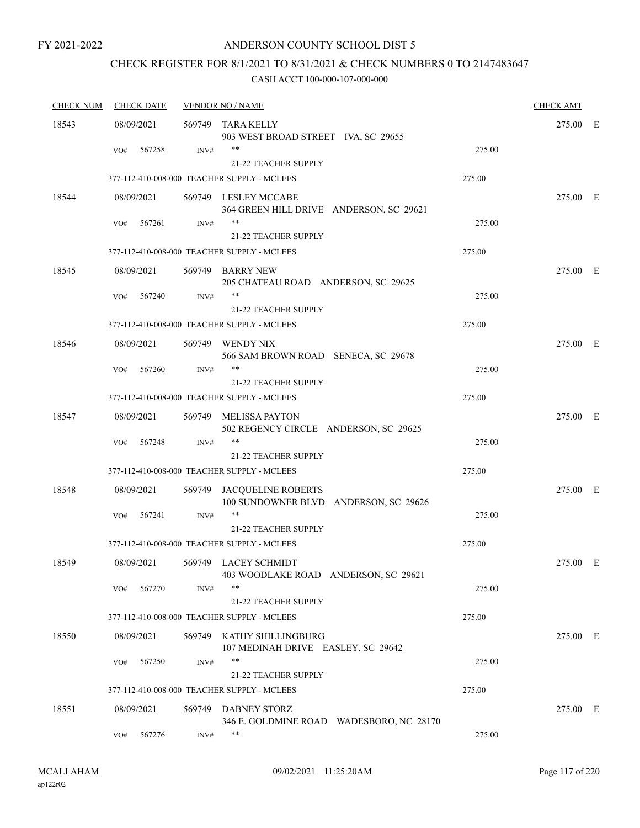### ANDERSON COUNTY SCHOOL DIST 5

# CHECK REGISTER FOR 8/1/2021 TO 8/31/2021 & CHECK NUMBERS 0 TO 2147483647

| <b>CHECK NUM</b> | <b>CHECK DATE</b> | <b>VENDOR NO / NAME</b> |                                                                            |        | <b>CHECK AMT</b> |     |
|------------------|-------------------|-------------------------|----------------------------------------------------------------------------|--------|------------------|-----|
| 18543            | 08/09/2021        |                         | 569749 TARA KELLY<br>903 WEST BROAD STREET IVA, SC 29655                   |        | 275.00 E         |     |
|                  | 567258<br>VO#     | INV#                    | **<br><b>21-22 TEACHER SUPPLY</b>                                          | 275.00 |                  |     |
|                  |                   |                         | 377-112-410-008-000 TEACHER SUPPLY - MCLEES                                | 275.00 |                  |     |
| 18544            | 08/09/2021        |                         | 569749 LESLEY MCCABE<br>364 GREEN HILL DRIVE ANDERSON, SC 29621            |        | 275.00 E         |     |
|                  | 567261<br>VO#     | INV#                    | **<br>21-22 TEACHER SUPPLY                                                 | 275.00 |                  |     |
|                  |                   |                         | 377-112-410-008-000 TEACHER SUPPLY - MCLEES                                | 275.00 |                  |     |
| 18545            | 08/09/2021        |                         | 569749 BARRY NEW<br>205 CHATEAU ROAD ANDERSON, SC 29625                    |        | 275.00 E         |     |
|                  | 567240<br>VO#     | INV#                    | **<br><b>21-22 TEACHER SUPPLY</b>                                          | 275.00 |                  |     |
|                  |                   |                         | 377-112-410-008-000 TEACHER SUPPLY - MCLEES                                | 275.00 |                  |     |
| 18546            | 08/09/2021        |                         | 569749 WENDY NIX<br>566 SAM BROWN ROAD SENECA, SC 29678                    |        | 275.00 E         |     |
|                  | 567260<br>VO#     | INV#                    | **                                                                         | 275.00 |                  |     |
|                  |                   |                         | <b>21-22 TEACHER SUPPLY</b><br>377-112-410-008-000 TEACHER SUPPLY - MCLEES | 275.00 |                  |     |
| 18547            | 08/09/2021        |                         | 569749 MELISSA PAYTON<br>502 REGENCY CIRCLE ANDERSON, SC 29625             |        | 275.00 E         |     |
|                  | 567248<br>VO#     | INV#                    | **<br><b>21-22 TEACHER SUPPLY</b>                                          | 275.00 |                  |     |
|                  |                   |                         | 377-112-410-008-000 TEACHER SUPPLY - MCLEES                                | 275.00 |                  |     |
| 18548            | 08/09/2021        |                         | 569749 JACQUELINE ROBERTS<br>100 SUNDOWNER BLVD ANDERSON, SC 29626         |        | 275.00 E         |     |
|                  | 567241<br>VO#     | INV#                    | **<br><b>21-22 TEACHER SUPPLY</b>                                          | 275.00 |                  |     |
|                  |                   |                         | 377-112-410-008-000 TEACHER SUPPLY - MCLEES                                | 275.00 |                  |     |
| 18549            | 08/09/2021        |                         | 569749 LACEY SCHMIDT<br>403 WOODLAKE ROAD ANDERSON, SC 29621               |        | 275.00           | - E |
|                  | 567270<br>VO#     | INV#                    | **<br>21-22 TEACHER SUPPLY                                                 | 275.00 |                  |     |
|                  |                   |                         | 377-112-410-008-000 TEACHER SUPPLY - MCLEES                                | 275.00 |                  |     |
| 18550            | 08/09/2021        |                         | 569749 KATHY SHILLINGBURG<br>107 MEDINAH DRIVE EASLEY, SC 29642            |        | 275.00 E         |     |
|                  | 567250<br>VO#     | INV#                    | **<br>21-22 TEACHER SUPPLY                                                 | 275.00 |                  |     |
|                  |                   |                         | 377-112-410-008-000 TEACHER SUPPLY - MCLEES                                | 275.00 |                  |     |
| 18551            | 08/09/2021        |                         | 569749 DABNEY STORZ<br>346 E. GOLDMINE ROAD WADESBORO, NC 28170            |        | 275.00 E         |     |
|                  | 567276<br>VO#     | INV#                    | **                                                                         | 275.00 |                  |     |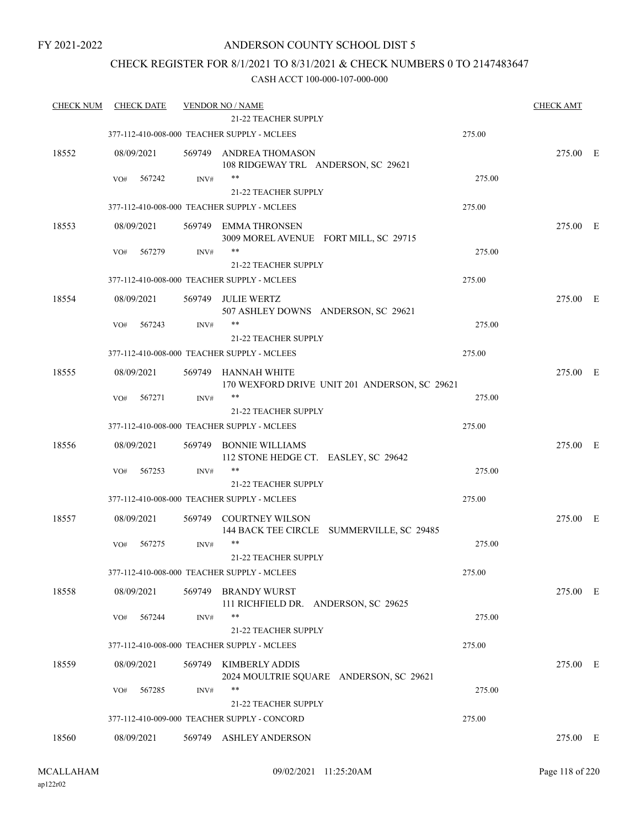### ANDERSON COUNTY SCHOOL DIST 5

### CHECK REGISTER FOR 8/1/2021 TO 8/31/2021 & CHECK NUMBERS 0 TO 2147483647

| <b>CHECK NUM</b> | <b>CHECK DATE</b> |        | <b>VENDOR NO / NAME</b><br><b>21-22 TEACHER SUPPLY</b>              |        | <b>CHECK AMT</b> |  |
|------------------|-------------------|--------|---------------------------------------------------------------------|--------|------------------|--|
|                  |                   |        | 377-112-410-008-000 TEACHER SUPPLY - MCLEES                         | 275.00 |                  |  |
| 18552            | 08/09/2021        |        | 569749 ANDREA THOMASON                                              |        | 275.00 E         |  |
|                  |                   |        | 108 RIDGEWAY TRL ANDERSON, SC 29621                                 |        |                  |  |
|                  | VO#<br>567242     | INV#   | $***$                                                               | 275.00 |                  |  |
|                  |                   |        | 21-22 TEACHER SUPPLY                                                |        |                  |  |
|                  |                   |        | 377-112-410-008-000 TEACHER SUPPLY - MCLEES                         | 275.00 |                  |  |
| 18553            | 08/09/2021        |        | 569749 EMMA THRONSEN                                                |        | 275.00 E         |  |
|                  |                   |        | 3009 MOREL AVENUE FORT MILL, SC 29715                               |        |                  |  |
|                  | 567279<br>VO#     | INV#   | $***$                                                               | 275.00 |                  |  |
|                  |                   |        | <b>21-22 TEACHER SUPPLY</b>                                         |        |                  |  |
|                  |                   |        | 377-112-410-008-000 TEACHER SUPPLY - MCLEES                         | 275.00 |                  |  |
| 18554            | 08/09/2021        |        | 569749 JULIE WERTZ                                                  |        | 275.00 E         |  |
|                  | 567243<br>VO#     | INV#   | 507 ASHLEY DOWNS ANDERSON, SC 29621<br>**                           | 275.00 |                  |  |
|                  |                   |        | 21-22 TEACHER SUPPLY                                                |        |                  |  |
|                  |                   |        | 377-112-410-008-000 TEACHER SUPPLY - MCLEES                         | 275.00 |                  |  |
| 18555            | 08/09/2021        |        | 569749 HANNAH WHITE                                                 |        | 275.00 E         |  |
|                  |                   |        | 170 WEXFORD DRIVE UNIT 201 ANDERSON, SC 29621                       |        |                  |  |
|                  | 567271<br>VO#     | INV#   | $***$                                                               | 275.00 |                  |  |
|                  |                   |        | <b>21-22 TEACHER SUPPLY</b>                                         |        |                  |  |
|                  |                   |        | 377-112-410-008-000 TEACHER SUPPLY - MCLEES                         | 275.00 |                  |  |
| 18556            | 08/09/2021        | 569749 | <b>BONNIE WILLIAMS</b>                                              |        | 275.00 E         |  |
|                  |                   |        | 112 STONE HEDGE CT. EASLEY, SC 29642                                |        |                  |  |
|                  | 567253<br>VO#     | INV#   | $***$<br><b>21-22 TEACHER SUPPLY</b>                                | 275.00 |                  |  |
|                  |                   |        | 377-112-410-008-000 TEACHER SUPPLY - MCLEES                         | 275.00 |                  |  |
|                  |                   |        |                                                                     |        |                  |  |
| 18557            | 08/09/2021        |        | 569749 COURTNEY WILSON<br>144 BACK TEE CIRCLE SUMMERVILLE, SC 29485 |        | 275.00 E         |  |
|                  | 567275<br>VO#     | INV#   | $***$                                                               | 275.00 |                  |  |
|                  |                   |        | 21-22 TEACHER SUPPLY                                                |        |                  |  |
|                  |                   |        | 377-112-410-008-000 TEACHER SUPPLY - MCLEES                         | 275.00 |                  |  |
| 18558            | 08/09/2021        | 569749 | <b>BRANDY WURST</b>                                                 |        | 275.00 E         |  |
|                  |                   |        | 111 RICHFIELD DR. ANDERSON, SC 29625                                |        |                  |  |
|                  | 567244<br>VO#     | INV#   | $***$                                                               | 275.00 |                  |  |
|                  |                   |        | 21-22 TEACHER SUPPLY                                                |        |                  |  |
|                  |                   |        | 377-112-410-008-000 TEACHER SUPPLY - MCLEES                         | 275.00 |                  |  |
| 18559            | 08/09/2021        | 569749 | KIMBERLY ADDIS                                                      |        | 275.00 E         |  |
|                  | 567285<br>VO#     | INV#   | 2024 MOULTRIE SQUARE ANDERSON, SC 29621<br>**                       | 275.00 |                  |  |
|                  |                   |        | <b>21-22 TEACHER SUPPLY</b>                                         |        |                  |  |
|                  |                   |        | 377-112-410-009-000 TEACHER SUPPLY - CONCORD                        | 275.00 |                  |  |
| 18560            | 08/09/2021        |        | 569749 ASHLEY ANDERSON                                              |        | 275.00 E         |  |
|                  |                   |        |                                                                     |        |                  |  |
|                  |                   |        |                                                                     |        |                  |  |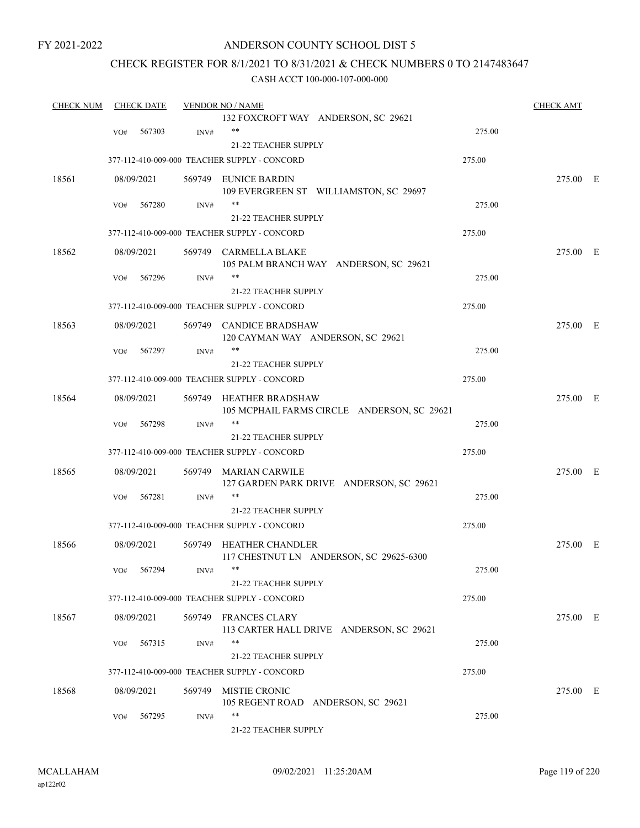### ANDERSON COUNTY SCHOOL DIST 5

### CHECK REGISTER FOR 8/1/2021 TO 8/31/2021 & CHECK NUMBERS 0 TO 2147483647

| <b>CHECK NUM</b> | <b>CHECK DATE</b> |      | <b>VENDOR NO / NAME</b>                                                |        | <b>CHECK AMT</b> |  |
|------------------|-------------------|------|------------------------------------------------------------------------|--------|------------------|--|
|                  |                   |      | 132 FOXCROFT WAY ANDERSON, SC 29621                                    |        |                  |  |
|                  | 567303<br>VO#     | INV# | $***$                                                                  | 275.00 |                  |  |
|                  |                   |      | 21-22 TEACHER SUPPLY                                                   |        |                  |  |
|                  |                   |      | 377-112-410-009-000 TEACHER SUPPLY - CONCORD                           | 275.00 |                  |  |
| 18561            | 08/09/2021        |      | 569749 EUNICE BARDIN<br>109 EVERGREEN ST WILLIAMSTON, SC 29697         |        | 275.00 E         |  |
|                  | 567280<br>VO#     | INV# | $***$                                                                  | 275.00 |                  |  |
|                  |                   |      | 21-22 TEACHER SUPPLY                                                   |        |                  |  |
|                  |                   |      | 377-112-410-009-000 TEACHER SUPPLY - CONCORD                           | 275.00 |                  |  |
| 18562            | 08/09/2021        |      | 569749 CARMELLA BLAKE<br>105 PALM BRANCH WAY ANDERSON, SC 29621        |        | 275.00 E         |  |
|                  | 567296<br>VO#     | INV# | **                                                                     | 275.00 |                  |  |
|                  |                   |      | 21-22 TEACHER SUPPLY                                                   |        |                  |  |
|                  |                   |      | 377-112-410-009-000 TEACHER SUPPLY - CONCORD                           | 275.00 |                  |  |
| 18563            | 08/09/2021        |      | 569749 CANDICE BRADSHAW<br>120 CAYMAN WAY ANDERSON, SC 29621           |        | 275.00 E         |  |
|                  | 567297<br>VO#     | INV# | **                                                                     | 275.00 |                  |  |
|                  |                   |      | 21-22 TEACHER SUPPLY                                                   |        |                  |  |
|                  |                   |      |                                                                        |        |                  |  |
|                  |                   |      | 377-112-410-009-000 TEACHER SUPPLY - CONCORD                           | 275.00 |                  |  |
| 18564            | 08/09/2021        |      | 569749 HEATHER BRADSHAW<br>105 MCPHAIL FARMS CIRCLE ANDERSON, SC 29621 |        | 275.00 E         |  |
|                  | 567298<br>VO#     | INV# | $***$                                                                  | 275.00 |                  |  |
|                  |                   |      | 21-22 TEACHER SUPPLY                                                   |        |                  |  |
|                  |                   |      | 377-112-410-009-000 TEACHER SUPPLY - CONCORD                           | 275.00 |                  |  |
| 18565            | 08/09/2021        |      | 569749 MARIAN CARWILE<br>127 GARDEN PARK DRIVE ANDERSON, SC 29621      |        | 275.00 E         |  |
|                  | 567281<br>VO#     | INV# | $***$                                                                  | 275.00 |                  |  |
|                  |                   |      | <b>21-22 TEACHER SUPPLY</b>                                            |        |                  |  |
|                  |                   |      | 377-112-410-009-000 TEACHER SUPPLY - CONCORD                           | 275.00 |                  |  |
| 18566            | 08/09/2021        |      | 569749 HEATHER CHANDLER<br>117 CHESTNUT LN ANDERSON, SC 29625-6300     |        | 275.00 E         |  |
|                  | VO# 567294        | INV# |                                                                        | 275.00 |                  |  |
|                  |                   |      | 21-22 TEACHER SUPPLY                                                   |        |                  |  |
|                  |                   |      | 377-112-410-009-000 TEACHER SUPPLY - CONCORD                           | 275.00 |                  |  |
| 18567            | 08/09/2021        |      | 569749 FRANCES CLARY<br>113 CARTER HALL DRIVE ANDERSON, SC 29621       |        | 275.00 E         |  |
|                  | 567315<br>VO#     | INV# | **                                                                     | 275.00 |                  |  |
|                  |                   |      | 21-22 TEACHER SUPPLY                                                   |        |                  |  |
|                  |                   |      | 377-112-410-009-000 TEACHER SUPPLY - CONCORD                           | 275.00 |                  |  |
| 18568            | 08/09/2021        |      | 569749 MISTIE CRONIC<br>105 REGENT ROAD ANDERSON, SC 29621             |        | 275.00 E         |  |
|                  | 567295<br>VO#     | INV# | **                                                                     | 275.00 |                  |  |
|                  |                   |      | 21-22 TEACHER SUPPLY                                                   |        |                  |  |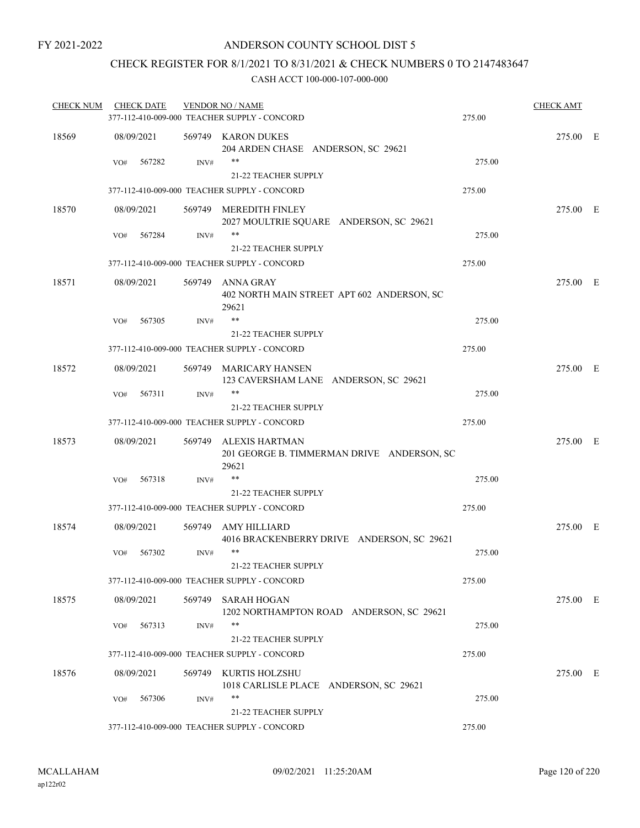### CHECK REGISTER FOR 8/1/2021 TO 8/31/2021 & CHECK NUMBERS 0 TO 2147483647

| <b>CHECK NUM</b> |            | <b>CHECK DATE</b> |                | <b>VENDOR NO / NAME</b><br>377-112-410-009-000 TEACHER SUPPLY - CONCORD      | 275.00 | <b>CHECK AMT</b> |  |
|------------------|------------|-------------------|----------------|------------------------------------------------------------------------------|--------|------------------|--|
| 18569            |            | 08/09/2021        |                | 569749 KARON DUKES<br>204 ARDEN CHASE ANDERSON, SC 29621                     |        | 275.00 E         |  |
|                  | VO#        | 567282            | INV#           | **<br><b>21-22 TEACHER SUPPLY</b>                                            | 275.00 |                  |  |
|                  |            |                   |                | 377-112-410-009-000 TEACHER SUPPLY - CONCORD                                 | 275.00 |                  |  |
| 18570            |            | 08/09/2021        |                | 569749 MEREDITH FINLEY<br>2027 MOULTRIE SQUARE ANDERSON, SC 29621            |        | 275.00 E         |  |
|                  | VO#        | 567284            | $\text{INV}\#$ | $***$<br><b>21-22 TEACHER SUPPLY</b>                                         | 275.00 |                  |  |
|                  |            |                   |                | 377-112-410-009-000 TEACHER SUPPLY - CONCORD                                 | 275.00 |                  |  |
| 18571            | 08/09/2021 |                   |                | 569749 ANNA GRAY<br>402 NORTH MAIN STREET APT 602 ANDERSON, SC<br>29621      |        | 275.00 E         |  |
|                  | VO#        | 567305            | INV#           | $***$<br>21-22 TEACHER SUPPLY                                                | 275.00 |                  |  |
|                  |            |                   |                | 377-112-410-009-000 TEACHER SUPPLY - CONCORD                                 | 275.00 |                  |  |
| 18572            |            | 08/09/2021        |                | 569749 MARICARY HANSEN<br>123 CAVERSHAM LANE ANDERSON, SC 29621              |        | 275.00 E         |  |
|                  | VO#        | 567311            | INV#           | **<br>21-22 TEACHER SUPPLY                                                   | 275.00 |                  |  |
|                  |            |                   |                | 377-112-410-009-000 TEACHER SUPPLY - CONCORD                                 | 275.00 |                  |  |
| 18573            |            | 08/09/2021        |                | 569749 ALEXIS HARTMAN<br>201 GEORGE B. TIMMERMAN DRIVE ANDERSON, SC<br>29621 |        | 275.00 E         |  |
|                  | VO#        | 567318            | INV#           | **<br><b>21-22 TEACHER SUPPLY</b>                                            | 275.00 |                  |  |
|                  |            |                   |                | 377-112-410-009-000 TEACHER SUPPLY - CONCORD                                 | 275.00 |                  |  |
| 18574            |            | 08/09/2021        | 569749         | AMY HILLIARD<br>4016 BRACKENBERRY DRIVE ANDERSON, SC 29621                   |        | 275.00 E         |  |
|                  | VO#        | 567302            | INV#           | **<br>21-22 TEACHER SUPPLY                                                   | 275.00 |                  |  |
|                  |            |                   |                | 377-112-410-009-000 TEACHER SUPPLY - CONCORD                                 | 275.00 |                  |  |
| 18575            |            | 08/09/2021        |                | 569749 SARAH HOGAN<br>1202 NORTHAMPTON ROAD ANDERSON, SC 29621               |        | 275.00 E         |  |
|                  | VO#        | 567313            | INV#           | **                                                                           | 275.00 |                  |  |
|                  |            |                   |                | 21-22 TEACHER SUPPLY                                                         |        |                  |  |
|                  |            |                   |                | 377-112-410-009-000 TEACHER SUPPLY - CONCORD                                 | 275.00 |                  |  |
| 18576            |            | 08/09/2021        |                | 569749 KURTIS HOLZSHU<br>1018 CARLISLE PLACE ANDERSON, SC 29621              |        | 275.00 E         |  |
|                  | VO#        | 567306            | INV#           | **<br>21-22 TEACHER SUPPLY                                                   | 275.00 |                  |  |
|                  |            |                   |                | 377-112-410-009-000 TEACHER SUPPLY - CONCORD                                 | 275.00 |                  |  |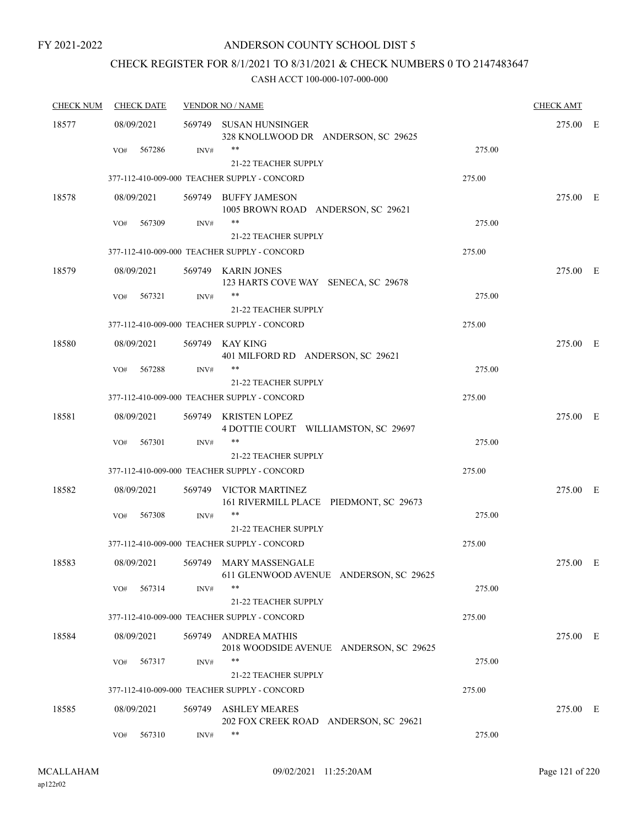### ANDERSON COUNTY SCHOOL DIST 5

# CHECK REGISTER FOR 8/1/2021 TO 8/31/2021 & CHECK NUMBERS 0 TO 2147483647

| <b>CHECK NUM</b> | <b>CHECK DATE</b> |        | <b>VENDOR NO / NAME</b>                                          |        | <b>CHECK AMT</b> |  |
|------------------|-------------------|--------|------------------------------------------------------------------|--------|------------------|--|
| 18577            | 08/09/2021        |        | 569749 SUSAN HUNSINGER<br>328 KNOLLWOOD DR ANDERSON, SC 29625    |        | 275.00 E         |  |
|                  | 567286<br>VO#     | INV#   | **<br>21-22 TEACHER SUPPLY                                       | 275.00 |                  |  |
|                  |                   |        | 377-112-410-009-000 TEACHER SUPPLY - CONCORD                     | 275.00 |                  |  |
| 18578            | 08/09/2021        |        | 569749 BUFFY JAMESON<br>1005 BROWN ROAD ANDERSON, SC 29621       |        | 275.00 E         |  |
|                  | 567309<br>VO#     | INV#   | **<br><b>21-22 TEACHER SUPPLY</b>                                | 275.00 |                  |  |
|                  |                   |        | 377-112-410-009-000 TEACHER SUPPLY - CONCORD                     | 275.00 |                  |  |
| 18579            | 08/09/2021        |        | 569749 KARIN JONES<br>123 HARTS COVE WAY SENECA, SC 29678        |        | 275.00 E         |  |
|                  | VO#<br>567321     | INV#   | **<br>21-22 TEACHER SUPPLY                                       | 275.00 |                  |  |
|                  |                   |        | 377-112-410-009-000 TEACHER SUPPLY - CONCORD                     | 275.00 |                  |  |
| 18580            | 08/09/2021        |        | 569749 KAY KING<br>401 MILFORD RD ANDERSON, SC 29621             |        | 275.00 E         |  |
|                  | 567288<br>VO#     | INV#   | 21-22 TEACHER SUPPLY                                             | 275.00 |                  |  |
|                  |                   |        | 377-112-410-009-000 TEACHER SUPPLY - CONCORD                     | 275.00 |                  |  |
| 18581            | 08/09/2021        |        | 569749 KRISTEN LOPEZ<br>4 DOTTIE COURT WILLIAMSTON, SC 29697     |        | 275.00 E         |  |
|                  | 567301<br>VO#     | INV#   | **<br><b>21-22 TEACHER SUPPLY</b>                                | 275.00 |                  |  |
|                  |                   |        | 377-112-410-009-000 TEACHER SUPPLY - CONCORD                     | 275.00 |                  |  |
| 18582            | 08/09/2021        |        | 569749 VICTOR MARTINEZ<br>161 RIVERMILL PLACE PIEDMONT, SC 29673 |        | 275.00 E         |  |
|                  | 567308<br>VO#     | INV#   | **<br>21-22 TEACHER SUPPLY                                       | 275.00 |                  |  |
|                  |                   |        | 377-112-410-009-000 TEACHER SUPPLY - CONCORD                     | 275.00 |                  |  |
| 18583            | 08/09/2021        |        | 569749 MARY MASSENGALE<br>611 GLENWOOD AVENUE ANDERSON, SC 29625 |        | 275.00 E         |  |
|                  | 567314<br>VO#     | INV#   | **<br><b>21-22 TEACHER SUPPLY</b>                                | 275.00 |                  |  |
|                  |                   |        | 377-112-410-009-000 TEACHER SUPPLY - CONCORD                     | 275.00 |                  |  |
| 18584            | 08/09/2021        |        | 569749 ANDREA MATHIS<br>2018 WOODSIDE AVENUE ANDERSON, SC 29625  |        | 275.00 E         |  |
|                  | 567317<br>VO#     | INV#   | **<br>21-22 TEACHER SUPPLY                                       | 275.00 |                  |  |
|                  |                   |        | 377-112-410-009-000 TEACHER SUPPLY - CONCORD                     | 275.00 |                  |  |
| 18585            | 08/09/2021        | 569749 | <b>ASHLEY MEARES</b><br>202 FOX CREEK ROAD ANDERSON, SC 29621    |        | 275.00 E         |  |
|                  | 567310<br>VO#     | INV#   | **                                                               | 275.00 |                  |  |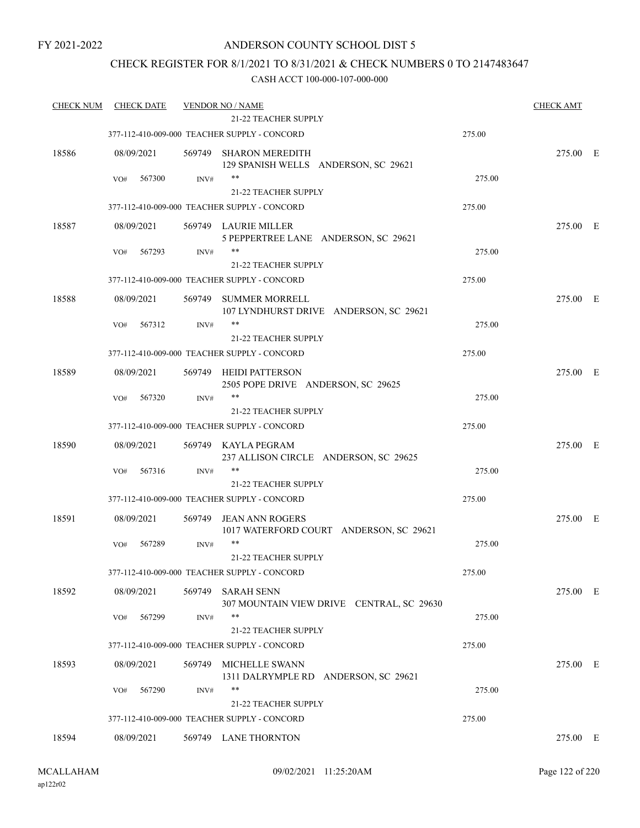### ANDERSON COUNTY SCHOOL DIST 5

### CHECK REGISTER FOR 8/1/2021 TO 8/31/2021 & CHECK NUMBERS 0 TO 2147483647

| <b>CHECK NUM</b> | <b>CHECK DATE</b> |        | <b>VENDOR NO / NAME</b>                                           |        | <b>CHECK AMT</b> |  |
|------------------|-------------------|--------|-------------------------------------------------------------------|--------|------------------|--|
|                  |                   |        | <b>21-22 TEACHER SUPPLY</b>                                       |        |                  |  |
|                  |                   |        | 377-112-410-009-000 TEACHER SUPPLY - CONCORD                      | 275.00 |                  |  |
| 18586            | 08/09/2021        |        | 569749 SHARON MEREDITH<br>129 SPANISH WELLS ANDERSON, SC 29621    |        | 275.00 E         |  |
|                  | 567300<br>VO#     | INV#   | $***$                                                             | 275.00 |                  |  |
|                  |                   |        | <b>21-22 TEACHER SUPPLY</b>                                       |        |                  |  |
|                  |                   |        | 377-112-410-009-000 TEACHER SUPPLY - CONCORD                      | 275.00 |                  |  |
| 18587            | 08/09/2021        |        | 569749 LAURIE MILLER<br>5 PEPPERTREE LANE ANDERSON, SC 29621      |        | 275.00 E         |  |
|                  | 567293<br>VO#     | INV#   | **                                                                | 275.00 |                  |  |
|                  |                   |        | 21-22 TEACHER SUPPLY                                              |        |                  |  |
|                  |                   |        | 377-112-410-009-000 TEACHER SUPPLY - CONCORD                      | 275.00 |                  |  |
| 18588            | 08/09/2021        | 569749 | SUMMER MORRELL<br>107 LYNDHURST DRIVE ANDERSON, SC 29621          |        | 275.00 E         |  |
|                  | 567312<br>VO#     | INV#   | **                                                                | 275.00 |                  |  |
|                  |                   |        | 21-22 TEACHER SUPPLY                                              |        |                  |  |
|                  |                   |        | 377-112-410-009-000 TEACHER SUPPLY - CONCORD                      | 275.00 |                  |  |
| 18589            | 08/09/2021        | 569749 | HEIDI PATTERSON<br>2505 POPE DRIVE ANDERSON, SC 29625             |        | 275.00 E         |  |
|                  | 567320<br>VO#     | INV#   | $***$                                                             | 275.00 |                  |  |
|                  |                   |        | <b>21-22 TEACHER SUPPLY</b>                                       |        |                  |  |
|                  |                   |        | 377-112-410-009-000 TEACHER SUPPLY - CONCORD                      | 275.00 |                  |  |
| 18590            | 08/09/2021        |        | 569749 KAYLA PEGRAM<br>237 ALLISON CIRCLE ANDERSON, SC 29625      |        | 275.00 E         |  |
|                  | 567316<br>VO#     | INV#   |                                                                   | 275.00 |                  |  |
|                  |                   |        | 21-22 TEACHER SUPPLY                                              |        |                  |  |
|                  |                   |        | 377-112-410-009-000 TEACHER SUPPLY - CONCORD                      | 275.00 |                  |  |
| 18591            | 08/09/2021        | 569749 | <b>JEAN ANN ROGERS</b><br>1017 WATERFORD COURT ANDERSON, SC 29621 |        | 275.00 E         |  |
|                  | 567289<br>VO#     | INV#   | $***$                                                             | 275.00 |                  |  |
|                  |                   |        | 21-22 TEACHER SUPPLY                                              |        |                  |  |
|                  |                   |        | 377-112-410-009-000 TEACHER SUPPLY - CONCORD                      | 275.00 |                  |  |
| 18592            | 08/09/2021        | 569749 | <b>SARAH SENN</b><br>307 MOUNTAIN VIEW DRIVE CENTRAL, SC 29630    |        | 275.00 E         |  |
|                  | 567299<br>VO#     | INV#   | $***$                                                             | 275.00 |                  |  |
|                  |                   |        | 21-22 TEACHER SUPPLY                                              |        |                  |  |
|                  |                   |        | 377-112-410-009-000 TEACHER SUPPLY - CONCORD                      | 275.00 |                  |  |
| 18593            | 08/09/2021        | 569749 | <b>MICHELLE SWANN</b><br>1311 DALRYMPLE RD ANDERSON, SC 29621     |        | 275.00 E         |  |
|                  | 567290<br>VO#     | INV#   | **                                                                | 275.00 |                  |  |
|                  |                   |        | <b>21-22 TEACHER SUPPLY</b>                                       |        |                  |  |
|                  |                   |        | 377-112-410-009-000 TEACHER SUPPLY - CONCORD                      | 275.00 |                  |  |
| 18594            | 08/09/2021        |        | 569749 LANE THORNTON                                              |        | 275.00 E         |  |
|                  |                   |        |                                                                   |        |                  |  |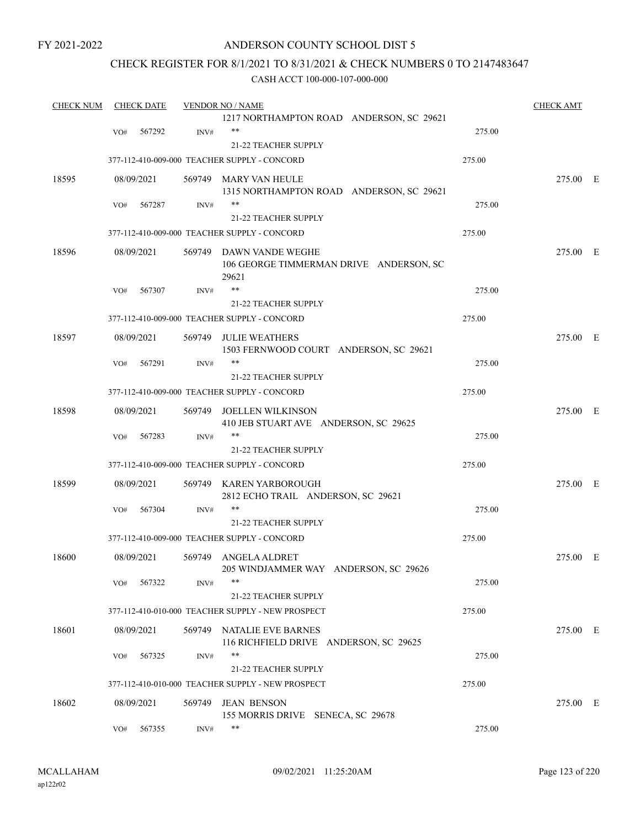#### ANDERSON COUNTY SCHOOL DIST 5

### CHECK REGISTER FOR 8/1/2021 TO 8/31/2021 & CHECK NUMBERS 0 TO 2147483647

| <b>CHECK NUM</b> | <b>CHECK DATE</b> |        | <b>VENDOR NO / NAME</b>                                                     |        | <b>CHECK AMT</b> |  |
|------------------|-------------------|--------|-----------------------------------------------------------------------------|--------|------------------|--|
|                  |                   |        | 1217 NORTHAMPTON ROAD ANDERSON, SC 29621                                    |        |                  |  |
|                  | 567292<br>VO#     | INV#   | $***$                                                                       | 275.00 |                  |  |
|                  |                   |        | 21-22 TEACHER SUPPLY                                                        |        |                  |  |
|                  |                   |        | 377-112-410-009-000 TEACHER SUPPLY - CONCORD                                | 275.00 |                  |  |
| 18595            | 08/09/2021        |        | 569749 MARY VAN HEULE                                                       |        | 275.00 E         |  |
|                  |                   |        | 1315 NORTHAMPTON ROAD ANDERSON, SC 29621                                    |        |                  |  |
|                  | 567287<br>VO#     | INV#   | **                                                                          | 275.00 |                  |  |
|                  |                   |        | 21-22 TEACHER SUPPLY                                                        |        |                  |  |
|                  |                   |        | 377-112-410-009-000 TEACHER SUPPLY - CONCORD                                | 275.00 |                  |  |
| 18596            | 08/09/2021        |        | 569749 DAWN VANDE WEGHE<br>106 GEORGE TIMMERMAN DRIVE ANDERSON, SC<br>29621 |        | 275.00 E         |  |
|                  | 567307<br>VO#     | INV#   | **                                                                          | 275.00 |                  |  |
|                  |                   |        | <b>21-22 TEACHER SUPPLY</b>                                                 |        |                  |  |
|                  |                   |        | 377-112-410-009-000 TEACHER SUPPLY - CONCORD                                | 275.00 |                  |  |
| 18597            | 08/09/2021        | 569749 | <b>JULIE WEATHERS</b><br>1503 FERNWOOD COURT ANDERSON, SC 29621             |        | 275.00 E         |  |
|                  | 567291<br>VO#     | INV#   | **                                                                          | 275.00 |                  |  |
|                  |                   |        | 21-22 TEACHER SUPPLY                                                        |        |                  |  |
|                  |                   |        | 377-112-410-009-000 TEACHER SUPPLY - CONCORD                                | 275.00 |                  |  |
| 18598            | 08/09/2021        | 569749 | JOELLEN WILKINSON<br>410 JEB STUART AVE ANDERSON, SC 29625                  |        | 275.00 E         |  |
|                  | VO#<br>567283     | INV#   | **                                                                          | 275.00 |                  |  |
|                  |                   |        | <b>21-22 TEACHER SUPPLY</b>                                                 |        |                  |  |
|                  |                   |        | 377-112-410-009-000 TEACHER SUPPLY - CONCORD                                | 275.00 |                  |  |
| 18599            | 08/09/2021        |        | 569749 KAREN YARBOROUGH<br>2812 ECHO TRAIL ANDERSON, SC 29621               |        | 275.00 E         |  |
|                  | 567304<br>VO#     | INV#   | **                                                                          | 275.00 |                  |  |
|                  |                   |        | 21-22 TEACHER SUPPLY                                                        |        |                  |  |
|                  |                   |        | 377-112-410-009-000 TEACHER SUPPLY - CONCORD                                | 275.00 |                  |  |
| 18600            | 08/09/2021        |        | 569749 ANGELA ALDRET<br>205 WINDJAMMER WAY ANDERSON, SC 29626               |        | 275.00 E         |  |
|                  | 567322<br>VO#     | INV#   |                                                                             | 275.00 |                  |  |
|                  |                   |        | <b>21-22 TEACHER SUPPLY</b>                                                 |        |                  |  |
|                  |                   |        | 377-112-410-010-000 TEACHER SUPPLY - NEW PROSPECT                           | 275.00 |                  |  |
| 18601            | 08/09/2021        | 569749 | NATALIE EVE BARNES<br>116 RICHFIELD DRIVE ANDERSON, SC 29625                |        | 275.00 E         |  |
|                  | VO#<br>567325     | INV#   | **                                                                          | 275.00 |                  |  |
|                  |                   |        | 21-22 TEACHER SUPPLY                                                        |        |                  |  |
|                  |                   |        | 377-112-410-010-000 TEACHER SUPPLY - NEW PROSPECT                           | 275.00 |                  |  |
| 18602            | 08/09/2021        | 569749 | <b>JEAN BENSON</b><br>155 MORRIS DRIVE SENECA, SC 29678                     |        | 275.00 E         |  |
|                  | 567355<br>VO#     | INV#   | **                                                                          | 275.00 |                  |  |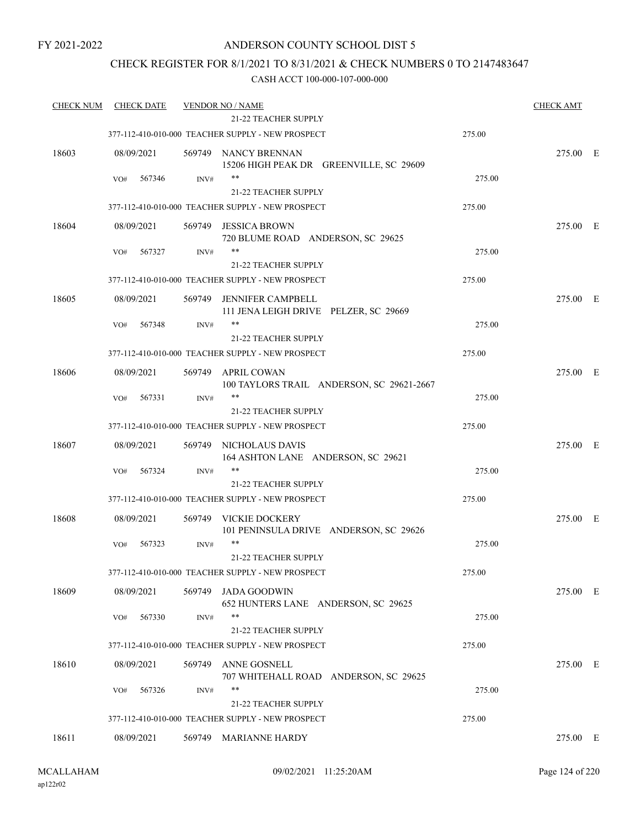#### ANDERSON COUNTY SCHOOL DIST 5

### CHECK REGISTER FOR 8/1/2021 TO 8/31/2021 & CHECK NUMBERS 0 TO 2147483647

| <b>CHECK NUM</b> | <b>CHECK DATE</b> |        | <b>VENDOR NO / NAME</b>                                         |        | <b>CHECK AMT</b> |  |
|------------------|-------------------|--------|-----------------------------------------------------------------|--------|------------------|--|
|                  |                   |        | 21-22 TEACHER SUPPLY                                            |        |                  |  |
|                  |                   |        | 377-112-410-010-000 TEACHER SUPPLY - NEW PROSPECT               | 275.00 |                  |  |
| 18603            | 08/09/2021        |        | 569749 NANCY BRENNAN<br>15206 HIGH PEAK DR GREENVILLE, SC 29609 |        | 275.00 E         |  |
|                  | VO#<br>567346     | INV#   | $***$                                                           | 275.00 |                  |  |
|                  |                   |        | 21-22 TEACHER SUPPLY                                            |        |                  |  |
|                  |                   |        | 377-112-410-010-000 TEACHER SUPPLY - NEW PROSPECT               | 275.00 |                  |  |
| 18604            | 08/09/2021        | 569749 | <b>JESSICA BROWN</b><br>720 BLUME ROAD ANDERSON, SC 29625       |        | 275.00 E         |  |
|                  | 567327<br>VO#     | INV#   | **                                                              | 275.00 |                  |  |
|                  |                   |        | 21-22 TEACHER SUPPLY                                            |        |                  |  |
|                  |                   |        | 377-112-410-010-000 TEACHER SUPPLY - NEW PROSPECT               | 275.00 |                  |  |
| 18605            | 08/09/2021        | 569749 | JENNIFER CAMPBELL<br>111 JENA LEIGH DRIVE PELZER, SC 29669      |        | 275.00 E         |  |
|                  | 567348<br>VO#     | INV#   | **                                                              | 275.00 |                  |  |
|                  |                   |        | 21-22 TEACHER SUPPLY                                            |        |                  |  |
|                  |                   |        | 377-112-410-010-000 TEACHER SUPPLY - NEW PROSPECT               | 275.00 |                  |  |
| 18606            | 08/09/2021        | 569749 | APRIL COWAN<br>100 TAYLORS TRAIL ANDERSON, SC 29621-2667        |        | 275.00 E         |  |
|                  | 567331<br>VO#     | INV#   | $***$                                                           | 275.00 |                  |  |
|                  |                   |        | 21-22 TEACHER SUPPLY                                            |        |                  |  |
|                  |                   |        | 377-112-410-010-000 TEACHER SUPPLY - NEW PROSPECT               | 275.00 |                  |  |
| 18607            | 08/09/2021        | 569749 | NICHOLAUS DAVIS<br>164 ASHTON LANE ANDERSON, SC 29621           |        | 275.00 E         |  |
|                  | 567324<br>VO#     | INV#   | **                                                              | 275.00 |                  |  |
|                  |                   |        | 21-22 TEACHER SUPPLY                                            |        |                  |  |
|                  |                   |        | 377-112-410-010-000 TEACHER SUPPLY - NEW PROSPECT               | 275.00 |                  |  |
| 18608            | 08/09/2021        | 569749 | VICKIE DOCKERY<br>101 PENINSULA DRIVE ANDERSON, SC 29626        |        | 275.00 E         |  |
|                  | 567323<br>VO#     | INV#   | $***$<br>21-22 TEACHER SUPPLY                                   | 275.00 |                  |  |
|                  |                   |        | 377-112-410-010-000 TEACHER SUPPLY - NEW PROSPECT               | 275.00 |                  |  |
| 18609            | 08/09/2021        | 569749 | <b>JADA GOODWIN</b><br>652 HUNTERS LANE ANDERSON, SC 29625      |        | 275.00 E         |  |
|                  | 567330<br>VO#     | INV#   | $***$                                                           | 275.00 |                  |  |
|                  |                   |        | 21-22 TEACHER SUPPLY                                            |        |                  |  |
|                  |                   |        | 377-112-410-010-000 TEACHER SUPPLY - NEW PROSPECT               | 275.00 |                  |  |
| 18610            | 08/09/2021        | 569749 | ANNE GOSNELL<br>707 WHITEHALL ROAD ANDERSON, SC 29625           |        | 275.00 E         |  |
|                  | 567326<br>VO#     | INV#   | **                                                              | 275.00 |                  |  |
|                  |                   |        | <b>21-22 TEACHER SUPPLY</b>                                     |        |                  |  |
|                  |                   |        | 377-112-410-010-000 TEACHER SUPPLY - NEW PROSPECT               | 275.00 |                  |  |
| 18611            | 08/09/2021        |        | 569749 MARIANNE HARDY                                           |        | 275.00 E         |  |
|                  |                   |        |                                                                 |        |                  |  |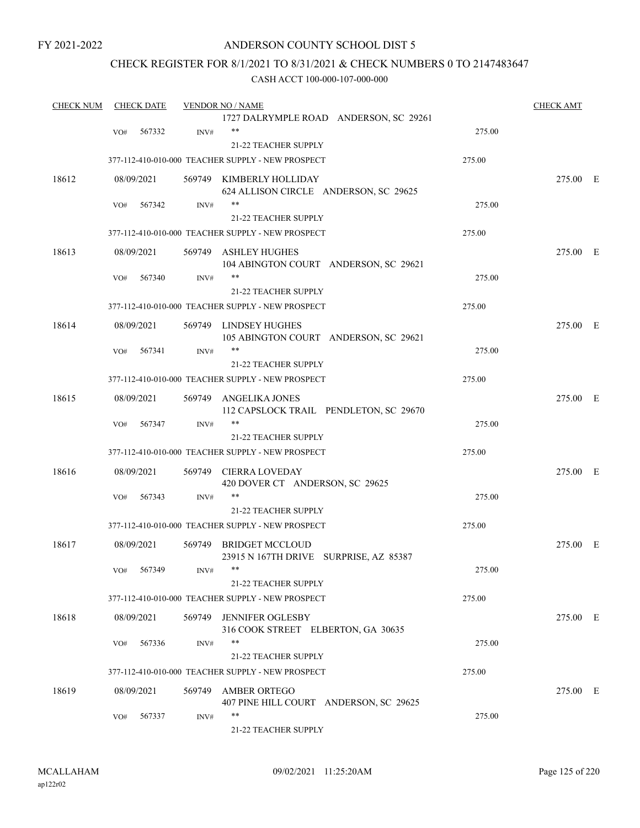### ANDERSON COUNTY SCHOOL DIST 5

### CHECK REGISTER FOR 8/1/2021 TO 8/31/2021 & CHECK NUMBERS 0 TO 2147483647

| <b>CHECK NUM</b> |     | <b>CHECK DATE</b> |                | <b>VENDOR NO / NAME</b>                                          |        | <b>CHECK AMT</b> |  |
|------------------|-----|-------------------|----------------|------------------------------------------------------------------|--------|------------------|--|
|                  |     |                   |                | 1727 DALRYMPLE ROAD ANDERSON, SC 29261                           |        |                  |  |
|                  | VO# | 567332            | INV#           | $***$                                                            | 275.00 |                  |  |
|                  |     |                   |                | 21-22 TEACHER SUPPLY                                             |        |                  |  |
|                  |     |                   |                | 377-112-410-010-000 TEACHER SUPPLY - NEW PROSPECT                | 275.00 |                  |  |
| 18612            |     | 08/09/2021        |                | 569749 KIMBERLY HOLLIDAY                                         |        | 275.00 E         |  |
|                  |     |                   |                | 624 ALLISON CIRCLE ANDERSON, SC 29625                            |        |                  |  |
|                  | VO# | 567342            | INV#           | $***$                                                            | 275.00 |                  |  |
|                  |     |                   |                | 21-22 TEACHER SUPPLY                                             |        |                  |  |
|                  |     |                   |                | 377-112-410-010-000 TEACHER SUPPLY - NEW PROSPECT                | 275.00 |                  |  |
| 18613            |     | 08/09/2021        |                | 569749 ASHLEY HUGHES                                             |        | 275.00 E         |  |
|                  |     |                   |                | 104 ABINGTON COURT ANDERSON, SC 29621                            |        |                  |  |
|                  | VO# | 567340            | INV#           | **                                                               | 275.00 |                  |  |
|                  |     |                   |                | 21-22 TEACHER SUPPLY                                             |        |                  |  |
|                  |     |                   |                | 377-112-410-010-000 TEACHER SUPPLY - NEW PROSPECT                | 275.00 |                  |  |
| 18614            |     | 08/09/2021        |                | 569749 LINDSEY HUGHES                                            |        | 275.00 E         |  |
|                  |     |                   |                | 105 ABINGTON COURT ANDERSON, SC 29621                            |        |                  |  |
|                  | VO# | 567341            | INV#           | $***$                                                            | 275.00 |                  |  |
|                  |     |                   |                | <b>21-22 TEACHER SUPPLY</b>                                      |        |                  |  |
|                  |     |                   |                | 377-112-410-010-000 TEACHER SUPPLY - NEW PROSPECT                | 275.00 |                  |  |
| 18615            |     | 08/09/2021        | 569749         | ANGELIKA JONES                                                   |        | 275.00 E         |  |
|                  |     |                   |                | 112 CAPSLOCK TRAIL PENDLETON, SC 29670                           |        |                  |  |
|                  | VO# | 567347            | INV#           | $***$                                                            | 275.00 |                  |  |
|                  |     |                   |                | 21-22 TEACHER SUPPLY                                             |        |                  |  |
|                  |     |                   |                | 377-112-410-010-000 TEACHER SUPPLY - NEW PROSPECT                | 275.00 |                  |  |
| 18616            |     | 08/09/2021        |                | 569749 CIERRA LOVEDAY                                            |        | 275.00 E         |  |
|                  |     |                   |                | 420 DOVER CT ANDERSON, SC 29625                                  |        |                  |  |
|                  | VO# | 567343            | $\text{INV}\#$ | $***$                                                            | 275.00 |                  |  |
|                  |     |                   |                | 21-22 TEACHER SUPPLY                                             |        |                  |  |
|                  |     |                   |                | 377-112-410-010-000 TEACHER SUPPLY - NEW PROSPECT                | 275.00 |                  |  |
| 18617            |     |                   |                |                                                                  |        |                  |  |
|                  |     | 08/09/2021        |                | 569749 BRIDGET MCCLOUD<br>23915 N 167TH DRIVE SURPRISE, AZ 85387 |        | 275.00 E         |  |
|                  |     | VO# 567349        | INV#           | **                                                               | 275.00 |                  |  |
|                  |     |                   |                | 21-22 TEACHER SUPPLY                                             |        |                  |  |
|                  |     |                   |                |                                                                  |        |                  |  |
|                  |     |                   |                | 377-112-410-010-000 TEACHER SUPPLY - NEW PROSPECT                | 275.00 |                  |  |
| 18618            |     | 08/09/2021        | 569749         | JENNIFER OGLESBY                                                 |        | 275.00 E         |  |
|                  |     |                   |                | 316 COOK STREET ELBERTON, GA 30635                               |        |                  |  |
|                  | VO# | 567336            | INV#           | $***$                                                            | 275.00 |                  |  |
|                  |     |                   |                | 21-22 TEACHER SUPPLY                                             |        |                  |  |
|                  |     |                   |                | 377-112-410-010-000 TEACHER SUPPLY - NEW PROSPECT                | 275.00 |                  |  |
| 18619            |     | 08/09/2021        | 569749         | <b>AMBER ORTEGO</b>                                              |        | 275.00 E         |  |
|                  |     |                   |                | 407 PINE HILL COURT ANDERSON, SC 29625                           |        |                  |  |
|                  | VO# | 567337            | INV#           | $***$                                                            | 275.00 |                  |  |
|                  |     |                   |                | 21-22 TEACHER SUPPLY                                             |        |                  |  |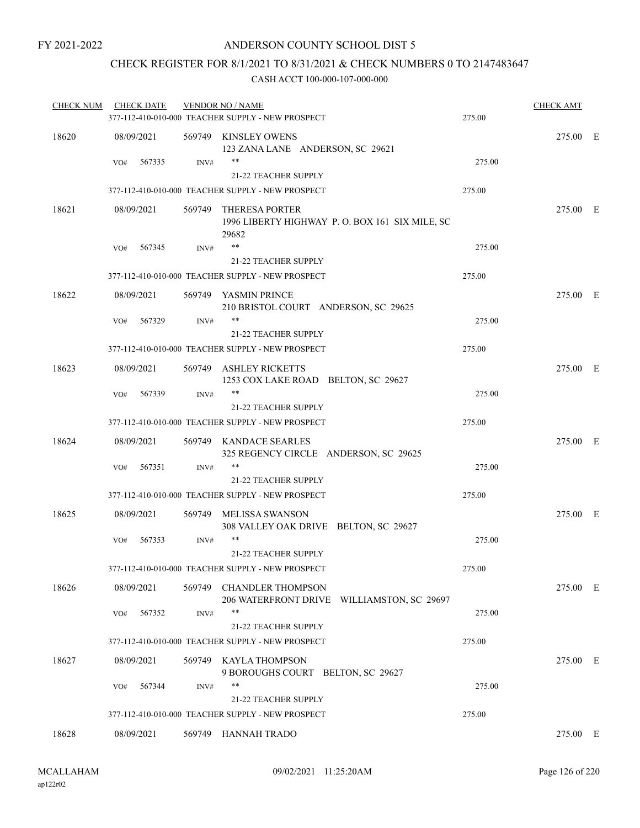### CHECK REGISTER FOR 8/1/2021 TO 8/31/2021 & CHECK NUMBERS 0 TO 2147483647

| <b>CHECK NUM</b> | <b>CHECK DATE</b> |      | <b>VENDOR NO / NAME</b><br>377-112-410-010-000 TEACHER SUPPLY - NEW PROSPECT     | 275.00 | <b>CHECK AMT</b> |  |
|------------------|-------------------|------|----------------------------------------------------------------------------------|--------|------------------|--|
| 18620            | 08/09/2021        |      | 569749 KINSLEY OWENS<br>123 ZANA LANE ANDERSON, SC 29621                         |        | 275.00 E         |  |
|                  | 567335<br>VO#     | INV# | **<br>21-22 TEACHER SUPPLY                                                       | 275.00 |                  |  |
|                  |                   |      | 377-112-410-010-000 TEACHER SUPPLY - NEW PROSPECT                                | 275.00 |                  |  |
| 18621            | 08/09/2021        |      | 569749 THERESA PORTER<br>1996 LIBERTY HIGHWAY P.O. BOX 161 SIX MILE, SC<br>29682 |        | 275.00 E         |  |
|                  | 567345<br>VO#     | INV# | **                                                                               | 275.00 |                  |  |
|                  |                   |      | <b>21-22 TEACHER SUPPLY</b>                                                      |        |                  |  |
|                  |                   |      | 377-112-410-010-000 TEACHER SUPPLY - NEW PROSPECT                                | 275.00 |                  |  |
| 18622            | 08/09/2021        |      | 569749 YASMIN PRINCE<br>210 BRISTOL COURT ANDERSON, SC 29625                     |        | 275.00 E         |  |
|                  | 567329<br>VO#     | INV# | 21-22 TEACHER SUPPLY                                                             | 275.00 |                  |  |
|                  |                   |      | 377-112-410-010-000 TEACHER SUPPLY - NEW PROSPECT                                | 275.00 |                  |  |
| 18623            | 08/09/2021        |      | 569749 ASHLEY RICKETTS<br>1253 COX LAKE ROAD BELTON, SC 29627                    |        | 275.00 E         |  |
|                  | 567339<br>VO#     | INV# | **                                                                               | 275.00 |                  |  |
|                  |                   |      | <b>21-22 TEACHER SUPPLY</b>                                                      |        |                  |  |
|                  |                   |      | 377-112-410-010-000 TEACHER SUPPLY - NEW PROSPECT                                | 275.00 |                  |  |
| 18624            | 08/09/2021        |      | 569749 KANDACE SEARLES<br>325 REGENCY CIRCLE ANDERSON, SC 29625                  |        | 275.00 E         |  |
|                  | 567351<br>VO#     | INV# | **                                                                               | 275.00 |                  |  |
|                  |                   |      | <b>21-22 TEACHER SUPPLY</b>                                                      |        |                  |  |
|                  |                   |      | 377-112-410-010-000 TEACHER SUPPLY - NEW PROSPECT                                | 275.00 |                  |  |
| 18625            | 08/09/2021        |      | 569749 MELISSA SWANSON<br>308 VALLEY OAK DRIVE BELTON, SC 29627                  |        | 275.00 E         |  |
|                  | VO#<br>567353     | INV# | **<br><b>21-22 TEACHER SUPPLY</b>                                                | 275.00 |                  |  |
|                  |                   |      | 377-112-410-010-000 TEACHER SUPPLY - NEW PROSPECT                                | 275.00 |                  |  |
| 18626            | 08/09/2021        |      | 569749 CHANDLER THOMPSON<br>206 WATERFRONT DRIVE WILLIAMSTON, SC 29697           |        | 275.00 E         |  |
|                  | 567352<br>VO#     | INV# | **                                                                               | 275.00 |                  |  |
|                  |                   |      | 21-22 TEACHER SUPPLY                                                             |        |                  |  |
|                  |                   |      | 377-112-410-010-000 TEACHER SUPPLY - NEW PROSPECT                                | 275.00 |                  |  |
| 18627            | 08/09/2021        |      | 569749 KAYLA THOMPSON<br>9 BOROUGHS COURT BELTON, SC 29627                       |        | 275.00 E         |  |
|                  | 567344<br>VO#     | INV# | **<br>21-22 TEACHER SUPPLY                                                       | 275.00 |                  |  |
|                  |                   |      | 377-112-410-010-000 TEACHER SUPPLY - NEW PROSPECT                                | 275.00 |                  |  |
| 18628            | 08/09/2021        |      | 569749 HANNAH TRADO                                                              |        | 275.00 E         |  |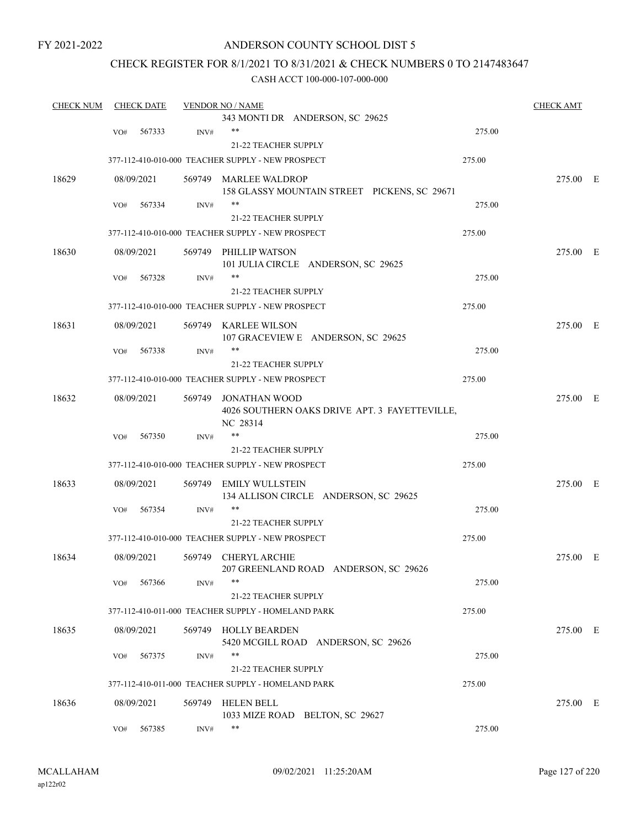#### ANDERSON COUNTY SCHOOL DIST 5

### CHECK REGISTER FOR 8/1/2021 TO 8/31/2021 & CHECK NUMBERS 0 TO 2147483647

| <b>CHECK NUM</b> |     | <b>CHECK DATE</b> |        | <b>VENDOR NO / NAME</b>                                     |        | <b>CHECK AMT</b> |  |
|------------------|-----|-------------------|--------|-------------------------------------------------------------|--------|------------------|--|
|                  |     |                   |        | 343 MONTI DR ANDERSON, SC 29625                             |        |                  |  |
|                  | VO# | 567333            | INV#   | $***$                                                       | 275.00 |                  |  |
|                  |     |                   |        | 21-22 TEACHER SUPPLY                                        |        |                  |  |
|                  |     |                   |        | 377-112-410-010-000 TEACHER SUPPLY - NEW PROSPECT           | 275.00 |                  |  |
| 18629            |     | 08/09/2021        |        | 569749 MARLEE WALDROP                                       |        | 275.00 E         |  |
|                  |     |                   |        | 158 GLASSY MOUNTAIN STREET PICKENS, SC 29671                |        |                  |  |
|                  | VO# | 567334            | INV#   | $***$                                                       | 275.00 |                  |  |
|                  |     |                   |        | <b>21-22 TEACHER SUPPLY</b>                                 |        |                  |  |
|                  |     |                   |        | 377-112-410-010-000 TEACHER SUPPLY - NEW PROSPECT           | 275.00 |                  |  |
| 18630            |     | 08/09/2021        |        | 569749 PHILLIP WATSON                                       |        | 275.00 E         |  |
|                  |     |                   |        | 101 JULIA CIRCLE ANDERSON, SC 29625                         |        |                  |  |
|                  | VO# | 567328            | INV#   | $***$                                                       | 275.00 |                  |  |
|                  |     |                   |        | <b>21-22 TEACHER SUPPLY</b>                                 |        |                  |  |
|                  |     |                   |        | 377-112-410-010-000 TEACHER SUPPLY - NEW PROSPECT           | 275.00 |                  |  |
| 18631            |     | 08/09/2021        |        | 569749 KARLEE WILSON                                        |        | 275.00 E         |  |
|                  |     |                   |        | 107 GRACEVIEW E ANDERSON, SC 29625                          |        |                  |  |
|                  | VO# | 567338            | INV#   | $***$                                                       | 275.00 |                  |  |
|                  |     |                   |        | 21-22 TEACHER SUPPLY                                        |        |                  |  |
|                  |     |                   |        | 377-112-410-010-000 TEACHER SUPPLY - NEW PROSPECT           | 275.00 |                  |  |
| 18632            |     | 08/09/2021        | 569749 | JONATHAN WOOD                                               |        | 275.00 E         |  |
|                  |     |                   |        | 4026 SOUTHERN OAKS DRIVE APT. 3 FAYETTEVILLE,<br>NC 28314   |        |                  |  |
|                  | VO# | 567350            | INV#   | $***$                                                       | 275.00 |                  |  |
|                  |     |                   |        | 21-22 TEACHER SUPPLY                                        |        |                  |  |
|                  |     |                   |        | 377-112-410-010-000 TEACHER SUPPLY - NEW PROSPECT           | 275.00 |                  |  |
| 18633            |     | 08/09/2021        | 569749 | EMILY WULLSTEIN                                             |        | 275.00 E         |  |
|                  |     |                   |        | 134 ALLISON CIRCLE ANDERSON, SC 29625                       |        |                  |  |
|                  | VO# | 567354            | INV#   | $***$                                                       | 275.00 |                  |  |
|                  |     |                   |        | <b>21-22 TEACHER SUPPLY</b>                                 |        |                  |  |
|                  |     |                   |        | 377-112-410-010-000 TEACHER SUPPLY - NEW PROSPECT           | 275.00 |                  |  |
| 18634            |     | 08/09/2021        |        | 569749 CHERYL ARCHIE                                        |        | 275.00 E         |  |
|                  |     |                   |        | 207 GREENLAND ROAD ANDERSON, SC 29626                       |        |                  |  |
|                  | VO# | 567366            | INV#   | **                                                          | 275.00 |                  |  |
|                  |     |                   |        | <b>21-22 TEACHER SUPPLY</b>                                 |        |                  |  |
|                  |     |                   |        | 377-112-410-011-000 TEACHER SUPPLY - HOMELAND PARK          | 275.00 |                  |  |
| 18635            |     | 08/09/2021        | 569749 | <b>HOLLY BEARDEN</b><br>5420 MCGILL ROAD ANDERSON, SC 29626 |        | 275.00 E         |  |
|                  | VO# | 567375            | INV#   | $***$                                                       | 275.00 |                  |  |
|                  |     |                   |        | 21-22 TEACHER SUPPLY                                        |        |                  |  |
|                  |     |                   |        | 377-112-410-011-000 TEACHER SUPPLY - HOMELAND PARK          | 275.00 |                  |  |
| 18636            |     | 08/09/2021        | 569749 | <b>HELEN BELL</b>                                           |        | 275.00 E         |  |
|                  |     |                   |        | 1033 MIZE ROAD BELTON, SC 29627                             |        |                  |  |
|                  | VO# | 567385            | INV#   | $***$                                                       | 275.00 |                  |  |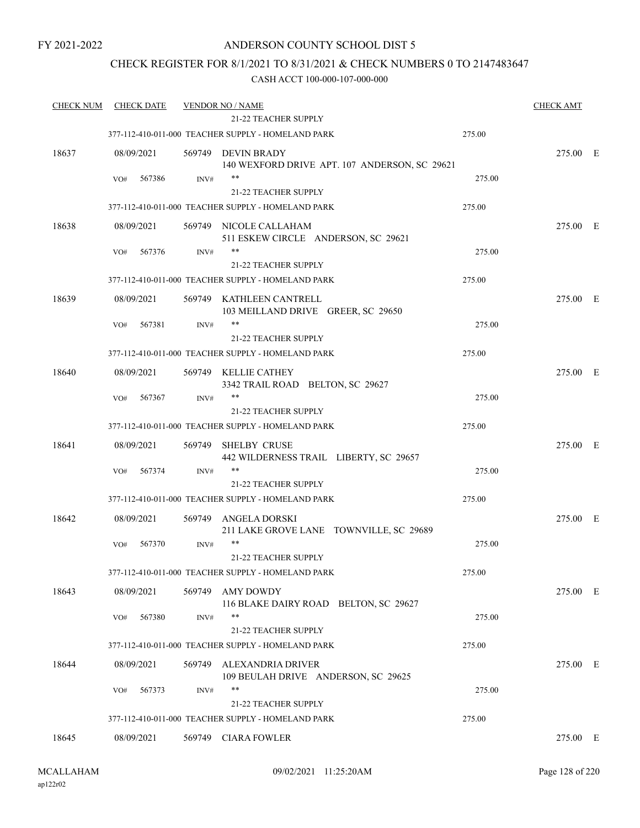#### ANDERSON COUNTY SCHOOL DIST 5

### CHECK REGISTER FOR 8/1/2021 TO 8/31/2021 & CHECK NUMBERS 0 TO 2147483647

| <b>CHECK NUM</b> | <b>CHECK DATE</b> |        | <b>VENDOR NO / NAME</b>                                             |        | <b>CHECK AMT</b> |  |
|------------------|-------------------|--------|---------------------------------------------------------------------|--------|------------------|--|
|                  |                   |        | <b>21-22 TEACHER SUPPLY</b>                                         |        |                  |  |
|                  |                   |        | 377-112-410-011-000 TEACHER SUPPLY - HOMELAND PARK                  | 275.00 |                  |  |
| 18637            | 08/09/2021        |        | 569749 DEVIN BRADY<br>140 WEXFORD DRIVE APT. 107 ANDERSON, SC 29621 |        | 275.00 E         |  |
|                  | VO#<br>567386     | INV#   | $***$                                                               | 275.00 |                  |  |
|                  |                   |        | 21-22 TEACHER SUPPLY                                                |        |                  |  |
|                  |                   |        | 377-112-410-011-000 TEACHER SUPPLY - HOMELAND PARK                  | 275.00 |                  |  |
| 18638            | 08/09/2021        |        | 569749 NICOLE CALLAHAM<br>511 ESKEW CIRCLE ANDERSON, SC 29621       |        | 275.00 E         |  |
|                  | 567376<br>VO#     | INV#   |                                                                     | 275.00 |                  |  |
|                  |                   |        | 21-22 TEACHER SUPPLY                                                |        |                  |  |
|                  |                   |        | 377-112-410-011-000 TEACHER SUPPLY - HOMELAND PARK                  | 275.00 |                  |  |
| 18639            | 08/09/2021        |        | 569749 KATHLEEN CANTRELL<br>103 MEILLAND DRIVE GREER, SC 29650      |        | 275.00 E         |  |
|                  | 567381<br>VO#     | INV#   | $***$                                                               | 275.00 |                  |  |
|                  |                   |        | 21-22 TEACHER SUPPLY                                                |        |                  |  |
|                  |                   |        | 377-112-410-011-000 TEACHER SUPPLY - HOMELAND PARK                  | 275.00 |                  |  |
| 18640            | 08/09/2021        | 569749 | KELLIE CATHEY<br>3342 TRAIL ROAD BELTON, SC 29627                   |        | 275.00 E         |  |
|                  | 567367<br>VO#     | INV#   | $***$                                                               | 275.00 |                  |  |
|                  |                   |        | 21-22 TEACHER SUPPLY                                                |        |                  |  |
|                  |                   |        | 377-112-410-011-000 TEACHER SUPPLY - HOMELAND PARK                  | 275.00 |                  |  |
| 18641            | 08/09/2021        | 569749 | <b>SHELBY CRUSE</b><br>442 WILDERNESS TRAIL LIBERTY, SC 29657       |        | 275.00 E         |  |
|                  | 567374<br>VO#     | INV#   | **                                                                  | 275.00 |                  |  |
|                  |                   |        | 21-22 TEACHER SUPPLY                                                |        |                  |  |
|                  |                   |        | 377-112-410-011-000 TEACHER SUPPLY - HOMELAND PARK                  | 275.00 |                  |  |
| 18642            | 08/09/2021        | 569749 | ANGELA DORSKI<br>211 LAKE GROVE LANE TOWNVILLE, SC 29689            |        | 275.00 E         |  |
|                  | 567370<br>VO#     | INV#   | **<br>21-22 TEACHER SUPPLY                                          | 275.00 |                  |  |
|                  |                   |        | 377-112-410-011-000 TEACHER SUPPLY - HOMELAND PARK                  | 275.00 |                  |  |
| 18643            | 08/09/2021        | 569749 | <b>AMY DOWDY</b><br>116 BLAKE DAIRY ROAD BELTON, SC 29627           |        | 275.00 E         |  |
|                  | 567380<br>VO#     | INV#   | **                                                                  | 275.00 |                  |  |
|                  |                   |        | 21-22 TEACHER SUPPLY                                                |        |                  |  |
|                  |                   |        | 377-112-410-011-000 TEACHER SUPPLY - HOMELAND PARK                  | 275.00 |                  |  |
| 18644            | 08/09/2021        | 569749 | ALEXANDRIA DRIVER<br>109 BEULAH DRIVE ANDERSON, SC 29625            |        | 275.00 E         |  |
|                  | 567373<br>VO#     | INV#   | **                                                                  | 275.00 |                  |  |
|                  |                   |        | 21-22 TEACHER SUPPLY                                                |        |                  |  |
|                  |                   |        | 377-112-410-011-000 TEACHER SUPPLY - HOMELAND PARK                  | 275.00 |                  |  |
| 18645            | 08/09/2021        |        | 569749 CIARA FOWLER                                                 |        | 275.00 E         |  |
|                  |                   |        |                                                                     |        |                  |  |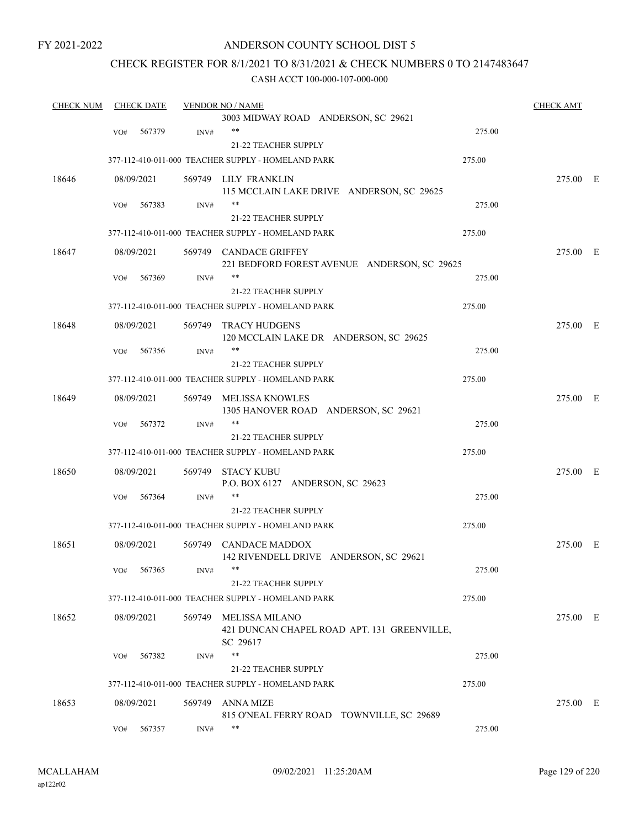#### ANDERSON COUNTY SCHOOL DIST 5

### CHECK REGISTER FOR 8/1/2021 TO 8/31/2021 & CHECK NUMBERS 0 TO 2147483647

| <b>CHECK NUM</b> |     | <b>CHECK DATE</b> |        | <b>VENDOR NO / NAME</b>                                                |        | <b>CHECK AMT</b> |  |
|------------------|-----|-------------------|--------|------------------------------------------------------------------------|--------|------------------|--|
|                  |     |                   |        | 3003 MIDWAY ROAD ANDERSON, SC 29621                                    |        |                  |  |
|                  | VO# | 567379            | INV#   | $***$                                                                  | 275.00 |                  |  |
|                  |     |                   |        | 21-22 TEACHER SUPPLY                                                   |        |                  |  |
|                  |     |                   |        | 377-112-410-011-000 TEACHER SUPPLY - HOMELAND PARK                     | 275.00 |                  |  |
| 18646            |     | 08/09/2021        |        | 569749 LILY FRANKLIN                                                   |        | 275.00 E         |  |
|                  |     |                   |        | 115 MCCLAIN LAKE DRIVE ANDERSON, SC 29625                              |        |                  |  |
|                  | VO# | 567383            | INV#   | $***$                                                                  | 275.00 |                  |  |
|                  |     |                   |        | <b>21-22 TEACHER SUPPLY</b>                                            |        |                  |  |
|                  |     |                   |        | 377-112-410-011-000 TEACHER SUPPLY - HOMELAND PARK                     | 275.00 |                  |  |
| 18647            |     | 08/09/2021        |        | 569749 CANDACE GRIFFEY<br>221 BEDFORD FOREST AVENUE ANDERSON, SC 29625 |        | 275.00 E         |  |
|                  | VO# | 567369            | INV#   | **                                                                     | 275.00 |                  |  |
|                  |     |                   |        | <b>21-22 TEACHER SUPPLY</b>                                            |        |                  |  |
|                  |     |                   |        | 377-112-410-011-000 TEACHER SUPPLY - HOMELAND PARK                     | 275.00 |                  |  |
| 18648            |     | 08/09/2021        | 569749 | <b>TRACY HUDGENS</b>                                                   |        | 275.00 E         |  |
|                  |     |                   |        | 120 MCCLAIN LAKE DR ANDERSON, SC 29625                                 |        |                  |  |
|                  | VO# | 567356            | INV#   | $***$                                                                  | 275.00 |                  |  |
|                  |     |                   |        | 21-22 TEACHER SUPPLY                                                   |        |                  |  |
|                  |     |                   |        | 377-112-410-011-000 TEACHER SUPPLY - HOMELAND PARK                     | 275.00 |                  |  |
| 18649            |     | 08/09/2021        | 569749 | MELISSA KNOWLES                                                        |        | 275.00 E         |  |
|                  |     |                   |        | 1305 HANOVER ROAD ANDERSON, SC 29621                                   |        |                  |  |
|                  | VO# | 567372            | INV#   | $***$                                                                  | 275.00 |                  |  |
|                  |     |                   |        | 21-22 TEACHER SUPPLY                                                   |        |                  |  |
|                  |     |                   |        | 377-112-410-011-000 TEACHER SUPPLY - HOMELAND PARK                     | 275.00 |                  |  |
| 18650            |     | 08/09/2021        |        | 569749 STACY KUBU                                                      |        | 275.00 E         |  |
|                  |     |                   |        | P.O. BOX 6127 ANDERSON, SC 29623                                       |        |                  |  |
|                  | VO# | 567364            | INV#   | $***$                                                                  | 275.00 |                  |  |
|                  |     |                   |        | 21-22 TEACHER SUPPLY                                                   |        |                  |  |
|                  |     |                   |        | 377-112-410-011-000 TEACHER SUPPLY - HOMELAND PARK                     | 275.00 |                  |  |
| 18651            |     | 08/09/2021        |        | 569749 CANDACE MADDOX                                                  |        | 275.00 E         |  |
|                  |     |                   |        | 142 RIVENDELL DRIVE ANDERSON, SC 29621                                 |        |                  |  |
|                  | VO# | 567365            | INV#   |                                                                        | 275.00 |                  |  |
|                  |     |                   |        | 21-22 TEACHER SUPPLY                                                   |        |                  |  |
|                  |     |                   |        | 377-112-410-011-000 TEACHER SUPPLY - HOMELAND PARK                     | 275.00 |                  |  |
| 18652            |     |                   |        | 569749 MELISSA MILANO                                                  |        |                  |  |
|                  |     | 08/09/2021        |        | 421 DUNCAN CHAPEL ROAD APT. 131 GREENVILLE,<br>SC 29617                |        | 275.00 E         |  |
|                  | VO# | 567382            | INV#   | $***$                                                                  | 275.00 |                  |  |
|                  |     |                   |        | 21-22 TEACHER SUPPLY                                                   |        |                  |  |
|                  |     |                   |        | 377-112-410-011-000 TEACHER SUPPLY - HOMELAND PARK                     | 275.00 |                  |  |
|                  |     |                   |        |                                                                        |        |                  |  |
| 18653            |     | 08/09/2021        | 569749 | ANNA MIZE                                                              |        | 275.00 E         |  |
|                  |     | 567357            |        | 815 O'NEAL FERRY ROAD TOWNVILLE, SC 29689<br>**                        | 275.00 |                  |  |
|                  | VO# |                   | INV#   |                                                                        |        |                  |  |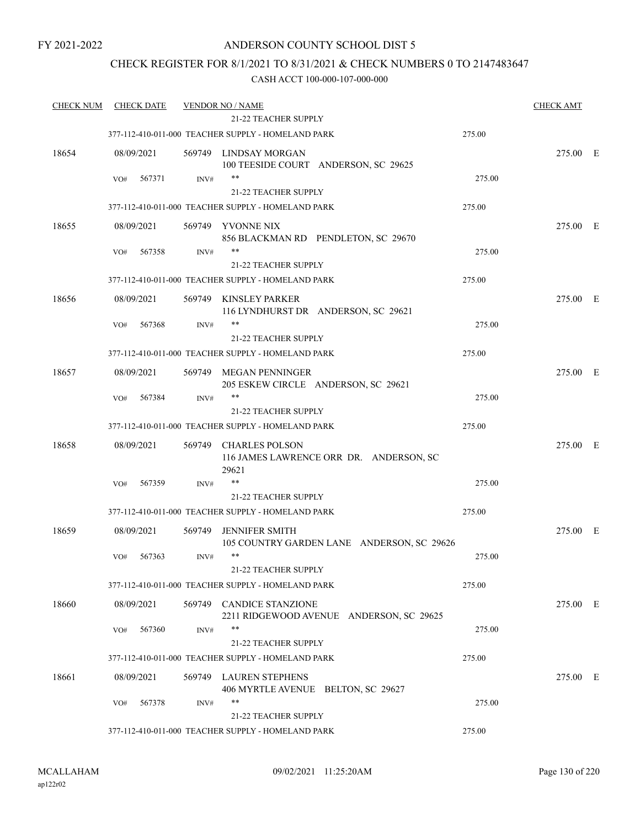### ANDERSON COUNTY SCHOOL DIST 5

### CHECK REGISTER FOR 8/1/2021 TO 8/31/2021 & CHECK NUMBERS 0 TO 2147483647

| <b>CHECK NUM</b> | <b>CHECK DATE</b> |        | <b>VENDOR NO / NAME</b>                                       |                                            | <b>CHECK AMT</b> |
|------------------|-------------------|--------|---------------------------------------------------------------|--------------------------------------------|------------------|
|                  |                   |        | 21-22 TEACHER SUPPLY                                          |                                            |                  |
|                  |                   |        | 377-112-410-011-000 TEACHER SUPPLY - HOMELAND PARK            | 275.00                                     |                  |
| 18654            | 08/09/2021        |        | 569749 LINDSAY MORGAN<br>100 TEESIDE COURT ANDERSON, SC 29625 |                                            | 275.00 E         |
|                  | 567371<br>VO#     | INV#   | $***$                                                         |                                            | 275.00           |
|                  |                   |        | 21-22 TEACHER SUPPLY                                          |                                            |                  |
|                  |                   |        | 377-112-410-011-000 TEACHER SUPPLY - HOMELAND PARK            | 275.00                                     |                  |
| 18655            | 08/09/2021        |        | 569749 YVONNE NIX<br>856 BLACKMAN RD PENDLETON, SC 29670      |                                            | 275.00 E         |
|                  | 567358<br>VO#     | INV#   | **<br>21-22 TEACHER SUPPLY                                    |                                            | 275.00           |
|                  |                   |        | 377-112-410-011-000 TEACHER SUPPLY - HOMELAND PARK            | 275.00                                     |                  |
| 18656            | 08/09/2021        |        | 569749 KINSLEY PARKER<br>116 LYNDHURST DR ANDERSON, SC 29621  |                                            | 275.00 E         |
|                  | VO#<br>567368     | INV#   | $***$                                                         |                                            | 275.00           |
|                  |                   |        | <b>21-22 TEACHER SUPPLY</b>                                   |                                            |                  |
|                  |                   |        | 377-112-410-011-000 TEACHER SUPPLY - HOMELAND PARK            | 275.00                                     |                  |
| 18657            | 08/09/2021        |        | 569749 MEGAN PENNINGER<br>205 ESKEW CIRCLE ANDERSON, SC 29621 |                                            | 275.00 E         |
|                  | 567384<br>VO#     | INV#   | $***$<br>21-22 TEACHER SUPPLY                                 |                                            | 275.00           |
|                  |                   |        | 377-112-410-011-000 TEACHER SUPPLY - HOMELAND PARK            | 275.00                                     |                  |
| 18658            | 08/09/2021        |        | 569749 CHARLES POLSON<br>29621                                | 116 JAMES LAWRENCE ORR DR. ANDERSON, SC    | 275.00 E         |
|                  | 567359<br>VO#     | INV#   | $***$                                                         |                                            | 275.00           |
|                  |                   |        | <b>21-22 TEACHER SUPPLY</b>                                   |                                            |                  |
|                  |                   |        | 377-112-410-011-000 TEACHER SUPPLY - HOMELAND PARK            | 275.00                                     |                  |
| 18659            | 08/09/2021        | 569749 | <b>JENNIFER SMITH</b>                                         | 105 COUNTRY GARDEN LANE ANDERSON, SC 29626 | 275.00 E         |
|                  | VO#<br>567363     | INV#   | $***$<br>21-22 TEACHER SUPPLY                                 |                                            | 275.00           |
|                  |                   |        | 377-112-410-011-000 TEACHER SUPPLY - HOMELAND PARK            | 275.00                                     |                  |
| 18660            | 08/09/2021        |        | 569749 CANDICE STANZIONE                                      | 2211 RIDGEWOOD AVENUE ANDERSON, SC 29625   | 275.00 E         |
|                  | 567360<br>VO#     | INV#   | **                                                            |                                            | 275.00           |
|                  |                   |        | 21-22 TEACHER SUPPLY                                          |                                            |                  |
|                  |                   |        | 377-112-410-011-000 TEACHER SUPPLY - HOMELAND PARK            | 275.00                                     |                  |
| 18661            | 08/09/2021        |        | 569749 LAUREN STEPHENS<br>406 MYRTLE AVENUE BELTON, SC 29627  |                                            | 275.00 E         |
|                  | VO#<br>567378     | INV#   | $***$                                                         |                                            | 275.00           |
|                  |                   |        | 21-22 TEACHER SUPPLY                                          |                                            |                  |
|                  |                   |        | 377-112-410-011-000 TEACHER SUPPLY - HOMELAND PARK            | 275.00                                     |                  |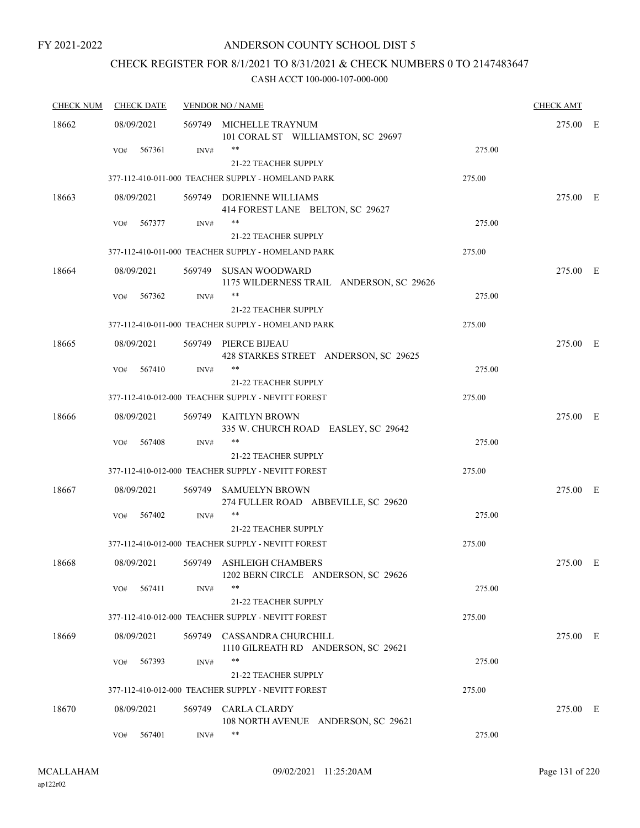### ANDERSON COUNTY SCHOOL DIST 5

# CHECK REGISTER FOR 8/1/2021 TO 8/31/2021 & CHECK NUMBERS 0 TO 2147483647

| <b>CHECK NUM</b> | <b>CHECK DATE</b> |        | <b>VENDOR NO / NAME</b>                                                    |        | <b>CHECK AMT</b> |  |
|------------------|-------------------|--------|----------------------------------------------------------------------------|--------|------------------|--|
| 18662            | 08/09/2021        |        | 569749 MICHELLE TRAYNUM<br>101 CORAL ST WILLIAMSTON, SC 29697              |        | 275.00 E         |  |
|                  | 567361<br>VO#     | INV#   | **<br>21-22 TEACHER SUPPLY                                                 | 275.00 |                  |  |
|                  |                   |        | 377-112-410-011-000 TEACHER SUPPLY - HOMELAND PARK                         | 275.00 |                  |  |
| 18663            | 08/09/2021        |        | 569749 DORIENNE WILLIAMS<br>414 FOREST LANE BELTON, SC 29627               |        | 275.00 E         |  |
|                  | VO#<br>567377     | INV#   | **<br>21-22 TEACHER SUPPLY                                                 | 275.00 |                  |  |
|                  |                   |        | 377-112-410-011-000 TEACHER SUPPLY - HOMELAND PARK                         | 275.00 |                  |  |
| 18664            | 08/09/2021        |        | 569749 SUSAN WOODWARD<br>1175 WILDERNESS TRAIL ANDERSON, SC 29626          |        | 275.00 E         |  |
|                  | 567362<br>VO#     | INV#   | 21-22 TEACHER SUPPLY                                                       | 275.00 |                  |  |
|                  |                   |        | 377-112-410-011-000 TEACHER SUPPLY - HOMELAND PARK                         | 275.00 |                  |  |
| 18665            | 08/09/2021        |        | 569749 PIERCE BIJEAU<br>428 STARKES STREET ANDERSON, SC 29625              |        | 275.00 E         |  |
|                  | 567410<br>VO#     | INV#   | **                                                                         | 275.00 |                  |  |
|                  |                   |        | 21-22 TEACHER SUPPLY<br>377-112-410-012-000 TEACHER SUPPLY - NEVITT FOREST | 275.00 |                  |  |
| 18666            | 08/09/2021        |        | 569749 KAITLYN BROWN<br>335 W. CHURCH ROAD EASLEY, SC 29642                |        | 275.00 E         |  |
|                  | 567408<br>VO#     | INV#   | **<br><b>21-22 TEACHER SUPPLY</b>                                          | 275.00 |                  |  |
|                  |                   |        | 377-112-410-012-000 TEACHER SUPPLY - NEVITT FOREST                         | 275.00 |                  |  |
| 18667            | 08/09/2021        |        | 569749 SAMUELYN BROWN<br>274 FULLER ROAD ABBEVILLE, SC 29620               |        | 275.00 E         |  |
|                  | 567402<br>VO#     | INV#   | **<br>21-22 TEACHER SUPPLY                                                 | 275.00 |                  |  |
|                  |                   |        | 377-112-410-012-000 TEACHER SUPPLY - NEVITT FOREST                         | 275.00 |                  |  |
| 18668            | 08/09/2021        |        | 569749 ASHLEIGH CHAMBERS<br>1202 BERN CIRCLE ANDERSON, SC 29626            |        | 275.00 E         |  |
|                  | 567411<br>VO#     | INV#   | **<br>21-22 TEACHER SUPPLY                                                 | 275.00 |                  |  |
|                  |                   |        | 377-112-410-012-000 TEACHER SUPPLY - NEVITT FOREST                         | 275.00 |                  |  |
| 18669            | 08/09/2021        |        | 569749 CASSANDRA CHURCHILL<br>1110 GILREATH RD ANDERSON, SC 29621          |        | 275.00 E         |  |
|                  | 567393<br>VO#     | INV#   | **<br>21-22 TEACHER SUPPLY                                                 | 275.00 |                  |  |
|                  |                   |        | 377-112-410-012-000 TEACHER SUPPLY - NEVITT FOREST                         | 275.00 |                  |  |
| 18670            | 08/09/2021        | 569749 | <b>CARLA CLARDY</b><br>108 NORTH AVENUE ANDERSON, SC 29621                 |        | 275.00 E         |  |
|                  | 567401<br>VO#     | INV#   | **                                                                         | 275.00 |                  |  |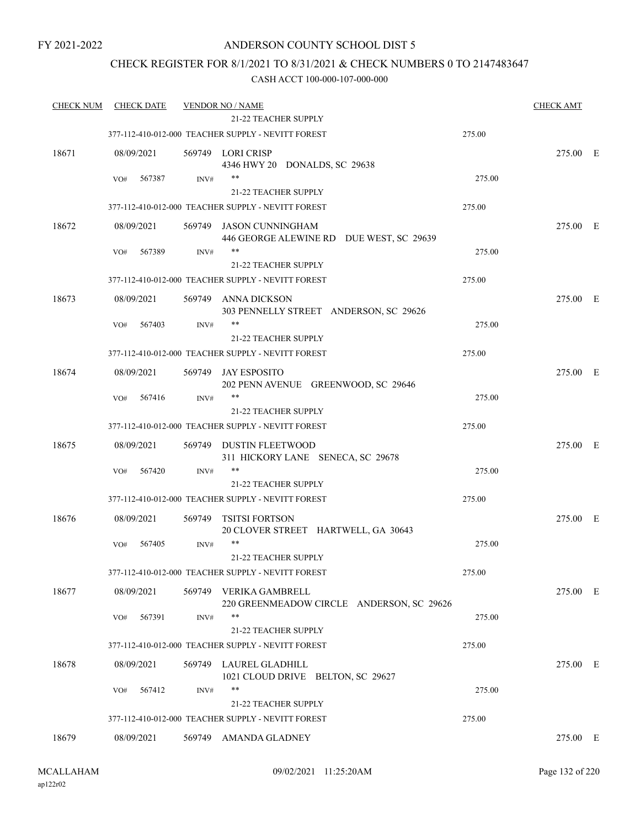### ANDERSON COUNTY SCHOOL DIST 5

### CHECK REGISTER FOR 8/1/2021 TO 8/31/2021 & CHECK NUMBERS 0 TO 2147483647

| <b>CHECK NUM</b> | <b>CHECK DATE</b> |        | <b>VENDOR NO / NAME</b><br><b>21-22 TEACHER SUPPLY</b>              |        | <b>CHECK AMT</b> |  |
|------------------|-------------------|--------|---------------------------------------------------------------------|--------|------------------|--|
|                  |                   |        | 377-112-410-012-000 TEACHER SUPPLY - NEVITT FOREST                  | 275.00 |                  |  |
| 18671            | 08/09/2021        |        | 569749 LORI CRISP<br>4346 HWY 20 DONALDS, SC 29638                  |        | 275.00 E         |  |
|                  | 567387<br>VO#     | INV#   | **                                                                  | 275.00 |                  |  |
|                  |                   |        | 21-22 TEACHER SUPPLY                                                |        |                  |  |
|                  |                   |        | 377-112-410-012-000 TEACHER SUPPLY - NEVITT FOREST                  | 275.00 |                  |  |
| 18672            | 08/09/2021        |        | 569749 JASON CUNNINGHAM<br>446 GEORGE ALEWINE RD DUE WEST, SC 29639 |        | 275.00 E         |  |
|                  | 567389<br>VO#     | INV#   | $***$                                                               | 275.00 |                  |  |
|                  |                   |        | 21-22 TEACHER SUPPLY                                                |        |                  |  |
|                  |                   |        | 377-112-410-012-000 TEACHER SUPPLY - NEVITT FOREST                  | 275.00 |                  |  |
| 18673            | 08/09/2021        | 569749 | ANNA DICKSON<br>303 PENNELLY STREET ANDERSON, SC 29626              |        | 275.00 E         |  |
|                  | 567403<br>VO#     | INV#   | **<br>21-22 TEACHER SUPPLY                                          | 275.00 |                  |  |
|                  |                   |        | 377-112-410-012-000 TEACHER SUPPLY - NEVITT FOREST                  | 275.00 |                  |  |
|                  |                   |        |                                                                     |        |                  |  |
| 18674            | 08/09/2021        | 569749 | JAY ESPOSITO<br>202 PENN AVENUE GREENWOOD, SC 29646                 |        | 275.00 E         |  |
|                  | 567416<br>VO#     | INV#   | $***$                                                               | 275.00 |                  |  |
|                  |                   |        | 21-22 TEACHER SUPPLY                                                |        |                  |  |
|                  |                   |        | 377-112-410-012-000 TEACHER SUPPLY - NEVITT FOREST                  | 275.00 |                  |  |
| 18675            | 08/09/2021        |        | 569749 DUSTIN FLEETWOOD<br>311 HICKORY LANE SENECA, SC 29678        |        | 275.00 E         |  |
|                  | 567420<br>VO#     | INV#   | $***$                                                               | 275.00 |                  |  |
|                  |                   |        | 21-22 TEACHER SUPPLY                                                |        |                  |  |
|                  |                   |        | 377-112-410-012-000 TEACHER SUPPLY - NEVITT FOREST                  | 275.00 |                  |  |
| 18676            | 08/09/2021        | 569749 | <b>TSITSI FORTSON</b><br>20 CLOVER STREET HARTWELL, GA 30643        |        | 275.00 E         |  |
|                  | 567405<br>VO#     | INV#   | $***$                                                               | 275.00 |                  |  |
|                  |                   |        | 21-22 TEACHER SUPPLY                                                |        |                  |  |
|                  |                   |        | 377-112-410-012-000 TEACHER SUPPLY - NEVITT FOREST                  | 275.00 |                  |  |
| 18677            | 08/09/2021        | 569749 | VERIKA GAMBRELL<br>220 GREENMEADOW CIRCLE ANDERSON, SC 29626        |        | 275.00 E         |  |
|                  | 567391<br>VO#     | INV#   | $***$                                                               | 275.00 |                  |  |
|                  |                   |        | 21-22 TEACHER SUPPLY                                                |        |                  |  |
|                  |                   |        | 377-112-410-012-000 TEACHER SUPPLY - NEVITT FOREST                  | 275.00 |                  |  |
| 18678            | 08/09/2021        |        | 569749 LAUREL GLADHILL<br>1021 CLOUD DRIVE BELTON, SC 29627         |        | 275.00 E         |  |
|                  | 567412<br>VO#     | INV#   | $***$                                                               | 275.00 |                  |  |
|                  |                   |        | 21-22 TEACHER SUPPLY                                                |        |                  |  |
|                  |                   |        | 377-112-410-012-000 TEACHER SUPPLY - NEVITT FOREST                  | 275.00 |                  |  |
| 18679            | 08/09/2021        |        | 569749 AMANDA GLADNEY                                               |        | 275.00 E         |  |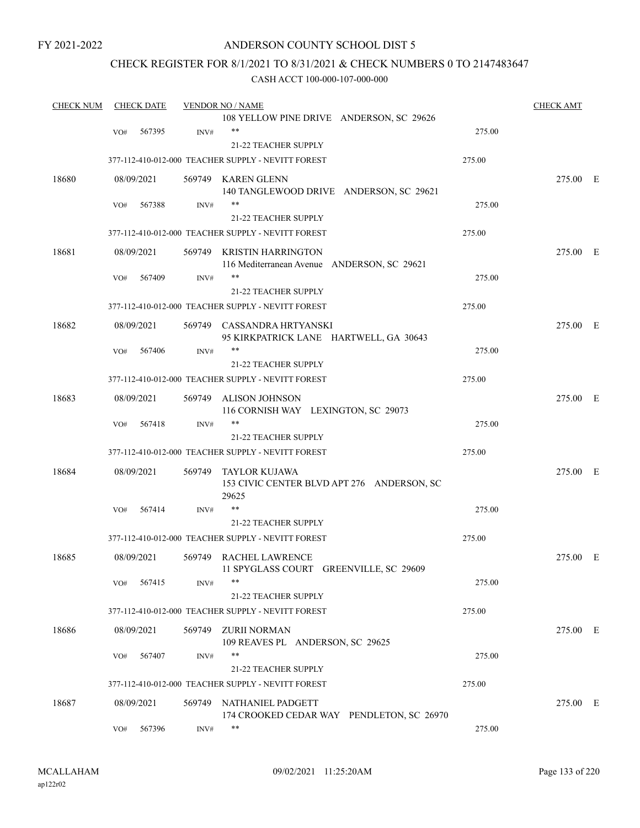### ANDERSON COUNTY SCHOOL DIST 5

### CHECK REGISTER FOR 8/1/2021 TO 8/31/2021 & CHECK NUMBERS 0 TO 2147483647

| <b>CHECK NUM</b> |     | <b>CHECK DATE</b> |        | <b>VENDOR NO / NAME</b>                                                  |        | <b>CHECK AMT</b> |  |
|------------------|-----|-------------------|--------|--------------------------------------------------------------------------|--------|------------------|--|
|                  |     |                   |        | 108 YELLOW PINE DRIVE ANDERSON, SC 29626                                 |        |                  |  |
|                  | VO# | 567395            | INV#   | $**$                                                                     | 275.00 |                  |  |
|                  |     |                   |        | 21-22 TEACHER SUPPLY                                                     |        |                  |  |
|                  |     |                   |        | 377-112-410-012-000 TEACHER SUPPLY - NEVITT FOREST                       | 275.00 |                  |  |
| 18680            |     | 08/09/2021        |        | 569749 KAREN GLENN                                                       |        | 275.00 E         |  |
|                  |     |                   |        | 140 TANGLEWOOD DRIVE ANDERSON, SC 29621                                  |        |                  |  |
|                  | VO# | 567388            | INV#   | **                                                                       | 275.00 |                  |  |
|                  |     |                   |        | 21-22 TEACHER SUPPLY                                                     |        |                  |  |
|                  |     |                   |        | 377-112-410-012-000 TEACHER SUPPLY - NEVITT FOREST                       | 275.00 |                  |  |
| 18681            |     | 08/09/2021        |        | 569749 KRISTIN HARRINGTON<br>116 Mediterranean Avenue ANDERSON, SC 29621 |        | 275.00 E         |  |
|                  | VO# | 567409            | INV#   | **                                                                       | 275.00 |                  |  |
|                  |     |                   |        | 21-22 TEACHER SUPPLY                                                     |        |                  |  |
|                  |     |                   |        | 377-112-410-012-000 TEACHER SUPPLY - NEVITT FOREST                       | 275.00 |                  |  |
|                  |     |                   |        |                                                                          |        | 275.00 E         |  |
| 18682            |     | 08/09/2021        |        | 569749 CASSANDRA HRTYANSKI<br>95 KIRKPATRICK LANE HARTWELL, GA 30643     |        |                  |  |
|                  | VO# | 567406            | INV#   |                                                                          | 275.00 |                  |  |
|                  |     |                   |        | 21-22 TEACHER SUPPLY                                                     |        |                  |  |
|                  |     |                   |        | 377-112-410-012-000 TEACHER SUPPLY - NEVITT FOREST                       | 275.00 |                  |  |
|                  |     |                   |        |                                                                          |        |                  |  |
| 18683            |     | 08/09/2021        | 569749 | ALISON JOHNSON<br>116 CORNISH WAY LEXINGTON, SC 29073                    |        | 275.00 E         |  |
|                  | VO# | 567418            | INV#   | **                                                                       | 275.00 |                  |  |
|                  |     |                   |        | 21-22 TEACHER SUPPLY                                                     |        |                  |  |
|                  |     |                   |        | 377-112-410-012-000 TEACHER SUPPLY - NEVITT FOREST                       | 275.00 |                  |  |
| 18684            |     | 08/09/2021        | 569749 | TAYLOR KUJAWA<br>153 CIVIC CENTER BLVD APT 276 ANDERSON, SC<br>29625     |        | 275.00 E         |  |
|                  | VO# | 567414            | INV#   | **                                                                       | 275.00 |                  |  |
|                  |     |                   |        | 21-22 TEACHER SUPPLY                                                     |        |                  |  |
|                  |     |                   |        | 377-112-410-012-000 TEACHER SUPPLY - NEVITT FOREST                       | 275.00 |                  |  |
| 18685            |     | 08/09/2021        |        | 569749 RACHEL LAWRENCE<br>11 SPYGLASS COURT GREENVILLE, SC 29609         |        | 275.00 E         |  |
|                  | VO# | 567415            | INV#   | **                                                                       | 275.00 |                  |  |
|                  |     |                   |        | <b>21-22 TEACHER SUPPLY</b>                                              |        |                  |  |
|                  |     |                   |        | 377-112-410-012-000 TEACHER SUPPLY - NEVITT FOREST                       | 275.00 |                  |  |
| 18686            |     | 08/09/2021        | 569749 | ZURII NORMAN<br>109 REAVES PL ANDERSON, SC 29625                         |        | 275.00 E         |  |
|                  | VO# | 567407            | INV#   | **                                                                       | 275.00 |                  |  |
|                  |     |                   |        | 21-22 TEACHER SUPPLY                                                     |        |                  |  |
|                  |     |                   |        | 377-112-410-012-000 TEACHER SUPPLY - NEVITT FOREST                       | 275.00 |                  |  |
| 18687            |     | 08/09/2021        |        | 569749 NATHANIEL PADGETT                                                 |        | 275.00 E         |  |
|                  |     |                   |        | 174 CROOKED CEDAR WAY PENDLETON, SC 26970                                |        |                  |  |
|                  | VO# | 567396            | INV#   | **                                                                       | 275.00 |                  |  |
|                  |     |                   |        |                                                                          |        |                  |  |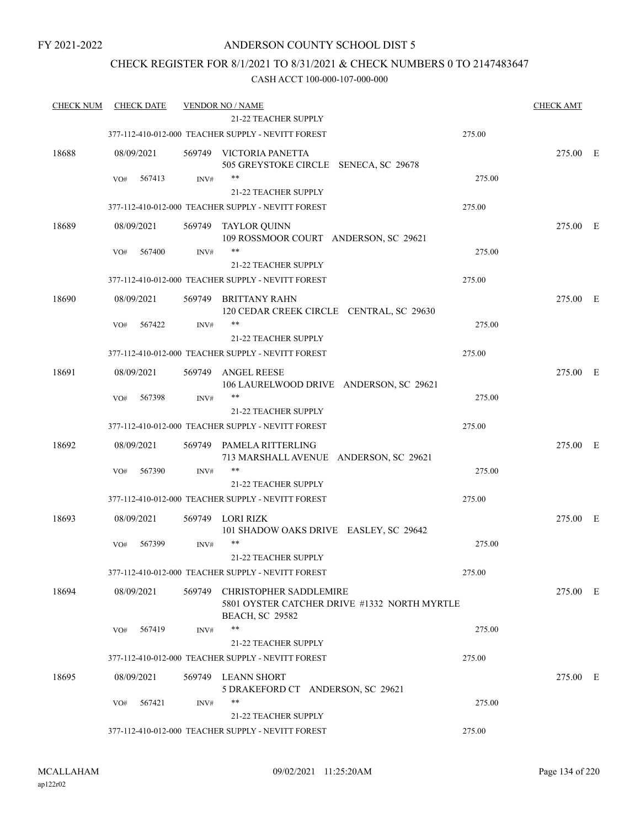### CHECK REGISTER FOR 8/1/2021 TO 8/31/2021 & CHECK NUMBERS 0 TO 2147483647

| <b>CHECK NUM</b> | <b>CHECK DATE</b> |        | <b>VENDOR NO / NAME</b>                                                                                 |        | <b>CHECK AMT</b> |  |
|------------------|-------------------|--------|---------------------------------------------------------------------------------------------------------|--------|------------------|--|
|                  |                   |        | <b>21-22 TEACHER SUPPLY</b>                                                                             |        |                  |  |
|                  |                   |        | 377-112-410-012-000 TEACHER SUPPLY - NEVITT FOREST                                                      | 275.00 |                  |  |
| 18688            | 08/09/2021        | 569749 | VICTORIA PANETTA<br>505 GREYSTOKE CIRCLE SENECA, SC 29678                                               |        | 275.00 E         |  |
|                  | VO#<br>567413     | INV#   | **                                                                                                      | 275.00 |                  |  |
|                  |                   |        | 21-22 TEACHER SUPPLY                                                                                    |        |                  |  |
|                  |                   |        | 377-112-410-012-000 TEACHER SUPPLY - NEVITT FOREST                                                      | 275.00 |                  |  |
| 18689            | 08/09/2021        | 569749 | TAYLOR QUINN<br>109 ROSSMOOR COURT ANDERSON, SC 29621                                                   |        | 275.00 E         |  |
|                  | 567400<br>VO#     | INV#   |                                                                                                         | 275.00 |                  |  |
|                  |                   |        | 21-22 TEACHER SUPPLY                                                                                    |        |                  |  |
|                  |                   |        | 377-112-410-012-000 TEACHER SUPPLY - NEVITT FOREST                                                      | 275.00 |                  |  |
| 18690            | 08/09/2021        | 569749 | BRITTANY RAHN<br>120 CEDAR CREEK CIRCLE CENTRAL, SC 29630                                               |        | 275.00 E         |  |
|                  | VO#<br>567422     | INV#   | **                                                                                                      | 275.00 |                  |  |
|                  |                   |        | 21-22 TEACHER SUPPLY                                                                                    |        |                  |  |
|                  |                   |        | 377-112-410-012-000 TEACHER SUPPLY - NEVITT FOREST                                                      | 275.00 |                  |  |
| 18691            | 08/09/2021        | 569749 | <b>ANGEL REESE</b><br>106 LAURELWOOD DRIVE ANDERSON, SC 29621                                           |        | 275.00 E         |  |
|                  | 567398<br>VO#     | INV#   | $***$                                                                                                   | 275.00 |                  |  |
|                  |                   |        | 21-22 TEACHER SUPPLY                                                                                    |        |                  |  |
|                  |                   |        | 377-112-410-012-000 TEACHER SUPPLY - NEVITT FOREST                                                      | 275.00 |                  |  |
| 18692            | 08/09/2021        | 569749 | PAMELA RITTERLING<br>713 MARSHALL AVENUE ANDERSON, SC 29621                                             |        | 275.00 E         |  |
|                  | 567390<br>VO#     | INV#   | **                                                                                                      | 275.00 |                  |  |
|                  |                   |        | <b>21-22 TEACHER SUPPLY</b>                                                                             |        |                  |  |
|                  |                   |        | 377-112-410-012-000 TEACHER SUPPLY - NEVITT FOREST                                                      | 275.00 |                  |  |
| 18693            | 08/09/2021        | 569749 | LORI RIZK<br>101 SHADOW OAKS DRIVE EASLEY, SC 29642                                                     |        | 275.00 E         |  |
|                  | 567399<br>VO#     | INV#   | **                                                                                                      | 275.00 |                  |  |
|                  |                   |        | 21-22 TEACHER SUPPLY                                                                                    |        |                  |  |
|                  |                   |        | 377-112-410-012-000 TEACHER SUPPLY - NEVITT FOREST                                                      | 275.00 |                  |  |
| 18694            | 08/09/2021        | 569749 | <b>CHRISTOPHER SADDLEMIRE</b><br>5801 OYSTER CATCHER DRIVE #1332 NORTH MYRTLE<br><b>BEACH, SC 29582</b> |        | 275.00 E         |  |
|                  | 567419<br>VO#     | INV#   | **                                                                                                      | 275.00 |                  |  |
|                  |                   |        | 21-22 TEACHER SUPPLY                                                                                    |        |                  |  |
|                  |                   |        | 377-112-410-012-000 TEACHER SUPPLY - NEVITT FOREST                                                      | 275.00 |                  |  |
| 18695            | 08/09/2021        |        | 569749 LEANN SHORT<br>5 DRAKEFORD CT ANDERSON, SC 29621                                                 |        | 275.00 E         |  |
|                  | VO#<br>567421     | INV#   | **                                                                                                      | 275.00 |                  |  |
|                  |                   |        | 21-22 TEACHER SUPPLY                                                                                    |        |                  |  |
|                  |                   |        | 377-112-410-012-000 TEACHER SUPPLY - NEVITT FOREST                                                      | 275.00 |                  |  |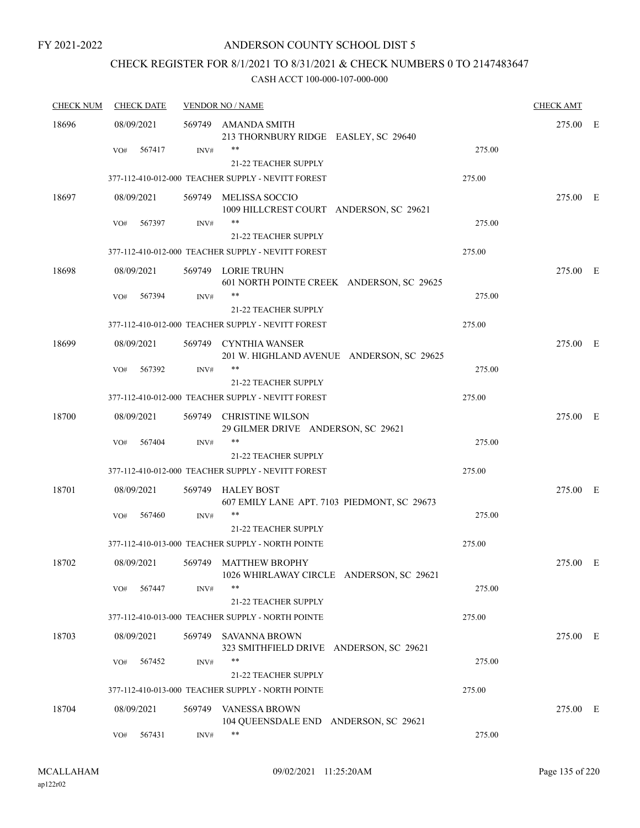### ANDERSON COUNTY SCHOOL DIST 5

# CHECK REGISTER FOR 8/1/2021 TO 8/31/2021 & CHECK NUMBERS 0 TO 2147483647

| <b>CHECK NUM</b> | <b>CHECK DATE</b> |        | <b>VENDOR NO / NAME</b>                                                    |        | <b>CHECK AMT</b> |  |
|------------------|-------------------|--------|----------------------------------------------------------------------------|--------|------------------|--|
| 18696            | 08/09/2021        |        | 569749 AMANDA SMITH<br>213 THORNBURY RIDGE EASLEY, SC 29640                |        | 275.00 E         |  |
|                  | 567417<br>VO#     | INV#   | **<br>21-22 TEACHER SUPPLY                                                 | 275.00 |                  |  |
|                  |                   |        | 377-112-410-012-000 TEACHER SUPPLY - NEVITT FOREST                         | 275.00 |                  |  |
| 18697            | 08/09/2021        | 569749 | MELISSA SOCCIO<br>1009 HILLCREST COURT ANDERSON, SC 29621                  |        | 275.00 E         |  |
|                  | 567397<br>VO#     | INV#   | **<br>21-22 TEACHER SUPPLY                                                 | 275.00 |                  |  |
|                  |                   |        | 377-112-410-012-000 TEACHER SUPPLY - NEVITT FOREST                         | 275.00 |                  |  |
| 18698            | 08/09/2021        |        | 569749 LORIE TRUHN<br>601 NORTH POINTE CREEK ANDERSON, SC 29625            |        | 275.00 E         |  |
|                  | 567394<br>VO#     | INV#   | 21-22 TEACHER SUPPLY                                                       | 275.00 |                  |  |
|                  |                   |        | 377-112-410-012-000 TEACHER SUPPLY - NEVITT FOREST                         | 275.00 |                  |  |
| 18699            | 08/09/2021        |        | 569749 CYNTHIA WANSER<br>201 W. HIGHLAND AVENUE ANDERSON, SC 29625         |        | 275.00 E         |  |
|                  | 567392<br>VO#     | INV#   | **                                                                         | 275.00 |                  |  |
|                  |                   |        | 21-22 TEACHER SUPPLY<br>377-112-410-012-000 TEACHER SUPPLY - NEVITT FOREST | 275.00 |                  |  |
| 18700            | 08/09/2021        |        | 569749 CHRISTINE WILSON<br>29 GILMER DRIVE ANDERSON, SC 29621              |        | 275.00 E         |  |
|                  | 567404<br>VO#     | INV#   | **<br><b>21-22 TEACHER SUPPLY</b>                                          | 275.00 |                  |  |
|                  |                   |        | 377-112-410-012-000 TEACHER SUPPLY - NEVITT FOREST                         | 275.00 |                  |  |
| 18701            | 08/09/2021        |        | 569749 HALEY BOST<br>607 EMILY LANE APT. 7103 PIEDMONT, SC 29673           |        | 275.00 E         |  |
|                  | 567460<br>VO#     | INV#   | **<br><b>21-22 TEACHER SUPPLY</b>                                          | 275.00 |                  |  |
|                  |                   |        | 377-112-410-013-000 TEACHER SUPPLY - NORTH POINTE                          | 275.00 |                  |  |
| 18702            | 08/09/2021        |        | 569749 MATTHEW BROPHY<br>1026 WHIRLAWAY CIRCLE ANDERSON, SC 29621          |        | 275.00 E         |  |
|                  | 567447<br>VO#     | INV#   | **<br>21-22 TEACHER SUPPLY                                                 | 275.00 |                  |  |
|                  |                   |        | 377-112-410-013-000 TEACHER SUPPLY - NORTH POINTE                          | 275.00 |                  |  |
| 18703            | 08/09/2021        | 569749 | <b>SAVANNA BROWN</b><br>323 SMITHFIELD DRIVE ANDERSON, SC 29621            |        | 275.00 E         |  |
|                  | 567452<br>VO#     | INV#   | **<br>21-22 TEACHER SUPPLY                                                 | 275.00 |                  |  |
|                  |                   |        | 377-112-410-013-000 TEACHER SUPPLY - NORTH POINTE                          | 275.00 |                  |  |
| 18704            | 08/09/2021        | 569749 | <b>VANESSA BROWN</b><br>104 QUEENSDALE END ANDERSON, SC 29621              |        | 275.00 E         |  |
|                  | 567431<br>VO#     | INV#   | **                                                                         | 275.00 |                  |  |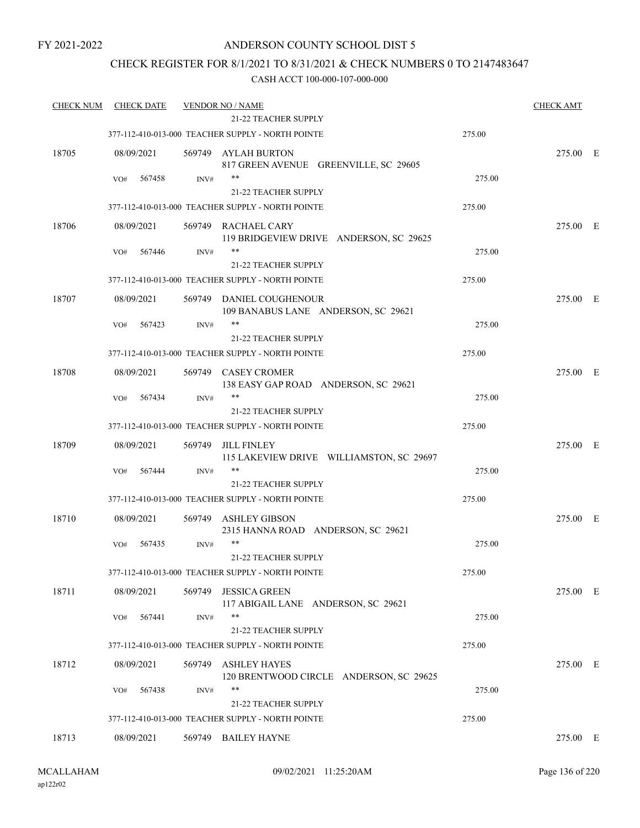### ANDERSON COUNTY SCHOOL DIST 5

### CHECK REGISTER FOR 8/1/2021 TO 8/31/2021 & CHECK NUMBERS 0 TO 2147483647

| <b>CHECK NUM</b> | <b>CHECK DATE</b> |        | <b>VENDOR NO / NAME</b><br><b>21-22 TEACHER SUPPLY</b>         |        | <b>CHECK AMT</b> |  |
|------------------|-------------------|--------|----------------------------------------------------------------|--------|------------------|--|
|                  |                   |        |                                                                |        |                  |  |
|                  |                   |        | 377-112-410-013-000 TEACHER SUPPLY - NORTH POINTE              | 275.00 |                  |  |
| 18705            | 08/09/2021        |        | 569749 AYLAH BURTON<br>817 GREEN AVENUE GREENVILLE, SC 29605   |        | 275.00 E         |  |
|                  | VO#<br>567458     | INV#   | $***$                                                          | 275.00 |                  |  |
|                  |                   |        | 21-22 TEACHER SUPPLY                                           |        |                  |  |
|                  |                   |        | 377-112-410-013-000 TEACHER SUPPLY - NORTH POINTE              | 275.00 |                  |  |
| 18706            | 08/09/2021        |        | 569749 RACHAEL CARY<br>119 BRIDGEVIEW DRIVE ANDERSON, SC 29625 |        | 275.00 E         |  |
|                  | 567446<br>VO#     | INV#   | **                                                             | 275.00 |                  |  |
|                  |                   |        | <b>21-22 TEACHER SUPPLY</b>                                    |        |                  |  |
|                  |                   |        | 377-112-410-013-000 TEACHER SUPPLY - NORTH POINTE              | 275.00 |                  |  |
| 18707            | 08/09/2021        |        | 569749 DANIEL COUGHENOUR                                       |        | 275.00 E         |  |
|                  |                   |        | 109 BANABUS LANE ANDERSON, SC 29621                            |        |                  |  |
|                  | 567423<br>VO#     | INV#   |                                                                | 275.00 |                  |  |
|                  |                   |        | <b>21-22 TEACHER SUPPLY</b>                                    |        |                  |  |
|                  |                   |        | 377-112-410-013-000 TEACHER SUPPLY - NORTH POINTE              | 275.00 |                  |  |
| 18708            | 08/09/2021        |        |                                                                |        | 275.00 E         |  |
|                  |                   |        | 569749 CASEY CROMER<br>138 EASY GAP ROAD ANDERSON, SC 29621    |        |                  |  |
|                  | 567434<br>VO#     | INV#   | $***$                                                          | 275.00 |                  |  |
|                  |                   |        | 21-22 TEACHER SUPPLY                                           |        |                  |  |
|                  |                   |        | 377-112-410-013-000 TEACHER SUPPLY - NORTH POINTE              | 275.00 |                  |  |
| 18709            | 08/09/2021        | 569749 | <b>JILL FINLEY</b>                                             |        | 275.00 E         |  |
|                  |                   |        | 115 LAKEVIEW DRIVE WILLIAMSTON, SC 29697                       |        |                  |  |
|                  | 567444<br>VO#     | INV#   | $***$                                                          | 275.00 |                  |  |
|                  |                   |        | <b>21-22 TEACHER SUPPLY</b>                                    |        |                  |  |
|                  |                   |        | 377-112-410-013-000 TEACHER SUPPLY - NORTH POINTE              | 275.00 |                  |  |
| 18710            | 08/09/2021        | 569749 | <b>ASHLEY GIBSON</b>                                           |        | 275.00 E         |  |
|                  |                   |        | 2315 HANNA ROAD ANDERSON, SC 29621                             |        |                  |  |
|                  | 567435<br>VO#     | INV#   | $***$                                                          | 275.00 |                  |  |
|                  |                   |        | 21-22 TEACHER SUPPLY                                           |        |                  |  |
|                  |                   |        | 377-112-410-013-000 TEACHER SUPPLY - NORTH POINTE              | 275.00 |                  |  |
| 18711            | 08/09/2021        | 569749 | <b>JESSICA GREEN</b><br>117 ABIGAIL LANE ANDERSON, SC 29621    |        | 275.00 E         |  |
|                  | 567441<br>VO#     | INV#   | $***$                                                          | 275.00 |                  |  |
|                  |                   |        | 21-22 TEACHER SUPPLY                                           |        |                  |  |
|                  |                   |        | 377-112-410-013-000 TEACHER SUPPLY - NORTH POINTE              | 275.00 |                  |  |
| 18712            | 08/09/2021        | 569749 | <b>ASHLEY HAYES</b><br>120 BRENTWOOD CIRCLE ANDERSON, SC 29625 |        | 275.00 E         |  |
|                  | VO#<br>567438     | INV#   | **                                                             | 275.00 |                  |  |
|                  |                   |        | <b>21-22 TEACHER SUPPLY</b>                                    |        |                  |  |
|                  |                   |        | 377-112-410-013-000 TEACHER SUPPLY - NORTH POINTE              | 275.00 |                  |  |
| 18713            | 08/09/2021        |        | 569749 BAILEY HAYNE                                            |        | 275.00 E         |  |
|                  |                   |        |                                                                |        |                  |  |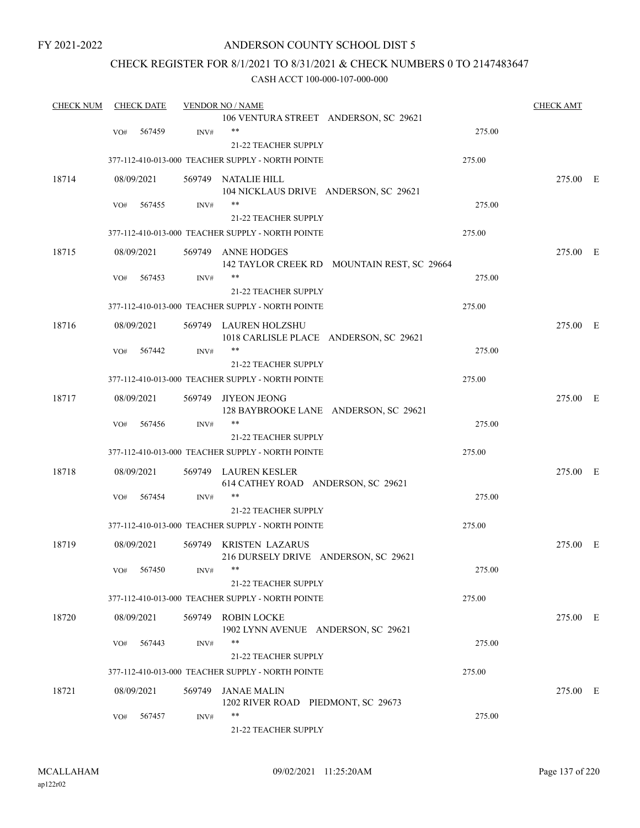### ANDERSON COUNTY SCHOOL DIST 5

### CHECK REGISTER FOR 8/1/2021 TO 8/31/2021 & CHECK NUMBERS 0 TO 2147483647

| <b>CHECK NUM</b> |     | <b>CHECK DATE</b> |        | <b>VENDOR NO / NAME</b>                                         |                                             |        | <b>CHECK AMT</b> |  |
|------------------|-----|-------------------|--------|-----------------------------------------------------------------|---------------------------------------------|--------|------------------|--|
|                  |     |                   |        | 106 VENTURA STREET ANDERSON, SC 29621                           |                                             |        |                  |  |
|                  | VO# | 567459            | INV#   | **                                                              |                                             | 275.00 |                  |  |
|                  |     |                   |        | 21-22 TEACHER SUPPLY                                            |                                             |        |                  |  |
|                  |     |                   |        | 377-112-410-013-000 TEACHER SUPPLY - NORTH POINTE               |                                             | 275.00 |                  |  |
| 18714            |     | 08/09/2021        |        | 569749 NATALIE HILL                                             |                                             |        | 275.00 E         |  |
|                  |     |                   |        | 104 NICKLAUS DRIVE ANDERSON, SC 29621                           |                                             |        |                  |  |
|                  | VO# | 567455            | INV#   | **                                                              |                                             | 275.00 |                  |  |
|                  |     |                   |        | 21-22 TEACHER SUPPLY                                            |                                             |        |                  |  |
|                  |     |                   |        | 377-112-410-013-000 TEACHER SUPPLY - NORTH POINTE               |                                             | 275.00 |                  |  |
| 18715            |     | 08/09/2021        |        | 569749 ANNE HODGES                                              |                                             |        | 275.00 E         |  |
|                  |     |                   |        |                                                                 | 142 TAYLOR CREEK RD MOUNTAIN REST, SC 29664 |        |                  |  |
|                  | VO# | 567453            | INV#   | **                                                              |                                             | 275.00 |                  |  |
|                  |     |                   |        | 21-22 TEACHER SUPPLY                                            |                                             |        |                  |  |
|                  |     |                   |        | 377-112-410-013-000 TEACHER SUPPLY - NORTH POINTE               |                                             | 275.00 |                  |  |
|                  |     |                   |        |                                                                 |                                             |        |                  |  |
| 18716            |     | 08/09/2021        |        | 569749 LAUREN HOLZSHU<br>1018 CARLISLE PLACE ANDERSON, SC 29621 |                                             |        | 275.00 E         |  |
|                  | VO# | 567442            | INV#   | **                                                              |                                             | 275.00 |                  |  |
|                  |     |                   |        | <b>21-22 TEACHER SUPPLY</b>                                     |                                             |        |                  |  |
|                  |     |                   |        | 377-112-410-013-000 TEACHER SUPPLY - NORTH POINTE               |                                             | 275.00 |                  |  |
|                  |     |                   |        |                                                                 |                                             |        |                  |  |
| 18717            |     | 08/09/2021        | 569749 | <b>JIYEON JEONG</b>                                             |                                             |        | 275.00 E         |  |
|                  |     |                   |        | 128 BAYBROOKE LANE ANDERSON, SC 29621<br>$***$                  |                                             |        |                  |  |
|                  | VO# | 567456            | INV#   | 21-22 TEACHER SUPPLY                                            |                                             | 275.00 |                  |  |
|                  |     |                   |        |                                                                 |                                             |        |                  |  |
|                  |     |                   |        | 377-112-410-013-000 TEACHER SUPPLY - NORTH POINTE               |                                             | 275.00 |                  |  |
| 18718            |     | 08/09/2021        |        | 569749 LAUREN KESLER                                            |                                             |        | 275.00 E         |  |
|                  |     |                   |        | 614 CATHEY ROAD ANDERSON, SC 29621                              |                                             |        |                  |  |
|                  | VO# | 567454            | INV#   |                                                                 |                                             | 275.00 |                  |  |
|                  |     |                   |        | 21-22 TEACHER SUPPLY                                            |                                             |        |                  |  |
|                  |     |                   |        | 377-112-410-013-000 TEACHER SUPPLY - NORTH POINTE               |                                             | 275.00 |                  |  |
| 18719            |     | 08/09/2021        |        | 569749 KRISTEN LAZARUS                                          |                                             |        | 275.00 E         |  |
|                  |     |                   |        | 216 DURSELY DRIVE ANDERSON, SC 29621                            |                                             |        |                  |  |
|                  |     | VO# 567450        | INV#   |                                                                 |                                             | 275.00 |                  |  |
|                  |     |                   |        | 21-22 TEACHER SUPPLY                                            |                                             |        |                  |  |
|                  |     |                   |        | 377-112-410-013-000 TEACHER SUPPLY - NORTH POINTE               |                                             | 275.00 |                  |  |
| 18720            |     | 08/09/2021        |        | 569749 ROBIN LOCKE                                              |                                             |        | 275.00 E         |  |
|                  |     |                   |        | 1902 LYNN AVENUE ANDERSON, SC 29621                             |                                             |        |                  |  |
|                  | VO# | 567443            | INV#   | **                                                              |                                             | 275.00 |                  |  |
|                  |     |                   |        | 21-22 TEACHER SUPPLY                                            |                                             |        |                  |  |
|                  |     |                   |        | 377-112-410-013-000 TEACHER SUPPLY - NORTH POINTE               |                                             | 275.00 |                  |  |
| 18721            |     | 08/09/2021        |        | 569749 JANAE MALIN                                              |                                             |        | 275.00 E         |  |
|                  |     |                   |        | 1202 RIVER ROAD PIEDMONT, SC 29673                              |                                             |        |                  |  |
|                  | VO# | 567457            | INV#   | **                                                              |                                             | 275.00 |                  |  |
|                  |     |                   |        | 21-22 TEACHER SUPPLY                                            |                                             |        |                  |  |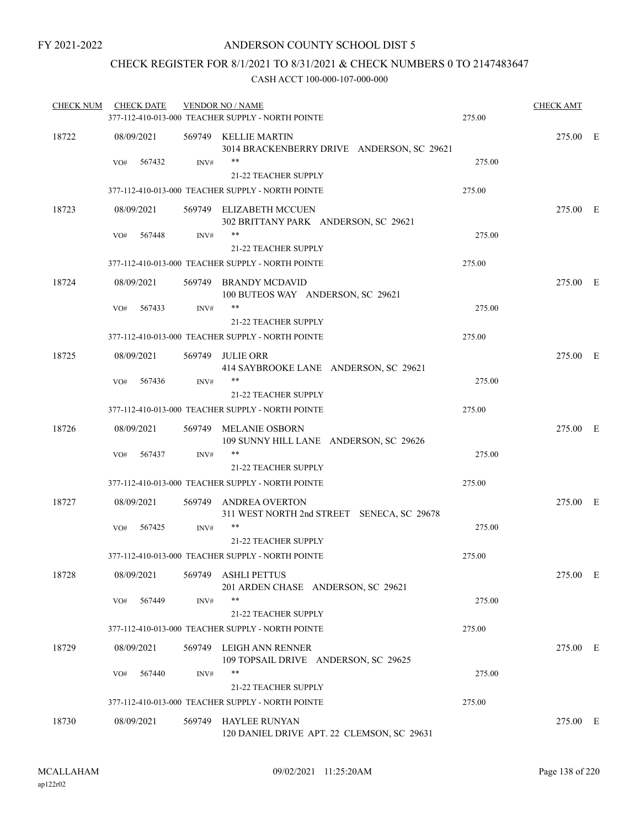### CHECK REGISTER FOR 8/1/2021 TO 8/31/2021 & CHECK NUMBERS 0 TO 2147483647

| <b>CHECK NUM</b> | <b>CHECK DATE</b> |        | <b>VENDOR NO / NAME</b>                                             |        | <b>CHECK AMT</b> |  |
|------------------|-------------------|--------|---------------------------------------------------------------------|--------|------------------|--|
|                  |                   |        | 377-112-410-013-000 TEACHER SUPPLY - NORTH POINTE                   | 275.00 |                  |  |
| 18722            | 08/09/2021        |        | 569749 KELLIE MARTIN<br>3014 BRACKENBERRY DRIVE ANDERSON, SC 29621  |        | 275.00 E         |  |
|                  | 567432<br>VO#     | INV#   | <b>21-22 TEACHER SUPPLY</b>                                         | 275.00 |                  |  |
|                  |                   |        | 377-112-410-013-000 TEACHER SUPPLY - NORTH POINTE                   | 275.00 |                  |  |
| 18723            | 08/09/2021        |        | 569749 ELIZABETH MCCUEN<br>302 BRITTANY PARK ANDERSON, SC 29621     |        | 275.00 E         |  |
|                  | 567448<br>VO#     | INV#   | **<br>21-22 TEACHER SUPPLY                                          | 275.00 |                  |  |
|                  |                   |        | 377-112-410-013-000 TEACHER SUPPLY - NORTH POINTE                   | 275.00 |                  |  |
| 18724            | 08/09/2021        |        | 569749 BRANDY MCDAVID<br>100 BUTEOS WAY ANDERSON, SC 29621          |        | 275.00 E         |  |
|                  | 567433<br>VO#     | INV#   | **<br>21-22 TEACHER SUPPLY                                          | 275.00 |                  |  |
|                  |                   |        | 377-112-410-013-000 TEACHER SUPPLY - NORTH POINTE                   | 275.00 |                  |  |
| 18725            | 08/09/2021        |        | 569749 JULIE ORR<br>414 SAYBROOKE LANE ANDERSON, SC 29621           |        | 275.00 E         |  |
|                  | VO#<br>567436     | INV#   | **<br><b>21-22 TEACHER SUPPLY</b>                                   | 275.00 |                  |  |
|                  |                   |        | 377-112-410-013-000 TEACHER SUPPLY - NORTH POINTE                   | 275.00 |                  |  |
| 18726            | 08/09/2021        |        | 569749 MELANIE OSBORN<br>109 SUNNY HILL LANE ANDERSON, SC 29626     |        | 275.00 E         |  |
|                  | 567437<br>VO#     | INV#   | **<br>21-22 TEACHER SUPPLY                                          | 275.00 |                  |  |
|                  |                   |        | 377-112-410-013-000 TEACHER SUPPLY - NORTH POINTE                   | 275.00 |                  |  |
| 18727            | 08/09/2021        |        | 569749 ANDREA OVERTON<br>311 WEST NORTH 2nd STREET SENECA, SC 29678 |        | 275.00 E         |  |
|                  | 567425<br>VO#     | INV#   | **<br>21-22 TEACHER SUPPLY                                          | 275.00 |                  |  |
|                  |                   |        | 377-112-410-013-000 TEACHER SUPPLY - NORTH POINTE                   | 275.00 |                  |  |
| 18728            | 08/09/2021        |        | 569749 ASHLI PETTUS<br>201 ARDEN CHASE ANDERSON, SC 29621           |        | 275.00 E         |  |
|                  | 567449<br>VO#     | INV#   | **<br>21-22 TEACHER SUPPLY                                          | 275.00 |                  |  |
|                  |                   |        | 377-112-410-013-000 TEACHER SUPPLY - NORTH POINTE                   | 275.00 |                  |  |
| 18729            | 08/09/2021        |        | 569749 LEIGH ANN RENNER<br>109 TOPSAIL DRIVE ANDERSON, SC 29625     |        | 275.00 E         |  |
|                  | 567440<br>VO#     | INV#   | **                                                                  | 275.00 |                  |  |
|                  |                   |        | 21-22 TEACHER SUPPLY                                                |        |                  |  |
|                  |                   |        | 377-112-410-013-000 TEACHER SUPPLY - NORTH POINTE                   | 275.00 |                  |  |
| 18730            | 08/09/2021        | 569749 | HAYLEE RUNYAN<br>120 DANIEL DRIVE APT. 22 CLEMSON, SC 29631         |        | 275.00 E         |  |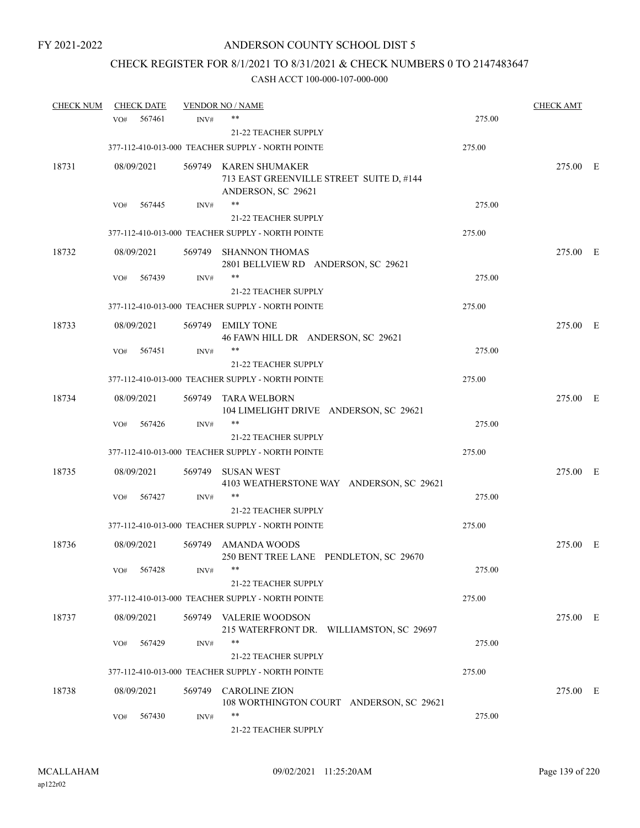# CHECK REGISTER FOR 8/1/2021 TO 8/31/2021 & CHECK NUMBERS 0 TO 2147483647

| <b>CHECK NUM</b> | <b>CHECK DATE</b> |                | <b>VENDOR NO / NAME</b>                                                                 |        | <b>CHECK AMT</b> |  |
|------------------|-------------------|----------------|-----------------------------------------------------------------------------------------|--------|------------------|--|
|                  | VO#               | 567461<br>INV# | **                                                                                      | 275.00 |                  |  |
|                  |                   |                | 21-22 TEACHER SUPPLY                                                                    |        |                  |  |
|                  |                   |                | 377-112-410-013-000 TEACHER SUPPLY - NORTH POINTE                                       | 275.00 |                  |  |
| 18731            | 08/09/2021        |                | 569749 KAREN SHUMAKER<br>713 EAST GREENVILLE STREET SUITE D, #144<br>ANDERSON, SC 29621 |        | 275.00 E         |  |
|                  | VO#               | 567445<br>INV# | **                                                                                      | 275.00 |                  |  |
|                  |                   |                | 21-22 TEACHER SUPPLY                                                                    |        |                  |  |
|                  |                   |                | 377-112-410-013-000 TEACHER SUPPLY - NORTH POINTE                                       | 275.00 |                  |  |
| 18732            | 08/09/2021        |                | 569749 SHANNON THOMAS<br>2801 BELLVIEW RD ANDERSON, SC 29621                            |        | 275.00 E         |  |
|                  | VO#               | 567439<br>INV# | **                                                                                      | 275.00 |                  |  |
|                  |                   |                | 21-22 TEACHER SUPPLY                                                                    |        |                  |  |
|                  |                   |                | 377-112-410-013-000 TEACHER SUPPLY - NORTH POINTE                                       | 275.00 |                  |  |
| 18733            | 08/09/2021        |                | 569749 EMILY TONE<br>46 FAWN HILL DR ANDERSON, SC 29621                                 |        | 275.00 E         |  |
|                  | VO#               | 567451<br>INV# | **                                                                                      | 275.00 |                  |  |
|                  |                   |                | 21-22 TEACHER SUPPLY                                                                    |        |                  |  |
|                  |                   |                | 377-112-410-013-000 TEACHER SUPPLY - NORTH POINTE                                       | 275.00 |                  |  |
| 18734            | 08/09/2021        | 569749         | TARA WELBORN<br>104 LIMELIGHT DRIVE ANDERSON, SC 29621                                  |        | 275.00 E         |  |
|                  | VO#               | 567426<br>INV# | $***$                                                                                   | 275.00 |                  |  |
|                  |                   |                | 21-22 TEACHER SUPPLY                                                                    |        |                  |  |
|                  |                   |                | 377-112-410-013-000 TEACHER SUPPLY - NORTH POINTE                                       | 275.00 |                  |  |
| 18735            | 08/09/2021        | 569749         | SUSAN WEST<br>4103 WEATHERSTONE WAY ANDERSON, SC 29621                                  |        | 275.00 E         |  |
|                  | VO#               | 567427<br>INV# | $***$                                                                                   | 275.00 |                  |  |
|                  |                   |                | 21-22 TEACHER SUPPLY                                                                    |        |                  |  |
|                  |                   |                | 377-112-410-013-000 TEACHER SUPPLY - NORTH POINTE                                       | 275.00 |                  |  |
| 18736            | 08/09/2021        |                | 569749 AMANDA WOODS<br>250 BENT TREE LANE PENDLETON, SC 29670                           |        | 275.00 E         |  |
|                  | 567428<br>VO#     | INV#           | 21-22 TEACHER SUPPLY                                                                    | 275.00 |                  |  |
|                  |                   |                | 377-112-410-013-000 TEACHER SUPPLY - NORTH POINTE                                       | 275.00 |                  |  |
| 18737            | 08/09/2021        |                | 569749 VALERIE WOODSON<br>215 WATERFRONT DR. WILLIAMSTON, SC 29697                      |        | 275.00 E         |  |
|                  | VO#               | INV#<br>567429 | **<br>21-22 TEACHER SUPPLY                                                              | 275.00 |                  |  |
|                  |                   |                | 377-112-410-013-000 TEACHER SUPPLY - NORTH POINTE                                       | 275.00 |                  |  |
| 18738            | 08/09/2021        |                | 569749 CAROLINE ZION<br>108 WORTHINGTON COURT ANDERSON, SC 29621                        |        | 275.00 E         |  |
|                  | VO#               | 567430<br>INV# | **<br>21-22 TEACHER SUPPLY                                                              | 275.00 |                  |  |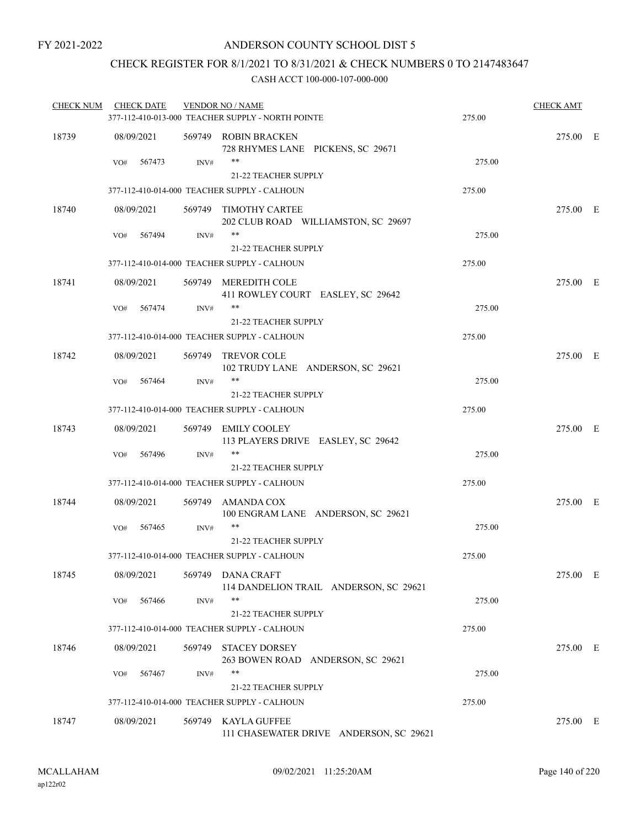### CHECK REGISTER FOR 8/1/2021 TO 8/31/2021 & CHECK NUMBERS 0 TO 2147483647

| <b>CHECK NUM</b> | <b>CHECK DATE</b> |        | <b>VENDOR NO / NAME</b><br>377-112-410-013-000 TEACHER SUPPLY - NORTH POINTE | 275.00 | <b>CHECK AMT</b> |  |
|------------------|-------------------|--------|------------------------------------------------------------------------------|--------|------------------|--|
| 18739            | 08/09/2021        |        | 569749 ROBIN BRACKEN                                                         |        | 275.00 E         |  |
|                  |                   |        | 728 RHYMES LANE PICKENS, SC 29671                                            |        |                  |  |
|                  | 567473<br>VO#     | INV#   | $***$                                                                        | 275.00 |                  |  |
|                  |                   |        | 21-22 TEACHER SUPPLY                                                         |        |                  |  |
|                  |                   |        | 377-112-410-014-000 TEACHER SUPPLY - CALHOUN                                 | 275.00 |                  |  |
| 18740            | 08/09/2021        |        | 569749 TIMOTHY CARTEE<br>202 CLUB ROAD WILLIAMSTON, SC 29697                 |        | 275.00 E         |  |
|                  | 567494<br>VO#     | INV#   | $***$                                                                        | 275.00 |                  |  |
|                  |                   |        | 21-22 TEACHER SUPPLY                                                         |        |                  |  |
|                  |                   |        | 377-112-410-014-000 TEACHER SUPPLY - CALHOUN                                 | 275.00 |                  |  |
| 18741            | 08/09/2021        |        | 569749 MEREDITH COLE<br>411 ROWLEY COURT EASLEY, SC 29642                    |        | 275.00 E         |  |
|                  | 567474<br>VO#     | INV#   | **                                                                           | 275.00 |                  |  |
|                  |                   |        | <b>21-22 TEACHER SUPPLY</b>                                                  |        |                  |  |
|                  |                   |        | 377-112-410-014-000 TEACHER SUPPLY - CALHOUN                                 | 275.00 |                  |  |
| 18742            | 08/09/2021        |        | 569749 TREVOR COLE<br>102 TRUDY LANE ANDERSON, SC 29621                      |        | 275.00 E         |  |
|                  | 567464<br>VO#     | INV#   | **                                                                           | 275.00 |                  |  |
|                  |                   |        | <b>21-22 TEACHER SUPPLY</b>                                                  |        |                  |  |
|                  |                   |        | 377-112-410-014-000 TEACHER SUPPLY - CALHOUN                                 | 275.00 |                  |  |
| 18743            | 08/09/2021        |        | 569749 EMILY COOLEY<br>113 PLAYERS DRIVE EASLEY, SC 29642                    |        | 275.00 E         |  |
|                  | 567496<br>VO#     | INV#   | **                                                                           | 275.00 |                  |  |
|                  |                   |        | <b>21-22 TEACHER SUPPLY</b>                                                  |        |                  |  |
|                  |                   |        | 377-112-410-014-000 TEACHER SUPPLY - CALHOUN                                 | 275.00 |                  |  |
| 18744            | 08/09/2021        |        | 569749 AMANDA COX<br>100 ENGRAM LANE ANDERSON, SC 29621                      |        | 275.00 E         |  |
|                  | 567465<br>VO#     | INV#   | **                                                                           | 275.00 |                  |  |
|                  |                   |        | 21-22 TEACHER SUPPLY                                                         |        |                  |  |
|                  |                   |        | 377-112-410-014-000 TEACHER SUPPLY - CALHOUN                                 | 275.00 |                  |  |
| 18745            | 08/09/2021        |        | 569749 DANA CRAFT<br>114 DANDELION TRAIL ANDERSON, SC 29621                  |        | 275.00 E         |  |
|                  | 567466<br>VO#     | INV#   | **<br>21-22 TEACHER SUPPLY                                                   | 275.00 |                  |  |
|                  |                   |        | 377-112-410-014-000 TEACHER SUPPLY - CALHOUN                                 | 275.00 |                  |  |
|                  |                   |        |                                                                              |        |                  |  |
| 18746            | 08/09/2021        | 569749 | <b>STACEY DORSEY</b><br>263 BOWEN ROAD ANDERSON, SC 29621                    |        | 275.00 E         |  |
|                  | 567467<br>VO#     | INV#   | **                                                                           | 275.00 |                  |  |
|                  |                   |        | 21-22 TEACHER SUPPLY                                                         |        |                  |  |
|                  |                   |        | 377-112-410-014-000 TEACHER SUPPLY - CALHOUN                                 | 275.00 |                  |  |
| 18747            | 08/09/2021        | 569749 | <b>KAYLA GUFFEE</b><br>111 CHASEWATER DRIVE ANDERSON, SC 29621               |        | 275.00 E         |  |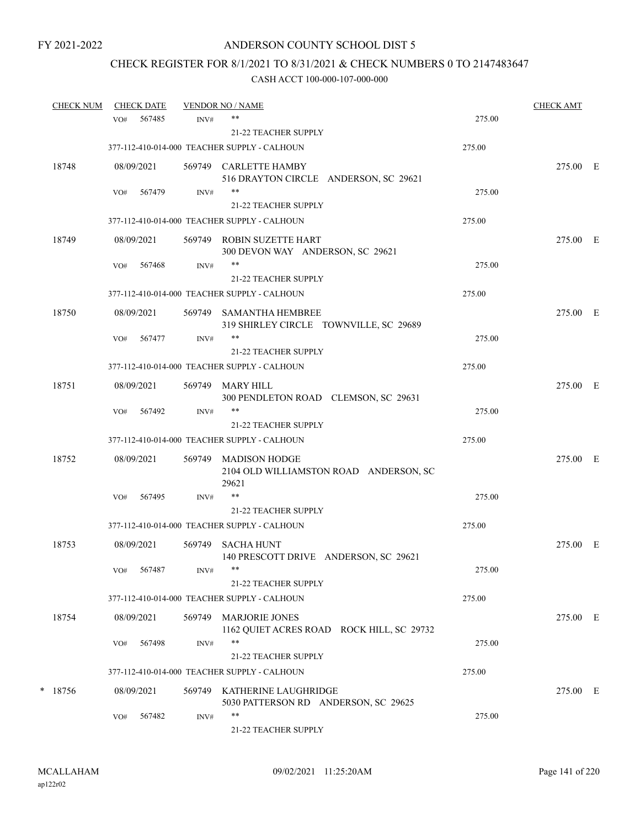# CHECK REGISTER FOR 8/1/2021 TO 8/31/2021 & CHECK NUMBERS 0 TO 2147483647

| <b>CHECK NUM</b> |     | <b>CHECK DATE</b> |        | <b>VENDOR NO / NAME</b>                                             |        | <b>CHECK AMT</b> |  |
|------------------|-----|-------------------|--------|---------------------------------------------------------------------|--------|------------------|--|
|                  | VO# | 567485            | INV#   | $***$                                                               | 275.00 |                  |  |
|                  |     |                   |        | 21-22 TEACHER SUPPLY                                                |        |                  |  |
|                  |     |                   |        | 377-112-410-014-000 TEACHER SUPPLY - CALHOUN                        | 275.00 |                  |  |
| 18748            |     | 08/09/2021        |        | 569749 CARLETTE HAMBY<br>516 DRAYTON CIRCLE ANDERSON, SC 29621      |        | 275.00 E         |  |
|                  | VO# | 567479            | INV#   | **                                                                  | 275.00 |                  |  |
|                  |     |                   |        | <b>21-22 TEACHER SUPPLY</b>                                         |        |                  |  |
|                  |     |                   |        | 377-112-410-014-000 TEACHER SUPPLY - CALHOUN                        | 275.00 |                  |  |
| 18749            |     | 08/09/2021        |        | 569749 ROBIN SUZETTE HART<br>300 DEVON WAY ANDERSON, SC 29621       |        | 275.00 E         |  |
|                  | VO# | 567468            | INV#   |                                                                     | 275.00 |                  |  |
|                  |     |                   |        | 21-22 TEACHER SUPPLY                                                |        |                  |  |
|                  |     |                   |        | 377-112-410-014-000 TEACHER SUPPLY - CALHOUN                        | 275.00 |                  |  |
| 18750            |     | 08/09/2021        |        | 569749 SAMANTHA HEMBREE<br>319 SHIRLEY CIRCLE TOWNVILLE, SC 29689   |        | 275.00 E         |  |
|                  | VO# | 567477            | INV#   |                                                                     | 275.00 |                  |  |
|                  |     |                   |        | <b>21-22 TEACHER SUPPLY</b>                                         |        |                  |  |
|                  |     |                   |        | 377-112-410-014-000 TEACHER SUPPLY - CALHOUN                        | 275.00 |                  |  |
| 18751            |     | 08/09/2021        | 569749 | MARY HILL<br>300 PENDLETON ROAD CLEMSON, SC 29631                   |        | 275.00 E         |  |
|                  | VO# | 567492            | INV#   | **                                                                  | 275.00 |                  |  |
|                  |     |                   |        | <b>21-22 TEACHER SUPPLY</b>                                         |        |                  |  |
|                  |     |                   |        | 377-112-410-014-000 TEACHER SUPPLY - CALHOUN                        | 275.00 |                  |  |
| 18752            |     | 08/09/2021        | 569749 | MADISON HODGE<br>2104 OLD WILLIAMSTON ROAD ANDERSON, SC<br>29621    |        | 275.00 E         |  |
|                  | VO# | 567495            | INV#   | $***$                                                               | 275.00 |                  |  |
|                  |     |                   |        | <b>21-22 TEACHER SUPPLY</b>                                         |        |                  |  |
|                  |     |                   |        | 377-112-410-014-000 TEACHER SUPPLY - CALHOUN                        | 275.00 |                  |  |
| 18753            |     | 08/09/2021        | 569749 | <b>SACHA HUNT</b><br>140 PRESCOTT DRIVE ANDERSON, SC 29621          |        | 275.00 E         |  |
|                  |     | VO# 567487        | INV#   |                                                                     | 275.00 |                  |  |
|                  |     |                   |        | 21-22 TEACHER SUPPLY                                                |        |                  |  |
|                  |     |                   |        | 377-112-410-014-000 TEACHER SUPPLY - CALHOUN                        | 275.00 |                  |  |
| 18754            |     | 08/09/2021        | 569749 | <b>MARJORIE JONES</b><br>1162 QUIET ACRES ROAD ROCK HILL, SC 29732  |        | 275.00 E         |  |
|                  | VO# | 567498            | INV#   | **                                                                  | 275.00 |                  |  |
|                  |     |                   |        | 21-22 TEACHER SUPPLY                                                |        |                  |  |
|                  |     |                   |        | 377-112-410-014-000 TEACHER SUPPLY - CALHOUN                        | 275.00 |                  |  |
| $*$ 18756        |     | 08/09/2021        |        | 569749 KATHERINE LAUGHRIDGE<br>5030 PATTERSON RD ANDERSON, SC 29625 |        | 275.00 E         |  |
|                  | VO# | 567482            | INV#   | $***$<br>21-22 TEACHER SUPPLY                                       | 275.00 |                  |  |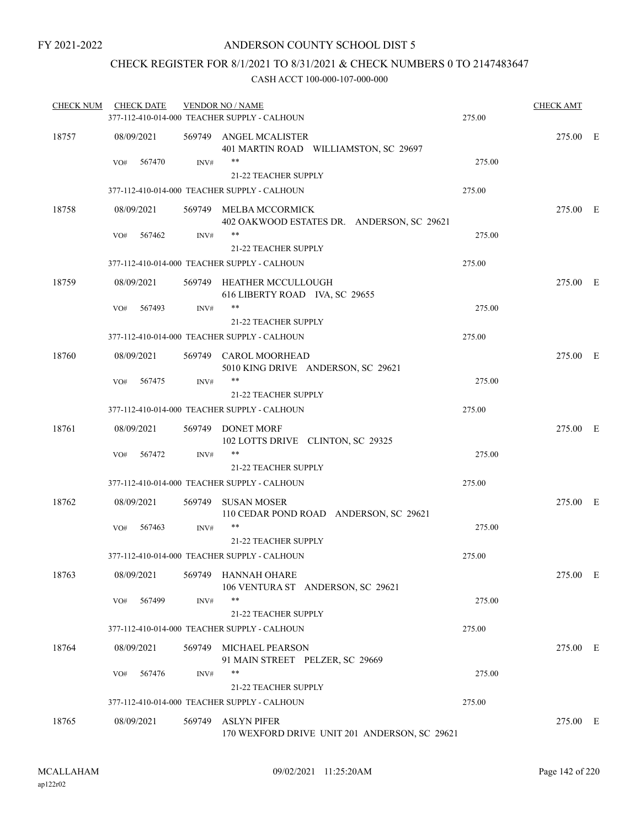### CHECK REGISTER FOR 8/1/2021 TO 8/31/2021 & CHECK NUMBERS 0 TO 2147483647

| <b>CHECK NUM</b> | <b>CHECK DATE</b> |        | <b>VENDOR NO / NAME</b>                                              |        | <b>CHECK AMT</b> |  |
|------------------|-------------------|--------|----------------------------------------------------------------------|--------|------------------|--|
|                  |                   |        | 377-112-410-014-000 TEACHER SUPPLY - CALHOUN                         | 275.00 |                  |  |
| 18757            | 08/09/2021        |        | 569749 ANGEL MCALISTER<br>401 MARTIN ROAD WILLIAMSTON, SC 29697      |        | 275.00 E         |  |
|                  | 567470<br>VO#     | INV#   | **<br><b>21-22 TEACHER SUPPLY</b>                                    | 275.00 |                  |  |
|                  |                   |        | 377-112-410-014-000 TEACHER SUPPLY - CALHOUN                         | 275.00 |                  |  |
| 18758            | 08/09/2021        |        | 569749 MELBA MCCORMICK<br>402 OAKWOOD ESTATES DR. ANDERSON, SC 29621 |        | 275.00 E         |  |
|                  | 567462<br>VO#     | INV#   | **<br>21-22 TEACHER SUPPLY                                           | 275.00 |                  |  |
|                  |                   |        | 377-112-410-014-000 TEACHER SUPPLY - CALHOUN                         | 275.00 |                  |  |
| 18759            | 08/09/2021        |        | 569749 HEATHER MCCULLOUGH<br>616 LIBERTY ROAD IVA, SC 29655          |        | 275.00 E         |  |
|                  | 567493<br>VO#     | INV#   | **                                                                   | 275.00 |                  |  |
|                  |                   |        | <b>21-22 TEACHER SUPPLY</b>                                          |        |                  |  |
|                  |                   |        | 377-112-410-014-000 TEACHER SUPPLY - CALHOUN                         | 275.00 |                  |  |
| 18760            | 08/09/2021        |        | 569749 CAROL MOORHEAD<br>5010 KING DRIVE ANDERSON, SC 29621          |        | 275.00 E         |  |
|                  | VO#<br>567475     | INV#   | **                                                                   | 275.00 |                  |  |
|                  |                   |        | <b>21-22 TEACHER SUPPLY</b>                                          |        |                  |  |
|                  |                   |        | 377-112-410-014-000 TEACHER SUPPLY - CALHOUN                         | 275.00 |                  |  |
| 18761            | 08/09/2021        |        | 569749 DONET MORF<br>102 LOTTS DRIVE CLINTON, SC 29325               |        | 275.00 E         |  |
|                  | 567472<br>VO#     | INV#   | **<br>21-22 TEACHER SUPPLY                                           | 275.00 |                  |  |
|                  |                   |        | 377-112-410-014-000 TEACHER SUPPLY - CALHOUN                         | 275.00 |                  |  |
| 18762            | 08/09/2021        | 569749 | <b>SUSAN MOSER</b><br>110 CEDAR POND ROAD ANDERSON, SC 29621         |        | 275.00 E         |  |
|                  | 567463<br>VO#     | INV#   | **                                                                   | 275.00 |                  |  |
|                  |                   |        | 21-22 TEACHER SUPPLY                                                 |        |                  |  |
|                  |                   |        | 377-112-410-014-000 TEACHER SUPPLY - CALHOUN                         | 275.00 |                  |  |
| 18763            | 08/09/2021        |        | 569749 HANNAH OHARE<br>106 VENTURA ST ANDERSON, SC 29621             |        | 275.00 E         |  |
|                  | 567499<br>VO#     | INV#   | **<br>21-22 TEACHER SUPPLY                                           | 275.00 |                  |  |
|                  |                   |        | 377-112-410-014-000 TEACHER SUPPLY - CALHOUN                         | 275.00 |                  |  |
| 18764            | 08/09/2021        | 569749 | MICHAEL PEARSON<br>91 MAIN STREET PELZER, SC 29669                   |        | 275.00 E         |  |
|                  | 567476<br>VO#     | INV#   | **<br>21-22 TEACHER SUPPLY                                           | 275.00 |                  |  |
|                  |                   |        | 377-112-410-014-000 TEACHER SUPPLY - CALHOUN                         | 275.00 |                  |  |
| 18765            | 08/09/2021        | 569749 | ASLYN PIFER<br>170 WEXFORD DRIVE UNIT 201 ANDERSON, SC 29621         |        | 275.00 E         |  |
|                  |                   |        |                                                                      |        |                  |  |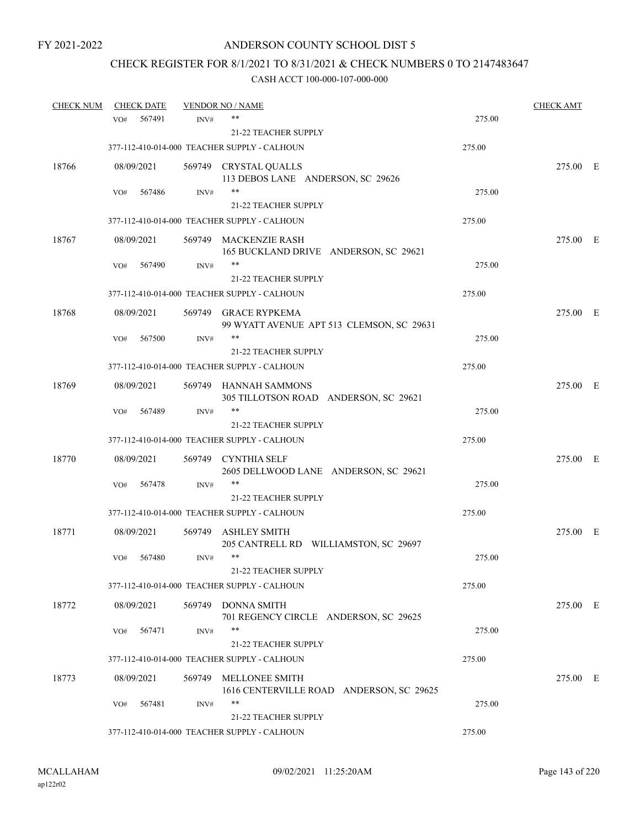# CHECK REGISTER FOR 8/1/2021 TO 8/31/2021 & CHECK NUMBERS 0 TO 2147483647

| <b>CHECK NUM</b> |     | <b>CHECK DATE</b> |        | <b>VENDOR NO / NAME</b>                                           |        | <b>CHECK AMT</b> |  |
|------------------|-----|-------------------|--------|-------------------------------------------------------------------|--------|------------------|--|
|                  | VO# | 567491            | INV#   | **                                                                | 275.00 |                  |  |
|                  |     |                   |        | <b>21-22 TEACHER SUPPLY</b>                                       |        |                  |  |
|                  |     |                   |        | 377-112-410-014-000 TEACHER SUPPLY - CALHOUN                      | 275.00 |                  |  |
| 18766            |     | 08/09/2021        |        | 569749 CRYSTAL QUALLS<br>113 DEBOS LANE ANDERSON, SC 29626        |        | 275.00 E         |  |
|                  | VO# | 567486            | INV#   | **                                                                | 275.00 |                  |  |
|                  |     |                   |        | 21-22 TEACHER SUPPLY                                              |        |                  |  |
|                  |     |                   |        | 377-112-410-014-000 TEACHER SUPPLY - CALHOUN                      | 275.00 |                  |  |
| 18767            |     | 08/09/2021        |        | 569749 MACKENZIE RASH<br>165 BUCKLAND DRIVE ANDERSON, SC 29621    |        | 275.00 E         |  |
|                  | VO# | 567490            | INV#   | **                                                                | 275.00 |                  |  |
|                  |     |                   |        | 21-22 TEACHER SUPPLY                                              |        |                  |  |
|                  |     |                   |        | 377-112-410-014-000 TEACHER SUPPLY - CALHOUN                      | 275.00 |                  |  |
| 18768            |     | 08/09/2021        |        | 569749 GRACE RYPKEMA<br>99 WYATT AVENUE APT 513 CLEMSON, SC 29631 |        | 275.00 E         |  |
|                  | VO# | 567500            | INV#   | **                                                                | 275.00 |                  |  |
|                  |     |                   |        | 21-22 TEACHER SUPPLY                                              |        |                  |  |
|                  |     |                   |        | 377-112-410-014-000 TEACHER SUPPLY - CALHOUN                      | 275.00 |                  |  |
| 18769            |     | 08/09/2021        |        | 569749 HANNAH SAMMONS<br>305 TILLOTSON ROAD ANDERSON, SC 29621    |        | 275.00 E         |  |
|                  | VO# | 567489            | INV#   | $***$                                                             | 275.00 |                  |  |
|                  |     |                   |        | 21-22 TEACHER SUPPLY                                              |        |                  |  |
|                  |     |                   |        | 377-112-410-014-000 TEACHER SUPPLY - CALHOUN                      | 275.00 |                  |  |
| 18770            |     | 08/09/2021        |        | 569749 CYNTHIA SELF<br>2605 DELLWOOD LANE ANDERSON, SC 29621      |        | 275.00 E         |  |
|                  | VO# | 567478            | INV#   | **                                                                | 275.00 |                  |  |
|                  |     |                   |        | 21-22 TEACHER SUPPLY                                              |        |                  |  |
|                  |     |                   |        | 377-112-410-014-000 TEACHER SUPPLY - CALHOUN                      | 275.00 |                  |  |
| 18771            |     | 08/09/2021        |        | 569749 ASHLEY SMITH<br>205 CANTRELL RD WILLIAMSTON, SC 29697      |        | 275.00 E         |  |
|                  | VO# | 567480            | INV#   | $***$                                                             | 275.00 |                  |  |
|                  |     |                   |        | 21-22 TEACHER SUPPLY                                              |        |                  |  |
|                  |     |                   |        | 377-112-410-014-000 TEACHER SUPPLY - CALHOUN                      | 275.00 |                  |  |
| 18772            |     | 08/09/2021        | 569749 | <b>DONNA SMITH</b><br>701 REGENCY CIRCLE ANDERSON, SC 29625       |        | 275.00 E         |  |
|                  | VO# | 567471            | INV#   | $***$                                                             | 275.00 |                  |  |
|                  |     |                   |        | 21-22 TEACHER SUPPLY                                              |        |                  |  |
|                  |     |                   |        | 377-112-410-014-000 TEACHER SUPPLY - CALHOUN                      | 275.00 |                  |  |
| 18773            |     | 08/09/2021        | 569749 | <b>MELLONEE SMITH</b><br>1616 CENTERVILLE ROAD ANDERSON, SC 29625 |        | 275.00 E         |  |
|                  | VO# | 567481            | INV#   | $***$<br><b>21-22 TEACHER SUPPLY</b>                              | 275.00 |                  |  |
|                  |     |                   |        | 377-112-410-014-000 TEACHER SUPPLY - CALHOUN                      | 275.00 |                  |  |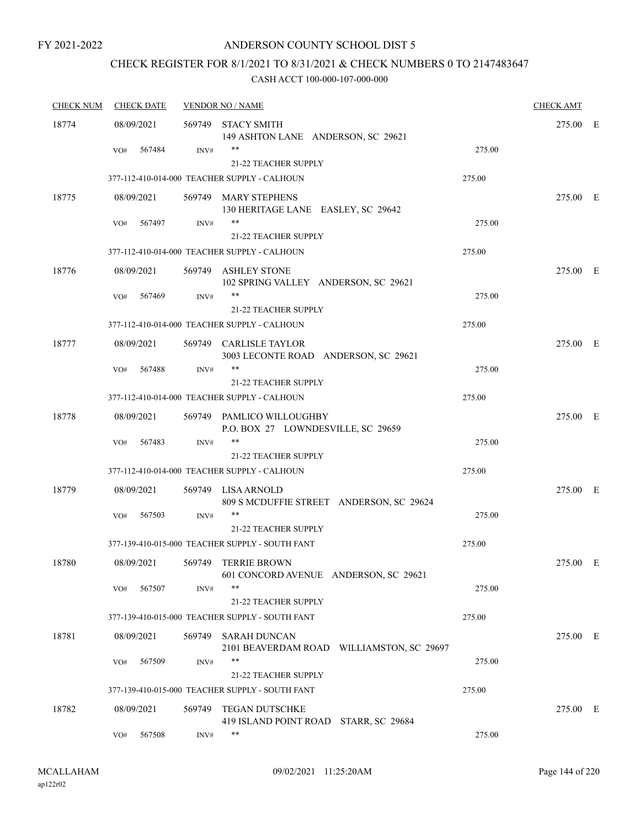#### ANDERSON COUNTY SCHOOL DIST 5

# CHECK REGISTER FOR 8/1/2021 TO 8/31/2021 & CHECK NUMBERS 0 TO 2147483647

| <b>CHECK NUM</b> | <b>CHECK DATE</b> |        | <b>VENDOR NO / NAME</b>                                          |        | <b>CHECK AMT</b> |  |
|------------------|-------------------|--------|------------------------------------------------------------------|--------|------------------|--|
| 18774            | 08/09/2021        | 569749 | <b>STACY SMITH</b><br>149 ASHTON LANE ANDERSON, SC 29621         |        | 275.00 E         |  |
|                  | 567484<br>VO#     | INV#   | **<br><b>21-22 TEACHER SUPPLY</b>                                | 275.00 |                  |  |
|                  |                   |        | 377-112-410-014-000 TEACHER SUPPLY - CALHOUN                     | 275.00 |                  |  |
| 18775            | 08/09/2021        |        | 569749 MARY STEPHENS<br>130 HERITAGE LANE EASLEY, SC 29642       |        | 275.00 E         |  |
|                  | 567497<br>VO#     | INV#   | **<br><b>21-22 TEACHER SUPPLY</b>                                | 275.00 |                  |  |
|                  |                   |        | 377-112-410-014-000 TEACHER SUPPLY - CALHOUN                     | 275.00 |                  |  |
| 18776            | 08/09/2021        |        | 569749 ASHLEY STONE<br>102 SPRING VALLEY ANDERSON, SC 29621      |        | 275.00 E         |  |
|                  | VO#<br>567469     | INV#   | **<br>21-22 TEACHER SUPPLY                                       | 275.00 |                  |  |
|                  |                   |        | 377-112-410-014-000 TEACHER SUPPLY - CALHOUN                     | 275.00 |                  |  |
| 18777            | 08/09/2021        |        | 569749 CARLISLE TAYLOR<br>3003 LECONTE ROAD ANDERSON, SC 29621   |        | 275.00 E         |  |
|                  | 567488<br>VO#     | INV#   | **                                                               | 275.00 |                  |  |
|                  |                   |        | 21-22 TEACHER SUPPLY                                             |        |                  |  |
|                  |                   |        | 377-112-410-014-000 TEACHER SUPPLY - CALHOUN                     | 275.00 |                  |  |
| 18778            | 08/09/2021        |        | 569749 PAMLICO WILLOUGHBY<br>P.O. BOX 27 LOWNDESVILLE, SC 29659  |        | 275.00 E         |  |
|                  | VO#<br>567483     | INV#   | **<br><b>21-22 TEACHER SUPPLY</b>                                | 275.00 |                  |  |
|                  |                   |        | 377-112-410-014-000 TEACHER SUPPLY - CALHOUN                     | 275.00 |                  |  |
| 18779            | 08/09/2021        |        | 569749 LISA ARNOLD<br>809 S MCDUFFIE STREET ANDERSON, SC 29624   |        | 275.00 E         |  |
|                  | 567503<br>VO#     | INV#   | **<br>21-22 TEACHER SUPPLY                                       | 275.00 |                  |  |
|                  |                   |        | 377-139-410-015-000 TEACHER SUPPLY - SOUTH FANT                  | 275.00 |                  |  |
| 18780            | 08/09/2021        | 569749 | TERRIE BROWN<br>601 CONCORD AVENUE ANDERSON, SC 29621            |        | 275.00 E         |  |
|                  | 567507<br>VO#     | INV#   | **<br>21-22 TEACHER SUPPLY                                       | 275.00 |                  |  |
|                  |                   |        | 377-139-410-015-000 TEACHER SUPPLY - SOUTH FANT                  | 275.00 |                  |  |
| 18781            | 08/09/2021        | 569749 | <b>SARAH DUNCAN</b><br>2101 BEAVERDAM ROAD WILLIAMSTON, SC 29697 |        | 275.00 E         |  |
|                  | 567509<br>VO#     | INV#   | **<br>21-22 TEACHER SUPPLY                                       | 275.00 |                  |  |
|                  |                   |        | 377-139-410-015-000 TEACHER SUPPLY - SOUTH FANT                  | 275.00 |                  |  |
| 18782            | 08/09/2021        | 569749 | <b>TEGAN DUTSCHKE</b><br>419 ISLAND POINT ROAD STARR, SC 29684   |        | 275.00 E         |  |
|                  | 567508<br>VO#     | INV#   | **                                                               | 275.00 |                  |  |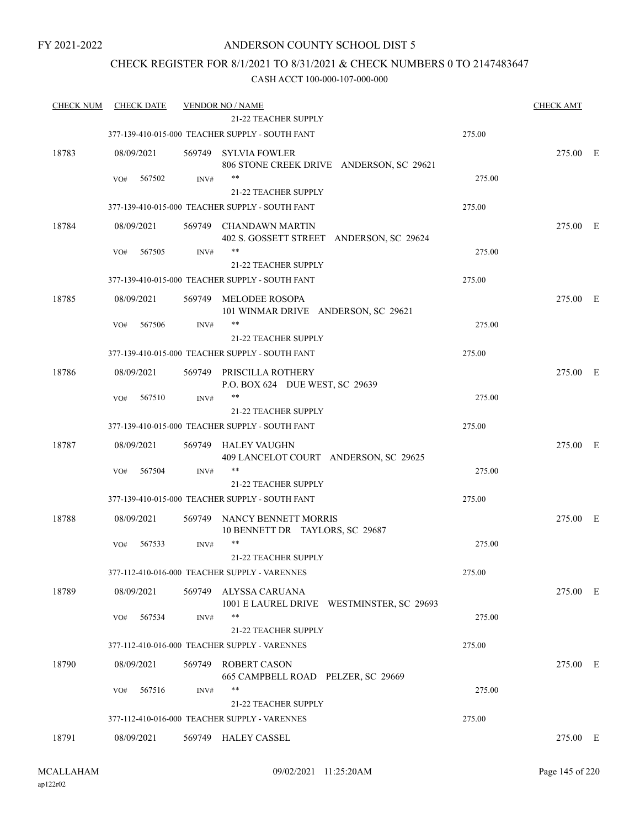## ANDERSON COUNTY SCHOOL DIST 5

## CHECK REGISTER FOR 8/1/2021 TO 8/31/2021 & CHECK NUMBERS 0 TO 2147483647

| <b>CHECK DATE</b> |                            |                                                           |                                                                                                                                                                                                                                                                                                                                                                                                                                                                                                                                                                                                                                                                                                  | <b>CHECK AMT</b>                                                                                          |  |
|-------------------|----------------------------|-----------------------------------------------------------|--------------------------------------------------------------------------------------------------------------------------------------------------------------------------------------------------------------------------------------------------------------------------------------------------------------------------------------------------------------------------------------------------------------------------------------------------------------------------------------------------------------------------------------------------------------------------------------------------------------------------------------------------------------------------------------------------|-----------------------------------------------------------------------------------------------------------|--|
|                   |                            |                                                           |                                                                                                                                                                                                                                                                                                                                                                                                                                                                                                                                                                                                                                                                                                  |                                                                                                           |  |
|                   |                            |                                                           | 275.00                                                                                                                                                                                                                                                                                                                                                                                                                                                                                                                                                                                                                                                                                           |                                                                                                           |  |
| 08/09/2021        |                            |                                                           |                                                                                                                                                                                                                                                                                                                                                                                                                                                                                                                                                                                                                                                                                                  | 275.00 E                                                                                                  |  |
| VO#               | INV#                       |                                                           |                                                                                                                                                                                                                                                                                                                                                                                                                                                                                                                                                                                                                                                                                                  |                                                                                                           |  |
|                   |                            |                                                           |                                                                                                                                                                                                                                                                                                                                                                                                                                                                                                                                                                                                                                                                                                  |                                                                                                           |  |
|                   |                            |                                                           |                                                                                                                                                                                                                                                                                                                                                                                                                                                                                                                                                                                                                                                                                                  |                                                                                                           |  |
| 08/09/2021        |                            | 402 S. GOSSETT STREET ANDERSON, SC 29624                  |                                                                                                                                                                                                                                                                                                                                                                                                                                                                                                                                                                                                                                                                                                  | 275.00 E                                                                                                  |  |
| 567505<br>VO#     | INV#                       | $***$                                                     | 275.00                                                                                                                                                                                                                                                                                                                                                                                                                                                                                                                                                                                                                                                                                           |                                                                                                           |  |
|                   |                            | 21-22 TEACHER SUPPLY                                      |                                                                                                                                                                                                                                                                                                                                                                                                                                                                                                                                                                                                                                                                                                  |                                                                                                           |  |
|                   |                            |                                                           | 275.00                                                                                                                                                                                                                                                                                                                                                                                                                                                                                                                                                                                                                                                                                           |                                                                                                           |  |
| 08/09/2021        |                            | 101 WINMAR DRIVE ANDERSON, SC 29621                       |                                                                                                                                                                                                                                                                                                                                                                                                                                                                                                                                                                                                                                                                                                  | 275.00 E                                                                                                  |  |
| 567506<br>VO#     | INV#                       | **<br>21-22 TEACHER SUPPLY                                | 275.00                                                                                                                                                                                                                                                                                                                                                                                                                                                                                                                                                                                                                                                                                           |                                                                                                           |  |
|                   |                            |                                                           | 275.00                                                                                                                                                                                                                                                                                                                                                                                                                                                                                                                                                                                                                                                                                           |                                                                                                           |  |
| 08/09/2021        |                            | PRISCILLA ROTHERY<br>P.O. BOX 624 DUE WEST, SC 29639      |                                                                                                                                                                                                                                                                                                                                                                                                                                                                                                                                                                                                                                                                                                  | 275.00 E                                                                                                  |  |
| 567510<br>VO#     | INV#                       | $***$                                                     | 275.00                                                                                                                                                                                                                                                                                                                                                                                                                                                                                                                                                                                                                                                                                           |                                                                                                           |  |
|                   |                            | 21-22 TEACHER SUPPLY                                      |                                                                                                                                                                                                                                                                                                                                                                                                                                                                                                                                                                                                                                                                                                  |                                                                                                           |  |
|                   |                            |                                                           | 275.00                                                                                                                                                                                                                                                                                                                                                                                                                                                                                                                                                                                                                                                                                           |                                                                                                           |  |
| 08/09/2021        | 569749                     | HALEY VAUGHN<br>409 LANCELOT COURT ANDERSON, SC 29625     |                                                                                                                                                                                                                                                                                                                                                                                                                                                                                                                                                                                                                                                                                                  | 275.00 E                                                                                                  |  |
| 567504<br>VO#     | INV#                       | $***$                                                     | 275.00                                                                                                                                                                                                                                                                                                                                                                                                                                                                                                                                                                                                                                                                                           |                                                                                                           |  |
|                   |                            | <b>21-22 TEACHER SUPPLY</b>                               |                                                                                                                                                                                                                                                                                                                                                                                                                                                                                                                                                                                                                                                                                                  |                                                                                                           |  |
|                   |                            |                                                           | 275.00                                                                                                                                                                                                                                                                                                                                                                                                                                                                                                                                                                                                                                                                                           |                                                                                                           |  |
| 08/09/2021        |                            | 10 BENNETT DR TAYLORS, SC 29687                           |                                                                                                                                                                                                                                                                                                                                                                                                                                                                                                                                                                                                                                                                                                  | 275.00 E                                                                                                  |  |
| 567533<br>VO#     | INV#                       | $***$                                                     | 275.00                                                                                                                                                                                                                                                                                                                                                                                                                                                                                                                                                                                                                                                                                           |                                                                                                           |  |
|                   |                            | 21-22 TEACHER SUPPLY                                      |                                                                                                                                                                                                                                                                                                                                                                                                                                                                                                                                                                                                                                                                                                  |                                                                                                           |  |
|                   |                            |                                                           | 275.00                                                                                                                                                                                                                                                                                                                                                                                                                                                                                                                                                                                                                                                                                           |                                                                                                           |  |
| 08/09/2021        | 569749                     | ALYSSA CARUANA                                            |                                                                                                                                                                                                                                                                                                                                                                                                                                                                                                                                                                                                                                                                                                  | 275.00 E                                                                                                  |  |
| 567534<br>VO#     | INV#                       | $***$                                                     | 275.00                                                                                                                                                                                                                                                                                                                                                                                                                                                                                                                                                                                                                                                                                           |                                                                                                           |  |
|                   |                            | 21-22 TEACHER SUPPLY                                      |                                                                                                                                                                                                                                                                                                                                                                                                                                                                                                                                                                                                                                                                                                  |                                                                                                           |  |
|                   |                            |                                                           | 275.00                                                                                                                                                                                                                                                                                                                                                                                                                                                                                                                                                                                                                                                                                           |                                                                                                           |  |
| 08/09/2021        | 569749                     | <b>ROBERT CASON</b><br>665 CAMPBELL ROAD PELZER, SC 29669 |                                                                                                                                                                                                                                                                                                                                                                                                                                                                                                                                                                                                                                                                                                  | 275.00 E                                                                                                  |  |
| 567516<br>VO#     | INV#                       | $***$                                                     | 275.00                                                                                                                                                                                                                                                                                                                                                                                                                                                                                                                                                                                                                                                                                           |                                                                                                           |  |
|                   |                            | <b>21-22 TEACHER SUPPLY</b>                               |                                                                                                                                                                                                                                                                                                                                                                                                                                                                                                                                                                                                                                                                                                  |                                                                                                           |  |
|                   |                            |                                                           | 275.00                                                                                                                                                                                                                                                                                                                                                                                                                                                                                                                                                                                                                                                                                           |                                                                                                           |  |
| 08/09/2021        |                            |                                                           |                                                                                                                                                                                                                                                                                                                                                                                                                                                                                                                                                                                                                                                                                                  | 275.00 E                                                                                                  |  |
|                   | <b>CHECK NUM</b><br>567502 |                                                           | <b>VENDOR NO / NAME</b><br>21-22 TEACHER SUPPLY<br>377-139-410-015-000 TEACHER SUPPLY - SOUTH FANT<br>569749 SYLVIA FOWLER<br>$***$<br>21-22 TEACHER SUPPLY<br>377-139-410-015-000 TEACHER SUPPLY - SOUTH FANT<br>569749 CHANDAWN MARTIN<br>377-139-410-015-000 TEACHER SUPPLY - SOUTH FANT<br>569749 MELODEE ROSOPA<br>377-139-410-015-000 TEACHER SUPPLY - SOUTH FANT<br>569749<br>377-139-410-015-000 TEACHER SUPPLY - SOUTH FANT<br>377-139-410-015-000 TEACHER SUPPLY - SOUTH FANT<br>569749 NANCY BENNETT MORRIS<br>377-112-410-016-000 TEACHER SUPPLY - VARENNES<br>377-112-410-016-000 TEACHER SUPPLY - VARENNES<br>377-112-410-016-000 TEACHER SUPPLY - VARENNES<br>569749 HALEY CASSEL | 806 STONE CREEK DRIVE ANDERSON, SC 29621<br>275.00<br>275.00<br>1001 E LAUREL DRIVE WESTMINSTER, SC 29693 |  |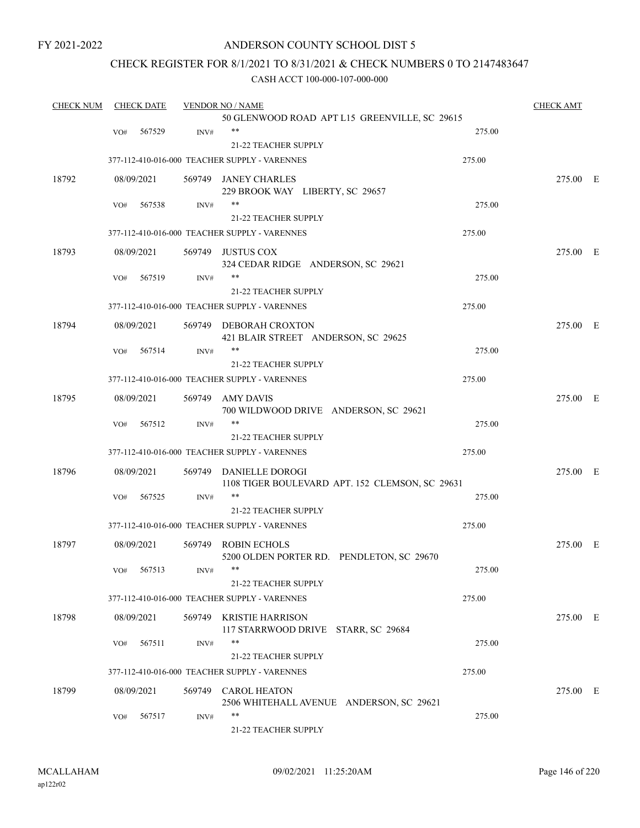## ANDERSON COUNTY SCHOOL DIST 5

## CHECK REGISTER FOR 8/1/2021 TO 8/31/2021 & CHECK NUMBERS 0 TO 2147483647

| <b>CHECK NUM</b> |     | <b>CHECK DATE</b> |        | <b>VENDOR NO / NAME</b>                                        |        | <b>CHECK AMT</b> |  |
|------------------|-----|-------------------|--------|----------------------------------------------------------------|--------|------------------|--|
|                  |     |                   |        | 50 GLENWOOD ROAD APT L15 GREENVILLE, SC 29615                  |        |                  |  |
|                  | VO# | 567529            | INV#   | **                                                             | 275.00 |                  |  |
|                  |     |                   |        | 21-22 TEACHER SUPPLY                                           |        |                  |  |
|                  |     |                   |        | 377-112-410-016-000 TEACHER SUPPLY - VARENNES                  | 275.00 |                  |  |
| 18792            |     | 08/09/2021        |        | 569749 JANEY CHARLES                                           |        | 275.00 E         |  |
|                  |     |                   |        | 229 BROOK WAY LIBERTY, SC 29657                                |        |                  |  |
|                  | VO# | 567538            | INV#   | **                                                             | 275.00 |                  |  |
|                  |     |                   |        | <b>21-22 TEACHER SUPPLY</b>                                    |        |                  |  |
|                  |     |                   |        | 377-112-410-016-000 TEACHER SUPPLY - VARENNES                  | 275.00 |                  |  |
| 18793            |     | 08/09/2021        |        | 569749 JUSTUS COX                                              |        | 275.00 E         |  |
|                  |     |                   |        | 324 CEDAR RIDGE ANDERSON, SC 29621                             |        |                  |  |
|                  | VO# | 567519            | INV#   |                                                                | 275.00 |                  |  |
|                  |     |                   |        | <b>21-22 TEACHER SUPPLY</b>                                    |        |                  |  |
|                  |     |                   |        | 377-112-410-016-000 TEACHER SUPPLY - VARENNES                  | 275.00 |                  |  |
| 18794            |     | 08/09/2021        |        | 569749 DEBORAH CROXTON                                         |        | 275.00 E         |  |
|                  |     |                   |        | 421 BLAIR STREET ANDERSON, SC 29625                            |        |                  |  |
|                  | VO# | 567514            | INV#   | **                                                             | 275.00 |                  |  |
|                  |     |                   |        | <b>21-22 TEACHER SUPPLY</b>                                    |        |                  |  |
|                  |     |                   |        | 377-112-410-016-000 TEACHER SUPPLY - VARENNES                  | 275.00 |                  |  |
| 18795            |     | 08/09/2021        | 569749 | AMY DAVIS                                                      |        | 275.00 E         |  |
|                  |     |                   |        | 700 WILDWOOD DRIVE ANDERSON, SC 29621                          |        |                  |  |
|                  | VO# | 567512            | INV#   | **                                                             | 275.00 |                  |  |
|                  |     |                   |        | <b>21-22 TEACHER SUPPLY</b>                                    |        |                  |  |
|                  |     |                   |        | 377-112-410-016-000 TEACHER SUPPLY - VARENNES                  | 275.00 |                  |  |
| 18796            |     | 08/09/2021        |        | 569749 DANIELLE DOROGI                                         |        | 275.00 E         |  |
|                  |     |                   |        | 1108 TIGER BOULEVARD APT. 152 CLEMSON, SC 29631                |        |                  |  |
|                  | VO# | 567525            | INV#   | **                                                             | 275.00 |                  |  |
|                  |     |                   |        | <b>21-22 TEACHER SUPPLY</b>                                    |        |                  |  |
|                  |     |                   |        | 377-112-410-016-000 TEACHER SUPPLY - VARENNES                  | 275.00 |                  |  |
| 18797            |     | 08/09/2021        |        | 569749 ROBIN ECHOLS                                            |        | 275.00 E         |  |
|                  |     |                   |        | 5200 OLDEN PORTER RD. PENDLETON, SC 29670                      |        |                  |  |
|                  |     | VO# 567513        | INV#   | **                                                             | 275.00 |                  |  |
|                  |     |                   |        | 21-22 TEACHER SUPPLY                                           |        |                  |  |
|                  |     |                   |        | 377-112-410-016-000 TEACHER SUPPLY - VARENNES                  | 275.00 |                  |  |
|                  |     |                   |        |                                                                |        |                  |  |
| 18798            |     | 08/09/2021        |        | 569749 KRISTIE HARRISON<br>117 STARRWOOD DRIVE STARR, SC 29684 |        | 275.00 E         |  |
|                  | VO# | 567511            | INV#   | **                                                             | 275.00 |                  |  |
|                  |     |                   |        | 21-22 TEACHER SUPPLY                                           |        |                  |  |
|                  |     |                   |        | 377-112-410-016-000 TEACHER SUPPLY - VARENNES                  | 275.00 |                  |  |
|                  |     |                   |        |                                                                |        |                  |  |
| 18799            |     | 08/09/2021        |        | 569749 CAROL HEATON                                            |        | 275.00 E         |  |
|                  | VO# | 567517            | INV#   | 2506 WHITEHALL AVENUE ANDERSON, SC 29621<br>**                 | 275.00 |                  |  |
|                  |     |                   |        | 21-22 TEACHER SUPPLY                                           |        |                  |  |
|                  |     |                   |        |                                                                |        |                  |  |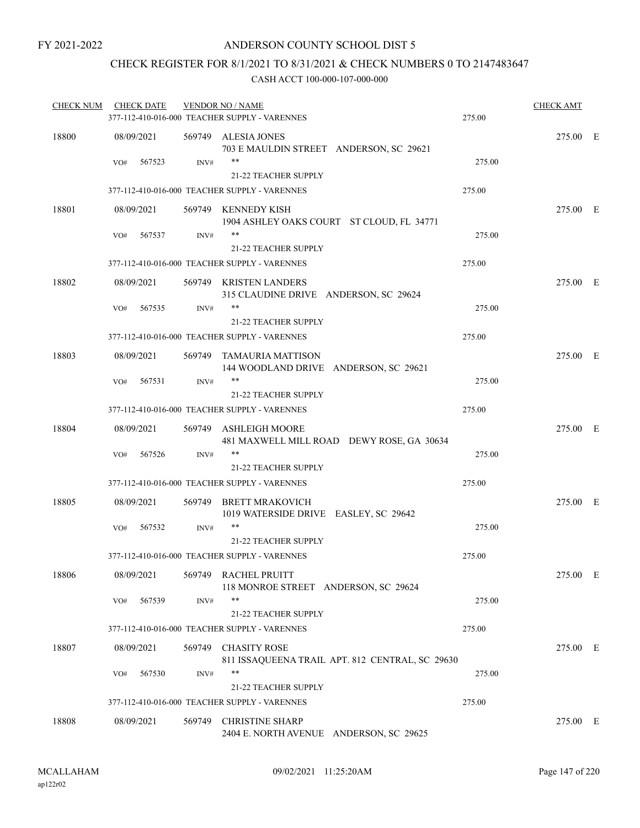## CHECK REGISTER FOR 8/1/2021 TO 8/31/2021 & CHECK NUMBERS 0 TO 2147483647

| <b>CHECK NUM</b> | <b>CHECK DATE</b> |        | <b>VENDOR NO / NAME</b>                                            |                                                 | <b>CHECK AMT</b> |  |
|------------------|-------------------|--------|--------------------------------------------------------------------|-------------------------------------------------|------------------|--|
|                  |                   |        | 377-112-410-016-000 TEACHER SUPPLY - VARENNES                      | 275.00                                          |                  |  |
| 18800            | 08/09/2021        |        | 569749 ALESIA JONES<br>703 E MAULDIN STREET ANDERSON, SC 29621     |                                                 | 275.00 E         |  |
|                  | 567523<br>VO#     | INV#   | $***$<br>21-22 TEACHER SUPPLY                                      | 275.00                                          |                  |  |
|                  |                   |        | 377-112-410-016-000 TEACHER SUPPLY - VARENNES                      | 275.00                                          |                  |  |
| 18801            | 08/09/2021        |        | 569749 KENNEDY KISH<br>1904 ASHLEY OAKS COURT ST CLOUD, FL 34771   |                                                 | 275.00 E         |  |
|                  | 567537<br>VO#     | INV#   | **<br>21-22 TEACHER SUPPLY                                         | 275.00                                          |                  |  |
|                  |                   |        | 377-112-410-016-000 TEACHER SUPPLY - VARENNES                      | 275.00                                          |                  |  |
| 18802            | 08/09/2021        |        | 569749 KRISTEN LANDERS<br>315 CLAUDINE DRIVE ANDERSON, SC 29624    |                                                 | 275.00 E         |  |
|                  | 567535<br>VO#     | INV#   | $***$                                                              | 275.00                                          |                  |  |
|                  |                   |        | <b>21-22 TEACHER SUPPLY</b>                                        |                                                 |                  |  |
|                  |                   |        | 377-112-410-016-000 TEACHER SUPPLY - VARENNES                      | 275.00                                          |                  |  |
| 18803            | 08/09/2021        |        | 569749 TAMAURIA MATTISON<br>144 WOODLAND DRIVE ANDERSON, SC 29621  |                                                 | 275.00 E         |  |
|                  | VO#<br>567531     | INV#   | **                                                                 | 275.00                                          |                  |  |
|                  |                   |        | 21-22 TEACHER SUPPLY                                               |                                                 |                  |  |
|                  |                   |        | 377-112-410-016-000 TEACHER SUPPLY - VARENNES                      | 275.00                                          |                  |  |
| 18804            | 08/09/2021        |        | 569749 ASHLEIGH MOORE<br>481 MAXWELL MILL ROAD DEWY ROSE, GA 30634 |                                                 | 275.00 E         |  |
|                  | 567526<br>VO#     | INV#   | **<br>21-22 TEACHER SUPPLY                                         | 275.00                                          |                  |  |
|                  |                   |        | 377-112-410-016-000 TEACHER SUPPLY - VARENNES                      | 275.00                                          |                  |  |
| 18805            | 08/09/2021        | 569749 | BRETT MRAKOVICH<br>1019 WATERSIDE DRIVE EASLEY, SC 29642           |                                                 | 275.00 E         |  |
|                  | 567532<br>VO#     | INV#   | **                                                                 | 275.00                                          |                  |  |
|                  |                   |        | 21-22 TEACHER SUPPLY                                               |                                                 |                  |  |
|                  |                   |        | 377-112-410-016-000 TEACHER SUPPLY - VARENNES                      | 275.00                                          |                  |  |
| 18806            | 08/09/2021        |        | 569749 RACHEL PRUITT<br>118 MONROE STREET ANDERSON, SC 29624       |                                                 | 275.00 E         |  |
|                  | 567539<br>VO#     | INV#   | **<br>21-22 TEACHER SUPPLY                                         | 275.00                                          |                  |  |
|                  |                   |        | 377-112-410-016-000 TEACHER SUPPLY - VARENNES                      | 275.00                                          |                  |  |
| 18807            | 08/09/2021        | 569749 | <b>CHASITY ROSE</b>                                                | 811 ISSAQUEENA TRAIL APT. 812 CENTRAL, SC 29630 | 275.00 E         |  |
|                  | 567530<br>VO#     | INV#   | **<br>21-22 TEACHER SUPPLY                                         | 275.00                                          |                  |  |
|                  |                   |        | 377-112-410-016-000 TEACHER SUPPLY - VARENNES                      | 275.00                                          |                  |  |
| 18808            | 08/09/2021        | 569749 | <b>CHRISTINE SHARP</b><br>2404 E. NORTH AVENUE ANDERSON, SC 29625  |                                                 | 275.00 E         |  |
|                  |                   |        |                                                                    |                                                 |                  |  |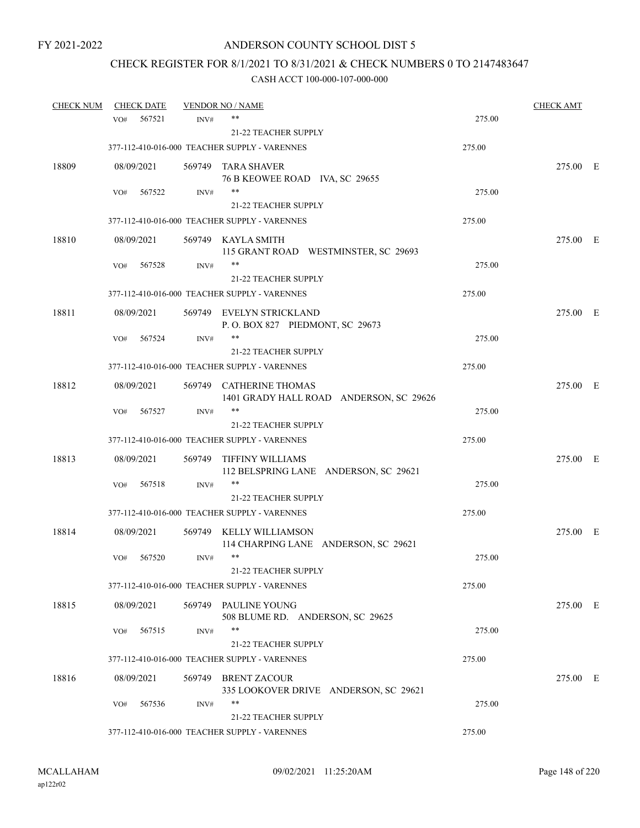## CHECK REGISTER FOR 8/1/2021 TO 8/31/2021 & CHECK NUMBERS 0 TO 2147483647

| <b>CHECK NUM</b> |            | <b>CHECK DATE</b> |        | <b>VENDOR NO / NAME</b>                                            |        | <b>CHECK AMT</b> |  |
|------------------|------------|-------------------|--------|--------------------------------------------------------------------|--------|------------------|--|
|                  | VO#        | 567521            | INV#   | **                                                                 | 275.00 |                  |  |
|                  |            |                   |        | 21-22 TEACHER SUPPLY                                               |        |                  |  |
|                  |            |                   |        | 377-112-410-016-000 TEACHER SUPPLY - VARENNES                      | 275.00 |                  |  |
| 18809            | 08/09/2021 |                   |        | 569749 TARA SHAVER                                                 |        | 275.00 E         |  |
|                  |            |                   |        | 76 B KEOWEE ROAD IVA, SC 29655                                     |        |                  |  |
|                  | VO#        | 567522            | INV#   | **                                                                 | 275.00 |                  |  |
|                  |            |                   |        | 21-22 TEACHER SUPPLY                                               |        |                  |  |
|                  |            |                   |        | 377-112-410-016-000 TEACHER SUPPLY - VARENNES                      | 275.00 |                  |  |
| 18810            | 08/09/2021 |                   |        | 569749 KAYLA SMITH<br>115 GRANT ROAD WESTMINSTER, SC 29693         |        | 275.00 E         |  |
|                  | VO#        | 567528            | INV#   | **                                                                 | 275.00 |                  |  |
|                  |            |                   |        | 21-22 TEACHER SUPPLY                                               |        |                  |  |
|                  |            |                   |        | 377-112-410-016-000 TEACHER SUPPLY - VARENNES                      | 275.00 |                  |  |
| 18811            | 08/09/2021 |                   |        | 569749 EVELYN STRICKLAND<br>P.O. BOX 827 PIEDMONT, SC 29673        |        | 275.00 E         |  |
|                  | VO#        | 567524            | INV#   | **                                                                 | 275.00 |                  |  |
|                  |            |                   |        | 21-22 TEACHER SUPPLY                                               |        |                  |  |
|                  |            |                   |        | 377-112-410-016-000 TEACHER SUPPLY - VARENNES                      | 275.00 |                  |  |
| 18812            | 08/09/2021 |                   |        | 569749 CATHERINE THOMAS<br>1401 GRADY HALL ROAD ANDERSON, SC 29626 |        | 275.00 E         |  |
|                  | VO#        | 567527            | INV#   | $***$                                                              | 275.00 |                  |  |
|                  |            |                   |        | <b>21-22 TEACHER SUPPLY</b>                                        |        |                  |  |
|                  |            |                   |        | 377-112-410-016-000 TEACHER SUPPLY - VARENNES                      | 275.00 |                  |  |
| 18813            | 08/09/2021 |                   | 569749 | TIFFINY WILLIAMS<br>112 BELSPRING LANE ANDERSON, SC 29621          |        | 275.00 E         |  |
|                  | VO#        | 567518            | INV#   | **                                                                 | 275.00 |                  |  |
|                  |            |                   |        | 21-22 TEACHER SUPPLY                                               |        |                  |  |
|                  |            |                   |        | 377-112-410-016-000 TEACHER SUPPLY - VARENNES                      | 275.00 |                  |  |
| 18814            | 08/09/2021 |                   |        | 569749 KELLY WILLIAMSON<br>114 CHARPING LANE ANDERSON, SC 29621    |        | 275.00 E         |  |
|                  | VO#        | 567520            | INV#   | $***$                                                              | 275.00 |                  |  |
|                  |            |                   |        | 21-22 TEACHER SUPPLY                                               |        |                  |  |
|                  |            |                   |        | 377-112-410-016-000 TEACHER SUPPLY - VARENNES                      | 275.00 |                  |  |
| 18815            | 08/09/2021 |                   |        | 569749 PAULINE YOUNG<br>508 BLUME RD. ANDERSON, SC 29625           |        | 275.00 E         |  |
|                  | VO#        | 567515            | INV#   | **                                                                 | 275.00 |                  |  |
|                  |            |                   |        | 21-22 TEACHER SUPPLY                                               |        |                  |  |
|                  |            |                   |        | 377-112-410-016-000 TEACHER SUPPLY - VARENNES                      | 275.00 |                  |  |
| 18816            | 08/09/2021 |                   |        | 569749 BRENT ZACOUR<br>335 LOOKOVER DRIVE ANDERSON, SC 29621       |        | 275.00 E         |  |
|                  | VO#        | 567536            | INV#   |                                                                    | 275.00 |                  |  |
|                  |            |                   |        | 21-22 TEACHER SUPPLY                                               |        |                  |  |
|                  |            |                   |        | 377-112-410-016-000 TEACHER SUPPLY - VARENNES                      | 275.00 |                  |  |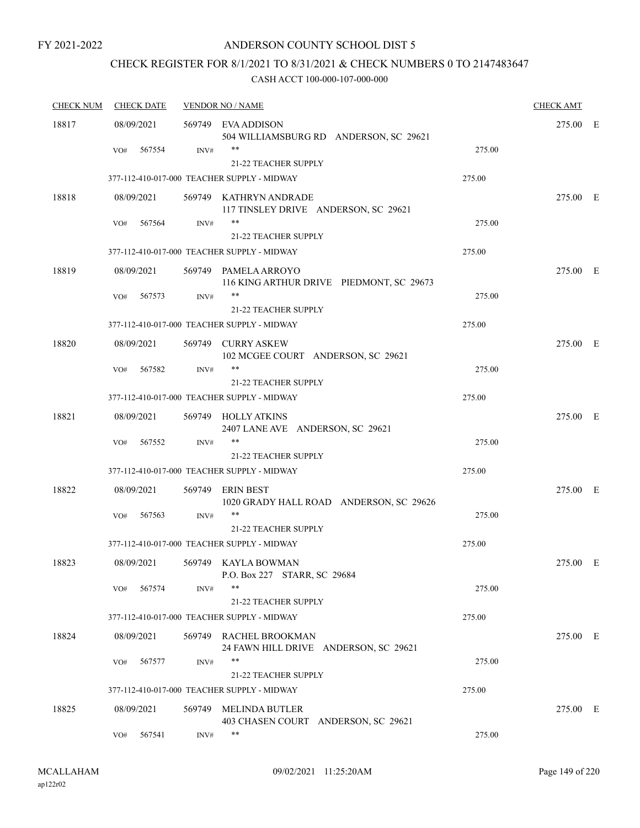## ANDERSON COUNTY SCHOOL DIST 5

## CHECK REGISTER FOR 8/1/2021 TO 8/31/2021 & CHECK NUMBERS 0 TO 2147483647

| <b>CHECK NUM</b> | <b>CHECK DATE</b> |      | <b>VENDOR NO / NAME</b>                                                    |        | <b>CHECK AMT</b> |  |
|------------------|-------------------|------|----------------------------------------------------------------------------|--------|------------------|--|
| 18817            | 08/09/2021        |      | 569749 EVA ADDISON<br>504 WILLIAMSBURG RD ANDERSON, SC 29621               |        | 275.00 E         |  |
|                  | 567554<br>VO#     | INV# | **<br>21-22 TEACHER SUPPLY                                                 | 275.00 |                  |  |
|                  |                   |      | 377-112-410-017-000 TEACHER SUPPLY - MIDWAY                                | 275.00 |                  |  |
| 18818            | 08/09/2021        |      | 569749 KATHRYN ANDRADE<br>117 TINSLEY DRIVE ANDERSON, SC 29621             |        | 275.00 E         |  |
|                  | 567564<br>VO#     | INV# | **<br>21-22 TEACHER SUPPLY                                                 | 275.00 |                  |  |
|                  |                   |      | 377-112-410-017-000 TEACHER SUPPLY - MIDWAY                                | 275.00 |                  |  |
| 18819            | 08/09/2021        |      | 569749 PAMELA ARROYO<br>116 KING ARTHUR DRIVE PIEDMONT, SC 29673           |        | 275.00 E         |  |
|                  | VO#<br>567573     | INV# | **<br>21-22 TEACHER SUPPLY                                                 | 275.00 |                  |  |
|                  |                   |      | 377-112-410-017-000 TEACHER SUPPLY - MIDWAY                                | 275.00 |                  |  |
| 18820            | 08/09/2021        |      | 569749 CURRY ASKEW<br>102 MCGEE COURT ANDERSON, SC 29621                   |        | 275.00 E         |  |
|                  | 567582<br>VO#     | INV# | **                                                                         | 275.00 |                  |  |
|                  |                   |      | <b>21-22 TEACHER SUPPLY</b><br>377-112-410-017-000 TEACHER SUPPLY - MIDWAY | 275.00 |                  |  |
|                  |                   |      |                                                                            |        |                  |  |
| 18821            | 08/09/2021        |      | 569749 HOLLY ATKINS<br>2407 LANE AVE ANDERSON, SC 29621<br>**              |        | 275.00 E         |  |
|                  | 567552<br>VO#     | INV# | <b>21-22 TEACHER SUPPLY</b>                                                | 275.00 |                  |  |
|                  |                   |      | 377-112-410-017-000 TEACHER SUPPLY - MIDWAY                                | 275.00 |                  |  |
| 18822            | 08/09/2021        |      | 569749 ERIN BEST<br>1020 GRADY HALL ROAD ANDERSON, SC 29626                |        | 275.00 E         |  |
|                  | 567563<br>VO#     | INV# | **<br><b>21-22 TEACHER SUPPLY</b>                                          | 275.00 |                  |  |
|                  |                   |      | 377-112-410-017-000 TEACHER SUPPLY - MIDWAY                                | 275.00 |                  |  |
| 18823            | 08/09/2021        |      | 569749 KAYLA BOWMAN<br>P.O. Box 227 STARR, SC 29684                        |        | 275.00 E         |  |
|                  | 567574<br>VO#     | INV# | **<br><b>21-22 TEACHER SUPPLY</b>                                          | 275.00 |                  |  |
|                  |                   |      | 377-112-410-017-000 TEACHER SUPPLY - MIDWAY                                | 275.00 |                  |  |
| 18824            | 08/09/2021        |      | 569749 RACHEL BROOKMAN<br>24 FAWN HILL DRIVE ANDERSON, SC 29621            |        | 275.00 E         |  |
|                  | 567577<br>VO#     | INV# | **<br>21-22 TEACHER SUPPLY                                                 | 275.00 |                  |  |
|                  |                   |      | 377-112-410-017-000 TEACHER SUPPLY - MIDWAY                                | 275.00 |                  |  |
| 18825            | 08/09/2021        |      | 569749 MELINDA BUTLER<br>403 CHASEN COURT ANDERSON, SC 29621               |        | 275.00 E         |  |
|                  | 567541<br>VO#     | INV# | **                                                                         | 275.00 |                  |  |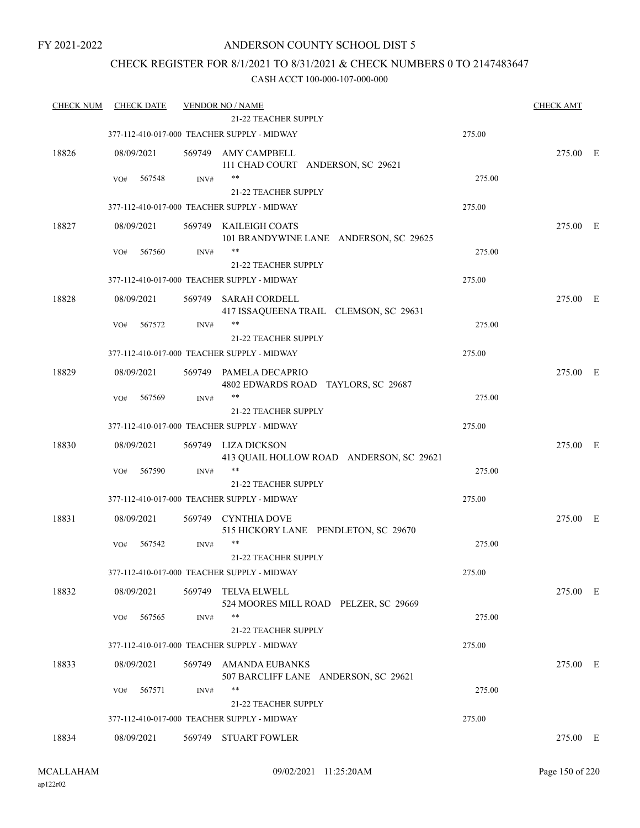## ANDERSON COUNTY SCHOOL DIST 5

## CHECK REGISTER FOR 8/1/2021 TO 8/31/2021 & CHECK NUMBERS 0 TO 2147483647

| <b>CHECK NUM</b> | <b>CHECK DATE</b> |        | <b>VENDOR NO / NAME</b>                                         |        | <b>CHECK AMT</b> |  |
|------------------|-------------------|--------|-----------------------------------------------------------------|--------|------------------|--|
|                  |                   |        | <b>21-22 TEACHER SUPPLY</b>                                     |        |                  |  |
|                  |                   |        | 377-112-410-017-000 TEACHER SUPPLY - MIDWAY                     | 275.00 |                  |  |
| 18826            | 08/09/2021        | 569749 | AMY CAMPBELL<br>111 CHAD COURT ANDERSON, SC 29621               |        | 275.00 E         |  |
|                  | VO#<br>567548     | INV#   | $***$                                                           | 275.00 |                  |  |
|                  |                   |        | 21-22 TEACHER SUPPLY                                            |        |                  |  |
|                  |                   |        | 377-112-410-017-000 TEACHER SUPPLY - MIDWAY                     | 275.00 |                  |  |
| 18827            | 08/09/2021        |        | 569749 KAILEIGH COATS<br>101 BRANDYWINE LANE ANDERSON, SC 29625 |        | 275.00 E         |  |
|                  | 567560<br>VO#     | INV#   | **                                                              | 275.00 |                  |  |
|                  |                   |        | 21-22 TEACHER SUPPLY                                            |        |                  |  |
|                  |                   |        | 377-112-410-017-000 TEACHER SUPPLY - MIDWAY                     | 275.00 |                  |  |
| 18828            | 08/09/2021        | 569749 | SARAH CORDELL                                                   |        | 275.00 E         |  |
|                  |                   |        | 417 ISSAQUEENA TRAIL CLEMSON, SC 29631                          |        |                  |  |
|                  | 567572<br>VO#     | INV#   | **                                                              | 275.00 |                  |  |
|                  |                   |        | <b>21-22 TEACHER SUPPLY</b>                                     |        |                  |  |
|                  |                   |        | 377-112-410-017-000 TEACHER SUPPLY - MIDWAY                     | 275.00 |                  |  |
|                  |                   |        |                                                                 |        |                  |  |
| 18829            | 08/09/2021        | 569749 | PAMELA DECAPRIO<br>4802 EDWARDS ROAD TAYLORS, SC 29687          |        | 275.00 E         |  |
|                  | 567569<br>VO#     | INV#   | $***$                                                           | 275.00 |                  |  |
|                  |                   |        | 21-22 TEACHER SUPPLY                                            |        |                  |  |
|                  |                   |        | 377-112-410-017-000 TEACHER SUPPLY - MIDWAY                     | 275.00 |                  |  |
| 18830            | 08/09/2021        | 569749 | LIZA DICKSON                                                    |        | 275.00 E         |  |
|                  |                   |        | 413 QUAIL HOLLOW ROAD ANDERSON, SC 29621                        |        |                  |  |
|                  | 567590<br>VO#     | INV#   |                                                                 | 275.00 |                  |  |
|                  |                   |        | <b>21-22 TEACHER SUPPLY</b>                                     |        |                  |  |
|                  |                   |        | 377-112-410-017-000 TEACHER SUPPLY - MIDWAY                     | 275.00 |                  |  |
|                  |                   |        |                                                                 |        |                  |  |
| 18831            | 08/09/2021        | 569749 | <b>CYNTHIA DOVE</b><br>515 HICKORY LANE PENDLETON, SC 29670     |        | 275.00 E         |  |
|                  | 567542<br>VO#     | INV#   | $***$                                                           | 275.00 |                  |  |
|                  |                   |        | 21-22 TEACHER SUPPLY                                            |        |                  |  |
|                  |                   |        | 377-112-410-017-000 TEACHER SUPPLY - MIDWAY                     | 275.00 |                  |  |
| 18832            | 08/09/2021        | 569749 | <b>TELVA ELWELL</b>                                             |        | 275.00 E         |  |
|                  |                   |        | 524 MOORES MILL ROAD PELZER, SC 29669                           |        |                  |  |
|                  | 567565<br>VO#     | INV#   | $***$                                                           | 275.00 |                  |  |
|                  |                   |        | 21-22 TEACHER SUPPLY                                            |        |                  |  |
|                  |                   |        | 377-112-410-017-000 TEACHER SUPPLY - MIDWAY                     | 275.00 |                  |  |
| 18833            | 08/09/2021        | 569749 | AMANDA EUBANKS                                                  |        | 275.00 E         |  |
|                  |                   |        | 507 BARCLIFF LANE ANDERSON, SC 29621                            |        |                  |  |
|                  | 567571<br>VO#     | INV#   | **                                                              | 275.00 |                  |  |
|                  |                   |        | <b>21-22 TEACHER SUPPLY</b>                                     |        |                  |  |
|                  |                   |        | 377-112-410-017-000 TEACHER SUPPLY - MIDWAY                     | 275.00 |                  |  |
|                  |                   |        |                                                                 |        |                  |  |
| 18834            | 08/09/2021        |        | 569749 STUART FOWLER                                            |        | 275.00 E         |  |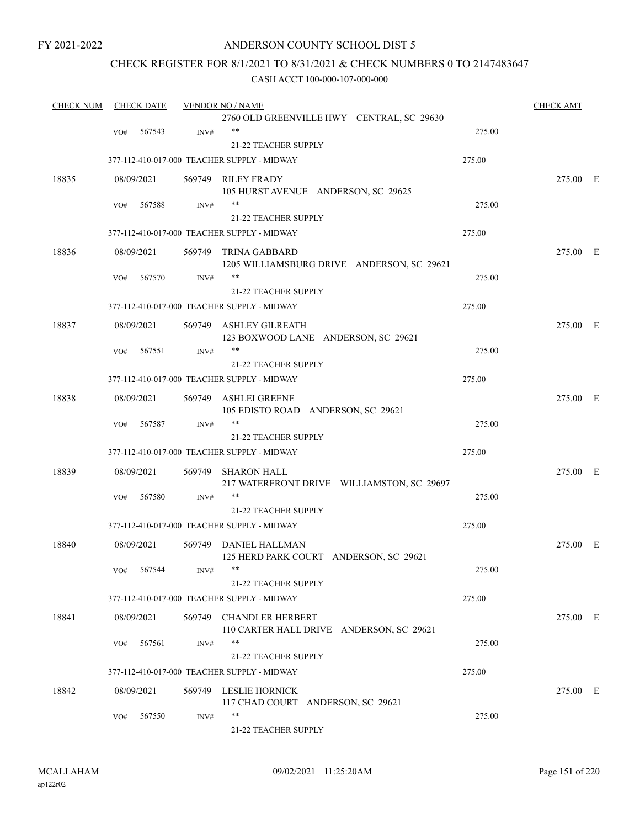## ANDERSON COUNTY SCHOOL DIST 5

## CHECK REGISTER FOR 8/1/2021 TO 8/31/2021 & CHECK NUMBERS 0 TO 2147483647

| <b>CHECK NUM</b> |     | <b>CHECK DATE</b> |                | <b>VENDOR NO / NAME</b>                                             |        | <b>CHECK AMT</b> |  |
|------------------|-----|-------------------|----------------|---------------------------------------------------------------------|--------|------------------|--|
|                  |     |                   |                | 2760 OLD GREENVILLE HWY CENTRAL, SC 29630                           |        |                  |  |
|                  | VO# | 567543            | INV#           | $***$                                                               | 275.00 |                  |  |
|                  |     |                   |                | 21-22 TEACHER SUPPLY                                                |        |                  |  |
|                  |     |                   |                | 377-112-410-017-000 TEACHER SUPPLY - MIDWAY                         | 275.00 |                  |  |
| 18835            |     | 08/09/2021        |                | 569749 RILEY FRADY                                                  |        | 275.00 E         |  |
|                  |     |                   |                | 105 HURST AVENUE ANDERSON, SC 29625                                 |        |                  |  |
|                  | VO# | 567588            | INV#           | **                                                                  | 275.00 |                  |  |
|                  |     |                   |                | <b>21-22 TEACHER SUPPLY</b>                                         |        |                  |  |
|                  |     |                   |                | 377-112-410-017-000 TEACHER SUPPLY - MIDWAY                         | 275.00 |                  |  |
| 18836            |     | 08/09/2021        |                | 569749 TRINA GABBARD<br>1205 WILLIAMSBURG DRIVE ANDERSON, SC 29621  |        | 275.00 E         |  |
|                  | VO# | 567570            | INV#           | **                                                                  | 275.00 |                  |  |
|                  |     |                   |                | 21-22 TEACHER SUPPLY                                                |        |                  |  |
|                  |     |                   |                | 377-112-410-017-000 TEACHER SUPPLY - MIDWAY                         | 275.00 |                  |  |
| 18837            |     | 08/09/2021        |                | 569749 ASHLEY GILREATH                                              |        | 275.00 E         |  |
|                  |     |                   |                | 123 BOXWOOD LANE ANDERSON, SC 29621                                 |        |                  |  |
|                  | VO# | 567551            | INV#           |                                                                     | 275.00 |                  |  |
|                  |     |                   |                | <b>21-22 TEACHER SUPPLY</b>                                         |        |                  |  |
|                  |     |                   |                | 377-112-410-017-000 TEACHER SUPPLY - MIDWAY                         | 275.00 |                  |  |
| 18838            |     | 08/09/2021        |                | 569749 ASHLEI GREENE<br>105 EDISTO ROAD ANDERSON, SC 29621          |        | 275.00 E         |  |
|                  | VO# | 567587            | INV#           | **                                                                  | 275.00 |                  |  |
|                  |     |                   |                | <b>21-22 TEACHER SUPPLY</b>                                         |        |                  |  |
|                  |     |                   |                | 377-112-410-017-000 TEACHER SUPPLY - MIDWAY                         | 275.00 |                  |  |
| 18839            |     | 08/09/2021        |                | 569749 SHARON HALL<br>217 WATERFRONT DRIVE WILLIAMSTON, SC 29697    |        | 275.00 E         |  |
|                  | VO# | 567580            | INV#           | **                                                                  | 275.00 |                  |  |
|                  |     |                   |                | <b>21-22 TEACHER SUPPLY</b>                                         |        |                  |  |
|                  |     |                   |                | 377-112-410-017-000 TEACHER SUPPLY - MIDWAY                         | 275.00 |                  |  |
| 18840            |     | 08/09/2021        |                | 569749 DANIEL HALLMAN<br>125 HERD PARK COURT ANDERSON, SC 29621     |        | 275.00 E         |  |
|                  |     | VO# 567544        | $\text{INV}\#$ |                                                                     | 275.00 |                  |  |
|                  |     |                   |                | 21-22 TEACHER SUPPLY                                                |        |                  |  |
|                  |     |                   |                | 377-112-410-017-000 TEACHER SUPPLY - MIDWAY                         | 275.00 |                  |  |
| 18841            |     | 08/09/2021        |                | 569749 CHANDLER HERBERT<br>110 CARTER HALL DRIVE ANDERSON, SC 29621 |        | 275.00 E         |  |
|                  | VO# | 567561            | INV#           | **                                                                  | 275.00 |                  |  |
|                  |     |                   |                | 21-22 TEACHER SUPPLY                                                |        |                  |  |
|                  |     |                   |                | 377-112-410-017-000 TEACHER SUPPLY - MIDWAY                         | 275.00 |                  |  |
| 18842            |     | 08/09/2021        |                | 569749 LESLIE HORNICK<br>117 CHAD COURT ANDERSON, SC 29621          |        | 275.00 E         |  |
|                  | VO# | 567550            | INV#           | **                                                                  | 275.00 |                  |  |
|                  |     |                   |                | 21-22 TEACHER SUPPLY                                                |        |                  |  |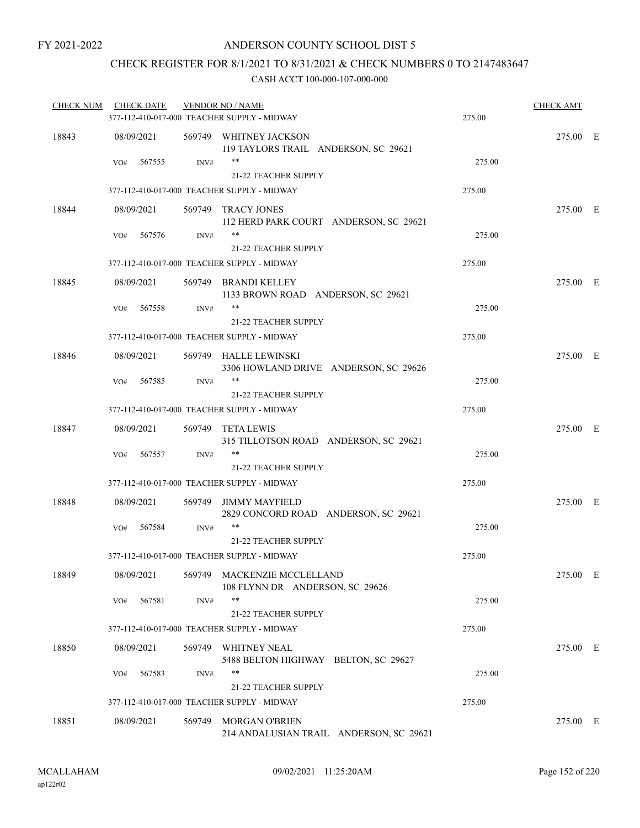## CHECK REGISTER FOR 8/1/2021 TO 8/31/2021 & CHECK NUMBERS 0 TO 2147483647

| 18843<br>08/09/2021<br>569749 WHITNEY JACKSON<br>275.00 E<br>119 TAYLORS TRAIL ANDERSON, SC 29621<br>**<br>567555<br>INV#<br>275.00<br>VO#<br><b>21-22 TEACHER SUPPLY</b><br>377-112-410-017-000 TEACHER SUPPLY - MIDWAY<br>275.00<br>18844<br>569749 TRACY JONES<br>275.00 E<br>08/09/2021<br>112 HERD PARK COURT ANDERSON, SC 29621<br>**<br>275.00<br>567576<br>INV#<br>VO#<br><b>21-22 TEACHER SUPPLY</b><br>377-112-410-017-000 TEACHER SUPPLY - MIDWAY<br>275.00<br>18845<br>08/09/2021<br>569749 BRANDI KELLEY<br>275.00 E<br>1133 BROWN ROAD ANDERSON, SC 29621<br>**<br>567558<br>275.00<br>VO#<br>INV#<br><b>21-22 TEACHER SUPPLY</b><br>377-112-410-017-000 TEACHER SUPPLY - MIDWAY<br>275.00<br>18846<br>08/09/2021<br>569749 HALLE LEWINSKI<br>275.00 E<br>3306 HOWLAND DRIVE ANDERSON, SC 29626<br>$***$<br>567585<br>INV#<br>275.00<br>VO#<br><b>21-22 TEACHER SUPPLY</b><br>377-112-410-017-000 TEACHER SUPPLY - MIDWAY<br>275.00<br>18847<br>08/09/2021<br>275.00 E<br>569749 TETA LEWIS<br>315 TILLOTSON ROAD ANDERSON, SC 29621<br>**<br>275.00<br>567557<br>$\text{INV}\#$<br>VO#<br><b>21-22 TEACHER SUPPLY</b><br>377-112-410-017-000 TEACHER SUPPLY - MIDWAY<br>275.00<br>18848<br>08/09/2021<br>275.00 E<br>569749<br>JIMMY MAYFIELD<br>2829 CONCORD ROAD ANDERSON, SC 29621<br>**<br>275.00<br>VO#<br>567584<br>INV#<br><b>21-22 TEACHER SUPPLY</b><br>377-112-410-017-000 TEACHER SUPPLY - MIDWAY<br>275.00<br>18849<br>08/09/2021<br>569749 MACKENZIE MCCLELLAND<br>275.00 E<br>108 FLYNN DR ANDERSON, SC 29626<br>**<br>275.00<br>567581<br>INV#<br>VO#<br><b>21-22 TEACHER SUPPLY</b><br>275.00<br>377-112-410-017-000 TEACHER SUPPLY - MIDWAY<br>18850<br>08/09/2021<br>569749 WHITNEY NEAL<br>275.00 E<br>5488 BELTON HIGHWAY BELTON, SC 29627<br>**<br>567583<br>275.00<br>VO#<br>INV#<br>21-22 TEACHER SUPPLY<br>275.00<br>377-112-410-017-000 TEACHER SUPPLY - MIDWAY<br>18851<br>08/09/2021<br>569749<br><b>MORGAN O'BRIEN</b><br>275.00 E<br>214 ANDALUSIAN TRAIL ANDERSON, SC 29621 | <b>CHECK NUM</b> | <b>CHECK DATE</b> | <b>VENDOR NO / NAME</b><br>377-112-410-017-000 TEACHER SUPPLY - MIDWAY | 275.00 | <b>CHECK AMT</b> |  |
|--------------------------------------------------------------------------------------------------------------------------------------------------------------------------------------------------------------------------------------------------------------------------------------------------------------------------------------------------------------------------------------------------------------------------------------------------------------------------------------------------------------------------------------------------------------------------------------------------------------------------------------------------------------------------------------------------------------------------------------------------------------------------------------------------------------------------------------------------------------------------------------------------------------------------------------------------------------------------------------------------------------------------------------------------------------------------------------------------------------------------------------------------------------------------------------------------------------------------------------------------------------------------------------------------------------------------------------------------------------------------------------------------------------------------------------------------------------------------------------------------------------------------------------------------------------------------------------------------------------------------------------------------------------------------------------------------------------------------------------------------------------------------------------------------------------------------------------------------------------------------------------------------------------------------------------------------------------------------------------------------------------------------|------------------|-------------------|------------------------------------------------------------------------|--------|------------------|--|
|                                                                                                                                                                                                                                                                                                                                                                                                                                                                                                                                                                                                                                                                                                                                                                                                                                                                                                                                                                                                                                                                                                                                                                                                                                                                                                                                                                                                                                                                                                                                                                                                                                                                                                                                                                                                                                                                                                                                                                                                                          |                  |                   |                                                                        |        |                  |  |
|                                                                                                                                                                                                                                                                                                                                                                                                                                                                                                                                                                                                                                                                                                                                                                                                                                                                                                                                                                                                                                                                                                                                                                                                                                                                                                                                                                                                                                                                                                                                                                                                                                                                                                                                                                                                                                                                                                                                                                                                                          |                  |                   |                                                                        |        |                  |  |
|                                                                                                                                                                                                                                                                                                                                                                                                                                                                                                                                                                                                                                                                                                                                                                                                                                                                                                                                                                                                                                                                                                                                                                                                                                                                                                                                                                                                                                                                                                                                                                                                                                                                                                                                                                                                                                                                                                                                                                                                                          |                  |                   |                                                                        |        |                  |  |
|                                                                                                                                                                                                                                                                                                                                                                                                                                                                                                                                                                                                                                                                                                                                                                                                                                                                                                                                                                                                                                                                                                                                                                                                                                                                                                                                                                                                                                                                                                                                                                                                                                                                                                                                                                                                                                                                                                                                                                                                                          |                  |                   |                                                                        |        |                  |  |
|                                                                                                                                                                                                                                                                                                                                                                                                                                                                                                                                                                                                                                                                                                                                                                                                                                                                                                                                                                                                                                                                                                                                                                                                                                                                                                                                                                                                                                                                                                                                                                                                                                                                                                                                                                                                                                                                                                                                                                                                                          |                  |                   |                                                                        |        |                  |  |
|                                                                                                                                                                                                                                                                                                                                                                                                                                                                                                                                                                                                                                                                                                                                                                                                                                                                                                                                                                                                                                                                                                                                                                                                                                                                                                                                                                                                                                                                                                                                                                                                                                                                                                                                                                                                                                                                                                                                                                                                                          |                  |                   |                                                                        |        |                  |  |
|                                                                                                                                                                                                                                                                                                                                                                                                                                                                                                                                                                                                                                                                                                                                                                                                                                                                                                                                                                                                                                                                                                                                                                                                                                                                                                                                                                                                                                                                                                                                                                                                                                                                                                                                                                                                                                                                                                                                                                                                                          |                  |                   |                                                                        |        |                  |  |
|                                                                                                                                                                                                                                                                                                                                                                                                                                                                                                                                                                                                                                                                                                                                                                                                                                                                                                                                                                                                                                                                                                                                                                                                                                                                                                                                                                                                                                                                                                                                                                                                                                                                                                                                                                                                                                                                                                                                                                                                                          |                  |                   |                                                                        |        |                  |  |
|                                                                                                                                                                                                                                                                                                                                                                                                                                                                                                                                                                                                                                                                                                                                                                                                                                                                                                                                                                                                                                                                                                                                                                                                                                                                                                                                                                                                                                                                                                                                                                                                                                                                                                                                                                                                                                                                                                                                                                                                                          |                  |                   |                                                                        |        |                  |  |
|                                                                                                                                                                                                                                                                                                                                                                                                                                                                                                                                                                                                                                                                                                                                                                                                                                                                                                                                                                                                                                                                                                                                                                                                                                                                                                                                                                                                                                                                                                                                                                                                                                                                                                                                                                                                                                                                                                                                                                                                                          |                  |                   |                                                                        |        |                  |  |
|                                                                                                                                                                                                                                                                                                                                                                                                                                                                                                                                                                                                                                                                                                                                                                                                                                                                                                                                                                                                                                                                                                                                                                                                                                                                                                                                                                                                                                                                                                                                                                                                                                                                                                                                                                                                                                                                                                                                                                                                                          |                  |                   |                                                                        |        |                  |  |
|                                                                                                                                                                                                                                                                                                                                                                                                                                                                                                                                                                                                                                                                                                                                                                                                                                                                                                                                                                                                                                                                                                                                                                                                                                                                                                                                                                                                                                                                                                                                                                                                                                                                                                                                                                                                                                                                                                                                                                                                                          |                  |                   |                                                                        |        |                  |  |
|                                                                                                                                                                                                                                                                                                                                                                                                                                                                                                                                                                                                                                                                                                                                                                                                                                                                                                                                                                                                                                                                                                                                                                                                                                                                                                                                                                                                                                                                                                                                                                                                                                                                                                                                                                                                                                                                                                                                                                                                                          |                  |                   |                                                                        |        |                  |  |
|                                                                                                                                                                                                                                                                                                                                                                                                                                                                                                                                                                                                                                                                                                                                                                                                                                                                                                                                                                                                                                                                                                                                                                                                                                                                                                                                                                                                                                                                                                                                                                                                                                                                                                                                                                                                                                                                                                                                                                                                                          |                  |                   |                                                                        |        |                  |  |
|                                                                                                                                                                                                                                                                                                                                                                                                                                                                                                                                                                                                                                                                                                                                                                                                                                                                                                                                                                                                                                                                                                                                                                                                                                                                                                                                                                                                                                                                                                                                                                                                                                                                                                                                                                                                                                                                                                                                                                                                                          |                  |                   |                                                                        |        |                  |  |
|                                                                                                                                                                                                                                                                                                                                                                                                                                                                                                                                                                                                                                                                                                                                                                                                                                                                                                                                                                                                                                                                                                                                                                                                                                                                                                                                                                                                                                                                                                                                                                                                                                                                                                                                                                                                                                                                                                                                                                                                                          |                  |                   |                                                                        |        |                  |  |
|                                                                                                                                                                                                                                                                                                                                                                                                                                                                                                                                                                                                                                                                                                                                                                                                                                                                                                                                                                                                                                                                                                                                                                                                                                                                                                                                                                                                                                                                                                                                                                                                                                                                                                                                                                                                                                                                                                                                                                                                                          |                  |                   |                                                                        |        |                  |  |
|                                                                                                                                                                                                                                                                                                                                                                                                                                                                                                                                                                                                                                                                                                                                                                                                                                                                                                                                                                                                                                                                                                                                                                                                                                                                                                                                                                                                                                                                                                                                                                                                                                                                                                                                                                                                                                                                                                                                                                                                                          |                  |                   |                                                                        |        |                  |  |
|                                                                                                                                                                                                                                                                                                                                                                                                                                                                                                                                                                                                                                                                                                                                                                                                                                                                                                                                                                                                                                                                                                                                                                                                                                                                                                                                                                                                                                                                                                                                                                                                                                                                                                                                                                                                                                                                                                                                                                                                                          |                  |                   |                                                                        |        |                  |  |
|                                                                                                                                                                                                                                                                                                                                                                                                                                                                                                                                                                                                                                                                                                                                                                                                                                                                                                                                                                                                                                                                                                                                                                                                                                                                                                                                                                                                                                                                                                                                                                                                                                                                                                                                                                                                                                                                                                                                                                                                                          |                  |                   |                                                                        |        |                  |  |
|                                                                                                                                                                                                                                                                                                                                                                                                                                                                                                                                                                                                                                                                                                                                                                                                                                                                                                                                                                                                                                                                                                                                                                                                                                                                                                                                                                                                                                                                                                                                                                                                                                                                                                                                                                                                                                                                                                                                                                                                                          |                  |                   |                                                                        |        |                  |  |
|                                                                                                                                                                                                                                                                                                                                                                                                                                                                                                                                                                                                                                                                                                                                                                                                                                                                                                                                                                                                                                                                                                                                                                                                                                                                                                                                                                                                                                                                                                                                                                                                                                                                                                                                                                                                                                                                                                                                                                                                                          |                  |                   |                                                                        |        |                  |  |
|                                                                                                                                                                                                                                                                                                                                                                                                                                                                                                                                                                                                                                                                                                                                                                                                                                                                                                                                                                                                                                                                                                                                                                                                                                                                                                                                                                                                                                                                                                                                                                                                                                                                                                                                                                                                                                                                                                                                                                                                                          |                  |                   |                                                                        |        |                  |  |
|                                                                                                                                                                                                                                                                                                                                                                                                                                                                                                                                                                                                                                                                                                                                                                                                                                                                                                                                                                                                                                                                                                                                                                                                                                                                                                                                                                                                                                                                                                                                                                                                                                                                                                                                                                                                                                                                                                                                                                                                                          |                  |                   |                                                                        |        |                  |  |
|                                                                                                                                                                                                                                                                                                                                                                                                                                                                                                                                                                                                                                                                                                                                                                                                                                                                                                                                                                                                                                                                                                                                                                                                                                                                                                                                                                                                                                                                                                                                                                                                                                                                                                                                                                                                                                                                                                                                                                                                                          |                  |                   |                                                                        |        |                  |  |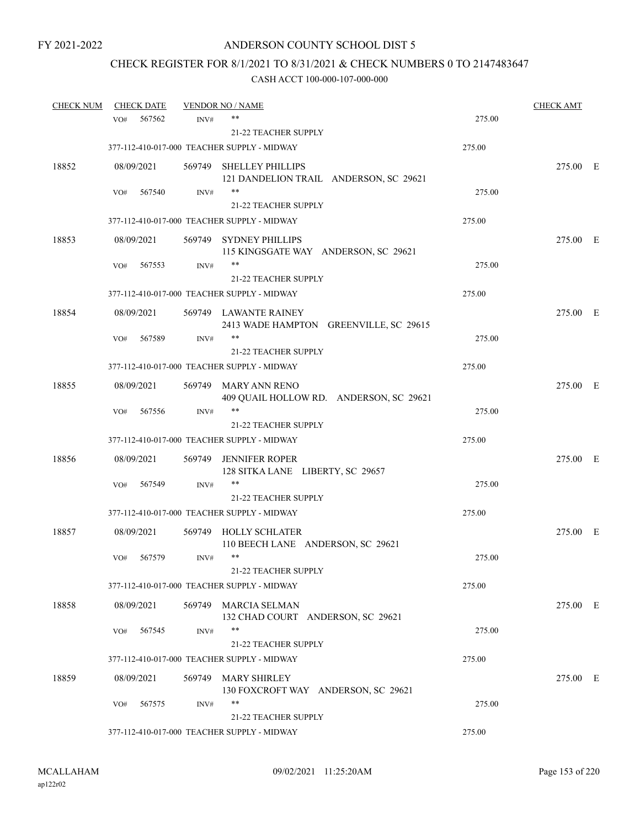## CHECK REGISTER FOR 8/1/2021 TO 8/31/2021 & CHECK NUMBERS 0 TO 2147483647

| <b>CHECK NUM</b> |     | <b>CHECK DATE</b> |      | <b>VENDOR NO / NAME</b>                                           |        | <b>CHECK AMT</b> |  |
|------------------|-----|-------------------|------|-------------------------------------------------------------------|--------|------------------|--|
|                  | VO# | 567562            | INV# | **                                                                | 275.00 |                  |  |
|                  |     |                   |      | 21-22 TEACHER SUPPLY                                              |        |                  |  |
|                  |     |                   |      | 377-112-410-017-000 TEACHER SUPPLY - MIDWAY                       | 275.00 |                  |  |
| 18852            |     | 08/09/2021        |      | 569749 SHELLEY PHILLIPS<br>121 DANDELION TRAIL ANDERSON, SC 29621 |        | 275.00 E         |  |
|                  | VO# | 567540            | INV# | $***$                                                             | 275.00 |                  |  |
|                  |     |                   |      | 21-22 TEACHER SUPPLY                                              |        |                  |  |
|                  |     |                   |      | 377-112-410-017-000 TEACHER SUPPLY - MIDWAY                       | 275.00 |                  |  |
| 18853            |     | 08/09/2021        |      | 569749 SYDNEY PHILLIPS<br>115 KINGSGATE WAY ANDERSON, SC 29621    |        | 275.00 E         |  |
|                  | VO# | 567553            | INV# | **                                                                | 275.00 |                  |  |
|                  |     |                   |      | <b>21-22 TEACHER SUPPLY</b>                                       |        |                  |  |
|                  |     |                   |      | 377-112-410-017-000 TEACHER SUPPLY - MIDWAY                       | 275.00 |                  |  |
| 18854            |     | 08/09/2021        |      | 569749 LAWANTE RAINEY<br>2413 WADE HAMPTON GREENVILLE, SC 29615   |        | 275.00 E         |  |
|                  | VO# | 567589            | INV# | **                                                                | 275.00 |                  |  |
|                  |     |                   |      | 21-22 TEACHER SUPPLY                                              |        |                  |  |
|                  |     |                   |      | 377-112-410-017-000 TEACHER SUPPLY - MIDWAY                       | 275.00 |                  |  |
| 18855            |     | 08/09/2021        |      | 569749 MARY ANN RENO<br>409 QUAIL HOLLOW RD. ANDERSON, SC 29621   |        | 275.00 E         |  |
|                  | VO# | 567556            | INV# | **                                                                | 275.00 |                  |  |
|                  |     |                   |      | <b>21-22 TEACHER SUPPLY</b>                                       |        |                  |  |
|                  |     |                   |      | 377-112-410-017-000 TEACHER SUPPLY - MIDWAY                       | 275.00 |                  |  |
| 18856            |     | 08/09/2021        |      | 569749 JENNIFER ROPER<br>128 SITKA LANE LIBERTY, SC 29657         |        | 275.00 E         |  |
|                  | VO# | 567549            | INV# | **                                                                | 275.00 |                  |  |
|                  |     |                   |      | 21-22 TEACHER SUPPLY                                              |        |                  |  |
|                  |     |                   |      | 377-112-410-017-000 TEACHER SUPPLY - MIDWAY                       | 275.00 |                  |  |
| 18857            |     | 08/09/2021        |      | 569749 HOLLY SCHLATER<br>110 BEECH LANE ANDERSON, SC 29621        |        | 275.00 E         |  |
|                  | VO# | 567579            | INV# | $***$                                                             | 275.00 |                  |  |
|                  |     |                   |      | 21-22 TEACHER SUPPLY                                              |        |                  |  |
|                  |     |                   |      | 377-112-410-017-000 TEACHER SUPPLY - MIDWAY                       | 275.00 |                  |  |
| 18858            |     | 08/09/2021        |      | 569749 MARCIA SELMAN<br>132 CHAD COURT ANDERSON, SC 29621         |        | 275.00 E         |  |
|                  | VO# | 567545            | INV# | $***$                                                             | 275.00 |                  |  |
|                  |     |                   |      | 21-22 TEACHER SUPPLY                                              |        |                  |  |
|                  |     |                   |      | 377-112-410-017-000 TEACHER SUPPLY - MIDWAY                       | 275.00 |                  |  |
| 18859            |     | 08/09/2021        |      | 569749 MARY SHIRLEY<br>130 FOXCROFT WAY ANDERSON, SC 29621        |        | 275.00 E         |  |
|                  | VO# | 567575            | INV# | **                                                                | 275.00 |                  |  |
|                  |     |                   |      | 21-22 TEACHER SUPPLY                                              |        |                  |  |
|                  |     |                   |      | 377-112-410-017-000 TEACHER SUPPLY - MIDWAY                       | 275.00 |                  |  |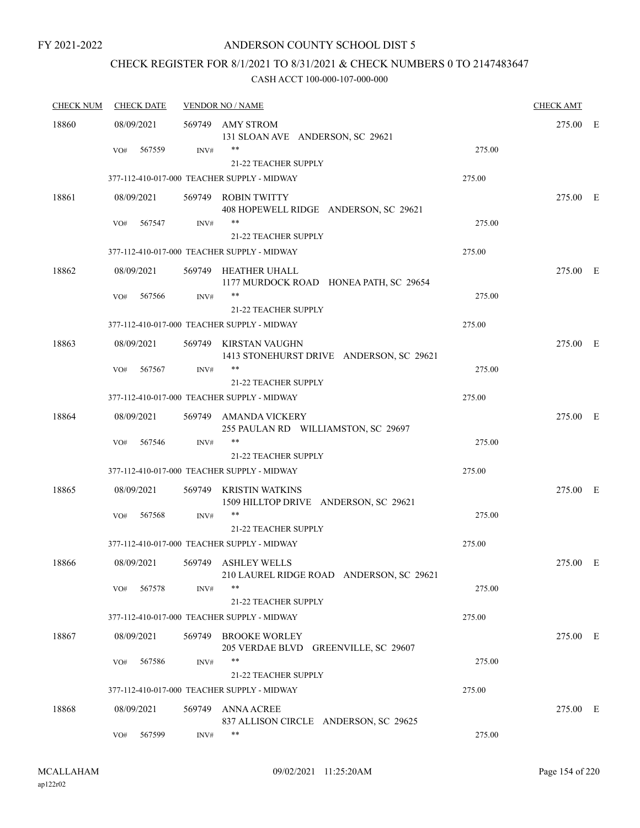## ANDERSON COUNTY SCHOOL DIST 5

## CHECK REGISTER FOR 8/1/2021 TO 8/31/2021 & CHECK NUMBERS 0 TO 2147483647

| <b>CHECK NUM</b> |            | <b>CHECK DATE</b> |        | <b>VENDOR NO / NAME</b>                                           |        | <b>CHECK AMT</b> |  |
|------------------|------------|-------------------|--------|-------------------------------------------------------------------|--------|------------------|--|
| 18860            | 08/09/2021 |                   |        | 569749 AMY STROM<br>131 SLOAN AVE ANDERSON, SC 29621              |        | 275.00 E         |  |
|                  | VO#        | 567559            | INV#   | **<br>21-22 TEACHER SUPPLY                                        | 275.00 |                  |  |
|                  |            |                   |        | 377-112-410-017-000 TEACHER SUPPLY - MIDWAY                       | 275.00 |                  |  |
| 18861            | 08/09/2021 |                   |        | 569749 ROBIN TWITTY<br>408 HOPEWELL RIDGE ANDERSON, SC 29621      |        | 275.00 E         |  |
|                  | VO#        | 567547            | INV#   | **<br>21-22 TEACHER SUPPLY                                        | 275.00 |                  |  |
|                  |            |                   |        | 377-112-410-017-000 TEACHER SUPPLY - MIDWAY                       | 275.00 |                  |  |
| 18862            | 08/09/2021 |                   |        | 569749 HEATHER UHALL<br>1177 MURDOCK ROAD HONEA PATH, SC 29654    |        | 275.00 E         |  |
|                  | VO#        | 567566            | INV#   | **<br>21-22 TEACHER SUPPLY                                        | 275.00 |                  |  |
|                  |            |                   |        | 377-112-410-017-000 TEACHER SUPPLY - MIDWAY                       | 275.00 |                  |  |
| 18863            | 08/09/2021 |                   |        | 569749 KIRSTAN VAUGHN<br>1413 STONEHURST DRIVE ANDERSON, SC 29621 |        | 275.00 E         |  |
|                  | VO#        | 567567            | INV#   | **<br>21-22 TEACHER SUPPLY                                        | 275.00 |                  |  |
|                  |            |                   |        | 377-112-410-017-000 TEACHER SUPPLY - MIDWAY                       | 275.00 |                  |  |
| 18864            | 08/09/2021 |                   |        | 569749 AMANDA VICKERY<br>255 PAULAN RD WILLIAMSTON, SC 29697      |        | 275.00 E         |  |
|                  | VO#        | 567546            | INV#   | **<br>21-22 TEACHER SUPPLY                                        | 275.00 |                  |  |
|                  |            |                   |        | 377-112-410-017-000 TEACHER SUPPLY - MIDWAY                       | 275.00 |                  |  |
| 18865            | 08/09/2021 |                   |        | 569749 KRISTIN WATKINS<br>1509 HILLTOP DRIVE ANDERSON, SC 29621   |        | 275.00 E         |  |
|                  | VO#        | 567568            | INV#   | **<br>21-22 TEACHER SUPPLY                                        | 275.00 |                  |  |
|                  |            |                   |        | 377-112-410-017-000 TEACHER SUPPLY - MIDWAY                       | 275.00 |                  |  |
| 18866            | 08/09/2021 |                   |        | 569749 ASHLEY WELLS<br>210 LAUREL RIDGE ROAD ANDERSON, SC 29621   |        | 275.00 E         |  |
|                  | VO#        | 567578            | INV#   | **<br>21-22 TEACHER SUPPLY                                        | 275.00 |                  |  |
|                  |            |                   |        | 377-112-410-017-000 TEACHER SUPPLY - MIDWAY                       | 275.00 |                  |  |
| 18867            | 08/09/2021 |                   |        | 569749 BROOKE WORLEY<br>205 VERDAE BLVD<br>GREENVILLE, SC 29607   |        | 275.00 E         |  |
|                  | VO#        | 567586            | INV#   | **<br>21-22 TEACHER SUPPLY                                        | 275.00 |                  |  |
|                  |            |                   |        | 377-112-410-017-000 TEACHER SUPPLY - MIDWAY                       | 275.00 |                  |  |
| 18868            | 08/09/2021 |                   | 569749 | <b>ANNA ACREE</b><br>837 ALLISON CIRCLE ANDERSON, SC 29625        |        | 275.00 E         |  |
|                  | VO#        | 567599            | INV#   | **                                                                | 275.00 |                  |  |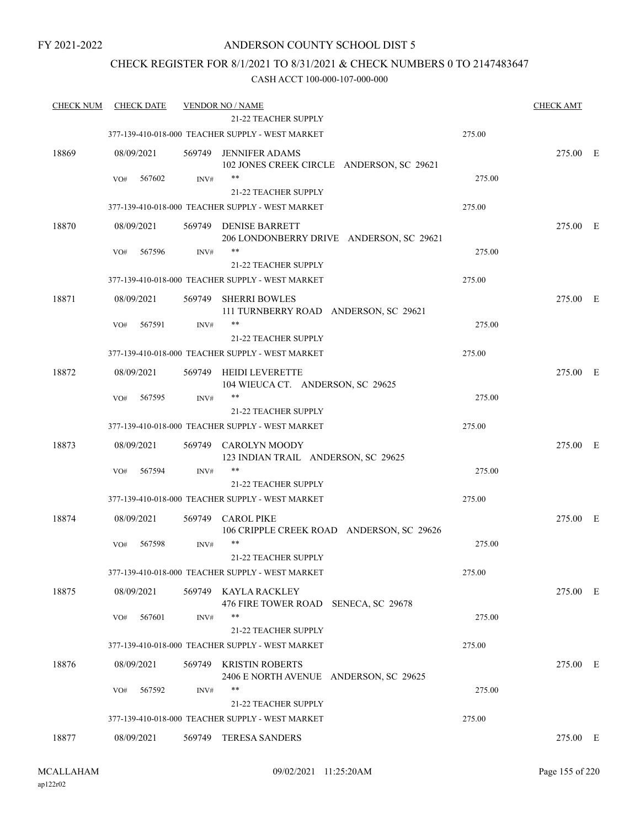## ANDERSON COUNTY SCHOOL DIST 5

## CHECK REGISTER FOR 8/1/2021 TO 8/31/2021 & CHECK NUMBERS 0 TO 2147483647

| <b>CHECK NUM</b> | <b>CHECK DATE</b>           |                | <b>VENDOR NO / NAME</b><br><b>21-22 TEACHER SUPPLY</b>                   |        | <b>CHECK AMT</b> |  |
|------------------|-----------------------------|----------------|--------------------------------------------------------------------------|--------|------------------|--|
|                  |                             |                | 377-139-410-018-000 TEACHER SUPPLY - WEST MARKET                         | 275.00 |                  |  |
| 18869            | 08/09/2021                  | 569749         | <b>JENNIFER ADAMS</b><br>102 JONES CREEK CIRCLE ANDERSON, SC 29621       |        | 275.00 E         |  |
|                  | VO#<br>567602               | INV#           | $***$<br>21-22 TEACHER SUPPLY                                            | 275.00 |                  |  |
|                  |                             |                | 377-139-410-018-000 TEACHER SUPPLY - WEST MARKET                         | 275.00 |                  |  |
| 18870            | 08/09/2021                  | 569749         | <b>DENISE BARRETT</b><br>206 LONDONBERRY DRIVE ANDERSON, SC 29621        |        | 275.00 E         |  |
|                  | 567596<br>VO#               | INV#           | **<br>21-22 TEACHER SUPPLY                                               | 275.00 |                  |  |
|                  |                             |                | 377-139-410-018-000 TEACHER SUPPLY - WEST MARKET                         | 275.00 |                  |  |
| 18871            | 08/09/2021                  | 569749         | <b>SHERRI BOWLES</b><br>111 TURNBERRY ROAD ANDERSON, SC 29621            |        | 275.00 E         |  |
|                  | 567591<br>VO#               | INV#           | **<br>21-22 TEACHER SUPPLY                                               | 275.00 |                  |  |
|                  |                             |                | 377-139-410-018-000 TEACHER SUPPLY - WEST MARKET                         | 275.00 |                  |  |
| 18872            | 08/09/2021                  | 569749         | <b>HEIDI LEVERETTE</b><br>104 WIEUCA CT. ANDERSON, SC 29625              |        | 275.00 E         |  |
|                  | 567595<br>VO#               | INV#           | $***$                                                                    | 275.00 |                  |  |
|                  |                             |                | 21-22 TEACHER SUPPLY<br>377-139-410-018-000 TEACHER SUPPLY - WEST MARKET | 275.00 |                  |  |
|                  |                             |                |                                                                          |        |                  |  |
| 18873            | 08/09/2021<br>567594<br>VO# | 569749<br>INV# | CAROLYN MOODY<br>123 INDIAN TRAIL ANDERSON, SC 29625<br>**               | 275.00 | 275.00 E         |  |
|                  |                             |                | 21-22 TEACHER SUPPLY                                                     |        |                  |  |
|                  |                             |                | 377-139-410-018-000 TEACHER SUPPLY - WEST MARKET                         | 275.00 |                  |  |
| 18874            | 08/09/2021                  | 569749         | <b>CAROL PIKE</b><br>106 CRIPPLE CREEK ROAD ANDERSON, SC 29626           |        | 275.00 E         |  |
|                  | 567598<br>VO#               | INV#           | $***$<br>21-22 TEACHER SUPPLY                                            | 275.00 |                  |  |
|                  |                             |                | 377-139-410-018-000 TEACHER SUPPLY - WEST MARKET                         | 275.00 |                  |  |
| 18875            | 08/09/2021                  | 569749         | KAYLA RACKLEY<br>476 FIRE TOWER ROAD SENECA, SC 29678                    |        | 275.00 E         |  |
|                  | 567601<br>VO#               | INV#           | $***$                                                                    | 275.00 |                  |  |
|                  |                             |                | 21-22 TEACHER SUPPLY<br>377-139-410-018-000 TEACHER SUPPLY - WEST MARKET | 275.00 |                  |  |
|                  |                             |                |                                                                          |        |                  |  |
| 18876            | 08/09/2021                  | 569749         | <b>KRISTIN ROBERTS</b><br>2406 E NORTH AVENUE ANDERSON, SC 29625<br>**   |        | 275.00 E         |  |
|                  | 567592<br>VO#               | INV#           | <b>21-22 TEACHER SUPPLY</b>                                              | 275.00 |                  |  |
|                  |                             |                | 377-139-410-018-000 TEACHER SUPPLY - WEST MARKET                         | 275.00 |                  |  |
| 18877            | 08/09/2021                  | 569749         | <b>TERESA SANDERS</b>                                                    |        | 275.00 E         |  |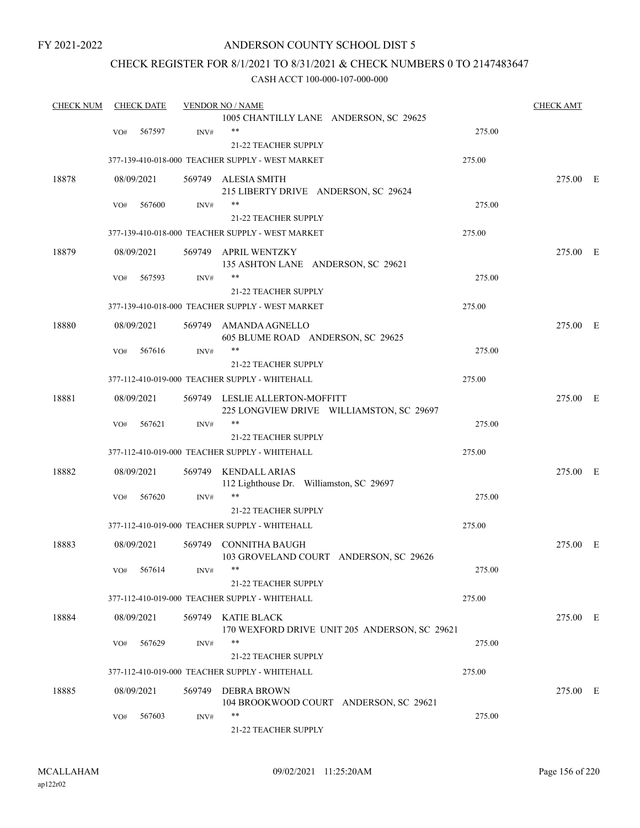## ANDERSON COUNTY SCHOOL DIST 5

## CHECK REGISTER FOR 8/1/2021 TO 8/31/2021 & CHECK NUMBERS 0 TO 2147483647

| <b>CHECK NUM</b> |     | <b>CHECK DATE</b> |        | <b>VENDOR NO / NAME</b>                                                    |        | <b>CHECK AMT</b> |  |
|------------------|-----|-------------------|--------|----------------------------------------------------------------------------|--------|------------------|--|
|                  |     |                   |        | 1005 CHANTILLY LANE ANDERSON, SC 29625                                     |        |                  |  |
|                  | VO# | 567597            | INV#   | $***$                                                                      | 275.00 |                  |  |
|                  |     |                   |        | 21-22 TEACHER SUPPLY                                                       |        |                  |  |
|                  |     |                   |        | 377-139-410-018-000 TEACHER SUPPLY - WEST MARKET                           | 275.00 |                  |  |
| 18878            |     | 08/09/2021        |        | 569749 ALESIA SMITH                                                        |        | 275.00 E         |  |
|                  |     |                   |        | 215 LIBERTY DRIVE ANDERSON, SC 29624                                       |        |                  |  |
|                  | VO# | 567600            | INV#   | $***$                                                                      | 275.00 |                  |  |
|                  |     |                   |        | 21-22 TEACHER SUPPLY                                                       |        |                  |  |
|                  |     |                   |        | 377-139-410-018-000 TEACHER SUPPLY - WEST MARKET                           | 275.00 |                  |  |
| 18879            |     | 08/09/2021        |        | 569749 APRIL WENTZKY<br>135 ASHTON LANE ANDERSON, SC 29621                 |        | 275.00 E         |  |
|                  | VO# | 567593            | INV#   | **                                                                         | 275.00 |                  |  |
|                  |     |                   |        | 21-22 TEACHER SUPPLY                                                       |        |                  |  |
|                  |     |                   |        | 377-139-410-018-000 TEACHER SUPPLY - WEST MARKET                           | 275.00 |                  |  |
|                  |     |                   |        |                                                                            |        |                  |  |
| 18880            |     | 08/09/2021        |        | 569749 AMANDA AGNELLO                                                      |        | 275.00 E         |  |
|                  |     |                   |        | 605 BLUME ROAD ANDERSON, SC 29625<br>**                                    | 275.00 |                  |  |
|                  | VO# | 567616            | INV#   |                                                                            |        |                  |  |
|                  |     |                   |        | 21-22 TEACHER SUPPLY                                                       |        |                  |  |
|                  |     |                   |        | 377-112-410-019-000 TEACHER SUPPLY - WHITEHALL                             | 275.00 |                  |  |
| 18881            |     | 08/09/2021        |        | 569749 LESLIE ALLERTON-MOFFITT<br>225 LONGVIEW DRIVE WILLIAMSTON, SC 29697 |        | 275.00 E         |  |
|                  | VO# | 567621            | INV#   | $***$                                                                      | 275.00 |                  |  |
|                  |     |                   |        | 21-22 TEACHER SUPPLY                                                       |        |                  |  |
|                  |     |                   |        | 377-112-410-019-000 TEACHER SUPPLY - WHITEHALL                             | 275.00 |                  |  |
| 18882            |     | 08/09/2021        |        | 569749 KENDALL ARIAS<br>112 Lighthouse Dr. Williamston, SC 29697           |        | 275.00 E         |  |
|                  | VO# | 567620            | INV#   | **                                                                         | 275.00 |                  |  |
|                  |     |                   |        | 21-22 TEACHER SUPPLY                                                       |        |                  |  |
|                  |     |                   |        | 377-112-410-019-000 TEACHER SUPPLY - WHITEHALL                             | 275.00 |                  |  |
|                  |     |                   |        |                                                                            |        |                  |  |
| 18883            |     | 08/09/2021        |        | 569749 CONNITHA BAUGH<br>103 GROVELAND COURT ANDERSON, SC 29626            |        | 275.00 E         |  |
|                  |     | VO# 567614        | INV#   |                                                                            | 275.00 |                  |  |
|                  |     |                   |        | 21-22 TEACHER SUPPLY                                                       |        |                  |  |
|                  |     |                   |        | 377-112-410-019-000 TEACHER SUPPLY - WHITEHALL                             | 275.00 |                  |  |
|                  |     |                   |        |                                                                            |        |                  |  |
| 18884            |     | 08/09/2021        |        | 569749 KATIE BLACK<br>170 WEXFORD DRIVE UNIT 205 ANDERSON, SC 29621        |        | 275.00 E         |  |
|                  | VO# | 567629            | INV#   | **                                                                         | 275.00 |                  |  |
|                  |     |                   |        | 21-22 TEACHER SUPPLY                                                       |        |                  |  |
|                  |     |                   |        | 377-112-410-019-000 TEACHER SUPPLY - WHITEHALL                             | 275.00 |                  |  |
| 18885            |     | 08/09/2021        | 569749 | <b>DEBRA BROWN</b><br>104 BROOKWOOD COURT ANDERSON, SC 29621               |        | 275.00 E         |  |
|                  | VO# | 567603            | INV#   | **                                                                         | 275.00 |                  |  |
|                  |     |                   |        | 21-22 TEACHER SUPPLY                                                       |        |                  |  |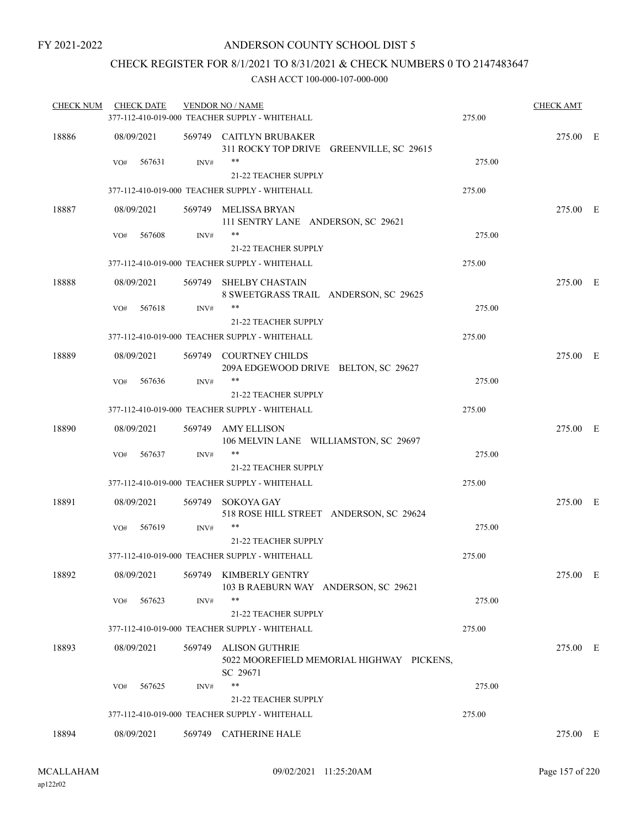## CHECK REGISTER FOR 8/1/2021 TO 8/31/2021 & CHECK NUMBERS 0 TO 2147483647

| <b>CHECK NUM</b> | <b>CHECK DATE</b> |                | <b>VENDOR NO / NAME</b>                                                        |        | <b>CHECK AMT</b> |  |
|------------------|-------------------|----------------|--------------------------------------------------------------------------------|--------|------------------|--|
|                  |                   |                | 377-112-410-019-000 TEACHER SUPPLY - WHITEHALL                                 | 275.00 |                  |  |
| 18886            | 08/09/2021        |                | 569749 CAITLYN BRUBAKER<br>311 ROCKY TOP DRIVE GREENVILLE, SC 29615            |        | 275.00 E         |  |
|                  | 567631<br>VO#     | $\text{INV}\#$ | $***$<br>21-22 TEACHER SUPPLY                                                  | 275.00 |                  |  |
|                  |                   |                | 377-112-410-019-000 TEACHER SUPPLY - WHITEHALL                                 | 275.00 |                  |  |
| 18887            | 08/09/2021        |                | 569749 MELISSA BRYAN<br>111 SENTRY LANE ANDERSON, SC 29621                     |        | 275.00 E         |  |
|                  | 567608<br>VO#     | $\text{INV}\#$ | $***$                                                                          | 275.00 |                  |  |
|                  |                   |                | 21-22 TEACHER SUPPLY                                                           |        |                  |  |
|                  |                   |                | 377-112-410-019-000 TEACHER SUPPLY - WHITEHALL                                 | 275.00 |                  |  |
| 18888            | 08/09/2021        |                | 569749 SHELBY CHASTAIN<br>8 SWEETGRASS TRAIL ANDERSON, SC 29625                |        | 275.00 E         |  |
|                  | 567618<br>VO#     | INV#           | **<br><b>21-22 TEACHER SUPPLY</b>                                              | 275.00 |                  |  |
|                  |                   |                | 377-112-410-019-000 TEACHER SUPPLY - WHITEHALL                                 | 275.00 |                  |  |
| 18889            | 08/09/2021        |                | 569749 COURTNEY CHILDS<br>209A EDGEWOOD DRIVE BELTON, SC 29627                 |        | 275.00 E         |  |
|                  | VO#<br>567636     | INV#           | **<br><b>21-22 TEACHER SUPPLY</b>                                              | 275.00 |                  |  |
|                  |                   |                | 377-112-410-019-000 TEACHER SUPPLY - WHITEHALL                                 | 275.00 |                  |  |
| 18890            | 08/09/2021        |                | 569749 AMY ELLISON<br>106 MELVIN LANE WILLIAMSTON, SC 29697                    |        | 275.00 E         |  |
|                  | 567637<br>VO#     | INV#           | **<br>21-22 TEACHER SUPPLY                                                     | 275.00 |                  |  |
|                  |                   |                | 377-112-410-019-000 TEACHER SUPPLY - WHITEHALL                                 | 275.00 |                  |  |
| 18891            | 08/09/2021        | 569749         | SOKOYA GAY<br>518 ROSE HILL STREET ANDERSON, SC 29624                          |        | 275.00 E         |  |
|                  | 567619<br>VO#     | INV#           | **                                                                             | 275.00 |                  |  |
|                  |                   |                | 21-22 TEACHER SUPPLY                                                           |        |                  |  |
|                  |                   |                | 377-112-410-019-000 TEACHER SUPPLY - WHITEHALL                                 | 275.00 |                  |  |
| 18892            | 08/09/2021        |                | 569749 KIMBERLY GENTRY<br>103 B RAEBURN WAY ANDERSON, SC 29621                 |        | 275.00 E         |  |
|                  | 567623<br>VO#     | INV#           | **                                                                             | 275.00 |                  |  |
|                  |                   |                | 21-22 TEACHER SUPPLY                                                           |        |                  |  |
|                  |                   |                | 377-112-410-019-000 TEACHER SUPPLY - WHITEHALL                                 | 275.00 |                  |  |
| 18893            | 08/09/2021        | 569749         | <b>ALISON GUTHRIE</b><br>5022 MOOREFIELD MEMORIAL HIGHWAY PICKENS,<br>SC 29671 |        | 275.00 E         |  |
|                  | 567625<br>VO#     | INV#           | **                                                                             | 275.00 |                  |  |
|                  |                   |                | <b>21-22 TEACHER SUPPLY</b>                                                    |        |                  |  |
|                  |                   |                | 377-112-410-019-000 TEACHER SUPPLY - WHITEHALL                                 | 275.00 |                  |  |
| 18894            | 08/09/2021        | 569749         | <b>CATHERINE HALE</b>                                                          |        | 275.00 E         |  |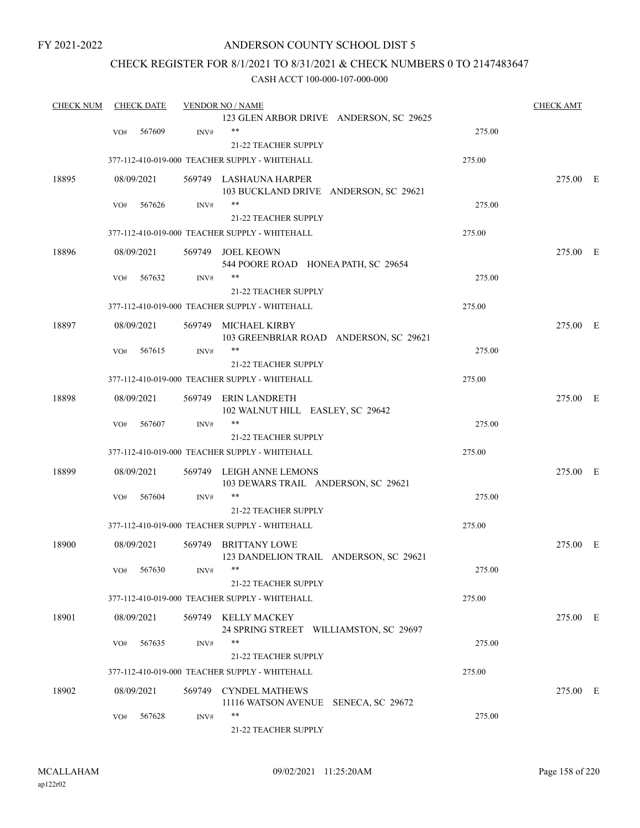## ANDERSON COUNTY SCHOOL DIST 5

## CHECK REGISTER FOR 8/1/2021 TO 8/31/2021 & CHECK NUMBERS 0 TO 2147483647

| <b>CHECK NUM</b> |     | <b>CHECK DATE</b> |      | <b>VENDOR NO / NAME</b>                        |        | <b>CHECK AMT</b> |  |
|------------------|-----|-------------------|------|------------------------------------------------|--------|------------------|--|
|                  |     |                   |      | 123 GLEN ARBOR DRIVE ANDERSON, SC 29625        |        |                  |  |
|                  | VO# | 567609            | INV# | $***$                                          | 275.00 |                  |  |
|                  |     |                   |      | 21-22 TEACHER SUPPLY                           |        |                  |  |
|                  |     |                   |      | 377-112-410-019-000 TEACHER SUPPLY - WHITEHALL | 275.00 |                  |  |
| 18895            |     | 08/09/2021        |      | 569749 LASHAUNA HARPER                         |        | 275.00 E         |  |
|                  |     |                   |      | 103 BUCKLAND DRIVE ANDERSON, SC 29621          |        |                  |  |
|                  | VO# | 567626            | INV# | **                                             | 275.00 |                  |  |
|                  |     |                   |      | <b>21-22 TEACHER SUPPLY</b>                    |        |                  |  |
|                  |     |                   |      | 377-112-410-019-000 TEACHER SUPPLY - WHITEHALL | 275.00 |                  |  |
| 18896            |     | 08/09/2021        |      | 569749 JOEL KEOWN                              |        | 275.00 E         |  |
|                  |     |                   |      | 544 POORE ROAD HONEA PATH, SC 29654            |        |                  |  |
|                  | VO# | 567632            | INV# | **                                             | 275.00 |                  |  |
|                  |     |                   |      | 21-22 TEACHER SUPPLY                           |        |                  |  |
|                  |     |                   |      | 377-112-410-019-000 TEACHER SUPPLY - WHITEHALL | 275.00 |                  |  |
| 18897            |     | 08/09/2021        |      | 569749 MICHAEL KIRBY                           |        | 275.00 E         |  |
|                  |     |                   |      | 103 GREENBRIAR ROAD ANDERSON, SC 29621         |        |                  |  |
|                  | VO# | 567615            | INV# | **                                             | 275.00 |                  |  |
|                  |     |                   |      | 21-22 TEACHER SUPPLY                           |        |                  |  |
|                  |     |                   |      | 377-112-410-019-000 TEACHER SUPPLY - WHITEHALL | 275.00 |                  |  |
| 18898            |     | 08/09/2021        |      | 569749 ERIN LANDRETH                           |        | 275.00 E         |  |
|                  |     |                   |      | 102 WALNUT HILL EASLEY, SC 29642               |        |                  |  |
|                  | VO# | 567607            | INV# | **                                             | 275.00 |                  |  |
|                  |     |                   |      | 21-22 TEACHER SUPPLY                           |        |                  |  |
|                  |     |                   |      | 377-112-410-019-000 TEACHER SUPPLY - WHITEHALL | 275.00 |                  |  |
| 18899            |     | 08/09/2021        |      | 569749 LEIGH ANNE LEMONS                       |        | 275.00 E         |  |
|                  |     |                   |      | 103 DEWARS TRAIL ANDERSON, SC 29621            |        |                  |  |
|                  | VO# | 567604            | INV# |                                                | 275.00 |                  |  |
|                  |     |                   |      | 21-22 TEACHER SUPPLY                           |        |                  |  |
|                  |     |                   |      | 377-112-410-019-000 TEACHER SUPPLY - WHITEHALL | 275.00 |                  |  |
| 18900            |     | 08/09/2021        |      | 569749 BRITTANY LOWE                           |        | 275.00 E         |  |
|                  |     |                   |      | 123 DANDELION TRAIL ANDERSON, SC 29621         |        |                  |  |
|                  |     | VO# 567630        | INV# |                                                | 275.00 |                  |  |
|                  |     |                   |      | 21-22 TEACHER SUPPLY                           |        |                  |  |
|                  |     |                   |      | 377-112-410-019-000 TEACHER SUPPLY - WHITEHALL | 275.00 |                  |  |
| 18901            |     | 08/09/2021        |      | 569749 KELLY MACKEY                            |        | 275.00 E         |  |
|                  |     |                   |      | 24 SPRING STREET WILLIAMSTON, SC 29697         |        |                  |  |
|                  | VO# | 567635            | INV# | **                                             | 275.00 |                  |  |
|                  |     |                   |      | 21-22 TEACHER SUPPLY                           |        |                  |  |
|                  |     |                   |      | 377-112-410-019-000 TEACHER SUPPLY - WHITEHALL | 275.00 |                  |  |
| 18902            |     | 08/09/2021        |      | 569749 CYNDEL MATHEWS                          |        | 275.00 E         |  |
|                  |     |                   |      | 11116 WATSON AVENUE SENECA, SC 29672           |        |                  |  |
|                  | VO# | 567628            | INV# | **                                             | 275.00 |                  |  |
|                  |     |                   |      | 21-22 TEACHER SUPPLY                           |        |                  |  |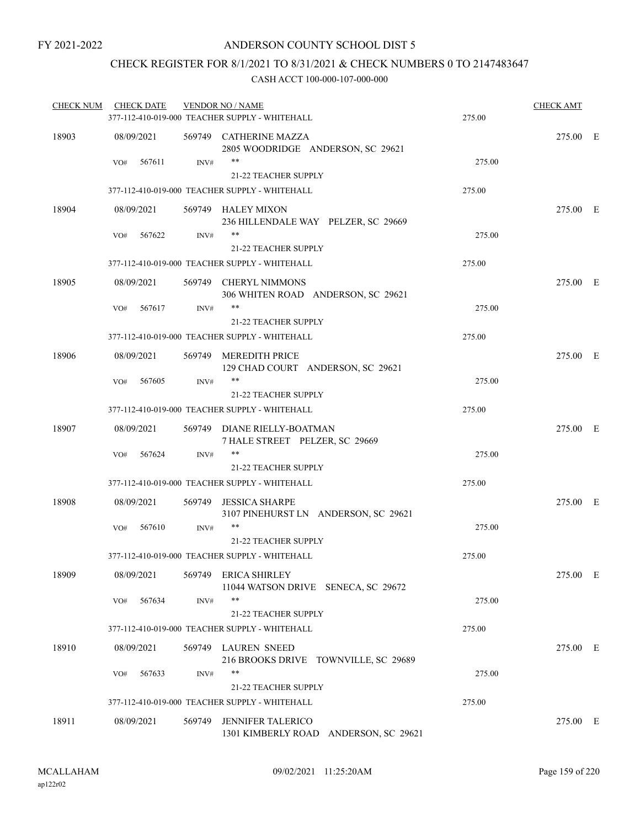## CHECK REGISTER FOR 8/1/2021 TO 8/31/2021 & CHECK NUMBERS 0 TO 2147483647

| <b>CHECK NUM</b> | <b>CHECK DATE</b> |        | <b>VENDOR NO / NAME</b><br>377-112-410-019-000 TEACHER SUPPLY - WHITEHALL     | 275.00 | <b>CHECK AMT</b> |  |
|------------------|-------------------|--------|-------------------------------------------------------------------------------|--------|------------------|--|
| 18903            | 08/09/2021        |        | 569749 CATHERINE MAZZA<br>2805 WOODRIDGE ANDERSON, SC 29621                   |        | 275.00 E         |  |
|                  | 567611<br>VO#     | INV#   | **<br>21-22 TEACHER SUPPLY                                                    | 275.00 |                  |  |
|                  |                   |        | 377-112-410-019-000 TEACHER SUPPLY - WHITEHALL                                | 275.00 |                  |  |
| 18904            | 08/09/2021        |        | 569749 HALEY MIXON                                                            |        | 275.00 E         |  |
|                  | 567622<br>VO#     | INV#   | 236 HILLENDALE WAY PELZER, SC 29669<br>$***$                                  | 275.00 |                  |  |
|                  |                   |        | <b>21-22 TEACHER SUPPLY</b><br>377-112-410-019-000 TEACHER SUPPLY - WHITEHALL | 275.00 |                  |  |
|                  |                   |        |                                                                               |        |                  |  |
| 18905            | 08/09/2021        | 569749 | <b>CHERYL NIMMONS</b><br>306 WHITEN ROAD ANDERSON, SC 29621                   |        | 275.00 E         |  |
|                  | 567617<br>VO#     | INV#   | **<br>21-22 TEACHER SUPPLY                                                    | 275.00 |                  |  |
|                  |                   |        | 377-112-410-019-000 TEACHER SUPPLY - WHITEHALL                                | 275.00 |                  |  |
|                  |                   |        |                                                                               |        |                  |  |
| 18906            | 08/09/2021        |        | 569749 MEREDITH PRICE<br>129 CHAD COURT ANDERSON, SC 29621                    |        | 275.00 E         |  |
|                  | 567605<br>VO#     | INV#   | **<br>21-22 TEACHER SUPPLY                                                    | 275.00 |                  |  |
|                  |                   |        | 377-112-410-019-000 TEACHER SUPPLY - WHITEHALL                                | 275.00 |                  |  |
| 18907            | 08/09/2021        |        | 569749 DIANE RIELLY-BOATMAN<br>7 HALE STREET PELZER, SC 29669                 |        | 275.00 E         |  |
|                  | 567624<br>VO#     | INV#   | **<br><b>21-22 TEACHER SUPPLY</b>                                             | 275.00 |                  |  |
|                  |                   |        | 377-112-410-019-000 TEACHER SUPPLY - WHITEHALL                                | 275.00 |                  |  |
| 18908            | 08/09/2021        | 569749 | <b>JESSICA SHARPE</b><br>3107 PINEHURST LN ANDERSON, SC 29621                 |        | 275.00 E         |  |
|                  | 567610<br>VO#     | INV#   | **<br>21-22 TEACHER SUPPLY                                                    | 275.00 |                  |  |
|                  |                   |        | 377-112-410-019-000 TEACHER SUPPLY - WHITEHALL                                | 275.00 |                  |  |
| 18909            | 08/09/2021        |        | 569749 ERICA SHIRLEY                                                          |        | 275.00 E         |  |
|                  | 567634<br>VO#     | INV#   | 11044 WATSON DRIVE SENECA, SC 29672<br>**                                     | 275.00 |                  |  |
|                  |                   |        | 21-22 TEACHER SUPPLY<br>377-112-410-019-000 TEACHER SUPPLY - WHITEHALL        | 275.00 |                  |  |
|                  |                   |        |                                                                               |        |                  |  |
| 18910            | 08/09/2021        |        | 569749 LAUREN SNEED<br>216 BROOKS DRIVE TOWNVILLE, SC 29689                   |        | 275.00 E         |  |
|                  | 567633<br>VO#     | INV#   | **<br>21-22 TEACHER SUPPLY                                                    | 275.00 |                  |  |
|                  |                   |        | 377-112-410-019-000 TEACHER SUPPLY - WHITEHALL                                | 275.00 |                  |  |
|                  |                   |        |                                                                               |        |                  |  |
| 18911            | 08/09/2021        | 569749 | <b>JENNIFER TALERICO</b><br>1301 KIMBERLY ROAD ANDERSON, SC 29621             |        | 275.00 E         |  |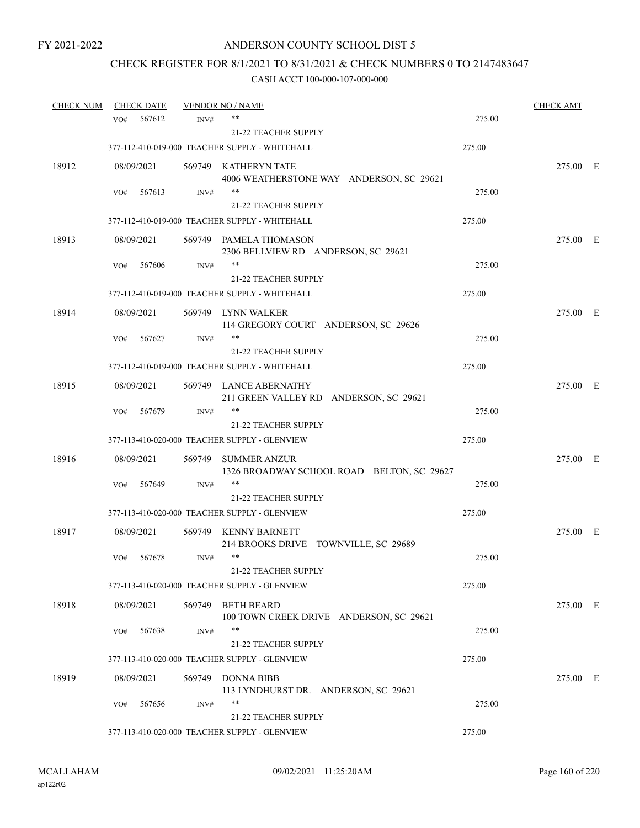## CHECK REGISTER FOR 8/1/2021 TO 8/31/2021 & CHECK NUMBERS 0 TO 2147483647

| <b>CHECK NUM</b> |                 | <b>CHECK DATE</b>    |                | <b>VENDOR NO / NAME</b>                                           |        | <b>CHECK AMT</b> |  |
|------------------|-----------------|----------------------|----------------|-------------------------------------------------------------------|--------|------------------|--|
|                  | VO <sub>#</sub> | 567612               | INV#           | $***$                                                             | 275.00 |                  |  |
|                  |                 |                      |                | 21-22 TEACHER SUPPLY                                              |        |                  |  |
|                  |                 |                      |                | 377-112-410-019-000 TEACHER SUPPLY - WHITEHALL                    | 275.00 |                  |  |
| 18912            |                 | 08/09/2021           |                | 569749 KATHERYN TATE<br>4006 WEATHERSTONE WAY ANDERSON, SC 29621  |        | 275.00 E         |  |
|                  | VO#             | 567613               | INV#           | $***$                                                             | 275.00 |                  |  |
|                  |                 |                      |                | 21-22 TEACHER SUPPLY                                              |        |                  |  |
|                  |                 |                      |                | 377-112-410-019-000 TEACHER SUPPLY - WHITEHALL                    | 275.00 |                  |  |
| 18913            |                 | 08/09/2021           |                | 569749 PAMELA THOMASON<br>2306 BELLVIEW RD ANDERSON, SC 29621     |        | 275.00 E         |  |
|                  | VO#             | 567606               | INV#           | **                                                                | 275.00 |                  |  |
|                  |                 |                      |                | <b>21-22 TEACHER SUPPLY</b>                                       |        |                  |  |
|                  |                 |                      |                | 377-112-410-019-000 TEACHER SUPPLY - WHITEHALL                    | 275.00 |                  |  |
| 18914            |                 | 08/09/2021           |                | 569749 LYNN WALKER<br>114 GREGORY COURT ANDERSON, SC 29626        |        | 275.00 E         |  |
|                  | VO#             | 567627               | INV#           | **                                                                | 275.00 |                  |  |
|                  |                 |                      |                | 21-22 TEACHER SUPPLY                                              |        |                  |  |
|                  |                 |                      |                | 377-112-410-019-000 TEACHER SUPPLY - WHITEHALL                    | 275.00 |                  |  |
| 18915            |                 | 08/09/2021           |                | 569749 LANCE ABERNATHY<br>211 GREEN VALLEY RD ANDERSON, SC 29621  |        | 275.00 E         |  |
|                  | VO#             | 567679               | INV#           | $***$                                                             | 275.00 |                  |  |
|                  |                 |                      |                | <b>21-22 TEACHER SUPPLY</b>                                       |        |                  |  |
|                  |                 |                      |                | 377-113-410-020-000 TEACHER SUPPLY - GLENVIEW                     | 275.00 |                  |  |
| 18916            |                 | 08/09/2021           | 569749         | <b>SUMMER ANZUR</b><br>1326 BROADWAY SCHOOL ROAD BELTON, SC 29627 |        | 275.00 E         |  |
|                  | VO#             | 567649               | INV#           | $***$                                                             | 275.00 |                  |  |
|                  |                 |                      |                | 21-22 TEACHER SUPPLY                                              |        |                  |  |
|                  |                 |                      |                | 377-113-410-020-000 TEACHER SUPPLY - GLENVIEW                     | 275.00 |                  |  |
| 18917            |                 | 08/09/2021           |                | 569749 KENNY BARNETT<br>214 BROOKS DRIVE TOWNVILLE, SC 29689      |        | 275.00 E         |  |
|                  | VO#             | 567678               | INV#           | $***$<br>21-22 TEACHER SUPPLY                                     | 275.00 |                  |  |
|                  |                 |                      |                | 377-113-410-020-000 TEACHER SUPPLY - GLENVIEW                     | 275.00 |                  |  |
| 18918            |                 |                      |                | <b>BETH BEARD</b>                                                 |        |                  |  |
|                  | VO#             | 08/09/2021<br>567638 | 569749<br>INV# | 100 TOWN CREEK DRIVE ANDERSON, SC 29621<br>$***$                  | 275.00 | 275.00 E         |  |
|                  |                 |                      |                | 21-22 TEACHER SUPPLY                                              |        |                  |  |
|                  |                 |                      |                | 377-113-410-020-000 TEACHER SUPPLY - GLENVIEW                     | 275.00 |                  |  |
| 18919            |                 |                      |                | <b>DONNA BIBB</b>                                                 |        |                  |  |
|                  |                 | 08/09/2021           | 569749         | 113 LYNDHURST DR. ANDERSON, SC 29621                              |        | 275.00 E         |  |
|                  | VO#             | 567656               | INV#           | **                                                                | 275.00 |                  |  |
|                  |                 |                      |                | <b>21-22 TEACHER SUPPLY</b>                                       |        |                  |  |
|                  |                 |                      |                | 377-113-410-020-000 TEACHER SUPPLY - GLENVIEW                     | 275.00 |                  |  |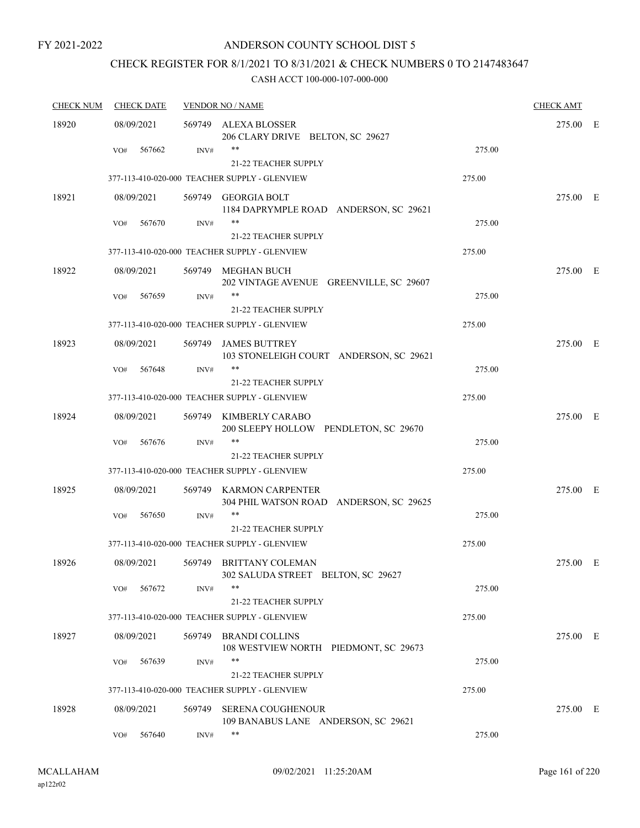## ANDERSON COUNTY SCHOOL DIST 5

## CHECK REGISTER FOR 8/1/2021 TO 8/31/2021 & CHECK NUMBERS 0 TO 2147483647

| <b>CHECK NUM</b> | <b>CHECK DATE</b> |                | <b>VENDOR NO / NAME</b>                                                      |        | <b>CHECK AMT</b> |  |
|------------------|-------------------|----------------|------------------------------------------------------------------------------|--------|------------------|--|
| 18920            | 08/09/2021        |                | 569749 ALEXA BLOSSER<br>206 CLARY DRIVE BELTON, SC 29627                     |        | 275.00 E         |  |
|                  | 567662<br>VO#     | INV#           | **<br>21-22 TEACHER SUPPLY                                                   | 275.00 |                  |  |
|                  |                   |                | 377-113-410-020-000 TEACHER SUPPLY - GLENVIEW                                | 275.00 |                  |  |
| 18921            | 08/09/2021        |                | 569749 GEORGIA BOLT<br>1184 DAPRYMPLE ROAD ANDERSON, SC 29621                |        | 275.00 E         |  |
|                  | 567670<br>VO#     | $\text{INV}\#$ | $\ast\ast$<br>21-22 TEACHER SUPPLY                                           | 275.00 |                  |  |
|                  |                   |                | 377-113-410-020-000 TEACHER SUPPLY - GLENVIEW                                | 275.00 |                  |  |
| 18922            | 08/09/2021        |                | 569749 MEGHAN BUCH<br>202 VINTAGE AVENUE GREENVILLE, SC 29607                |        | 275.00 E         |  |
|                  | 567659<br>VO#     | INV#           | $***$<br><b>21-22 TEACHER SUPPLY</b>                                         | 275.00 |                  |  |
|                  |                   |                | 377-113-410-020-000 TEACHER SUPPLY - GLENVIEW                                | 275.00 |                  |  |
| 18923            | 08/09/2021        | 569749         | <b>JAMES BUTTREY</b><br>103 STONELEIGH COURT ANDERSON, SC 29621              |        | 275.00 E         |  |
|                  | 567648<br>VO#     | INV#           | $***$                                                                        | 275.00 |                  |  |
|                  |                   |                | <b>21-22 TEACHER SUPPLY</b><br>377-113-410-020-000 TEACHER SUPPLY - GLENVIEW |        |                  |  |
|                  |                   |                |                                                                              | 275.00 |                  |  |
| 18924            | 08/09/2021        | 569749         | KIMBERLY CARABO<br>200 SLEEPY HOLLOW PENDLETON, SC 29670<br>$***$            |        | 275.00 E         |  |
|                  | VO#<br>567676     | INV#           | <b>21-22 TEACHER SUPPLY</b>                                                  | 275.00 |                  |  |
|                  |                   |                | 377-113-410-020-000 TEACHER SUPPLY - GLENVIEW                                | 275.00 |                  |  |
| 18925            | 08/09/2021        | 569749         | KARMON CARPENTER<br>304 PHIL WATSON ROAD ANDERSON, SC 29625                  |        | 275.00 E         |  |
|                  | 567650<br>VO#     | INV#           | **<br>21-22 TEACHER SUPPLY                                                   | 275.00 |                  |  |
|                  |                   |                | 377-113-410-020-000 TEACHER SUPPLY - GLENVIEW                                | 275.00 |                  |  |
| 18926            | 08/09/2021        | 569749         | BRITTANY COLEMAN<br>302 SALUDA STREET BELTON, SC 29627                       |        | 275.00 E         |  |
|                  | 567672<br>VO#     | INV#           | **<br>21-22 TEACHER SUPPLY                                                   | 275.00 |                  |  |
|                  |                   |                | 377-113-410-020-000 TEACHER SUPPLY - GLENVIEW                                | 275.00 |                  |  |
| 18927            | 08/09/2021        | 569749         | <b>BRANDI COLLINS</b><br>108 WESTVIEW NORTH PIEDMONT, SC 29673               |        | 275.00 E         |  |
|                  | 567639<br>VO#     | INV#           | $***$<br>21-22 TEACHER SUPPLY                                                | 275.00 |                  |  |
|                  |                   |                | 377-113-410-020-000 TEACHER SUPPLY - GLENVIEW                                | 275.00 |                  |  |
| 18928            | 08/09/2021        | 569749         | <b>SERENA COUGHENOUR</b><br>109 BANABUS LANE ANDERSON, SC 29621              |        | 275.00 E         |  |
|                  | 567640<br>VO#     | INV#           | **                                                                           | 275.00 |                  |  |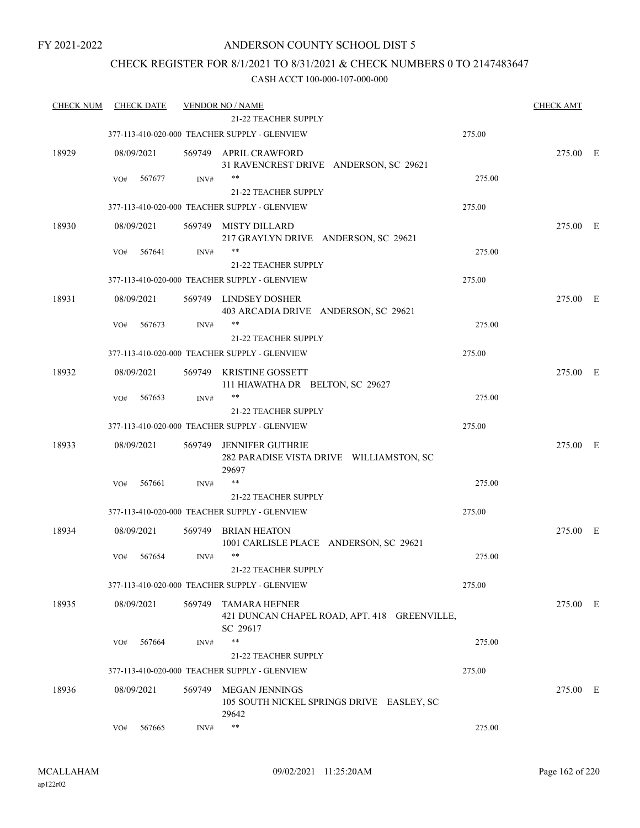## ANDERSON COUNTY SCHOOL DIST 5

## CHECK REGISTER FOR 8/1/2021 TO 8/31/2021 & CHECK NUMBERS 0 TO 2147483647

| <b>CHECK NUM</b> |     | <b>CHECK DATE</b> |        | <b>VENDOR NO / NAME</b>                                                          |        | <b>CHECK AMT</b> |  |
|------------------|-----|-------------------|--------|----------------------------------------------------------------------------------|--------|------------------|--|
|                  |     |                   |        | 21-22 TEACHER SUPPLY                                                             |        |                  |  |
|                  |     |                   |        | 377-113-410-020-000 TEACHER SUPPLY - GLENVIEW                                    | 275.00 |                  |  |
| 18929            |     | 08/09/2021        |        | 569749 APRIL CRAWFORD<br>31 RAVENCREST DRIVE ANDERSON, SC 29621                  |        | 275.00 E         |  |
|                  | VO# | 567677            | INV#   | $***$<br>21-22 TEACHER SUPPLY                                                    | 275.00 |                  |  |
|                  |     |                   |        | 377-113-410-020-000 TEACHER SUPPLY - GLENVIEW                                    | 275.00 |                  |  |
| 18930            |     | 08/09/2021        |        | 569749 MISTY DILLARD                                                             |        | 275.00 E         |  |
|                  | VO# | 567641            | INV#   | 217 GRAYLYN DRIVE ANDERSON, SC 29621<br>**                                       | 275.00 |                  |  |
|                  |     |                   |        | 21-22 TEACHER SUPPLY                                                             |        |                  |  |
|                  |     |                   |        | 377-113-410-020-000 TEACHER SUPPLY - GLENVIEW                                    | 275.00 |                  |  |
|                  |     |                   |        |                                                                                  |        |                  |  |
| 18931            |     | 08/09/2021        |        | 569749 LINDSEY DOSHER<br>403 ARCADIA DRIVE ANDERSON, SC 29621                    |        | 275.00 E         |  |
|                  | VO# | 567673            | INV#   | **                                                                               | 275.00 |                  |  |
|                  |     |                   |        | <b>21-22 TEACHER SUPPLY</b>                                                      |        |                  |  |
|                  |     |                   |        | 377-113-410-020-000 TEACHER SUPPLY - GLENVIEW                                    | 275.00 |                  |  |
| 18932            |     | 08/09/2021        | 569749 | <b>KRISTINE GOSSETT</b><br>111 HIAWATHA DR BELTON, SC 29627                      |        | 275.00 E         |  |
|                  | VO# | 567653            | INV#   | **                                                                               | 275.00 |                  |  |
|                  |     |                   |        | 21-22 TEACHER SUPPLY                                                             |        |                  |  |
|                  |     |                   |        | 377-113-410-020-000 TEACHER SUPPLY - GLENVIEW                                    | 275.00 |                  |  |
| 18933            |     | 08/09/2021        | 569749 | JENNIFER GUTHRIE<br>282 PARADISE VISTA DRIVE WILLIAMSTON, SC<br>29697            |        | 275.00 E         |  |
|                  | VO# | 567661            | INV#   | **                                                                               | 275.00 |                  |  |
|                  |     |                   |        | 21-22 TEACHER SUPPLY                                                             |        |                  |  |
|                  |     |                   |        | 377-113-410-020-000 TEACHER SUPPLY - GLENVIEW                                    | 275.00 |                  |  |
| 18934            |     | 08/09/2021        | 569749 | BRIAN HEATON<br>1001 CARLISLE PLACE ANDERSON, SC 29621                           |        | 275.00 E         |  |
|                  | VO# | 567654            | INV#   | $***$                                                                            | 275.00 |                  |  |
|                  |     |                   |        | 21-22 TEACHER SUPPLY                                                             |        |                  |  |
|                  |     |                   |        | 377-113-410-020-000 TEACHER SUPPLY - GLENVIEW                                    | 275.00 |                  |  |
| 18935            |     | 08/09/2021        | 569749 | <b>TAMARA HEFNER</b><br>421 DUNCAN CHAPEL ROAD, APT. 418 GREENVILLE,<br>SC 29617 |        | 275.00 E         |  |
|                  | VO# | 567664            | INV#   | $***$                                                                            | 275.00 |                  |  |
|                  |     |                   |        | <b>21-22 TEACHER SUPPLY</b>                                                      |        |                  |  |
|                  |     |                   |        | 377-113-410-020-000 TEACHER SUPPLY - GLENVIEW                                    | 275.00 |                  |  |
| 18936            |     | 08/09/2021        | 569749 | <b>MEGAN JENNINGS</b><br>105 SOUTH NICKEL SPRINGS DRIVE EASLEY, SC<br>29642      |        | 275.00 E         |  |
|                  | VO# | 567665            | INV#   | $***$                                                                            | 275.00 |                  |  |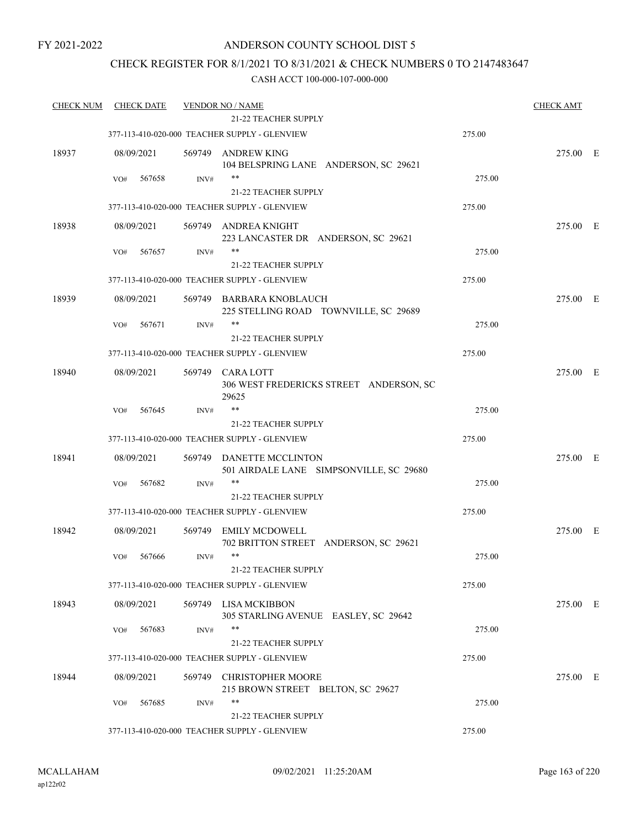## CHECK REGISTER FOR 8/1/2021 TO 8/31/2021 & CHECK NUMBERS 0 TO 2147483647

| <b>CHECK NUM</b> | <b>CHECK DATE</b> |        | <b>VENDOR NO / NAME</b>                                             |        | <b>CHECK AMT</b> |  |
|------------------|-------------------|--------|---------------------------------------------------------------------|--------|------------------|--|
|                  |                   |        | 21-22 TEACHER SUPPLY                                                |        |                  |  |
|                  |                   |        | 377-113-410-020-000 TEACHER SUPPLY - GLENVIEW                       | 275.00 |                  |  |
| 18937            | 08/09/2021        |        | 569749 ANDREW KING<br>104 BELSPRING LANE ANDERSON, SC 29621         |        | 275.00 E         |  |
|                  | 567658<br>VO#     | INV#   | $***$                                                               | 275.00 |                  |  |
|                  |                   |        | 21-22 TEACHER SUPPLY                                                |        |                  |  |
|                  |                   |        | 377-113-410-020-000 TEACHER SUPPLY - GLENVIEW                       | 275.00 |                  |  |
| 18938            | 08/09/2021        |        | 569749 ANDREA KNIGHT<br>223 LANCASTER DR ANDERSON, SC 29621         |        | 275.00 E         |  |
|                  | 567657<br>VO#     | INV#   | **                                                                  | 275.00 |                  |  |
|                  |                   |        | 21-22 TEACHER SUPPLY                                                |        |                  |  |
|                  |                   |        | 377-113-410-020-000 TEACHER SUPPLY - GLENVIEW                       | 275.00 |                  |  |
| 18939            | 08/09/2021        |        | 569749 BARBARA KNOBLAUCH<br>225 STELLING ROAD TOWNVILLE, SC 29689   |        | 275.00 E         |  |
|                  | 567671<br>VO#     | INV#   | $***$                                                               | 275.00 |                  |  |
|                  |                   |        | 21-22 TEACHER SUPPLY                                                |        |                  |  |
|                  |                   |        | 377-113-410-020-000 TEACHER SUPPLY - GLENVIEW                       | 275.00 |                  |  |
| 18940            | 08/09/2021        | 569749 | <b>CARALOTT</b><br>306 WEST FREDERICKS STREET ANDERSON, SC<br>29625 |        | 275.00 E         |  |
|                  | 567645<br>VO#     | INV#   | $***$                                                               | 275.00 |                  |  |
|                  |                   |        | 21-22 TEACHER SUPPLY                                                |        |                  |  |
|                  |                   |        | 377-113-410-020-000 TEACHER SUPPLY - GLENVIEW                       | 275.00 |                  |  |
| 18941            | 08/09/2021        |        | 569749 DANETTE MCCLINTON<br>501 AIRDALE LANE SIMPSONVILLE, SC 29680 |        | 275.00 E         |  |
|                  | 567682<br>VO#     | INV#   | **                                                                  | 275.00 |                  |  |
|                  |                   |        | 21-22 TEACHER SUPPLY                                                |        |                  |  |
|                  |                   |        | 377-113-410-020-000 TEACHER SUPPLY - GLENVIEW                       | 275.00 |                  |  |
| 18942            | 08/09/2021        |        | 569749 EMILY MCDOWELL<br>702 BRITTON STREET ANDERSON, SC 29621      |        | 275.00 E         |  |
|                  | 567666<br>VO#     | INV#   | $***$                                                               | 275.00 |                  |  |
|                  |                   |        | 21-22 TEACHER SUPPLY                                                |        |                  |  |
|                  |                   |        | 377-113-410-020-000 TEACHER SUPPLY - GLENVIEW                       | 275.00 |                  |  |
| 18943            | 08/09/2021        |        | 569749 LISA MCKIBBON<br>305 STARLING AVENUE EASLEY, SC 29642        |        | 275.00 E         |  |
|                  | 567683<br>VO#     | INV#   | **                                                                  | 275.00 |                  |  |
|                  |                   |        | <b>21-22 TEACHER SUPPLY</b>                                         |        |                  |  |
|                  |                   |        | 377-113-410-020-000 TEACHER SUPPLY - GLENVIEW                       | 275.00 |                  |  |
| 18944            | 08/09/2021        | 569749 | <b>CHRISTOPHER MOORE</b><br>215 BROWN STREET BELTON, SC 29627       |        | 275.00 E         |  |
|                  | 567685<br>VO#     | INV#   | $***$                                                               | 275.00 |                  |  |
|                  |                   |        | 21-22 TEACHER SUPPLY                                                |        |                  |  |
|                  |                   |        | 377-113-410-020-000 TEACHER SUPPLY - GLENVIEW                       | 275.00 |                  |  |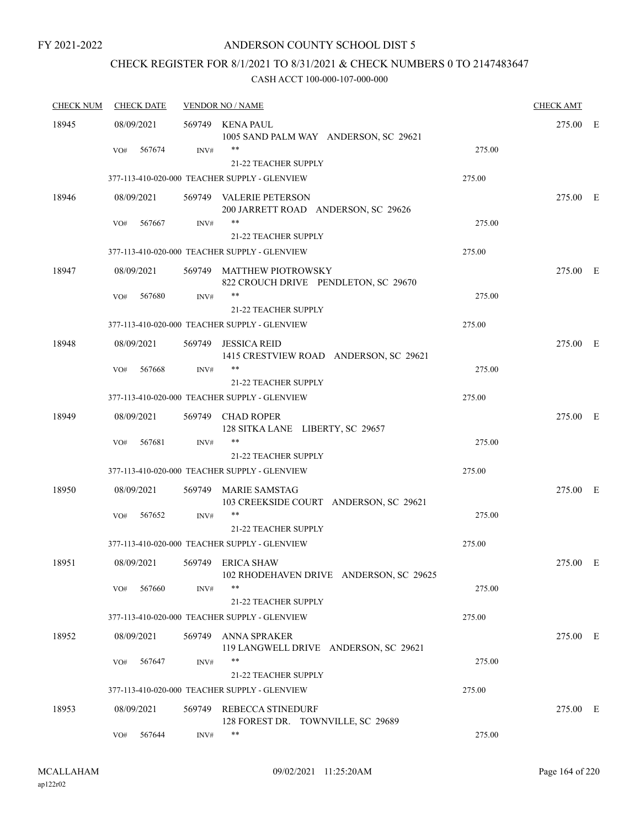## ANDERSON COUNTY SCHOOL DIST 5

## CHECK REGISTER FOR 8/1/2021 TO 8/31/2021 & CHECK NUMBERS 0 TO 2147483647

| <b>CHECK NUM</b> | <b>CHECK DATE</b> |        | <b>VENDOR NO / NAME</b>                                               |        | <b>CHECK AMT</b> |   |
|------------------|-------------------|--------|-----------------------------------------------------------------------|--------|------------------|---|
| 18945            | 08/09/2021        |        | 569749 KENA PAUL<br>1005 SAND PALM WAY ANDERSON, SC 29621             |        | 275.00 E         |   |
|                  | 567674<br>VO#     | INV#   | **<br>21-22 TEACHER SUPPLY                                            | 275.00 |                  |   |
|                  |                   |        | 377-113-410-020-000 TEACHER SUPPLY - GLENVIEW                         | 275.00 |                  |   |
| 18946            | 08/09/2021        |        | 569749 VALERIE PETERSON<br>200 JARRETT ROAD ANDERSON, SC 29626        |        | 275.00 E         |   |
|                  | 567667<br>VO#     | INV#   | 21-22 TEACHER SUPPLY                                                  | 275.00 |                  |   |
|                  |                   |        | 377-113-410-020-000 TEACHER SUPPLY - GLENVIEW                         | 275.00 |                  |   |
| 18947            | 08/09/2021        |        | 569749 MATTHEW PIOTROWSKY<br>822 CROUCH DRIVE PENDLETON, SC 29670     |        | 275.00 E         |   |
|                  | VO#<br>567680     | INV#   | **<br>21-22 TEACHER SUPPLY                                            | 275.00 |                  |   |
|                  |                   |        | 377-113-410-020-000 TEACHER SUPPLY - GLENVIEW                         | 275.00 |                  |   |
| 18948            | 08/09/2021        | 569749 | <b>JESSICA REID</b><br>1415 CRESTVIEW ROAD ANDERSON, SC 29621         |        | 275.00 E         |   |
|                  | 567668<br>VO#     | INV#   | **                                                                    | 275.00 |                  |   |
|                  |                   |        | 21-22 TEACHER SUPPLY<br>377-113-410-020-000 TEACHER SUPPLY - GLENVIEW | 275.00 |                  |   |
| 18949            | 08/09/2021        |        | 569749 CHAD ROPER<br>128 SITKA LANE LIBERTY, SC 29657                 |        | 275.00 E         |   |
|                  | 567681<br>VO#     | INV#   | **<br><b>21-22 TEACHER SUPPLY</b>                                     | 275.00 |                  |   |
|                  |                   |        | 377-113-410-020-000 TEACHER SUPPLY - GLENVIEW                         | 275.00 |                  |   |
| 18950            | 08/09/2021        |        | 569749 MARIE SAMSTAG<br>103 CREEKSIDE COURT ANDERSON, SC 29621        |        | 275.00 E         |   |
|                  | 567652<br>VO#     | INV#   | **<br><b>21-22 TEACHER SUPPLY</b>                                     | 275.00 |                  |   |
|                  |                   |        | 377-113-410-020-000 TEACHER SUPPLY - GLENVIEW                         | 275.00 |                  |   |
| 18951            | 08/09/2021        |        | 569749 ERICA SHAW<br>102 RHODEHAVEN DRIVE ANDERSON, SC 29625          |        | 275.00           | E |
|                  | 567660<br>VO#     | INV#   | **<br>21-22 TEACHER SUPPLY                                            | 275.00 |                  |   |
|                  |                   |        | 377-113-410-020-000 TEACHER SUPPLY - GLENVIEW                         | 275.00 |                  |   |
| 18952            | 08/09/2021        |        | 569749 ANNA SPRAKER<br>119 LANGWELL DRIVE ANDERSON, SC 29621          |        | 275.00 E         |   |
|                  | 567647<br>VO#     | INV#   | **<br>21-22 TEACHER SUPPLY                                            | 275.00 |                  |   |
|                  |                   |        | 377-113-410-020-000 TEACHER SUPPLY - GLENVIEW                         | 275.00 |                  |   |
| 18953            | 08/09/2021        |        | 569749 REBECCA STINEDURF<br>128 FOREST DR. TOWNVILLE, SC 29689        |        | 275.00 E         |   |
|                  | 567644<br>VO#     | INV#   | **                                                                    | 275.00 |                  |   |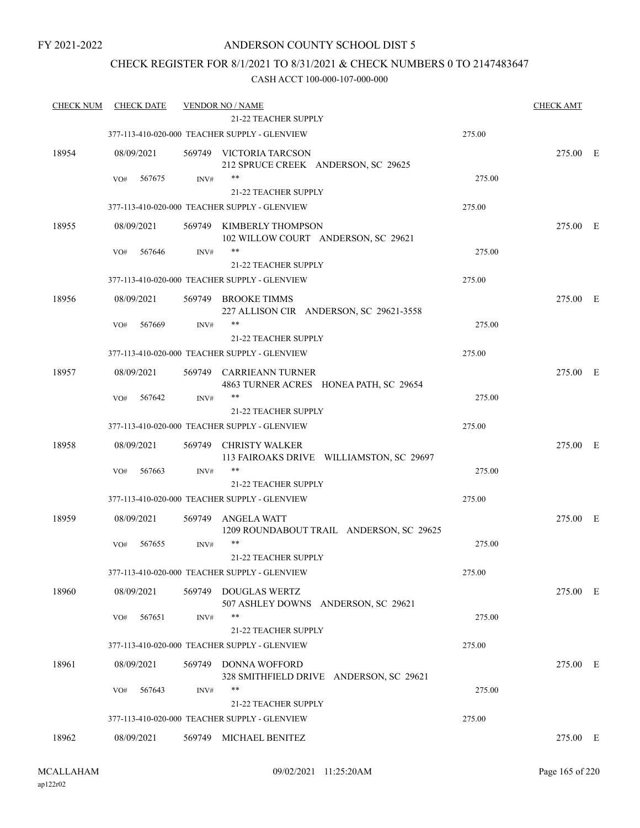## ANDERSON COUNTY SCHOOL DIST 5

## CHECK REGISTER FOR 8/1/2021 TO 8/31/2021 & CHECK NUMBERS 0 TO 2147483647

| <b>CHECK NUM</b> | <b>CHECK DATE</b> |        | <b>VENDOR NO / NAME</b>                                           |        | <b>CHECK AMT</b> |  |
|------------------|-------------------|--------|-------------------------------------------------------------------|--------|------------------|--|
|                  |                   |        | <b>21-22 TEACHER SUPPLY</b>                                       |        |                  |  |
|                  |                   |        | 377-113-410-020-000 TEACHER SUPPLY - GLENVIEW                     | 275.00 |                  |  |
| 18954            | 08/09/2021        |        | 569749 VICTORIA TARCSON<br>212 SPRUCE CREEK ANDERSON, SC 29625    |        | 275.00 E         |  |
|                  | VO#<br>567675     | INV#   | $***$                                                             | 275.00 |                  |  |
|                  |                   |        | <b>21-22 TEACHER SUPPLY</b>                                       |        |                  |  |
|                  |                   |        | 377-113-410-020-000 TEACHER SUPPLY - GLENVIEW                     | 275.00 |                  |  |
| 18955            | 08/09/2021        |        | 569749 KIMBERLY THOMPSON<br>102 WILLOW COURT ANDERSON, SC 29621   |        | 275.00 E         |  |
|                  | 567646<br>VO#     | INV#   | **                                                                | 275.00 |                  |  |
|                  |                   |        | <b>21-22 TEACHER SUPPLY</b>                                       |        |                  |  |
|                  |                   |        | 377-113-410-020-000 TEACHER SUPPLY - GLENVIEW                     | 275.00 |                  |  |
| 18956            | 08/09/2021        |        | 569749 BROOKE TIMMS<br>227 ALLISON CIR ANDERSON, SC 29621-3558    |        | 275.00 E         |  |
|                  | 567669<br>VO#     | INV#   | $***$<br><b>21-22 TEACHER SUPPLY</b>                              | 275.00 |                  |  |
|                  |                   |        | 377-113-410-020-000 TEACHER SUPPLY - GLENVIEW                     | 275.00 |                  |  |
| 18957            | 08/09/2021        |        | 569749 CARRIEANN TURNER<br>4863 TURNER ACRES HONEA PATH, SC 29654 |        | 275.00 E         |  |
|                  | 567642<br>VO#     | INV#   | $***$                                                             | 275.00 |                  |  |
|                  |                   |        | <b>21-22 TEACHER SUPPLY</b>                                       |        |                  |  |
|                  |                   |        | 377-113-410-020-000 TEACHER SUPPLY - GLENVIEW                     | 275.00 |                  |  |
| 18958            | 08/09/2021        | 569749 | <b>CHRISTY WALKER</b><br>113 FAIROAKS DRIVE WILLIAMSTON, SC 29697 |        | 275.00 E         |  |
|                  | 567663<br>VO#     | INV#   | $***$                                                             | 275.00 |                  |  |
|                  |                   |        | <b>21-22 TEACHER SUPPLY</b>                                       |        |                  |  |
|                  |                   |        | 377-113-410-020-000 TEACHER SUPPLY - GLENVIEW                     | 275.00 |                  |  |
| 18959            | 08/09/2021        | 569749 | <b>ANGELA WATT</b><br>1209 ROUNDABOUT TRAIL ANDERSON, SC 29625    |        | 275.00 E         |  |
|                  | 567655<br>VO#     | INV#   | $***$<br><b>21-22 TEACHER SUPPLY</b>                              | 275.00 |                  |  |
|                  |                   |        | 377-113-410-020-000 TEACHER SUPPLY - GLENVIEW                     | 275.00 |                  |  |
| 18960            | 08/09/2021        | 569749 | <b>DOUGLAS WERTZ</b><br>507 ASHLEY DOWNS ANDERSON, SC 29621       |        | 275.00 E         |  |
|                  | 567651<br>VO#     | INV#   | $***$                                                             | 275.00 |                  |  |
|                  |                   |        | <b>21-22 TEACHER SUPPLY</b>                                       |        |                  |  |
|                  |                   |        | 377-113-410-020-000 TEACHER SUPPLY - GLENVIEW                     | 275.00 |                  |  |
| 18961            | 08/09/2021        | 569749 | <b>DONNA WOFFORD</b><br>328 SMITHFIELD DRIVE ANDERSON, SC 29621   |        | 275.00 E         |  |
|                  | VO#<br>567643     | INV#   | $***$                                                             | 275.00 |                  |  |
|                  |                   |        | 21-22 TEACHER SUPPLY                                              |        |                  |  |
|                  |                   |        | 377-113-410-020-000 TEACHER SUPPLY - GLENVIEW                     | 275.00 |                  |  |
| 18962            | 08/09/2021        |        | 569749 MICHAEL BENITEZ                                            |        | 275.00 E         |  |
|                  |                   |        |                                                                   |        |                  |  |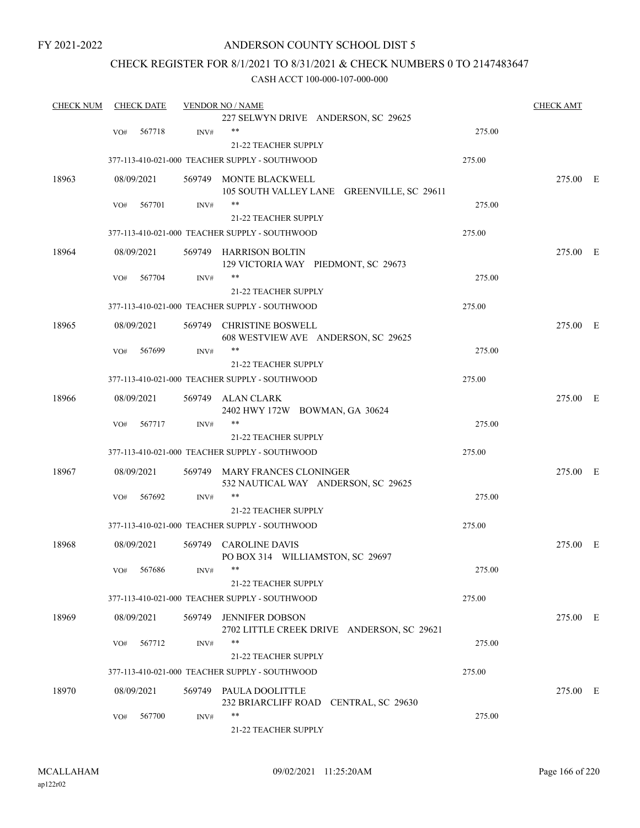## ANDERSON COUNTY SCHOOL DIST 5

## CHECK REGISTER FOR 8/1/2021 TO 8/31/2021 & CHECK NUMBERS 0 TO 2147483647

| <b>CHECK NUM</b> |     | <b>CHECK DATE</b> |        | <b>VENDOR NO / NAME</b>                                              |        | <b>CHECK AMT</b> |  |
|------------------|-----|-------------------|--------|----------------------------------------------------------------------|--------|------------------|--|
|                  |     |                   |        | 227 SELWYN DRIVE ANDERSON, SC 29625                                  |        |                  |  |
|                  | VO# | 567718            | INV#   | $***$                                                                | 275.00 |                  |  |
|                  |     |                   |        | 21-22 TEACHER SUPPLY                                                 |        |                  |  |
|                  |     |                   |        | 377-113-410-021-000 TEACHER SUPPLY - SOUTHWOOD                       | 275.00 |                  |  |
| 18963            |     | 08/09/2021        |        | 569749 MONTE BLACKWELL                                               |        | 275.00 E         |  |
|                  |     |                   |        | 105 SOUTH VALLEY LANE GREENVILLE, SC 29611                           |        |                  |  |
|                  | VO# | 567701            | INV#   | $***$                                                                | 275.00 |                  |  |
|                  |     |                   |        | <b>21-22 TEACHER SUPPLY</b>                                          |        |                  |  |
|                  |     |                   |        | 377-113-410-021-000 TEACHER SUPPLY - SOUTHWOOD                       | 275.00 |                  |  |
| 18964            |     | 08/09/2021        |        | 569749 HARRISON BOLTIN<br>129 VICTORIA WAY PIEDMONT, SC 29673        |        | 275.00 E         |  |
|                  | VO# | 567704            | INV#   | **                                                                   | 275.00 |                  |  |
|                  |     |                   |        | 21-22 TEACHER SUPPLY                                                 |        |                  |  |
|                  |     |                   |        | 377-113-410-021-000 TEACHER SUPPLY - SOUTHWOOD                       | 275.00 |                  |  |
| 18965            |     | 08/09/2021        |        | 569749 CHRISTINE BOSWELL                                             |        | 275.00 E         |  |
|                  |     |                   |        | 608 WESTVIEW AVE ANDERSON, SC 29625                                  |        |                  |  |
|                  | VO# | 567699            | INV#   | **                                                                   | 275.00 |                  |  |
|                  |     |                   |        | 21-22 TEACHER SUPPLY                                                 |        |                  |  |
|                  |     |                   |        | 377-113-410-021-000 TEACHER SUPPLY - SOUTHWOOD                       | 275.00 |                  |  |
| 18966            |     | 08/09/2021        |        | 569749 ALAN CLARK<br>2402 HWY 172W BOWMAN, GA 30624                  |        | 275.00 E         |  |
|                  | VO# | 567717            | INV#   | $***$                                                                | 275.00 |                  |  |
|                  |     |                   |        | 21-22 TEACHER SUPPLY                                                 |        |                  |  |
|                  |     |                   |        | 377-113-410-021-000 TEACHER SUPPLY - SOUTHWOOD                       | 275.00 |                  |  |
| 18967            |     | 08/09/2021        |        | 569749 MARY FRANCES CLONINGER<br>532 NAUTICAL WAY ANDERSON, SC 29625 |        | 275.00 E         |  |
|                  | VO# | 567692            | INV#   | **                                                                   | 275.00 |                  |  |
|                  |     |                   |        | 21-22 TEACHER SUPPLY                                                 |        |                  |  |
|                  |     |                   |        | 377-113-410-021-000 TEACHER SUPPLY - SOUTHWOOD                       | 275.00 |                  |  |
| 18968            |     | 08/09/2021        |        | 569749 CAROLINE DAVIS                                                |        | 275.00 E         |  |
|                  |     |                   |        | PO BOX 314 WILLIAMSTON, SC 29697                                     |        |                  |  |
|                  | VO# | 567686            | INV#   |                                                                      | 275.00 |                  |  |
|                  |     |                   |        | <b>21-22 TEACHER SUPPLY</b>                                          |        |                  |  |
|                  |     |                   |        | 377-113-410-021-000 TEACHER SUPPLY - SOUTHWOOD                       | 275.00 |                  |  |
| 18969            |     | 08/09/2021        | 569749 | <b>JENNIFER DOBSON</b><br>2702 LITTLE CREEK DRIVE ANDERSON, SC 29621 |        | 275.00 E         |  |
|                  | VO# | 567712            | INV#   | $***$                                                                | 275.00 |                  |  |
|                  |     |                   |        | 21-22 TEACHER SUPPLY                                                 |        |                  |  |
|                  |     |                   |        | 377-113-410-021-000 TEACHER SUPPLY - SOUTHWOOD                       | 275.00 |                  |  |
|                  |     |                   |        |                                                                      |        |                  |  |
| 18970            |     | 08/09/2021        |        | 569749 PAULA DOOLITTLE<br>232 BRIARCLIFF ROAD CENTRAL, SC 29630      |        | 275.00 E         |  |
|                  | VO# | 567700            | INV#   | **                                                                   | 275.00 |                  |  |
|                  |     |                   |        | 21-22 TEACHER SUPPLY                                                 |        |                  |  |
|                  |     |                   |        |                                                                      |        |                  |  |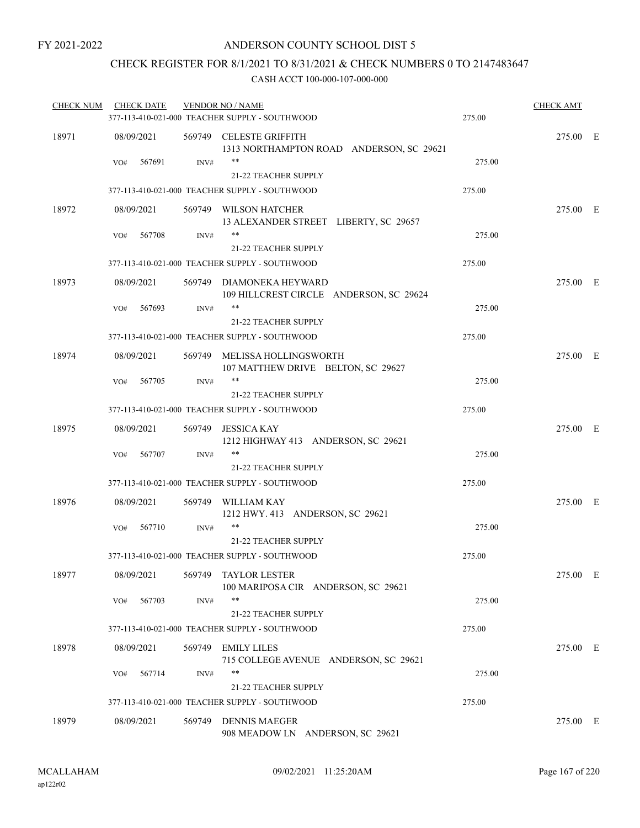## CHECK REGISTER FOR 8/1/2021 TO 8/31/2021 & CHECK NUMBERS 0 TO 2147483647

| <b>CHECK NUM</b> | <b>CHECK DATE</b> |                | <b>VENDOR NO / NAME</b><br>377-113-410-021-000 TEACHER SUPPLY - SOUTHWOOD | 275.00 | <b>CHECK AMT</b> |  |
|------------------|-------------------|----------------|---------------------------------------------------------------------------|--------|------------------|--|
| 18971            | 08/09/2021        |                | 569749 CELESTE GRIFFITH<br>1313 NORTHAMPTON ROAD ANDERSON, SC 29621       |        | 275.00 E         |  |
|                  | 567691<br>VO#     | INV#           | $***$<br>21-22 TEACHER SUPPLY                                             | 275.00 |                  |  |
|                  |                   |                | 377-113-410-021-000 TEACHER SUPPLY - SOUTHWOOD                            | 275.00 |                  |  |
| 18972            | 08/09/2021        |                | 569749 WILSON HATCHER<br>13 ALEXANDER STREET LIBERTY, SC 29657            |        | 275.00 E         |  |
|                  | 567708<br>VO#     | $\text{INV}\#$ | **                                                                        | 275.00 |                  |  |
|                  |                   |                | <b>21-22 TEACHER SUPPLY</b>                                               |        |                  |  |
|                  |                   |                | 377-113-410-021-000 TEACHER SUPPLY - SOUTHWOOD                            | 275.00 |                  |  |
| 18973            | 08/09/2021        |                | 569749 DIAMONEKA HEYWARD<br>109 HILLCREST CIRCLE ANDERSON, SC 29624       |        | 275.00 E         |  |
|                  | 567693<br>VO#     | INV#           | $***$<br>21-22 TEACHER SUPPLY                                             | 275.00 |                  |  |
|                  |                   |                | 377-113-410-021-000 TEACHER SUPPLY - SOUTHWOOD                            | 275.00 |                  |  |
| 18974            | 08/09/2021        |                | 569749 MELISSA HOLLINGSWORTH<br>107 MATTHEW DRIVE BELTON, SC 29627        |        | 275.00 E         |  |
|                  | 567705<br>VO#     | $\text{INV}\#$ | **                                                                        | 275.00 |                  |  |
|                  |                   |                | 21-22 TEACHER SUPPLY                                                      |        |                  |  |
|                  |                   |                | 377-113-410-021-000 TEACHER SUPPLY - SOUTHWOOD                            | 275.00 |                  |  |
| 18975            | 08/09/2021        | 569749         | <b>JESSICA KAY</b><br>1212 HIGHWAY 413 ANDERSON, SC 29621                 |        | 275.00 E         |  |
|                  | 567707<br>VO#     | INV#           | **<br>21-22 TEACHER SUPPLY                                                | 275.00 |                  |  |
|                  |                   |                | 377-113-410-021-000 TEACHER SUPPLY - SOUTHWOOD                            | 275.00 |                  |  |
| 18976            | 08/09/2021        |                | 569749 WILLIAM KAY<br>1212 HWY. 413 ANDERSON, SC 29621                    |        | 275.00 E         |  |
|                  | 567710<br>VO#     | INV#           | **                                                                        | 275.00 |                  |  |
|                  |                   |                | <b>21-22 TEACHER SUPPLY</b>                                               |        |                  |  |
|                  |                   |                | 377-113-410-021-000 TEACHER SUPPLY - SOUTHWOOD                            | 275.00 |                  |  |
| 18977            | 08/09/2021        | 569749         | <b>TAYLOR LESTER</b><br>100 MARIPOSA CIR ANDERSON, SC 29621               |        | 275.00 E         |  |
|                  | 567703<br>VO#     | INV#           | **<br>21-22 TEACHER SUPPLY                                                | 275.00 |                  |  |
|                  |                   |                | 377-113-410-021-000 TEACHER SUPPLY - SOUTHWOOD                            | 275.00 |                  |  |
| 18978            | 08/09/2021        | 569749         | <b>EMILY LILES</b><br>715 COLLEGE AVENUE ANDERSON, SC 29621               |        | 275.00 E         |  |
|                  | 567714<br>VO#     | INV#           | **                                                                        | 275.00 |                  |  |
|                  |                   |                | 21-22 TEACHER SUPPLY                                                      |        |                  |  |
|                  |                   |                | 377-113-410-021-000 TEACHER SUPPLY - SOUTHWOOD                            | 275.00 |                  |  |
| 18979            | 08/09/2021        | 569749         | <b>DENNIS MAEGER</b><br>908 MEADOW LN ANDERSON, SC 29621                  |        | 275.00 E         |  |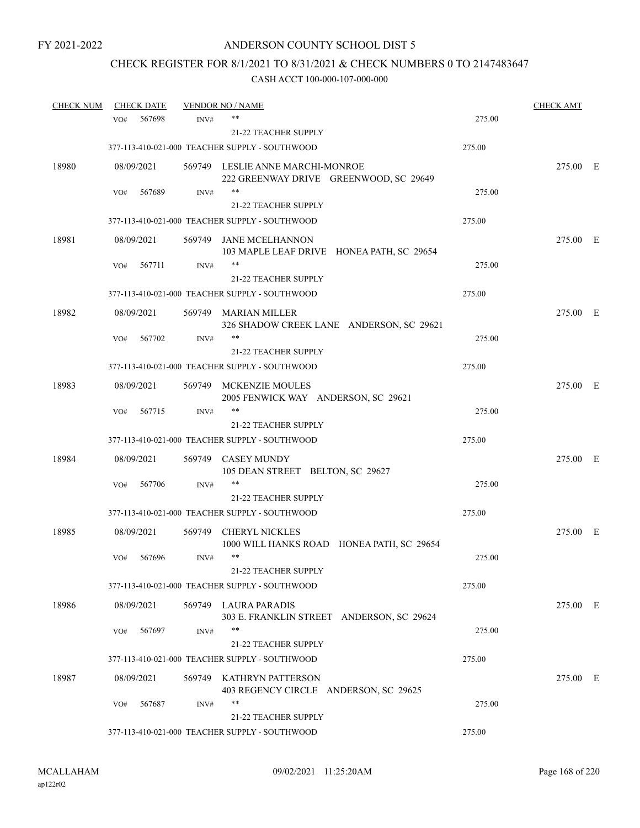## CHECK REGISTER FOR 8/1/2021 TO 8/31/2021 & CHECK NUMBERS 0 TO 2147483647

| <b>CHECK NUM</b> | <b>CHECK DATE</b> |                | <b>VENDOR NO / NAME</b>                                                    |        | <b>CHECK AMT</b> |  |
|------------------|-------------------|----------------|----------------------------------------------------------------------------|--------|------------------|--|
|                  | VO#               | 567698<br>INV# | **                                                                         | 275.00 |                  |  |
|                  |                   |                | <b>21-22 TEACHER SUPPLY</b>                                                |        |                  |  |
|                  |                   |                | 377-113-410-021-000 TEACHER SUPPLY - SOUTHWOOD                             | 275.00 |                  |  |
| 18980            | 08/09/2021        |                | 569749 LESLIE ANNE MARCHI-MONROE<br>222 GREENWAY DRIVE GREENWOOD, SC 29649 |        | 275.00 E         |  |
|                  | VO#               | 567689<br>INV# | $***$                                                                      | 275.00 |                  |  |
|                  |                   |                | 21-22 TEACHER SUPPLY                                                       |        |                  |  |
|                  |                   |                | 377-113-410-021-000 TEACHER SUPPLY - SOUTHWOOD                             | 275.00 |                  |  |
| 18981            | 08/09/2021        |                | 569749 JANE MCELHANNON<br>103 MAPLE LEAF DRIVE HONEA PATH, SC 29654        |        | 275.00 E         |  |
|                  | VO#               | 567711<br>INV# | **                                                                         | 275.00 |                  |  |
|                  |                   |                | 21-22 TEACHER SUPPLY                                                       |        |                  |  |
|                  |                   |                | 377-113-410-021-000 TEACHER SUPPLY - SOUTHWOOD                             | 275.00 |                  |  |
| 18982            | 08/09/2021        |                | 569749 MARIAN MILLER<br>326 SHADOW CREEK LANE ANDERSON, SC 29621           |        | 275.00 E         |  |
|                  | VO#               | 567702<br>INV# | **                                                                         | 275.00 |                  |  |
|                  |                   |                | 21-22 TEACHER SUPPLY                                                       |        |                  |  |
|                  |                   |                | 377-113-410-021-000 TEACHER SUPPLY - SOUTHWOOD                             | 275.00 |                  |  |
| 18983            | 08/09/2021        |                | 569749 MCKENZIE MOULES<br>2005 FENWICK WAY ANDERSON, SC 29621              |        | 275.00 E         |  |
|                  | VO#               | 567715<br>INV# | $***$                                                                      | 275.00 |                  |  |
|                  |                   |                | <b>21-22 TEACHER SUPPLY</b>                                                |        |                  |  |
|                  |                   |                | 377-113-410-021-000 TEACHER SUPPLY - SOUTHWOOD                             | 275.00 |                  |  |
| 18984            | 08/09/2021        |                | 569749 CASEY MUNDY<br>105 DEAN STREET BELTON, SC 29627                     |        | 275.00 E         |  |
|                  | VO#               | 567706<br>INV# | $***$                                                                      | 275.00 |                  |  |
|                  |                   |                | 21-22 TEACHER SUPPLY                                                       |        |                  |  |
|                  |                   |                | 377-113-410-021-000 TEACHER SUPPLY - SOUTHWOOD                             | 275.00 |                  |  |
| 18985            | 08/09/2021        | 569749         | <b>CHERYL NICKLES</b><br>1000 WILL HANKS ROAD HONEA PATH, SC 29654         |        | 275.00 E         |  |
|                  | VO#               | 567696<br>INV# | $***$<br><b>21-22 TEACHER SUPPLY</b>                                       | 275.00 |                  |  |
|                  |                   |                | 377-113-410-021-000 TEACHER SUPPLY - SOUTHWOOD                             | 275.00 |                  |  |
| 18986            | 08/09/2021        |                | 569749 LAURA PARADIS<br>303 E. FRANKLIN STREET ANDERSON, SC 29624          |        | 275.00 E         |  |
|                  | VO#               | INV#<br>567697 | $***$                                                                      | 275.00 |                  |  |
|                  |                   |                | 21-22 TEACHER SUPPLY                                                       |        |                  |  |
|                  |                   |                | 377-113-410-021-000 TEACHER SUPPLY - SOUTHWOOD                             | 275.00 |                  |  |
| 18987            | 08/09/2021        |                | 569749 KATHRYN PATTERSON<br>403 REGENCY CIRCLE ANDERSON, SC 29625          |        | 275.00 E         |  |
|                  | VO#               | 567687<br>INV# | **                                                                         | 275.00 |                  |  |
|                  |                   |                | 21-22 TEACHER SUPPLY                                                       |        |                  |  |
|                  |                   |                | 377-113-410-021-000 TEACHER SUPPLY - SOUTHWOOD                             | 275.00 |                  |  |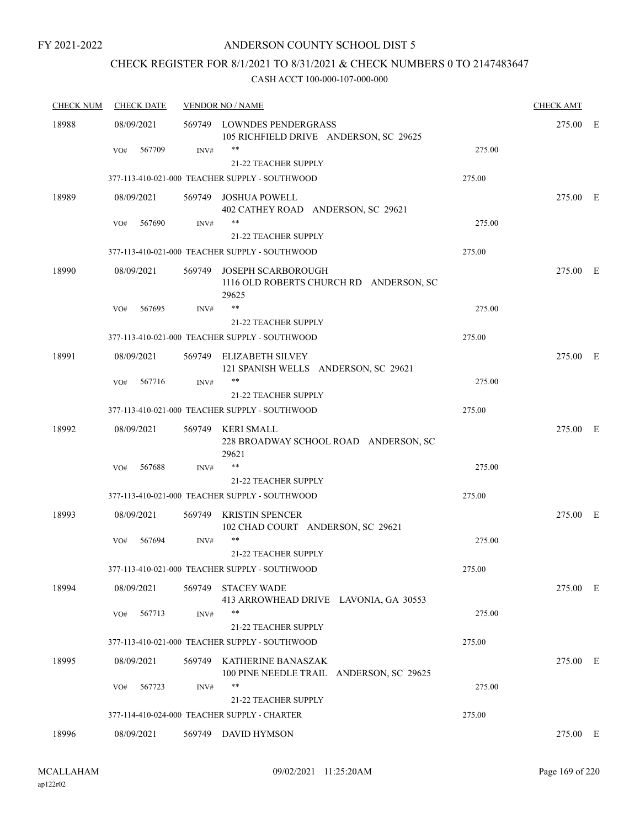## ANDERSON COUNTY SCHOOL DIST 5

## CHECK REGISTER FOR 8/1/2021 TO 8/31/2021 & CHECK NUMBERS 0 TO 2147483647

| <b>CHECK NUM</b> | <b>CHECK DATE</b> |        | <b>VENDOR NO / NAME</b>                                                       |        | <b>CHECK AMT</b> |  |
|------------------|-------------------|--------|-------------------------------------------------------------------------------|--------|------------------|--|
| 18988            | 08/09/2021        |        | 569749 LOWNDES PENDERGRASS<br>105 RICHFIELD DRIVE ANDERSON, SC 29625          |        | 275.00 E         |  |
|                  | 567709<br>VO#     | INV#   | **<br>21-22 TEACHER SUPPLY                                                    | 275.00 |                  |  |
|                  |                   |        | 377-113-410-021-000 TEACHER SUPPLY - SOUTHWOOD                                | 275.00 |                  |  |
| 18989            | 08/09/2021        | 569749 | <b>JOSHUA POWELL</b><br>402 CATHEY ROAD ANDERSON, SC 29621                    |        | 275.00 E         |  |
|                  | 567690<br>VO#     | INV#   | $***$<br><b>21-22 TEACHER SUPPLY</b>                                          | 275.00 |                  |  |
|                  |                   |        | 377-113-410-021-000 TEACHER SUPPLY - SOUTHWOOD                                | 275.00 |                  |  |
| 18990            | 08/09/2021        |        | 569749 JOSEPH SCARBOROUGH<br>1116 OLD ROBERTS CHURCH RD ANDERSON, SC<br>29625 |        | 275.00 E         |  |
|                  | 567695<br>VO#     | INV#   | **<br><b>21-22 TEACHER SUPPLY</b>                                             | 275.00 |                  |  |
|                  |                   |        | 377-113-410-021-000 TEACHER SUPPLY - SOUTHWOOD                                | 275.00 |                  |  |
| 18991            | 08/09/2021        |        | 569749 ELIZABETH SILVEY<br>121 SPANISH WELLS ANDERSON, SC 29621               |        | 275.00 E         |  |
|                  | 567716<br>VO#     | INV#   | $***$<br>21-22 TEACHER SUPPLY                                                 | 275.00 |                  |  |
|                  |                   |        | 377-113-410-021-000 TEACHER SUPPLY - SOUTHWOOD                                | 275.00 |                  |  |
| 18992            | 08/09/2021        |        | 569749 KERI SMALL<br>228 BROADWAY SCHOOL ROAD ANDERSON, SC<br>29621           |        | 275.00 E         |  |
|                  | 567688<br>VO#     | INV#   | **                                                                            | 275.00 |                  |  |
|                  |                   |        | <b>21-22 TEACHER SUPPLY</b>                                                   |        |                  |  |
|                  |                   |        | 377-113-410-021-000 TEACHER SUPPLY - SOUTHWOOD                                | 275.00 |                  |  |
| 18993            | 08/09/2021        | 569749 | KRISTIN SPENCER<br>102 CHAD COURT ANDERSON, SC 29621                          |        | 275.00 E         |  |
|                  | 567694<br>VO#     | INV#   | **<br><b>21-22 TEACHER SUPPLY</b>                                             | 275.00 |                  |  |
|                  |                   |        | 377-113-410-021-000 TEACHER SUPPLY - SOUTHWOOD                                | 275.00 |                  |  |
| 18994            | 08/09/2021        |        | 569749 STACEY WADE<br>413 ARROWHEAD DRIVE LAVONIA, GA 30553                   |        | 275.00 E         |  |
|                  | 567713<br>VO#     | INV#   | **<br>21-22 TEACHER SUPPLY                                                    | 275.00 |                  |  |
|                  |                   |        | 377-113-410-021-000 TEACHER SUPPLY - SOUTHWOOD                                | 275.00 |                  |  |
| 18995            | 08/09/2021        |        | 569749 KATHERINE BANASZAK<br>100 PINE NEEDLE TRAIL ANDERSON, SC 29625         |        | 275.00 E         |  |
|                  | 567723<br>VO#     | INV#   | **<br>21-22 TEACHER SUPPLY                                                    | 275.00 |                  |  |
|                  |                   |        | 377-114-410-024-000 TEACHER SUPPLY - CHARTER                                  | 275.00 |                  |  |
| 18996            | 08/09/2021        |        | 569749 DAVID HYMSON                                                           |        | 275.00 E         |  |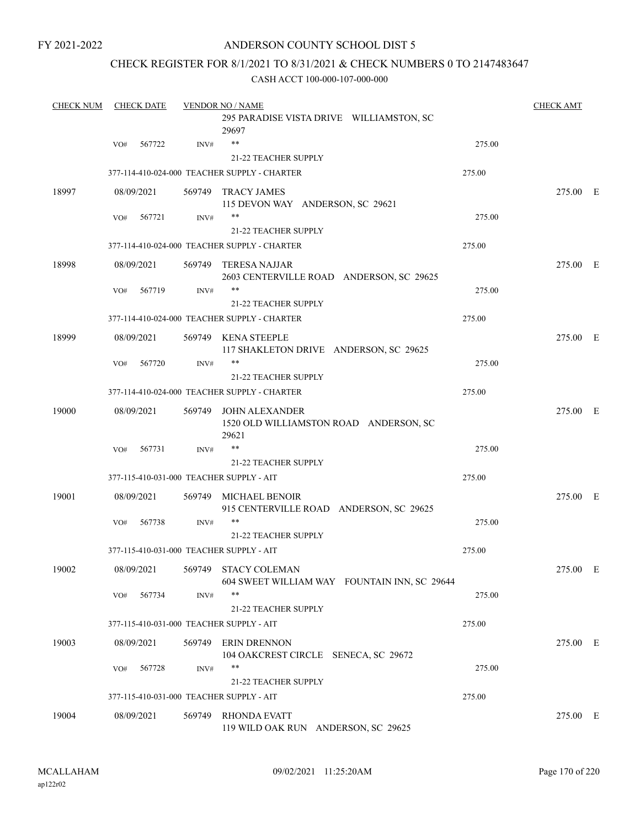## ANDERSON COUNTY SCHOOL DIST 5

## CHECK REGISTER FOR 8/1/2021 TO 8/31/2021 & CHECK NUMBERS 0 TO 2147483647

| <b>CHECK NUM</b> |     | <b>CHECK DATE</b> |        | <b>VENDOR NO / NAME</b>                                                  |        | <b>CHECK AMT</b> |  |
|------------------|-----|-------------------|--------|--------------------------------------------------------------------------|--------|------------------|--|
|                  |     |                   |        | 295 PARADISE VISTA DRIVE WILLIAMSTON, SC<br>29697                        |        |                  |  |
|                  | VO# | 567722            | INV#   | $***$                                                                    | 275.00 |                  |  |
|                  |     |                   |        | 21-22 TEACHER SUPPLY                                                     |        |                  |  |
|                  |     |                   |        | 377-114-410-024-000 TEACHER SUPPLY - CHARTER                             | 275.00 |                  |  |
| 18997            |     | 08/09/2021        |        | 569749 TRACY JAMES<br>115 DEVON WAY ANDERSON, SC 29621                   |        | 275.00 E         |  |
|                  | VO# | 567721            | INV#   | **                                                                       | 275.00 |                  |  |
|                  |     |                   |        | 21-22 TEACHER SUPPLY                                                     |        |                  |  |
|                  |     |                   |        | 377-114-410-024-000 TEACHER SUPPLY - CHARTER                             | 275.00 |                  |  |
| 18998            |     | 08/09/2021        |        | 569749 TERESA NAJJAR<br>2603 CENTERVILLE ROAD ANDERSON, SC 29625         |        | 275.00 E         |  |
|                  | VO# | 567719            | INV#   | **                                                                       | 275.00 |                  |  |
|                  |     |                   |        | <b>21-22 TEACHER SUPPLY</b>                                              |        |                  |  |
|                  |     |                   |        | 377-114-410-024-000 TEACHER SUPPLY - CHARTER                             | 275.00 |                  |  |
| 18999            |     | 08/09/2021        |        | 569749 KENA STEEPLE<br>117 SHAKLETON DRIVE ANDERSON, SC 29625            |        | 275.00 E         |  |
|                  | VO# | 567720            | INV#   | **                                                                       | 275.00 |                  |  |
|                  |     |                   |        | 21-22 TEACHER SUPPLY                                                     |        |                  |  |
|                  |     |                   |        | 377-114-410-024-000 TEACHER SUPPLY - CHARTER                             | 275.00 |                  |  |
| 19000            |     | 08/09/2021        |        | 569749 JOHN ALEXANDER<br>1520 OLD WILLIAMSTON ROAD ANDERSON, SC<br>29621 |        | 275.00 E         |  |
|                  | VO# | 567731            | INV#   | **                                                                       | 275.00 |                  |  |
|                  |     |                   |        | <b>21-22 TEACHER SUPPLY</b>                                              |        |                  |  |
|                  |     |                   |        | 377-115-410-031-000 TEACHER SUPPLY - AIT                                 | 275.00 |                  |  |
| 19001            |     | 08/09/2021        |        | 569749 MICHAEL BENOIR<br>915 CENTERVILLE ROAD ANDERSON, SC 29625         |        | 275.00 E         |  |
|                  | VO# | 567738            | INV#   | **                                                                       | 275.00 |                  |  |
|                  |     |                   |        | <b>21-22 TEACHER SUPPLY</b>                                              |        |                  |  |
|                  |     |                   |        | 377-115-410-031-000 TEACHER SUPPLY - AIT                                 | 275.00 |                  |  |
| 19002            |     | 08/09/2021        |        | 569749 STACY COLEMAN<br>604 SWEET WILLIAM WAY FOUNTAIN INN, SC 29644     |        | 275.00 E         |  |
|                  | VO# | 567734            | INV#   | **                                                                       | 275.00 |                  |  |
|                  |     |                   |        | <b>21-22 TEACHER SUPPLY</b>                                              |        |                  |  |
|                  |     |                   |        | 377-115-410-031-000 TEACHER SUPPLY - AIT                                 | 275.00 |                  |  |
| 19003            |     | 08/09/2021        | 569749 | <b>ERIN DRENNON</b><br>104 OAKCREST CIRCLE SENECA, SC 29672              |        | 275.00 E         |  |
|                  | VO# | 567728            | INV#   | **                                                                       | 275.00 |                  |  |
|                  |     |                   |        | 21-22 TEACHER SUPPLY                                                     |        |                  |  |
|                  |     |                   |        | 377-115-410-031-000 TEACHER SUPPLY - AIT                                 | 275.00 |                  |  |
| 19004            |     | 08/09/2021        |        | 569749 RHONDA EVATT<br>119 WILD OAK RUN ANDERSON, SC 29625               |        | 275.00 E         |  |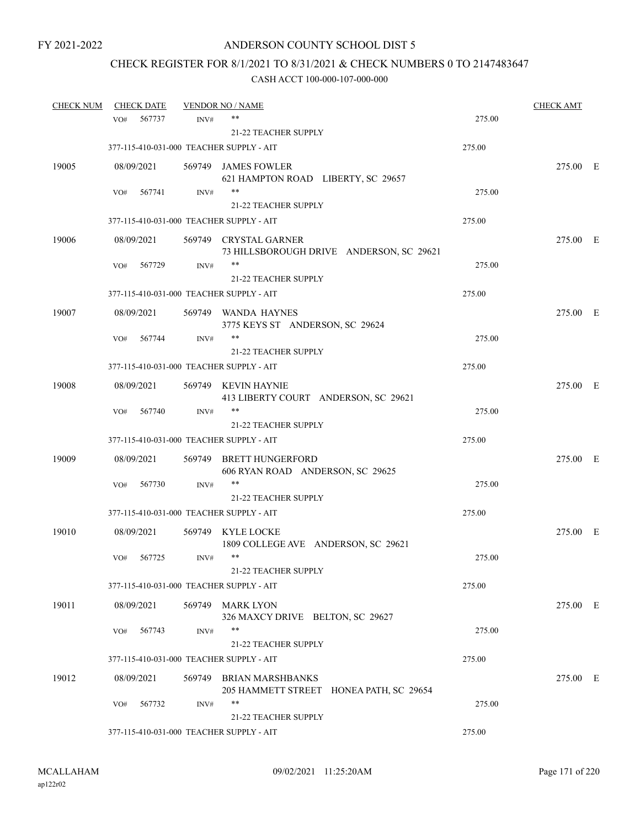## CHECK REGISTER FOR 8/1/2021 TO 8/31/2021 & CHECK NUMBERS 0 TO 2147483647

| <b>CHECK NUM</b> | <b>CHECK DATE</b>                        |      | <b>VENDOR NO / NAME</b>                                            |        | <b>CHECK AMT</b> |  |
|------------------|------------------------------------------|------|--------------------------------------------------------------------|--------|------------------|--|
|                  | 567737<br>VO#                            | INV# | $***$                                                              | 275.00 |                  |  |
|                  |                                          |      | 21-22 TEACHER SUPPLY                                               |        |                  |  |
|                  | 377-115-410-031-000 TEACHER SUPPLY - AIT |      |                                                                    | 275.00 |                  |  |
| 19005            | 08/09/2021                               |      | 569749 JAMES FOWLER                                                |        | 275.00 E         |  |
|                  |                                          |      | 621 HAMPTON ROAD LIBERTY, SC 29657                                 |        |                  |  |
|                  | 567741<br>VO#                            | INV# | **                                                                 | 275.00 |                  |  |
|                  |                                          |      | <b>21-22 TEACHER SUPPLY</b>                                        |        |                  |  |
|                  | 377-115-410-031-000 TEACHER SUPPLY - AIT |      |                                                                    | 275.00 |                  |  |
| 19006            | 08/09/2021                               |      | 569749 CRYSTAL GARNER<br>73 HILLSBOROUGH DRIVE ANDERSON, SC 29621  |        | 275.00 E         |  |
|                  | VO#<br>567729                            | INV# | **                                                                 | 275.00 |                  |  |
|                  |                                          |      | 21-22 TEACHER SUPPLY                                               |        |                  |  |
|                  | 377-115-410-031-000 TEACHER SUPPLY - AIT |      |                                                                    | 275.00 |                  |  |
| 19007            | 08/09/2021                               |      | 569749 WANDA HAYNES<br>3775 KEYS ST ANDERSON, SC 29624             |        | 275.00 E         |  |
|                  | 567744<br>VO#                            | INV# | **                                                                 | 275.00 |                  |  |
|                  |                                          |      | 21-22 TEACHER SUPPLY                                               |        |                  |  |
|                  | 377-115-410-031-000 TEACHER SUPPLY - AIT |      |                                                                    | 275.00 |                  |  |
| 19008            | 08/09/2021                               |      | 569749 KEVIN HAYNIE<br>413 LIBERTY COURT ANDERSON, SC 29621        |        | 275.00 E         |  |
|                  | VO#<br>567740                            | INV# | **                                                                 | 275.00 |                  |  |
|                  |                                          |      | <b>21-22 TEACHER SUPPLY</b>                                        |        |                  |  |
|                  | 377-115-410-031-000 TEACHER SUPPLY - AIT |      |                                                                    | 275.00 |                  |  |
| 19009            | 08/09/2021                               |      | 569749 BRETT HUNGERFORD<br>606 RYAN ROAD ANDERSON, SC 29625        |        | 275.00 E         |  |
|                  | 567730<br>VO#                            | INV# | **                                                                 | 275.00 |                  |  |
|                  |                                          |      | 21-22 TEACHER SUPPLY                                               |        |                  |  |
|                  | 377-115-410-031-000 TEACHER SUPPLY - AIT |      |                                                                    | 275.00 |                  |  |
| 19010            | 08/09/2021                               |      | 569749 KYLE LOCKE<br>1809 COLLEGE AVE ANDERSON, SC 29621           |        | 275.00 E         |  |
|                  | 567725<br>VO#                            | INV# | $***$                                                              | 275.00 |                  |  |
|                  |                                          |      | 21-22 TEACHER SUPPLY                                               |        |                  |  |
|                  | 377-115-410-031-000 TEACHER SUPPLY - AIT |      |                                                                    | 275.00 |                  |  |
| 19011            | 08/09/2021                               |      | 569749 MARK LYON<br>326 MAXCY DRIVE BELTON, SC 29627               |        | 275.00 E         |  |
|                  | VO#<br>567743                            | INV# | $***$                                                              | 275.00 |                  |  |
|                  |                                          |      | 21-22 TEACHER SUPPLY                                               |        |                  |  |
|                  | 377-115-410-031-000 TEACHER SUPPLY - AIT |      |                                                                    | 275.00 |                  |  |
| 19012            | 08/09/2021                               |      | 569749 BRIAN MARSHBANKS<br>205 HAMMETT STREET HONEA PATH, SC 29654 |        | 275.00 E         |  |
|                  | 567732<br>VO#                            | INV# | **                                                                 | 275.00 |                  |  |
|                  |                                          |      | <b>21-22 TEACHER SUPPLY</b>                                        |        |                  |  |
|                  | 377-115-410-031-000 TEACHER SUPPLY - AIT |      |                                                                    | 275.00 |                  |  |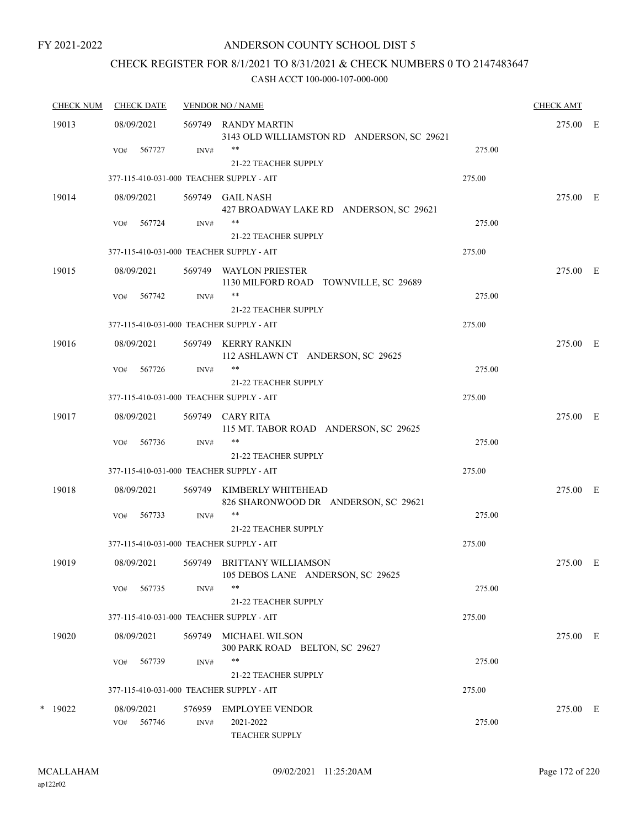## ANDERSON COUNTY SCHOOL DIST 5

## CHECK REGISTER FOR 8/1/2021 TO 8/31/2021 & CHECK NUMBERS 0 TO 2147483647

| <b>CHECK NUM</b> | <b>CHECK DATE</b><br><b>VENDOR NO / NAME</b><br><b>CHECK AMT</b> |            |        |                                                                         |        |          |  |
|------------------|------------------------------------------------------------------|------------|--------|-------------------------------------------------------------------------|--------|----------|--|
| 19013            |                                                                  | 08/09/2021 |        | 569749 RANDY MARTIN<br>3143 OLD WILLIAMSTON RD ANDERSON, SC 29621       |        | 275.00 E |  |
|                  | VO#                                                              | 567727     | INV#   | **<br>21-22 TEACHER SUPPLY                                              | 275.00 |          |  |
|                  |                                                                  |            |        | 377-115-410-031-000 TEACHER SUPPLY - AIT                                | 275.00 |          |  |
| 19014            |                                                                  | 08/09/2021 |        | 569749 GAIL NASH<br>427 BROADWAY LAKE RD ANDERSON, SC 29621             |        | 275.00 E |  |
|                  | VO#                                                              | 567724     | INV#   | **<br>21-22 TEACHER SUPPLY                                              | 275.00 |          |  |
|                  | 377-115-410-031-000 TEACHER SUPPLY - AIT                         |            |        |                                                                         | 275.00 |          |  |
| 19015            |                                                                  | 08/09/2021 |        | 569749 WAYLON PRIESTER<br>1130 MILFORD ROAD TOWNVILLE, SC 29689         |        | 275.00 E |  |
|                  | VO#                                                              | 567742     | INV#   | $***$<br>21-22 TEACHER SUPPLY                                           | 275.00 |          |  |
|                  |                                                                  |            |        | 377-115-410-031-000 TEACHER SUPPLY - AIT                                | 275.00 |          |  |
| 19016            |                                                                  | 08/09/2021 |        | 569749 KERRY RANKIN<br>112 ASHLAWN CT ANDERSON, SC 29625                |        | 275.00 E |  |
|                  | VO#                                                              | 567726     | INV#   | $***$<br><b>21-22 TEACHER SUPPLY</b>                                    | 275.00 |          |  |
|                  |                                                                  |            |        | 377-115-410-031-000 TEACHER SUPPLY - AIT                                | 275.00 |          |  |
| 19017            |                                                                  | 08/09/2021 |        | 569749 CARY RITA<br>115 MT. TABOR ROAD ANDERSON, SC 29625               |        | 275.00 E |  |
|                  | VO#                                                              | 567736     | INV#   | **<br>21-22 TEACHER SUPPLY                                              | 275.00 |          |  |
|                  |                                                                  |            |        | 377-115-410-031-000 TEACHER SUPPLY - AIT                                | 275.00 |          |  |
| 19018            |                                                                  | 08/09/2021 |        | 569749 KIMBERLY WHITEHEAD<br>826 SHARONWOOD DR ANDERSON, SC 29621       |        | 275.00 E |  |
|                  | VO#                                                              | 567733     | INV#   | 21-22 TEACHER SUPPLY                                                    | 275.00 |          |  |
|                  |                                                                  |            |        | 377-115-410-031-000 TEACHER SUPPLY - AIT                                | 275.00 |          |  |
| 19019            |                                                                  | 08/09/2021 |        | 569749 BRITTANY WILLIAMSON<br>105 DEBOS LANE ANDERSON, SC 29625         |        | 275.00 E |  |
|                  | VO#                                                              | 567735     | INV#   | **<br>21-22 TEACHER SUPPLY                                              | 275.00 |          |  |
|                  |                                                                  |            |        | 377-115-410-031-000 TEACHER SUPPLY - AIT                                | 275.00 |          |  |
| 19020            |                                                                  | 08/09/2021 |        | 569749 MICHAEL WILSON<br>300 PARK ROAD BELTON, SC 29627                 |        | 275.00 E |  |
|                  | VO#                                                              | 567739     | INV#   | **                                                                      | 275.00 |          |  |
|                  |                                                                  |            |        | <b>21-22 TEACHER SUPPLY</b><br>377-115-410-031-000 TEACHER SUPPLY - AIT | 275.00 |          |  |
| $*$ 19022        |                                                                  | 08/09/2021 | 576959 | EMPLOYEE VENDOR                                                         |        | 275.00 E |  |
|                  | VO#                                                              | 567746     | INV#   | 2021-2022<br><b>TEACHER SUPPLY</b>                                      | 275.00 |          |  |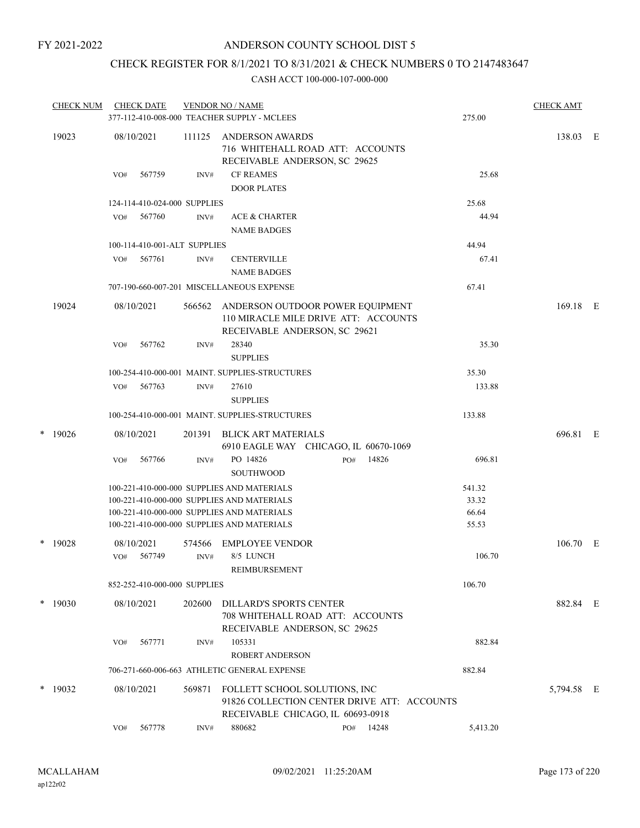## CHECK REGISTER FOR 8/1/2021 TO 8/31/2021 & CHECK NUMBERS 0 TO 2147483647

|       | <b>CHECK NUM</b> |     | <b>CHECK DATE</b>            |        | <b>VENDOR NO / NAME</b><br>377-112-410-008-000 TEACHER SUPPLY - MCLEES                                            |     |           | 275.00   | <b>CHECK AMT</b> |  |
|-------|------------------|-----|------------------------------|--------|-------------------------------------------------------------------------------------------------------------------|-----|-----------|----------|------------------|--|
|       |                  |     |                              |        |                                                                                                                   |     |           |          |                  |  |
| 19023 |                  |     | 08/10/2021                   | 111125 | <b>ANDERSON AWARDS</b><br>716 WHITEHALL ROAD ATT: ACCOUNTS<br>RECEIVABLE ANDERSON, SC 29625                       |     |           |          | 138.03 E         |  |
|       |                  | VO# | 567759                       | INV#   | <b>CF REAMES</b><br><b>DOOR PLATES</b>                                                                            |     |           | 25.68    |                  |  |
|       |                  |     | 124-114-410-024-000 SUPPLIES |        |                                                                                                                   |     |           | 25.68    |                  |  |
|       |                  | VO# | 567760                       | INV#   | <b>ACE &amp; CHARTER</b><br><b>NAME BADGES</b>                                                                    |     |           | 44.94    |                  |  |
|       |                  |     | 100-114-410-001-ALT SUPPLIES |        |                                                                                                                   |     |           | 44.94    |                  |  |
|       |                  | VO# | 567761                       | INV#   | <b>CENTERVILLE</b><br><b>NAME BADGES</b>                                                                          |     |           | 67.41    |                  |  |
|       |                  |     |                              |        | 707-190-660-007-201 MISCELLANEOUS EXPENSE                                                                         |     |           | 67.41    |                  |  |
|       | 19024            |     | 08/10/2021                   | 566562 | ANDERSON OUTDOOR POWER EQUIPMENT<br>110 MIRACLE MILE DRIVE ATT: ACCOUNTS<br>RECEIVABLE ANDERSON, SC 29621         |     |           |          | 169.18 E         |  |
|       |                  | VO# | 567762                       | INV#   | 28340<br><b>SUPPLIES</b>                                                                                          |     |           | 35.30    |                  |  |
|       |                  |     |                              |        | 100-254-410-000-001 MAINT, SUPPLIES-STRUCTURES                                                                    |     |           | 35.30    |                  |  |
|       |                  | VO# | 567763                       | INV#   | 27610<br><b>SUPPLIES</b>                                                                                          |     |           | 133.88   |                  |  |
|       |                  |     |                              |        | 100-254-410-000-001 MAINT. SUPPLIES-STRUCTURES                                                                    |     |           | 133.88   |                  |  |
| *     | 19026            |     | 08/10/2021                   | 201391 | BLICK ART MATERIALS<br>6910 EAGLE WAY CHICAGO, IL 60670-1069                                                      |     |           |          | 696.81 E         |  |
|       |                  | VO# | 567766                       | INV#   | PO 14826<br><b>SOUTHWOOD</b>                                                                                      | PO# | 14826     | 696.81   |                  |  |
|       |                  |     |                              |        | 100-221-410-000-000 SUPPLIES AND MATERIALS                                                                        |     |           | 541.32   |                  |  |
|       |                  |     |                              |        | 100-221-410-000-000 SUPPLIES AND MATERIALS                                                                        |     |           | 33.32    |                  |  |
|       |                  |     |                              |        | 100-221-410-000-000 SUPPLIES AND MATERIALS                                                                        |     |           | 66.64    |                  |  |
|       |                  |     |                              |        | 100-221-410-000-000 SUPPLIES AND MATERIALS                                                                        |     |           | 55.53    |                  |  |
| *     | 19028            |     | 08/10/2021                   | 574566 | <b>EMPLOYEE VENDOR</b>                                                                                            |     |           |          | 106.70 E         |  |
|       |                  | VO# | 567749                       | INV#   | 8/5 LUNCH<br>REIMBURSEMENT                                                                                        |     |           | 106.70   |                  |  |
|       |                  |     | 852-252-410-000-000 SUPPLIES |        |                                                                                                                   |     |           | 106.70   |                  |  |
|       | $*$ 19030        |     | 08/10/2021                   | 202600 | DILLARD'S SPORTS CENTER<br>708 WHITEHALL ROAD ATT: ACCOUNTS<br>RECEIVABLE ANDERSON, SC 29625                      |     |           |          | 882.84 E         |  |
|       |                  | VO# | 567771                       | INV#   | 105331<br><b>ROBERT ANDERSON</b>                                                                                  |     |           | 882.84   |                  |  |
|       |                  |     |                              |        | 706-271-660-006-663 ATHLETIC GENERAL EXPENSE                                                                      |     |           | 882.84   |                  |  |
|       | $*$ 19032        |     | 08/10/2021                   | 569871 | FOLLETT SCHOOL SOLUTIONS, INC<br>91826 COLLECTION CENTER DRIVE ATT: ACCOUNTS<br>RECEIVABLE CHICAGO, IL 60693-0918 |     |           |          | 5,794.58 E       |  |
|       |                  | VO# | 567778                       | INV#   | 880682                                                                                                            |     | PO# 14248 | 5,413.20 |                  |  |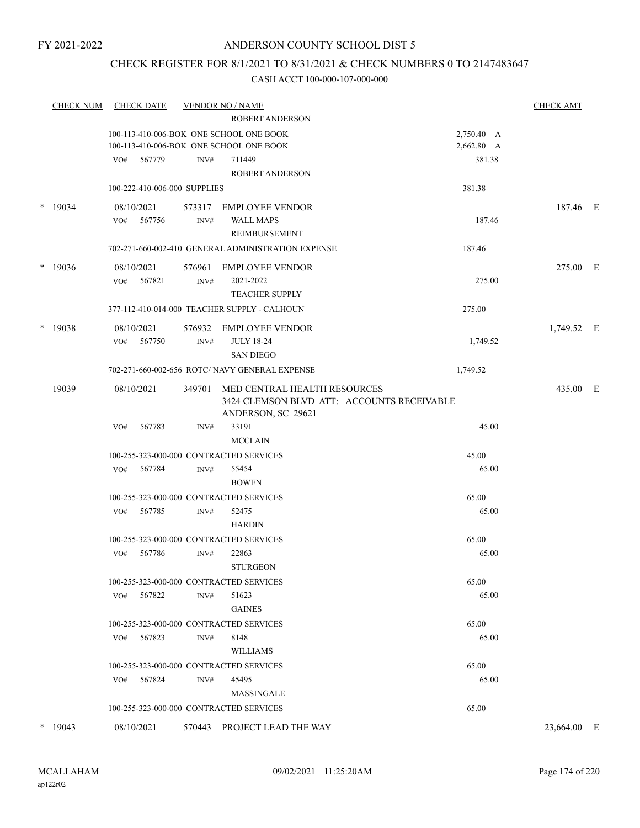## CHECK REGISTER FOR 8/1/2021 TO 8/31/2021 & CHECK NUMBERS 0 TO 2147483647

|        | <b>CHECK NUM</b> | <b>CHECK DATE</b>            |                | <b>VENDOR NO / NAME</b>                            |                | <b>CHECK AMT</b> |  |
|--------|------------------|------------------------------|----------------|----------------------------------------------------|----------------|------------------|--|
|        |                  |                              |                | <b>ROBERT ANDERSON</b>                             |                |                  |  |
|        |                  |                              |                | 100-113-410-006-BOK ONE SCHOOL ONE BOOK            | 2,750.40 A     |                  |  |
|        |                  |                              |                | 100-113-410-006-BOK ONE SCHOOL ONE BOOK            | 2,662.80 A     |                  |  |
|        |                  | 567779<br>VO#                | INV#           | 711449                                             | 381.38         |                  |  |
|        |                  |                              |                | <b>ROBERT ANDERSON</b>                             |                |                  |  |
|        |                  | 100-222-410-006-000 SUPPLIES |                |                                                    | 381.38         |                  |  |
|        | $*$ 19034        | 08/10/2021                   | 573317         | <b>EMPLOYEE VENDOR</b>                             |                | 187.46 E         |  |
|        |                  | 567756<br>VO#                | INV#           | <b>WALL MAPS</b>                                   | 187.46         |                  |  |
|        |                  |                              |                | REIMBURSEMENT                                      |                |                  |  |
|        |                  |                              |                | 702-271-660-002-410 GENERAL ADMINISTRATION EXPENSE | 187.46         |                  |  |
| $\ast$ | 19036            | 08/10/2021                   | 576961         | <b>EMPLOYEE VENDOR</b>                             |                | 275.00 E         |  |
|        |                  | 567821<br>VO#                | $\text{INV}\#$ | 2021-2022                                          | 275.00         |                  |  |
|        |                  |                              |                | <b>TEACHER SUPPLY</b>                              |                |                  |  |
|        |                  |                              |                | 377-112-410-014-000 TEACHER SUPPLY - CALHOUN       | 275.00         |                  |  |
|        | $*$ 19038        | 08/10/2021                   | 576932         | <b>EMPLOYEE VENDOR</b>                             |                | 1,749.52 E       |  |
|        |                  | 567750<br>VO#                | INV#           | <b>JULY 18-24</b>                                  | 1,749.52       |                  |  |
|        |                  |                              |                | <b>SAN DIEGO</b>                                   |                |                  |  |
|        |                  |                              |                | 702-271-660-002-656 ROTC/ NAVY GENERAL EXPENSE     | 1,749.52       |                  |  |
|        | 19039            | 08/10/2021                   | 349701         | MED CENTRAL HEALTH RESOURCES                       |                | 435.00 E         |  |
|        |                  |                              |                | 3424 CLEMSON BLVD ATT: ACCOUNTS RECEIVABLE         |                |                  |  |
|        |                  |                              |                | ANDERSON, SC 29621                                 |                |                  |  |
|        |                  | 567783<br>VO#                | INV#           | 33191                                              | 45.00          |                  |  |
|        |                  |                              |                | <b>MCCLAIN</b>                                     |                |                  |  |
|        |                  |                              |                | 100-255-323-000-000 CONTRACTED SERVICES            | 45.00          |                  |  |
|        |                  | VO#<br>567784                | INV#           | 55454                                              | 65.00          |                  |  |
|        |                  |                              |                | <b>BOWEN</b>                                       |                |                  |  |
|        |                  |                              |                | 100-255-323-000-000 CONTRACTED SERVICES            | 65.00          |                  |  |
|        |                  | 567785<br>VO#                | INV#           | 52475                                              | 65.00          |                  |  |
|        |                  |                              |                | <b>HARDIN</b>                                      |                |                  |  |
|        |                  |                              |                | 100-255-323-000-000 CONTRACTED SERVICES            | 65.00          |                  |  |
|        |                  | 567786<br>VO#                | INV#           | 22863                                              | 65.00          |                  |  |
|        |                  |                              |                | <b>STURGEON</b>                                    |                |                  |  |
|        |                  |                              |                | 100-255-323-000-000 CONTRACTED SERVICES            | 65.00          |                  |  |
|        |                  | 567822<br>VO#                | INV#           | 51623                                              | 65.00          |                  |  |
|        |                  |                              |                | <b>GAINES</b>                                      |                |                  |  |
|        |                  | 567823                       |                | 100-255-323-000-000 CONTRACTED SERVICES<br>8148    | 65.00<br>65.00 |                  |  |
|        |                  | VO#                          | INV#           | <b>WILLIAMS</b>                                    |                |                  |  |
|        |                  |                              |                | 100-255-323-000-000 CONTRACTED SERVICES            | 65.00          |                  |  |
|        |                  | 567824<br>VO#                | INV#           | 45495                                              | 65.00          |                  |  |
|        |                  |                              |                | <b>MASSINGALE</b>                                  |                |                  |  |
|        |                  |                              |                | 100-255-323-000-000 CONTRACTED SERVICES            | 65.00          |                  |  |
|        |                  |                              |                |                                                    |                |                  |  |
|        | $*$ 19043        | 08/10/2021                   |                | 570443 PROJECT LEAD THE WAY                        |                | 23,664.00 E      |  |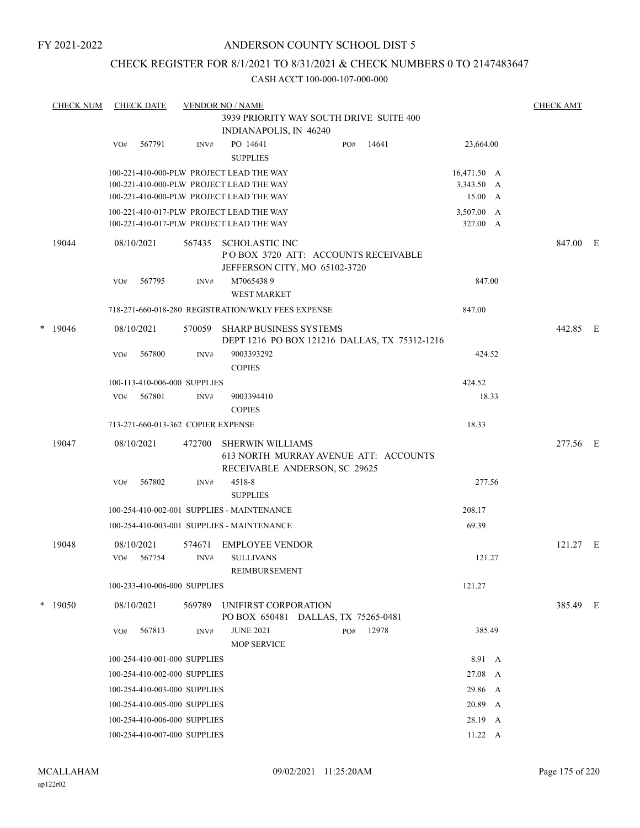## ANDERSON COUNTY SCHOOL DIST 5

## CHECK REGISTER FOR 8/1/2021 TO 8/31/2021 & CHECK NUMBERS 0 TO 2147483647

|   | <b>CHECK NUM</b> |     | <b>CHECK DATE</b>                       |                                    | <b>VENDOR NO / NAME</b>                                                                           |     |       |             | <b>CHECK AMT</b> |  |  |
|---|------------------|-----|-----------------------------------------|------------------------------------|---------------------------------------------------------------------------------------------------|-----|-------|-------------|------------------|--|--|
|   |                  |     | 3939 PRIORITY WAY SOUTH DRIVE SUITE 400 |                                    |                                                                                                   |     |       |             |                  |  |  |
|   |                  |     |                                         |                                    | INDIANAPOLIS, IN 46240                                                                            |     |       |             |                  |  |  |
|   |                  | VO# | 567791                                  | INV#                               | PO 14641<br><b>SUPPLIES</b>                                                                       | PO# | 14641 | 23,664.00   |                  |  |  |
|   |                  |     |                                         |                                    | 100-221-410-000-PLW PROJECT LEAD THE WAY                                                          |     |       | 16,471.50 A |                  |  |  |
|   |                  |     |                                         |                                    | 100-221-410-000-PLW PROJECT LEAD THE WAY                                                          |     |       | 3,343.50 A  |                  |  |  |
|   |                  |     |                                         |                                    | 100-221-410-000-PLW PROJECT LEAD THE WAY                                                          |     |       | 15.00 A     |                  |  |  |
|   |                  |     |                                         |                                    | 100-221-410-017-PLW PROJECT LEAD THE WAY                                                          |     |       | 3,507.00 A  |                  |  |  |
|   |                  |     |                                         |                                    | 100-221-410-017-PLW PROJECT LEAD THE WAY                                                          |     |       | 327.00 A    |                  |  |  |
|   | 19044            |     | 08/10/2021                              | 567435                             | SCHOLASTIC INC<br>POBOX 3720 ATT: ACCOUNTS RECEIVABLE<br>JEFFERSON CITY, MO 65102-3720            |     |       |             | 847.00 E         |  |  |
|   |                  | VO# | 567795                                  | INV#                               | M70654389<br><b>WEST MARKET</b>                                                                   |     |       | 847.00      |                  |  |  |
|   |                  |     |                                         |                                    | 718-271-660-018-280 REGISTRATION/WKLY FEES EXPENSE                                                |     |       | 847.00      |                  |  |  |
| * | 19046            |     | 08/10/2021                              | 570059                             | <b>SHARP BUSINESS SYSTEMS</b>                                                                     |     |       |             | 442.85 E         |  |  |
|   |                  |     |                                         |                                    | DEPT 1216 PO BOX 121216 DALLAS, TX 75312-1216                                                     |     |       |             |                  |  |  |
|   |                  | VO# | 567800                                  | INV#                               | 9003393292                                                                                        |     |       | 424.52      |                  |  |  |
|   |                  |     |                                         |                                    | <b>COPIES</b>                                                                                     |     |       |             |                  |  |  |
|   |                  |     |                                         | 100-113-410-006-000 SUPPLIES       |                                                                                                   |     |       | 424.52      |                  |  |  |
|   |                  | VO# | 567801                                  | INV#                               | 9003394410                                                                                        |     |       | 18.33       |                  |  |  |
|   |                  |     |                                         |                                    | <b>COPIES</b>                                                                                     |     |       |             |                  |  |  |
|   |                  |     |                                         | 713-271-660-013-362 COPIER EXPENSE |                                                                                                   |     |       | 18.33       |                  |  |  |
|   | 19047            |     | 08/10/2021                              | 472700                             | <b>SHERWIN WILLIAMS</b><br>613 NORTH MURRAY AVENUE ATT: ACCOUNTS<br>RECEIVABLE ANDERSON, SC 29625 |     |       |             | 277.56 E         |  |  |
|   |                  | VO# | 567802                                  | INV#                               | 4518-8<br><b>SUPPLIES</b>                                                                         |     |       | 277.56      |                  |  |  |
|   |                  |     |                                         |                                    | 100-254-410-002-001 SUPPLIES - MAINTENANCE                                                        |     |       | 208.17      |                  |  |  |
|   |                  |     |                                         |                                    | 100-254-410-003-001 SUPPLIES - MAINTENANCE                                                        |     |       | 69.39       |                  |  |  |
|   | 19048            |     | 08/10/2021                              | 574671                             | <b>EMPLOYEE VENDOR</b>                                                                            |     |       |             | $121.27$ E       |  |  |
|   |                  | VO# | 567754                                  | INV#                               | <b>SULLIVANS</b>                                                                                  |     |       | 121.27      |                  |  |  |
|   |                  |     |                                         |                                    | REIMBURSEMENT                                                                                     |     |       |             |                  |  |  |
|   |                  |     |                                         | 100-233-410-006-000 SUPPLIES       |                                                                                                   |     |       | 121.27      |                  |  |  |
|   | $*$ 19050        |     | 08/10/2021                              | 569789                             | UNIFIRST CORPORATION<br>PO BOX 650481 DALLAS, TX 75265-0481                                       |     |       |             | 385.49 E         |  |  |
|   |                  | VO# | 567813                                  | INV#                               | <b>JUNE 2021</b><br><b>MOP SERVICE</b>                                                            | PO# | 12978 | 385.49      |                  |  |  |
|   |                  |     |                                         | 100-254-410-001-000 SUPPLIES       |                                                                                                   |     |       | 8.91 A      |                  |  |  |
|   |                  |     |                                         | 100-254-410-002-000 SUPPLIES       |                                                                                                   |     |       | 27.08 A     |                  |  |  |
|   |                  |     |                                         | 100-254-410-003-000 SUPPLIES       |                                                                                                   |     |       | 29.86 A     |                  |  |  |
|   |                  |     |                                         | 100-254-410-005-000 SUPPLIES       |                                                                                                   |     |       | 20.89 A     |                  |  |  |
|   |                  |     |                                         | 100-254-410-006-000 SUPPLIES       |                                                                                                   |     |       | 28.19 A     |                  |  |  |
|   |                  |     |                                         | 100-254-410-007-000 SUPPLIES       |                                                                                                   |     |       | 11.22 A     |                  |  |  |
|   |                  |     |                                         |                                    |                                                                                                   |     |       |             |                  |  |  |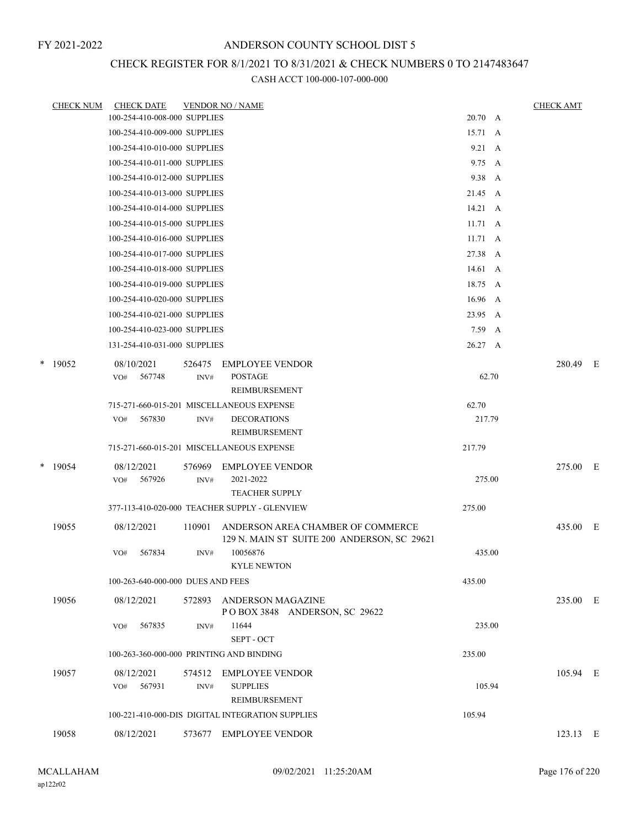# CHECK REGISTER FOR 8/1/2021 TO 8/31/2021 & CHECK NUMBERS 0 TO 2147483647

|        | <b>CHECK NUM</b> | <b>CHECK DATE</b> |                                   |        | <b>VENDOR NO / NAME</b>                                                          |                 |   | <b>CHECK AMT</b> |  |
|--------|------------------|-------------------|-----------------------------------|--------|----------------------------------------------------------------------------------|-----------------|---|------------------|--|
|        |                  |                   | 100-254-410-008-000 SUPPLIES      |        |                                                                                  | 20.70 A         |   |                  |  |
|        |                  |                   | 100-254-410-009-000 SUPPLIES      |        |                                                                                  | 15.71 A         |   |                  |  |
|        |                  |                   | 100-254-410-010-000 SUPPLIES      |        |                                                                                  | $9.21 \quad A$  |   |                  |  |
|        |                  |                   | 100-254-410-011-000 SUPPLIES      |        |                                                                                  | $9.75 \quad A$  |   |                  |  |
|        |                  |                   | 100-254-410-012-000 SUPPLIES      |        |                                                                                  | 9.38 A          |   |                  |  |
|        |                  |                   | 100-254-410-013-000 SUPPLIES      |        |                                                                                  | 21.45 A         |   |                  |  |
|        |                  |                   | 100-254-410-014-000 SUPPLIES      |        |                                                                                  | $14.21 \, A$    |   |                  |  |
|        |                  |                   | 100-254-410-015-000 SUPPLIES      |        |                                                                                  | $11.71 \quad A$ |   |                  |  |
|        |                  |                   | 100-254-410-016-000 SUPPLIES      |        |                                                                                  | $11.71 \quad A$ |   |                  |  |
|        |                  |                   | 100-254-410-017-000 SUPPLIES      |        |                                                                                  | 27.38 A         |   |                  |  |
|        |                  |                   | 100-254-410-018-000 SUPPLIES      |        |                                                                                  | 14.61 A         |   |                  |  |
|        |                  |                   | 100-254-410-019-000 SUPPLIES      |        |                                                                                  | 18.75 A         |   |                  |  |
|        |                  |                   | 100-254-410-020-000 SUPPLIES      |        |                                                                                  | 16.96           | A |                  |  |
|        |                  |                   | 100-254-410-021-000 SUPPLIES      |        |                                                                                  | 23.95 A         |   |                  |  |
|        |                  |                   | 100-254-410-023-000 SUPPLIES      |        |                                                                                  | 7.59            | A |                  |  |
|        |                  |                   | 131-254-410-031-000 SUPPLIES      |        |                                                                                  | 26.27 A         |   |                  |  |
| *      | 19052            | 08/10/2021        |                                   | 526475 | <b>EMPLOYEE VENDOR</b>                                                           |                 |   | 280.49 E         |  |
|        |                  | VO#               | 567748                            | INV#   | <b>POSTAGE</b>                                                                   | 62.70           |   |                  |  |
|        |                  |                   |                                   |        | REIMBURSEMENT                                                                    |                 |   |                  |  |
|        |                  |                   |                                   |        | 715-271-660-015-201 MISCELLANEOUS EXPENSE                                        | 62.70           |   |                  |  |
|        |                  | VO#               | 567830                            | INV#   | <b>DECORATIONS</b>                                                               | 217.79          |   |                  |  |
|        |                  |                   |                                   |        | REIMBURSEMENT                                                                    |                 |   |                  |  |
|        |                  |                   |                                   |        | 715-271-660-015-201 MISCELLANEOUS EXPENSE                                        | 217.79          |   |                  |  |
| $\ast$ | 19054            | 08/12/2021        |                                   | 576969 | <b>EMPLOYEE VENDOR</b>                                                           |                 |   | 275.00 E         |  |
|        |                  | VO#               | 567926                            | INV#   | 2021-2022                                                                        | 275.00          |   |                  |  |
|        |                  |                   |                                   |        | <b>TEACHER SUPPLY</b>                                                            |                 |   |                  |  |
|        |                  |                   |                                   |        | 377-113-410-020-000 TEACHER SUPPLY - GLENVIEW                                    | 275.00          |   |                  |  |
|        | 19055            | 08/12/2021        |                                   | 110901 | ANDERSON AREA CHAMBER OF COMMERCE<br>129 N. MAIN ST SUITE 200 ANDERSON, SC 29621 |                 |   | 435.00 E         |  |
|        |                  | VO#               | 567834                            | INV#   | 10056876                                                                         | 435.00          |   |                  |  |
|        |                  |                   |                                   |        | <b>KYLE NEWTON</b>                                                               |                 |   |                  |  |
|        |                  |                   | 100-263-640-000-000 DUES AND FEES |        |                                                                                  | 435.00          |   |                  |  |
|        | 19056            | 08/12/2021        |                                   |        | 572893 ANDERSON MAGAZINE                                                         |                 |   | 235.00 E         |  |
|        |                  |                   |                                   |        | POBOX 3848 ANDERSON, SC 29622                                                    |                 |   |                  |  |
|        |                  | VO#               | 567835                            | INV#   | 11644                                                                            | 235.00          |   |                  |  |
|        |                  |                   |                                   |        | SEPT - OCT                                                                       |                 |   |                  |  |
|        |                  |                   |                                   |        | 100-263-360-000-000 PRINTING AND BINDING                                         | 235.00          |   |                  |  |
|        | 19057            | 08/12/2021        |                                   | 574512 | <b>EMPLOYEE VENDOR</b>                                                           |                 |   | 105.94 E         |  |
|        |                  | VO#               | 567931                            | INV#   | <b>SUPPLIES</b>                                                                  | 105.94          |   |                  |  |
|        |                  |                   |                                   |        | REIMBURSEMENT                                                                    |                 |   |                  |  |
|        |                  |                   |                                   |        | 100-221-410-000-DIS DIGITAL INTEGRATION SUPPLIES                                 | 105.94          |   |                  |  |
|        | 19058            | 08/12/2021        |                                   |        | 573677 EMPLOYEE VENDOR                                                           |                 |   | 123.13 E         |  |
|        |                  |                   |                                   |        |                                                                                  |                 |   |                  |  |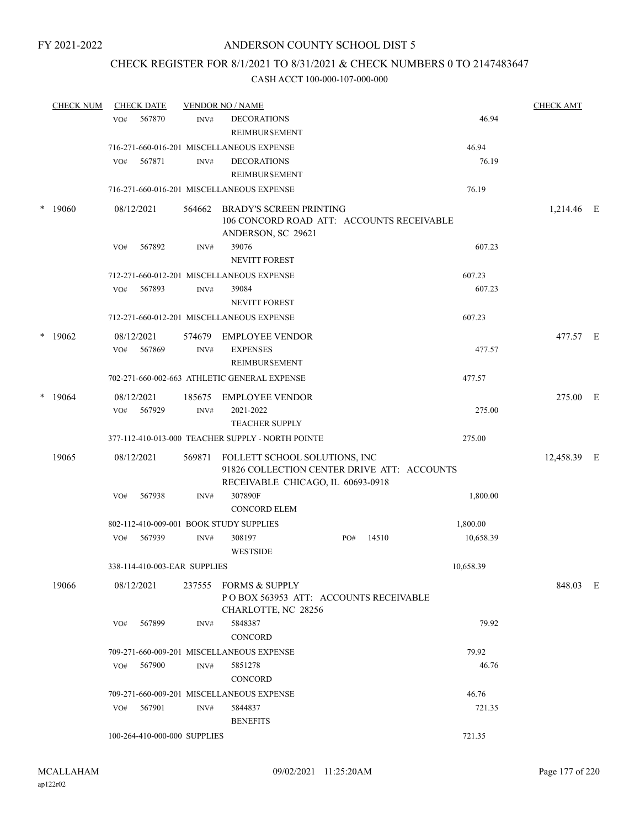## CHECK REGISTER FOR 8/1/2021 TO 8/31/2021 & CHECK NUMBERS 0 TO 2147483647

|        | <b>CHECK NUM</b> |     | <b>CHECK DATE</b>            |        | <b>VENDOR NO / NAME</b>                                                                                           |     |       |           | <b>CHECK AMT</b> |  |
|--------|------------------|-----|------------------------------|--------|-------------------------------------------------------------------------------------------------------------------|-----|-------|-----------|------------------|--|
|        |                  | VO# | 567870                       | INV#   | <b>DECORATIONS</b><br><b>REIMBURSEMENT</b>                                                                        |     |       | 46.94     |                  |  |
|        |                  |     |                              |        | 716-271-660-016-201 MISCELLANEOUS EXPENSE                                                                         |     |       | 46.94     |                  |  |
|        |                  | VO# | 567871                       | INV#   | <b>DECORATIONS</b>                                                                                                |     |       | 76.19     |                  |  |
|        |                  |     |                              |        | <b>REIMBURSEMENT</b>                                                                                              |     |       |           |                  |  |
|        |                  |     |                              |        | 716-271-660-016-201 MISCELLANEOUS EXPENSE                                                                         |     |       | 76.19     |                  |  |
| $\ast$ | 19060            |     | 08/12/2021                   | 564662 | <b>BRADY'S SCREEN PRINTING</b><br>106 CONCORD ROAD ATT: ACCOUNTS RECEIVABLE<br>ANDERSON, SC 29621                 |     |       |           | 1,214.46 E       |  |
|        |                  | VO# | 567892                       | INV#   | 39076                                                                                                             |     |       | 607.23    |                  |  |
|        |                  |     |                              |        | NEVITT FOREST                                                                                                     |     |       |           |                  |  |
|        |                  |     |                              |        | 712-271-660-012-201 MISCELLANEOUS EXPENSE                                                                         |     |       | 607.23    |                  |  |
|        |                  | VO# | 567893                       | INV#   | 39084                                                                                                             |     |       | 607.23    |                  |  |
|        |                  |     |                              |        | <b>NEVITT FOREST</b>                                                                                              |     |       |           |                  |  |
|        |                  |     |                              |        | 712-271-660-012-201 MISCELLANEOUS EXPENSE                                                                         |     |       | 607.23    |                  |  |
|        | $*19062$         |     | 08/12/2021                   | 574679 | <b>EMPLOYEE VENDOR</b>                                                                                            |     |       |           | 477.57 E         |  |
|        |                  | VO# | 567869                       | INV#   | <b>EXPENSES</b>                                                                                                   |     |       | 477.57    |                  |  |
|        |                  |     |                              |        | <b>REIMBURSEMENT</b>                                                                                              |     |       |           |                  |  |
|        |                  |     |                              |        | 702-271-660-002-663 ATHLETIC GENERAL EXPENSE                                                                      |     |       | 477.57    |                  |  |
| $\ast$ | 19064            |     | 08/12/2021                   | 185675 | <b>EMPLOYEE VENDOR</b>                                                                                            |     |       |           | 275.00 E         |  |
|        |                  | VO# | 567929                       | INV#   | 2021-2022                                                                                                         |     |       | 275.00    |                  |  |
|        |                  |     |                              |        | <b>TEACHER SUPPLY</b>                                                                                             |     |       |           |                  |  |
|        |                  |     |                              |        | 377-112-410-013-000 TEACHER SUPPLY - NORTH POINTE                                                                 |     |       | 275.00    |                  |  |
|        | 19065            |     | 08/12/2021                   | 569871 | FOLLETT SCHOOL SOLUTIONS, INC<br>91826 COLLECTION CENTER DRIVE ATT: ACCOUNTS<br>RECEIVABLE CHICAGO, IL 60693-0918 |     |       |           | 12,458.39 E      |  |
|        |                  | VO# | 567938                       | INV#   | 307890F<br><b>CONCORD ELEM</b>                                                                                    |     |       | 1,800.00  |                  |  |
|        |                  |     |                              |        | 802-112-410-009-001 BOOK STUDY SUPPLIES                                                                           |     |       | 1,800.00  |                  |  |
|        |                  | VO# | 567939                       | INV#   | 308197                                                                                                            | PO# | 14510 | 10,658.39 |                  |  |
|        |                  |     |                              |        | <b>WESTSIDE</b>                                                                                                   |     |       |           |                  |  |
|        |                  |     | 338-114-410-003-EAR SUPPLIES |        |                                                                                                                   |     |       | 10,658.39 |                  |  |
|        | 19066            |     | 08/12/2021                   |        | 237555 FORMS & SUPPLY<br>POBOX 563953 ATT: ACCOUNTS RECEIVABLE<br>CHARLOTTE, NC 28256                             |     |       |           | 848.03 E         |  |
|        |                  | VO# | 567899                       | INV#   | 5848387                                                                                                           |     |       | 79.92     |                  |  |
|        |                  |     |                              |        | CONCORD                                                                                                           |     |       |           |                  |  |
|        |                  |     |                              |        | 709-271-660-009-201 MISCELLANEOUS EXPENSE                                                                         |     |       | 79.92     |                  |  |
|        |                  | VO# | 567900                       | INV#   | 5851278                                                                                                           |     |       | 46.76     |                  |  |
|        |                  |     |                              |        | CONCORD                                                                                                           |     |       |           |                  |  |
|        |                  |     |                              |        | 709-271-660-009-201 MISCELLANEOUS EXPENSE                                                                         |     |       | 46.76     |                  |  |
|        |                  | VO# | 567901                       | INV#   | 5844837                                                                                                           |     |       | 721.35    |                  |  |
|        |                  |     |                              |        | <b>BENEFITS</b>                                                                                                   |     |       |           |                  |  |
|        |                  |     | 100-264-410-000-000 SUPPLIES |        |                                                                                                                   |     |       | 721.35    |                  |  |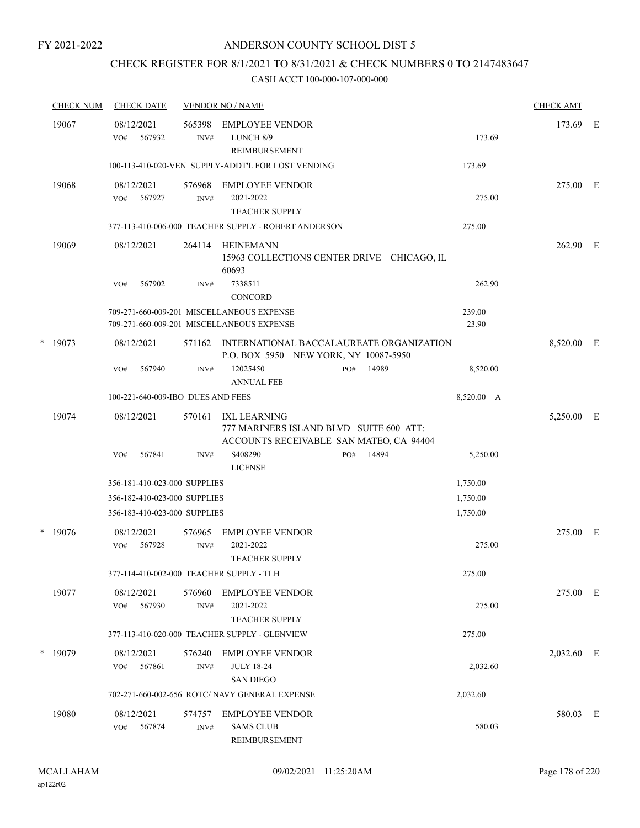## CHECK REGISTER FOR 8/1/2021 TO 8/31/2021 & CHECK NUMBERS 0 TO 2147483647

| <b>CHECK NUM</b> | <b>CHECK DATE</b>                        |                          | <b>VENDOR NO / NAME</b>                                                                            |     |       |                 | <b>CHECK AMT</b> |  |
|------------------|------------------------------------------|--------------------------|----------------------------------------------------------------------------------------------------|-----|-------|-----------------|------------------|--|
| 19067            | 08/12/2021<br>567932<br>VO#              | 565398<br>INV#           | <b>EMPLOYEE VENDOR</b><br>LUNCH 8/9<br><b>REIMBURSEMENT</b>                                        |     |       | 173.69          | 173.69 E         |  |
|                  |                                          |                          | 100-113-410-020-VEN SUPPLY-ADDT'L FOR LOST VENDING                                                 |     |       | 173.69          |                  |  |
| 19068            | 08/12/2021<br>567927<br>VO#              | 576968<br>$\text{INV}\#$ | EMPLOYEE VENDOR<br>2021-2022<br><b>TEACHER SUPPLY</b>                                              |     |       | 275.00          | 275.00 E         |  |
|                  |                                          |                          | 377-113-410-006-000 TEACHER SUPPLY - ROBERT ANDERSON                                               |     |       | 275.00          |                  |  |
| 19069            | 08/12/2021                               | 264114                   | HEINEMANN<br>15963 COLLECTIONS CENTER DRIVE CHICAGO, IL<br>60693                                   |     |       |                 | 262.90 E         |  |
|                  | 567902<br>VO#                            | INV#                     | 7338511<br><b>CONCORD</b>                                                                          |     |       | 262.90          |                  |  |
|                  |                                          |                          | 709-271-660-009-201 MISCELLANEOUS EXPENSE<br>709-271-660-009-201 MISCELLANEOUS EXPENSE             |     |       | 239.00<br>23.90 |                  |  |
| $*$ 19073        | 08/12/2021                               | 571162                   | INTERNATIONAL BACCALAUREATE ORGANIZATION<br>P.O. BOX 5950 NEW YORK, NY 10087-5950                  |     |       |                 | 8,520.00 E       |  |
|                  | VO#<br>567940                            | INV#                     | 12025450<br><b>ANNUAL FEE</b>                                                                      | PO# | 14989 | 8,520.00        |                  |  |
|                  | 100-221-640-009-IBO DUES AND FEES        |                          |                                                                                                    |     |       | 8,520.00 A      |                  |  |
| 19074            | 08/12/2021                               | 570161                   | IXL LEARNING<br>777 MARINERS ISLAND BLVD SUITE 600 ATT:<br>ACCOUNTS RECEIVABLE SAN MATEO, CA 94404 |     |       |                 | 5,250.00 E       |  |
|                  | 567841<br>VO#                            | INV#                     | S408290<br><b>LICENSE</b>                                                                          | PO# | 14894 | 5,250.00        |                  |  |
|                  | 356-181-410-023-000 SUPPLIES             |                          |                                                                                                    |     |       | 1,750.00        |                  |  |
|                  | 356-182-410-023-000 SUPPLIES             |                          |                                                                                                    |     |       | 1,750.00        |                  |  |
|                  | 356-183-410-023-000 SUPPLIES             |                          |                                                                                                    |     |       | 1,750.00        |                  |  |
| $*$ 19076        | 08/12/2021<br>567928<br>VO#              | 576965<br>INV#           | <b>EMPLOYEE VENDOR</b><br>2021-2022<br><b>TEACHER SUPPLY</b>                                       |     |       | 275.00          | 275.00 E         |  |
|                  | 377-114-410-002-000 TEACHER SUPPLY - TLH |                          |                                                                                                    |     |       | 275.00          |                  |  |
| 19077            | 08/12/2021<br>567930<br>VO#              | 576960<br>INV#           | <b>EMPLOYEE VENDOR</b><br>2021-2022<br><b>TEACHER SUPPLY</b>                                       |     |       | 275.00          | 275.00 E         |  |
|                  |                                          |                          | 377-113-410-020-000 TEACHER SUPPLY - GLENVIEW                                                      |     |       | 275.00          |                  |  |
| $*$ 19079        | 08/12/2021<br>567861<br>VO#              | 576240<br>INV#           | <b>EMPLOYEE VENDOR</b><br><b>JULY 18-24</b><br><b>SAN DIEGO</b>                                    |     |       | 2,032.60        | 2,032.60 E       |  |
|                  |                                          |                          | 702-271-660-002-656 ROTC/ NAVY GENERAL EXPENSE                                                     |     |       | 2,032.60        |                  |  |
| 19080            | 08/12/2021<br>567874<br>VO#              | 574757<br>INV#           | <b>EMPLOYEE VENDOR</b><br><b>SAMS CLUB</b><br>REIMBURSEMENT                                        |     |       | 580.03          | 580.03 E         |  |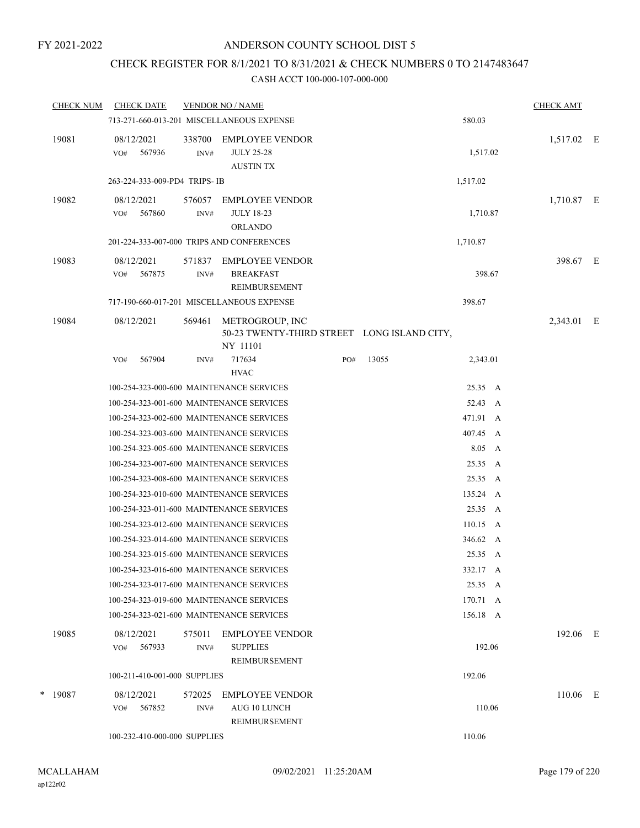## CHECK REGISTER FOR 8/1/2021 TO 8/31/2021 & CHECK NUMBERS 0 TO 2147483647

| <b>CHECK NUM</b> | <b>CHECK DATE</b>                        |                | <b>VENDOR NO / NAME</b>                                                    |     |       |                    | <b>CHECK AMT</b> |  |
|------------------|------------------------------------------|----------------|----------------------------------------------------------------------------|-----|-------|--------------------|------------------|--|
|                  |                                          |                | 713-271-660-013-201 MISCELLANEOUS EXPENSE                                  |     |       | 580.03             |                  |  |
| 19081            | 08/12/2021<br>VO#<br>567936              | 338700<br>INV# | <b>EMPLOYEE VENDOR</b><br><b>JULY 25-28</b><br><b>AUSTIN TX</b>            |     |       | 1,517.02           | 1,517.02 E       |  |
|                  | 263-224-333-009-PD4 TRIPS-IB             |                |                                                                            |     |       | 1,517.02           |                  |  |
| 19082            | 08/12/2021<br>567860<br>VO#              | 576057<br>INV# | <b>EMPLOYEE VENDOR</b><br><b>JULY 18-23</b><br><b>ORLANDO</b>              |     |       | 1,710.87           | 1,710.87 E       |  |
|                  |                                          |                | 201-224-333-007-000 TRIPS AND CONFERENCES                                  |     |       | 1,710.87           |                  |  |
| 19083            | 08/12/2021<br>567875<br>VO#              | 571837<br>INV# | EMPLOYEE VENDOR<br><b>BREAKFAST</b><br>REIMBURSEMENT                       |     |       | 398.67             | 398.67 E         |  |
|                  |                                          |                | 717-190-660-017-201 MISCELLANEOUS EXPENSE                                  |     |       | 398.67             |                  |  |
| 19084            | 08/12/2021                               | 569461         | METROGROUP, INC<br>50-23 TWENTY-THIRD STREET LONG ISLAND CITY,<br>NY 11101 |     |       |                    | 2,343.01 E       |  |
|                  | 567904<br>VO#                            | INV#           | 717634<br><b>HVAC</b>                                                      | PO# | 13055 | 2,343.01           |                  |  |
|                  | 100-254-323-000-600 MAINTENANCE SERVICES |                |                                                                            |     |       | 25.35 A            |                  |  |
|                  | 100-254-323-001-600 MAINTENANCE SERVICES |                |                                                                            |     |       | 52.43 A            |                  |  |
|                  | 100-254-323-002-600 MAINTENANCE SERVICES |                |                                                                            |     |       | 471.91 A           |                  |  |
|                  | 100-254-323-003-600 MAINTENANCE SERVICES |                |                                                                            |     |       | 407.45 A           |                  |  |
|                  | 100-254-323-005-600 MAINTENANCE SERVICES |                |                                                                            |     |       | 8.05 A             |                  |  |
|                  | 100-254-323-007-600 MAINTENANCE SERVICES |                |                                                                            |     |       | 25.35 A            |                  |  |
|                  | 100-254-323-008-600 MAINTENANCE SERVICES |                |                                                                            |     |       | 25.35 A            |                  |  |
|                  | 100-254-323-010-600 MAINTENANCE SERVICES |                |                                                                            |     |       | 135.24 A           |                  |  |
|                  | 100-254-323-011-600 MAINTENANCE SERVICES |                |                                                                            |     |       | 25.35 A            |                  |  |
|                  | 100-254-323-012-600 MAINTENANCE SERVICES |                |                                                                            |     |       | $110.15 \text{ A}$ |                  |  |
|                  | 100-254-323-014-600 MAINTENANCE SERVICES |                |                                                                            |     |       | 346.62 A           |                  |  |
|                  | 100-254-323-015-600 MAINTENANCE SERVICES |                |                                                                            |     |       | 25.35 A            |                  |  |
|                  | 100-254-323-016-600 MAINTENANCE SERVICES |                |                                                                            |     |       | 332.17 A           |                  |  |
|                  | 100-254-323-017-600 MAINTENANCE SERVICES |                |                                                                            |     |       | 25.35 A            |                  |  |
|                  |                                          |                | 100-254-323-019-600 MAINTENANCE SERVICES                                   |     |       | 170.71 A           |                  |  |
|                  |                                          |                | 100-254-323-021-600 MAINTENANCE SERVICES                                   |     |       | 156.18 A           |                  |  |
| 19085            | 08/12/2021<br>567933<br>VO#              | 575011<br>INV# | <b>EMPLOYEE VENDOR</b><br><b>SUPPLIES</b><br>REIMBURSEMENT                 |     |       | 192.06             | 192.06 E         |  |
|                  | 100-211-410-001-000 SUPPLIES             |                |                                                                            |     |       | 192.06             |                  |  |
| $*$ 19087        | 08/12/2021<br>567852<br>VO#              | 572025<br>INV# | <b>EMPLOYEE VENDOR</b><br>AUG 10 LUNCH<br>REIMBURSEMENT                    |     |       | 110.06             | 110.06 E         |  |
|                  | 100-232-410-000-000 SUPPLIES             |                |                                                                            |     |       | 110.06             |                  |  |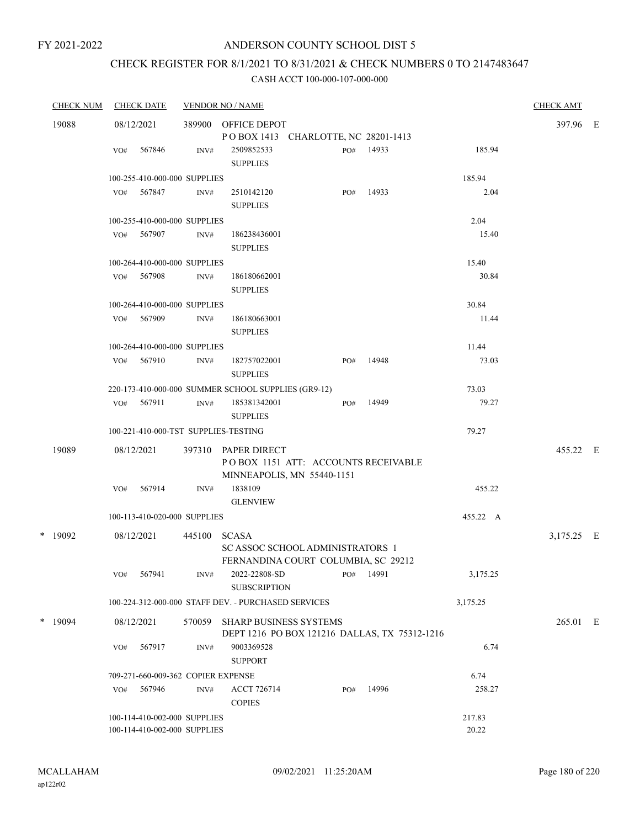## CHECK REGISTER FOR 8/1/2021 TO 8/31/2021 & CHECK NUMBERS 0 TO 2147483647

| <b>CHECK NUM</b> |           |            | <b>CHECK DATE</b>                  |        | <b>VENDOR NO / NAME</b>                             |     |       |          | <b>CHECK AMT</b> |  |
|------------------|-----------|------------|------------------------------------|--------|-----------------------------------------------------|-----|-------|----------|------------------|--|
| 19088            |           | 08/12/2021 |                                    |        | 389900 OFFICE DEPOT                                 |     |       |          | 397.96 E         |  |
|                  |           |            |                                    |        | POBOX 1413 CHARLOTTE, NC 28201-1413                 |     |       |          |                  |  |
|                  |           | VO#        | 567846                             | INV#   | 2509852533                                          | PO# | 14933 | 185.94   |                  |  |
|                  |           |            |                                    |        | <b>SUPPLIES</b>                                     |     |       |          |                  |  |
|                  |           |            | 100-255-410-000-000 SUPPLIES       |        |                                                     |     |       | 185.94   |                  |  |
|                  |           |            | VO# 567847                         | INV#   | 2510142120                                          | PO# | 14933 | 2.04     |                  |  |
|                  |           |            |                                    |        | <b>SUPPLIES</b>                                     |     |       |          |                  |  |
|                  |           |            | 100-255-410-000-000 SUPPLIES       |        |                                                     |     |       | 2.04     |                  |  |
|                  |           |            | VO# 567907                         | INV#   | 186238436001                                        |     |       | 15.40    |                  |  |
|                  |           |            |                                    |        | <b>SUPPLIES</b>                                     |     |       |          |                  |  |
|                  |           |            | 100-264-410-000-000 SUPPLIES       |        |                                                     |     |       | 15.40    |                  |  |
|                  |           |            | VO# 567908                         | INV#   | 186180662001                                        |     |       | 30.84    |                  |  |
|                  |           |            |                                    |        | <b>SUPPLIES</b>                                     |     |       |          |                  |  |
|                  |           |            | 100-264-410-000-000 SUPPLIES       |        |                                                     |     |       | 30.84    |                  |  |
|                  |           |            | VO# 567909                         | INV#   | 186180663001                                        |     |       | 11.44    |                  |  |
|                  |           |            |                                    |        | <b>SUPPLIES</b>                                     |     |       |          |                  |  |
|                  |           |            | 100-264-410-000-000 SUPPLIES       |        |                                                     |     |       | 11.44    |                  |  |
|                  |           | VO#        | 567910                             | INV#   | 182757022001                                        | PO# | 14948 | 73.03    |                  |  |
|                  |           |            |                                    |        | <b>SUPPLIES</b>                                     |     |       |          |                  |  |
|                  |           |            |                                    |        | 220-173-410-000-000 SUMMER SCHOOL SUPPLIES (GR9-12) |     |       | 73.03    |                  |  |
|                  |           | VO#        | 567911                             | INV#   | 185381342001                                        | PO# | 14949 | 79.27    |                  |  |
|                  |           |            |                                    |        | <b>SUPPLIES</b>                                     |     |       |          |                  |  |
|                  |           |            |                                    |        | 100-221-410-000-TST SUPPLIES-TESTING                |     |       | 79.27    |                  |  |
|                  | 19089     |            | 08/12/2021                         | 397310 | PAPER DIRECT                                        |     |       |          | 455.22 E         |  |
|                  |           |            |                                    |        | POBOX 1151 ATT: ACCOUNTS RECEIVABLE                 |     |       |          |                  |  |
|                  |           |            |                                    |        | MINNEAPOLIS, MN 55440-1151                          |     |       |          |                  |  |
|                  |           | VO#        | 567914                             | INV#   | 1838109                                             |     |       | 455.22   |                  |  |
|                  |           |            |                                    |        | <b>GLENVIEW</b>                                     |     |       |          |                  |  |
|                  |           |            | 100-113-410-020-000 SUPPLIES       |        |                                                     |     |       | 455.22 A |                  |  |
|                  | $*$ 19092 |            | 08/12/2021                         |        | 445100 SCASA                                        |     |       |          | 3,175.25 E       |  |
|                  |           |            |                                    |        | SC ASSOC SCHOOL ADMINISTRATORS 1                    |     |       |          |                  |  |
|                  |           |            |                                    |        | FERNANDINA COURT COLUMBIA, SC 29212                 |     |       |          |                  |  |
|                  |           | VO#        | 567941                             | INV#   | 2022-22808-SD                                       | PO# | 14991 | 3,175.25 |                  |  |
|                  |           |            |                                    |        | <b>SUBSCRIPTION</b>                                 |     |       |          |                  |  |
|                  |           |            |                                    |        | 100-224-312-000-000 STAFF DEV. - PURCHASED SERVICES |     |       | 3,175.25 |                  |  |
|                  | $*$ 19094 |            | 08/12/2021                         | 570059 | <b>SHARP BUSINESS SYSTEMS</b>                       |     |       |          | 265.01 E         |  |
|                  |           |            |                                    |        | DEPT 1216 PO BOX 121216 DALLAS, TX 75312-1216       |     |       |          |                  |  |
|                  |           | VO#        | 567917                             | INV#   | 9003369528                                          |     |       | 6.74     |                  |  |
|                  |           |            |                                    |        | <b>SUPPORT</b>                                      |     |       |          |                  |  |
|                  |           |            | 709-271-660-009-362 COPIER EXPENSE |        |                                                     |     |       | 6.74     |                  |  |
|                  |           | VO#        | 567946                             | INV#   | <b>ACCT 726714</b>                                  | PO# | 14996 | 258.27   |                  |  |
|                  |           |            |                                    |        | <b>COPIES</b>                                       |     |       |          |                  |  |
|                  |           |            | 100-114-410-002-000 SUPPLIES       |        |                                                     |     |       | 217.83   |                  |  |
|                  |           |            | 100-114-410-002-000 SUPPLIES       |        |                                                     |     |       | 20.22    |                  |  |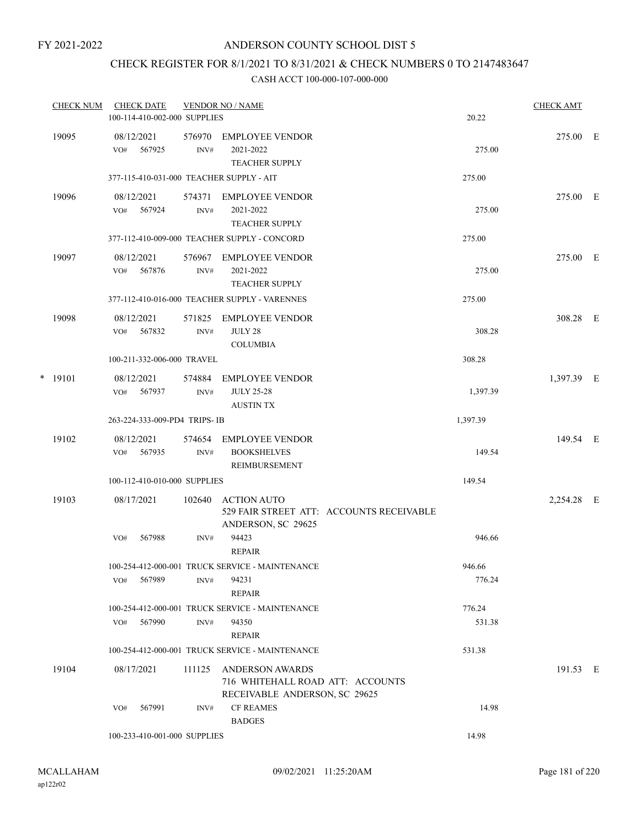## CHECK REGISTER FOR 8/1/2021 TO 8/31/2021 & CHECK NUMBERS 0 TO 2147483647

|   | <b>CHECK NUM</b> | <b>CHECK DATE</b><br>100-114-410-002-000 SUPPLIES |                | <b>VENDOR NO / NAME</b>                                                                     |                                          | 20.22            | <b>CHECK AMT</b> |  |
|---|------------------|---------------------------------------------------|----------------|---------------------------------------------------------------------------------------------|------------------------------------------|------------------|------------------|--|
|   | 19095            | 08/12/2021<br>567925<br>VO#                       | 576970<br>INV# | <b>EMPLOYEE VENDOR</b><br>2021-2022<br><b>TEACHER SUPPLY</b>                                |                                          | 275.00           | 275.00 E         |  |
|   |                  | 377-115-410-031-000 TEACHER SUPPLY - AIT          |                |                                                                                             |                                          | 275.00           |                  |  |
|   | 19096            | 08/12/2021<br>567924<br>VO#                       | 574371<br>INV# | EMPLOYEE VENDOR<br>2021-2022<br><b>TEACHER SUPPLY</b>                                       |                                          | 275.00           | 275.00 E         |  |
|   |                  |                                                   |                | 377-112-410-009-000 TEACHER SUPPLY - CONCORD                                                |                                          | 275.00           |                  |  |
|   | 19097            | 08/12/2021<br>567876<br>VO#                       | 576967<br>INV# | EMPLOYEE VENDOR<br>2021-2022<br><b>TEACHER SUPPLY</b>                                       |                                          | 275.00           | 275.00 E         |  |
|   |                  |                                                   |                | 377-112-410-016-000 TEACHER SUPPLY - VARENNES                                               |                                          | 275.00           |                  |  |
|   | 19098            | 08/12/2021<br>567832<br>VO#                       | 571825<br>INV# | EMPLOYEE VENDOR<br><b>JULY 28</b><br><b>COLUMBIA</b>                                        |                                          | 308.28           | 308.28 E         |  |
|   |                  | 100-211-332-006-000 TRAVEL                        |                |                                                                                             |                                          | 308.28           |                  |  |
| * | 19101            | 08/12/2021<br>567937<br>VO#                       | 574884<br>INV# | <b>EMPLOYEE VENDOR</b><br><b>JULY 25-28</b><br><b>AUSTIN TX</b>                             |                                          | 1,397.39         | 1,397.39 E       |  |
|   |                  | 263-224-333-009-PD4 TRIPS-IB                      |                |                                                                                             |                                          | 1,397.39         |                  |  |
|   | 19102            | 08/12/2021<br>567935<br>VO#                       | 574654<br>INV# | <b>EMPLOYEE VENDOR</b><br><b>BOOKSHELVES</b><br>REIMBURSEMENT                               |                                          | 149.54           | 149.54 E         |  |
|   |                  | 100-112-410-010-000 SUPPLIES                      |                |                                                                                             |                                          | 149.54           |                  |  |
|   | 19103            | 08/17/2021                                        | 102640         | <b>ACTION AUTO</b><br>ANDERSON, SC 29625                                                    | 529 FAIR STREET ATT: ACCOUNTS RECEIVABLE |                  | 2,254.28 E       |  |
|   |                  | 567988<br>VO#                                     | INV#           | 94423<br><b>REPAIR</b>                                                                      |                                          | 946.66           |                  |  |
|   |                  | 567989<br>VO#                                     | INV#           | 100-254-412-000-001 TRUCK SERVICE - MAINTENANCE<br>94231<br><b>REPAIR</b>                   |                                          | 946.66<br>776.24 |                  |  |
|   |                  |                                                   |                | 100-254-412-000-001 TRUCK SERVICE - MAINTENANCE                                             |                                          | 776.24           |                  |  |
|   |                  | 567990<br>VO#                                     | INV#           | 94350<br><b>REPAIR</b>                                                                      |                                          | 531.38           |                  |  |
|   |                  |                                                   |                | 100-254-412-000-001 TRUCK SERVICE - MAINTENANCE                                             |                                          | 531.38           |                  |  |
|   | 19104            | 08/17/2021                                        | 111125         | <b>ANDERSON AWARDS</b><br>716 WHITEHALL ROAD ATT: ACCOUNTS<br>RECEIVABLE ANDERSON, SC 29625 |                                          |                  | 191.53 E         |  |
|   |                  | 567991<br>VO#                                     | INV#           | <b>CF REAMES</b><br><b>BADGES</b>                                                           |                                          | 14.98            |                  |  |
|   |                  | 100-233-410-001-000 SUPPLIES                      |                |                                                                                             |                                          | 14.98            |                  |  |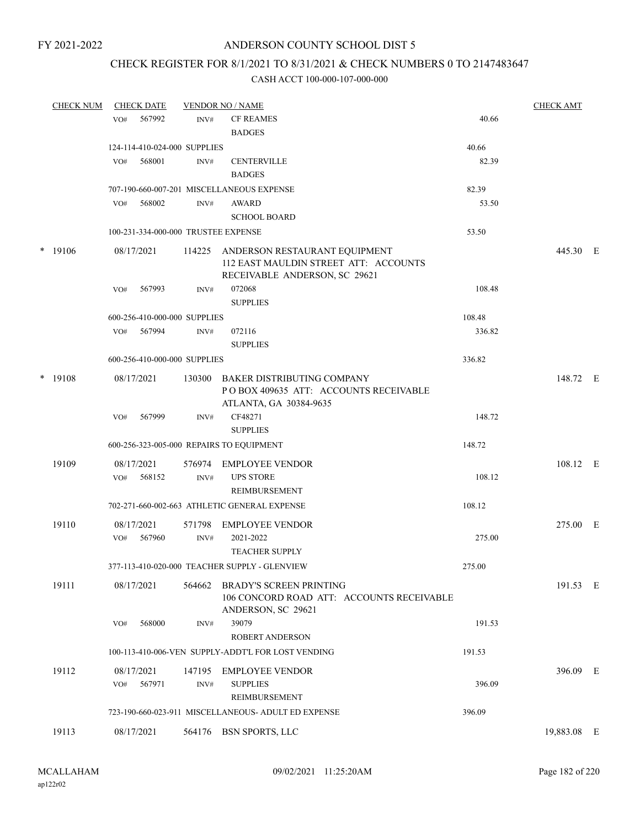### CHECK REGISTER FOR 8/1/2021 TO 8/31/2021 & CHECK NUMBERS 0 TO 2147483647

| <b>CHECK NUM</b> |                   | <b>CHECK DATE</b>                   |                | <b>VENDOR NO / NAME</b>                                                                                 |        | <b>CHECK AMT</b> |  |
|------------------|-------------------|-------------------------------------|----------------|---------------------------------------------------------------------------------------------------------|--------|------------------|--|
|                  | VO#               | 567992                              | INV#           | <b>CF REAMES</b>                                                                                        | 40.66  |                  |  |
|                  |                   |                                     |                | <b>BADGES</b>                                                                                           |        |                  |  |
|                  |                   | 124-114-410-024-000 SUPPLIES        |                |                                                                                                         | 40.66  |                  |  |
|                  | VO#               | 568001                              | INV#           | <b>CENTERVILLE</b><br><b>BADGES</b>                                                                     | 82.39  |                  |  |
|                  |                   |                                     |                | 707-190-660-007-201 MISCELLANEOUS EXPENSE                                                               | 82.39  |                  |  |
|                  | VO#               | 568002                              | INV#           | AWARD                                                                                                   | 53.50  |                  |  |
|                  |                   |                                     |                | <b>SCHOOL BOARD</b>                                                                                     |        |                  |  |
|                  |                   | 100-231-334-000-000 TRUSTEE EXPENSE |                |                                                                                                         | 53.50  |                  |  |
| $*$ 19106        | 08/17/2021        |                                     | 114225         | ANDERSON RESTAURANT EQUIPMENT<br>112 EAST MAULDIN STREET ATT: ACCOUNTS<br>RECEIVABLE ANDERSON, SC 29621 |        | 445.30 E         |  |
|                  | VO#               | 567993                              | INV#           | 072068<br><b>SUPPLIES</b>                                                                               | 108.48 |                  |  |
|                  |                   | 600-256-410-000-000 SUPPLIES        |                |                                                                                                         | 108.48 |                  |  |
|                  | VO#               | 567994                              | INV#           | 072116                                                                                                  | 336.82 |                  |  |
|                  |                   |                                     |                | <b>SUPPLIES</b>                                                                                         |        |                  |  |
|                  |                   | 600-256-410-000-000 SUPPLIES        |                |                                                                                                         | 336.82 |                  |  |
| $*$ 19108        | 08/17/2021        |                                     | 130300         | <b>BAKER DISTRIBUTING COMPANY</b><br>PO BOX 409635 ATT: ACCOUNTS RECEIVABLE<br>ATLANTA, GA 30384-9635   |        | 148.72 E         |  |
|                  | VO#               | 567999                              | INV#           | CF48271<br><b>SUPPLIES</b>                                                                              | 148.72 |                  |  |
|                  |                   |                                     |                | 600-256-323-005-000 REPAIRS TO EQUIPMENT                                                                | 148.72 |                  |  |
| 19109            | 08/17/2021        |                                     | 576974         | <b>EMPLOYEE VENDOR</b>                                                                                  |        | 108.12 E         |  |
|                  | VO#               | 568152                              | INV#           | <b>UPS STORE</b><br>REIMBURSEMENT                                                                       | 108.12 |                  |  |
|                  |                   |                                     |                | 702-271-660-002-663 ATHLETIC GENERAL EXPENSE                                                            | 108.12 |                  |  |
| 19110            | 08/17/2021        |                                     | 571798         | <b>EMPLOYEE VENDOR</b>                                                                                  |        | 275.00 E         |  |
|                  | VO#               | 567960                              | INV#           | 2021-2022<br><b>TEACHER SUPPLY</b>                                                                      | 275.00 |                  |  |
|                  |                   |                                     |                | 377-113-410-020-000 TEACHER SUPPLY - GLENVIEW                                                           | 275.00 |                  |  |
| 19111            | 08/17/2021        |                                     | 564662         | <b>BRADY'S SCREEN PRINTING</b><br>106 CONCORD ROAD ATT: ACCOUNTS RECEIVABLE<br>ANDERSON, SC 29621       |        | 191.53 E         |  |
|                  | VO#               | 568000                              | INV#           | 39079<br>ROBERT ANDERSON                                                                                | 191.53 |                  |  |
|                  |                   |                                     |                | 100-113-410-006-VEN SUPPLY-ADDT'L FOR LOST VENDING                                                      | 191.53 |                  |  |
| 19112            |                   |                                     |                | EMPLOYEE VENDOR                                                                                         |        | 396.09 E         |  |
|                  | 08/17/2021<br>VO# | 567971                              | 147195<br>INV# | <b>SUPPLIES</b>                                                                                         | 396.09 |                  |  |
|                  |                   |                                     |                | REIMBURSEMENT                                                                                           |        |                  |  |
|                  |                   |                                     |                | 723-190-660-023-911 MISCELLANEOUS- ADULT ED EXPENSE                                                     | 396.09 |                  |  |
|                  |                   |                                     |                |                                                                                                         |        |                  |  |
| 19113            | 08/17/2021        |                                     |                | 564176 BSN SPORTS, LLC                                                                                  |        | 19,883.08 E      |  |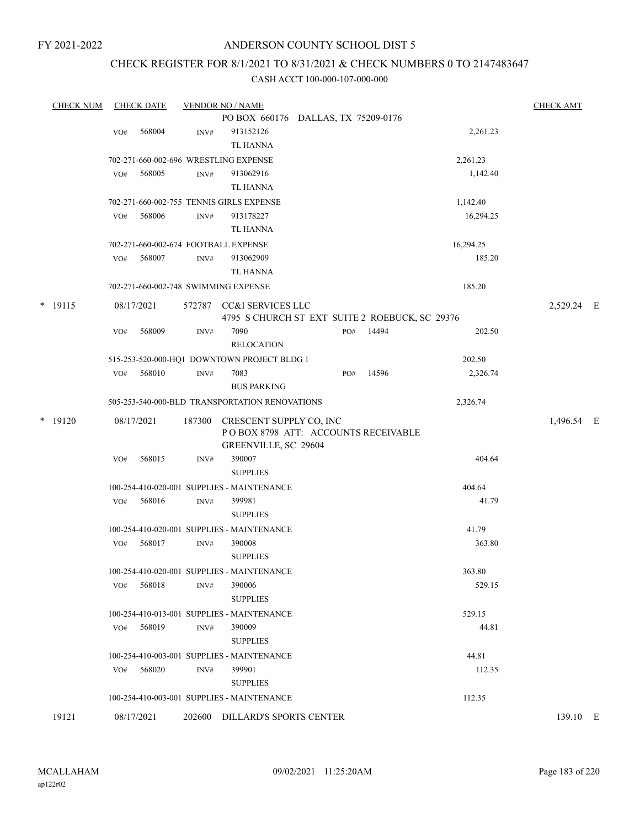### ANDERSON COUNTY SCHOOL DIST 5

### CHECK REGISTER FOR 8/1/2021 TO 8/31/2021 & CHECK NUMBERS 0 TO 2147483647

| <b>CHECK NUM</b> |     | <b>CHECK DATE</b> |        | <b>VENDOR NO / NAME</b>                         |                                                |       |           | <b>CHECK AMT</b> |  |
|------------------|-----|-------------------|--------|-------------------------------------------------|------------------------------------------------|-------|-----------|------------------|--|
|                  |     |                   |        |                                                 | PO BOX 660176 DALLAS, TX 75209-0176            |       |           |                  |  |
|                  | VO# | 568004            | INV#   | 913152126                                       |                                                |       | 2,261.23  |                  |  |
|                  |     |                   |        | <b>TL HANNA</b>                                 |                                                |       |           |                  |  |
|                  |     |                   |        | 702-271-660-002-696 WRESTLING EXPENSE           |                                                |       | 2,261.23  |                  |  |
|                  | VO# | 568005            | INV#   | 913062916                                       |                                                |       | 1,142.40  |                  |  |
|                  |     |                   |        | TL HANNA                                        |                                                |       |           |                  |  |
|                  |     |                   |        | 702-271-660-002-755 TENNIS GIRLS EXPENSE        |                                                |       | 1,142.40  |                  |  |
|                  | VO# | 568006            | INV#   | 913178227                                       |                                                |       | 16,294.25 |                  |  |
|                  |     |                   |        | <b>TL HANNA</b>                                 |                                                |       |           |                  |  |
|                  |     |                   |        | 702-271-660-002-674 FOOTBALL EXPENSE            |                                                |       | 16,294.25 |                  |  |
|                  | VO# | 568007            | INV#   | 913062909                                       |                                                |       | 185.20    |                  |  |
|                  |     |                   |        | TL HANNA                                        |                                                |       |           |                  |  |
|                  |     |                   |        | 702-271-660-002-748 SWIMMING EXPENSE            |                                                |       | 185.20    |                  |  |
| $*$ 19115        |     | 08/17/2021        |        | 572787 CC&I SERVICES LLC                        |                                                |       |           | 2,529.24 E       |  |
|                  |     |                   |        |                                                 | 4795 S CHURCH ST EXT SUITE 2 ROEBUCK, SC 29376 |       |           |                  |  |
|                  | VO# | 568009            | INV#   | 7090                                            | PO#                                            | 14494 | 202.50    |                  |  |
|                  |     |                   |        | <b>RELOCATION</b>                               |                                                |       |           |                  |  |
|                  |     |                   |        | 515-253-520-000-HQ1 DOWNTOWN PROJECT BLDG 1     |                                                |       | 202.50    |                  |  |
|                  | VO# | 568010            | INV#   | 7083                                            | PO#                                            | 14596 | 2,326.74  |                  |  |
|                  |     |                   |        | <b>BUS PARKING</b>                              |                                                |       |           |                  |  |
|                  |     |                   |        | 505-253-540-000-BLD TRANSPORTATION RENOVATIONS  |                                                |       | 2,326.74  |                  |  |
| $*$ 19120        |     | 08/17/2021        | 187300 | CRESCENT SUPPLY CO, INC<br>GREENVILLE, SC 29604 | POBOX 8798 ATT: ACCOUNTS RECEIVABLE            |       |           | 1,496.54 E       |  |
|                  | VO# | 568015            | INV#   | 390007<br><b>SUPPLIES</b>                       |                                                |       | 404.64    |                  |  |
|                  |     |                   |        | 100-254-410-020-001 SUPPLIES - MAINTENANCE      |                                                |       | 404.64    |                  |  |
|                  | VO# | 568016            | INV#   | 399981                                          |                                                |       | 41.79     |                  |  |
|                  |     |                   |        | <b>SUPPLIES</b>                                 |                                                |       |           |                  |  |
|                  |     |                   |        | 100-254-410-020-001 SUPPLIES - MAINTENANCE      |                                                |       | 41.79     |                  |  |
|                  | VO# | 568017            | INV#   | 390008                                          |                                                |       | 363.80    |                  |  |
|                  |     |                   |        | <b>SUPPLIES</b>                                 |                                                |       |           |                  |  |
|                  |     |                   |        | 100-254-410-020-001 SUPPLIES - MAINTENANCE      |                                                |       | 363.80    |                  |  |
|                  | VO# | 568018            | INV#   | 390006                                          |                                                |       | 529.15    |                  |  |
|                  |     |                   |        | <b>SUPPLIES</b>                                 |                                                |       |           |                  |  |
|                  |     |                   |        | 100-254-410-013-001 SUPPLIES - MAINTENANCE      |                                                |       | 529.15    |                  |  |
|                  | VO# | 568019            | INV#   | 390009                                          |                                                |       | 44.81     |                  |  |
|                  |     |                   |        | <b>SUPPLIES</b>                                 |                                                |       |           |                  |  |
|                  |     |                   |        | 100-254-410-003-001 SUPPLIES - MAINTENANCE      |                                                |       | 44.81     |                  |  |
|                  | VO# | 568020            | INV#   | 399901                                          |                                                |       | 112.35    |                  |  |
|                  |     |                   |        | <b>SUPPLIES</b>                                 |                                                |       |           |                  |  |
|                  |     |                   |        | 100-254-410-003-001 SUPPLIES - MAINTENANCE      |                                                |       | 112.35    |                  |  |
| 19121            |     | 08/17/2021        |        | 202600 DILLARD'S SPORTS CENTER                  |                                                |       |           | 139.10 E         |  |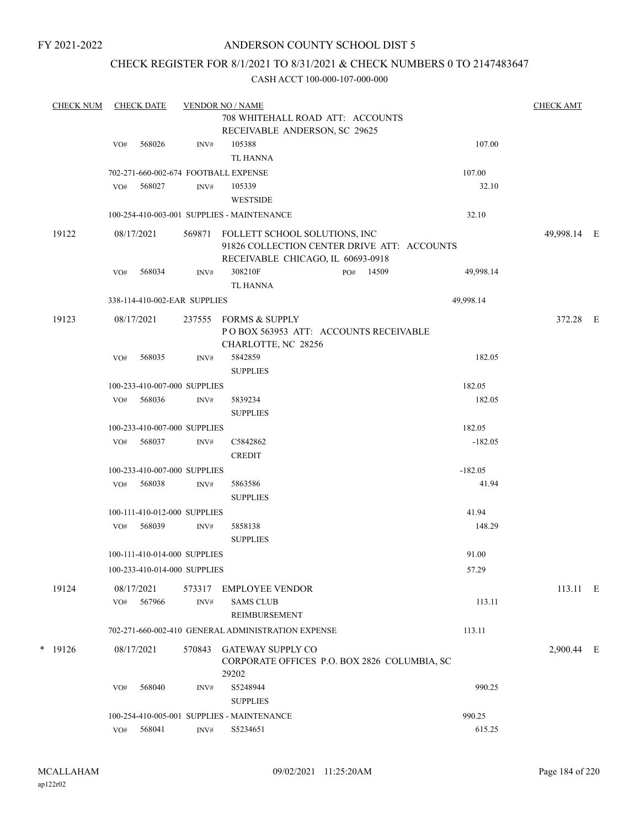### ANDERSON COUNTY SCHOOL DIST 5

### CHECK REGISTER FOR 8/1/2021 TO 8/31/2021 & CHECK NUMBERS 0 TO 2147483647

| <b>CHECK NUM</b> |     | <b>CHECK DATE</b>            |                | <b>VENDOR NO / NAME</b>                                                   |                                              |           | <b>CHECK AMT</b> |  |
|------------------|-----|------------------------------|----------------|---------------------------------------------------------------------------|----------------------------------------------|-----------|------------------|--|
|                  |     |                              |                | 708 WHITEHALL ROAD ATT: ACCOUNTS                                          |                                              |           |                  |  |
|                  |     |                              |                | RECEIVABLE ANDERSON, SC 29625                                             |                                              |           |                  |  |
|                  | VO# | 568026                       | INV#           | 105388                                                                    |                                              | 107.00    |                  |  |
|                  |     |                              |                | <b>TL HANNA</b>                                                           |                                              |           |                  |  |
|                  |     |                              |                | 702-271-660-002-674 FOOTBALL EXPENSE                                      |                                              | 107.00    |                  |  |
|                  | VO# | 568027                       | INV#           | 105339<br><b>WESTSIDE</b>                                                 |                                              | 32.10     |                  |  |
|                  |     |                              |                | 100-254-410-003-001 SUPPLIES - MAINTENANCE                                |                                              | 32.10     |                  |  |
| 19122            |     | 08/17/2021                   |                | 569871 FOLLETT SCHOOL SOLUTIONS, INC<br>RECEIVABLE CHICAGO, IL 60693-0918 | 91826 COLLECTION CENTER DRIVE ATT: ACCOUNTS  |           | 49,998.14 E      |  |
|                  |     | VO# 568034                   | INV#           | 308210F                                                                   | PO# 14509                                    | 49,998.14 |                  |  |
|                  |     |                              |                | <b>TL HANNA</b>                                                           |                                              |           |                  |  |
|                  |     | 338-114-410-002-EAR SUPPLIES |                |                                                                           |                                              | 49,998.14 |                  |  |
| 19123            |     | 08/17/2021                   |                | 237555 FORMS & SUPPLY<br>CHARLOTTE, NC 28256                              | POBOX 563953 ATT: ACCOUNTS RECEIVABLE        |           | 372.28 E         |  |
|                  | VO# | 568035                       | INV#           | 5842859<br><b>SUPPLIES</b>                                                |                                              | 182.05    |                  |  |
|                  |     | 100-233-410-007-000 SUPPLIES |                |                                                                           |                                              | 182.05    |                  |  |
|                  | VO# | 568036                       | INV#           | 5839234                                                                   |                                              | 182.05    |                  |  |
|                  |     |                              |                | <b>SUPPLIES</b>                                                           |                                              |           |                  |  |
|                  |     | 100-233-410-007-000 SUPPLIES |                |                                                                           |                                              | 182.05    |                  |  |
|                  | VO# | 568037                       | INV#           | C5842862                                                                  |                                              | $-182.05$ |                  |  |
|                  |     |                              |                | <b>CREDIT</b>                                                             |                                              |           |                  |  |
|                  |     | 100-233-410-007-000 SUPPLIES |                |                                                                           |                                              | $-182.05$ |                  |  |
|                  | VO# | 568038                       | INV#           | 5863586<br><b>SUPPLIES</b>                                                |                                              | 41.94     |                  |  |
|                  |     | 100-111-410-012-000 SUPPLIES |                |                                                                           |                                              | 41.94     |                  |  |
|                  | VO# | 568039                       | INV#           | 5858138                                                                   |                                              | 148.29    |                  |  |
|                  |     |                              |                | <b>SUPPLIES</b>                                                           |                                              |           |                  |  |
|                  |     | 100-111-410-014-000 SUPPLIES |                |                                                                           |                                              | 91.00     |                  |  |
|                  |     | 100-233-410-014-000 SUPPLIES |                |                                                                           |                                              | 57.29     |                  |  |
|                  |     |                              |                |                                                                           |                                              |           |                  |  |
| 19124            | VO# | 08/17/2021<br>567966         | 573317<br>INV# | <b>EMPLOYEE VENDOR</b><br><b>SAMS CLUB</b><br>REIMBURSEMENT               |                                              | 113.11    | 113.11 E         |  |
|                  |     |                              |                | 702-271-660-002-410 GENERAL ADMINISTRATION EXPENSE                        |                                              | 113.11    |                  |  |
|                  |     |                              |                |                                                                           |                                              |           |                  |  |
| $*$ 19126        |     | 08/17/2021                   | 570843         | <b>GATEWAY SUPPLY CO</b><br>29202                                         | CORPORATE OFFICES P.O. BOX 2826 COLUMBIA, SC |           | 2,900.44 E       |  |
|                  | VO# | 568040                       | INV#           | S5248944<br><b>SUPPLIES</b>                                               |                                              | 990.25    |                  |  |
|                  |     |                              |                | 100-254-410-005-001 SUPPLIES - MAINTENANCE                                |                                              | 990.25    |                  |  |
|                  | VO# | 568041                       | INV#           | S5234651                                                                  |                                              | 615.25    |                  |  |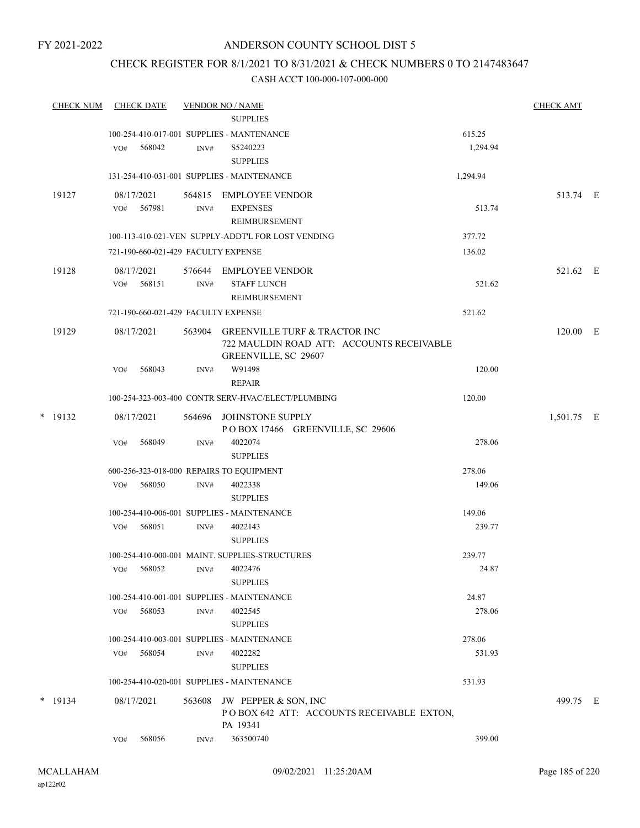### CHECK REGISTER FOR 8/1/2021 TO 8/31/2021 & CHECK NUMBERS 0 TO 2147483647

| <b>CHECK NUM</b> |            | <b>CHECK DATE</b>    |        | <b>VENDOR NO / NAME</b><br><b>SUPPLIES</b>                                                                |                    | <b>CHECK AMT</b> |  |
|------------------|------------|----------------------|--------|-----------------------------------------------------------------------------------------------------------|--------------------|------------------|--|
|                  | VO#        | 568042               | INV#   | 100-254-410-017-001 SUPPLIES - MANTENANCE<br>S5240223<br><b>SUPPLIES</b>                                  | 615.25<br>1,294.94 |                  |  |
|                  |            |                      |        | 131-254-410-031-001 SUPPLIES - MAINTENANCE                                                                | 1,294.94           |                  |  |
| 19127            | VO#        | 08/17/2021<br>567981 | INV#   | 564815 EMPLOYEE VENDOR<br><b>EXPENSES</b>                                                                 | 513.74             | 513.74 E         |  |
|                  |            |                      |        | REIMBURSEMENT<br>100-113-410-021-VEN SUPPLY-ADDT'L FOR LOST VENDING                                       | 377.72             |                  |  |
|                  |            |                      |        | 721-190-660-021-429 FACULTY EXPENSE                                                                       | 136.02             |                  |  |
| 19128            | VO#        | 08/17/2021<br>568151 | INV#   | 576644 EMPLOYEE VENDOR<br><b>STAFF LUNCH</b>                                                              | 521.62             | 521.62 E         |  |
|                  |            |                      |        | REIMBURSEMENT                                                                                             |                    |                  |  |
|                  |            |                      |        | 721-190-660-021-429 FACULTY EXPENSE                                                                       | 521.62             |                  |  |
| 19129            | 08/17/2021 |                      |        | 563904 GREENVILLE TURF & TRACTOR INC<br>722 MAULDIN ROAD ATT: ACCOUNTS RECEIVABLE<br>GREENVILLE, SC 29607 |                    | 120.00 E         |  |
|                  | VO#        | 568043               | INV#   | W91498<br><b>REPAIR</b>                                                                                   | 120.00             |                  |  |
|                  |            |                      |        | 100-254-323-003-400 CONTR SERV-HVAC/ELECT/PLUMBING                                                        | 120.00             |                  |  |
| $*$ 19132        |            | 08/17/2021           | 564696 | JOHNSTONE SUPPLY<br>POBOX 17466 GREENVILLE, SC 29606                                                      |                    | 1,501.75 E       |  |
|                  | VO#        | 568049               | INV#   | 4022074<br><b>SUPPLIES</b>                                                                                | 278.06             |                  |  |
|                  |            |                      |        | 600-256-323-018-000 REPAIRS TO EQUIPMENT                                                                  | 278.06             |                  |  |
|                  | VO#        | 568050               | INV#   | 4022338<br><b>SUPPLIES</b>                                                                                | 149.06             |                  |  |
|                  |            |                      |        | 100-254-410-006-001 SUPPLIES - MAINTENANCE                                                                | 149.06             |                  |  |
|                  | VO#        | 568051               | INV#   | 4022143<br><b>SUPPLIES</b>                                                                                | 239.77             |                  |  |
|                  |            |                      |        | 100-254-410-000-001 MAINT, SUPPLIES-STRUCTURES                                                            | 239.77             |                  |  |
|                  | VO#        | 568052               | INV#   | 4022476<br><b>SUPPLIES</b>                                                                                | 24.87              |                  |  |
|                  | VO#        | 568053               | INV#   | 100-254-410-001-001 SUPPLIES - MAINTENANCE<br>4022545<br><b>SUPPLIES</b>                                  | 24.87<br>278.06    |                  |  |
|                  |            |                      |        | 100-254-410-003-001 SUPPLIES - MAINTENANCE                                                                | 278.06             |                  |  |
|                  | VO#        | 568054               | INV#   | 4022282<br><b>SUPPLIES</b>                                                                                | 531.93             |                  |  |
|                  |            |                      |        | 100-254-410-020-001 SUPPLIES - MAINTENANCE                                                                | 531.93             |                  |  |
| $*$ 19134        | 08/17/2021 |                      | 563608 | JW PEPPER & SON, INC<br>POBOX 642 ATT: ACCOUNTS RECEIVABLE EXTON,<br>PA 19341                             |                    | 499.75 E         |  |
|                  | VO#        | 568056               | INV#   | 363500740                                                                                                 | 399.00             |                  |  |
|                  |            |                      |        |                                                                                                           |                    |                  |  |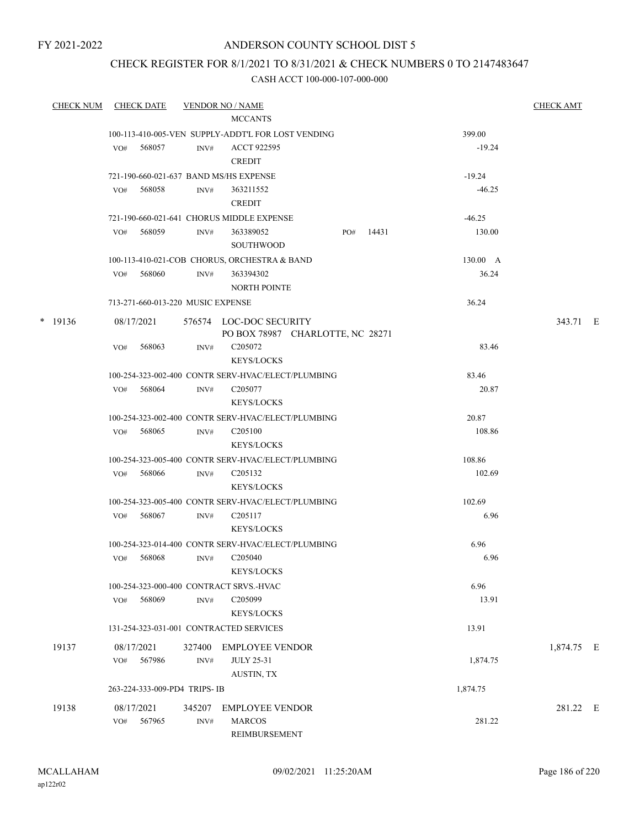### ANDERSON COUNTY SCHOOL DIST 5

### CHECK REGISTER FOR 8/1/2021 TO 8/31/2021 & CHECK NUMBERS 0 TO 2147483647

| CHECK NUM CHECK DATE |                   |                                   |                | <b>VENDOR NO / NAME</b>                                     |                 | <b>CHECK AMT</b> |  |
|----------------------|-------------------|-----------------------------------|----------------|-------------------------------------------------------------|-----------------|------------------|--|
|                      |                   |                                   |                | <b>MCCANTS</b>                                              |                 |                  |  |
|                      |                   |                                   |                | 100-113-410-005-VEN SUPPLY-ADDT'L FOR LOST VENDING          | 399.00          |                  |  |
|                      | VO#               | 568057                            | INV#           | <b>ACCT 922595</b><br><b>CREDIT</b>                         | $-19.24$        |                  |  |
|                      |                   |                                   |                | 721-190-660-021-637 BAND MS/HS EXPENSE                      | $-19.24$        |                  |  |
|                      | VO#               | 568058                            | INV#           | 363211552<br><b>CREDIT</b>                                  | $-46.25$        |                  |  |
|                      |                   |                                   |                | 721-190-660-021-641 CHORUS MIDDLE EXPENSE                   | $-46.25$        |                  |  |
|                      |                   | VO# 568059                        | INV#           | 363389052<br>14431<br>PO#<br><b>SOUTHWOOD</b>               | 130.00          |                  |  |
|                      |                   |                                   |                | 100-113-410-021-COB CHORUS, ORCHESTRA & BAND                | $130.00\quad A$ |                  |  |
|                      | VO#               | 568060                            | INV#           | 363394302<br><b>NORTH POINTE</b>                            | 36.24           |                  |  |
|                      |                   | 713-271-660-013-220 MUSIC EXPENSE |                |                                                             | 36.24           |                  |  |
| $*$ 19136            | 08/17/2021        |                                   |                | 576574 LOC-DOC SECURITY<br>PO BOX 78987 CHARLOTTE, NC 28271 |                 | 343.71 E         |  |
|                      | VO#               | 568063                            | INV#           | C <sub>205072</sub><br><b>KEYS/LOCKS</b>                    | 83.46           |                  |  |
|                      |                   |                                   |                | 100-254-323-002-400 CONTR SERV-HVAC/ELECT/PLUMBING          | 83.46           |                  |  |
|                      | VO#               | 568064                            | INV#           | C <sub>205077</sub><br><b>KEYS/LOCKS</b>                    | 20.87           |                  |  |
|                      |                   |                                   |                | 100-254-323-002-400 CONTR SERV-HVAC/ELECT/PLUMBING          | 20.87           |                  |  |
|                      |                   | VO# 568065                        | INV#           | C <sub>205100</sub><br><b>KEYS/LOCKS</b>                    | 108.86          |                  |  |
|                      |                   |                                   |                | 100-254-323-005-400 CONTR SERV-HVAC/ELECT/PLUMBING          | 108.86          |                  |  |
|                      | VO#               | 568066                            | INV#           | C <sub>205132</sub><br><b>KEYS/LOCKS</b>                    | 102.69          |                  |  |
|                      |                   |                                   |                | 100-254-323-005-400 CONTR SERV-HVAC/ELECT/PLUMBING          | 102.69          |                  |  |
|                      | VO#               | 568067                            | INV#           | C <sub>205117</sub><br><b>KEYS/LOCKS</b>                    | 6.96            |                  |  |
|                      |                   |                                   |                | 100-254-323-014-400 CONTR SERV-HVAC/ELECT/PLUMBING          | 6.96            |                  |  |
|                      |                   | $VO#$ 568068                      | INV#           | C <sub>205040</sub><br>KEYS/LOCKS                           | 6.96            |                  |  |
|                      |                   |                                   |                | 100-254-323-000-400 CONTRACT SRVS.-HVAC                     | 6.96            |                  |  |
|                      | VO#               | 568069                            | $\text{INV}\#$ | C205099<br><b>KEYS/LOCKS</b>                                | 13.91           |                  |  |
|                      |                   |                                   |                | 131-254-323-031-001 CONTRACTED SERVICES                     | 13.91           |                  |  |
| 19137                | 08/17/2021<br>VO# | 567986                            | 327400<br>INV# | <b>EMPLOYEE VENDOR</b><br><b>JULY 25-31</b>                 | 1,874.75        | 1,874.75 E       |  |
|                      |                   |                                   |                | AUSTIN, TX                                                  |                 |                  |  |
|                      |                   | 263-224-333-009-PD4 TRIPS-IB      |                |                                                             | 1,874.75        |                  |  |
| 19138                | 08/17/2021<br>VO# | 567965                            | 345207<br>INV# | <b>EMPLOYEE VENDOR</b><br><b>MARCOS</b><br>REIMBURSEMENT    | 281.22          | 281.22 E         |  |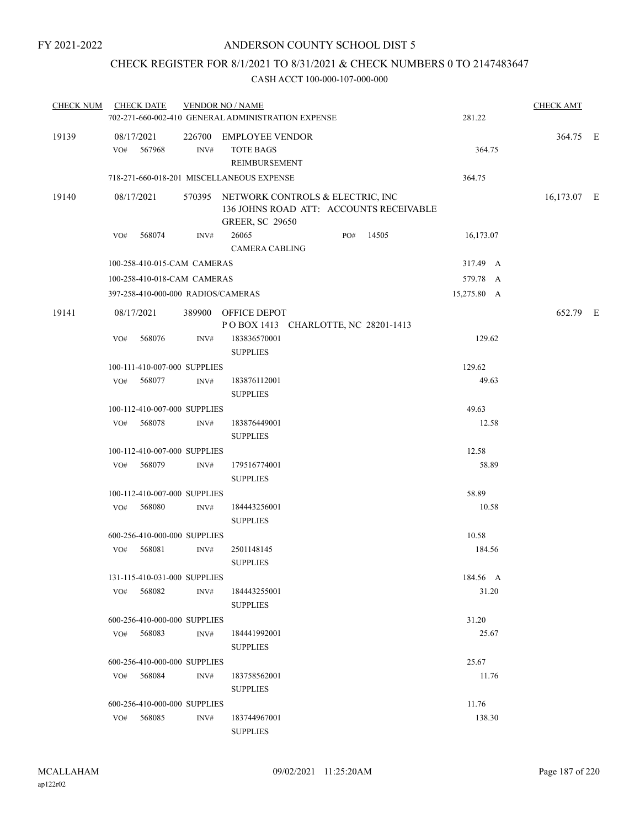### CHECK REGISTER FOR 8/1/2021 TO 8/31/2021 & CHECK NUMBERS 0 TO 2147483647

| <b>CHECK NUM</b> |                   | <b>CHECK DATE</b>            |                  | <b>VENDOR NO / NAME</b><br>702-271-660-002-410 GENERAL ADMINISTRATION EXPENSE                                |     |       | 281.22      | <b>CHECK AMT</b> |  |
|------------------|-------------------|------------------------------|------------------|--------------------------------------------------------------------------------------------------------------|-----|-------|-------------|------------------|--|
| 19139            | 08/17/2021<br>VO# | 567968                       | INV#             | 226700 EMPLOYEE VENDOR<br><b>TOTE BAGS</b><br>REIMBURSEMENT                                                  |     |       | 364.75      | 364.75 E         |  |
|                  |                   |                              |                  | 718-271-660-018-201 MISCELLANEOUS EXPENSE                                                                    |     |       | 364.75      |                  |  |
| 19140            | 08/17/2021        |                              |                  | 570395 NETWORK CONTROLS & ELECTRIC, INC<br>136 JOHNS ROAD ATT: ACCOUNTS RECEIVABLE<br><b>GREER, SC 29650</b> |     |       |             | 16,173.07 E      |  |
|                  | VO#               | 568074                       | INV#             | 26065<br><b>CAMERA CABLING</b>                                                                               | PO# | 14505 | 16,173.07   |                  |  |
|                  |                   | 100-258-410-015-CAM CAMERAS  |                  |                                                                                                              |     |       | 317.49 A    |                  |  |
|                  |                   | 100-258-410-018-CAM CAMERAS  |                  |                                                                                                              |     |       | 579.78 A    |                  |  |
|                  |                   |                              |                  | 397-258-410-000-000 RADIOS/CAMERAS                                                                           |     |       | 15,275.80 A |                  |  |
| 19141            | 08/17/2021        |                              |                  | 389900 OFFICE DEPOT<br>POBOX 1413 CHARLOTTE, NC 28201-1413                                                   |     |       |             | 652.79 E         |  |
|                  | VO#               | 568076                       | INV#             | 183836570001<br><b>SUPPLIES</b>                                                                              |     |       | 129.62      |                  |  |
|                  |                   | 100-111-410-007-000 SUPPLIES |                  |                                                                                                              |     |       | 129.62      |                  |  |
|                  | VO#               | 568077                       | INV#             | 183876112001<br><b>SUPPLIES</b>                                                                              |     |       | 49.63       |                  |  |
|                  |                   | 100-112-410-007-000 SUPPLIES |                  |                                                                                                              |     |       | 49.63       |                  |  |
|                  | VO#               | 568078                       | INV#             | 183876449001<br><b>SUPPLIES</b>                                                                              |     |       | 12.58       |                  |  |
|                  |                   | 100-112-410-007-000 SUPPLIES |                  |                                                                                                              |     |       | 12.58       |                  |  |
|                  | VO#               | 568079                       | INV#             | 179516774001<br><b>SUPPLIES</b>                                                                              |     |       | 58.89       |                  |  |
|                  |                   | 100-112-410-007-000 SUPPLIES |                  |                                                                                                              |     |       | 58.89       |                  |  |
|                  | VO#               | 568080                       | INV#             | 184443256001<br><b>SUPPLIES</b>                                                                              |     |       | 10.58       |                  |  |
|                  |                   | 600-256-410-000-000 SUPPLIES |                  |                                                                                                              |     |       | 10.58       |                  |  |
|                  | VO#               | 568081                       | $\mathrm{INV}\#$ | 2501148145<br><b>SUPPLIES</b>                                                                                |     |       | 184.56      |                  |  |
|                  |                   | 131-115-410-031-000 SUPPLIES |                  |                                                                                                              |     |       | 184.56 A    |                  |  |
|                  | VO#               | 568082                       | INV#             | 184443255001<br><b>SUPPLIES</b>                                                                              |     |       | 31.20       |                  |  |
|                  |                   | 600-256-410-000-000 SUPPLIES |                  |                                                                                                              |     |       | 31.20       |                  |  |
|                  | VO#               | 568083                       | INV#             | 184441992001<br><b>SUPPLIES</b>                                                                              |     |       | 25.67       |                  |  |
|                  |                   | 600-256-410-000-000 SUPPLIES |                  |                                                                                                              |     |       | 25.67       |                  |  |
|                  |                   | VO# 568084                   | INV#             | 183758562001<br><b>SUPPLIES</b>                                                                              |     |       | 11.76       |                  |  |
|                  |                   | 600-256-410-000-000 SUPPLIES |                  |                                                                                                              |     |       | 11.76       |                  |  |
|                  | VO#               | 568085                       | INV#             | 183744967001<br><b>SUPPLIES</b>                                                                              |     |       | 138.30      |                  |  |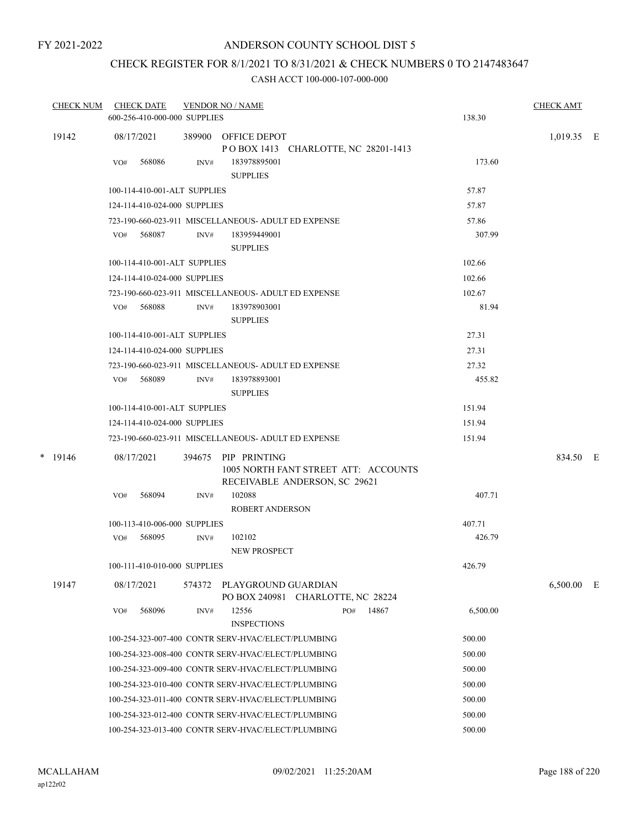### ANDERSON COUNTY SCHOOL DIST 5

# CHECK REGISTER FOR 8/1/2021 TO 8/31/2021 & CHECK NUMBERS 0 TO 2147483647

| <b>CHECK NUM</b> | <b>CHECK DATE</b><br>600-256-410-000-000 SUPPLIES |        | <b>VENDOR NO / NAME</b>                                                               |     |       | 138.30   | <b>CHECK AMT</b> |   |
|------------------|---------------------------------------------------|--------|---------------------------------------------------------------------------------------|-----|-------|----------|------------------|---|
| 19142            | 08/17/2021                                        |        | 389900 OFFICE DEPOT<br>POBOX 1413 CHARLOTTE, NC 28201-1413                            |     |       |          | $1,019.35$ E     |   |
|                  | 568086<br>VO#                                     | INV#   | 183978895001<br><b>SUPPLIES</b>                                                       |     |       | 173.60   |                  |   |
|                  | 100-114-410-001-ALT SUPPLIES                      |        |                                                                                       |     |       | 57.87    |                  |   |
|                  | 124-114-410-024-000 SUPPLIES                      |        |                                                                                       |     |       | 57.87    |                  |   |
|                  |                                                   |        | 723-190-660-023-911 MISCELLANEOUS- ADULT ED EXPENSE                                   |     |       | 57.86    |                  |   |
|                  | 568087<br>VO#                                     | INV#   | 183959449001<br><b>SUPPLIES</b>                                                       |     |       | 307.99   |                  |   |
|                  | 100-114-410-001-ALT SUPPLIES                      |        |                                                                                       |     |       | 102.66   |                  |   |
|                  | 124-114-410-024-000 SUPPLIES                      |        |                                                                                       |     |       | 102.66   |                  |   |
|                  |                                                   |        | 723-190-660-023-911 MISCELLANEOUS- ADULT ED EXPENSE                                   |     |       | 102.67   |                  |   |
|                  | VO# 568088                                        | INV#   | 183978903001<br><b>SUPPLIES</b>                                                       |     |       | 81.94    |                  |   |
|                  | 100-114-410-001-ALT SUPPLIES                      |        |                                                                                       |     |       | 27.31    |                  |   |
|                  | 124-114-410-024-000 SUPPLIES                      |        |                                                                                       |     |       | 27.31    |                  |   |
|                  |                                                   |        | 723-190-660-023-911 MISCELLANEOUS- ADULT ED EXPENSE                                   |     |       | 27.32    |                  |   |
|                  | VO# 568089                                        | INV#   | 183978893001<br><b>SUPPLIES</b>                                                       |     |       | 455.82   |                  |   |
|                  | 100-114-410-001-ALT SUPPLIES                      |        |                                                                                       |     |       | 151.94   |                  |   |
|                  | 124-114-410-024-000 SUPPLIES                      |        |                                                                                       |     |       | 151.94   |                  |   |
|                  |                                                   |        | 723-190-660-023-911 MISCELLANEOUS- ADULT ED EXPENSE                                   |     |       | 151.94   |                  |   |
| $*$ 19146        | 08/17/2021                                        | 394675 | PIP PRINTING<br>1005 NORTH FANT STREET ATT: ACCOUNTS<br>RECEIVABLE ANDERSON, SC 29621 |     |       |          | 834.50 E         |   |
|                  | 568094<br>VO#                                     | INV#   | 102088<br><b>ROBERT ANDERSON</b>                                                      |     |       | 407.71   |                  |   |
|                  | 100-113-410-006-000 SUPPLIES                      |        |                                                                                       |     |       | 407.71   |                  |   |
|                  | 568095<br>VO#                                     | INV#   | 102102<br><b>NEW PROSPECT</b>                                                         |     |       | 426.79   |                  |   |
|                  | 100-111-410-010-000 SUPPLIES                      |        |                                                                                       |     |       | 426.79   |                  |   |
| 19147            | 08/17/2021                                        |        | 574372 PLAYGROUND GUARDIAN<br>PO BOX 240981 CHARLOTTE, NC 28224                       |     |       |          | 6,500.00         | E |
|                  | 568096<br>VO#                                     | INV#   | 12556<br><b>INSPECTIONS</b>                                                           | PO# | 14867 | 6,500.00 |                  |   |
|                  |                                                   |        | 100-254-323-007-400 CONTR SERV-HVAC/ELECT/PLUMBING                                    |     |       | 500.00   |                  |   |
|                  |                                                   |        | 100-254-323-008-400 CONTR SERV-HVAC/ELECT/PLUMBING                                    |     |       | 500.00   |                  |   |
|                  |                                                   |        | 100-254-323-009-400 CONTR SERV-HVAC/ELECT/PLUMBING                                    |     |       | 500.00   |                  |   |
|                  |                                                   |        | 100-254-323-010-400 CONTR SERV-HVAC/ELECT/PLUMBING                                    |     |       | 500.00   |                  |   |
|                  |                                                   |        | 100-254-323-011-400 CONTR SERV-HVAC/ELECT/PLUMBING                                    |     |       | 500.00   |                  |   |
|                  |                                                   |        | 100-254-323-012-400 CONTR SERV-HVAC/ELECT/PLUMBING                                    |     |       | 500.00   |                  |   |
|                  |                                                   |        | 100-254-323-013-400 CONTR SERV-HVAC/ELECT/PLUMBING                                    |     |       | 500.00   |                  |   |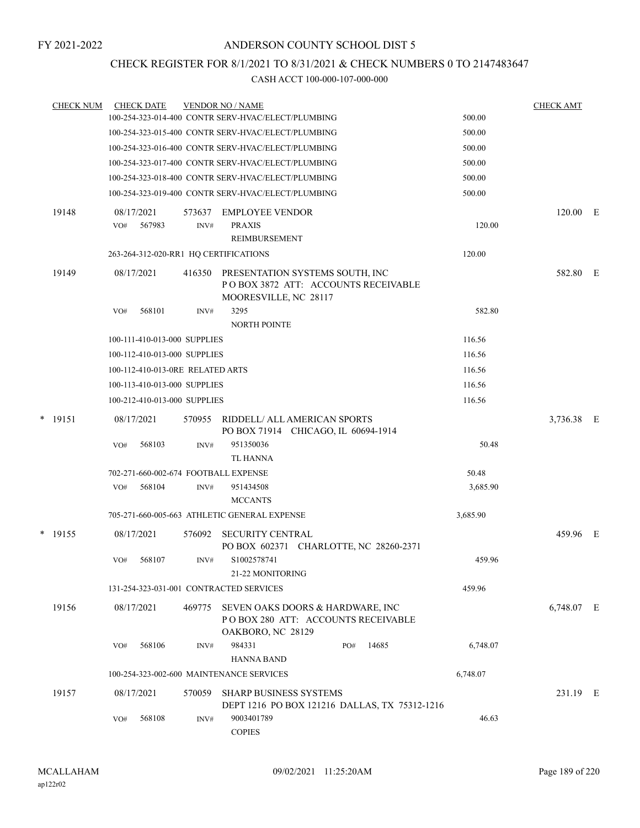### CHECK REGISTER FOR 8/1/2021 TO 8/31/2021 & CHECK NUMBERS 0 TO 2147483647

| <b>CHECK NUM</b> |            | <b>CHECK DATE</b>                |        | <b>VENDOR NO / NAME</b>                                                                         |          | <b>CHECK AMT</b> |  |
|------------------|------------|----------------------------------|--------|-------------------------------------------------------------------------------------------------|----------|------------------|--|
|                  |            |                                  |        | 100-254-323-014-400 CONTR SERV-HVAC/ELECT/PLUMBING                                              | 500.00   |                  |  |
|                  |            |                                  |        | 100-254-323-015-400 CONTR SERV-HVAC/ELECT/PLUMBING                                              | 500.00   |                  |  |
|                  |            |                                  |        | 100-254-323-016-400 CONTR SERV-HVAC/ELECT/PLUMBING                                              | 500.00   |                  |  |
|                  |            |                                  |        | 100-254-323-017-400 CONTR SERV-HVAC/ELECT/PLUMBING                                              | 500.00   |                  |  |
|                  |            |                                  |        | 100-254-323-018-400 CONTR SERV-HVAC/ELECT/PLUMBING                                              | 500.00   |                  |  |
|                  |            |                                  |        | 100-254-323-019-400 CONTR SERV-HVAC/ELECT/PLUMBING                                              | 500.00   |                  |  |
| 19148            | 08/17/2021 |                                  | 573637 | <b>EMPLOYEE VENDOR</b>                                                                          |          | 120.00 E         |  |
|                  | VO#        | 567983                           | INV#   | <b>PRAXIS</b>                                                                                   | 120.00   |                  |  |
|                  |            |                                  |        | REIMBURSEMENT                                                                                   |          |                  |  |
|                  |            |                                  |        | 263-264-312-020-RR1 HQ CERTIFICATIONS                                                           | 120.00   |                  |  |
| 19149            | 08/17/2021 |                                  | 416350 | PRESENTATION SYSTEMS SOUTH, INC<br>POBOX 3872 ATT: ACCOUNTS RECEIVABLE<br>MOORESVILLE, NC 28117 |          | 582.80 E         |  |
|                  | VO#        | 568101                           | INV#   | 3295                                                                                            | 582.80   |                  |  |
|                  |            |                                  |        | <b>NORTH POINTE</b>                                                                             |          |                  |  |
|                  |            | 100-111-410-013-000 SUPPLIES     |        |                                                                                                 | 116.56   |                  |  |
|                  |            | 100-112-410-013-000 SUPPLIES     |        |                                                                                                 | 116.56   |                  |  |
|                  |            | 100-112-410-013-0RE RELATED ARTS |        |                                                                                                 | 116.56   |                  |  |
|                  |            | 100-113-410-013-000 SUPPLIES     |        |                                                                                                 | 116.56   |                  |  |
|                  |            | 100-212-410-013-000 SUPPLIES     |        |                                                                                                 | 116.56   |                  |  |
| $*$ 19151        | 08/17/2021 |                                  | 570955 | RIDDELL/ ALL AMERICAN SPORTS<br>PO BOX 71914 CHICAGO, IL 60694-1914                             |          | 3,736.38 E       |  |
|                  | VO#        | 568103                           | INV#   | 951350036                                                                                       | 50.48    |                  |  |
|                  |            |                                  |        | <b>TL HANNA</b>                                                                                 |          |                  |  |
|                  |            |                                  |        | 702-271-660-002-674 FOOTBALL EXPENSE                                                            | 50.48    |                  |  |
|                  | VO#        | 568104                           | INV#   | 951434508                                                                                       | 3,685.90 |                  |  |
|                  |            |                                  |        | <b>MCCANTS</b>                                                                                  |          |                  |  |
|                  |            |                                  |        | 705-271-660-005-663 ATHLETIC GENERAL EXPENSE                                                    | 3,685.90 |                  |  |
| $*$ 19155        | 08/17/2021 |                                  | 576092 | <b>SECURITY CENTRAL</b><br>PO BOX 602371 CHARLOTTE, NC 28260-2371                               |          | 459.96 E         |  |
|                  | VO#        | 568107                           | INV#   | S1002578741<br>21-22 MONITORING                                                                 | 459.96   |                  |  |
|                  |            |                                  |        | 131-254-323-031-001 CONTRACTED SERVICES                                                         | 459.96   |                  |  |
| 19156            | 08/17/2021 |                                  | 469775 | SEVEN OAKS DOORS & HARDWARE, INC<br>POBOX 280 ATT: ACCOUNTS RECEIVABLE<br>OAKBORO, NC 28129     |          | 6,748.07 E       |  |
|                  | VO#        | 568106                           | INV#   | 984331<br>14685<br>PO#<br><b>HANNA BAND</b>                                                     | 6,748.07 |                  |  |
|                  |            |                                  |        | 100-254-323-002-600 MAINTENANCE SERVICES                                                        | 6,748.07 |                  |  |
| 19157            | 08/17/2021 |                                  | 570059 | <b>SHARP BUSINESS SYSTEMS</b>                                                                   |          | 231.19 E         |  |
|                  | VO#        | 568108                           | INV#   | DEPT 1216 PO BOX 121216 DALLAS, TX 75312-1216<br>9003401789<br><b>COPIES</b>                    | 46.63    |                  |  |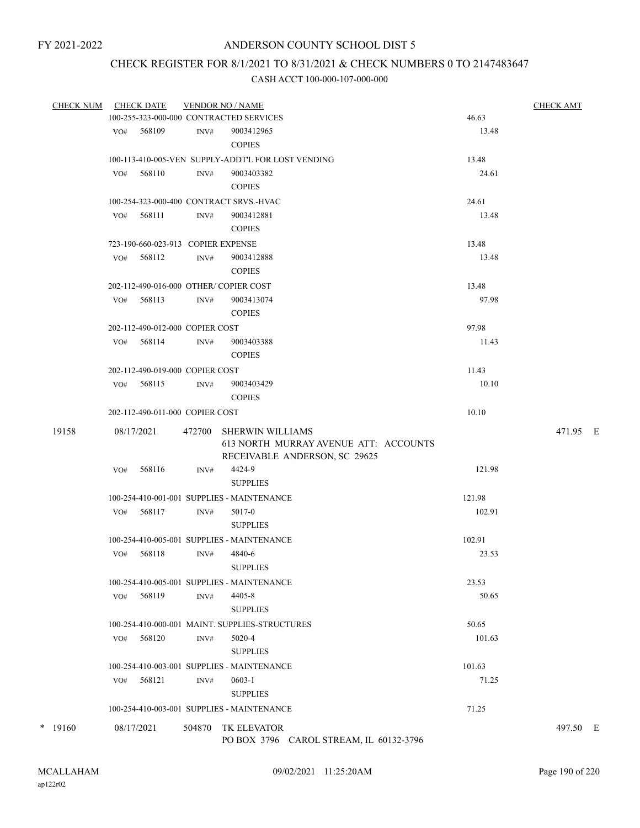## CHECK REGISTER FOR 8/1/2021 TO 8/31/2021 & CHECK NUMBERS 0 TO 2147483647

| <b>CHECK NUM</b> | <b>CHECK DATE</b> |                                       | <b>VENDOR NO / NAME</b>                                                                           |                | <b>CHECK AMT</b> |
|------------------|-------------------|---------------------------------------|---------------------------------------------------------------------------------------------------|----------------|------------------|
|                  |                   |                                       | 100-255-323-000-000 CONTRACTED SERVICES                                                           | 46.63          |                  |
|                  | VO# 568109        | INV#                                  | 9003412965                                                                                        | 13.48          |                  |
|                  |                   |                                       | <b>COPIES</b>                                                                                     |                |                  |
|                  |                   |                                       | 100-113-410-005-VEN SUPPLY-ADDT'L FOR LOST VENDING                                                | 13.48          |                  |
|                  | VO#               | 568110<br>INV#                        | 9003403382                                                                                        | 24.61          |                  |
|                  |                   |                                       | <b>COPIES</b>                                                                                     |                |                  |
|                  |                   |                                       | 100-254-323-000-400 CONTRACT SRVS.-HVAC                                                           | 24.61          |                  |
|                  | VO# 568111        | INV#                                  | 9003412881                                                                                        | 13.48          |                  |
|                  |                   |                                       | <b>COPIES</b>                                                                                     |                |                  |
|                  |                   | 723-190-660-023-913 COPIER EXPENSE    |                                                                                                   | 13.48          |                  |
|                  | 568112<br>VO#     | INV#                                  | 9003412888                                                                                        | 13.48          |                  |
|                  |                   |                                       | <b>COPIES</b>                                                                                     |                |                  |
|                  |                   | 202-112-490-016-000 OTHER/COPIER COST |                                                                                                   | 13.48          |                  |
|                  | VO#               | 568113<br>INV#                        | 9003413074                                                                                        | 97.98          |                  |
|                  |                   |                                       | <b>COPIES</b>                                                                                     |                |                  |
|                  |                   |                                       |                                                                                                   |                |                  |
|                  |                   | 202-112-490-012-000 COPIER COST       |                                                                                                   | 97.98          |                  |
|                  | $VO#$ 568114      | INV#                                  | 9003403388                                                                                        | 11.43          |                  |
|                  |                   |                                       | <b>COPIES</b>                                                                                     |                |                  |
|                  |                   | 202-112-490-019-000 COPIER COST       |                                                                                                   | 11.43          |                  |
|                  | VO# 568115        | INV#                                  | 9003403429                                                                                        | 10.10          |                  |
|                  |                   |                                       | <b>COPIES</b>                                                                                     |                |                  |
|                  |                   | 202-112-490-011-000 COPIER COST       |                                                                                                   | 10.10          |                  |
| 19158            | 08/17/2021        | 472700                                | <b>SHERWIN WILLIAMS</b><br>613 NORTH MURRAY AVENUE ATT: ACCOUNTS<br>RECEIVABLE ANDERSON, SC 29625 |                | 471.95 E         |
|                  | VO#               | 568116<br>INV#                        | 4424-9<br><b>SUPPLIES</b>                                                                         | 121.98         |                  |
|                  |                   |                                       | 100-254-410-001-001 SUPPLIES - MAINTENANCE                                                        | 121.98         |                  |
|                  | VO#               | 568117<br>INV#                        | 5017-0                                                                                            | 102.91         |                  |
|                  |                   |                                       | <b>SUPPLIES</b>                                                                                   |                |                  |
|                  |                   |                                       | 100-254-410-005-001 SUPPLIES - MAINTENANCE                                                        | 102.91         |                  |
|                  | 568118<br>VO#     | INV#                                  | 4840-6                                                                                            | 23.53          |                  |
|                  |                   |                                       | <b>SUPPLIES</b>                                                                                   |                |                  |
|                  |                   |                                       |                                                                                                   |                |                  |
|                  |                   |                                       | 100-254-410-005-001 SUPPLIES - MAINTENANCE                                                        | 23.53<br>50.65 |                  |
|                  | VO#               | 568119<br>INV#                        | 4405-8                                                                                            |                |                  |
|                  |                   |                                       | <b>SUPPLIES</b>                                                                                   |                |                  |
|                  |                   |                                       | 100-254-410-000-001 MAINT. SUPPLIES-STRUCTURES                                                    | 50.65          |                  |
|                  | VO# 568120        | INV#                                  | 5020-4                                                                                            | 101.63         |                  |
|                  |                   |                                       | <b>SUPPLIES</b>                                                                                   |                |                  |
|                  |                   |                                       | 100-254-410-003-001 SUPPLIES - MAINTENANCE                                                        | 101.63         |                  |
|                  | VO# 568121        | INV#                                  | $0603 - 1$                                                                                        | 71.25          |                  |
|                  |                   |                                       | <b>SUPPLIES</b>                                                                                   |                |                  |
|                  |                   |                                       | 100-254-410-003-001 SUPPLIES - MAINTENANCE                                                        | 71.25          |                  |
| $*$ 19160        | 08/17/2021        |                                       | 504870 TK ELEVATOR<br>PO BOX 3796 CAROL STREAM, IL 60132-3796                                     |                | 497.50 E         |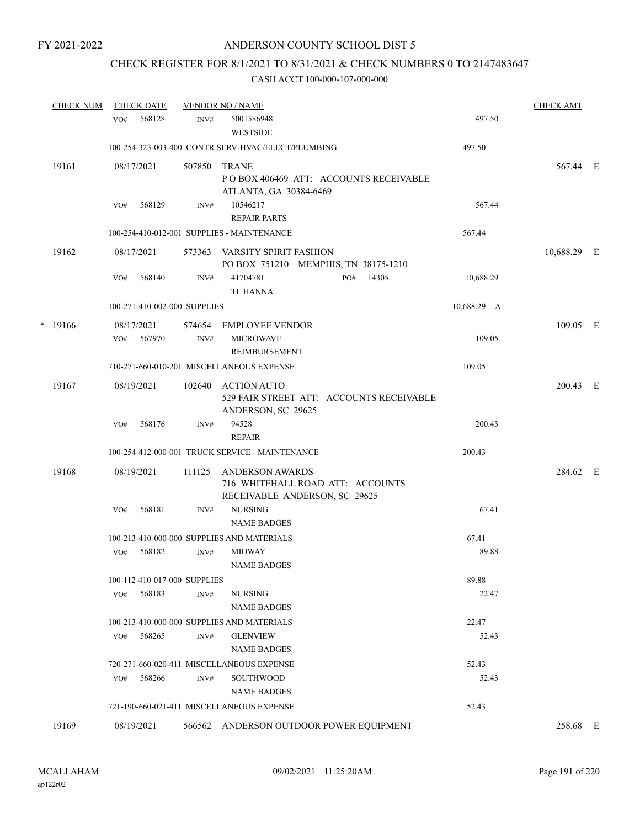# CHECK REGISTER FOR 8/1/2021 TO 8/31/2021 & CHECK NUMBERS 0 TO 2147483647

|   | <b>CHECK NUM</b> |     | <b>CHECK DATE</b>            |                | <b>VENDOR NO / NAME</b>                                                                     |             | <b>CHECK AMT</b> |  |
|---|------------------|-----|------------------------------|----------------|---------------------------------------------------------------------------------------------|-------------|------------------|--|
|   |                  | VO# | 568128                       | INV#           | 5001586948<br><b>WESTSIDE</b>                                                               | 497.50      |                  |  |
|   |                  |     |                              |                | 100-254-323-003-400 CONTR SERV-HVAC/ELECT/PLUMBING                                          | 497.50      |                  |  |
|   | 19161            |     | 08/17/2021                   | 507850         | <b>TRANE</b><br>POBOX 406469 ATT: ACCOUNTS RECEIVABLE<br>ATLANTA, GA 30384-6469             |             | 567.44 E         |  |
|   |                  | VO# | 568129                       | INV#           | 10546217<br><b>REPAIR PARTS</b>                                                             | 567.44      |                  |  |
|   |                  |     |                              |                | 100-254-410-012-001 SUPPLIES - MAINTENANCE                                                  | 567.44      |                  |  |
|   | 19162            |     | 08/17/2021                   | 573363         | VARSITY SPIRIT FASHION<br>PO BOX 751210 MEMPHIS, TN 38175-1210                              |             | 10,688.29 E      |  |
|   |                  | VO# | 568140                       | INV#           | 41704781<br>14305<br>PO#<br><b>TL HANNA</b>                                                 | 10,688.29   |                  |  |
|   |                  |     | 100-271-410-002-000 SUPPLIES |                |                                                                                             | 10,688.29 A |                  |  |
| * | 19166            | VO# | 08/17/2021<br>567970         | 574654<br>INV# | EMPLOYEE VENDOR<br><b>MICROWAVE</b><br>REIMBURSEMENT                                        | 109.05      | 109.05 E         |  |
|   |                  |     |                              |                | 710-271-660-010-201 MISCELLANEOUS EXPENSE                                                   | 109.05      |                  |  |
|   | 19167            |     | 08/19/2021                   | 102640         | <b>ACTION AUTO</b><br>529 FAIR STREET ATT: ACCOUNTS RECEIVABLE<br>ANDERSON, SC 29625        |             | 200.43 E         |  |
|   |                  | VO# | 568176                       | INV#           | 94528<br><b>REPAIR</b>                                                                      | 200.43      |                  |  |
|   |                  |     |                              |                | 100-254-412-000-001 TRUCK SERVICE - MAINTENANCE                                             | 200.43      |                  |  |
|   | 19168            |     | 08/19/2021                   | 111125         | <b>ANDERSON AWARDS</b><br>716 WHITEHALL ROAD ATT: ACCOUNTS<br>RECEIVABLE ANDERSON, SC 29625 |             | 284.62 E         |  |
|   |                  | VO# | 568181                       | INV#           | <b>NURSING</b><br><b>NAME BADGES</b>                                                        | 67.41       |                  |  |
|   |                  |     |                              |                | 100-213-410-000-000 SUPPLIES AND MATERIALS                                                  | 67.41       |                  |  |
|   |                  | VO# | 568182                       | INV#           | <b>MIDWAY</b><br><b>NAME BADGES</b>                                                         | 89.88       |                  |  |
|   |                  |     | 100-112-410-017-000 SUPPLIES |                |                                                                                             | 89.88       |                  |  |
|   |                  | VO# | 568183                       | INV#           | <b>NURSING</b><br><b>NAME BADGES</b>                                                        | 22.47       |                  |  |
|   |                  |     |                              |                | 100-213-410-000-000 SUPPLIES AND MATERIALS                                                  | 22.47       |                  |  |
|   |                  | VO# | 568265                       | INV#           | <b>GLENVIEW</b><br><b>NAME BADGES</b>                                                       | 52.43       |                  |  |
|   |                  |     |                              |                | 720-271-660-020-411 MISCELLANEOUS EXPENSE                                                   | 52.43       |                  |  |
|   |                  | VO# | 568266                       | $\text{INV}\#$ | <b>SOUTHWOOD</b><br><b>NAME BADGES</b>                                                      | 52.43       |                  |  |
|   |                  |     |                              |                | 721-190-660-021-411 MISCELLANEOUS EXPENSE                                                   | 52.43       |                  |  |
|   | 19169            |     | 08/19/2021                   | 566562         | ANDERSON OUTDOOR POWER EQUIPMENT                                                            |             | 258.68 E         |  |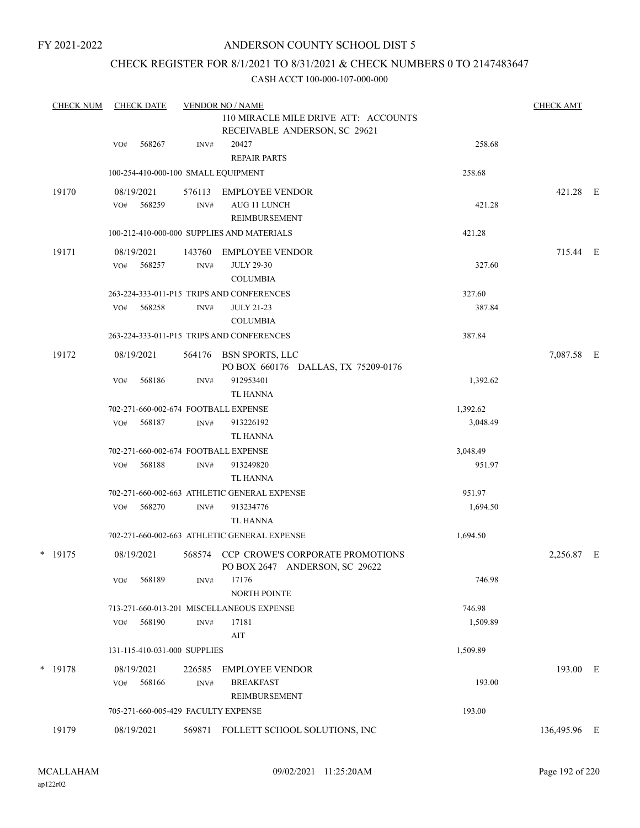### ANDERSON COUNTY SCHOOL DIST 5

### CHECK REGISTER FOR 8/1/2021 TO 8/31/2021 & CHECK NUMBERS 0 TO 2147483647

| <b>CHECK NUM</b> | <b>CHECK DATE</b> |     |                              | <b>VENDOR NO / NAME</b> | <b>CHECK AMT</b>                                                          |                  |              |  |
|------------------|-------------------|-----|------------------------------|-------------------------|---------------------------------------------------------------------------|------------------|--------------|--|
|                  |                   |     |                              |                         | 110 MIRACLE MILE DRIVE ATT: ACCOUNTS<br>RECEIVABLE ANDERSON, SC 29621     |                  |              |  |
|                  |                   | VO# | 568267                       | INV#                    | 20427<br><b>REPAIR PARTS</b>                                              | 258.68           |              |  |
|                  |                   |     |                              |                         | 100-254-410-000-100 SMALL EQUIPMENT                                       | 258.68           |              |  |
|                  | 19170             |     | 08/19/2021                   | 576113                  | <b>EMPLOYEE VENDOR</b>                                                    |                  | 421.28 E     |  |
|                  |                   | VO# | 568259                       | INV#                    | AUG 11 LUNCH                                                              | 421.28           |              |  |
|                  |                   |     |                              |                         | <b>REIMBURSEMENT</b>                                                      |                  |              |  |
|                  |                   |     |                              |                         | 100-212-410-000-000 SUPPLIES AND MATERIALS                                | 421.28           |              |  |
|                  | 19171             |     | 08/19/2021                   | 143760                  | <b>EMPLOYEE VENDOR</b>                                                    |                  | 715.44 E     |  |
|                  |                   | VO# | 568257                       | INV#                    | <b>JULY 29-30</b>                                                         | 327.60           |              |  |
|                  |                   |     |                              |                         | <b>COLUMBIA</b>                                                           |                  |              |  |
|                  |                   |     | 568258                       |                         | 263-224-333-011-P15 TRIPS AND CONFERENCES                                 | 327.60<br>387.84 |              |  |
|                  |                   | VO# |                              | INV#                    | <b>JULY 21-23</b><br><b>COLUMBIA</b>                                      |                  |              |  |
|                  |                   |     |                              |                         | 263-224-333-011-P15 TRIPS AND CONFERENCES                                 | 387.84           |              |  |
|                  |                   |     |                              |                         |                                                                           |                  |              |  |
|                  | 19172             |     | 08/19/2021                   |                         | 564176 BSN SPORTS, LLC<br>PO BOX 660176 DALLAS, TX 75209-0176             |                  | 7,087.58 E   |  |
|                  |                   | VO# | 568186                       | INV#                    | 912953401                                                                 | 1,392.62         |              |  |
|                  |                   |     |                              |                         | <b>TL HANNA</b>                                                           |                  |              |  |
|                  |                   |     |                              |                         | 702-271-660-002-674 FOOTBALL EXPENSE                                      | 1,392.62         |              |  |
|                  |                   | VO# | 568187                       | INV#                    | 913226192                                                                 | 3,048.49         |              |  |
|                  |                   |     |                              |                         | TL HANNA                                                                  |                  |              |  |
|                  |                   |     |                              |                         | 702-271-660-002-674 FOOTBALL EXPENSE                                      | 3,048.49         |              |  |
|                  |                   | VO# | 568188                       | INV#                    | 913249820<br>TL HANNA                                                     | 951.97           |              |  |
|                  |                   |     |                              |                         | 702-271-660-002-663 ATHLETIC GENERAL EXPENSE                              | 951.97           |              |  |
|                  |                   | VO# | 568270                       | INV#                    | 913234776                                                                 | 1,694.50         |              |  |
|                  |                   |     |                              |                         | TL HANNA                                                                  |                  |              |  |
|                  |                   |     |                              |                         | 702-271-660-002-663 ATHLETIC GENERAL EXPENSE                              | 1,694.50         |              |  |
|                  | $*$ 19175         |     | 08/19/2021                   |                         | 568574 CCP CROWE'S CORPORATE PROMOTIONS<br>PO BOX 2647 ANDERSON, SC 29622 |                  | 2,256.87 E   |  |
|                  |                   | VO# | 568189                       | INV#                    | 17176<br>NORTH POINTE                                                     | 746.98           |              |  |
|                  |                   |     |                              |                         | 713-271-660-013-201 MISCELLANEOUS EXPENSE                                 | 746.98           |              |  |
|                  |                   | VO# | 568190                       | INV#                    | 17181                                                                     | 1,509.89         |              |  |
|                  |                   |     |                              |                         | AIT                                                                       |                  |              |  |
|                  |                   |     | 131-115-410-031-000 SUPPLIES |                         |                                                                           | 1,509.89         |              |  |
|                  | * 19178           |     | 08/19/2021                   | 226585                  | <b>EMPLOYEE VENDOR</b>                                                    |                  | 193.00 E     |  |
|                  |                   | VO# | 568166                       | INV#                    | <b>BREAKFAST</b>                                                          | 193.00           |              |  |
|                  |                   |     |                              |                         | REIMBURSEMENT                                                             |                  |              |  |
|                  |                   |     |                              |                         | 705-271-660-005-429 FACULTY EXPENSE                                       | 193.00           |              |  |
|                  | 19179             |     | 08/19/2021                   |                         | 569871 FOLLETT SCHOOL SOLUTIONS, INC                                      |                  | 136,495.96 E |  |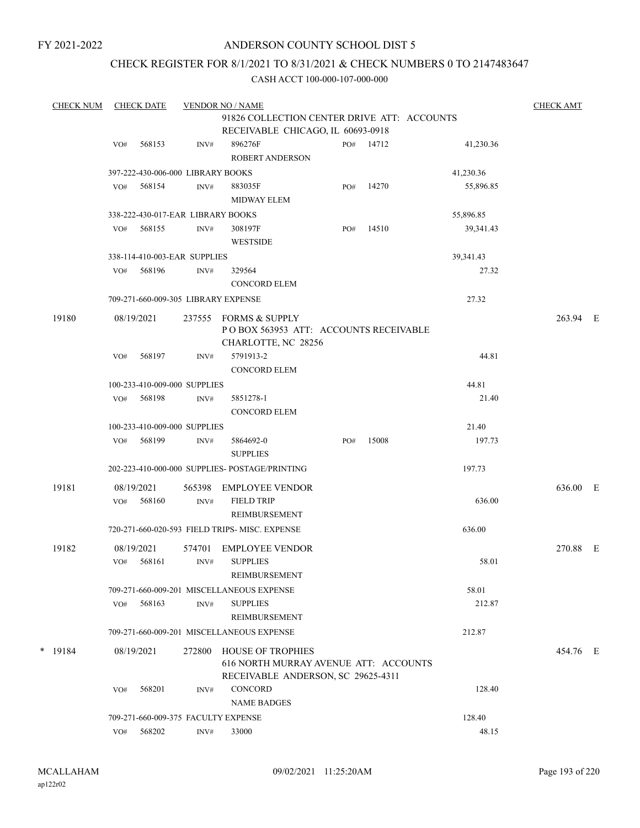### ANDERSON COUNTY SCHOOL DIST 5

### CHECK REGISTER FOR 8/1/2021 TO 8/31/2021 & CHECK NUMBERS 0 TO 2147483647

| <b>CHECK NUM</b> |     | <b>CHECK DATE</b> |                                   | <b>VENDOR NO / NAME</b>                                                                          |     |           |           | <b>CHECK AMT</b> |  |
|------------------|-----|-------------------|-----------------------------------|--------------------------------------------------------------------------------------------------|-----|-----------|-----------|------------------|--|
|                  |     |                   |                                   | 91826 COLLECTION CENTER DRIVE ATT: ACCOUNTS                                                      |     |           |           |                  |  |
|                  |     |                   |                                   | RECEIVABLE CHICAGO, IL 60693-0918                                                                |     |           |           |                  |  |
|                  | VO# | 568153            | INV#                              | 896276F<br>ROBERT ANDERSON                                                                       |     | PO# 14712 | 41,230.36 |                  |  |
|                  |     |                   | 397-222-430-006-000 LIBRARY BOOKS |                                                                                                  |     |           | 41,230.36 |                  |  |
|                  | VO# | 568154            | INV#                              | 883035F<br><b>MIDWAY ELEM</b>                                                                    | PO# | 14270     | 55,896.85 |                  |  |
|                  |     |                   | 338-222-430-017-EAR LIBRARY BOOKS |                                                                                                  |     |           | 55,896.85 |                  |  |
|                  | VO# | 568155            | INV#                              | 308197F<br><b>WESTSIDE</b>                                                                       | PO# | 14510     | 39,341.43 |                  |  |
|                  |     |                   | 338-114-410-003-EAR SUPPLIES      |                                                                                                  |     |           | 39,341.43 |                  |  |
|                  | VO# | 568196            | INV#                              | 329564                                                                                           |     |           | 27.32     |                  |  |
|                  |     |                   |                                   | <b>CONCORD ELEM</b>                                                                              |     |           |           |                  |  |
|                  |     |                   |                                   | 709-271-660-009-305 LIBRARY EXPENSE                                                              |     |           | 27.32     |                  |  |
| 19180            |     | 08/19/2021        | 237555                            | FORMS & SUPPLY<br>POBOX 563953 ATT: ACCOUNTS RECEIVABLE<br>CHARLOTTE, NC 28256                   |     |           |           | 263.94 E         |  |
|                  | VO# | 568197            | INV#                              | 5791913-2<br><b>CONCORD ELEM</b>                                                                 |     |           | 44.81     |                  |  |
|                  |     |                   | 100-233-410-009-000 SUPPLIES      |                                                                                                  |     |           | 44.81     |                  |  |
|                  | VO# | 568198            | INV#                              | 5851278-1<br><b>CONCORD ELEM</b>                                                                 |     |           | 21.40     |                  |  |
|                  |     |                   | 100-233-410-009-000 SUPPLIES      |                                                                                                  |     |           | 21.40     |                  |  |
|                  | VO# | 568199            | INV#                              | 5864692-0<br><b>SUPPLIES</b>                                                                     | PO# | 15008     | 197.73    |                  |  |
|                  |     |                   |                                   | 202-223-410-000-000 SUPPLIES- POSTAGE/PRINTING                                                   |     |           | 197.73    |                  |  |
| 19181            |     | 08/19/2021        | 565398                            | <b>EMPLOYEE VENDOR</b>                                                                           |     |           |           | 636.00 E         |  |
|                  | VO# | 568160            | INV#                              | <b>FIELD TRIP</b><br><b>REIMBURSEMENT</b>                                                        |     |           | 636.00    |                  |  |
|                  |     |                   |                                   | 720-271-660-020-593 FIELD TRIPS- MISC. EXPENSE                                                   |     |           | 636.00    |                  |  |
| 19182            |     | 08/19/2021        | 574701                            | <b>EMPLOYEE VENDOR</b>                                                                           |     |           |           | 270.88 E         |  |
|                  | VO# | 568161            | INV#                              | <b>SUPPLIES</b><br>REIMBURSEMENT                                                                 |     |           | 58.01     |                  |  |
|                  |     |                   |                                   | 709-271-660-009-201 MISCELLANEOUS EXPENSE                                                        |     |           | 58.01     |                  |  |
|                  | VO# | 568163            | INV#                              | <b>SUPPLIES</b><br>REIMBURSEMENT                                                                 |     |           | 212.87    |                  |  |
|                  |     |                   |                                   | 709-271-660-009-201 MISCELLANEOUS EXPENSE                                                        |     |           | 212.87    |                  |  |
| $*$ 19184        |     | 08/19/2021        | 272800                            | HOUSE OF TROPHIES<br>616 NORTH MURRAY AVENUE ATT: ACCOUNTS<br>RECEIVABLE ANDERSON, SC 29625-4311 |     |           |           | 454.76 E         |  |
|                  | VO# | 568201            | INV#                              | <b>CONCORD</b><br><b>NAME BADGES</b>                                                             |     |           | 128.40    |                  |  |
|                  |     |                   |                                   | 709-271-660-009-375 FACULTY EXPENSE                                                              |     |           | 128.40    |                  |  |
|                  | VO# | 568202            | INV#                              | 33000                                                                                            |     |           | 48.15     |                  |  |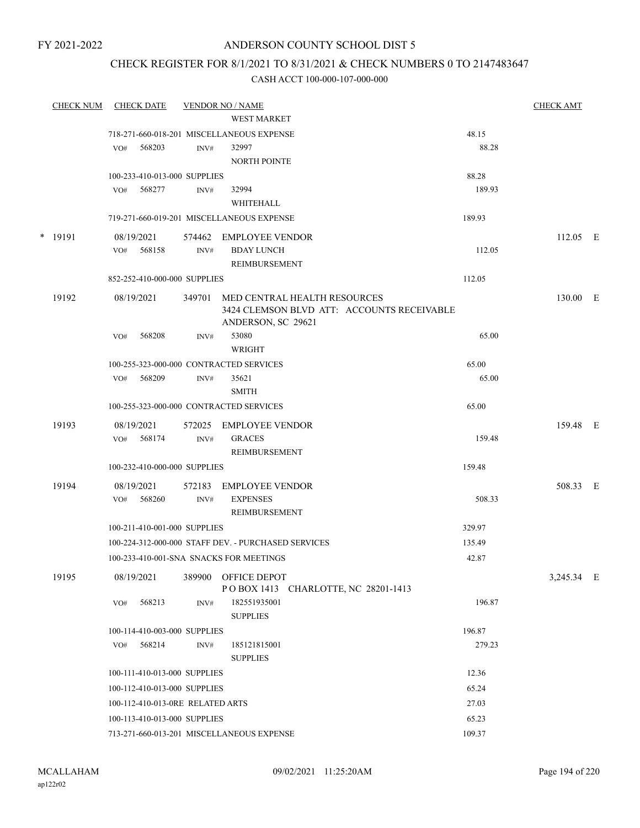### ANDERSON COUNTY SCHOOL DIST 5

### CHECK REGISTER FOR 8/1/2021 TO 8/31/2021 & CHECK NUMBERS 0 TO 2147483647

| <b>CHECK NUM</b> | <b>CHECK DATE</b>                       |        | <b>VENDOR NO / NAME</b>                                          |        | <b>CHECK AMT</b> |  |
|------------------|-----------------------------------------|--------|------------------------------------------------------------------|--------|------------------|--|
|                  |                                         |        | <b>WEST MARKET</b>                                               |        |                  |  |
|                  |                                         |        | 718-271-660-018-201 MISCELLANEOUS EXPENSE                        | 48.15  |                  |  |
|                  | 568203<br>VO#                           | INV#   | 32997                                                            | 88.28  |                  |  |
|                  |                                         |        | <b>NORTH POINTE</b>                                              |        |                  |  |
|                  | 100-233-410-013-000 SUPPLIES            |        |                                                                  | 88.28  |                  |  |
|                  | 568277<br>VO#                           | INV#   | 32994                                                            | 189.93 |                  |  |
|                  |                                         |        | WHITEHALL                                                        |        |                  |  |
|                  |                                         |        | 719-271-660-019-201 MISCELLANEOUS EXPENSE                        | 189.93 |                  |  |
| * 19191          | 08/19/2021                              | 574462 | <b>EMPLOYEE VENDOR</b>                                           |        | $112.05$ E       |  |
|                  | 568158<br>VO#                           | INV#   | <b>BDAY LUNCH</b>                                                | 112.05 |                  |  |
|                  |                                         |        | REIMBURSEMENT                                                    |        |                  |  |
|                  | 852-252-410-000-000 SUPPLIES            |        |                                                                  | 112.05 |                  |  |
| 19192            | 08/19/2021                              | 349701 | MED CENTRAL HEALTH RESOURCES                                     |        | 130.00 E         |  |
|                  |                                         |        | 3424 CLEMSON BLVD ATT: ACCOUNTS RECEIVABLE<br>ANDERSON, SC 29621 |        |                  |  |
|                  | 568208<br>VO#                           | INV#   | 53080                                                            | 65.00  |                  |  |
|                  |                                         |        | WRIGHT                                                           |        |                  |  |
|                  | 100-255-323-000-000 CONTRACTED SERVICES |        |                                                                  | 65.00  |                  |  |
|                  | 568209<br>VO#                           | INV#   | 35621                                                            | 65.00  |                  |  |
|                  |                                         |        | <b>SMITH</b>                                                     |        |                  |  |
|                  | 100-255-323-000-000 CONTRACTED SERVICES |        |                                                                  | 65.00  |                  |  |
| 19193            | 08/19/2021                              | 572025 | <b>EMPLOYEE VENDOR</b>                                           |        | 159.48 E         |  |
|                  | 568174<br>VO#                           | INV#   | <b>GRACES</b>                                                    | 159.48 |                  |  |
|                  |                                         |        | REIMBURSEMENT                                                    |        |                  |  |
|                  | 100-232-410-000-000 SUPPLIES            |        |                                                                  | 159.48 |                  |  |
| 19194            | 08/19/2021                              | 572183 | <b>EMPLOYEE VENDOR</b>                                           |        | 508.33 E         |  |
|                  | 568260<br>VO#                           | INV#   | <b>EXPENSES</b>                                                  | 508.33 |                  |  |
|                  |                                         |        | REIMBURSEMENT                                                    |        |                  |  |
|                  | 100-211-410-001-000 SUPPLIES            |        |                                                                  | 329.97 |                  |  |
|                  |                                         |        | 100-224-312-000-000 STAFF DEV. - PURCHASED SERVICES              | 135.49 |                  |  |
|                  | 100-233-410-001-SNA SNACKS FOR MEETINGS |        |                                                                  | 42.87  |                  |  |
| 19195            | 08/19/2021                              | 389900 | OFFICE DEPOT<br>POBOX 1413 CHARLOTTE, NC 28201-1413              |        | 3,245.34 E       |  |
|                  | 568213<br>VO#                           | INV#   | 182551935001<br><b>SUPPLIES</b>                                  | 196.87 |                  |  |
|                  | 100-114-410-003-000 SUPPLIES            |        |                                                                  | 196.87 |                  |  |
|                  | 568214<br>VO#                           | INV#   | 185121815001                                                     | 279.23 |                  |  |
|                  |                                         |        | <b>SUPPLIES</b>                                                  |        |                  |  |
|                  | 100-111-410-013-000 SUPPLIES            |        |                                                                  | 12.36  |                  |  |
|                  | 100-112-410-013-000 SUPPLIES            |        |                                                                  | 65.24  |                  |  |
|                  | 100-112-410-013-0RE RELATED ARTS        |        |                                                                  | 27.03  |                  |  |
|                  | 100-113-410-013-000 SUPPLIES            |        |                                                                  | 65.23  |                  |  |
|                  |                                         |        | 713-271-660-013-201 MISCELLANEOUS EXPENSE                        | 109.37 |                  |  |
|                  |                                         |        |                                                                  |        |                  |  |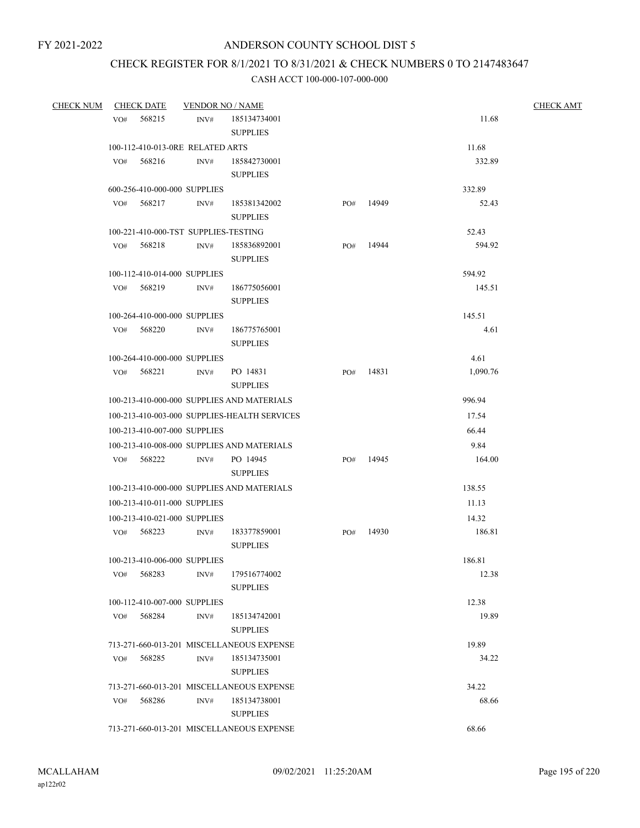# CHECK REGISTER FOR 8/1/2021 TO 8/31/2021 & CHECK NUMBERS 0 TO 2147483647

| <b>CHECK NUM</b> | <b>CHECK DATE</b>                | <b>VENDOR NO / NAME</b>                      |     |       |          | <b>CHECK AMT</b> |
|------------------|----------------------------------|----------------------------------------------|-----|-------|----------|------------------|
|                  | 568215<br>VO#                    | INV#<br>185134734001                         |     |       | 11.68    |                  |
|                  |                                  | <b>SUPPLIES</b>                              |     |       |          |                  |
|                  | 100-112-410-013-0RE RELATED ARTS |                                              |     |       | 11.68    |                  |
|                  | VO#<br>568216                    | INV#<br>185842730001                         |     |       | 332.89   |                  |
|                  |                                  | <b>SUPPLIES</b>                              |     |       |          |                  |
|                  | 600-256-410-000-000 SUPPLIES     |                                              |     |       | 332.89   |                  |
|                  | 568217<br>VO#                    | 185381342002<br>INV#                         | PO# | 14949 | 52.43    |                  |
|                  |                                  | <b>SUPPLIES</b>                              |     |       |          |                  |
|                  |                                  | 100-221-410-000-TST SUPPLIES-TESTING         |     |       | 52.43    |                  |
|                  | 568218<br>VO#                    | 185836892001<br>INV#                         | PO# | 14944 | 594.92   |                  |
|                  |                                  | <b>SUPPLIES</b>                              |     |       |          |                  |
|                  | 100-112-410-014-000 SUPPLIES     |                                              |     |       | 594.92   |                  |
|                  | VO# 568219                       | INV#<br>186775056001                         |     |       | 145.51   |                  |
|                  |                                  | <b>SUPPLIES</b>                              |     |       |          |                  |
|                  | 100-264-410-000-000 SUPPLIES     |                                              |     |       | 145.51   |                  |
|                  | VO# 568220                       | $\text{INV}\#$<br>186775765001               |     |       | 4.61     |                  |
|                  |                                  | <b>SUPPLIES</b>                              |     |       |          |                  |
|                  | 100-264-410-000-000 SUPPLIES     |                                              |     |       | 4.61     |                  |
|                  | VO# 568221                       | PO 14831<br>INV#                             | PO# | 14831 | 1,090.76 |                  |
|                  |                                  | <b>SUPPLIES</b>                              |     |       |          |                  |
|                  |                                  | 100-213-410-000-000 SUPPLIES AND MATERIALS   |     |       | 996.94   |                  |
|                  |                                  | 100-213-410-003-000 SUPPLIES-HEALTH SERVICES |     |       | 17.54    |                  |
|                  | 100-213-410-007-000 SUPPLIES     |                                              |     |       | 66.44    |                  |
|                  |                                  | 100-213-410-008-000 SUPPLIES AND MATERIALS   |     |       | 9.84     |                  |
|                  | VO# 568222                       | INV#<br>PO 14945                             | PO# | 14945 | 164.00   |                  |
|                  |                                  | <b>SUPPLIES</b>                              |     |       |          |                  |
|                  |                                  | 100-213-410-000-000 SUPPLIES AND MATERIALS   |     |       | 138.55   |                  |
|                  | 100-213-410-011-000 SUPPLIES     |                                              |     |       | 11.13    |                  |
|                  | 100-213-410-021-000 SUPPLIES     |                                              |     |       | 14.32    |                  |
|                  | VO# 568223                       | 183377859001<br>INV#                         | PO# | 14930 | 186.81   |                  |
|                  |                                  | <b>SUPPLIES</b>                              |     |       |          |                  |
|                  | 100-213-410-006-000 SUPPLIES     |                                              |     |       | 186.81   |                  |
|                  | 568283<br>VO#                    | INV#<br>179516774002                         |     |       | 12.38    |                  |
|                  |                                  | <b>SUPPLIES</b>                              |     |       |          |                  |
|                  | 100-112-410-007-000 SUPPLIES     |                                              |     |       | 12.38    |                  |
|                  | 568284<br>VO#                    | 185134742001<br>INV#                         |     |       | 19.89    |                  |
|                  |                                  | <b>SUPPLIES</b>                              |     |       |          |                  |
|                  |                                  | 713-271-660-013-201 MISCELLANEOUS EXPENSE    |     |       | 19.89    |                  |
|                  | 568285<br>VO#                    | 185134735001<br>INV#                         |     |       | 34.22    |                  |
|                  |                                  | <b>SUPPLIES</b>                              |     |       |          |                  |
|                  |                                  | 713-271-660-013-201 MISCELLANEOUS EXPENSE    |     |       | 34.22    |                  |
|                  | 568286<br>VO#                    | INV#<br>185134738001                         |     |       | 68.66    |                  |
|                  |                                  | <b>SUPPLIES</b>                              |     |       |          |                  |
|                  |                                  | 713-271-660-013-201 MISCELLANEOUS EXPENSE    |     |       | 68.66    |                  |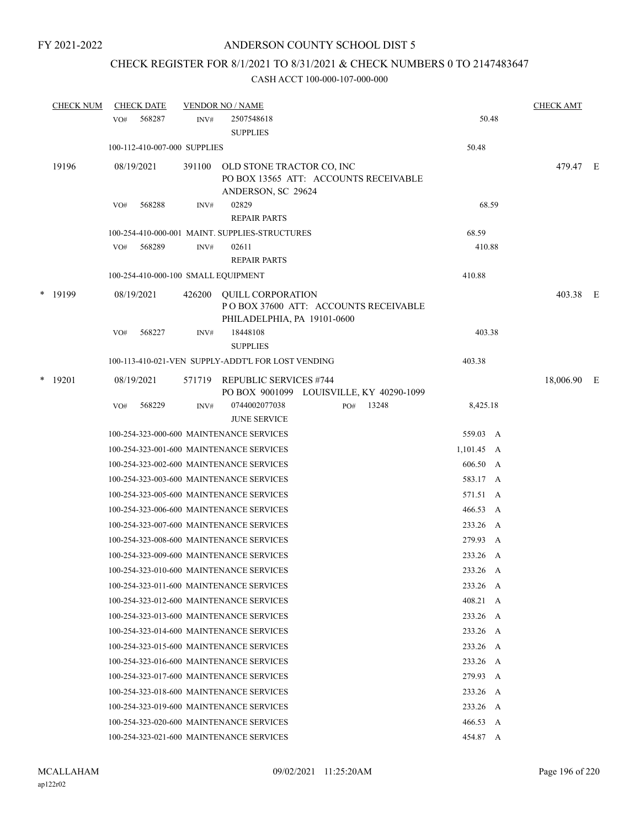# CHECK REGISTER FOR 8/1/2021 TO 8/31/2021 & CHECK NUMBERS 0 TO 2147483647

|   | <b>CHECK NUM</b> |     | <b>CHECK DATE</b> |                              | <b>VENDOR NO / NAME</b>                                                                         |                 | <b>CHECK AMT</b> |  |
|---|------------------|-----|-------------------|------------------------------|-------------------------------------------------------------------------------------------------|-----------------|------------------|--|
|   |                  | VO# | 568287            | INV#                         | 2507548618<br><b>SUPPLIES</b>                                                                   | 50.48           |                  |  |
|   |                  |     |                   | 100-112-410-007-000 SUPPLIES |                                                                                                 | 50.48           |                  |  |
|   | 19196            |     | 08/19/2021        | 391100                       | OLD STONE TRACTOR CO, INC<br>PO BOX 13565 ATT: ACCOUNTS RECEIVABLE<br>ANDERSON, SC 29624        |                 | 479.47 E         |  |
|   |                  | VO# | 568288            | INV#                         | 02829<br><b>REPAIR PARTS</b>                                                                    | 68.59           |                  |  |
|   |                  |     |                   |                              | 100-254-410-000-001 MAINT. SUPPLIES-STRUCTURES                                                  | 68.59           |                  |  |
|   |                  | VO# | 568289            | INV#                         | 02611<br><b>REPAIR PARTS</b>                                                                    | 410.88          |                  |  |
|   |                  |     |                   |                              | 100-254-410-000-100 SMALL EQUIPMENT                                                             | 410.88          |                  |  |
|   | * 19199          |     | 08/19/2021        | 426200                       | <b>QUILL CORPORATION</b><br>POBOX 37600 ATT: ACCOUNTS RECEIVABLE<br>PHILADELPHIA, PA 19101-0600 |                 | 403.38 E         |  |
|   |                  | VO# | 568227            | INV#                         | 18448108<br><b>SUPPLIES</b>                                                                     | 403.38          |                  |  |
|   |                  |     |                   |                              | 100-113-410-021-VEN SUPPLY-ADDT'L FOR LOST VENDING                                              | 403.38          |                  |  |
| * | 19201            |     | 08/19/2021        | 571719                       | REPUBLIC SERVICES #744<br>PO BOX 9001099 LOUISVILLE, KY 40290-1099                              |                 | 18,006.90 E      |  |
|   |                  | VO# | 568229            | INV#                         | 0744002077038<br>13248<br>PO#<br><b>JUNE SERVICE</b>                                            | 8,425.18        |                  |  |
|   |                  |     |                   |                              | 100-254-323-000-600 MAINTENANCE SERVICES                                                        | 559.03 A        |                  |  |
|   |                  |     |                   |                              | 100-254-323-001-600 MAINTENANCE SERVICES                                                        | $1,101.45 \, A$ |                  |  |
|   |                  |     |                   |                              | 100-254-323-002-600 MAINTENANCE SERVICES                                                        | 606.50 A        |                  |  |
|   |                  |     |                   |                              | 100-254-323-003-600 MAINTENANCE SERVICES                                                        | 583.17 A        |                  |  |
|   |                  |     |                   |                              | 100-254-323-005-600 MAINTENANCE SERVICES                                                        | 571.51 A        |                  |  |
|   |                  |     |                   |                              | 100-254-323-006-600 MAINTENANCE SERVICES                                                        | 466.53 A        |                  |  |
|   |                  |     |                   |                              | 100-254-323-007-600 MAINTENANCE SERVICES                                                        | 233.26 A        |                  |  |
|   |                  |     |                   |                              | 100-254-323-008-600 MAINTENANCE SERVICES                                                        | 279.93 A        |                  |  |
|   |                  |     |                   |                              | 100-254-323-009-600 MAINTENANCE SERVICES                                                        | 233.26 A        |                  |  |
|   |                  |     |                   |                              | 100-254-323-010-600 MAINTENANCE SERVICES                                                        | 233.26 A        |                  |  |
|   |                  |     |                   |                              | 100-254-323-011-600 MAINTENANCE SERVICES                                                        | 233.26 A        |                  |  |
|   |                  |     |                   |                              | 100-254-323-012-600 MAINTENANCE SERVICES                                                        | 408.21 A        |                  |  |
|   |                  |     |                   |                              | 100-254-323-013-600 MAINTENANCE SERVICES                                                        | 233.26 A        |                  |  |
|   |                  |     |                   |                              | 100-254-323-014-600 MAINTENANCE SERVICES                                                        | 233.26 A        |                  |  |
|   |                  |     |                   |                              | 100-254-323-015-600 MAINTENANCE SERVICES                                                        | 233.26 A        |                  |  |
|   |                  |     |                   |                              | 100-254-323-016-600 MAINTENANCE SERVICES                                                        | 233.26 A        |                  |  |
|   |                  |     |                   |                              | 100-254-323-017-600 MAINTENANCE SERVICES                                                        | 279.93 A        |                  |  |
|   |                  |     |                   |                              | 100-254-323-018-600 MAINTENANCE SERVICES                                                        | 233.26 A        |                  |  |
|   |                  |     |                   |                              | 100-254-323-019-600 MAINTENANCE SERVICES                                                        | 233.26 A        |                  |  |
|   |                  |     |                   |                              | 100-254-323-020-600 MAINTENANCE SERVICES                                                        | 466.53 A        |                  |  |
|   |                  |     |                   |                              | 100-254-323-021-600 MAINTENANCE SERVICES                                                        | 454.87 A        |                  |  |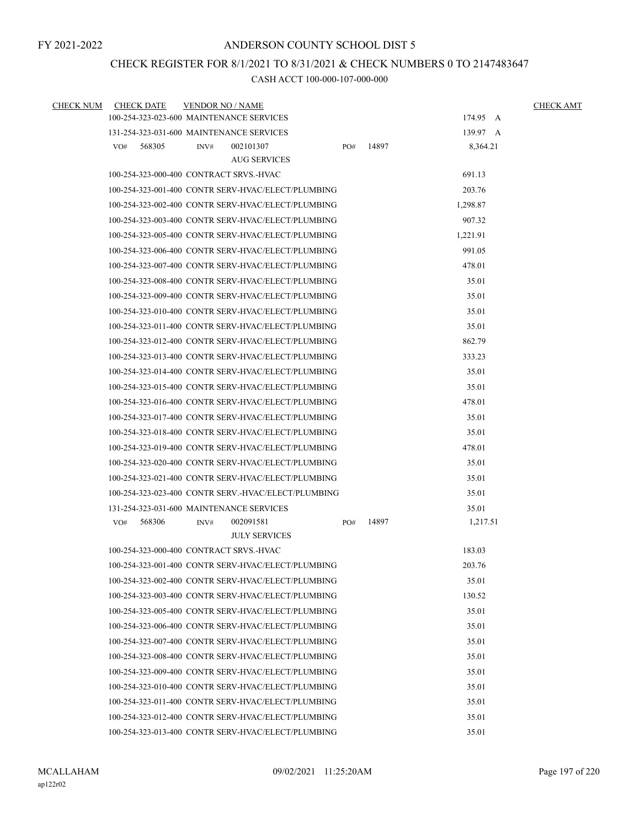### CHECK REGISTER FOR 8/1/2021 TO 8/31/2021 & CHECK NUMBERS 0 TO 2147483647

| CHECK NUM | <b>CHECK DATE</b> | <b>VENDOR NO / NAME</b>                             |     |       |          | <b>CHECK AMT</b> |
|-----------|-------------------|-----------------------------------------------------|-----|-------|----------|------------------|
|           |                   | 100-254-323-023-600 MAINTENANCE SERVICES            |     |       | 174.95 A |                  |
|           |                   | 131-254-323-031-600 MAINTENANCE SERVICES            |     |       | 139.97 A |                  |
|           | VO#<br>568305     | 002101307<br>INV#                                   | PO# | 14897 | 8,364.21 |                  |
|           |                   | <b>AUG SERVICES</b>                                 |     |       |          |                  |
|           |                   | 100-254-323-000-400 CONTRACT SRVS.-HVAC             |     |       | 691.13   |                  |
|           |                   | 100-254-323-001-400 CONTR SERV-HVAC/ELECT/PLUMBING  |     |       | 203.76   |                  |
|           |                   | 100-254-323-002-400 CONTR SERV-HVAC/ELECT/PLUMBING  |     |       | 1,298.87 |                  |
|           |                   | 100-254-323-003-400 CONTR SERV-HVAC/ELECT/PLUMBING  |     |       | 907.32   |                  |
|           |                   | 100-254-323-005-400 CONTR SERV-HVAC/ELECT/PLUMBING  |     |       | 1,221.91 |                  |
|           |                   | 100-254-323-006-400 CONTR SERV-HVAC/ELECT/PLUMBING  |     |       | 991.05   |                  |
|           |                   | 100-254-323-007-400 CONTR SERV-HVAC/ELECT/PLUMBING  |     |       | 478.01   |                  |
|           |                   | 100-254-323-008-400 CONTR SERV-HVAC/ELECT/PLUMBING  |     |       | 35.01    |                  |
|           |                   | 100-254-323-009-400 CONTR SERV-HVAC/ELECT/PLUMBING  |     |       | 35.01    |                  |
|           |                   | 100-254-323-010-400 CONTR SERV-HVAC/ELECT/PLUMBING  |     |       | 35.01    |                  |
|           |                   | 100-254-323-011-400 CONTR SERV-HVAC/ELECT/PLUMBING  |     |       | 35.01    |                  |
|           |                   | 100-254-323-012-400 CONTR SERV-HVAC/ELECT/PLUMBING  |     |       | 862.79   |                  |
|           |                   | 100-254-323-013-400 CONTR SERV-HVAC/ELECT/PLUMBING  |     |       | 333.23   |                  |
|           |                   | 100-254-323-014-400 CONTR SERV-HVAC/ELECT/PLUMBING  |     |       | 35.01    |                  |
|           |                   | 100-254-323-015-400 CONTR SERV-HVAC/ELECT/PLUMBING  |     |       | 35.01    |                  |
|           |                   | 100-254-323-016-400 CONTR SERV-HVAC/ELECT/PLUMBING  |     |       | 478.01   |                  |
|           |                   | 100-254-323-017-400 CONTR SERV-HVAC/ELECT/PLUMBING  |     |       | 35.01    |                  |
|           |                   | 100-254-323-018-400 CONTR SERV-HVAC/ELECT/PLUMBING  |     |       | 35.01    |                  |
|           |                   | 100-254-323-019-400 CONTR SERV-HVAC/ELECT/PLUMBING  |     |       | 478.01   |                  |
|           |                   | 100-254-323-020-400 CONTR SERV-HVAC/ELECT/PLUMBING  |     |       | 35.01    |                  |
|           |                   | 100-254-323-021-400 CONTR SERV-HVAC/ELECT/PLUMBING  |     |       | 35.01    |                  |
|           |                   | 100-254-323-023-400 CONTR SERV.-HVAC/ELECT/PLUMBING |     |       | 35.01    |                  |
|           |                   | 131-254-323-031-600 MAINTENANCE SERVICES            |     |       | 35.01    |                  |
|           | 568306<br>VO#     | 002091581<br>INV#                                   | PO# | 14897 | 1,217.51 |                  |
|           |                   | <b>JULY SERVICES</b>                                |     |       |          |                  |
|           |                   | 100-254-323-000-400 CONTRACT SRVS-HVAC              |     |       | 183.03   |                  |
|           |                   | 100-254-323-001-400 CONTR SERV-HVAC/ELECT/PLUMBING  |     |       | 203.76   |                  |
|           |                   | 100-254-323-002-400 CONTR SERV-HVAC/ELECT/PLUMBING  |     |       | 35.01    |                  |
|           |                   | 100-254-323-003-400 CONTR SERV-HVAC/ELECT/PLUMBING  |     |       | 130.52   |                  |
|           |                   | 100-254-323-005-400 CONTR SERV-HVAC/ELECT/PLUMBING  |     |       | 35.01    |                  |
|           |                   | 100-254-323-006-400 CONTR SERV-HVAC/ELECT/PLUMBING  |     |       | 35.01    |                  |
|           |                   | 100-254-323-007-400 CONTR SERV-HVAC/ELECT/PLUMBING  |     |       | 35.01    |                  |
|           |                   | 100-254-323-008-400 CONTR SERV-HVAC/ELECT/PLUMBING  |     |       | 35.01    |                  |
|           |                   | 100-254-323-009-400 CONTR SERV-HVAC/ELECT/PLUMBING  |     |       | 35.01    |                  |
|           |                   | 100-254-323-010-400 CONTR SERV-HVAC/ELECT/PLUMBING  |     |       | 35.01    |                  |
|           |                   | 100-254-323-011-400 CONTR SERV-HVAC/ELECT/PLUMBING  |     |       | 35.01    |                  |
|           |                   | 100-254-323-012-400 CONTR SERV-HVAC/ELECT/PLUMBING  |     |       | 35.01    |                  |
|           |                   | 100-254-323-013-400 CONTR SERV-HVAC/ELECT/PLUMBING  |     |       | 35.01    |                  |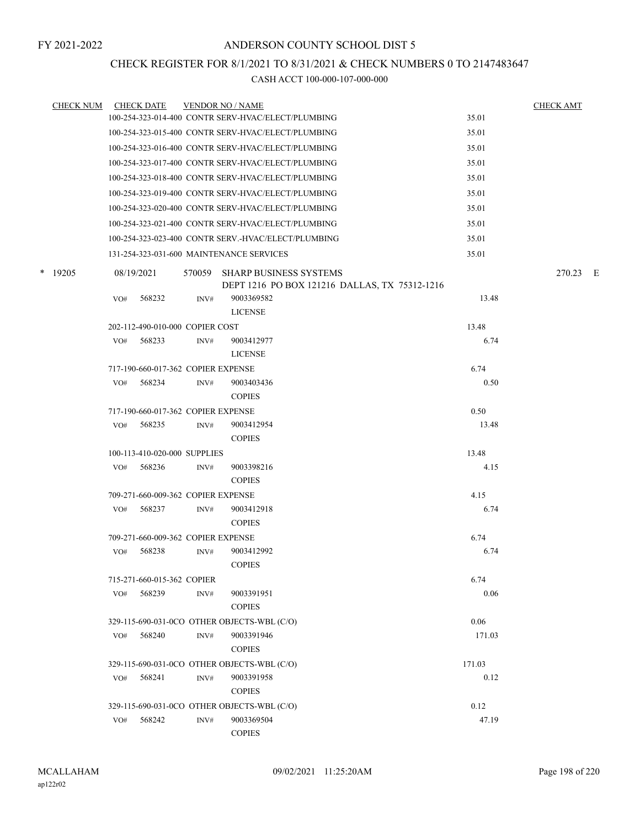### CHECK REGISTER FOR 8/1/2021 TO 8/31/2021 & CHECK NUMBERS 0 TO 2147483647

| <b>CHECK NUM</b> | <b>CHECK DATE</b> |                                    |      | <b>VENDOR NO / NAME</b>                                                        |               | <b>CHECK AMT</b> |  |
|------------------|-------------------|------------------------------------|------|--------------------------------------------------------------------------------|---------------|------------------|--|
|                  |                   |                                    |      | 100-254-323-014-400 CONTR SERV-HVAC/ELECT/PLUMBING                             | 35.01         |                  |  |
|                  |                   |                                    |      | 100-254-323-015-400 CONTR SERV-HVAC/ELECT/PLUMBING                             | 35.01         |                  |  |
|                  |                   |                                    |      | 100-254-323-016-400 CONTR SERV-HVAC/ELECT/PLUMBING                             | 35.01         |                  |  |
|                  |                   |                                    |      | 100-254-323-017-400 CONTR SERV-HVAC/ELECT/PLUMBING                             | 35.01         |                  |  |
|                  |                   |                                    |      | 100-254-323-018-400 CONTR SERV-HVAC/ELECT/PLUMBING                             | 35.01         |                  |  |
|                  |                   |                                    |      | 100-254-323-019-400 CONTR SERV-HVAC/ELECT/PLUMBING                             | 35.01         |                  |  |
|                  |                   |                                    |      | 100-254-323-020-400 CONTR SERV-HVAC/ELECT/PLUMBING                             | 35.01         |                  |  |
|                  |                   |                                    |      | 100-254-323-021-400 CONTR SERV-HVAC/ELECT/PLUMBING                             | 35.01         |                  |  |
|                  |                   |                                    |      | 100-254-323-023-400 CONTR SERV.-HVAC/ELECT/PLUMBING                            | 35.01         |                  |  |
|                  |                   |                                    |      | 131-254-323-031-600 MAINTENANCE SERVICES                                       | 35.01         |                  |  |
| $*$ 19205        | 08/19/2021        |                                    |      | 570059 SHARP BUSINESS SYSTEMS<br>DEPT 1216 PO BOX 121216 DALLAS, TX 75312-1216 |               | 270.23 E         |  |
|                  | VO#               | 568232                             | INV# | 9003369582                                                                     | 13.48         |                  |  |
|                  |                   |                                    |      | <b>LICENSE</b>                                                                 |               |                  |  |
|                  |                   | 202-112-490-010-000 COPIER COST    |      |                                                                                | 13.48         |                  |  |
|                  | VO#               | 568233                             | INV# | 9003412977                                                                     | 6.74          |                  |  |
|                  |                   |                                    |      | <b>LICENSE</b>                                                                 |               |                  |  |
|                  |                   | 717-190-660-017-362 COPIER EXPENSE |      |                                                                                | 6.74          |                  |  |
|                  | VO#               | 568234                             | INV# | 9003403436                                                                     | 0.50          |                  |  |
|                  |                   |                                    |      | <b>COPIES</b>                                                                  |               |                  |  |
|                  |                   | 717-190-660-017-362 COPIER EXPENSE |      |                                                                                | 0.50          |                  |  |
|                  | VO#               | 568235                             | INV# | 9003412954<br><b>COPIES</b>                                                    | 13.48         |                  |  |
|                  |                   | 100-113-410-020-000 SUPPLIES       |      |                                                                                | 13.48         |                  |  |
|                  | VO#               | 568236                             | INV# | 9003398216<br><b>COPIES</b>                                                    | 4.15          |                  |  |
|                  |                   | 709-271-660-009-362 COPIER EXPENSE |      |                                                                                | 4.15          |                  |  |
|                  | VO#               | 568237                             | INV# | 9003412918                                                                     | 6.74          |                  |  |
|                  |                   |                                    |      | <b>COPIES</b>                                                                  |               |                  |  |
|                  |                   | 709-271-660-009-362 COPIER EXPENSE |      |                                                                                | 6.74          |                  |  |
|                  | VO#               | 568238                             | INV# | 9003412992                                                                     | 6.74          |                  |  |
|                  |                   |                                    |      | <b>COPIES</b>                                                                  |               |                  |  |
|                  |                   | 715-271-660-015-362 COPIER         |      |                                                                                | 6.74          |                  |  |
|                  | VO#               | 568239                             | INV# | 9003391951                                                                     | 0.06          |                  |  |
|                  |                   |                                    |      | <b>COPIES</b>                                                                  |               |                  |  |
|                  |                   |                                    |      | 329-115-690-031-0CO OTHER OBJECTS-WBL (C/O)                                    | 0.06          |                  |  |
|                  | VO#               | 568240                             | INV# | 9003391946                                                                     | 171.03        |                  |  |
|                  |                   |                                    |      | <b>COPIES</b>                                                                  |               |                  |  |
|                  |                   |                                    |      | 329-115-690-031-0CO OTHER OBJECTS-WBL (C/O)                                    | 171.03        |                  |  |
|                  | VO#               | 568241                             | INV# | 9003391958                                                                     | 0.12          |                  |  |
|                  |                   |                                    |      | <b>COPIES</b>                                                                  |               |                  |  |
|                  |                   |                                    |      | 329-115-690-031-0CO OTHER OBJECTS-WBL (C/O)                                    | 0.12<br>47.19 |                  |  |
|                  | VO#               | 568242                             | INV# | 9003369504<br><b>COPIES</b>                                                    |               |                  |  |
|                  |                   |                                    |      |                                                                                |               |                  |  |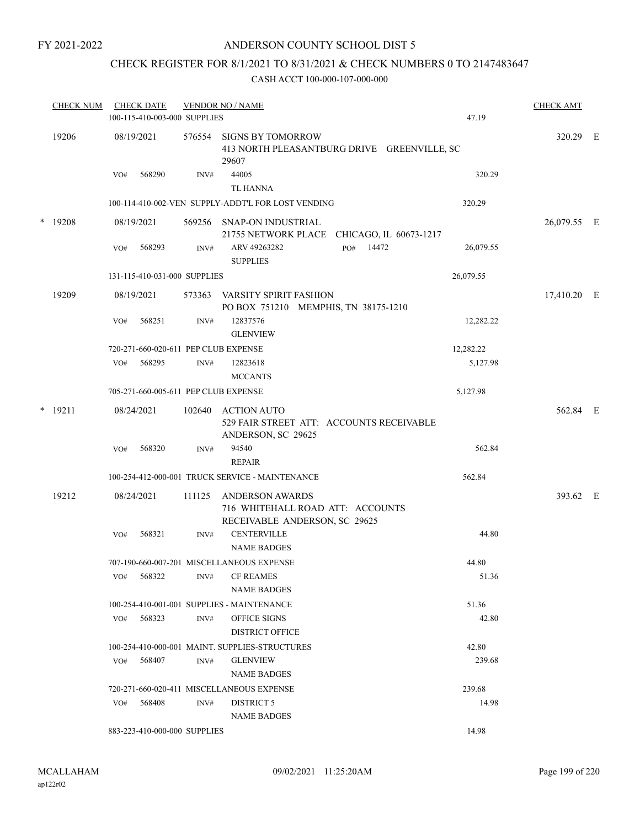### ANDERSON COUNTY SCHOOL DIST 5

# CHECK REGISTER FOR 8/1/2021 TO 8/31/2021 & CHECK NUMBERS 0 TO 2147483647

| <b>CHECK NUM</b> |     | <b>CHECK DATE</b><br>100-115-410-003-000 SUPPLIES |        | <b>VENDOR NO / NAME</b>                                                              | 47.19     | <b>CHECK AMT</b> |
|------------------|-----|---------------------------------------------------|--------|--------------------------------------------------------------------------------------|-----------|------------------|
| 19206            |     | 08/19/2021                                        | 576554 | <b>SIGNS BY TOMORROW</b><br>413 NORTH PLEASANTBURG DRIVE GREENVILLE, SC<br>29607     |           | 320.29 E         |
|                  | VO# | 568290                                            | INV#   | 44005<br><b>TL HANNA</b>                                                             | 320.29    |                  |
|                  |     |                                                   |        | 100-114-410-002-VEN SUPPLY-ADDT'L FOR LOST VENDING                                   | 320.29    |                  |
| * 19208          |     | 08/19/2021                                        |        | 569256 SNAP-ON INDUSTRIAL<br>21755 NETWORK PLACE CHICAGO, IL 60673-1217              |           | 26,079.55 E      |
|                  | VO# | 568293                                            | INV#   | PO# 14472<br>ARV 49263282<br><b>SUPPLIES</b>                                         | 26,079.55 |                  |
|                  |     | 131-115-410-031-000 SUPPLIES                      |        |                                                                                      | 26,079.55 |                  |
| 19209            |     | 08/19/2021                                        | 573363 | VARSITY SPIRIT FASHION<br>PO BOX 751210 MEMPHIS, TN 38175-1210                       |           | 17,410.20 E      |
|                  | VO# | 568251                                            | INV#   | 12837576<br><b>GLENVIEW</b>                                                          | 12,282.22 |                  |
|                  |     | 720-271-660-020-611 PEP CLUB EXPENSE              |        |                                                                                      | 12,282.22 |                  |
|                  | VO# | 568295                                            | INV#   | 12823618<br><b>MCCANTS</b>                                                           | 5,127.98  |                  |
|                  |     | 705-271-660-005-611 PEP CLUB EXPENSE              |        |                                                                                      | 5,127.98  |                  |
| $*$ 19211        |     | 08/24/2021                                        | 102640 | <b>ACTION AUTO</b><br>529 FAIR STREET ATT: ACCOUNTS RECEIVABLE<br>ANDERSON, SC 29625 |           | 562.84 E         |
|                  | VO# | 568320                                            | INV#   | 94540<br><b>REPAIR</b>                                                               | 562.84    |                  |
|                  |     |                                                   |        | 100-254-412-000-001 TRUCK SERVICE - MAINTENANCE                                      | 562.84    |                  |
| 19212            |     | 08/24/2021                                        | 111125 | ANDERSON AWARDS<br>716 WHITEHALL ROAD ATT: ACCOUNTS<br>RECEIVABLE ANDERSON, SC 29625 |           | 393.62 E         |
|                  | VO# | 568321                                            | INV#   | <b>CENTERVILLE</b><br><b>NAME BADGES</b>                                             | 44.80     |                  |
|                  |     |                                                   |        | 707-190-660-007-201 MISCELLANEOUS EXPENSE                                            | 44.80     |                  |
|                  | VO# | 568322                                            | INV#   | <b>CF REAMES</b><br><b>NAME BADGES</b>                                               | 51.36     |                  |
|                  |     |                                                   |        | 100-254-410-001-001 SUPPLIES - MAINTENANCE                                           | 51.36     |                  |
|                  | VO# | 568323                                            | INV#   | OFFICE SIGNS<br><b>DISTRICT OFFICE</b>                                               | 42.80     |                  |
|                  |     |                                                   |        | 100-254-410-000-001 MAINT. SUPPLIES-STRUCTURES                                       | 42.80     |                  |
|                  | VO# | 568407                                            | INV#   | <b>GLENVIEW</b><br><b>NAME BADGES</b>                                                | 239.68    |                  |
|                  |     |                                                   |        | 720-271-660-020-411 MISCELLANEOUS EXPENSE                                            | 239.68    |                  |
|                  | VO# | 568408                                            | INV#   | DISTRICT 5<br><b>NAME BADGES</b>                                                     | 14.98     |                  |
|                  |     | 883-223-410-000-000 SUPPLIES                      |        |                                                                                      | 14.98     |                  |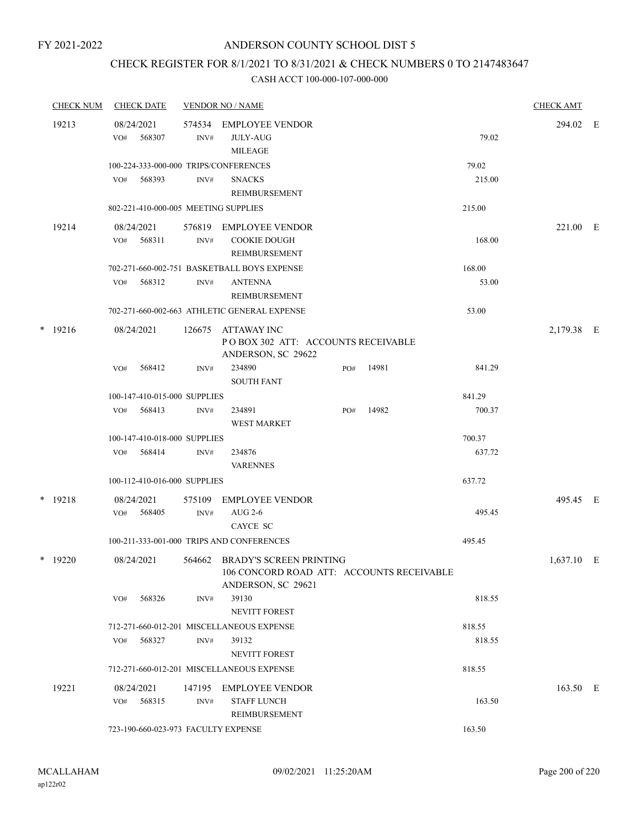### CHECK REGISTER FOR 8/1/2021 TO 8/31/2021 & CHECK NUMBERS 0 TO 2147483647

|  | <b>CHECK NUM</b> |     | <b>CHECK DATE</b>                    |                | <b>VENDOR NO / NAME</b>                                                                           |     |       |                 | <b>CHECK AMT</b> |   |
|--|------------------|-----|--------------------------------------|----------------|---------------------------------------------------------------------------------------------------|-----|-------|-----------------|------------------|---|
|  | 19213            | VO# | 08/24/2021<br>568307                 | 574534<br>INV# | <b>EMPLOYEE VENDOR</b><br><b>JULY-AUG</b><br><b>MILEAGE</b>                                       |     |       | 79.02           | 294.02           | E |
|  |                  | VO# | 568393                               | INV#           | 100-224-333-000-000 TRIPS/CONFERENCES<br><b>SNACKS</b><br>REIMBURSEMENT                           |     |       | 79.02<br>215.00 |                  |   |
|  |                  |     | 802-221-410-000-005 MEETING SUPPLIES |                |                                                                                                   |     |       | 215.00          |                  |   |
|  | 19214            | VO# | 08/24/2021<br>568311                 | 576819<br>INV# | EMPLOYEE VENDOR<br><b>COOKIE DOUGH</b><br>REIMBURSEMENT                                           |     |       | 168.00          | 221.00 E         |   |
|  |                  | VO# | 568312                               | INV#           | 702-271-660-002-751 BASKETBALL BOYS EXPENSE<br><b>ANTENNA</b><br>REIMBURSEMENT                    |     |       | 168.00<br>53.00 |                  |   |
|  |                  |     |                                      |                | 702-271-660-002-663 ATHLETIC GENERAL EXPENSE                                                      |     |       | 53.00           |                  |   |
|  | $*$ 19216        |     | 08/24/2021                           | 126675         | ATTAWAY INC<br>POBOX 302 ATT: ACCOUNTS RECEIVABLE<br>ANDERSON, SC 29622                           |     |       |                 | 2,179.38 E       |   |
|  |                  | VO# | 568412                               | INV#           | 234890<br><b>SOUTH FANT</b>                                                                       | PO# | 14981 | 841.29          |                  |   |
|  |                  |     | 100-147-410-015-000 SUPPLIES         |                |                                                                                                   |     |       | 841.29          |                  |   |
|  |                  | VO# | 568413                               | INV#           | 234891<br><b>WEST MARKET</b>                                                                      | PO# | 14982 | 700.37          |                  |   |
|  |                  |     | 100-147-410-018-000 SUPPLIES         |                |                                                                                                   |     |       | 700.37          |                  |   |
|  |                  | VO# | 568414                               | INV#           | 234876<br><b>VARENNES</b>                                                                         |     |       | 637.72          |                  |   |
|  |                  |     | 100-112-410-016-000 SUPPLIES         |                |                                                                                                   |     |       | 637.72          |                  |   |
|  | $*$ 19218        | VO# | 08/24/2021<br>568405                 | 575109<br>INV# | <b>EMPLOYEE VENDOR</b><br>AUG $2-6$<br>CAYCE SC                                                   |     |       | 495.45          | 495.45 E         |   |
|  |                  |     |                                      |                | 100-211-333-001-000 TRIPS AND CONFERENCES                                                         |     |       | 495.45          |                  |   |
|  | $*$ 19220        |     | 08/24/2021                           |                | 564662 BRADY'S SCREEN PRINTING<br>106 CONCORD ROAD ATT: ACCOUNTS RECEIVABLE<br>ANDERSON, SC 29621 |     |       |                 | 1,637.10 E       |   |
|  |                  | VO# | 568326                               | INV#           | 39130<br><b>NEVITT FOREST</b>                                                                     |     |       | 818.55          |                  |   |
|  |                  |     |                                      |                | 712-271-660-012-201 MISCELLANEOUS EXPENSE                                                         |     |       | 818.55          |                  |   |
|  |                  | VO# | 568327                               | INV#           | 39132<br>NEVITT FOREST                                                                            |     |       | 818.55          |                  |   |
|  |                  |     |                                      |                | 712-271-660-012-201 MISCELLANEOUS EXPENSE                                                         |     |       | 818.55          |                  |   |
|  | 19221            | VO# | 08/24/2021<br>568315                 | 147195<br>INV# | <b>EMPLOYEE VENDOR</b><br><b>STAFF LUNCH</b><br>REIMBURSEMENT                                     |     |       | 163.50          | 163.50 E         |   |
|  |                  |     | 723-190-660-023-973 FACULTY EXPENSE  |                |                                                                                                   |     |       | 163.50          |                  |   |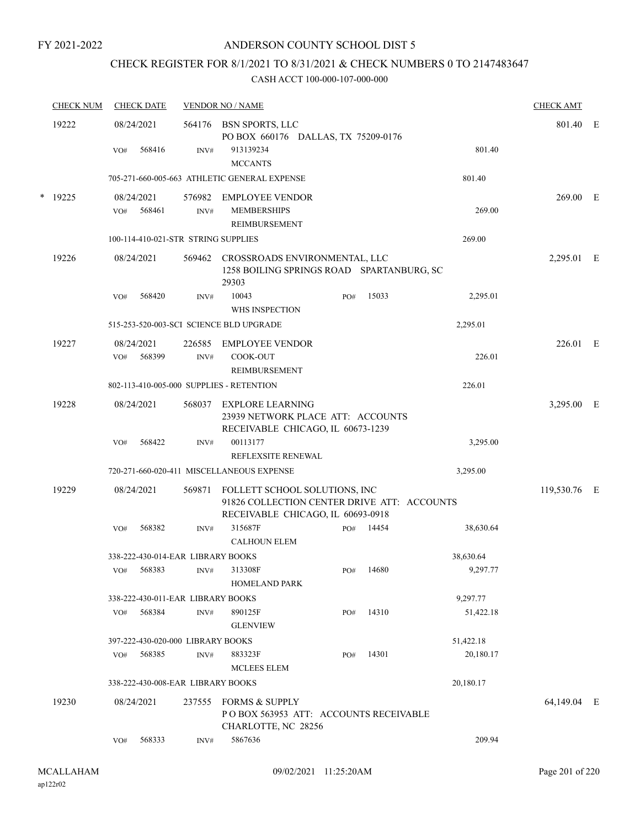## CHECK REGISTER FOR 8/1/2021 TO 8/31/2021 & CHECK NUMBERS 0 TO 2147483647

|        | <b>CHECK NUM</b> |     | <b>CHECK DATE</b>    |                                     | <b>VENDOR NO / NAME</b>                                                                                           |     |           |           |           | <b>CHECK AMT</b> |  |
|--------|------------------|-----|----------------------|-------------------------------------|-------------------------------------------------------------------------------------------------------------------|-----|-----------|-----------|-----------|------------------|--|
|        | 19222            |     | 08/24/2021           |                                     | 564176 BSN SPORTS, LLC<br>PO BOX 660176 DALLAS, TX 75209-0176                                                     |     |           |           |           | 801.40 E         |  |
|        |                  | VO# | 568416               | INV#                                | 913139234<br><b>MCCANTS</b>                                                                                       |     |           |           | 801.40    |                  |  |
|        |                  |     |                      |                                     | 705-271-660-005-663 ATHLETIC GENERAL EXPENSE                                                                      |     |           | 801.40    |           |                  |  |
| $\ast$ | 19225            | VO# | 08/24/2021<br>568461 | INV#                                | 576982 EMPLOYEE VENDOR<br><b>MEMBERSHIPS</b><br><b>REIMBURSEMENT</b>                                              |     |           |           | 269.00    | $269.00$ E       |  |
|        |                  |     |                      | 100-114-410-021-STR STRING SUPPLIES |                                                                                                                   |     |           | 269.00    |           |                  |  |
|        | 19226            |     | 08/24/2021           | 569462                              | CROSSROADS ENVIRONMENTAL, LLC<br>1258 BOILING SPRINGS ROAD SPARTANBURG, SC<br>29303                               |     |           |           |           | 2,295.01 E       |  |
|        |                  | VO# | 568420               | INV#                                | 10043<br>WHS INSPECTION                                                                                           | PO# | 15033     |           | 2,295.01  |                  |  |
|        |                  |     |                      |                                     | 515-253-520-003-SCI SCIENCE BLD UPGRADE                                                                           |     |           | 2,295.01  |           |                  |  |
|        | 19227            |     | 08/24/2021           |                                     | 226585 EMPLOYEE VENDOR                                                                                            |     |           |           |           | 226.01 E         |  |
|        |                  | VO# | 568399               | INV#                                | COOK-OUT<br><b>REIMBURSEMENT</b>                                                                                  |     |           |           | 226.01    |                  |  |
|        |                  |     |                      |                                     | 802-113-410-005-000 SUPPLIES - RETENTION                                                                          |     |           | 226.01    |           |                  |  |
|        | 19228            |     | 08/24/2021           |                                     | 568037 EXPLORE LEARNING<br>23939 NETWORK PLACE ATT: ACCOUNTS<br>RECEIVABLE CHICAGO, IL 60673-1239                 |     |           |           |           | 3,295.00 E       |  |
|        |                  | VO# | 568422               | INV#                                | 00113177<br>REFLEXSITE RENEWAL                                                                                    |     |           |           | 3,295.00  |                  |  |
|        |                  |     |                      |                                     | 720-271-660-020-411 MISCELLANEOUS EXPENSE                                                                         |     |           | 3,295.00  |           |                  |  |
|        | 19229            |     | 08/24/2021           | 569871                              | FOLLETT SCHOOL SOLUTIONS, INC<br>91826 COLLECTION CENTER DRIVE ATT: ACCOUNTS<br>RECEIVABLE CHICAGO, IL 60693-0918 |     |           |           |           | 119,530.76 E     |  |
|        |                  | VO# | 568382               | INV#                                | 315687F<br><b>CALHOUN ELEM</b>                                                                                    |     | PO# 14454 |           | 38,630.64 |                  |  |
|        |                  |     |                      | 338-222-430-014-EAR LIBRARY BOOKS   |                                                                                                                   |     |           | 38,630.64 |           |                  |  |
|        |                  |     | VO# 568383           | INV#                                | 313308F<br><b>HOMELAND PARK</b>                                                                                   |     | PO# 14680 |           | 9,297.77  |                  |  |
|        |                  |     |                      | 338-222-430-011-EAR LIBRARY BOOKS   |                                                                                                                   |     |           | 9,297.77  |           |                  |  |
|        |                  | VO# | 568384               | INV#                                | 890125F<br><b>GLENVIEW</b>                                                                                        | PO# | 14310     |           | 51,422.18 |                  |  |
|        |                  |     |                      | 397-222-430-020-000 LIBRARY BOOKS   |                                                                                                                   |     |           | 51,422.18 |           |                  |  |
|        |                  | VO# | 568385               | INV#                                | 883323F<br><b>MCLEES ELEM</b>                                                                                     | PO# | 14301     |           | 20,180.17 |                  |  |
|        |                  |     |                      | 338-222-430-008-EAR LIBRARY BOOKS   |                                                                                                                   |     |           | 20,180.17 |           |                  |  |
|        | 19230            |     | 08/24/2021           |                                     | 237555 FORMS & SUPPLY<br>POBOX 563953 ATT: ACCOUNTS RECEIVABLE<br>CHARLOTTE, NC 28256                             |     |           |           |           | 64,149.04 E      |  |
|        |                  | VO# | 568333               | INV#                                | 5867636                                                                                                           |     |           |           | 209.94    |                  |  |
|        |                  |     |                      |                                     |                                                                                                                   |     |           |           |           |                  |  |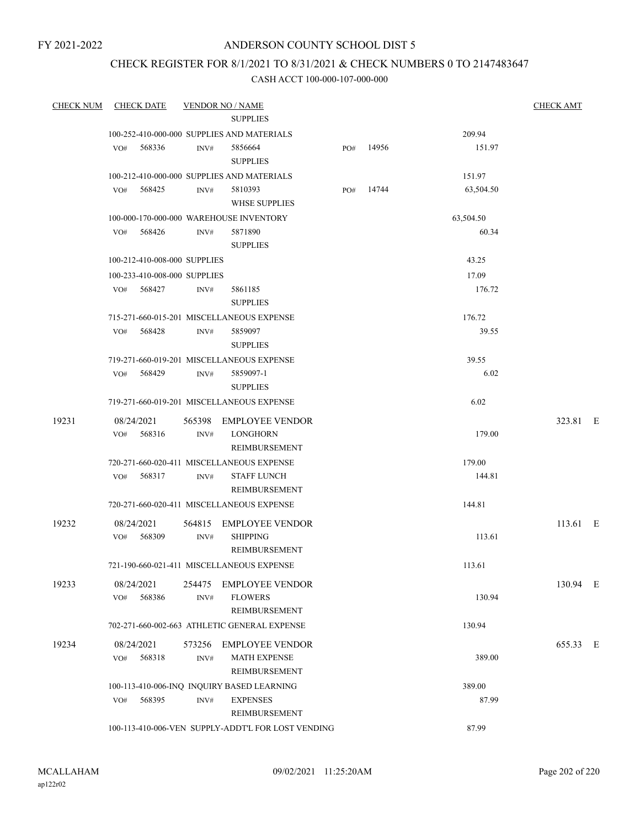#### ANDERSON COUNTY SCHOOL DIST 5

## CHECK REGISTER FOR 8/1/2021 TO 8/31/2021 & CHECK NUMBERS 0 TO 2147483647

| <b>CHECK NUM</b> | <b>CHECK DATE</b>                       |        | <b>VENDOR NO / NAME</b>                            |     |       |           | <b>CHECK AMT</b> |  |
|------------------|-----------------------------------------|--------|----------------------------------------------------|-----|-------|-----------|------------------|--|
|                  |                                         |        | <b>SUPPLIES</b>                                    |     |       |           |                  |  |
|                  |                                         |        | 100-252-410-000-000 SUPPLIES AND MATERIALS         |     |       | 209.94    |                  |  |
|                  | VO#<br>568336                           | INV#   | 5856664                                            | PO# | 14956 | 151.97    |                  |  |
|                  |                                         |        | <b>SUPPLIES</b>                                    |     |       |           |                  |  |
|                  |                                         |        | 100-212-410-000-000 SUPPLIES AND MATERIALS         |     |       | 151.97    |                  |  |
|                  | 568425<br>VO#                           | INV#   | 5810393                                            | PO# | 14744 | 63,504.50 |                  |  |
|                  |                                         |        | <b>WHSE SUPPLIES</b>                               |     |       |           |                  |  |
|                  | 100-000-170-000-000 WAREHOUSE INVENTORY |        |                                                    |     |       | 63,504.50 |                  |  |
|                  | VO#<br>568426                           | INV#   | 5871890                                            |     |       | 60.34     |                  |  |
|                  |                                         |        | <b>SUPPLIES</b>                                    |     |       |           |                  |  |
|                  | 100-212-410-008-000 SUPPLIES            |        |                                                    |     |       | 43.25     |                  |  |
|                  | 100-233-410-008-000 SUPPLIES            |        |                                                    |     |       | 17.09     |                  |  |
|                  | 568427<br>VO#                           | INV#   | 5861185<br><b>SUPPLIES</b>                         |     |       | 176.72    |                  |  |
|                  |                                         |        | 715-271-660-015-201 MISCELLANEOUS EXPENSE          |     |       | 176.72    |                  |  |
|                  | 568428<br>VO#                           | INV#   | 5859097                                            |     |       | 39.55     |                  |  |
|                  |                                         |        | <b>SUPPLIES</b>                                    |     |       |           |                  |  |
|                  |                                         |        | 719-271-660-019-201 MISCELLANEOUS EXPENSE          |     |       | 39.55     |                  |  |
|                  | 568429<br>VO#                           | INV#   | 5859097-1                                          |     |       | 6.02      |                  |  |
|                  |                                         |        | <b>SUPPLIES</b>                                    |     |       |           |                  |  |
|                  |                                         |        | 719-271-660-019-201 MISCELLANEOUS EXPENSE          |     |       | 6.02      |                  |  |
| 19231            | 08/24/2021                              |        | 565398 EMPLOYEE VENDOR                             |     |       |           | 323.81 E         |  |
|                  | 568316<br>VO#                           | INV#   | <b>LONGHORN</b>                                    |     |       | 179.00    |                  |  |
|                  |                                         |        | REIMBURSEMENT                                      |     |       |           |                  |  |
|                  |                                         |        | 720-271-660-020-411 MISCELLANEOUS EXPENSE          |     |       | 179.00    |                  |  |
|                  | 568317<br>VO#                           | INV#   | <b>STAFF LUNCH</b><br>REIMBURSEMENT                |     |       | 144.81    |                  |  |
|                  |                                         |        | 720-271-660-020-411 MISCELLANEOUS EXPENSE          |     |       | 144.81    |                  |  |
| 19232            | 08/24/2021                              | 564815 | <b>EMPLOYEE VENDOR</b>                             |     |       |           | $113.61$ E       |  |
|                  | 568309<br>VO#                           | INV#   | <b>SHIPPING</b>                                    |     |       | 113.61    |                  |  |
|                  |                                         |        | REIMBURSEMENT                                      |     |       |           |                  |  |
|                  |                                         |        | 721-190-660-021-411 MISCELLANEOUS EXPENSE          |     |       | 113.61    |                  |  |
| 19233            | 08/24/2021                              | 254475 | <b>EMPLOYEE VENDOR</b>                             |     |       |           | 130.94 E         |  |
|                  | 568386<br>VO#                           | INV#   | <b>FLOWERS</b>                                     |     |       | 130.94    |                  |  |
|                  |                                         |        | REIMBURSEMENT                                      |     |       |           |                  |  |
|                  |                                         |        | 702-271-660-002-663 ATHLETIC GENERAL EXPENSE       |     |       | 130.94    |                  |  |
| 19234            | 08/24/2021                              | 573256 | <b>EMPLOYEE VENDOR</b>                             |     |       |           | 655.33 E         |  |
|                  | 568318<br>VO#                           | INV#   | <b>MATH EXPENSE</b>                                |     |       | 389.00    |                  |  |
|                  |                                         |        | <b>REIMBURSEMENT</b>                               |     |       |           |                  |  |
|                  |                                         |        | 100-113-410-006-INQ INQUIRY BASED LEARNING         |     |       | 389.00    |                  |  |
|                  | 568395<br>VO#                           | INV#   | <b>EXPENSES</b>                                    |     |       | 87.99     |                  |  |
|                  |                                         |        | REIMBURSEMENT                                      |     |       |           |                  |  |
|                  |                                         |        | 100-113-410-006-VEN SUPPLY-ADDT'L FOR LOST VENDING |     |       | 87.99     |                  |  |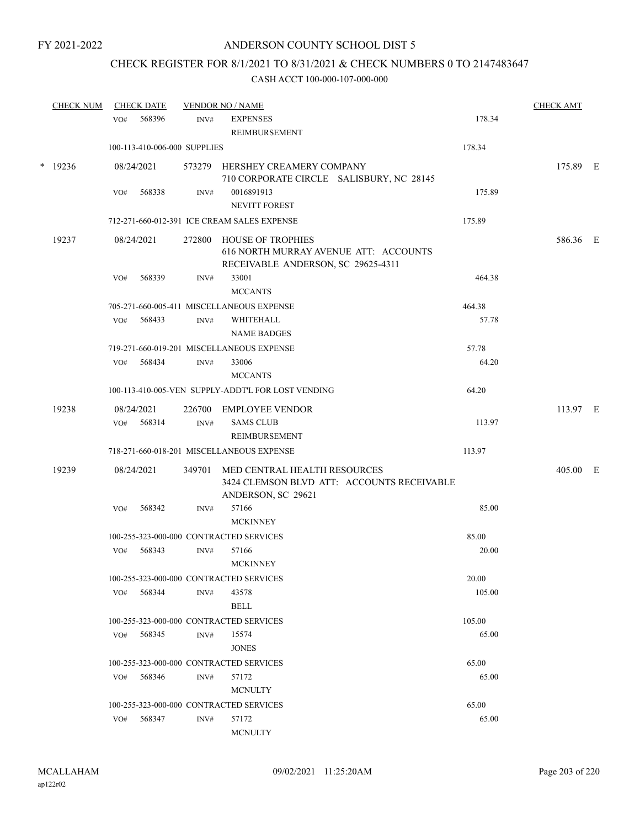## CHECK REGISTER FOR 8/1/2021 TO 8/31/2021 & CHECK NUMBERS 0 TO 2147483647

|   | <b>CHECK NUM</b> |     | <b>CHECK DATE</b>            |                | <b>VENDOR NO / NAME</b>                                                                                 |                 | <b>CHECK AMT</b> |  |
|---|------------------|-----|------------------------------|----------------|---------------------------------------------------------------------------------------------------------|-----------------|------------------|--|
|   |                  | VO# | 568396                       | INV#           | <b>EXPENSES</b>                                                                                         | 178.34          |                  |  |
|   |                  |     |                              |                | REIMBURSEMENT                                                                                           |                 |                  |  |
|   |                  |     | 100-113-410-006-000 SUPPLIES |                |                                                                                                         | 178.34          |                  |  |
| * | 19236            |     | 08/24/2021                   |                | 573279 HERSHEY CREAMERY COMPANY<br>710 CORPORATE CIRCLE SALISBURY, NC 28145                             |                 | 175.89 E         |  |
|   |                  | VO# | 568338                       | INV#           | 0016891913                                                                                              | 175.89          |                  |  |
|   |                  |     |                              |                | <b>NEVITT FOREST</b>                                                                                    |                 |                  |  |
|   |                  |     |                              |                | 712-271-660-012-391 ICE CREAM SALES EXPENSE                                                             | 175.89          |                  |  |
|   | 19237            |     | 08/24/2021                   | 272800         | HOUSE OF TROPHIES<br>616 NORTH MURRAY AVENUE ATT: ACCOUNTS<br>RECEIVABLE ANDERSON, SC 29625-4311        |                 | 586.36 E         |  |
|   |                  | VO# | 568339                       | INV#           | 33001<br><b>MCCANTS</b>                                                                                 | 464.38          |                  |  |
|   |                  |     |                              |                | 705-271-660-005-411 MISCELLANEOUS EXPENSE                                                               | 464.38          |                  |  |
|   |                  | VO# | 568433                       | $\text{INV}\#$ | WHITEHALL                                                                                               | 57.78           |                  |  |
|   |                  |     |                              |                | <b>NAME BADGES</b>                                                                                      |                 |                  |  |
|   |                  |     |                              |                | 719-271-660-019-201 MISCELLANEOUS EXPENSE                                                               | 57.78           |                  |  |
|   |                  | VO# | 568434                       | INV#           | 33006<br><b>MCCANTS</b>                                                                                 | 64.20           |                  |  |
|   |                  |     |                              |                | 100-113-410-005-VEN SUPPLY-ADDT'L FOR LOST VENDING                                                      | 64.20           |                  |  |
|   | 19238            |     | 08/24/2021                   | 226700         | <b>EMPLOYEE VENDOR</b>                                                                                  |                 | 113.97 E         |  |
|   |                  | VO# | 568314                       | INV#           | <b>SAMS CLUB</b><br>REIMBURSEMENT                                                                       | 113.97          |                  |  |
|   |                  |     |                              |                | 718-271-660-018-201 MISCELLANEOUS EXPENSE                                                               | 113.97          |                  |  |
|   | 19239            |     | 08/24/2021                   |                | 349701 MED CENTRAL HEALTH RESOURCES<br>3424 CLEMSON BLVD ATT: ACCOUNTS RECEIVABLE<br>ANDERSON, SC 29621 |                 | 405.00 E         |  |
|   |                  | VO# | 568342                       | INV#           | 57166                                                                                                   | 85.00           |                  |  |
|   |                  |     |                              |                | <b>MCKINNEY</b>                                                                                         |                 |                  |  |
|   |                  |     |                              |                | 100-255-323-000-000 CONTRACTED SERVICES                                                                 | 85.00           |                  |  |
|   |                  | VO# | 568343                       | INV#           | 57166                                                                                                   | 20.00           |                  |  |
|   |                  |     |                              |                | <b>MCKINNEY</b>                                                                                         |                 |                  |  |
|   |                  | VO# | 568344                       | INV#           | 100-255-323-000-000 CONTRACTED SERVICES<br>43578                                                        | 20.00<br>105.00 |                  |  |
|   |                  |     |                              |                | <b>BELL</b>                                                                                             |                 |                  |  |
|   |                  |     |                              |                | 100-255-323-000-000 CONTRACTED SERVICES                                                                 | 105.00          |                  |  |
|   |                  | VO# | 568345                       | INV#           | 15574                                                                                                   | 65.00           |                  |  |
|   |                  |     |                              |                | <b>JONES</b>                                                                                            |                 |                  |  |
|   |                  |     |                              |                | 100-255-323-000-000 CONTRACTED SERVICES                                                                 | 65.00           |                  |  |
|   |                  | VO# | 568346                       | INV#           | 57172                                                                                                   | 65.00           |                  |  |
|   |                  |     |                              |                | <b>MCNULTY</b>                                                                                          |                 |                  |  |
|   |                  |     |                              |                | 100-255-323-000-000 CONTRACTED SERVICES                                                                 | 65.00           |                  |  |
|   |                  | VO# | 568347                       | INV#           | 57172<br><b>MCNULTY</b>                                                                                 | 65.00           |                  |  |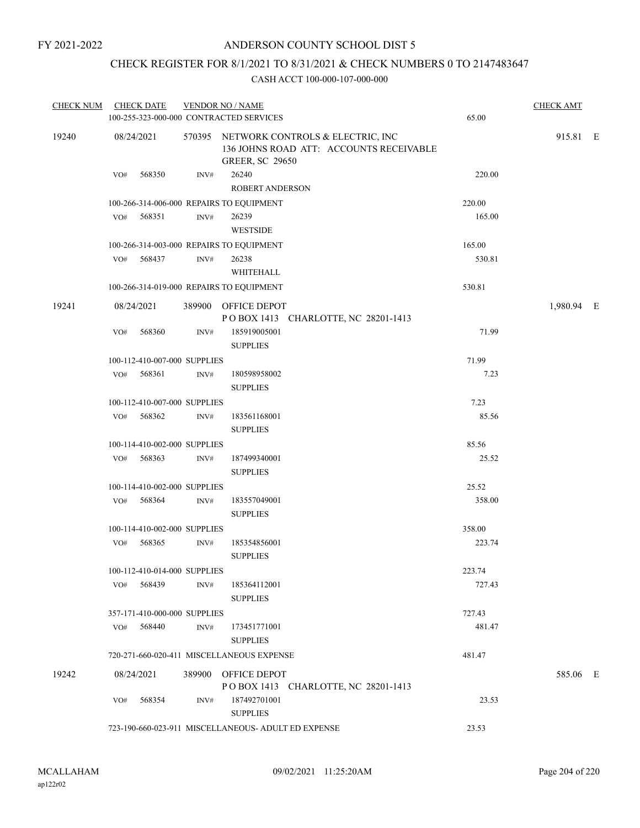### ANDERSON COUNTY SCHOOL DIST 5

## CHECK REGISTER FOR 8/1/2021 TO 8/31/2021 & CHECK NUMBERS 0 TO 2147483647

| <b>CHECK NUM</b> | <b>CHECK DATE</b>            |                | <b>VENDOR NO / NAME</b><br>100-255-323-000-000 CONTRACTED SERVICES                                           | 65.00  | <b>CHECK AMT</b> |  |
|------------------|------------------------------|----------------|--------------------------------------------------------------------------------------------------------------|--------|------------------|--|
| 19240            | 08/24/2021                   |                | 570395 NETWORK CONTROLS & ELECTRIC, INC<br>136 JOHNS ROAD ATT: ACCOUNTS RECEIVABLE<br><b>GREER, SC 29650</b> |        | 915.81 E         |  |
|                  | 568350<br>VO#                | $\text{INV}\#$ | 26240<br><b>ROBERT ANDERSON</b>                                                                              | 220.00 |                  |  |
|                  |                              |                | 100-266-314-006-000 REPAIRS TO EQUIPMENT                                                                     | 220.00 |                  |  |
|                  | 568351<br>VO#                | INV#           | 26239<br><b>WESTSIDE</b>                                                                                     | 165.00 |                  |  |
|                  |                              |                | 100-266-314-003-000 REPAIRS TO EQUIPMENT                                                                     | 165.00 |                  |  |
|                  | VO# 568437                   | INV#           | 26238<br>WHITEHALL                                                                                           | 530.81 |                  |  |
|                  |                              |                | 100-266-314-019-000 REPAIRS TO EQUIPMENT                                                                     | 530.81 |                  |  |
| 19241            | 08/24/2021                   |                | 389900 OFFICE DEPOT<br>POBOX 1413 CHARLOTTE, NC 28201-1413                                                   |        | 1,980.94 E       |  |
|                  | 568360<br>VO#                | INV#           | 185919005001<br><b>SUPPLIES</b>                                                                              | 71.99  |                  |  |
|                  | 100-112-410-007-000 SUPPLIES |                |                                                                                                              | 71.99  |                  |  |
|                  | 568361<br>VO#                | INV#           | 180598958002<br><b>SUPPLIES</b>                                                                              | 7.23   |                  |  |
|                  | 100-112-410-007-000 SUPPLIES |                |                                                                                                              | 7.23   |                  |  |
|                  | 568362<br>VO#                | INV#           | 183561168001<br><b>SUPPLIES</b>                                                                              | 85.56  |                  |  |
|                  | 100-114-410-002-000 SUPPLIES |                |                                                                                                              | 85.56  |                  |  |
|                  | 568363<br>VO#                | INV#           | 187499340001<br><b>SUPPLIES</b>                                                                              | 25.52  |                  |  |
|                  | 100-114-410-002-000 SUPPLIES |                |                                                                                                              | 25.52  |                  |  |
|                  | 568364<br>VO#                | INV#           | 183557049001<br><b>SUPPLIES</b>                                                                              | 358.00 |                  |  |
|                  | 100-114-410-002-000 SUPPLIES |                |                                                                                                              | 358.00 |                  |  |
|                  | 568365<br>VO#                | INV#           | 185354856001<br><b>SUPPLIES</b>                                                                              | 223.74 |                  |  |
|                  | 100-112-410-014-000 SUPPLIES |                |                                                                                                              | 223.74 |                  |  |
|                  | VO# 568439                   | INV#           | 185364112001<br><b>SUPPLIES</b>                                                                              | 727.43 |                  |  |
|                  | 357-171-410-000-000 SUPPLIES |                |                                                                                                              | 727.43 |                  |  |
|                  | VO# 568440                   | INV#           | 173451771001<br><b>SUPPLIES</b>                                                                              | 481.47 |                  |  |
|                  |                              |                | 720-271-660-020-411 MISCELLANEOUS EXPENSE                                                                    | 481.47 |                  |  |
| 19242            | 08/24/2021                   |                | 389900 OFFICE DEPOT<br>POBOX 1413 CHARLOTTE, NC 28201-1413                                                   |        | 585.06 E         |  |
|                  | VO# 568354                   | INV#           | 187492701001<br><b>SUPPLIES</b>                                                                              | 23.53  |                  |  |
|                  |                              |                | 723-190-660-023-911 MISCELLANEOUS- ADULT ED EXPENSE                                                          | 23.53  |                  |  |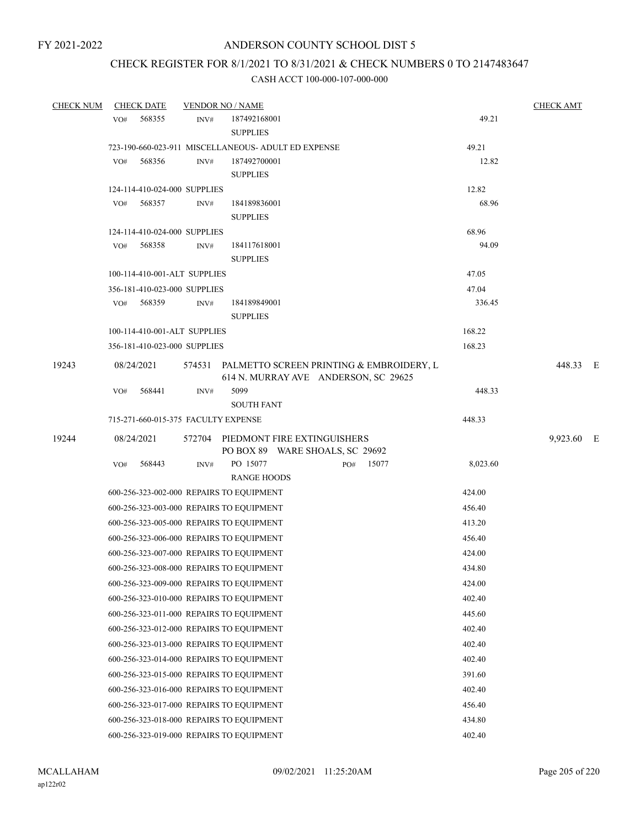# CHECK REGISTER FOR 8/1/2021 TO 8/31/2021 & CHECK NUMBERS 0 TO 2147483647

| <b>CHECK NUM</b> | <b>CHECK DATE</b>                   |      | <b>VENDOR NO / NAME</b>                                                                 |           |          | <b>CHECK AMT</b> |  |
|------------------|-------------------------------------|------|-----------------------------------------------------------------------------------------|-----------|----------|------------------|--|
|                  | 568355<br>VO#                       | INV# | 187492168001                                                                            |           | 49.21    |                  |  |
|                  |                                     |      | <b>SUPPLIES</b>                                                                         |           |          |                  |  |
|                  |                                     |      | 723-190-660-023-911 MISCELLANEOUS- ADULT ED EXPENSE                                     |           | 49.21    |                  |  |
|                  | 568356<br>VO#                       | INV# | 187492700001                                                                            |           | 12.82    |                  |  |
|                  |                                     |      | <b>SUPPLIES</b>                                                                         |           |          |                  |  |
|                  | 124-114-410-024-000 SUPPLIES        |      |                                                                                         |           | 12.82    |                  |  |
|                  | 568357<br>VO#                       | INV# | 184189836001                                                                            |           | 68.96    |                  |  |
|                  |                                     |      | <b>SUPPLIES</b>                                                                         |           |          |                  |  |
|                  | 124-114-410-024-000 SUPPLIES        |      |                                                                                         |           | 68.96    |                  |  |
|                  | 568358<br>VO#                       | INV# | 184117618001                                                                            |           | 94.09    |                  |  |
|                  |                                     |      | <b>SUPPLIES</b>                                                                         |           |          |                  |  |
|                  | 100-114-410-001-ALT SUPPLIES        |      |                                                                                         |           | 47.05    |                  |  |
|                  | 356-181-410-023-000 SUPPLIES        |      |                                                                                         |           | 47.04    |                  |  |
|                  | VO# 568359                          | INV# | 184189849001<br><b>SUPPLIES</b>                                                         |           | 336.45   |                  |  |
|                  | 100-114-410-001-ALT SUPPLIES        |      |                                                                                         |           | 168.22   |                  |  |
|                  | 356-181-410-023-000 SUPPLIES        |      |                                                                                         |           | 168.23   |                  |  |
| 19243            |                                     |      |                                                                                         |           |          | 448.33 E         |  |
|                  | 08/24/2021                          |      | 574531 PALMETTO SCREEN PRINTING & EMBROIDERY, L<br>614 N. MURRAY AVE ANDERSON, SC 29625 |           |          |                  |  |
|                  | VO#<br>568441                       | INV# | 5099                                                                                    |           | 448.33   |                  |  |
|                  |                                     |      | <b>SOUTH FANT</b>                                                                       |           |          |                  |  |
|                  | 715-271-660-015-375 FACULTY EXPENSE |      |                                                                                         |           | 448.33   |                  |  |
| 19244            | 08/24/2021                          |      | 572704 PIEDMONT FIRE EXTINGUISHERS<br>PO BOX 89 WARE SHOALS, SC 29692                   |           |          | 9,923.60 E       |  |
|                  | 568443<br>VO#                       | INV# | PO 15077                                                                                | PO# 15077 | 8,023.60 |                  |  |
|                  |                                     |      | <b>RANGE HOODS</b>                                                                      |           |          |                  |  |
|                  |                                     |      | 600-256-323-002-000 REPAIRS TO EQUIPMENT                                                |           | 424.00   |                  |  |
|                  |                                     |      | 600-256-323-003-000 REPAIRS TO EQUIPMENT                                                |           | 456.40   |                  |  |
|                  |                                     |      | 600-256-323-005-000 REPAIRS TO EQUIPMENT                                                |           | 413.20   |                  |  |
|                  |                                     |      | 600-256-323-006-000 REPAIRS TO EQUIPMENT                                                |           | 456.40   |                  |  |
|                  |                                     |      | 600-256-323-007-000 REPAIRS TO EQUIPMENT                                                |           | 424.00   |                  |  |
|                  |                                     |      | 600-256-323-008-000 REPAIRS TO EQUIPMENT                                                |           | 434.80   |                  |  |
|                  |                                     |      | 600-256-323-009-000 REPAIRS TO EQUIPMENT                                                |           | 424.00   |                  |  |
|                  |                                     |      | 600-256-323-010-000 REPAIRS TO EQUIPMENT                                                |           | 402.40   |                  |  |
|                  |                                     |      | 600-256-323-011-000 REPAIRS TO EQUIPMENT                                                |           | 445.60   |                  |  |
|                  |                                     |      | 600-256-323-012-000 REPAIRS TO EQUIPMENT                                                |           | 402.40   |                  |  |
|                  |                                     |      | 600-256-323-013-000 REPAIRS TO EQUIPMENT                                                |           | 402.40   |                  |  |
|                  |                                     |      | 600-256-323-014-000 REPAIRS TO EQUIPMENT                                                |           | 402.40   |                  |  |
|                  |                                     |      |                                                                                         |           |          |                  |  |
|                  |                                     |      | 600-256-323-015-000 REPAIRS TO EQUIPMENT                                                |           | 391.60   |                  |  |
|                  |                                     |      | 600-256-323-016-000 REPAIRS TO EQUIPMENT                                                |           | 402.40   |                  |  |
|                  |                                     |      | 600-256-323-017-000 REPAIRS TO EQUIPMENT                                                |           | 456.40   |                  |  |
|                  |                                     |      | 600-256-323-018-000 REPAIRS TO EQUIPMENT                                                |           | 434.80   |                  |  |
|                  |                                     |      | 600-256-323-019-000 REPAIRS TO EQUIPMENT                                                |           | 402.40   |                  |  |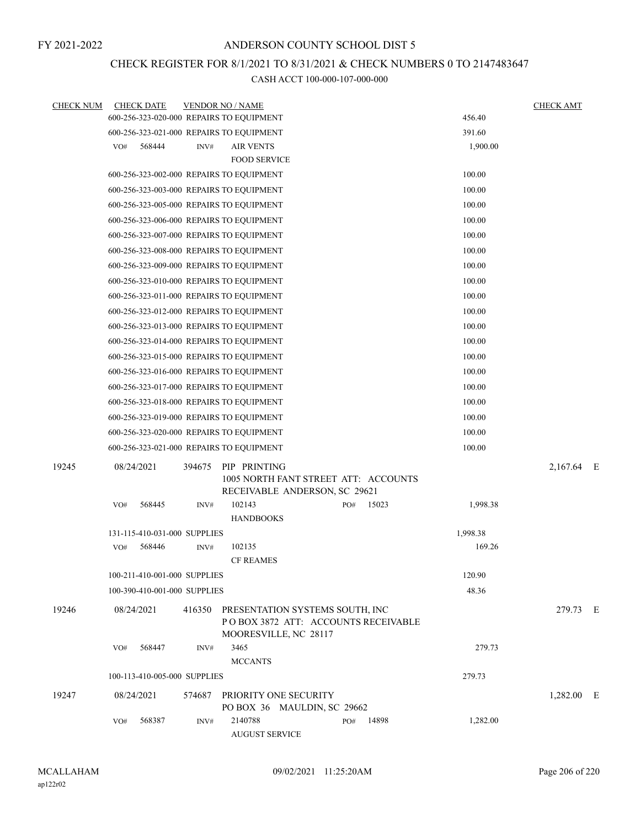### CHECK REGISTER FOR 8/1/2021 TO 8/31/2021 & CHECK NUMBERS 0 TO 2147483647

| <b>CHECK NUM</b> | <b>CHECK DATE</b>                        |        | <b>VENDOR NO / NAME</b>                                                                                |     |       |          | <b>CHECK AMT</b> |  |
|------------------|------------------------------------------|--------|--------------------------------------------------------------------------------------------------------|-----|-------|----------|------------------|--|
|                  | 600-256-323-020-000 REPAIRS TO EQUIPMENT |        |                                                                                                        |     |       | 456.40   |                  |  |
|                  | 600-256-323-021-000 REPAIRS TO EQUIPMENT |        |                                                                                                        |     |       | 391.60   |                  |  |
|                  | 568444<br>VO#                            | INV#   | <b>AIR VENTS</b>                                                                                       |     |       | 1,900.00 |                  |  |
|                  |                                          |        | <b>FOOD SERVICE</b>                                                                                    |     |       |          |                  |  |
|                  | 600-256-323-002-000 REPAIRS TO EQUIPMENT |        |                                                                                                        |     |       | 100.00   |                  |  |
|                  | 600-256-323-003-000 REPAIRS TO EQUIPMENT |        |                                                                                                        |     |       | 100.00   |                  |  |
|                  | 600-256-323-005-000 REPAIRS TO EQUIPMENT |        |                                                                                                        |     |       | 100.00   |                  |  |
|                  | 600-256-323-006-000 REPAIRS TO EQUIPMENT |        |                                                                                                        |     |       | 100.00   |                  |  |
|                  | 600-256-323-007-000 REPAIRS TO EQUIPMENT |        |                                                                                                        |     |       | 100.00   |                  |  |
|                  | 600-256-323-008-000 REPAIRS TO EQUIPMENT |        |                                                                                                        |     |       | 100.00   |                  |  |
|                  | 600-256-323-009-000 REPAIRS TO EQUIPMENT |        |                                                                                                        |     |       | 100.00   |                  |  |
|                  | 600-256-323-010-000 REPAIRS TO EQUIPMENT |        |                                                                                                        |     |       | 100.00   |                  |  |
|                  | 600-256-323-011-000 REPAIRS TO EQUIPMENT |        |                                                                                                        |     |       | 100.00   |                  |  |
|                  | 600-256-323-012-000 REPAIRS TO EQUIPMENT |        |                                                                                                        |     |       | 100.00   |                  |  |
|                  | 600-256-323-013-000 REPAIRS TO EQUIPMENT |        |                                                                                                        |     |       | 100.00   |                  |  |
|                  | 600-256-323-014-000 REPAIRS TO EQUIPMENT |        |                                                                                                        |     |       | 100.00   |                  |  |
|                  | 600-256-323-015-000 REPAIRS TO EQUIPMENT |        |                                                                                                        |     |       | 100.00   |                  |  |
|                  | 600-256-323-016-000 REPAIRS TO EQUIPMENT |        |                                                                                                        |     |       | 100.00   |                  |  |
|                  | 600-256-323-017-000 REPAIRS TO EQUIPMENT |        |                                                                                                        |     |       | 100.00   |                  |  |
|                  | 600-256-323-018-000 REPAIRS TO EQUIPMENT |        |                                                                                                        |     |       | 100.00   |                  |  |
|                  | 600-256-323-019-000 REPAIRS TO EQUIPMENT |        |                                                                                                        |     |       | 100.00   |                  |  |
|                  | 600-256-323-020-000 REPAIRS TO EQUIPMENT |        |                                                                                                        |     |       | 100.00   |                  |  |
|                  | 600-256-323-021-000 REPAIRS TO EQUIPMENT |        |                                                                                                        |     |       | 100.00   |                  |  |
| 19245            | 08/24/2021                               | 394675 | PIP PRINTING<br>1005 NORTH FANT STREET ATT: ACCOUNTS<br>RECEIVABLE ANDERSON, SC 29621                  |     |       |          | 2,167.64 E       |  |
|                  | VO#<br>568445                            | INV#   | 102143<br><b>HANDBOOKS</b>                                                                             | PO# | 15023 | 1,998.38 |                  |  |
|                  | 131-115-410-031-000 SUPPLIES             |        |                                                                                                        |     |       | 1,998.38 |                  |  |
|                  | 568446<br>VO#                            | INV#   | 102135<br><b>CF REAMES</b>                                                                             |     |       | 169.26   |                  |  |
|                  | 100-211-410-001-000 SUPPLIES             |        |                                                                                                        |     |       | 120.90   |                  |  |
|                  | 100-390-410-001-000 SUPPLIES             |        |                                                                                                        |     |       | 48.36    |                  |  |
|                  |                                          |        |                                                                                                        |     |       |          |                  |  |
| 19246            | 08/24/2021                               |        | 416350 PRESENTATION SYSTEMS SOUTH, INC<br>POBOX 3872 ATT: ACCOUNTS RECEIVABLE<br>MOORESVILLE, NC 28117 |     |       |          | 279.73 E         |  |
|                  | 568447<br>VO#                            | INV#   | 3465<br><b>MCCANTS</b>                                                                                 |     |       | 279.73   |                  |  |
|                  | 100-113-410-005-000 SUPPLIES             |        |                                                                                                        |     |       | 279.73   |                  |  |
|                  |                                          |        | PRIORITY ONE SECURITY                                                                                  |     |       |          |                  |  |
| 19247            | 08/24/2021                               | 574687 | PO BOX 36 MAULDIN, SC 29662                                                                            |     |       |          | 1,282.00 E       |  |
|                  | 568387<br>VO#                            | INV#   | 2140788<br><b>AUGUST SERVICE</b>                                                                       | PO# | 14898 | 1,282.00 |                  |  |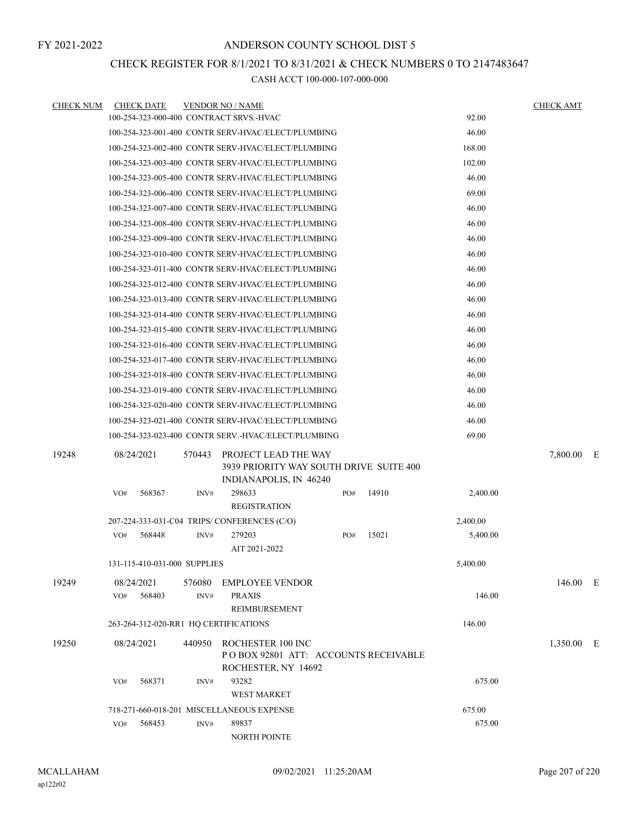### CHECK REGISTER FOR 8/1/2021 TO 8/31/2021 & CHECK NUMBERS 0 TO 2147483647

| <b>CHECK NUM</b> | <b>CHECK DATE</b>                       |        | <b>VENDOR NO / NAME</b>                                                          |     |       |          | <b>CHECK AMT</b> |  |
|------------------|-----------------------------------------|--------|----------------------------------------------------------------------------------|-----|-------|----------|------------------|--|
|                  | 100-254-323-000-400 CONTRACT SRVS.-HVAC |        |                                                                                  |     |       | 92.00    |                  |  |
|                  |                                         |        | 100-254-323-001-400 CONTR SERV-HVAC/ELECT/PLUMBING                               |     |       | 46.00    |                  |  |
|                  |                                         |        | 100-254-323-002-400 CONTR SERV-HVAC/ELECT/PLUMBING                               |     |       | 168.00   |                  |  |
|                  |                                         |        | 100-254-323-003-400 CONTR SERV-HVAC/ELECT/PLUMBING                               |     |       | 102.00   |                  |  |
|                  |                                         |        | 100-254-323-005-400 CONTR SERV-HVAC/ELECT/PLUMBING                               |     |       | 46.00    |                  |  |
|                  |                                         |        | 100-254-323-006-400 CONTR SERV-HVAC/ELECT/PLUMBING                               |     |       | 69.00    |                  |  |
|                  |                                         |        | 100-254-323-007-400 CONTR SERV-HVAC/ELECT/PLUMBING                               |     |       | 46.00    |                  |  |
|                  |                                         |        | 100-254-323-008-400 CONTR SERV-HVAC/ELECT/PLUMBING                               |     |       | 46.00    |                  |  |
|                  |                                         |        | 100-254-323-009-400 CONTR SERV-HVAC/ELECT/PLUMBING                               |     |       | 46.00    |                  |  |
|                  |                                         |        | 100-254-323-010-400 CONTR SERV-HVAC/ELECT/PLUMBING                               |     |       | 46.00    |                  |  |
|                  |                                         |        | 100-254-323-011-400 CONTR SERV-HVAC/ELECT/PLUMBING                               |     |       | 46.00    |                  |  |
|                  |                                         |        | 100-254-323-012-400 CONTR SERV-HVAC/ELECT/PLUMBING                               |     |       | 46.00    |                  |  |
|                  |                                         |        | 100-254-323-013-400 CONTR SERV-HVAC/ELECT/PLUMBING                               |     |       | 46.00    |                  |  |
|                  |                                         |        | 100-254-323-014-400 CONTR SERV-HVAC/ELECT/PLUMBING                               |     |       | 46.00    |                  |  |
|                  |                                         |        | 100-254-323-015-400 CONTR SERV-HVAC/ELECT/PLUMBING                               |     |       | 46.00    |                  |  |
|                  |                                         |        | 100-254-323-016-400 CONTR SERV-HVAC/ELECT/PLUMBING                               |     |       | 46.00    |                  |  |
|                  |                                         |        | 100-254-323-017-400 CONTR SERV-HVAC/ELECT/PLUMBING                               |     |       | 46.00    |                  |  |
|                  |                                         |        | 100-254-323-018-400 CONTR SERV-HVAC/ELECT/PLUMBING                               |     |       | 46.00    |                  |  |
|                  |                                         |        | 100-254-323-019-400 CONTR SERV-HVAC/ELECT/PLUMBING                               |     |       | 46.00    |                  |  |
|                  |                                         |        | 100-254-323-020-400 CONTR SERV-HVAC/ELECT/PLUMBING                               |     |       | 46.00    |                  |  |
|                  |                                         |        | 100-254-323-021-400 CONTR SERV-HVAC/ELECT/PLUMBING                               |     |       | 46.00    |                  |  |
|                  |                                         |        | 100-254-323-023-400 CONTR SERV.-HVAC/ELECT/PLUMBING                              |     |       | 69.00    |                  |  |
| 19248            | 08/24/2021                              | 570443 | PROJECT LEAD THE WAY<br>3939 PRIORITY WAY SOUTH DRIVE SUITE 400                  |     |       |          | 7,800.00 E       |  |
|                  |                                         |        | INDIANAPOLIS, IN 46240                                                           |     |       |          |                  |  |
|                  | 568367<br>VO#                           | INV#   | 298633<br><b>REGISTRATION</b>                                                    | PO# | 14910 | 2,400.00 |                  |  |
|                  |                                         |        | 207-224-333-031-C04 TRIPS/CONFERENCES (C/O)                                      |     |       | 2,400.00 |                  |  |
|                  | 568448<br>VO#                           | INV#   | 279203<br>AIT 2021-2022                                                          | PO# | 15021 | 5,400.00 |                  |  |
|                  | 131-115-410-031-000 SUPPLIES            |        |                                                                                  |     |       | 5.400.00 |                  |  |
| 19249            | 08/24/2021                              | 576080 | <b>EMPLOYEE VENDOR</b>                                                           |     |       |          | 146.00 E         |  |
|                  | 568403<br>VO#                           | INV#   | <b>PRAXIS</b><br><b>REIMBURSEMENT</b>                                            |     |       | 146.00   |                  |  |
|                  | 263-264-312-020-RR1 HQ CERTIFICATIONS   |        |                                                                                  |     |       | 146.00   |                  |  |
| 19250            | 08/24/2021                              | 440950 | ROCHESTER 100 INC<br>POBOX 92801 ATT: ACCOUNTS RECEIVABLE<br>ROCHESTER, NY 14692 |     |       |          | 1,350.00 E       |  |
|                  | 568371<br>VO#                           | INV#   | 93282<br><b>WEST MARKET</b>                                                      |     |       | 675.00   |                  |  |
|                  |                                         |        | 718-271-660-018-201 MISCELLANEOUS EXPENSE                                        |     |       | 675.00   |                  |  |
|                  | 568453<br>VO#                           | INV#   | 89837                                                                            |     |       | 675.00   |                  |  |
|                  |                                         |        | NORTH POINTE                                                                     |     |       |          |                  |  |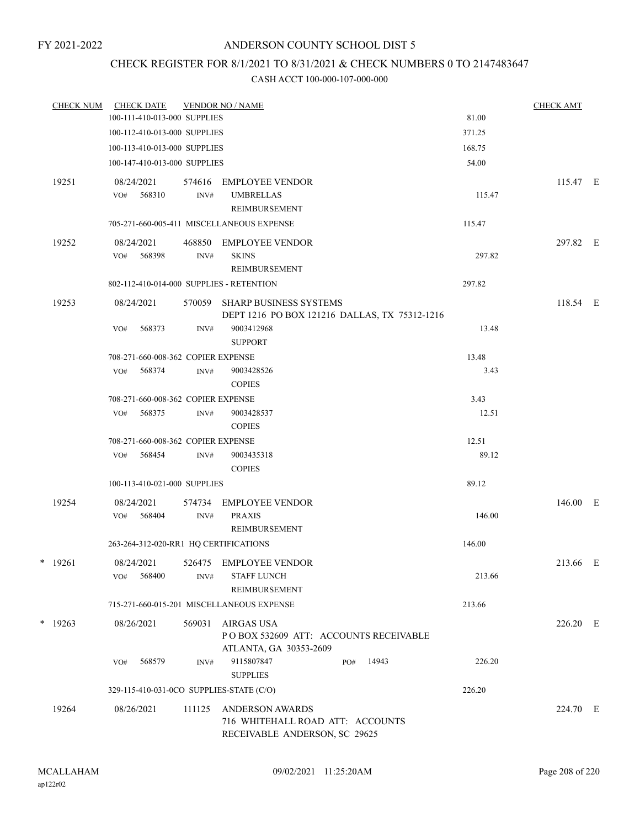## CHECK REGISTER FOR 8/1/2021 TO 8/31/2021 & CHECK NUMBERS 0 TO 2147483647

| <b>CHECK NUM</b> | <b>CHECK DATE</b>                                   |        | <b>VENDOR NO / NAME</b>                       |               | <b>CHECK AMT</b> |  |
|------------------|-----------------------------------------------------|--------|-----------------------------------------------|---------------|------------------|--|
|                  | 100-111-410-013-000 SUPPLIES                        |        |                                               | 81.00         |                  |  |
|                  | 100-112-410-013-000 SUPPLIES                        |        |                                               | 371.25        |                  |  |
|                  | 100-113-410-013-000 SUPPLIES                        |        |                                               | 168.75        |                  |  |
|                  | 100-147-410-013-000 SUPPLIES                        |        |                                               | 54.00         |                  |  |
| 19251            | 08/24/2021                                          |        | 574616 EMPLOYEE VENDOR                        |               | 115.47 E         |  |
|                  | VO# 568310                                          | INV#   | <b>UMBRELLAS</b>                              | 115.47        |                  |  |
|                  |                                                     |        | REIMBURSEMENT                                 |               |                  |  |
|                  |                                                     |        | 705-271-660-005-411 MISCELLANEOUS EXPENSE     | 115.47        |                  |  |
| 19252            | 08/24/2021                                          | 468850 | EMPLOYEE VENDOR                               |               | 297.82 E         |  |
|                  | 568398<br>VO#                                       | INV#   | <b>SKINS</b>                                  | 297.82        |                  |  |
|                  |                                                     |        | REIMBURSEMENT                                 |               |                  |  |
|                  | 802-112-410-014-000 SUPPLIES - RETENTION            |        |                                               | 297.82        |                  |  |
| 19253            | 08/24/2021                                          |        | 570059 SHARP BUSINESS SYSTEMS                 |               | 118.54 E         |  |
|                  |                                                     |        | DEPT 1216 PO BOX 121216 DALLAS, TX 75312-1216 |               |                  |  |
|                  | 568373<br>VO#                                       | INV#   | 9003412968                                    | 13.48         |                  |  |
|                  |                                                     |        | <b>SUPPORT</b>                                |               |                  |  |
|                  | 708-271-660-008-362 COPIER EXPENSE<br>VO#<br>568374 | INV#   | 9003428526                                    | 13.48<br>3.43 |                  |  |
|                  |                                                     |        | <b>COPIES</b>                                 |               |                  |  |
|                  | 708-271-660-008-362 COPIER EXPENSE                  |        |                                               | 3.43          |                  |  |
|                  | 568375<br>VO#                                       | INV#   | 9003428537                                    | 12.51         |                  |  |
|                  |                                                     |        | <b>COPIES</b>                                 |               |                  |  |
|                  | 708-271-660-008-362 COPIER EXPENSE                  |        |                                               | 12.51         |                  |  |
|                  | 568454<br>VO#                                       | INV#   | 9003435318                                    | 89.12         |                  |  |
|                  |                                                     |        | <b>COPIES</b>                                 |               |                  |  |
|                  | 100-113-410-021-000 SUPPLIES                        |        |                                               | 89.12         |                  |  |
| 19254            | 08/24/2021                                          |        | 574734 EMPLOYEE VENDOR                        |               | 146.00 E         |  |
|                  | $VO#$ 568404                                        | INV#   | <b>PRAXIS</b>                                 | 146.00        |                  |  |
|                  |                                                     |        | REIMBURSEMENT                                 |               |                  |  |
|                  | 263-264-312-020-RR1 HQ CERTIFICATIONS               |        |                                               | 146.00        |                  |  |
| $*$ 19261        | 08/24/2021                                          |        | 526475 EMPLOYEE VENDOR                        |               | 213.66 E         |  |
|                  | 568400<br>VO#                                       | INV#   | <b>STAFF LUNCH</b>                            | 213.66        |                  |  |
|                  |                                                     |        | <b>REIMBURSEMENT</b>                          |               |                  |  |
|                  |                                                     |        | 715-271-660-015-201 MISCELLANEOUS EXPENSE     | 213.66        |                  |  |
| $*$ 19263        | 08/26/2021                                          | 569031 | AIRGAS USA                                    |               | 226.20 E         |  |
|                  |                                                     |        | POBOX 532609 ATT: ACCOUNTS RECEIVABLE         |               |                  |  |
|                  |                                                     |        | ATLANTA, GA 30353-2609                        |               |                  |  |
|                  | 568579<br>VO#                                       | INV#   | 9115807847<br>14943<br>PO#                    | 226.20        |                  |  |
|                  |                                                     |        | <b>SUPPLIES</b>                               |               |                  |  |
|                  | 329-115-410-031-0CO SUPPLIES-STATE (C/O)            |        |                                               | 226.20        |                  |  |
| 19264            | 08/26/2021                                          | 111125 | <b>ANDERSON AWARDS</b>                        |               | 224.70 E         |  |
|                  |                                                     |        | 716 WHITEHALL ROAD ATT: ACCOUNTS              |               |                  |  |
|                  |                                                     |        | RECEIVABLE ANDERSON, SC 29625                 |               |                  |  |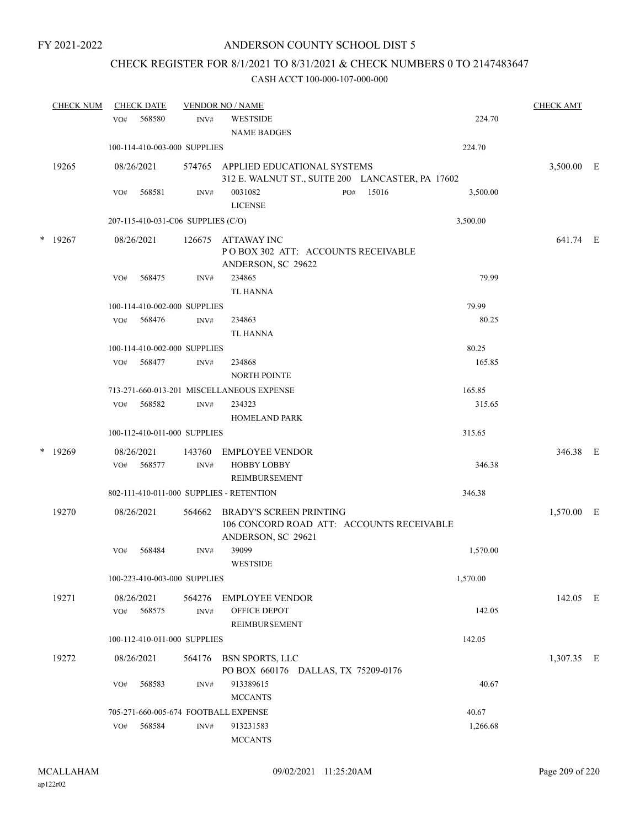# CHECK REGISTER FOR 8/1/2021 TO 8/31/2021 & CHECK NUMBERS 0 TO 2147483647

|   | <b>CHECK NUM</b> |                              | <b>CHECK DATE</b>                  |        | <b>VENDOR NO / NAME</b>                                                     |          | <b>CHECK AMT</b> |  |
|---|------------------|------------------------------|------------------------------------|--------|-----------------------------------------------------------------------------|----------|------------------|--|
|   |                  | VO#                          | 568580                             | INV#   | <b>WESTSIDE</b>                                                             | 224.70   |                  |  |
|   |                  |                              |                                    |        | <b>NAME BADGES</b>                                                          |          |                  |  |
|   |                  | 100-114-410-003-000 SUPPLIES | 224.70                             |        |                                                                             |          |                  |  |
|   | 19265            |                              | 08/26/2021                         | 574765 | APPLIED EDUCATIONAL SYSTEMS                                                 |          | 3,500.00 E       |  |
|   |                  |                              |                                    |        | 312 E. WALNUT ST., SUITE 200 LANCASTER, PA 17602                            |          |                  |  |
|   |                  | VO#                          | 568581                             | INV#   | 15016<br>0031082<br>PO#<br><b>LICENSE</b>                                   | 3,500.00 |                  |  |
|   |                  |                              | 207-115-410-031-C06 SUPPLIES (C/O) |        |                                                                             | 3,500.00 |                  |  |
| * | 19267            |                              | 08/26/2021                         | 126675 | ATTAWAY INC<br>POBOX 302 ATT: ACCOUNTS RECEIVABLE<br>ANDERSON, SC 29622     |          | 641.74 E         |  |
|   |                  | VO#                          | 568475                             | INV#   | 234865                                                                      | 79.99    |                  |  |
|   |                  |                              |                                    |        | <b>TL HANNA</b>                                                             |          |                  |  |
|   |                  |                              | 100-114-410-002-000 SUPPLIES       |        |                                                                             | 79.99    |                  |  |
|   |                  | VO#                          | 568476                             | INV#   | 234863<br><b>TL HANNA</b>                                                   | 80.25    |                  |  |
|   |                  |                              | 100-114-410-002-000 SUPPLIES       |        |                                                                             | 80.25    |                  |  |
|   |                  | VO#                          | 568477                             | INV#   | 234868                                                                      | 165.85   |                  |  |
|   |                  |                              |                                    |        | <b>NORTH POINTE</b>                                                         |          |                  |  |
|   |                  |                              |                                    |        | 713-271-660-013-201 MISCELLANEOUS EXPENSE                                   | 165.85   |                  |  |
|   |                  | VO#                          | 568582                             | INV#   | 234323                                                                      | 315.65   |                  |  |
|   |                  |                              |                                    |        | <b>HOMELAND PARK</b>                                                        |          |                  |  |
|   |                  |                              | 100-112-410-011-000 SUPPLIES       |        |                                                                             | 315.65   |                  |  |
| * | 19269            |                              | 08/26/2021                         | 143760 | <b>EMPLOYEE VENDOR</b>                                                      |          | 346.38 E         |  |
|   |                  | VO#                          | 568577                             | INV#   | <b>HOBBY LOBBY</b>                                                          | 346.38   |                  |  |
|   |                  |                              |                                    |        | REIMBURSEMENT                                                               |          |                  |  |
|   |                  |                              |                                    |        | 802-111-410-011-000 SUPPLIES - RETENTION                                    | 346.38   |                  |  |
|   | 19270            |                              | 08/26/2021                         | 564662 | <b>BRADY'S SCREEN PRINTING</b><br>106 CONCORD ROAD ATT: ACCOUNTS RECEIVABLE |          | 1,570.00 E       |  |
|   |                  | VO#                          | 568484                             | INV#   | ANDERSON, SC 29621<br>39099                                                 | 1,570.00 |                  |  |
|   |                  |                              |                                    |        | <b>WESTSIDE</b>                                                             |          |                  |  |
|   |                  |                              | 100-223-410-003-000 SUPPLIES       |        |                                                                             | 1,570.00 |                  |  |
|   | 19271            |                              | 08/26/2021                         | 564276 | <b>EMPLOYEE VENDOR</b>                                                      |          | 142.05 E         |  |
|   |                  | VO#                          | 568575                             | INV#   | OFFICE DEPOT                                                                | 142.05   |                  |  |
|   |                  |                              |                                    |        | REIMBURSEMENT                                                               |          |                  |  |
|   |                  |                              | 100-112-410-011-000 SUPPLIES       |        |                                                                             | 142.05   |                  |  |
|   | 19272            |                              | 08/26/2021                         | 564176 | <b>BSN SPORTS, LLC</b><br>PO BOX 660176 DALLAS, TX 75209-0176               |          | 1,307.35 E       |  |
|   |                  | VO#                          | 568583                             | INV#   | 913389615                                                                   | 40.67    |                  |  |
|   |                  |                              |                                    |        | <b>MCCANTS</b>                                                              |          |                  |  |
|   |                  |                              |                                    |        | 705-271-660-005-674 FOOTBALL EXPENSE                                        | 40.67    |                  |  |
|   |                  | VO#                          | 568584                             | INV#   | 913231583                                                                   | 1,266.68 |                  |  |
|   |                  |                              |                                    |        | <b>MCCANTS</b>                                                              |          |                  |  |
|   |                  |                              |                                    |        |                                                                             |          |                  |  |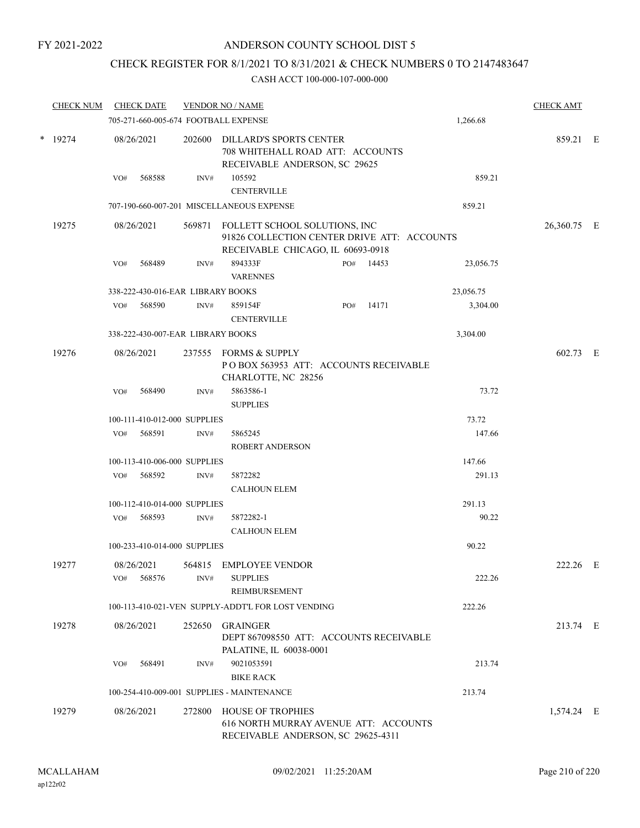### CHECK REGISTER FOR 8/1/2021 TO 8/31/2021 & CHECK NUMBERS 0 TO 2147483647

| <b>CHECK NUM</b> | <b>CHECK DATE</b>        |        |                                   | <b>VENDOR NO / NAME</b>                                                                                 |     |       |           | <b>CHECK AMT</b> |  |
|------------------|--------------------------|--------|-----------------------------------|---------------------------------------------------------------------------------------------------------|-----|-------|-----------|------------------|--|
|                  |                          |        |                                   | 705-271-660-005-674 FOOTBALL EXPENSE                                                                    |     |       | 1,266.68  |                  |  |
| * 19274          | 08/26/2021               |        | 202600                            | DILLARD'S SPORTS CENTER<br>708 WHITEHALL ROAD ATT: ACCOUNTS<br>RECEIVABLE ANDERSON, SC 29625            |     |       |           | 859.21 E         |  |
|                  | VO#                      | 568588 | INV#                              | 105592<br><b>CENTERVILLE</b>                                                                            |     |       | 859.21    |                  |  |
|                  |                          |        |                                   | 707-190-660-007-201 MISCELLANEOUS EXPENSE                                                               |     |       | 859.21    |                  |  |
| 19275            | 08/26/2021               |        | 569871                            | FOLLETT SCHOOL SOLUTIONS, INC<br>91826 COLLECTION CENTER DRIVE ATT: ACCOUNTS                            |     |       |           | 26,360.75 E      |  |
|                  | VO#                      | 568489 | INV#                              | RECEIVABLE CHICAGO, IL 60693-0918<br>894333F<br><b>VARENNES</b>                                         | PO# | 14453 | 23,056.75 |                  |  |
|                  |                          |        | 338-222-430-016-EAR LIBRARY BOOKS |                                                                                                         |     |       | 23,056.75 |                  |  |
|                  | VO#                      | 568590 | INV#                              | 859154F<br><b>CENTERVILLE</b>                                                                           | PO# | 14171 | 3,304.00  |                  |  |
|                  |                          |        | 338-222-430-007-EAR LIBRARY BOOKS |                                                                                                         |     |       | 3,304.00  |                  |  |
| 19276            | 08/26/2021               |        | 237555                            | <b>FORMS &amp; SUPPLY</b><br>POBOX 563953 ATT: ACCOUNTS RECEIVABLE<br>CHARLOTTE, NC 28256               |     |       |           | 602.73 E         |  |
|                  | VO#                      | 568490 | INV#                              | 5863586-1<br><b>SUPPLIES</b>                                                                            |     |       | 73.72     |                  |  |
|                  |                          |        | 100-111-410-012-000 SUPPLIES      |                                                                                                         |     |       | 73.72     |                  |  |
|                  | VO#                      | 568591 | INV#                              | 5865245<br><b>ROBERT ANDERSON</b>                                                                       |     |       | 147.66    |                  |  |
|                  |                          |        | 100-113-410-006-000 SUPPLIES      |                                                                                                         |     |       | 147.66    |                  |  |
|                  | VO#                      | 568592 | INV#                              | 5872282<br><b>CALHOUN ELEM</b>                                                                          |     |       | 291.13    |                  |  |
|                  |                          |        | 100-112-410-014-000 SUPPLIES      |                                                                                                         |     |       | 291.13    |                  |  |
|                  | VO#                      | 568593 | INV#                              | 5872282-1<br><b>CALHOUN ELEM</b>                                                                        |     |       | 90.22     |                  |  |
|                  |                          |        | 100-233-410-014-000 SUPPLIES      |                                                                                                         |     |       | 90.22     |                  |  |
| 19277            | 08/26/2021<br>VO# 568576 |        | INV#                              | 564815 EMPLOYEE VENDOR<br><b>SUPPLIES</b><br>REIMBURSEMENT                                              |     |       | 222.26    | 222.26 E         |  |
|                  |                          |        |                                   | 100-113-410-021-VEN SUPPLY-ADDT'L FOR LOST VENDING                                                      |     |       | 222.26    |                  |  |
| 19278            | 08/26/2021               |        | 252650                            | GRAINGER<br>DEPT 867098550 ATT: ACCOUNTS RECEIVABLE                                                     |     |       |           | 213.74 E         |  |
|                  | VO#                      | 568491 | INV#                              | PALATINE, IL 60038-0001<br>9021053591<br><b>BIKE RACK</b>                                               |     |       | 213.74    |                  |  |
|                  |                          |        |                                   | 100-254-410-009-001 SUPPLIES - MAINTENANCE                                                              |     |       | 213.74    |                  |  |
| 19279            | 08/26/2021               |        | 272800                            | <b>HOUSE OF TROPHIES</b><br>616 NORTH MURRAY AVENUE ATT: ACCOUNTS<br>RECEIVABLE ANDERSON, SC 29625-4311 |     |       |           | 1,574.24 E       |  |
|                  |                          |        |                                   |                                                                                                         |     |       |           |                  |  |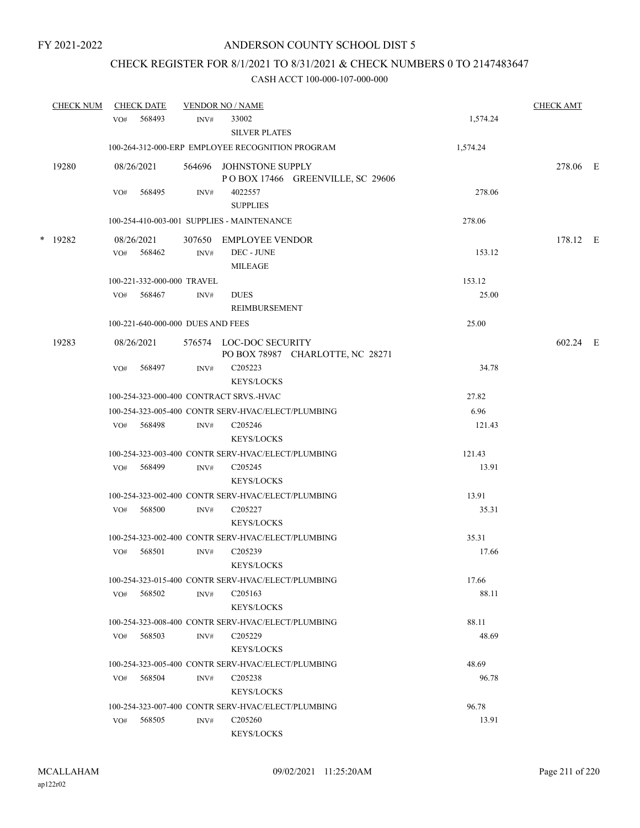## CHECK REGISTER FOR 8/1/2021 TO 8/31/2021 & CHECK NUMBERS 0 TO 2147483647

| <b>CHECK NUM</b> |     | <b>CHECK DATE</b>                 |      | <b>VENDOR NO / NAME</b>                                                                 |                | <b>CHECK AMT</b> |  |
|------------------|-----|-----------------------------------|------|-----------------------------------------------------------------------------------------|----------------|------------------|--|
|                  | VO# | 568493                            | INV# | 33002<br><b>SILVER PLATES</b>                                                           | 1,574.24       |                  |  |
|                  |     |                                   |      | 100-264-312-000-ERP EMPLOYEE RECOGNITION PROGRAM                                        | 1,574.24       |                  |  |
| 19280            |     | 08/26/2021                        |      | 564696 JOHNSTONE SUPPLY<br>POBOX 17466 GREENVILLE, SC 29606                             |                | 278.06 E         |  |
|                  | VO# | 568495                            | INV# | 4022557<br><b>SUPPLIES</b>                                                              | 278.06         |                  |  |
|                  |     |                                   |      | 100-254-410-003-001 SUPPLIES - MAINTENANCE                                              | 278.06         |                  |  |
| * 19282          |     | 08/26/2021<br>VO# 568462          | INV# | 307650 EMPLOYEE VENDOR<br>DEC - JUNE<br><b>MILEAGE</b>                                  | 153.12         | 178.12 E         |  |
|                  |     | 100-221-332-000-000 TRAVEL        |      |                                                                                         | 153.12         |                  |  |
|                  |     | VO# 568467                        | INV# | ${\rm DUES}$<br><b>REIMBURSEMENT</b>                                                    | 25.00          |                  |  |
|                  |     | 100-221-640-000-000 DUES AND FEES |      |                                                                                         | 25.00          |                  |  |
| 19283            |     | 08/26/2021                        |      | 576574 LOC-DOC SECURITY<br>PO BOX 78987 CHARLOTTE, NC 28271                             |                | 602.24 E         |  |
|                  | VO# | 568497                            | INV# | C <sub>205223</sub><br><b>KEYS/LOCKS</b>                                                | 34.78          |                  |  |
|                  |     |                                   |      | 100-254-323-000-400 CONTRACT SRVS.-HVAC                                                 | 27.82          |                  |  |
|                  |     |                                   |      | 100-254-323-005-400 CONTR SERV-HVAC/ELECT/PLUMBING                                      | 6.96           |                  |  |
|                  |     | VO# 568498                        | INV# | C <sub>205246</sub><br><b>KEYS/LOCKS</b>                                                | 121.43         |                  |  |
|                  |     |                                   |      | 100-254-323-003-400 CONTR SERV-HVAC/ELECT/PLUMBING                                      | 121.43         |                  |  |
|                  |     | VO# 568499                        | INV# | C <sub>205245</sub><br><b>KEYS/LOCKS</b>                                                | 13.91          |                  |  |
|                  |     |                                   |      | 100-254-323-002-400 CONTR SERV-HVAC/ELECT/PLUMBING                                      | 13.91          |                  |  |
|                  | VO# | 568500                            | INV# | C <sub>205227</sub><br><b>KEYS/LOCKS</b>                                                | 35.31          |                  |  |
|                  | VO# | 568501                            | INV# | 100-254-323-002-400 CONTR SERV-HVAC/ELECT/PLUMBING<br>C <sub>205239</sub><br>KEYS/LOCKS | 35.31<br>17.66 |                  |  |
|                  |     |                                   |      | 100-254-323-015-400 CONTR SERV-HVAC/ELECT/PLUMBING                                      | 17.66          |                  |  |
|                  | VO# | 568502                            | INV# | C <sub>205163</sub><br><b>KEYS/LOCKS</b>                                                | 88.11          |                  |  |
|                  |     |                                   |      | 100-254-323-008-400 CONTR SERV-HVAC/ELECT/PLUMBING                                      | 88.11          |                  |  |
|                  | VO# | 568503                            | INV# | C <sub>205229</sub><br><b>KEYS/LOCKS</b>                                                | 48.69          |                  |  |
|                  |     |                                   |      | 100-254-323-005-400 CONTR SERV-HVAC/ELECT/PLUMBING                                      | 48.69          |                  |  |
|                  |     | VO# 568504                        | INV# | C <sub>205238</sub><br><b>KEYS/LOCKS</b>                                                | 96.78          |                  |  |
|                  |     |                                   |      | 100-254-323-007-400 CONTR SERV-HVAC/ELECT/PLUMBING                                      | 96.78          |                  |  |
|                  | VO# | 568505                            | INV# | C <sub>205260</sub><br><b>KEYS/LOCKS</b>                                                | 13.91          |                  |  |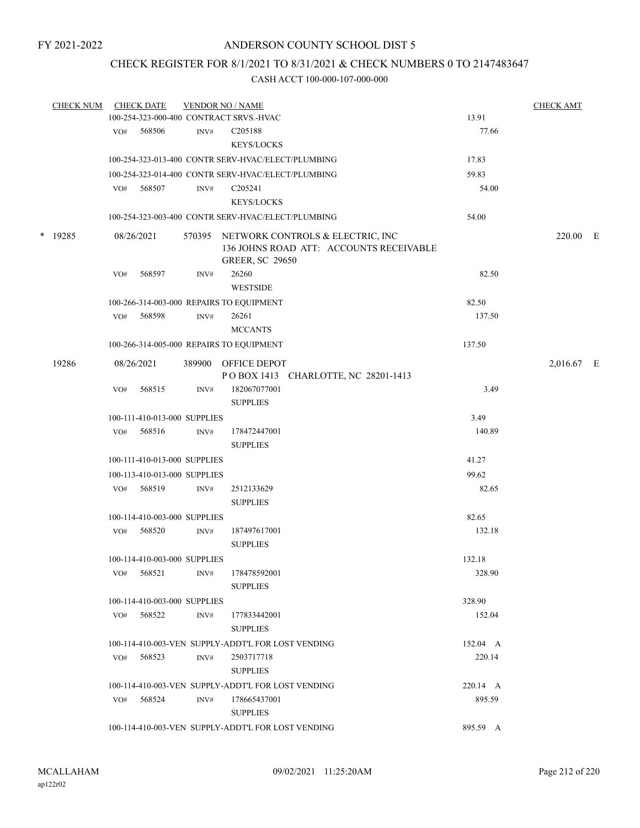### CHECK REGISTER FOR 8/1/2021 TO 8/31/2021 & CHECK NUMBERS 0 TO 2147483647

| <b>CHECK NUM</b> |     | <b>CHECK DATE</b>            |      | <b>VENDOR NO / NAME</b>                                                                                      |          | <b>CHECK AMT</b> |  |
|------------------|-----|------------------------------|------|--------------------------------------------------------------------------------------------------------------|----------|------------------|--|
|                  |     |                              |      | 100-254-323-000-400 CONTRACT SRVS.-HVAC                                                                      | 13.91    |                  |  |
|                  |     | VO# 568506                   | INV# | C205188                                                                                                      | 77.66    |                  |  |
|                  |     |                              |      | <b>KEYS/LOCKS</b>                                                                                            |          |                  |  |
|                  |     |                              |      | 100-254-323-013-400 CONTR SERV-HVAC/ELECT/PLUMBING                                                           | 17.83    |                  |  |
|                  |     |                              |      | 100-254-323-014-400 CONTR SERV-HVAC/ELECT/PLUMBING                                                           | 59.83    |                  |  |
|                  | VO# | 568507                       | INV# | C <sub>2</sub> 05241                                                                                         | 54.00    |                  |  |
|                  |     |                              |      | <b>KEYS/LOCKS</b>                                                                                            |          |                  |  |
|                  |     |                              |      | 100-254-323-003-400 CONTR SERV-HVAC/ELECT/PLUMBING                                                           | 54.00    |                  |  |
| * 19285          |     | 08/26/2021                   |      | 570395 NETWORK CONTROLS & ELECTRIC, INC<br>136 JOHNS ROAD ATT: ACCOUNTS RECEIVABLE<br><b>GREER, SC 29650</b> |          | 220.00 E         |  |
|                  | VO# | 568597                       | INV# | 26260                                                                                                        | 82.50    |                  |  |
|                  |     |                              |      | <b>WESTSIDE</b>                                                                                              |          |                  |  |
|                  |     |                              |      | 100-266-314-003-000 REPAIRS TO EQUIPMENT                                                                     | 82.50    |                  |  |
|                  |     | VO# 568598                   | INV# | 26261                                                                                                        | 137.50   |                  |  |
|                  |     |                              |      | <b>MCCANTS</b>                                                                                               |          |                  |  |
|                  |     |                              |      | 100-266-314-005-000 REPAIRS TO EQUIPMENT                                                                     | 137.50   |                  |  |
| 19286            |     | 08/26/2021                   |      | 389900 OFFICE DEPOT                                                                                          |          | 2,016.67 E       |  |
|                  |     |                              |      | POBOX 1413 CHARLOTTE, NC 28201-1413                                                                          |          |                  |  |
|                  | VO# | 568515                       | INV# | 182067077001                                                                                                 | 3.49     |                  |  |
|                  |     |                              |      | <b>SUPPLIES</b>                                                                                              |          |                  |  |
|                  |     | 100-111-410-013-000 SUPPLIES |      |                                                                                                              | 3.49     |                  |  |
|                  | VO# | 568516                       | INV# | 178472447001                                                                                                 | 140.89   |                  |  |
|                  |     |                              |      | <b>SUPPLIES</b>                                                                                              |          |                  |  |
|                  |     | 100-111-410-013-000 SUPPLIES |      |                                                                                                              | 41.27    |                  |  |
|                  |     | 100-113-410-013-000 SUPPLIES |      |                                                                                                              | 99.62    |                  |  |
|                  | VO# | 568519                       | INV# | 2512133629                                                                                                   | 82.65    |                  |  |
|                  |     |                              |      | <b>SUPPLIES</b>                                                                                              |          |                  |  |
|                  |     | 100-114-410-003-000 SUPPLIES |      |                                                                                                              | 82.65    |                  |  |
|                  | VO# | 568520                       | INV# | 187497617001                                                                                                 | 132.18   |                  |  |
|                  |     |                              |      | <b>SUPPLIES</b>                                                                                              |          |                  |  |
|                  |     | 100-114-410-003-000 SUPPLIES |      |                                                                                                              | 132.18   |                  |  |
|                  | VO# | 568521                       | INV# | 178478592001                                                                                                 | 328.90   |                  |  |
|                  |     |                              |      | <b>SUPPLIES</b>                                                                                              |          |                  |  |
|                  |     | 100-114-410-003-000 SUPPLIES |      |                                                                                                              | 328.90   |                  |  |
|                  | VO# | 568522                       | INV# | 177833442001                                                                                                 | 152.04   |                  |  |
|                  |     |                              |      | <b>SUPPLIES</b>                                                                                              |          |                  |  |
|                  |     |                              |      | 100-114-410-003-VEN SUPPLY-ADDT'L FOR LOST VENDING                                                           | 152.04 A |                  |  |
|                  | VO# | 568523                       | INV# | 2503717718                                                                                                   | 220.14   |                  |  |
|                  |     |                              |      | <b>SUPPLIES</b>                                                                                              |          |                  |  |
|                  |     |                              |      |                                                                                                              |          |                  |  |
|                  |     |                              |      | 100-114-410-003-VEN SUPPLY-ADDT'L FOR LOST VENDING                                                           | 220.14 A |                  |  |
|                  |     | VO# 568524                   | INV# | 178665437001<br><b>SUPPLIES</b>                                                                              | 895.59   |                  |  |
|                  |     |                              |      |                                                                                                              |          |                  |  |
|                  |     |                              |      | 100-114-410-003-VEN SUPPLY-ADDT'L FOR LOST VENDING                                                           | 895.59 A |                  |  |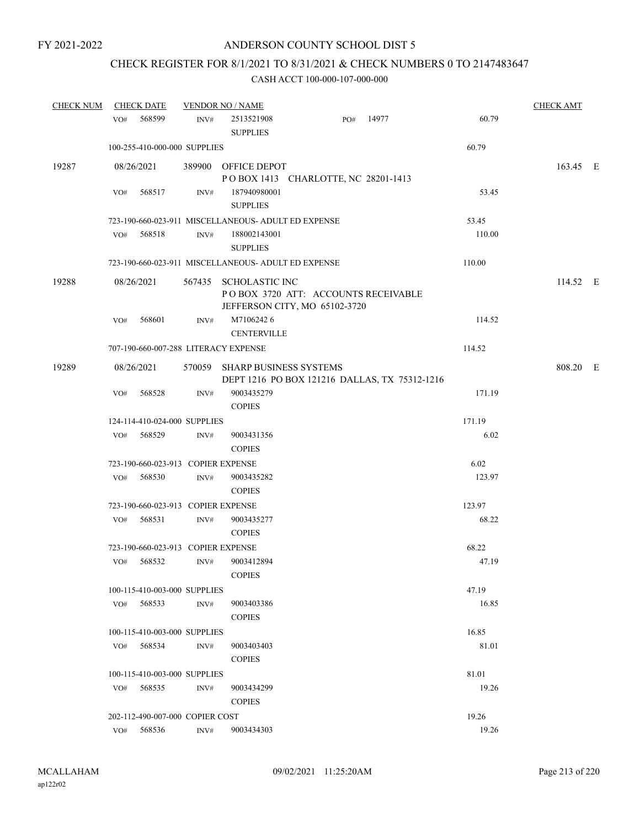# CHECK REGISTER FOR 8/1/2021 TO 8/31/2021 & CHECK NUMBERS 0 TO 2147483647

| <b>CHECK NUM</b> |            | <b>CHECK DATE</b>                  |      | <b>VENDOR NO / NAME</b>                                                                       |     |       |        | <b>CHECK AMT</b> |  |
|------------------|------------|------------------------------------|------|-----------------------------------------------------------------------------------------------|-----|-------|--------|------------------|--|
|                  | VO#        | 568599                             | INV# | 2513521908<br><b>SUPPLIES</b>                                                                 | PO# | 14977 | 60.79  |                  |  |
|                  |            | 100-255-410-000-000 SUPPLIES       |      |                                                                                               |     |       | 60.79  |                  |  |
| 19287            | 08/26/2021 |                                    |      | 389900 OFFICE DEPOT<br>POBOX 1413 CHARLOTTE, NC 28201-1413                                    |     |       |        | 163.45 E         |  |
|                  | VO#        | 568517                             | INV# | 187940980001<br><b>SUPPLIES</b>                                                               |     |       | 53.45  |                  |  |
|                  |            |                                    |      | 723-190-660-023-911 MISCELLANEOUS- ADULT ED EXPENSE                                           |     |       | 53.45  |                  |  |
|                  | VO#        | 568518                             | INV# | 188002143001<br><b>SUPPLIES</b>                                                               |     |       | 110.00 |                  |  |
|                  |            |                                    |      | 723-190-660-023-911 MISCELLANEOUS- ADULT ED EXPENSE                                           |     |       | 110.00 |                  |  |
| 19288            | 08/26/2021 |                                    |      | 567435 SCHOLASTIC INC<br>POBOX 3720 ATT: ACCOUNTS RECEIVABLE<br>JEFFERSON CITY, MO 65102-3720 |     |       |        | 114.52 E         |  |
|                  | VO#        | 568601                             | INV# | M71062426<br><b>CENTERVILLE</b>                                                               |     |       | 114.52 |                  |  |
|                  |            |                                    |      | 707-190-660-007-288 LITERACY EXPENSE                                                          |     |       | 114.52 |                  |  |
| 19289            | 08/26/2021 |                                    |      | 570059 SHARP BUSINESS SYSTEMS<br>DEPT 1216 PO BOX 121216 DALLAS, TX 75312-1216                |     |       |        | 808.20 E         |  |
|                  | VO#        | 568528                             | INV# | 9003435279<br><b>COPIES</b>                                                                   |     |       | 171.19 |                  |  |
|                  |            | 124-114-410-024-000 SUPPLIES       |      |                                                                                               |     |       | 171.19 |                  |  |
|                  | VO#        | 568529                             | INV# | 9003431356<br><b>COPIES</b>                                                                   |     |       | 6.02   |                  |  |
|                  |            | 723-190-660-023-913 COPIER EXPENSE |      |                                                                                               |     |       | 6.02   |                  |  |
|                  | VO#        | 568530                             | INV# | 9003435282<br><b>COPIES</b>                                                                   |     |       | 123.97 |                  |  |
|                  |            | 723-190-660-023-913 COPIER EXPENSE |      |                                                                                               |     |       | 123.97 |                  |  |
|                  | VO#        | 568531                             | INV# | 9003435277<br><b>COPIES</b>                                                                   |     |       | 68.22  |                  |  |
|                  |            | 723-190-660-023-913 COPIER EXPENSE |      |                                                                                               |     |       | 68.22  |                  |  |
|                  | VO#        | 568532                             | INV# | 9003412894<br><b>COPIES</b>                                                                   |     |       | 47.19  |                  |  |
|                  |            | 100-115-410-003-000 SUPPLIES       |      |                                                                                               |     |       | 47.19  |                  |  |
|                  | VO#        | 568533                             | INV# | 9003403386<br><b>COPIES</b>                                                                   |     |       | 16.85  |                  |  |
|                  |            | 100-115-410-003-000 SUPPLIES       |      |                                                                                               |     |       | 16.85  |                  |  |
|                  | VO#        | 568534                             | INV# | 9003403403<br><b>COPIES</b>                                                                   |     |       | 81.01  |                  |  |
|                  |            | 100-115-410-003-000 SUPPLIES       |      |                                                                                               |     |       | 81.01  |                  |  |
|                  | VO#        | 568535                             | INV# | 9003434299<br><b>COPIES</b>                                                                   |     |       | 19.26  |                  |  |
|                  |            | 202-112-490-007-000 COPIER COST    |      |                                                                                               |     |       | 19.26  |                  |  |
|                  | VO#        | 568536                             | INV# | 9003434303                                                                                    |     |       | 19.26  |                  |  |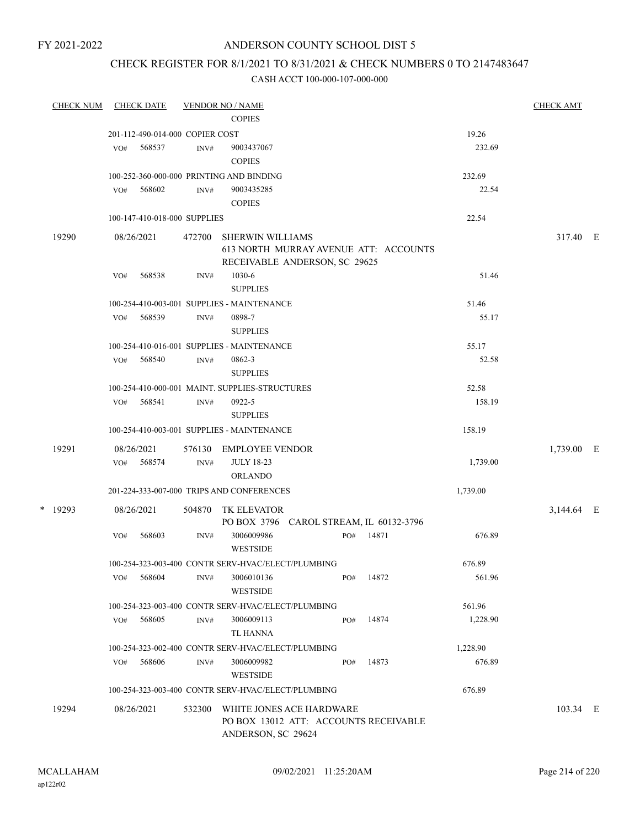# ANDERSON COUNTY SCHOOL DIST 5

### CHECK REGISTER FOR 8/1/2021 TO 8/31/2021 & CHECK NUMBERS 0 TO 2147483647

| <b>CHECK NUM</b> |     | <b>CHECK DATE</b>               |        | <b>VENDOR NO / NAME</b>                                                                           |     |       |          | <b>CHECK AMT</b> |  |
|------------------|-----|---------------------------------|--------|---------------------------------------------------------------------------------------------------|-----|-------|----------|------------------|--|
|                  |     |                                 |        | <b>COPIES</b>                                                                                     |     |       |          |                  |  |
|                  |     | 201-112-490-014-000 COPIER COST |        |                                                                                                   |     |       | 19.26    |                  |  |
|                  | VO# | 568537                          | INV#   | 9003437067                                                                                        |     |       | 232.69   |                  |  |
|                  |     |                                 |        | <b>COPIES</b>                                                                                     |     |       |          |                  |  |
|                  |     |                                 |        | 100-252-360-000-000 PRINTING AND BINDING                                                          |     |       | 232.69   |                  |  |
|                  | VO# | 568602                          | INV#   | 9003435285                                                                                        |     |       | 22.54    |                  |  |
|                  |     |                                 |        | <b>COPIES</b>                                                                                     |     |       |          |                  |  |
|                  |     | 100-147-410-018-000 SUPPLIES    |        |                                                                                                   |     |       | 22.54    |                  |  |
| 19290            |     | 08/26/2021                      | 472700 | <b>SHERWIN WILLIAMS</b><br>613 NORTH MURRAY AVENUE ATT: ACCOUNTS<br>RECEIVABLE ANDERSON, SC 29625 |     |       |          | 317.40 E         |  |
|                  | VO# | 568538                          | INV#   | 1030-6<br><b>SUPPLIES</b>                                                                         |     |       | 51.46    |                  |  |
|                  |     |                                 |        | 100-254-410-003-001 SUPPLIES - MAINTENANCE                                                        |     |       | 51.46    |                  |  |
|                  | VO# | 568539                          | INV#   | 0898-7                                                                                            |     |       | 55.17    |                  |  |
|                  |     |                                 |        | <b>SUPPLIES</b>                                                                                   |     |       |          |                  |  |
|                  |     |                                 |        | 100-254-410-016-001 SUPPLIES - MAINTENANCE                                                        |     |       | 55.17    |                  |  |
|                  | VO# | 568540                          | INV#   | 0862-3                                                                                            |     |       | 52.58    |                  |  |
|                  |     |                                 |        | <b>SUPPLIES</b>                                                                                   |     |       |          |                  |  |
|                  |     |                                 |        | 100-254-410-000-001 MAINT. SUPPLIES-STRUCTURES                                                    |     |       | 52.58    |                  |  |
|                  | VO# | 568541                          | INV#   | 0922-5<br><b>SUPPLIES</b>                                                                         |     |       | 158.19   |                  |  |
|                  |     |                                 |        | 100-254-410-003-001 SUPPLIES - MAINTENANCE                                                        |     |       | 158.19   |                  |  |
| 19291            |     | 08/26/2021                      | 576130 | <b>EMPLOYEE VENDOR</b>                                                                            |     |       |          | 1,739.00 E       |  |
|                  | VO# | 568574                          | INV#   | <b>JULY 18-23</b><br><b>ORLANDO</b>                                                               |     |       | 1,739.00 |                  |  |
|                  |     |                                 |        | 201-224-333-007-000 TRIPS AND CONFERENCES                                                         |     |       | 1,739.00 |                  |  |
| $*$ 19293        |     | 08/26/2021                      | 504870 | <b>TK ELEVATOR</b><br>PO BOX 3796 CAROL STREAM, IL 60132-3796                                     |     |       |          | 3,144.64 E       |  |
|                  | VO# | 568603                          | INV#   | 3006009986<br><b>WESTSIDE</b>                                                                     | PO# | 14871 | 676.89   |                  |  |
|                  |     |                                 |        | 100-254-323-003-400 CONTR SERV-HVAC/ELECT/PLUMBING                                                |     |       | 676.89   |                  |  |
|                  | VO# | 568604                          | INV#   | 3006010136<br><b>WESTSIDE</b>                                                                     | PO# | 14872 | 561.96   |                  |  |
|                  |     |                                 |        | 100-254-323-003-400 CONTR SERV-HVAC/ELECT/PLUMBING                                                |     |       | 561.96   |                  |  |
|                  | VO# | 568605                          | INV#   | 3006009113<br><b>TL HANNA</b>                                                                     | PO# | 14874 | 1,228.90 |                  |  |
|                  |     |                                 |        | 100-254-323-002-400 CONTR SERV-HVAC/ELECT/PLUMBING                                                |     |       | 1,228.90 |                  |  |
|                  | VO# | 568606                          | INV#   | 3006009982<br><b>WESTSIDE</b>                                                                     | PO# | 14873 | 676.89   |                  |  |
|                  |     |                                 |        | 100-254-323-003-400 CONTR SERV-HVAC/ELECT/PLUMBING                                                |     |       | 676.89   |                  |  |
|                  |     |                                 |        |                                                                                                   |     |       |          |                  |  |
| 19294            |     | 08/26/2021                      | 532300 | WHITE JONES ACE HARDWARE<br>PO BOX 13012 ATT: ACCOUNTS RECEIVABLE<br>ANDERSON, SC 29624           |     |       |          | 103.34 E         |  |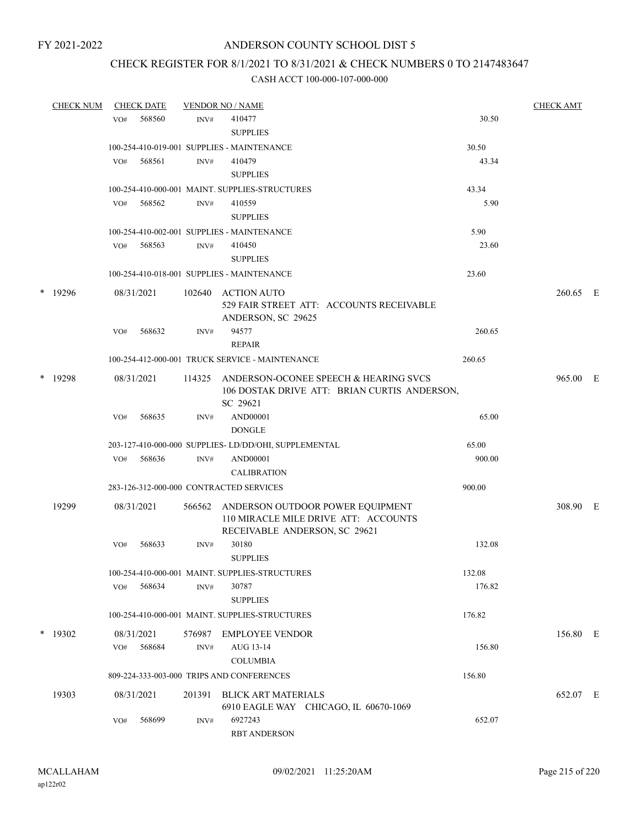### CHECK REGISTER FOR 8/1/2021 TO 8/31/2021 & CHECK NUMBERS 0 TO 2147483647

|   | <b>CHECK NUM</b> | <b>CHECK DATE</b> |                      |                | <b>VENDOR NO / NAME</b>                                                                                   |        |          |  |  |
|---|------------------|-------------------|----------------------|----------------|-----------------------------------------------------------------------------------------------------------|--------|----------|--|--|
|   |                  | VO#               | 568560               | INV#           | 410477<br><b>SUPPLIES</b>                                                                                 | 30.50  |          |  |  |
|   |                  |                   |                      |                | 100-254-410-019-001 SUPPLIES - MAINTENANCE                                                                | 30.50  |          |  |  |
|   |                  | VO#               | 568561               | INV#           | 410479<br><b>SUPPLIES</b>                                                                                 | 43.34  |          |  |  |
|   |                  |                   |                      |                | 100-254-410-000-001 MAINT. SUPPLIES-STRUCTURES                                                            | 43.34  |          |  |  |
|   |                  | VO#               | 568562               | INV#           | 410559<br><b>SUPPLIES</b>                                                                                 | 5.90   |          |  |  |
|   |                  |                   |                      |                | 100-254-410-002-001 SUPPLIES - MAINTENANCE                                                                | 5.90   |          |  |  |
|   |                  | VO#               | 568563               | INV#           | 410450<br><b>SUPPLIES</b>                                                                                 | 23.60  |          |  |  |
|   |                  |                   |                      |                | 100-254-410-018-001 SUPPLIES - MAINTENANCE                                                                | 23.60  |          |  |  |
|   | * 19296          |                   | 08/31/2021           |                | 102640 ACTION AUTO<br>529 FAIR STREET ATT: ACCOUNTS RECEIVABLE<br>ANDERSON, SC 29625                      |        | 260.65 E |  |  |
|   |                  | VO#               | 568632               | INV#           | 94577<br><b>REPAIR</b>                                                                                    | 260.65 |          |  |  |
|   |                  |                   |                      |                | 100-254-412-000-001 TRUCK SERVICE - MAINTENANCE                                                           | 260.65 |          |  |  |
| * | 19298            |                   | 08/31/2021           |                | 114325 ANDERSON-OCONEE SPEECH & HEARING SVCS<br>106 DOSTAK DRIVE ATT: BRIAN CURTIS ANDERSON,<br>SC 29621  |        | 965.00 E |  |  |
|   |                  | VO#               | 568635               | INV#           | AND00001<br><b>DONGLE</b>                                                                                 | 65.00  |          |  |  |
|   |                  |                   |                      |                | 203-127-410-000-000 SUPPLIES-LD/DD/OHI, SUPPLEMENTAL                                                      | 65.00  |          |  |  |
|   |                  | VO#               | 568636               | $\text{INV}\#$ | AND00001<br><b>CALIBRATION</b>                                                                            | 900.00 |          |  |  |
|   |                  |                   |                      |                | 283-126-312-000-000 CONTRACTED SERVICES                                                                   | 900.00 |          |  |  |
|   | 19299            |                   | 08/31/2021           | 566562         | ANDERSON OUTDOOR POWER EQUIPMENT<br>110 MIRACLE MILE DRIVE ATT: ACCOUNTS<br>RECEIVABLE ANDERSON, SC 29621 |        | 308.90 E |  |  |
|   |                  | VO#               | 568633               | INV#           | 30180<br><b>SUPPLIES</b>                                                                                  | 132.08 |          |  |  |
|   |                  |                   |                      |                | 100-254-410-000-001 MAINT. SUPPLIES-STRUCTURES                                                            | 132.08 |          |  |  |
|   |                  | VO#               | 568634               | INV#           | 30787<br><b>SUPPLIES</b>                                                                                  | 176.82 |          |  |  |
|   |                  |                   |                      |                | 100-254-410-000-001 MAINT. SUPPLIES-STRUCTURES                                                            | 176.82 |          |  |  |
|   | $*$ 19302        |                   | 08/31/2021<br>568684 | 576987         | <b>EMPLOYEE VENDOR</b><br>AUG 13-14                                                                       | 156.80 | 156.80 E |  |  |
|   |                  | VO#               |                      | INV#           | <b>COLUMBIA</b>                                                                                           |        |          |  |  |
|   |                  |                   |                      |                | 809-224-333-003-000 TRIPS AND CONFERENCES                                                                 | 156.80 |          |  |  |
|   | 19303            |                   | 08/31/2021           | 201391         | BLICK ART MATERIALS<br>6910 EAGLE WAY CHICAGO, IL 60670-1069                                              |        | 652.07 E |  |  |
|   |                  | VO#               | 568699               | INV#           | 6927243<br><b>RBT ANDERSON</b>                                                                            | 652.07 |          |  |  |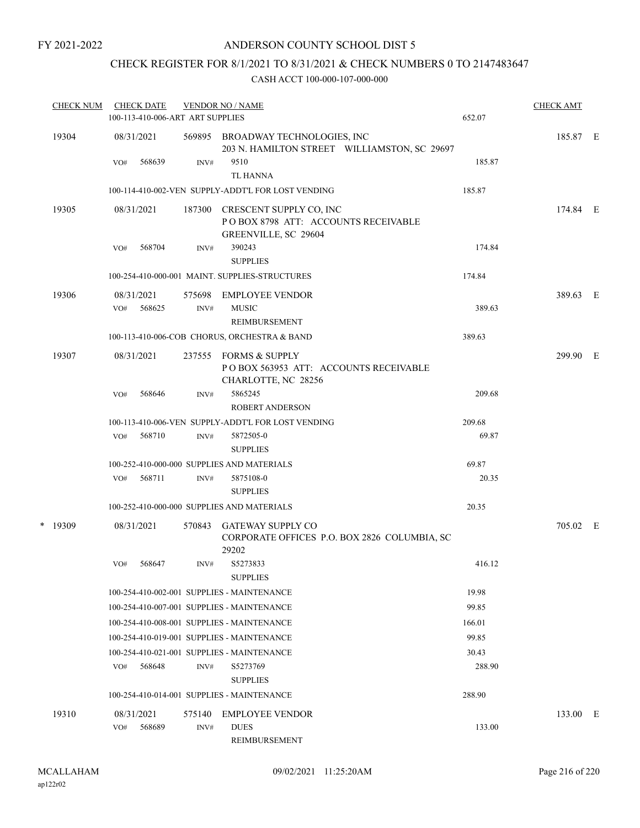### ANDERSON COUNTY SCHOOL DIST 5

# CHECK REGISTER FOR 8/1/2021 TO 8/31/2021 & CHECK NUMBERS 0 TO 2147483647

| <b>CHECK NUM</b> |     | <b>CHECK DATE</b>    | 100-113-410-006-ART ART SUPPLIES | <b>VENDOR NO / NAME</b>                                                                   | 652.07 | <b>CHECK AMT</b> |  |
|------------------|-----|----------------------|----------------------------------|-------------------------------------------------------------------------------------------|--------|------------------|--|
| 19304            |     | 08/31/2021           |                                  | 569895 BROADWAY TECHNOLOGIES, INC<br>203 N. HAMILTON STREET WILLIAMSTON, SC 29697         |        | 185.87 E         |  |
|                  | VO# | 568639               | INV#                             | 9510<br><b>TL HANNA</b>                                                                   | 185.87 |                  |  |
|                  |     |                      |                                  | 100-114-410-002-VEN SUPPLY-ADDT'L FOR LOST VENDING                                        | 185.87 |                  |  |
| 19305            |     | 08/31/2021           | 187300                           | CRESCENT SUPPLY CO, INC<br>POBOX 8798 ATT: ACCOUNTS RECEIVABLE<br>GREENVILLE, SC 29604    |        | 174.84 E         |  |
|                  | VO# | 568704               | INV#                             | 390243                                                                                    | 174.84 |                  |  |
|                  |     |                      |                                  | <b>SUPPLIES</b>                                                                           |        |                  |  |
|                  |     |                      |                                  | 100-254-410-000-001 MAINT. SUPPLIES-STRUCTURES                                            | 174.84 |                  |  |
| 19306            | VO# | 08/31/2021<br>568625 | 575698<br>INV#                   | <b>EMPLOYEE VENDOR</b><br><b>MUSIC</b>                                                    | 389.63 | 389.63 E         |  |
|                  |     |                      |                                  | REIMBURSEMENT                                                                             |        |                  |  |
|                  |     |                      |                                  | 100-113-410-006-COB CHORUS, ORCHESTRA & BAND                                              | 389.63 |                  |  |
| 19307            |     | 08/31/2021           | 237555                           | <b>FORMS &amp; SUPPLY</b><br>POBOX 563953 ATT: ACCOUNTS RECEIVABLE<br>CHARLOTTE, NC 28256 |        | 299.90 E         |  |
|                  | VO# | 568646               | INV#                             | 5865245<br>ROBERT ANDERSON                                                                | 209.68 |                  |  |
|                  |     |                      |                                  | 100-113-410-006-VEN SUPPLY-ADDT'L FOR LOST VENDING                                        | 209.68 |                  |  |
|                  | VO# | 568710               | INV#                             | 5872505-0<br><b>SUPPLIES</b>                                                              | 69.87  |                  |  |
|                  |     |                      |                                  | 100-252-410-000-000 SUPPLIES AND MATERIALS                                                | 69.87  |                  |  |
|                  | VO# | 568711               | INV#                             | 5875108-0                                                                                 | 20.35  |                  |  |
|                  |     |                      |                                  | <b>SUPPLIES</b>                                                                           |        |                  |  |
|                  |     |                      |                                  | 100-252-410-000-000 SUPPLIES AND MATERIALS                                                | 20.35  |                  |  |
| $*$ 19309        |     | 08/31/2021           | 570843                           | <b>GATEWAY SUPPLY CO</b><br>CORPORATE OFFICES P.O. BOX 2826 COLUMBIA, SC<br>29202         |        | 705.02 E         |  |
|                  | VO# | 568647               | INV#                             | S5273833<br><b>SUPPLIES</b>                                                               | 416.12 |                  |  |
|                  |     |                      |                                  | 100-254-410-002-001 SUPPLIES - MAINTENANCE                                                | 19.98  |                  |  |
|                  |     |                      |                                  | 100-254-410-007-001 SUPPLIES - MAINTENANCE                                                | 99.85  |                  |  |
|                  |     |                      |                                  | 100-254-410-008-001 SUPPLIES - MAINTENANCE                                                | 166.01 |                  |  |
|                  |     |                      |                                  | 100-254-410-019-001 SUPPLIES - MAINTENANCE                                                | 99.85  |                  |  |
|                  |     |                      |                                  | 100-254-410-021-001 SUPPLIES - MAINTENANCE                                                | 30.43  |                  |  |
|                  | VO# | 568648               | INV#                             | S5273769<br><b>SUPPLIES</b>                                                               | 288.90 |                  |  |
|                  |     |                      |                                  | 100-254-410-014-001 SUPPLIES - MAINTENANCE                                                | 288.90 |                  |  |
| 19310            |     | 08/31/2021           | 575140                           | <b>EMPLOYEE VENDOR</b>                                                                    |        | 133.00 E         |  |
|                  | VO# | 568689               | INV#                             | <b>DUES</b><br>REIMBURSEMENT                                                              | 133.00 |                  |  |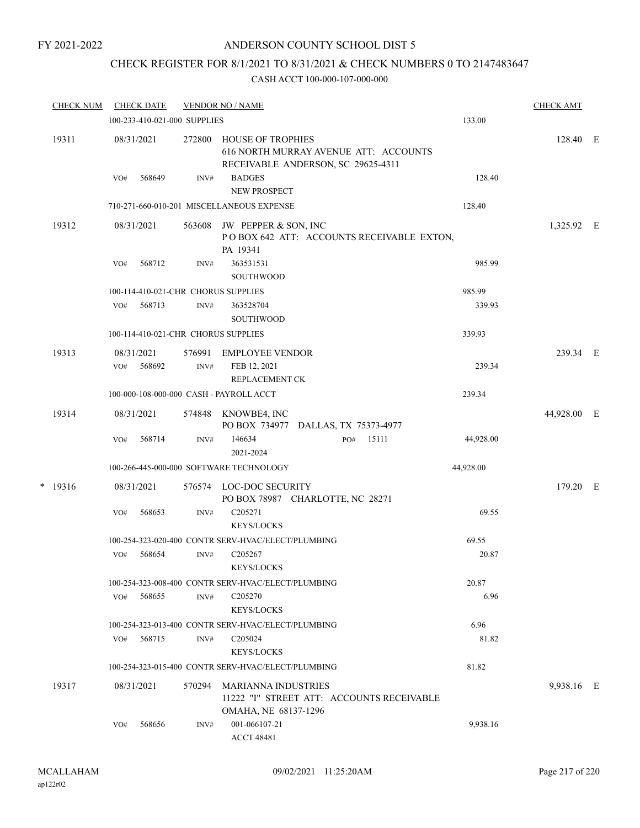FY 2021-2022

### ANDERSON COUNTY SCHOOL DIST 5

# CHECK REGISTER FOR 8/1/2021 TO 8/31/2021 & CHECK NUMBERS 0 TO 2147483647

#### CASH ACCT 100-000-107-000-000

|  | <b>CHECK NUM</b> | <b>CHECK DATE</b>                                  |        |        | <b>VENDOR NO / NAME</b>                                                                                 |     |       |  |           | <b>CHECK AMT</b> |  |
|--|------------------|----------------------------------------------------|--------|--------|---------------------------------------------------------------------------------------------------------|-----|-------|--|-----------|------------------|--|
|  |                  | 100-233-410-021-000 SUPPLIES<br>133.00             |        |        |                                                                                                         |     |       |  |           |                  |  |
|  | 19311            | 08/31/2021                                         |        | 272800 | <b>HOUSE OF TROPHIES</b><br>616 NORTH MURRAY AVENUE ATT: ACCOUNTS<br>RECEIVABLE ANDERSON, SC 29625-4311 |     |       |  |           | 128.40 E         |  |
|  |                  | VO#                                                | 568649 | INV#   | <b>BADGES</b><br><b>NEW PROSPECT</b>                                                                    |     |       |  | 128.40    |                  |  |
|  |                  | 710-271-660-010-201 MISCELLANEOUS EXPENSE          |        |        |                                                                                                         |     |       |  | 128.40    |                  |  |
|  | 19312            | 08/31/2021                                         |        | 563608 | JW PEPPER & SON, INC<br>POBOX 642 ATT: ACCOUNTS RECEIVABLE EXTON,<br>PA 19341                           |     |       |  |           | 1,325.92 E       |  |
|  |                  | VO#                                                | 568712 | INV#   | 363531531<br><b>SOUTHWOOD</b>                                                                           |     |       |  | 985.99    |                  |  |
|  |                  |                                                    |        |        | 100-114-410-021-CHR CHORUS SUPPLIES                                                                     |     |       |  | 985.99    |                  |  |
|  |                  | VO#                                                | 568713 | INV#   | 363528704<br><b>SOUTHWOOD</b>                                                                           |     |       |  | 339.93    |                  |  |
|  |                  |                                                    |        |        | 100-114-410-021-CHR CHORUS SUPPLIES                                                                     |     |       |  | 339.93    |                  |  |
|  | 19313            | 08/31/2021                                         |        | 576991 | <b>EMPLOYEE VENDOR</b>                                                                                  |     |       |  |           | 239.34 E         |  |
|  |                  | VO#                                                | 568692 | INV#   | FEB 12, 2021<br>REPLACEMENT CK                                                                          |     |       |  | 239.34    |                  |  |
|  |                  | 100-000-108-000-000 CASH - PAYROLL ACCT            |        |        | 239.34                                                                                                  |     |       |  |           |                  |  |
|  | 19314            | 08/31/2021                                         |        | 574848 | KNOWBE4, INC<br>PO BOX 734977 DALLAS, TX 75373-4977                                                     |     |       |  |           | 44,928.00 E      |  |
|  |                  | VO#                                                | 568714 | INV#   | 146634<br>2021-2024                                                                                     | PO# | 15111 |  | 44,928.00 |                  |  |
|  |                  |                                                    |        |        | 100-266-445-000-000 SOFTWARE TECHNOLOGY                                                                 |     |       |  | 44,928.00 |                  |  |
|  | $* 19316$        | 08/31/2021                                         |        | 576574 | LOC-DOC SECURITY<br>PO BOX 78987 CHARLOTTE, NC 28271                                                    |     |       |  |           | 179.20 E         |  |
|  |                  | VO#                                                | 568653 | INV#   | C <sub>205271</sub><br>KEYS/LOCKS                                                                       |     |       |  | 69.55     |                  |  |
|  |                  |                                                    |        |        | 100-254-323-020-400 CONTR SERV-HVAC/ELECT/PLUMBING                                                      |     |       |  | 69.55     |                  |  |
|  |                  | VO#                                                | 568654 | INV#   | C <sub>205267</sub><br><b>KEYS/LOCKS</b>                                                                |     |       |  | 20.87     |                  |  |
|  |                  | 100-254-323-008-400 CONTR SERV-HVAC/ELECT/PLUMBING |        |        | 20.87                                                                                                   |     |       |  |           |                  |  |
|  |                  | VO#                                                | 568655 | INV#   | C <sub>205270</sub><br><b>KEYS/LOCKS</b>                                                                |     |       |  | 6.96      |                  |  |
|  |                  |                                                    |        |        | 100-254-323-013-400 CONTR SERV-HVAC/ELECT/PLUMBING                                                      |     |       |  | 6.96      |                  |  |
|  |                  | VO#                                                | 568715 | INV#   | C <sub>205024</sub><br><b>KEYS/LOCKS</b>                                                                |     |       |  | 81.82     |                  |  |
|  |                  |                                                    |        |        | 100-254-323-015-400 CONTR SERV-HVAC/ELECT/PLUMBING                                                      |     |       |  | 81.82     |                  |  |
|  | 19317            | 08/31/2021                                         |        | 570294 | MARIANNA INDUSTRIES<br>11222 "I" STREET ATT: ACCOUNTS RECEIVABLE<br>OMAHA, NE 68137-1296                |     |       |  |           | 9,938.16 E       |  |
|  |                  | VO#                                                | 568656 | INV#   | 001-066107-21<br><b>ACCT 48481</b>                                                                      |     |       |  | 9,938.16  |                  |  |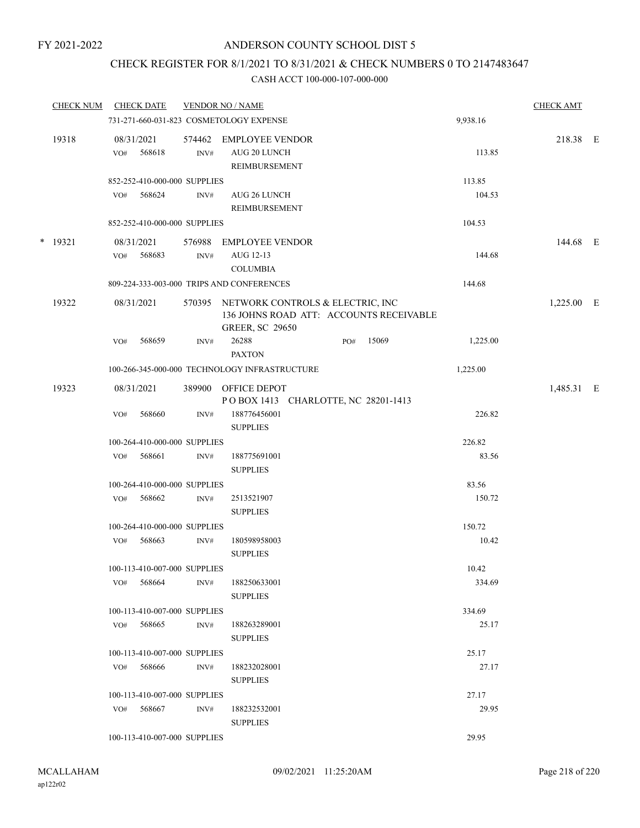### ANDERSON COUNTY SCHOOL DIST 5

# CHECK REGISTER FOR 8/1/2021 TO 8/31/2021 & CHECK NUMBERS 0 TO 2147483647

#### CASH ACCT 100-000-107-000-000

|   | <b>CHECK NUM</b> |     | <b>CHECK DATE</b>            |                          | <b>VENDOR NO / NAME</b>                                                                               |          | <b>CHECK AMT</b> |  |
|---|------------------|-----|------------------------------|--------------------------|-------------------------------------------------------------------------------------------------------|----------|------------------|--|
|   |                  |     |                              |                          | 731-271-660-031-823 COSMETOLOGY EXPENSE                                                               | 9,938.16 |                  |  |
|   | 19318            | VO# | 08/31/2021<br>568618         | 574462<br>$\text{INV}\#$ | <b>EMPLOYEE VENDOR</b><br>AUG 20 LUNCH<br><b>REIMBURSEMENT</b>                                        | 113.85   | 218.38 E         |  |
|   |                  |     | 852-252-410-000-000 SUPPLIES |                          |                                                                                                       | 113.85   |                  |  |
|   |                  | VO# | 568624                       | INV#                     | AUG 26 LUNCH<br>REIMBURSEMENT                                                                         | 104.53   |                  |  |
|   |                  |     | 852-252-410-000-000 SUPPLIES |                          |                                                                                                       | 104.53   |                  |  |
| * | 19321            | VO# | 08/31/2021<br>568683         | 576988<br>INV#           | <b>EMPLOYEE VENDOR</b><br>AUG 12-13<br><b>COLUMBIA</b>                                                | 144.68   | 144.68 E         |  |
|   |                  |     |                              |                          | 809-224-333-003-000 TRIPS AND CONFERENCES                                                             | 144.68   |                  |  |
|   | 19322            |     | 08/31/2021                   | 570395                   | NETWORK CONTROLS & ELECTRIC, INC<br>136 JOHNS ROAD ATT: ACCOUNTS RECEIVABLE<br><b>GREER, SC 29650</b> |          | $1,225.00$ E     |  |
|   |                  | VO# | 568659                       | INV#                     | 26288<br>15069<br>PO#<br><b>PAXTON</b>                                                                | 1,225.00 |                  |  |
|   |                  |     |                              |                          | 100-266-345-000-000 TECHNOLOGY INFRASTRUCTURE                                                         | 1,225.00 |                  |  |
|   | 19323            |     | 08/31/2021                   | 389900                   | OFFICE DEPOT<br>POBOX 1413 CHARLOTTE, NC 28201-1413                                                   |          | 1,485.31 E       |  |
|   |                  | VO# | 568660                       | INV#                     | 188776456001<br><b>SUPPLIES</b>                                                                       | 226.82   |                  |  |
|   |                  |     | 100-264-410-000-000 SUPPLIES |                          |                                                                                                       | 226.82   |                  |  |
|   |                  | VO# | 568661                       | INV#                     | 188775691001<br><b>SUPPLIES</b>                                                                       | 83.56    |                  |  |
|   |                  |     | 100-264-410-000-000 SUPPLIES |                          |                                                                                                       | 83.56    |                  |  |
|   |                  | VO# | 568662                       | INV#                     | 2513521907<br><b>SUPPLIES</b>                                                                         | 150.72   |                  |  |
|   |                  |     | 100-264-410-000-000 SUPPLIES |                          |                                                                                                       | 150.72   |                  |  |
|   |                  | VO# | 568663                       | INV#                     | 180598958003<br><b>SUPPLIES</b>                                                                       | 10.42    |                  |  |
|   |                  |     | 100-113-410-007-000 SUPPLIES |                          |                                                                                                       | 10.42    |                  |  |
|   |                  | VO# | 568664                       | INV#                     | 188250633001<br><b>SUPPLIES</b>                                                                       | 334.69   |                  |  |
|   |                  |     | 100-113-410-007-000 SUPPLIES |                          |                                                                                                       | 334.69   |                  |  |
|   |                  |     | VO# 568665                   | INV#                     | 188263289001<br><b>SUPPLIES</b>                                                                       | 25.17    |                  |  |
|   |                  |     | 100-113-410-007-000 SUPPLIES |                          |                                                                                                       | 25.17    |                  |  |
|   |                  | VO# | 568666                       | INV#                     | 188232028001<br><b>SUPPLIES</b>                                                                       | 27.17    |                  |  |
|   |                  |     | 100-113-410-007-000 SUPPLIES |                          |                                                                                                       | 27.17    |                  |  |
|   |                  |     | VO# 568667                   | INV#                     | 188232532001<br><b>SUPPLIES</b>                                                                       | 29.95    |                  |  |
|   |                  |     | 100-113-410-007-000 SUPPLIES |                          |                                                                                                       | 29.95    |                  |  |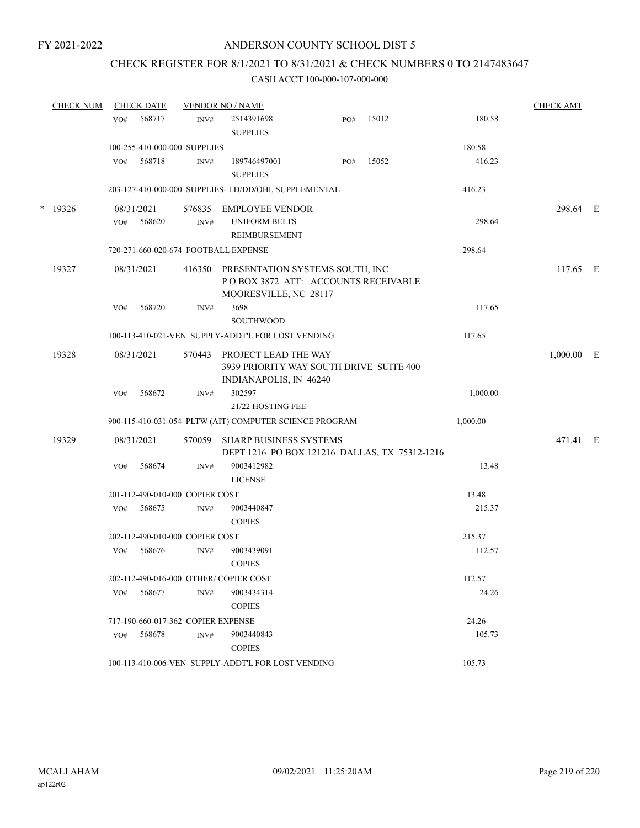### ANDERSON COUNTY SCHOOL DIST 5

### CHECK REGISTER FOR 8/1/2021 TO 8/31/2021 & CHECK NUMBERS 0 TO 2147483647

#### CASH ACCT 100-000-107-000-000

| <b>CHECK NUM</b> |                                 | <b>CHECK DATE</b>    |                                       | <b>VENDOR NO / NAME</b>                                                                         |     |       |          | <b>CHECK AMT</b> |  |
|------------------|---------------------------------|----------------------|---------------------------------------|-------------------------------------------------------------------------------------------------|-----|-------|----------|------------------|--|
|                  | VO#                             | 568717               | INV#                                  | 2514391698<br><b>SUPPLIES</b>                                                                   | PO# | 15012 | 180.58   |                  |  |
|                  | 100-255-410-000-000 SUPPLIES    |                      |                                       |                                                                                                 |     |       | 180.58   |                  |  |
|                  | VO#                             | 568718               | INV#                                  | 189746497001<br><b>SUPPLIES</b>                                                                 | PO# | 15052 | 416.23   |                  |  |
|                  |                                 |                      |                                       | 203-127-410-000-000 SUPPLIES- LD/DD/OHI, SUPPLEMENTAL                                           |     |       | 416.23   |                  |  |
| $*$ 19326        | VO#                             | 08/31/2021<br>568620 | 576835<br>$\text{INV}\#$              | EMPLOYEE VENDOR<br><b>UNIFORM BELTS</b><br><b>REIMBURSEMENT</b>                                 |     |       | 298.64   | 298.64 E         |  |
|                  |                                 |                      |                                       | 720-271-660-020-674 FOOTBALL EXPENSE                                                            |     |       | 298.64   |                  |  |
| 19327            |                                 | 08/31/2021           | 416350                                | PRESENTATION SYSTEMS SOUTH, INC<br>POBOX 3872 ATT: ACCOUNTS RECEIVABLE<br>MOORESVILLE, NC 28117 |     |       |          | 117.65 E         |  |
|                  | VO#                             | 568720               | INV#                                  | 3698<br><b>SOUTHWOOD</b>                                                                        |     |       | 117.65   |                  |  |
|                  |                                 |                      |                                       | 100-113-410-021-VEN SUPPLY-ADDT'L FOR LOST VENDING                                              |     |       | 117.65   |                  |  |
| 19328            |                                 | 08/31/2021           | 570443                                | PROJECT LEAD THE WAY<br>3939 PRIORITY WAY SOUTH DRIVE SUITE 400<br>INDIANAPOLIS, IN 46240       |     |       |          | $1,000.00$ E     |  |
|                  | VO#                             | 568672               | INV#                                  | 302597<br>21/22 HOSTING FEE                                                                     |     |       | 1,000.00 |                  |  |
|                  |                                 |                      |                                       | 900-115-410-031-054 PLTW (AIT) COMPUTER SCIENCE PROGRAM                                         |     |       | 1,000.00 |                  |  |
| 19329            |                                 | 08/31/2021           | 570059                                | SHARP BUSINESS SYSTEMS<br>DEPT 1216 PO BOX 121216 DALLAS, TX 75312-1216                         |     |       |          | 471.41 E         |  |
|                  | VO#                             | 568674               | INV#                                  | 9003412982<br><b>LICENSE</b>                                                                    |     |       | 13.48    |                  |  |
|                  | 201-112-490-010-000 COPIER COST |                      |                                       |                                                                                                 |     |       | 13.48    |                  |  |
|                  | VO#                             | 568675               | INV#                                  | 9003440847<br><b>COPIES</b>                                                                     |     |       | 215.37   |                  |  |
|                  |                                 |                      | 202-112-490-010-000 COPIER COST       |                                                                                                 |     |       | 215.37   |                  |  |
|                  | VO#                             | 568676               | INV#                                  | 9003439091<br><b>COPIES</b>                                                                     |     |       | 112.57   |                  |  |
|                  |                                 |                      | 202-112-490-016-000 OTHER/COPIER COST |                                                                                                 |     |       | 112.57   |                  |  |
|                  | VO#                             | 568677               | INV#                                  | 9003434314<br><b>COPIES</b>                                                                     |     |       | 24.26    |                  |  |
|                  |                                 |                      | 717-190-660-017-362 COPIER EXPENSE    |                                                                                                 |     |       | 24.26    |                  |  |
|                  | VO#                             | 568678               | INV#                                  | 9003440843<br><b>COPIES</b>                                                                     |     |       | 105.73   |                  |  |
|                  |                                 |                      |                                       | 100-113-410-006-VEN SUPPLY-ADDT'L FOR LOST VENDING                                              |     |       | 105.73   |                  |  |